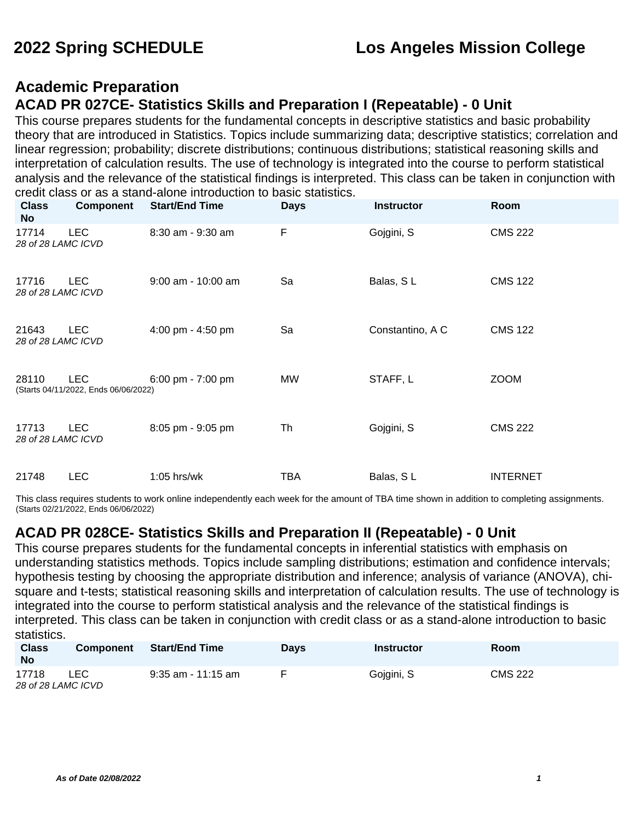### **Academic Preparation ACAD PR 027CE- Statistics Skills and Preparation I (Repeatable) - 0 Unit**

This course prepares students for the fundamental concepts in descriptive statistics and basic probability theory that are introduced in Statistics. Topics include summarizing data; descriptive statistics; correlation and linear regression; probability; discrete distributions; continuous distributions; statistical reasoning skills and interpretation of calculation results. The use of technology is integrated into the course to perform statistical analysis and the relevance of the statistical findings is interpreted. This class can be taken in conjunction with credit class or as a stand-alone introduction to basic statistics.

| <b>Class</b><br>No          | <b>Component</b>                                   | <b>Start/End Time</b> | <b>Days</b> | <b>Instructor</b> | Room            |
|-----------------------------|----------------------------------------------------|-----------------------|-------------|-------------------|-----------------|
| 17714<br>28 of 28 LAMC ICVD | <b>LEC</b>                                         | 8:30 am - 9:30 am     | F           | Gojgini, S        | <b>CMS 222</b>  |
| 17716<br>28 of 28 LAMC ICVD | <b>LEC</b>                                         | $9:00$ am - 10:00 am  | Sa          | Balas, SL         | <b>CMS 122</b>  |
| 21643<br>28 of 28 LAMC ICVD | <b>LEC</b>                                         | 4:00 pm - 4:50 pm     | Sa          | Constantino, A C  | <b>CMS 122</b>  |
| 28110                       | <b>LEC</b><br>(Starts 04/11/2022, Ends 06/06/2022) | 6:00 pm - $7:00$ pm   | MW          | STAFF, L          | <b>ZOOM</b>     |
| 17713<br>28 of 28 LAMC ICVD | <b>LEC</b>                                         | 8:05 pm - 9:05 pm     | Th          | Gojgini, S        | <b>CMS 222</b>  |
| 21748                       | <b>LEC</b>                                         | 1:05 hrs/wk           | <b>TBA</b>  | Balas, SL         | <b>INTERNET</b> |

This class requires students to work online independently each week for the amount of TBA time shown in addition to completing assignments. (Starts 02/21/2022, Ends 06/06/2022)

#### **ACAD PR 028CE- Statistics Skills and Preparation II (Repeatable) - 0 Unit**

This course prepares students for the fundamental concepts in inferential statistics with emphasis on understanding statistics methods. Topics include sampling distributions; estimation and confidence intervals; hypothesis testing by choosing the appropriate distribution and inference; analysis of variance (ANOVA), chisquare and t-tests; statistical reasoning skills and interpretation of calculation results. The use of technology is integrated into the course to perform statistical analysis and the relevance of the statistical findings is interpreted. This class can be taken in conjunction with credit class or as a stand-alone introduction to basic statistics.

| <b>Class</b><br><b>No</b>   | <b>Component</b> | <b>Start/End Time</b> | <b>Days</b> | Instructor | <b>Room</b>    |
|-----------------------------|------------------|-----------------------|-------------|------------|----------------|
| 17718<br>28 of 28 LAMC ICVD | LEC              | 9:35 am - 11:15 am    |             | Gojgini, S | <b>CMS 222</b> |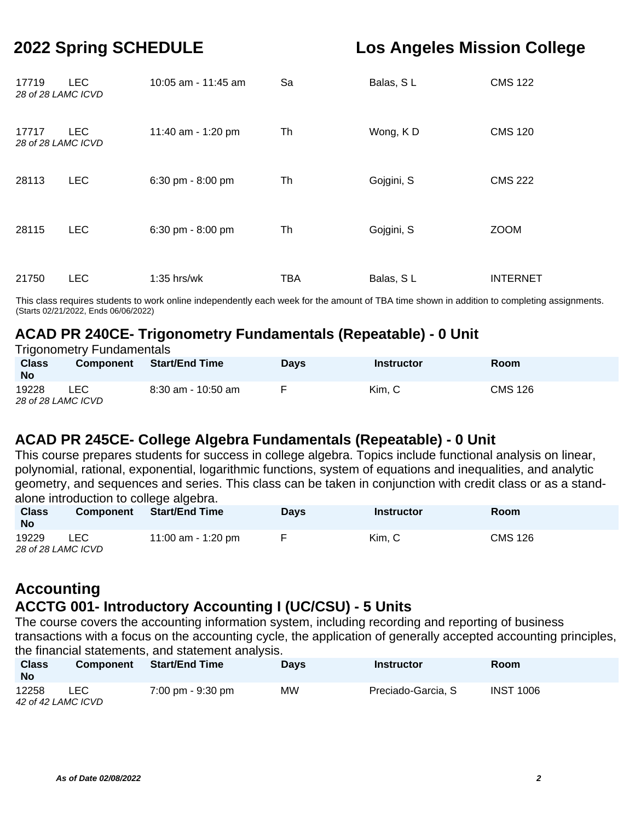| 17719<br>28 of 28 LAMC ICVD | LEC.       | 10:05 am - 11:45 am | Sa         | Balas, SL  | <b>CMS 122</b>  |
|-----------------------------|------------|---------------------|------------|------------|-----------------|
| 17717<br>28 of 28 LAMC ICVD | <b>LEC</b> | 11:40 am - 1:20 pm  | Th         | Wong, KD   | <b>CMS 120</b>  |
| 28113                       | <b>LEC</b> | 6:30 pm - 8:00 pm   | Th         | Gojgini, S | <b>CMS 222</b>  |
| 28115                       | <b>LEC</b> | 6:30 pm - 8:00 pm   | Th         | Gojgini, S | <b>ZOOM</b>     |
| 21750                       | <b>LEC</b> | $1:35$ hrs/wk       | <b>TBA</b> | Balas, SL  | <b>INTERNET</b> |

This class requires students to work online independently each week for the amount of TBA time shown in addition to completing assignments. (Starts 02/21/2022, Ends 06/06/2022)

### **ACAD PR 240CE- Trigonometry Fundamentals (Repeatable) - 0 Unit**

| <b>Trigonometry Fundamentals</b> |                  |                    |             |                   |                |  |  |  |
|----------------------------------|------------------|--------------------|-------------|-------------------|----------------|--|--|--|
| <b>Class</b><br><b>No</b>        | <b>Component</b> | Start/End Time     | <b>Davs</b> | <b>Instructor</b> | <b>Room</b>    |  |  |  |
| 19228<br>28 of 28 LAMC ICVD      | LEC.             | 8:30 am - 10:50 am | <b>F</b>    | Kim, C            | <b>CMS 126</b> |  |  |  |

### **ACAD PR 245CE- College Algebra Fundamentals (Repeatable) - 0 Unit**

This course prepares students for success in college algebra. Topics include functional analysis on linear, polynomial, rational, exponential, logarithmic functions, system of equations and inequalities, and analytic geometry, and sequences and series. This class can be taken in conjunction with credit class or as a standalone introduction to college algebra.

| <b>Class</b><br><b>No</b>   | <b>Component</b> | <b>Start/End Time</b> | Davs | Instructor | Room    |
|-----------------------------|------------------|-----------------------|------|------------|---------|
| 19229<br>28 of 28 LAMC ICVD | LEC              | 11:00 am - 1:20 pm    |      | Kim. C     | CMS 126 |

## **Accounting ACCTG 001- Introductory Accounting I (UC/CSU) - 5 Units**

The course covers the accounting information system, including recording and reporting of business transactions with a focus on the accounting cycle, the application of generally accepted accounting principles, the financial statements, and statement analysis.

| <b>Class</b><br><b>No</b>   | <b>Component</b> | <b>Start/End Time</b> | <b>Davs</b> | <b>Instructor</b>  | <b>Room</b>      |
|-----------------------------|------------------|-----------------------|-------------|--------------------|------------------|
| 12258<br>42 of 42 LAMC ICVD | LEC              | 7:00 pm - 9:30 pm     | MW          | Preciado-Garcia, S | <b>INST 1006</b> |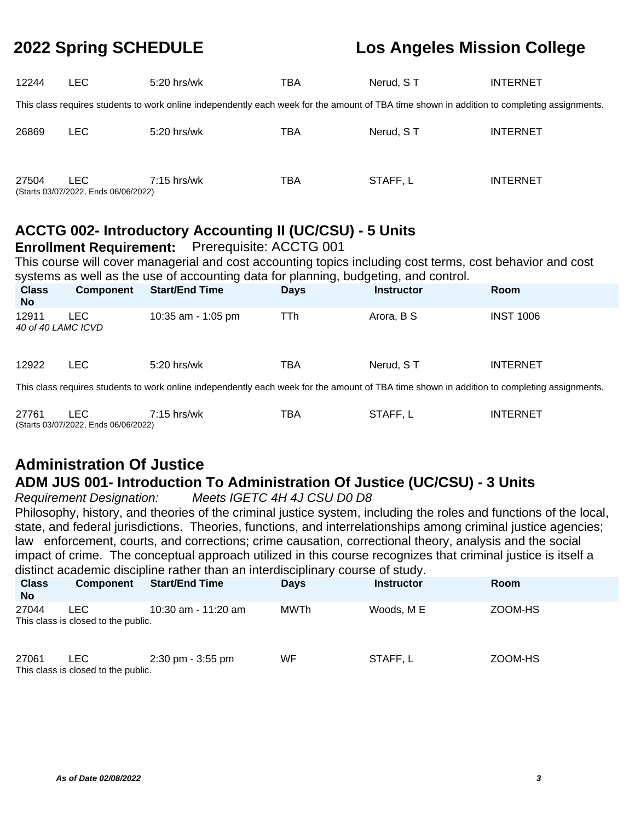| 12244 | LEC.                                        | 5:20 hrs/wk                                                                                                                                 | TBA | Nerud, ST | <b>INTERNET</b> |
|-------|---------------------------------------------|---------------------------------------------------------------------------------------------------------------------------------------------|-----|-----------|-----------------|
|       |                                             | This class requires students to work online independently each week for the amount of TBA time shown in addition to completing assignments. |     |           |                 |
| 26869 | LEC.                                        | $5:20$ hrs/wk                                                                                                                               | TBA | Nerud, ST | <b>INTERNET</b> |
| 27504 | LEC<br>(Starts 03/07/2022, Ends 06/06/2022) | $7:15$ hrs/wk                                                                                                                               | TBA | STAFF, L  | <b>INTERNET</b> |

## **ACCTG 002- Introductory Accounting II (UC/CSU) - 5 Units**

#### **Enrollment Requirement:** Prerequisite: ACCTG 001

This course will cover managerial and cost accounting topics including cost terms, cost behavior and cost systems as well as the use of accounting data for planning, budgeting, and control.

| <b>Class</b><br><b>No</b>   | Component | <b>Start/End Time</b> | <b>Days</b> | <b>Instructor</b> | <b>Room</b>      |
|-----------------------------|-----------|-----------------------|-------------|-------------------|------------------|
| 12911<br>40 of 40 LAMC ICVD | LEC       | 10:35 am - 1:05 pm    | TTh         | Arora, B S        | <b>INST 1006</b> |
| 12922                       | LEC.      | 5:20 hrs/wk           | TBA         | Nerud, ST         | <b>INTERNET</b>  |
|                             |           |                       |             |                   |                  |

This class requires students to work online independently each week for the amount of TBA time shown in addition to completing assignments.

| 27761 |                                      | 7:15 hrs/wk | TBA | STAFF, L | INTERNET |
|-------|--------------------------------------|-------------|-----|----------|----------|
|       | (Starts 03/07/2022, Ends 06/06/2022) |             |     |          |          |

## **Administration Of Justice ADM JUS 001- Introduction To Administration Of Justice (UC/CSU) - 3 Units**

Requirement Designation: Meets IGETC 4H 4J CSU D0 D8

Philosophy, history, and theories of the criminal justice system, including the roles and functions of the local, state, and federal jurisdictions. Theories, functions, and interrelationships among criminal justice agencies; law enforcement, courts, and corrections; crime causation, correctional theory, analysis and the social impact of crime. The conceptual approach utilized in this course recognizes that criminal justice is itself a distinct academic discipline rather than an interdisciplinary course of study.

| <b>Class</b><br><b>No</b> | <b>Component</b>                                  | <b>Start/End Time</b>               | <b>Davs</b> | <b>Instructor</b> | Room    |
|---------------------------|---------------------------------------------------|-------------------------------------|-------------|-------------------|---------|
| 27044                     | LEC.<br>This class is closed to the public.       | 10:30 am - 11:20 am                 | MWTh        | Woods, M E        | ZOOM-HS |
| 27061                     | <b>LEC</b><br>This class is closed to the public. | $2:30 \text{ pm} - 3:55 \text{ pm}$ | WF          | STAFF, L          | ZOOM-HS |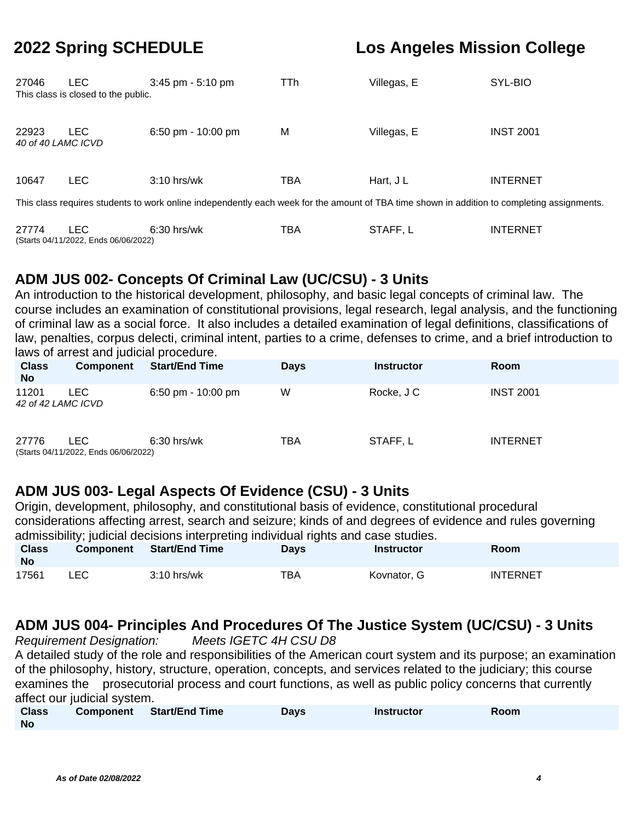| 27046                                                                                                                                       | LEC.<br>This class is closed to the public. | $3:45$ pm $-5:10$ pm | TTh | Villegas, E | SYL-BIO          |  |  |  |
|---------------------------------------------------------------------------------------------------------------------------------------------|---------------------------------------------|----------------------|-----|-------------|------------------|--|--|--|
| 22923<br>40 of 40 LAMC ICVD                                                                                                                 | LEC.                                        | 6:50 pm - $10:00$ pm | M   | Villegas, E | <b>INST 2001</b> |  |  |  |
| 10647                                                                                                                                       | <b>LEC</b>                                  | $3:10$ hrs/wk        | TBA | Hart, J L   | <b>INTERNET</b>  |  |  |  |
| This class requires students to work online independently each week for the amount of TBA time shown in addition to completing assignments. |                                             |                      |     |             |                  |  |  |  |

27774 LEC 6:30 hrs/wk TBA STAFF, L INTERNET (Starts 04/11/2022, Ends 06/06/2022)

## **ADM JUS 002- Concepts Of Criminal Law (UC/CSU) - 3 Units**

An introduction to the historical development, philosophy, and basic legal concepts of criminal law. The course includes an examination of constitutional provisions, legal research, legal analysis, and the functioning of criminal law as a social force. It also includes a detailed examination of legal definitions, classifications of law, penalties, corpus delecti, criminal intent, parties to a crime, defenses to crime, and a brief introduction to laws of arrest and judicial procedure.

| <b>Class</b><br><b>No</b>   | Component                                    | <b>Start/End Time</b> | <b>Days</b> | <b>Instructor</b> | <b>Room</b>      |
|-----------------------------|----------------------------------------------|-----------------------|-------------|-------------------|------------------|
| 11201<br>42 of 42 LAMC ICVD | LEC.                                         | 6:50 pm - $10:00$ pm  | W           | Rocke, J C        | <b>INST 2001</b> |
| 27776                       | LEC.<br>(Starts 04/11/2022, Ends 06/06/2022) | $6:30$ hrs/wk         | TBA         | STAFF, L          | <b>INTERNET</b>  |

## **ADM JUS 003- Legal Aspects Of Evidence (CSU) - 3 Units**

Origin, development, philosophy, and constitutional basis of evidence, constitutional procedural considerations affecting arrest, search and seizure; kinds of and degrees of evidence and rules governing admissibility; judicial decisions interpreting individual rights and case studies.

| <b>Class</b><br><b>No</b> | <b>Component</b> | Start/End Time | Days | Instructor  | Room            |
|---------------------------|------------------|----------------|------|-------------|-----------------|
| 17561                     | LEC.             | $3:10$ hrs/wk  | тва  | Kovnator, G | <b>INTERNET</b> |

## **ADM JUS 004- Principles And Procedures Of The Justice System (UC/CSU) - 3 Units**

Requirement Designation: Meets IGETC 4H CSU D8 A detailed study of the role and responsibilities of the American court system and its purpose; an examination of the philosophy, history, structure, operation, concepts, and services related to the judiciary; this course examines the prosecutorial process and court functions, as well as public policy concerns that currently affect our judicial system.

| <b>Class</b> | Component Start/End Time | <b>Days</b> | <b>Instructor</b> | Room |
|--------------|--------------------------|-------------|-------------------|------|
| <b>No</b>    |                          |             |                   |      |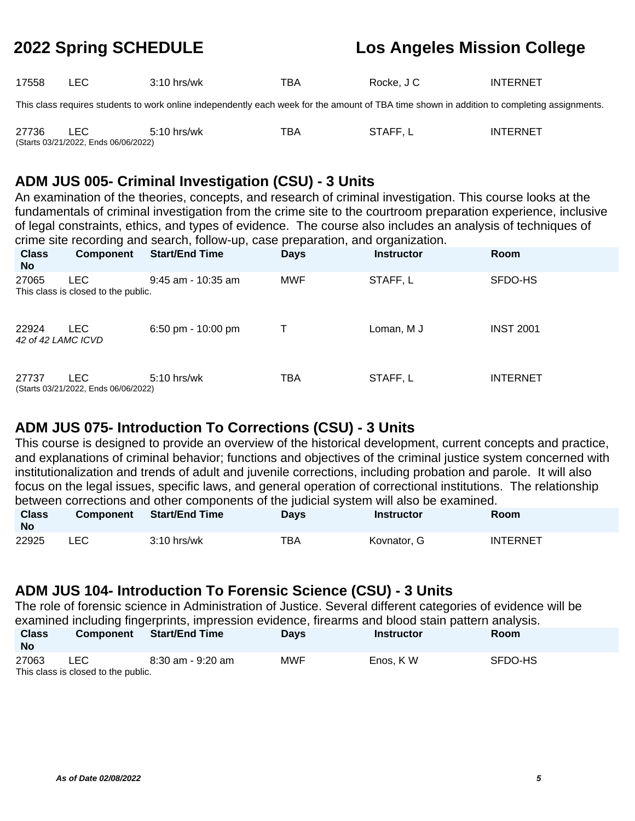| 17558 | LEC. | $3:10$ hrs/wk | TBA | Rocke, J C | INTERNET                                                                                                                                    |
|-------|------|---------------|-----|------------|---------------------------------------------------------------------------------------------------------------------------------------------|
|       |      |               |     |            | This class requires students to work online independently each week for the amount of TBA time shown in addition to completing assignments. |

| 27736 |                                      | 5:10 hrs/wk | тва | STAFF, L | <b>INTERNET</b> |
|-------|--------------------------------------|-------------|-----|----------|-----------------|
|       | (Starts 03/21/2022, Ends 06/06/2022) |             |     |          |                 |

### **ADM JUS 005- Criminal Investigation (CSU) - 3 Units**

An examination of the theories, concepts, and research of criminal investigation. This course looks at the fundamentals of criminal investigation from the crime site to the courtroom preparation experience, inclusive of legal constraints, ethics, and types of evidence. The course also includes an analysis of techniques of crime site recording and search, follow-up, case preparation, and organization.

| <b>Class</b><br><b>No</b>   | <b>Component</b>                                   | <b>Start/End Time</b> | <b>Days</b> | <b>Instructor</b> | Room             |
|-----------------------------|----------------------------------------------------|-----------------------|-------------|-------------------|------------------|
| 27065                       | <b>LEC</b><br>This class is closed to the public.  | 9:45 am - 10:35 am    | <b>MWF</b>  | STAFF, L          | SFDO-HS          |
| 22924<br>42 of 42 LAMC ICVD | LEC.                                               | $6:50$ pm - 10:00 pm  |             | Loman, M J        | <b>INST 2001</b> |
| 27737                       | <b>LEC</b><br>(Starts 03/21/2022, Ends 06/06/2022) | 5:10 hrs/wk           | TBA         | STAFF, L          | <b>INTERNET</b>  |

### **ADM JUS 075- Introduction To Corrections (CSU) - 3 Units**

This course is designed to provide an overview of the historical development, current concepts and practice, and explanations of criminal behavior; functions and objectives of the criminal justice system concerned with institutionalization and trends of adult and juvenile corrections, including probation and parole. It will also focus on the legal issues, specific laws, and general operation of correctional institutions. The relationship between corrections and other components of the judicial system will also be examined.

| <b>Class</b><br><b>No</b> | <b>Component</b> | <b>Start/End Time</b> | Days | <b>Instructor</b> | Room            |
|---------------------------|------------------|-----------------------|------|-------------------|-----------------|
| 22925                     | LEC              | $3:10$ hrs/wk         | тва  | Kovnator, G       | <b>INTERNET</b> |

### **ADM JUS 104- Introduction To Forensic Science (CSU) - 3 Units**

The role of forensic science in Administration of Justice. Several different categories of evidence will be examined including fingerprints, impression evidence, firearms and blood stain pattern analysis.

| <b>Class</b><br><b>No</b> | <b>Component</b>                    | <b>Start/End Time</b> | <b>Davs</b> | <b>Instructor</b> | <b>Room</b> |
|---------------------------|-------------------------------------|-----------------------|-------------|-------------------|-------------|
| 27063                     | LEC                                 | 8:30 am - 9:20 am     | MWF         | Enos, KW          | SFDO-HS     |
|                           | This class is closed to the public. |                       |             |                   |             |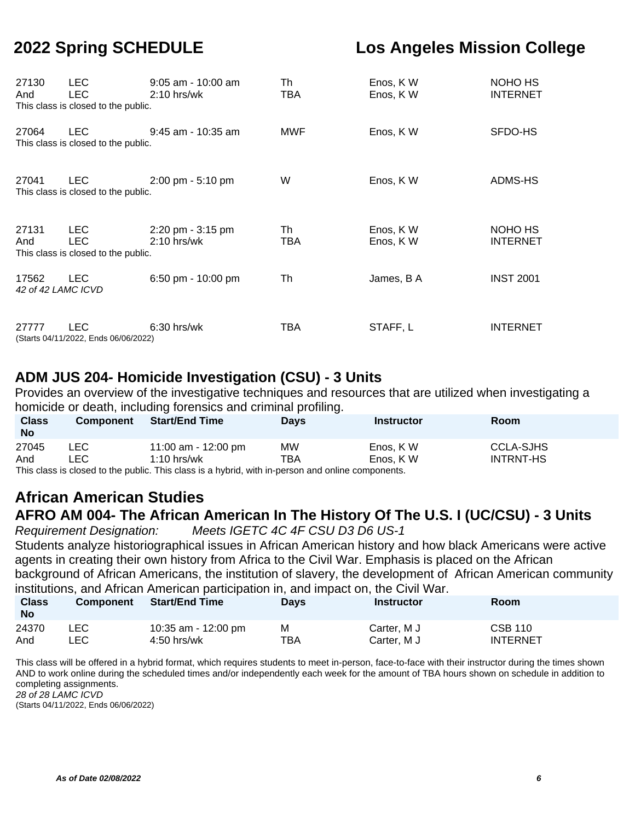| 27130<br>And                | <b>LEC</b><br><b>LEC</b><br>This class is closed to the public. | $9:05$ am - 10:00 am<br>$2:10$ hrs/wk                | Th<br>TBA | Enos, KW<br>Enos, KW | NOHO HS<br><b>INTERNET</b> |
|-----------------------------|-----------------------------------------------------------------|------------------------------------------------------|-----------|----------------------|----------------------------|
| 27064                       | LEC.<br>This class is closed to the public.                     | $9:45$ am - 10:35 am                                 | MWF       | Enos, KW             | SFDO-HS                    |
| 27041                       | LEC.<br>This class is closed to the public.                     | $2:00 \text{ pm} - 5:10 \text{ pm}$                  | W         | Enos, KW             | ADMS-HS                    |
| 27131<br>And                | LEC.<br>LEC.<br>This class is closed to the public.             | $2:20 \text{ pm} - 3:15 \text{ pm}$<br>$2:10$ hrs/wk | Th<br>TBA | Enos, KW<br>Enos, KW | NOHO HS<br><b>INTERNET</b> |
| 17562<br>42 of 42 LAMC ICVD | <b>LEC</b>                                                      | 6:50 pm - 10:00 pm                                   | Th        | James, B A           | <b>INST 2001</b>           |
| 27777                       | LEC.<br>(Starts 04/11/2022, Ends 06/06/2022)                    | $6:30$ hrs/wk                                        | TBA       | STAFF, L             | <b>INTERNET</b>            |

### **ADM JUS 204- Homicide Investigation (CSU) - 3 Units**

Provides an overview of the investigative techniques and resources that are utilized when investigating a homicide or death, including forensics and criminal profiling.

| <b>Class</b><br><b>No</b> | Component | <b>Start/End Time</b>                                                                             | <b>Davs</b> | <b>Instructor</b> | Room             |
|---------------------------|-----------|---------------------------------------------------------------------------------------------------|-------------|-------------------|------------------|
| 27045                     | LEC .     | 11:00 am - 12:00 pm                                                                               | <b>MW</b>   | Enos, KW          | <b>CCLA-SJHS</b> |
| And                       | ∟EC       | $1:10$ hrs/wk                                                                                     | TBA         | Enos, KW          | <b>INTRNT-HS</b> |
|                           |           | This class is closed to the public. This class is a hybrid, with in-person and online components. |             |                   |                  |

## **African American Studies AFRO AM 004- The African American In The History Of The U.S. I (UC/CSU) - 3 Units**

Requirement Designation: Meets IGETC 4C 4F CSU D3 D6 US-1

Students analyze historiographical issues in African American history and how black Americans were active agents in creating their own history from Africa to the Civil War. Emphasis is placed on the African background of African Americans, the institution of slavery, the development of African American community institutions, and African American participation in, and impact on, the Civil War.

| <b>Class</b><br>No |      | momanono, ana rimoani rimonoani pannoipanoni ini, ana impaoi oni, ino oni rrani<br>Component Start/End Time | <b>Davs</b> | Instructor  | <b>Room</b>     |
|--------------------|------|-------------------------------------------------------------------------------------------------------------|-------------|-------------|-----------------|
| 24370              | LEC. | 10:35 am - 12:00 pm                                                                                         | M           | Carter, M J | <b>CSB 110</b>  |
| And                | ∟EC. | $4:50$ hrs/wk                                                                                               | TBA         | Carter, M J | <b>INTERNET</b> |

This class will be offered in a hybrid format, which requires students to meet in-person, face-to-face with their instructor during the times shown AND to work online during the scheduled times and/or independently each week for the amount of TBA hours shown on schedule in addition to completing assignments. 28 of 28 LAMC ICVD

(Starts 04/11/2022, Ends 06/06/2022)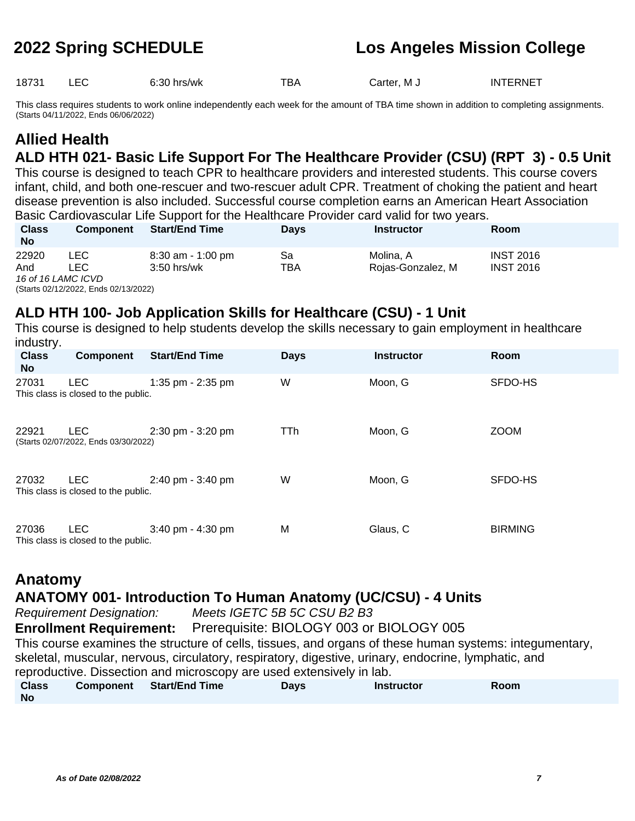18731 LEC 6:30 hrs/wk TBA Carter, M J INTERNET

This class requires students to work online independently each week for the amount of TBA time shown in addition to completing assignments. (Starts 04/11/2022, Ends 06/06/2022)

## **Allied Health ALD HTH 021- Basic Life Support For The Healthcare Provider (CSU) (RPT 3) - 0.5 Unit**

This course is designed to teach CPR to healthcare providers and interested students. This course covers infant, child, and both one-rescuer and two-rescuer adult CPR. Treatment of choking the patient and heart disease prevention is also included. Successful course completion earns an American Heart Association Basic Cardiovascular Life Support for the Healthcare Provider card valid for two years.

| <b>Class</b><br><b>No</b> | <b>Component</b>                     | <b>Start/End Time</b> | <b>Davs</b> | <b>Instructor</b> | Room             |
|---------------------------|--------------------------------------|-----------------------|-------------|-------------------|------------------|
| 22920                     | LEC.                                 | 8:30 am - 1:00 pm     | Sa          | Molina. A         | <b>INST 2016</b> |
| And                       | -EC.                                 | $3:50$ hrs/wk         | TBA         | Rojas-Gonzalez, M | <b>INST 2016</b> |
|                           | 16 of 16 LAMC ICVD                   |                       |             |                   |                  |
|                           | (Starts 02/12/2022, Ends 02/13/2022) |                       |             |                   |                  |

### **ALD HTH 100- Job Application Skills for Healthcare (CSU) - 1 Unit**

This course is designed to help students develop the skills necessary to gain employment in healthcare industry.

| <b>Class</b><br><b>No</b> | Component                                          | <b>Start/End Time</b> | <b>Days</b> | <b>Instructor</b> | Room           |
|---------------------------|----------------------------------------------------|-----------------------|-------------|-------------------|----------------|
| 27031                     | <b>LEC</b><br>This class is closed to the public.  | 1:35 pm - $2:35$ pm   | W           | Moon, G           | SFDO-HS        |
| 22921                     | <b>LEC</b><br>(Starts 02/07/2022, Ends 03/30/2022) | 2:30 pm - 3:20 pm     | TTh         | Moon, G           | <b>ZOOM</b>    |
| 27032                     | <b>LEC</b><br>This class is closed to the public.  | 2:40 pm - 3:40 pm     | W           | Moon, G           | SFDO-HS        |
| 27036                     | <b>LEC</b><br>This class is closed to the public.  | $3:40$ pm - $4:30$ pm | M           | Glaus, C          | <b>BIRMING</b> |

## **Anatomy**

### **ANATOMY 001- Introduction To Human Anatomy (UC/CSU) - 4 Units**

Requirement Designation: Meets IGETC 5B 5C CSU B2 B3

**Enrollment Requirement:** Prerequisite: BIOLOGY 003 or BIOLOGY 005 This course examines the structure of cells, tissues, and organs of these human systems: integumentary, skeletal, muscular, nervous, circulatory, respiratory, digestive, urinary, endocrine, lymphatic, and

reproductive. Dissection and microscopy are used extensively in lab.

| <b>Class</b> | Component | <b>Start/End Time</b> | Davs | <b>Instructor</b> | Room |
|--------------|-----------|-----------------------|------|-------------------|------|
| <b>No</b>    |           |                       |      |                   |      |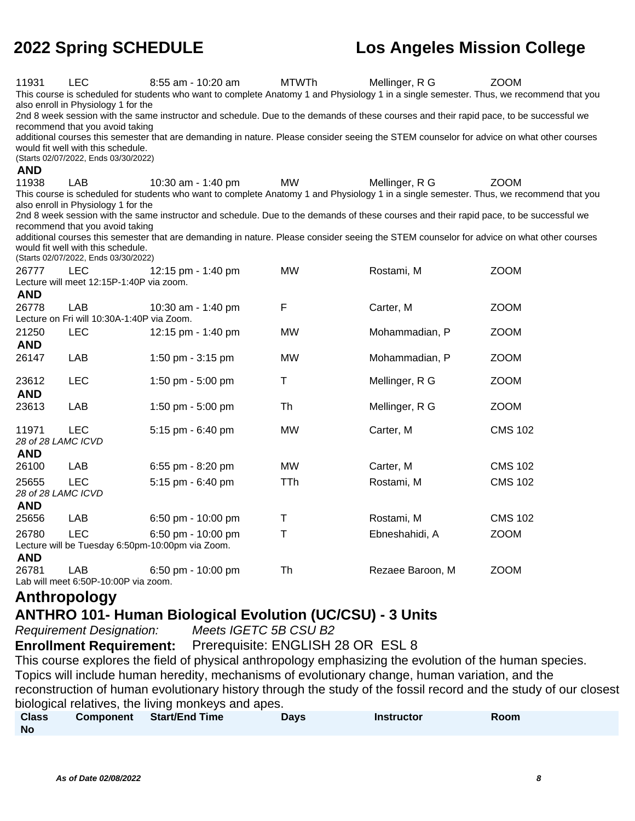| 11931              | LEC<br>also enroll in Physiology 1 for the<br>recommend that you avoid taking<br>would fit well with this schedule.<br>(Starts 02/07/2022, Ends 03/30/2022) | 8:55 am - 10:20 am<br>This course is scheduled for students who want to complete Anatomy 1 and Physiology 1 in a single semester. Thus, we recommend that you<br>2nd 8 week session with the same instructor and schedule. Due to the demands of these courses and their rapid pace, to be successful we<br>additional courses this semester that are demanding in nature. Please consider seeing the STEM counselor for advice on what other courses | <b>MTWTh</b> | Mellinger, R G   | <b>ZOOM</b>    |
|--------------------|-------------------------------------------------------------------------------------------------------------------------------------------------------------|-------------------------------------------------------------------------------------------------------------------------------------------------------------------------------------------------------------------------------------------------------------------------------------------------------------------------------------------------------------------------------------------------------------------------------------------------------|--------------|------------------|----------------|
| <b>AND</b>         |                                                                                                                                                             |                                                                                                                                                                                                                                                                                                                                                                                                                                                       |              |                  |                |
| 11938              | LAB                                                                                                                                                         | 10:30 am - 1:40 pm                                                                                                                                                                                                                                                                                                                                                                                                                                    | <b>MW</b>    | Mellinger, R G   | <b>ZOOM</b>    |
|                    | also enroll in Physiology 1 for the<br>recommend that you avoid taking<br>would fit well with this schedule.                                                | This course is scheduled for students who want to complete Anatomy 1 and Physiology 1 in a single semester. Thus, we recommend that you<br>2nd 8 week session with the same instructor and schedule. Due to the demands of these courses and their rapid pace, to be successful we<br>additional courses this semester that are demanding in nature. Please consider seeing the STEM counselor for advice on what other courses                       |              |                  |                |
|                    | (Starts 02/07/2022, Ends 03/30/2022)                                                                                                                        |                                                                                                                                                                                                                                                                                                                                                                                                                                                       |              |                  |                |
| 26777              | LEC                                                                                                                                                         | 12:15 pm - 1:40 pm                                                                                                                                                                                                                                                                                                                                                                                                                                    | <b>MW</b>    | Rostami, M       | <b>ZOOM</b>    |
|                    | Lecture will meet 12:15P-1:40P via zoom.                                                                                                                    |                                                                                                                                                                                                                                                                                                                                                                                                                                                       |              |                  |                |
| <b>AND</b>         |                                                                                                                                                             |                                                                                                                                                                                                                                                                                                                                                                                                                                                       |              |                  |                |
| 26778              | <b>LAB</b>                                                                                                                                                  | 10:30 am - 1:40 pm                                                                                                                                                                                                                                                                                                                                                                                                                                    | F            | Carter, M        | <b>ZOOM</b>    |
|                    | Lecture on Fri will 10:30A-1:40P via Zoom.                                                                                                                  |                                                                                                                                                                                                                                                                                                                                                                                                                                                       |              |                  |                |
| 21250              | <b>LEC</b>                                                                                                                                                  | 12:15 pm - 1:40 pm                                                                                                                                                                                                                                                                                                                                                                                                                                    | <b>MW</b>    | Mohammadian, P   | <b>ZOOM</b>    |
| <b>AND</b>         |                                                                                                                                                             |                                                                                                                                                                                                                                                                                                                                                                                                                                                       |              |                  |                |
| 26147              | LAB                                                                                                                                                         | 1:50 pm - 3:15 pm                                                                                                                                                                                                                                                                                                                                                                                                                                     | <b>MW</b>    | Mohammadian, P   | <b>ZOOM</b>    |
|                    |                                                                                                                                                             |                                                                                                                                                                                                                                                                                                                                                                                                                                                       |              |                  |                |
| 23612              | LEC                                                                                                                                                         | 1:50 pm - 5:00 pm                                                                                                                                                                                                                                                                                                                                                                                                                                     | $\sf T$      | Mellinger, R G   | <b>ZOOM</b>    |
| <b>AND</b>         |                                                                                                                                                             |                                                                                                                                                                                                                                                                                                                                                                                                                                                       |              |                  |                |
| 23613              | LAB                                                                                                                                                         | 1:50 pm - 5:00 pm                                                                                                                                                                                                                                                                                                                                                                                                                                     | Th           | Mellinger, R G   | <b>ZOOM</b>    |
| 11971              | <b>LEC</b>                                                                                                                                                  | 5:15 pm - 6:40 pm                                                                                                                                                                                                                                                                                                                                                                                                                                     | <b>MW</b>    | Carter, M        | <b>CMS 102</b> |
| 28 of 28 LAMC ICVD |                                                                                                                                                             |                                                                                                                                                                                                                                                                                                                                                                                                                                                       |              |                  |                |
| <b>AND</b>         |                                                                                                                                                             |                                                                                                                                                                                                                                                                                                                                                                                                                                                       |              |                  |                |
| 26100              | LAB                                                                                                                                                         | 6:55 pm - 8:20 pm                                                                                                                                                                                                                                                                                                                                                                                                                                     | <b>MW</b>    | Carter, M        | <b>CMS 102</b> |
| 25655              | <b>LEC</b>                                                                                                                                                  | 5:15 pm - 6:40 pm                                                                                                                                                                                                                                                                                                                                                                                                                                     | TTh          | Rostami, M       | <b>CMS 102</b> |
| 28 of 28 LAMC ICVD |                                                                                                                                                             |                                                                                                                                                                                                                                                                                                                                                                                                                                                       |              |                  |                |
| <b>AND</b>         |                                                                                                                                                             |                                                                                                                                                                                                                                                                                                                                                                                                                                                       |              |                  |                |
| 25656              | LAB                                                                                                                                                         | 6:50 pm - 10:00 pm                                                                                                                                                                                                                                                                                                                                                                                                                                    | $\top$       | Rostami, M       | <b>CMS 102</b> |
| 26780              | <b>LEC</b>                                                                                                                                                  | 6:50 pm - 10:00 pm                                                                                                                                                                                                                                                                                                                                                                                                                                    | T            | Ebneshahidi, A   | <b>ZOOM</b>    |
|                    |                                                                                                                                                             | Lecture will be Tuesday 6:50pm-10:00pm via Zoom.                                                                                                                                                                                                                                                                                                                                                                                                      |              |                  |                |
| <b>AND</b>         |                                                                                                                                                             |                                                                                                                                                                                                                                                                                                                                                                                                                                                       |              |                  |                |
| 26781              | LAB                                                                                                                                                         | 6:50 pm - 10:00 pm                                                                                                                                                                                                                                                                                                                                                                                                                                    | Th           | Rezaee Baroon, M | <b>ZOOM</b>    |
|                    | Lab will meet 6:50P-10:00P via zoom.                                                                                                                        |                                                                                                                                                                                                                                                                                                                                                                                                                                                       |              |                  |                |

## **Anthropology**

### **ANTHRO 101- Human Biological Evolution (UC/CSU) - 3 Units**

Requirement Designation: Meets IGETC 5B CSU B2

**Enrollment Requirement:** Prerequisite: ENGLISH 28 OR ESL 8

This course explores the field of physical anthropology emphasizing the evolution of the human species. Topics will include human heredity, mechanisms of evolutionary change, human variation, and the reconstruction of human evolutionary history through the study of the fossil record and the study of our closest biological relatives, the living monkeys and apes.

| <b>Class</b> | Component Start/End Time | <b>Days</b> | <b>Instructor</b> | Room |  |
|--------------|--------------------------|-------------|-------------------|------|--|
| <b>No</b>    |                          |             |                   |      |  |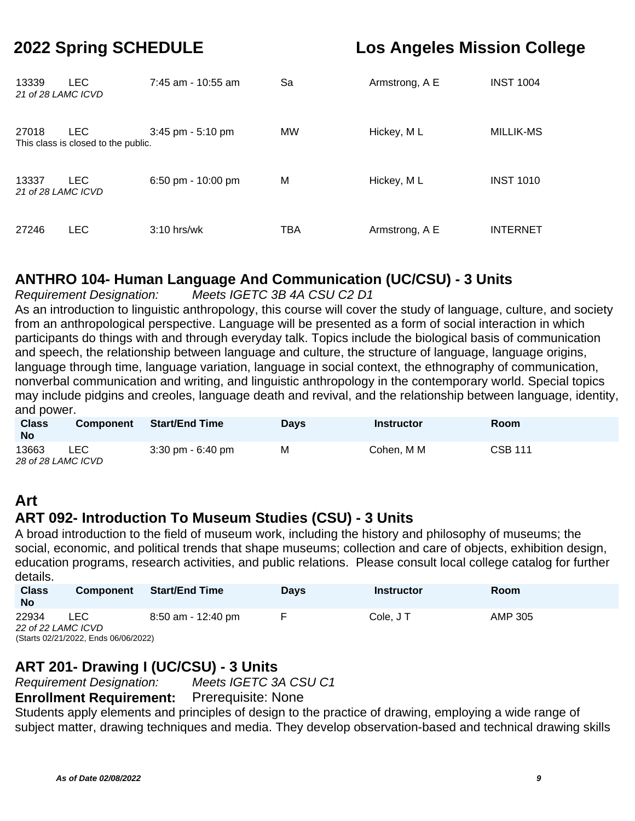| 13339<br>21 of 28 LAMC ICVD | <b>LEC</b>                                        | 7:45 am - 10:55 am    | Sa        | Armstrong, A E | <b>INST 1004</b> |
|-----------------------------|---------------------------------------------------|-----------------------|-----------|----------------|------------------|
| 27018                       | <b>LEC</b><br>This class is closed to the public. | $3:45$ pm - $5:10$ pm | <b>MW</b> | Hickey, ML     | MILLIK-MS        |
| 13337<br>21 of 28 LAMC ICVD | LEC.                                              | 6:50 pm - 10:00 pm    | М         | Hickey, ML     | <b>INST 1010</b> |
| 27246                       | <b>LEC</b>                                        | $3:10$ hrs/wk         | TBA       | Armstrong, A E | <b>INTERNET</b>  |

## **ANTHRO 104- Human Language And Communication (UC/CSU) - 3 Units**

Requirement Designation: Meets IGETC 3B 4A CSU C2 D1

As an introduction to linguistic anthropology, this course will cover the study of language, culture, and society from an anthropological perspective. Language will be presented as a form of social interaction in which participants do things with and through everyday talk. Topics include the biological basis of communication and speech, the relationship between language and culture, the structure of language, language origins, language through time, language variation, language in social context, the ethnography of communication, nonverbal communication and writing, and linguistic anthropology in the contemporary world. Special topics may include pidgins and creoles, language death and revival, and the relationship between language, identity, and power.

| <b>Class</b><br><b>No</b>   | <b>Component</b> | <b>Start/End Time</b>               | <b>Days</b> | <b>Instructor</b> | Room           |
|-----------------------------|------------------|-------------------------------------|-------------|-------------------|----------------|
| 13663<br>28 of 28 LAMC ICVD | LEC              | $3:30 \text{ pm} - 6:40 \text{ pm}$ | M           | Cohen. M M        | <b>CSB 111</b> |

## **Art**

## **ART 092- Introduction To Museum Studies (CSU) - 3 Units**

A broad introduction to the field of museum work, including the history and philosophy of museums; the social, economic, and political trends that shape museums; collection and care of objects, exhibition design, education programs, research activities, and public relations. Please consult local college catalog for further details.

| <b>Class</b><br><b>No</b> | <b>Component</b>                     | <b>Start/End Time</b> | <b>Davs</b> | Instructor | Room    |  |  |  |
|---------------------------|--------------------------------------|-----------------------|-------------|------------|---------|--|--|--|
| 22934                     | LEC                                  | 8:50 am - 12:40 pm    |             | Cole, JT   | AMP 305 |  |  |  |
|                           | 22 of 22 LAMC ICVD                   |                       |             |            |         |  |  |  |
|                           | (Starts 02/21/2022, Ends 06/06/2022) |                       |             |            |         |  |  |  |

### **ART 201- Drawing I (UC/CSU) - 3 Units**

Requirement Designation: Meets IGETC 3A CSU C1

**Enrollment Requirement:** Prerequisite: None

Students apply elements and principles of design to the practice of drawing, employing a wide range of subject matter, drawing techniques and media. They develop observation-based and technical drawing skills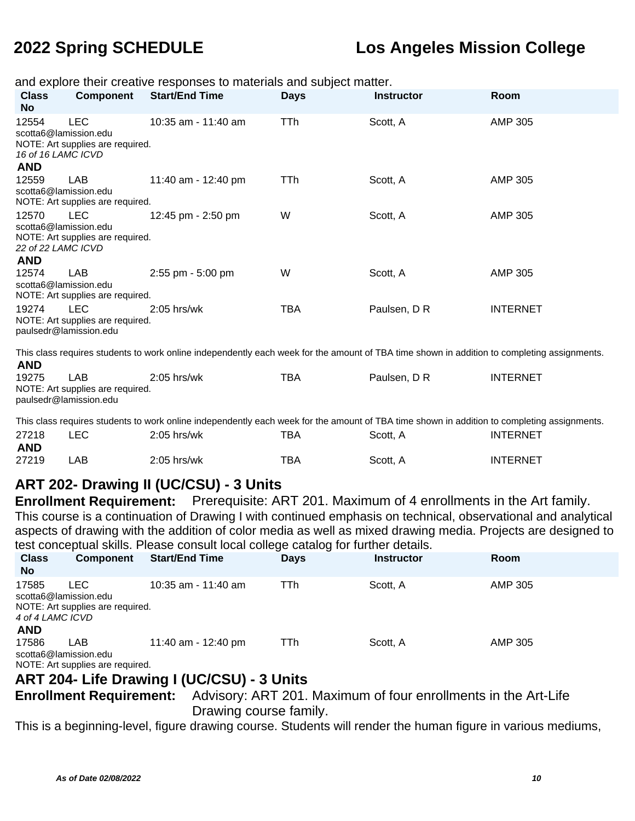| and explore their creative responses to materials and subject matter. |                                                            |                                                                                                                                             |             |                                                                    |                 |  |  |
|-----------------------------------------------------------------------|------------------------------------------------------------|---------------------------------------------------------------------------------------------------------------------------------------------|-------------|--------------------------------------------------------------------|-----------------|--|--|
| <b>Class</b>                                                          | <b>Component</b>                                           | <b>Start/End Time</b>                                                                                                                       | <b>Days</b> | <b>Instructor</b>                                                  | Room            |  |  |
| <b>No</b>                                                             |                                                            |                                                                                                                                             |             |                                                                    |                 |  |  |
| 12554                                                                 | <b>LEC</b>                                                 | 10:35 am - 11:40 am                                                                                                                         | TTh         | Scott, A                                                           | <b>AMP 305</b>  |  |  |
|                                                                       | scotta6@lamission.edu                                      |                                                                                                                                             |             |                                                                    |                 |  |  |
| 16 of 16 LAMC ICVD                                                    | NOTE: Art supplies are required.                           |                                                                                                                                             |             |                                                                    |                 |  |  |
| <b>AND</b>                                                            |                                                            |                                                                                                                                             |             |                                                                    |                 |  |  |
| 12559                                                                 | LAB                                                        | 11:40 am - 12:40 pm                                                                                                                         | <b>TTh</b>  | Scott, A                                                           | <b>AMP 305</b>  |  |  |
|                                                                       | scotta6@lamission.edu                                      |                                                                                                                                             |             |                                                                    |                 |  |  |
|                                                                       | NOTE: Art supplies are required.                           |                                                                                                                                             |             |                                                                    |                 |  |  |
| 12570                                                                 | <b>LEC</b>                                                 | 12:45 pm - 2:50 pm                                                                                                                          | W           | Scott, A                                                           | <b>AMP 305</b>  |  |  |
|                                                                       | scotta6@lamission.edu                                      |                                                                                                                                             |             |                                                                    |                 |  |  |
|                                                                       | NOTE: Art supplies are required.                           |                                                                                                                                             |             |                                                                    |                 |  |  |
| 22 of 22 LAMC ICVD                                                    |                                                            |                                                                                                                                             |             |                                                                    |                 |  |  |
| <b>AND</b>                                                            |                                                            |                                                                                                                                             |             |                                                                    |                 |  |  |
| 12574                                                                 | <b>LAB</b>                                                 | 2:55 pm - 5:00 pm                                                                                                                           | W           | Scott, A                                                           | <b>AMP 305</b>  |  |  |
|                                                                       | scotta6@lamission.edu                                      |                                                                                                                                             |             |                                                                    |                 |  |  |
|                                                                       | NOTE: Art supplies are required.                           |                                                                                                                                             |             |                                                                    |                 |  |  |
| 19274                                                                 | LEC.                                                       | 2:05 hrs/wk                                                                                                                                 | <b>TBA</b>  | Paulsen, D R                                                       | <b>INTERNET</b> |  |  |
|                                                                       | NOTE: Art supplies are required.<br>paulsedr@lamission.edu |                                                                                                                                             |             |                                                                    |                 |  |  |
|                                                                       |                                                            |                                                                                                                                             |             |                                                                    |                 |  |  |
|                                                                       |                                                            | This class requires students to work online independently each week for the amount of TBA time shown in addition to completing assignments. |             |                                                                    |                 |  |  |
| <b>AND</b>                                                            |                                                            |                                                                                                                                             |             |                                                                    |                 |  |  |
| 19275                                                                 | LAB                                                        | 2:05 hrs/wk                                                                                                                                 | <b>TBA</b>  | Paulsen, D R                                                       | <b>INTERNET</b> |  |  |
|                                                                       | NOTE: Art supplies are required.                           |                                                                                                                                             |             |                                                                    |                 |  |  |
|                                                                       | paulsedr@lamission.edu                                     |                                                                                                                                             |             |                                                                    |                 |  |  |
|                                                                       |                                                            |                                                                                                                                             |             |                                                                    |                 |  |  |
|                                                                       |                                                            | This class requires students to work online independently each week for the amount of TBA time shown in addition to completing assignments. |             |                                                                    |                 |  |  |
| 27218                                                                 | <b>LEC</b>                                                 | 2:05 hrs/wk                                                                                                                                 | <b>TBA</b>  | Scott, A                                                           | <b>INTERNET</b> |  |  |
| <b>AND</b>                                                            |                                                            |                                                                                                                                             |             |                                                                    |                 |  |  |
| 27219                                                                 | LAB                                                        | $2:05$ hrs/wk                                                                                                                               | <b>TBA</b>  | Scott, A                                                           | <b>INTERNET</b> |  |  |
|                                                                       |                                                            |                                                                                                                                             |             |                                                                    |                 |  |  |
|                                                                       |                                                            | ART 202- Drawing II (UC/CSU) - 3 Units                                                                                                      |             |                                                                    |                 |  |  |
|                                                                       | <b>Enrollment Requirement:</b>                             |                                                                                                                                             |             | Prerequisite: ART 201. Maximum of 4 enrollments in the Art family. |                 |  |  |
|                                                                       |                                                            | This course is a continuation of Drawing I with continued emphasis on technical, observational and analytical                               |             |                                                                    |                 |  |  |
|                                                                       |                                                            | aspects of drawing with the addition of color media as well as mixed drawing media. Projects are designed to                                |             |                                                                    |                 |  |  |
|                                                                       |                                                            | test conceptual skills. Please consult local college catalog for further details.                                                           |             |                                                                    |                 |  |  |
| <b>Class</b>                                                          | <b>Component</b>                                           | <b>Start/End Time</b>                                                                                                                       | <b>Days</b> | <b>Instructor</b>                                                  | Room            |  |  |
| <b>No</b>                                                             |                                                            |                                                                                                                                             |             |                                                                    |                 |  |  |
|                                                                       |                                                            |                                                                                                                                             |             |                                                                    |                 |  |  |
| 17585                                                                 | <b>LEC</b><br>scotta6@lamission.edu                        | 10:35 am - 11:40 am                                                                                                                         | <b>TTh</b>  | Scott, A                                                           | <b>AMP 305</b>  |  |  |
|                                                                       | NOTE: Art supplies are required.                           |                                                                                                                                             |             |                                                                    |                 |  |  |
| 4 of 4 LAMC ICVD                                                      |                                                            |                                                                                                                                             |             |                                                                    |                 |  |  |
| <b>AND</b>                                                            |                                                            |                                                                                                                                             |             |                                                                    |                 |  |  |
| 17586                                                                 | LAB                                                        | 11:40 am - 12:40 pm                                                                                                                         | <b>TTh</b>  | Scott, A                                                           | AMP 305         |  |  |
|                                                                       | scotta6@lamission.edu                                      |                                                                                                                                             |             |                                                                    |                 |  |  |
|                                                                       | NOTE: Art supplies are required.                           |                                                                                                                                             |             |                                                                    |                 |  |  |

## **ART 204- Life Drawing I (UC/CSU) - 3 Units**

**Enrollment Requirement:** Advisory: ART 201. Maximum of four enrollments in the Art-Life Drawing course family.

This is a beginning-level, figure drawing course. Students will render the human figure in various mediums,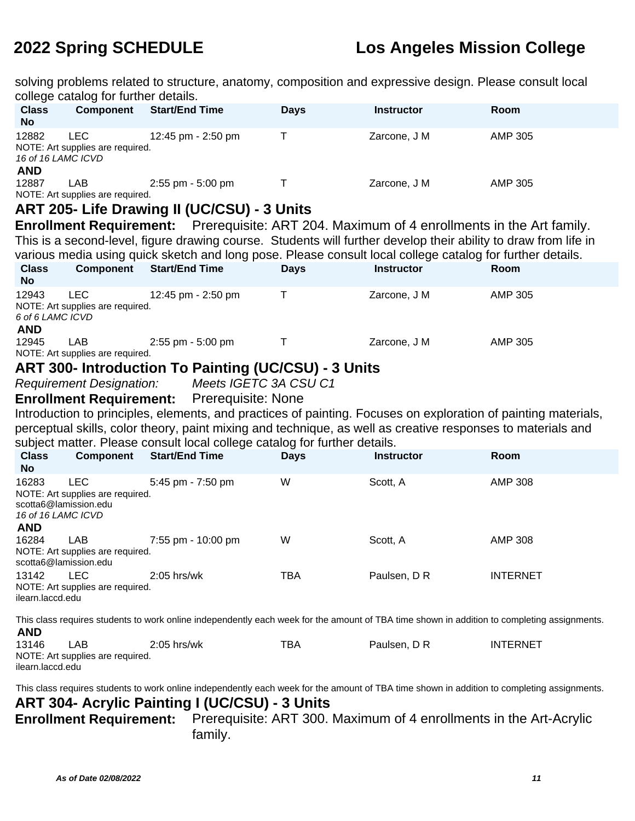solving problems related to structure, anatomy, composition and expressive design. Please consult local college catalog for further details.

|                                                                                                                                                           | college catalog for further details.                                    |                                                                                                                                             |             |                                                                    |                 |  |
|-----------------------------------------------------------------------------------------------------------------------------------------------------------|-------------------------------------------------------------------------|---------------------------------------------------------------------------------------------------------------------------------------------|-------------|--------------------------------------------------------------------|-----------------|--|
| <b>Class</b><br><b>No</b>                                                                                                                                 | <b>Component</b>                                                        | <b>Start/End Time</b>                                                                                                                       | <b>Days</b> | <b>Instructor</b>                                                  | Room            |  |
| 12882<br>16 of 16 LAMC ICVD<br><b>AND</b>                                                                                                                 | <b>LEC</b><br>NOTE: Art supplies are required.                          | 12:45 pm - 2:50 pm                                                                                                                          | T           | Zarcone, J M                                                       | <b>AMP 305</b>  |  |
| 12887                                                                                                                                                     | <b>LAB</b><br>NOTE: Art supplies are required.                          | 2:55 pm - 5:00 pm                                                                                                                           | Τ           | Zarcone, J M                                                       | <b>AMP 305</b>  |  |
|                                                                                                                                                           |                                                                         | ART 205- Life Drawing II (UC/CSU) - 3 Units                                                                                                 |             |                                                                    |                 |  |
|                                                                                                                                                           |                                                                         | <b>Enrollment Requirement:</b> Prerequisite: ART 204. Maximum of 4 enrollments in the Art family.                                           |             |                                                                    |                 |  |
|                                                                                                                                                           |                                                                         | This is a second-level, figure drawing course. Students will further develop their ability to draw from life in                             |             |                                                                    |                 |  |
|                                                                                                                                                           |                                                                         | various media using quick sketch and long pose. Please consult local college catalog for further details.                                   |             |                                                                    |                 |  |
| <b>Class</b><br><b>No</b>                                                                                                                                 | <b>Component</b>                                                        | <b>Start/End Time</b>                                                                                                                       | <b>Days</b> | <b>Instructor</b>                                                  | Room            |  |
| 12943<br>6 of 6 LAMC ICVD<br><b>AND</b>                                                                                                                   | <b>LEC</b><br>NOTE: Art supplies are required.                          | 12:45 pm - 2:50 pm                                                                                                                          | Τ           | Zarcone, J M                                                       | <b>AMP 305</b>  |  |
| 12945                                                                                                                                                     | LAB<br>NOTE: Art supplies are required.                                 | 2:55 pm - 5:00 pm                                                                                                                           | $\top$      | Zarcone, J M                                                       | <b>AMP 305</b>  |  |
|                                                                                                                                                           |                                                                         | <b>ART 300- Introduction To Painting (UC/CSU) - 3 Units</b>                                                                                 |             |                                                                    |                 |  |
|                                                                                                                                                           | <b>Requirement Designation:</b>                                         | Meets IGETC 3A CSU C1                                                                                                                       |             |                                                                    |                 |  |
|                                                                                                                                                           | <b>Enrollment Requirement:</b>                                          | <b>Prerequisite: None</b>                                                                                                                   |             |                                                                    |                 |  |
|                                                                                                                                                           |                                                                         | Introduction to principles, elements, and practices of painting. Focuses on exploration of painting materials,                              |             |                                                                    |                 |  |
|                                                                                                                                                           |                                                                         | perceptual skills, color theory, paint mixing and technique, as well as creative responses to materials and                                 |             |                                                                    |                 |  |
|                                                                                                                                                           |                                                                         | subject matter. Please consult local college catalog for further details.                                                                   |             |                                                                    |                 |  |
| <b>Class</b><br><b>No</b>                                                                                                                                 | <b>Component</b>                                                        | <b>Start/End Time</b>                                                                                                                       | <b>Days</b> | <b>Instructor</b>                                                  | Room            |  |
| 16283<br>16 of 16 LAMC ICVD<br><b>AND</b>                                                                                                                 | <b>LEC</b><br>NOTE: Art supplies are required.<br>scotta6@lamission.edu | 5:45 pm - 7:50 pm                                                                                                                           | W           | Scott, A                                                           | <b>AMP 308</b>  |  |
| 16284                                                                                                                                                     | <b>LAB</b><br>NOTE: Art supplies are required.<br>scotta6@lamission.edu | 7:55 pm - 10:00 pm                                                                                                                          | W           | Scott, A                                                           | <b>AMP 308</b>  |  |
| 13142<br>ilearn.laccd.edu                                                                                                                                 | <b>LEC</b><br>NOTE: Art supplies are required.                          | $2:05$ hrs/wk                                                                                                                               | <b>TBA</b>  | Paulsen, D R                                                       | <b>INTERNET</b> |  |
| This class requires students to work online independently each week for the amount of TBA time shown in addition to completing assignments.<br><b>AND</b> |                                                                         |                                                                                                                                             |             |                                                                    |                 |  |
| 13146<br>ilearn.laccd.edu                                                                                                                                 | LAB<br>NOTE: Art supplies are required.                                 | 2:05 hrs/wk                                                                                                                                 | <b>TBA</b>  | Paulsen, D R                                                       | <b>INTERNET</b> |  |
|                                                                                                                                                           |                                                                         | This class requires students to work online independently each week for the amount of TBA time shown in addition to completing assignments. |             |                                                                    |                 |  |
|                                                                                                                                                           |                                                                         | ART 304- Acrylic Painting I (UC/CSU) - 3 Units                                                                                              |             |                                                                    |                 |  |
|                                                                                                                                                           | <b>Enrollment Requirement:</b>                                          |                                                                                                                                             |             | Prerequisite: ART 300. Maximum of 4 enrollments in the Art-Acrylic |                 |  |
|                                                                                                                                                           |                                                                         | family.                                                                                                                                     |             |                                                                    |                 |  |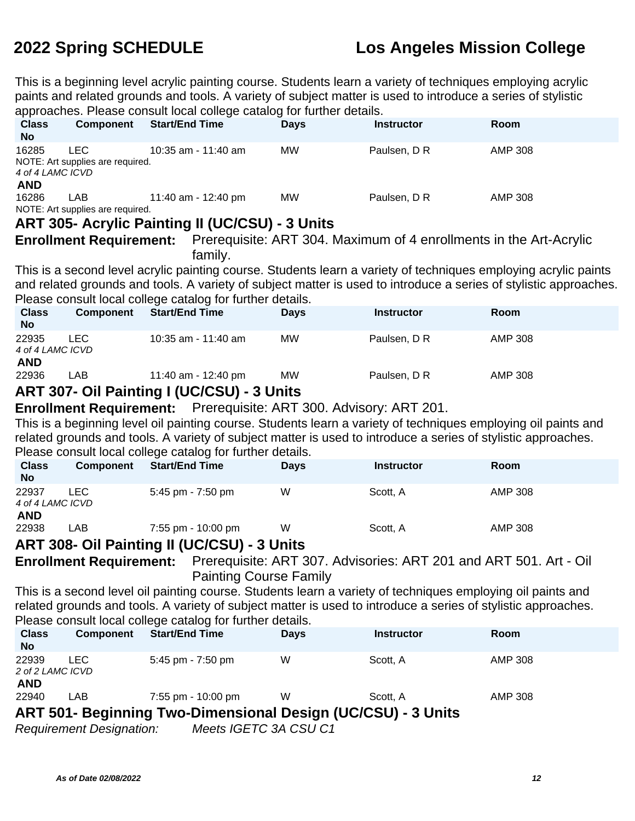This is a beginning level acrylic painting course. Students learn a variety of techniques employing acrylic paints and related grounds and tools. A variety of subject matter is used to introduce a series of stylistic approaches. Please consult local college catalog for further details.

|                                                                                                                                                                                                                                                                                           |                                                          | approacries. Flease corisuit local college catalog for further details.                                                                                                                                                                                                                      |             |                                                                   |                                                                                                                   |  |  |
|-------------------------------------------------------------------------------------------------------------------------------------------------------------------------------------------------------------------------------------------------------------------------------------------|----------------------------------------------------------|----------------------------------------------------------------------------------------------------------------------------------------------------------------------------------------------------------------------------------------------------------------------------------------------|-------------|-------------------------------------------------------------------|-------------------------------------------------------------------------------------------------------------------|--|--|
| <b>Class</b><br><b>No</b>                                                                                                                                                                                                                                                                 | <b>Component</b>                                         | <b>Start/End Time</b>                                                                                                                                                                                                                                                                        | <b>Days</b> | <b>Instructor</b>                                                 | Room                                                                                                              |  |  |
| 16285<br>4 of 4 LAMC ICVD<br><b>AND</b>                                                                                                                                                                                                                                                   | <b>LEC</b><br>NOTE: Art supplies are required.           | 10:35 am - 11:40 am                                                                                                                                                                                                                                                                          | <b>MW</b>   | Paulsen, D R                                                      | <b>AMP 308</b>                                                                                                    |  |  |
| 16286                                                                                                                                                                                                                                                                                     | LAB<br>NOTE: Art supplies are required.                  | 11:40 am - 12:40 pm                                                                                                                                                                                                                                                                          | <b>MW</b>   | Paulsen, D R                                                      | <b>AMP 308</b>                                                                                                    |  |  |
|                                                                                                                                                                                                                                                                                           |                                                          | <b>ART 305- Acrylic Painting II (UC/CSU) - 3 Units</b>                                                                                                                                                                                                                                       |             |                                                                   |                                                                                                                   |  |  |
|                                                                                                                                                                                                                                                                                           |                                                          | <b>Enrollment Requirement:</b> Prerequisite: ART 304. Maximum of 4 enrollments in the Art-Acrylic                                                                                                                                                                                            |             |                                                                   |                                                                                                                   |  |  |
|                                                                                                                                                                                                                                                                                           |                                                          | family.                                                                                                                                                                                                                                                                                      |             |                                                                   |                                                                                                                   |  |  |
|                                                                                                                                                                                                                                                                                           |                                                          | This is a second level acrylic painting course. Students learn a variety of techniques employing acrylic paints<br>Please consult local college catalog for further details.                                                                                                                 |             |                                                                   | and related grounds and tools. A variety of subject matter is used to introduce a series of stylistic approaches. |  |  |
| <b>Class</b><br><b>No</b>                                                                                                                                                                                                                                                                 | <b>Component</b>                                         | <b>Start/End Time</b>                                                                                                                                                                                                                                                                        | <b>Days</b> | <b>Instructor</b>                                                 | Room                                                                                                              |  |  |
| 22935<br>4 of 4 LAMC ICVD<br><b>AND</b>                                                                                                                                                                                                                                                   | <b>LEC</b>                                               | 10:35 am - 11:40 am                                                                                                                                                                                                                                                                          | <b>MW</b>   | Paulsen, D R                                                      | <b>AMP 308</b>                                                                                                    |  |  |
| 22936                                                                                                                                                                                                                                                                                     | LAB                                                      | 11:40 am - 12:40 pm                                                                                                                                                                                                                                                                          | <b>MW</b>   | Paulsen, D R                                                      | <b>AMP 308</b>                                                                                                    |  |  |
|                                                                                                                                                                                                                                                                                           |                                                          | ART 307- Oil Painting I (UC/CSU) - 3 Units                                                                                                                                                                                                                                                   |             |                                                                   |                                                                                                                   |  |  |
|                                                                                                                                                                                                                                                                                           |                                                          | <b>Enrollment Requirement:</b> Prerequisite: ART 300. Advisory: ART 201.                                                                                                                                                                                                                     |             |                                                                   |                                                                                                                   |  |  |
|                                                                                                                                                                                                                                                                                           |                                                          | This is a beginning level oil painting course. Students learn a variety of techniques employing oil paints and<br>related grounds and tools. A variety of subject matter is used to introduce a series of stylistic approaches.<br>Please consult local college catalog for further details. |             |                                                                   |                                                                                                                   |  |  |
| <b>Class</b><br><b>No</b>                                                                                                                                                                                                                                                                 | Component                                                | <b>Start/End Time</b>                                                                                                                                                                                                                                                                        | <b>Days</b> | <b>Instructor</b>                                                 | Room                                                                                                              |  |  |
| 22937<br>4 of 4 LAMC ICVD<br><b>AND</b>                                                                                                                                                                                                                                                   | <b>LEC</b>                                               | 5:45 pm - 7:50 pm                                                                                                                                                                                                                                                                            | W           | Scott, A                                                          | <b>AMP 308</b>                                                                                                    |  |  |
| 22938                                                                                                                                                                                                                                                                                     | LAB                                                      | 7:55 pm - 10:00 pm                                                                                                                                                                                                                                                                           | W           | Scott, A                                                          | <b>AMP 308</b>                                                                                                    |  |  |
|                                                                                                                                                                                                                                                                                           |                                                          | ART 308- Oil Painting II (UC/CSU) - 3 Units                                                                                                                                                                                                                                                  |             |                                                                   |                                                                                                                   |  |  |
|                                                                                                                                                                                                                                                                                           | <b>Enrollment Requirement:</b>                           | <b>Painting Course Family</b>                                                                                                                                                                                                                                                                |             | Prerequisite: ART 307. Advisories: ART 201 and ART 501. Art - Oil |                                                                                                                   |  |  |
| This is a second level oil painting course. Students learn a variety of techniques employing oil paints and<br>related grounds and tools. A variety of subject matter is used to introduce a series of stylistic approaches.<br>Please consult local college catalog for further details. |                                                          |                                                                                                                                                                                                                                                                                              |             |                                                                   |                                                                                                                   |  |  |
| <b>Class</b><br><b>No</b>                                                                                                                                                                                                                                                                 | <b>Component</b>                                         | <b>Start/End Time</b>                                                                                                                                                                                                                                                                        | <b>Days</b> | <b>Instructor</b>                                                 | Room                                                                                                              |  |  |
| 22939<br>2 of 2 LAMC ICVD<br><b>AND</b>                                                                                                                                                                                                                                                   | <b>LEC</b>                                               | 5:45 pm - 7:50 pm                                                                                                                                                                                                                                                                            | W           | Scott, A                                                          | <b>AMP 308</b>                                                                                                    |  |  |
| 22940                                                                                                                                                                                                                                                                                     | LAB                                                      | 7:55 pm - 10:00 pm                                                                                                                                                                                                                                                                           | W           | Scott, A                                                          | <b>AMP 308</b>                                                                                                    |  |  |
|                                                                                                                                                                                                                                                                                           |                                                          | ART 501- Beginning Two-Dimensional Design (UC/CSU) - 3 Units                                                                                                                                                                                                                                 |             |                                                                   |                                                                                                                   |  |  |
|                                                                                                                                                                                                                                                                                           | Meets IGETC 3A CSU C1<br><b>Requirement Designation:</b> |                                                                                                                                                                                                                                                                                              |             |                                                                   |                                                                                                                   |  |  |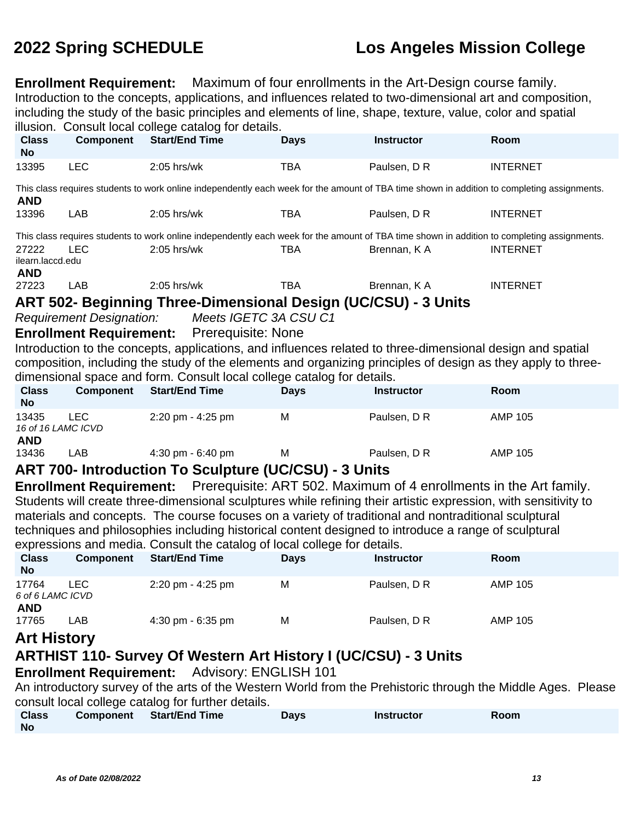**Enrollment Requirement:** Maximum of four enrollments in the Art-Design course family. Introduction to the concepts, applications, and influences related to two-dimensional art and composition, including the study of the basic principles and elements of line, shape, texture, value, color and spatial illusion. Consult local college catalog for details.

| <b>Class</b>              | <b>Component</b>                | musion. Consult local college catalog for details.<br><b>Start/End Time</b>                                                                 | <b>Days</b> | <b>Instructor</b>                                                  | Room                                                                                                         |
|---------------------------|---------------------------------|---------------------------------------------------------------------------------------------------------------------------------------------|-------------|--------------------------------------------------------------------|--------------------------------------------------------------------------------------------------------------|
| <b>No</b>                 |                                 |                                                                                                                                             |             |                                                                    |                                                                                                              |
| 13395                     | <b>LEC</b>                      | 2:05 hrs/wk                                                                                                                                 | <b>TBA</b>  | Paulsen, D R                                                       | <b>INTERNET</b>                                                                                              |
| <b>AND</b>                |                                 | This class requires students to work online independently each week for the amount of TBA time shown in addition to completing assignments. |             |                                                                    |                                                                                                              |
| 13396                     | LAB                             | $2:05$ hrs/wk                                                                                                                               | <b>TBA</b>  | Paulsen, D R                                                       | <b>INTERNET</b>                                                                                              |
|                           |                                 | This class requires students to work online independently each week for the amount of TBA time shown in addition to completing assignments. |             |                                                                    |                                                                                                              |
| 27222                     | <b>LEC</b>                      | $2:05$ hrs/wk                                                                                                                               | <b>TBA</b>  | Brennan, KA                                                        | <b>INTERNET</b>                                                                                              |
| ilearn.laccd.edu          |                                 |                                                                                                                                             |             |                                                                    |                                                                                                              |
| <b>AND</b><br>27223       | LAB                             | $2:05$ hrs/wk                                                                                                                               | <b>TBA</b>  | Brennan, KA                                                        | <b>INTERNET</b>                                                                                              |
|                           |                                 |                                                                                                                                             |             |                                                                    |                                                                                                              |
|                           |                                 | ART 502- Beginning Three-Dimensional Design (UC/CSU) - 3 Units                                                                              |             |                                                                    |                                                                                                              |
|                           | <b>Requirement Designation:</b> | Meets IGETC 3A CSU C1                                                                                                                       |             |                                                                    |                                                                                                              |
|                           | <b>Enrollment Requirement:</b>  | <b>Prerequisite: None</b>                                                                                                                   |             |                                                                    |                                                                                                              |
|                           |                                 | Introduction to the concepts, applications, and influences related to three-dimensional design and spatial                                  |             |                                                                    |                                                                                                              |
|                           |                                 | composition, including the study of the elements and organizing principles of design as they apply to three-                                |             |                                                                    |                                                                                                              |
|                           |                                 | dimensional space and form. Consult local college catalog for details.                                                                      |             |                                                                    |                                                                                                              |
| <b>Class</b><br><b>No</b> | <b>Component</b>                | <b>Start/End Time</b>                                                                                                                       | <b>Days</b> | <b>Instructor</b>                                                  | Room                                                                                                         |
| 13435                     | <b>LEC</b>                      | 2:20 pm - 4:25 pm                                                                                                                           | M           | Paulsen, D R                                                       | <b>AMP 105</b>                                                                                               |
| 16 of 16 LAMC ICVD        |                                 |                                                                                                                                             |             |                                                                    |                                                                                                              |
| <b>AND</b>                |                                 |                                                                                                                                             |             |                                                                    |                                                                                                              |
| 13436                     | LAB                             | 4:30 pm - 6:40 pm                                                                                                                           | M           | Paulsen, D R                                                       | <b>AMP 105</b>                                                                                               |
|                           |                                 | <b>ART 700- Introduction To Sculpture (UC/CSU) - 3 Units</b>                                                                                |             |                                                                    |                                                                                                              |
|                           | <b>Enrollment Requirement:</b>  |                                                                                                                                             |             | Prerequisite: ART 502. Maximum of 4 enrollments in the Art family. |                                                                                                              |
|                           |                                 | Students will create three-dimensional sculptures while refining their artistic expression, with sensitivity to                             |             |                                                                    |                                                                                                              |
|                           |                                 | materials and concepts. The course focuses on a variety of traditional and nontraditional sculptural                                        |             |                                                                    |                                                                                                              |
|                           |                                 | techniques and philosophies including historical content designed to introduce a range of sculptural                                        |             |                                                                    |                                                                                                              |
|                           |                                 | expressions and media. Consult the catalog of local college for details.                                                                    |             |                                                                    |                                                                                                              |
| <b>Class</b>              | <b>Component</b>                | <b>Start/End Time</b>                                                                                                                       | <b>Days</b> | <b>Instructor</b>                                                  | Room                                                                                                         |
| <b>No</b>                 |                                 |                                                                                                                                             |             |                                                                    |                                                                                                              |
| 17764                     | <b>LEC</b>                      | 2:20 pm - 4:25 pm                                                                                                                           | M           | Paulsen, D R                                                       | <b>AMP 105</b>                                                                                               |
| 6 of 6 LAMC ICVD          |                                 |                                                                                                                                             |             |                                                                    |                                                                                                              |
| <b>AND</b><br>17765       | LAB                             | 4:30 pm - 6:35 pm                                                                                                                           | M           | Paulsen, D R                                                       | <b>AMP 105</b>                                                                                               |
|                           |                                 |                                                                                                                                             |             |                                                                    |                                                                                                              |
| <b>Art History</b>        |                                 |                                                                                                                                             |             |                                                                    |                                                                                                              |
|                           |                                 | <b>ARTHIST 110- Survey Of Western Art History I (UC/CSU) - 3 Units</b>                                                                      |             |                                                                    |                                                                                                              |
|                           | <b>Enrollment Requirement:</b>  | <b>Advisory: ENGLISH 101</b>                                                                                                                |             |                                                                    |                                                                                                              |
|                           |                                 |                                                                                                                                             |             |                                                                    | An introductory survey of the arts of the Western World from the Prehistoric through the Middle Ages. Please |
|                           |                                 | consult local college catalog for further details.                                                                                          |             |                                                                    |                                                                                                              |
|                           |                                 | Component Start/End Time                                                                                                                    | Dave        | Inefructor                                                         | $D_{\Omega}$                                                                                                 |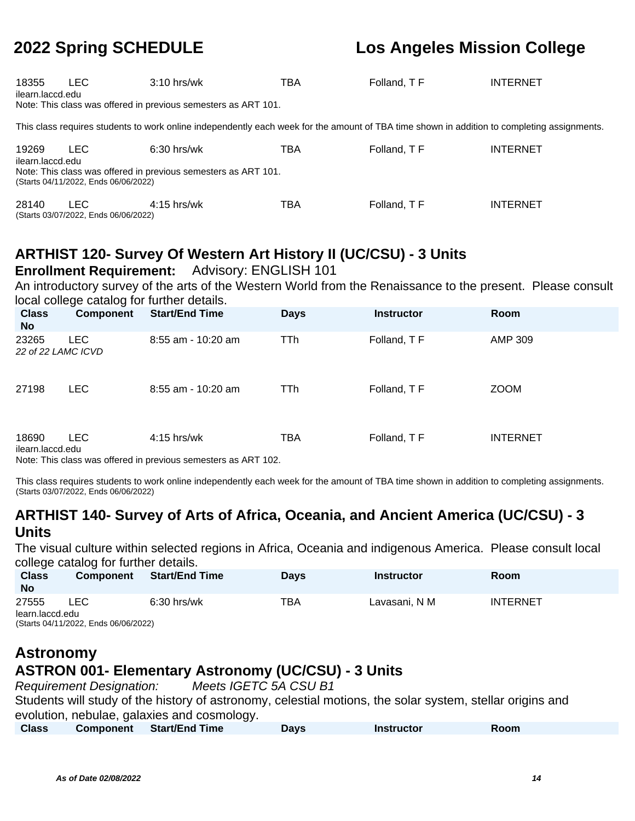| 18355<br>ilearn.laccd.edu | LEC.                                               | $3:10$ hrs/wk<br>Note: This class was offered in previous semesters as ART 101.                                                             | TBA | Folland, TF | <b>INTERNET</b> |
|---------------------------|----------------------------------------------------|---------------------------------------------------------------------------------------------------------------------------------------------|-----|-------------|-----------------|
|                           |                                                    | This class requires students to work online independently each week for the amount of TBA time shown in addition to completing assignments. |     |             |                 |
| 19269<br>ilearn.laccd.edu | LEC.<br>(Starts 04/11/2022, Ends 06/06/2022)       | $6:30$ hrs/wk<br>Note: This class was offered in previous semesters as ART 101.                                                             | TBA | Folland, TF | <b>INTERNET</b> |
| 28140                     | <b>LEC</b><br>(Starts 03/07/2022, Ends 06/06/2022) | $4:15$ hrs/wk                                                                                                                               | TBA | Folland, TF | <b>INTERNET</b> |

## **ARTHIST 120- Survey Of Western Art History II (UC/CSU) - 3 Units**

#### **Enrollment Requirement:** Advisory: ENGLISH 101

An introductory survey of the arts of the Western World from the Renaissance to the present. Please consult local college catalog for further details.

| <b>Class</b><br><b>No</b>      | <b>Component</b>       | <b>Start/End Time</b>                                                                                                                                                                                                                                               | <b>Days</b> | <b>Instructor</b> | Room            |
|--------------------------------|------------------------|---------------------------------------------------------------------------------------------------------------------------------------------------------------------------------------------------------------------------------------------------------------------|-------------|-------------------|-----------------|
| 23265<br>22 of 22 LAMC ICVD    | <b>LEC</b>             | 8:55 am - 10:20 am                                                                                                                                                                                                                                                  | <b>TTh</b>  | Folland, TF       | AMP 309         |
| 27198                          | <b>LEC</b>             | $8:55$ am - 10:20 am                                                                                                                                                                                                                                                | TTh         | Folland, TF       | <b>ZOOM</b>     |
| 18690<br>ilearn.laccd.edu<br>. | <b>LEC</b><br>$\cdots$ | $4:15$ hrs/wk<br>$\blacksquare$ . The contract of the contract of the contract of the contract of the contract of the contract of the contract of the contract of the contract of the contract of the contract of the contract of the contract of the<br>$ - - - -$ | TBA         | Folland, TF       | <b>INTERNET</b> |

Note: This class was offered in previous semesters as ART 102.

This class requires students to work online independently each week for the amount of TBA time shown in addition to completing assignments. (Starts 03/07/2022, Ends 06/06/2022)

### **ARTHIST 140- Survey of Arts of Africa, Oceania, and Ancient America (UC/CSU) - 3 Units**

The visual culture within selected regions in Africa, Oceania and indigenous America. Please consult local college catalog for further details.

| ັ<br><b>Class</b><br><b>No</b> | <b>Component</b>                     | <b>Start/End Time</b> | <b>Davs</b> | Instructor    | <b>Room</b>     |  |  |
|--------------------------------|--------------------------------------|-----------------------|-------------|---------------|-----------------|--|--|
| 27555                          | LEC                                  | $6:30$ hrs/wk         | ТВА         | Lavasani, N M | <b>INTERNET</b> |  |  |
| learn.laccd.edu                |                                      |                       |             |               |                 |  |  |
|                                | (Starts 04/11/2022, Ends 06/06/2022) |                       |             |               |                 |  |  |

#### **Astronomy ASTRON 001- Elementary Astronomy (UC/CSU) - 3 Units**

Requirement Designation: Meets IGETC 5A CSU B1

Students will study of the history of astronomy, celestial motions, the solar system, stellar origins and evolution, nebulae, galaxies and cosmology.

| <b>Class</b> | <b>Component</b> Start/End Time | Davs | <b>Instructor</b> | Room |
|--------------|---------------------------------|------|-------------------|------|
|              |                                 |      |                   |      |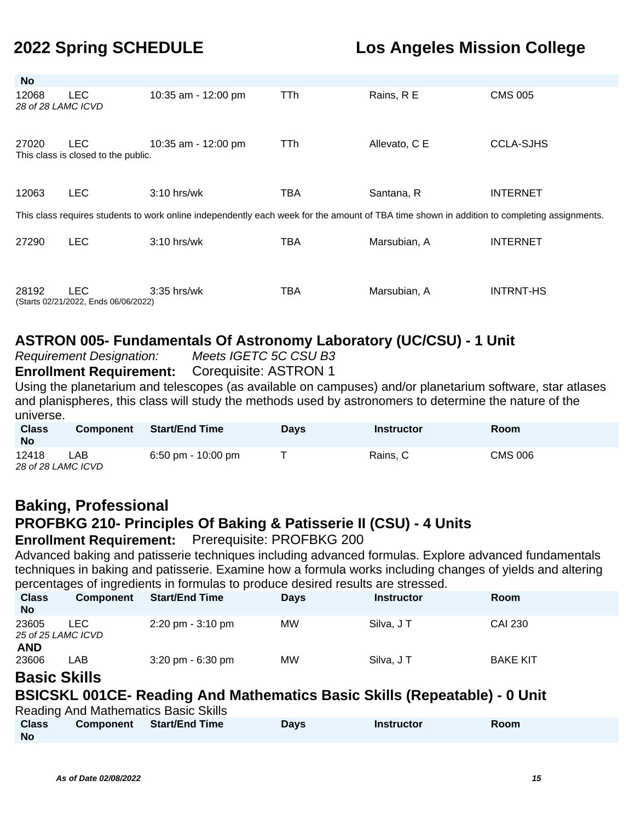| No                          |                                                    |                                                                                                                                             |            |               |                  |
|-----------------------------|----------------------------------------------------|---------------------------------------------------------------------------------------------------------------------------------------------|------------|---------------|------------------|
| 12068<br>28 of 28 LAMC ICVD | <b>LEC</b>                                         | 10:35 am - 12:00 pm                                                                                                                         | <b>TTh</b> | Rains, R E    | <b>CMS 005</b>   |
| 27020                       | <b>LEC</b><br>This class is closed to the public.  | 10:35 am - 12:00 pm                                                                                                                         | TTh        | Allevato, C E | <b>CCLA-SJHS</b> |
| 12063                       | <b>LEC</b>                                         | $3:10$ hrs/wk                                                                                                                               | TBA        | Santana, R    | <b>INTERNET</b>  |
|                             |                                                    | This class requires students to work online independently each week for the amount of TBA time shown in addition to completing assignments. |            |               |                  |
| 27290                       | <b>LEC</b>                                         | $3:10$ hrs/wk                                                                                                                               | <b>TBA</b> | Marsubian, A  | <b>INTERNET</b>  |
| 28192                       | <b>LEC</b><br>(Starts 02/21/2022, Ends 06/06/2022) | 3:35 hrs/wk                                                                                                                                 | TBA        | Marsubian, A  | <b>INTRNT-HS</b> |

### **ASTRON 005- Fundamentals Of Astronomy Laboratory (UC/CSU) - 1 Unit**

Requirement Designation: Meets IGETC 5C CSU B3

**Enrollment Requirement:** Corequisite: ASTRON 1

Using the planetarium and telescopes (as available on campuses) and/or planetarium software, star atlases and planispheres, this class will study the methods used by astronomers to determine the nature of the universe.

| <b>Class</b><br><b>No</b>   | <b>Component</b> | <b>Start/End Time</b> | <b>Days</b> | Instructor | <b>Room</b>    |
|-----------------------------|------------------|-----------------------|-------------|------------|----------------|
| 12418<br>28 of 28 LAMC ICVD | LAB              | 6:50 pm - $10:00$ pm  |             | Rains, C   | <b>CMS 006</b> |

## **Baking, Professional**

## **PROFBKG 210- Principles Of Baking & Patisserie II (CSU) - 4 Units**

**Enrollment Requirement:** Prerequisite: PROFBKG 200

Advanced baking and patisserie techniques including advanced formulas. Explore advanced fundamentals techniques in baking and patisserie. Examine how a formula works including changes of yields and altering percentages of ingredients in formulas to produce desired results are stressed.

| <b>Class</b><br><b>No</b> | . .<br><b>Component</b>    | <b>Start/End Time</b>               | <b>Days</b> | <b>Instructor</b> | <b>Room</b>     |  |
|---------------------------|----------------------------|-------------------------------------|-------------|-------------------|-----------------|--|
| 23605                     | LEC.<br>25 of 25 LAMC ICVD | $2:20 \text{ pm} - 3:10 \text{ pm}$ | <b>MW</b>   | Silva, JT         | CAI 230         |  |
| <b>AND</b><br>23606       | LAB                        | $3:20 \text{ pm} - 6:30 \text{ pm}$ | <b>MW</b>   | Silva, JT         | <b>BAKE KIT</b> |  |

#### **Basic Skills**

## **BSICSKL 001CE- Reading And Mathematics Basic Skills (Repeatable) - 0 Unit**

| <b>Reading And Mathematics Basic Skills</b> |           |                |             |            |      |  |  |  |
|---------------------------------------------|-----------|----------------|-------------|------------|------|--|--|--|
| <b>Class</b>                                | Component | Start/End Time | <b>Days</b> | Instructor | Room |  |  |  |
| <b>No</b>                                   |           |                |             |            |      |  |  |  |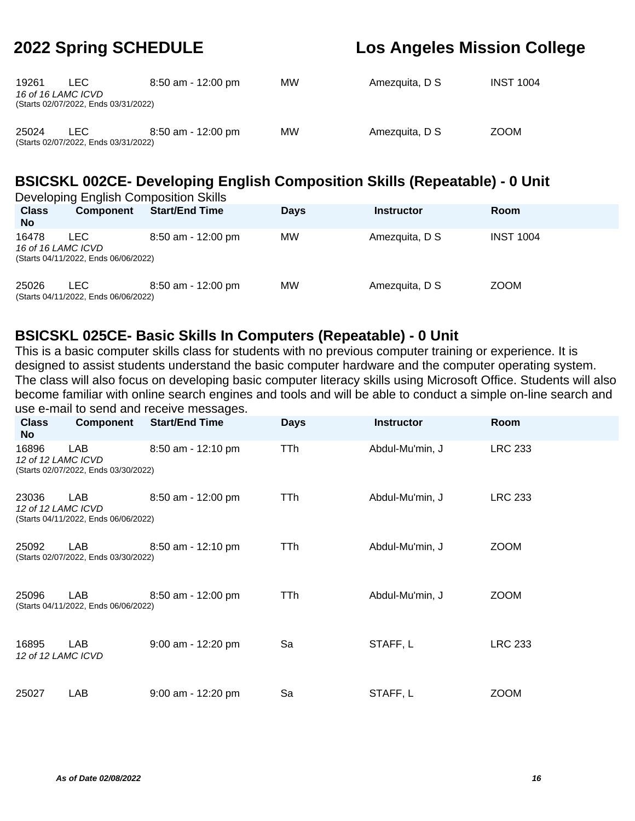| 19261<br>16 of 16 LAMC ICVD | LEC.<br>(Starts 02/07/2022, Ends 03/31/2022) | $8:50$ am - 12:00 pm | MW | Amezquita, D S | <b>INST 1004</b> |
|-----------------------------|----------------------------------------------|----------------------|----|----------------|------------------|
| 25024                       | LEC<br>(Starts 02/07/2022, Ends 03/31/2022)  | $8:50$ am - 12:00 pm | MW | Amezquita, D S | <b>ZOOM</b>      |

## **BSICSKL 002CE- Developing English Composition Skills (Repeatable) - 0 Unit**

| Developing English Composition Skills |                                              |                       |             |                   |                  |  |  |
|---------------------------------------|----------------------------------------------|-----------------------|-------------|-------------------|------------------|--|--|
| <b>Class</b><br><b>No</b>             | <b>Component</b>                             | <b>Start/End Time</b> | <b>Days</b> | <b>Instructor</b> | <b>Room</b>      |  |  |
| 16478<br>16 of 16 LAMC ICVD           | LEC.<br>(Starts 04/11/2022, Ends 06/06/2022) | $8:50$ am - 12:00 pm  | МW          | Amezquita, D S    | <b>INST 1004</b> |  |  |
| 25026                                 | LEC.<br>(Starts 04/11/2022, Ends 06/06/2022) | $8:50$ am - 12:00 pm  | МW          | Amezquita, D S    | <b>ZOOM</b>      |  |  |

### **BSICSKL 025CE- Basic Skills In Computers (Repeatable) - 0 Unit**

This is a basic computer skills class for students with no previous computer training or experience. It is designed to assist students understand the basic computer hardware and the computer operating system. The class will also focus on developing basic computer literacy skills using Microsoft Office. Students will also become familiar with online search engines and tools and will be able to conduct a simple on-line search and use e-mail to send and receive messages.

| <b>Class</b><br>No          | Component                                   | abo o mail to bond and robbivo moboagoo.<br><b>Start/End Time</b> | <b>Days</b> | <b>Instructor</b> | Room           |
|-----------------------------|---------------------------------------------|-------------------------------------------------------------------|-------------|-------------------|----------------|
| 16896<br>12 of 12 LAMC ICVD | LAB<br>(Starts 02/07/2022, Ends 03/30/2022) | 8:50 am - 12:10 pm                                                | TTh         | Abdul-Mu'min, J   | <b>LRC 233</b> |
| 23036<br>12 of 12 LAMC ICVD | LAB<br>(Starts 04/11/2022, Ends 06/06/2022) | 8:50 am - 12:00 pm                                                | TTh         | Abdul-Mu'min, J   | <b>LRC 233</b> |
| 25092                       | LAB<br>(Starts 02/07/2022, Ends 03/30/2022) | 8:50 am - 12:10 pm                                                | TTh         | Abdul-Mu'min, J   | <b>ZOOM</b>    |
| 25096                       | LAB<br>(Starts 04/11/2022, Ends 06/06/2022) | 8:50 am - 12:00 pm                                                | TTh         | Abdul-Mu'min, J   | <b>ZOOM</b>    |
| 16895<br>12 of 12 LAMC ICVD | <b>LAB</b>                                  | 9:00 am - 12:20 pm                                                | Sa          | STAFF, L          | <b>LRC 233</b> |
| 25027                       | LAB                                         | 9:00 am - 12:20 pm                                                | Sa          | STAFF, L          | <b>ZOOM</b>    |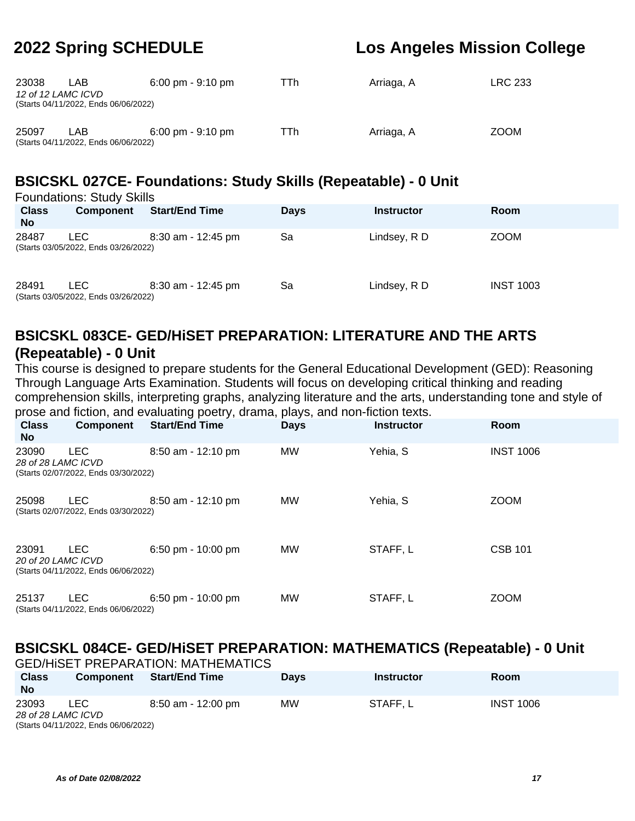| 23038 | LAB<br>12 of 12 LAMC ICVD<br>(Starts 04/11/2022, Ends 06/06/2022) | $6:00 \text{ pm} - 9:10 \text{ pm}$ | ГTh | Arriaga, A | <b>LRC 233</b> |
|-------|-------------------------------------------------------------------|-------------------------------------|-----|------------|----------------|
| 25097 | LAB.<br>(Starts 04/11/2022, Ends 06/06/2022)                      | $6:00 \text{ pm} - 9:10 \text{ pm}$ | TTh | Arriaga, A | <b>ZOOM</b>    |

## **BSICSKL 027CE- Foundations: Study Skills (Repeatable) - 0 Unit**

| <b>Foundations: Study Skills</b> |                                                    |                       |             |                   |                  |  |  |  |
|----------------------------------|----------------------------------------------------|-----------------------|-------------|-------------------|------------------|--|--|--|
| <b>Class</b><br><b>No</b>        | <b>Component</b>                                   | <b>Start/End Time</b> | <b>Days</b> | <b>Instructor</b> | <b>Room</b>      |  |  |  |
| 28487                            | <b>LEC</b><br>(Starts 03/05/2022, Ends 03/26/2022) | $8:30$ am - 12:45 pm  | Sa          | Lindsey, R D      | <b>ZOOM</b>      |  |  |  |
| 28491                            | LEC.<br>(Starts 03/05/2022, Ends 03/26/2022)       | $8:30$ am - 12:45 pm  | Sa          | Lindsey, R D      | <b>INST 1003</b> |  |  |  |

### **BSICSKL 083CE- GED/HiSET PREPARATION: LITERATURE AND THE ARTS (Repeatable) - 0 Unit**

This course is designed to prepare students for the General Educational Development (GED): Reasoning Through Language Arts Examination. Students will focus on developing critical thinking and reading comprehension skills, interpreting graphs, analyzing literature and the arts, understanding tone and style of prose and fiction, and evaluating poetry, drama, plays, and non-fiction texts.

| <b>Class</b><br>No.         | <b>Component</b>                                   | <b>Start/End Time</b> | <b>Days</b> | <b>Instructor</b> | Room             |
|-----------------------------|----------------------------------------------------|-----------------------|-------------|-------------------|------------------|
| 23090<br>28 of 28 LAMC ICVD | <b>LEC</b><br>(Starts 02/07/2022, Ends 03/30/2022) | 8:50 am - 12:10 pm    | MW          | Yehia, S          | <b>INST 1006</b> |
| 25098                       | <b>LEC</b><br>(Starts 02/07/2022, Ends 03/30/2022) | 8:50 am - 12:10 pm    | <b>MW</b>   | Yehia, S          | <b>ZOOM</b>      |
| 23091<br>20 of 20 LAMC ICVD | <b>LEC</b><br>(Starts 04/11/2022, Ends 06/06/2022) | 6:50 pm - 10:00 pm    | MW          | STAFF, L          | <b>CSB 101</b>   |
| 25137                       | <b>LEC</b><br>(Starts 04/11/2022, Ends 06/06/2022) | 6:50 pm - 10:00 pm    | <b>MW</b>   | STAFF, L          | <b>ZOOM</b>      |

#### **BSICSKL 084CE- GED/HiSET PREPARATION: MATHEMATICS (Repeatable) - 0 Unit** GED/HiSET PREPARATION: MATHEMATICS

|                           |                                      | GED/HISET PREPARATION: MATHEMATICS |             |                   |                  |  |  |  |
|---------------------------|--------------------------------------|------------------------------------|-------------|-------------------|------------------|--|--|--|
| <b>Class</b><br><b>No</b> | <b>Component</b>                     | Start/End Time                     | <b>Davs</b> | <b>Instructor</b> | <b>Room</b>      |  |  |  |
| 23093                     | LEC.                                 | 8:50 am - 12:00 pm                 | МW          | STAFF.L           | <b>INST 1006</b> |  |  |  |
|                           | 28 of 28 LAMC ICVD                   |                                    |             |                   |                  |  |  |  |
|                           | (Starts 04/11/2022, Ends 06/06/2022) |                                    |             |                   |                  |  |  |  |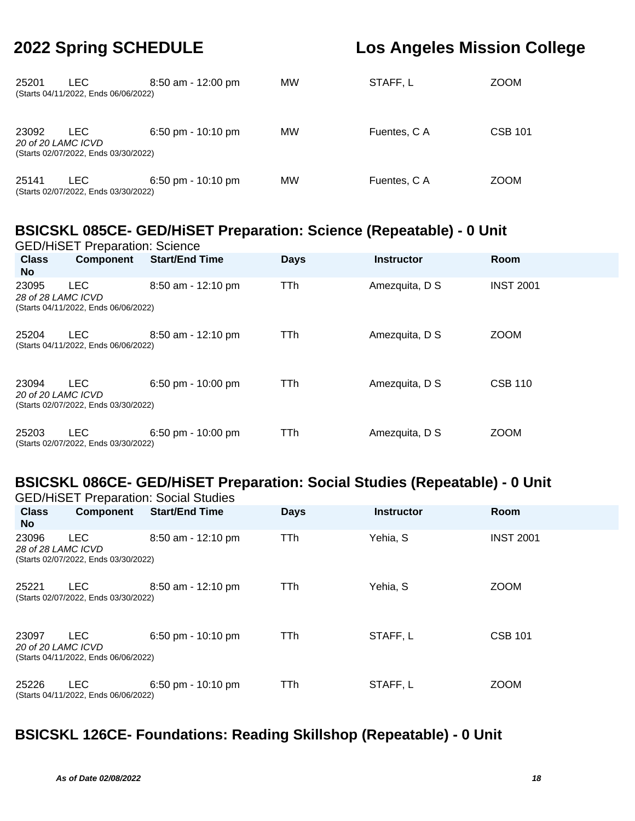| 25201                       | LEC.<br>(Starts 04/11/2022, Ends 06/06/2022) | $8:50$ am - 12:00 pm                 | MW | STAFF, L     | <b>ZOOM</b>    |
|-----------------------------|----------------------------------------------|--------------------------------------|----|--------------|----------------|
| 23092<br>20 of 20 LAMC ICVD | LEC.<br>(Starts 02/07/2022, Ends 03/30/2022) | $6:50 \text{ pm} - 10:10 \text{ pm}$ | MW | Fuentes, C A | <b>CSB 101</b> |
| 25141                       | LEC.<br>(Starts 02/07/2022, Ends 03/30/2022) | $6:50 \text{ pm} - 10:10 \text{ pm}$ | MW | Fuentes, C A | <b>ZOOM</b>    |

### **BSICSKL 085CE- GED/HiSET Preparation: Science (Repeatable) - 0 Unit**

|                             | <b>GED/HiSET Preparation: Science</b>              |                       |             |                   |                  |  |  |  |  |  |
|-----------------------------|----------------------------------------------------|-----------------------|-------------|-------------------|------------------|--|--|--|--|--|
| <b>Class</b><br><b>No</b>   | <b>Component</b>                                   | <b>Start/End Time</b> | <b>Days</b> | <b>Instructor</b> | <b>Room</b>      |  |  |  |  |  |
| 23095<br>28 of 28 LAMC ICVD | <b>LEC</b><br>(Starts 04/11/2022, Ends 06/06/2022) | 8:50 am - 12:10 pm    | TTh         | Amezquita, D S    | <b>INST 2001</b> |  |  |  |  |  |
| 25204                       | <b>LEC</b><br>(Starts 04/11/2022, Ends 06/06/2022) | 8:50 am - 12:10 pm    | <b>TTh</b>  | Amezquita, D S    | <b>ZOOM</b>      |  |  |  |  |  |
| 23094<br>20 of 20 LAMC ICVD | <b>LEC</b><br>(Starts 02/07/2022, Ends 03/30/2022) | $6:50$ pm - 10:00 pm  | TTh         | Amezquita, D S    | <b>CSB 110</b>   |  |  |  |  |  |
| 25203                       | <b>LEC</b><br>(Starts 02/07/2022, Ends 03/30/2022) | $6:50$ pm - 10:00 pm  | <b>TTh</b>  | Amezquita, D S    | <b>ZOOM</b>      |  |  |  |  |  |

# **BSICSKL 086CE- GED/HiSET Preparation: Social Studies (Repeatable) - 0 Unit**

|                             |                                                    | <b>GED/HiSET Preparation: Social Studies</b> |             |                   |                  |
|-----------------------------|----------------------------------------------------|----------------------------------------------|-------------|-------------------|------------------|
| <b>Class</b><br><b>No</b>   | <b>Component</b>                                   | <b>Start/End Time</b>                        | <b>Days</b> | <b>Instructor</b> | Room             |
| 23096<br>28 of 28 LAMC ICVD | <b>LEC</b><br>(Starts 02/07/2022, Ends 03/30/2022) | 8:50 am - 12:10 pm                           | TTh         | Yehia, S          | <b>INST 2001</b> |
| 25221                       | LEC.<br>(Starts 02/07/2022, Ends 03/30/2022)       | 8:50 am - 12:10 pm                           | <b>TTh</b>  | Yehia, S          | <b>ZOOM</b>      |
| 23097<br>20 of 20 LAMC ICVD | <b>LEC</b><br>(Starts 04/11/2022, Ends 06/06/2022) | $6:50$ pm - 10:10 pm                         | <b>TTh</b>  | STAFF, L          | <b>CSB 101</b>   |
| 25226                       | <b>LEC</b><br>(Starts 04/11/2022, Ends 06/06/2022) | $6:50$ pm - 10:10 pm                         | TTh         | STAFF, L          | <b>ZOOM</b>      |

## **BSICSKL 126CE- Foundations: Reading Skillshop (Repeatable) - 0 Unit**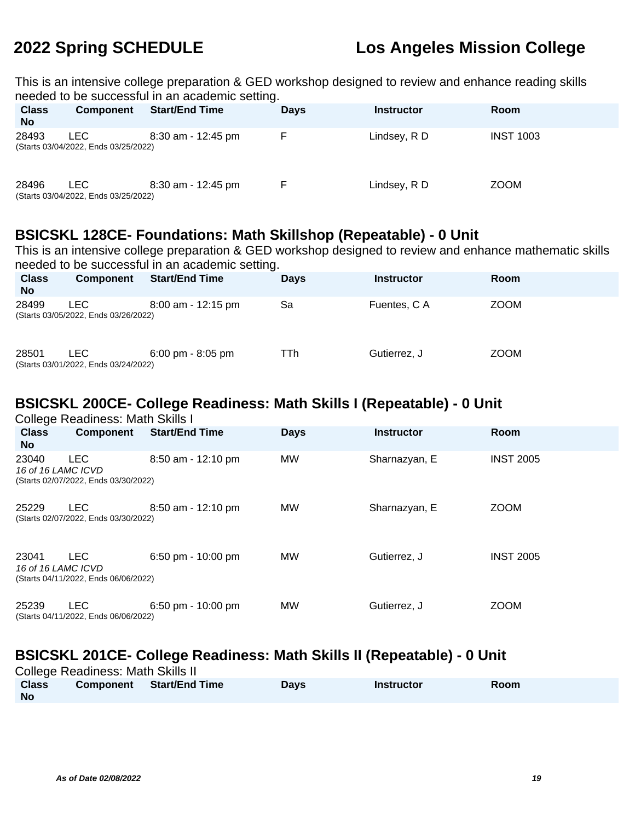This is an intensive college preparation & GED workshop designed to review and enhance reading skills needed to be successful in an academic setting.

| <b>Class</b><br><b>No</b> | Component                                    | ້<br><b>Start/End Time</b> | <b>Days</b> | <b>Instructor</b> | <b>Room</b>      |
|---------------------------|----------------------------------------------|----------------------------|-------------|-------------------|------------------|
| 28493                     | LEC.<br>(Starts 03/04/2022, Ends 03/25/2022) | $8:30$ am - 12:45 pm       | E.          | Lindsey, R D      | <b>INST 1003</b> |
| 28496                     | LEC.<br>(Starts 03/04/2022, Ends 03/25/2022) | $8:30$ am - 12:45 pm       | F           | Lindsey, R D      | <b>ZOOM</b>      |

### **BSICSKL 128CE- Foundations: Math Skillshop (Repeatable) - 0 Unit**

This is an intensive college preparation & GED workshop designed to review and enhance mathematic skills needed to be successful in an academic setting.

| <b>Class</b><br><b>No</b> | <b>Component</b>                             | <b>Start/End Time</b>               | <b>Davs</b> | <b>Instructor</b> | <b>Room</b> |
|---------------------------|----------------------------------------------|-------------------------------------|-------------|-------------------|-------------|
| 28499                     | LEC.<br>(Starts 03/05/2022, Ends 03/26/2022) | $8:00$ am - 12:15 pm                | Sa          | Fuentes, C A      | <b>ZOOM</b> |
| 28501                     | LEC.<br>(Starts 03/01/2022, Ends 03/24/2022) | $6:00 \text{ pm} - 8:05 \text{ pm}$ | TTh         | Gutierrez. J      | <b>ZOOM</b> |

## **BSICSKL 200CE- College Readiness: Math Skills I (Repeatable) - 0 Unit**

College Readiness: Math Skills I **Class No Component Start/End Time Days Instructor Room** 23040 LEC 8:50 am - 12:10 pm MW Sharnazyan, E INST 2005 16 of 16 LAMC ICVD (Starts 02/07/2022, Ends 03/30/2022) 25229 LEC 8:50 am - 12:10 pm MW Sharnazyan, E ZOOM (Starts 02/07/2022, Ends 03/30/2022) 23041 LEC 6:50 pm - 10:00 pm MW Gutierrez, J INST 2005 16 of 16 LAMC ICVD (Starts 04/11/2022, Ends 06/06/2022) 25239 LEC 6:50 pm - 10:00 pm MW Gutierrez, J ZOOM (Starts 04/11/2022, Ends 06/06/2022)

### **BSICSKL 201CE- College Readiness: Math Skills II (Repeatable) - 0 Unit**

College Readiness: Math Skills II

| --------<br><b>Class</b> | <b>Component</b> Start/End Time | Days | <b>Instructor</b> | Room |
|--------------------------|---------------------------------|------|-------------------|------|
| No                       |                                 |      |                   |      |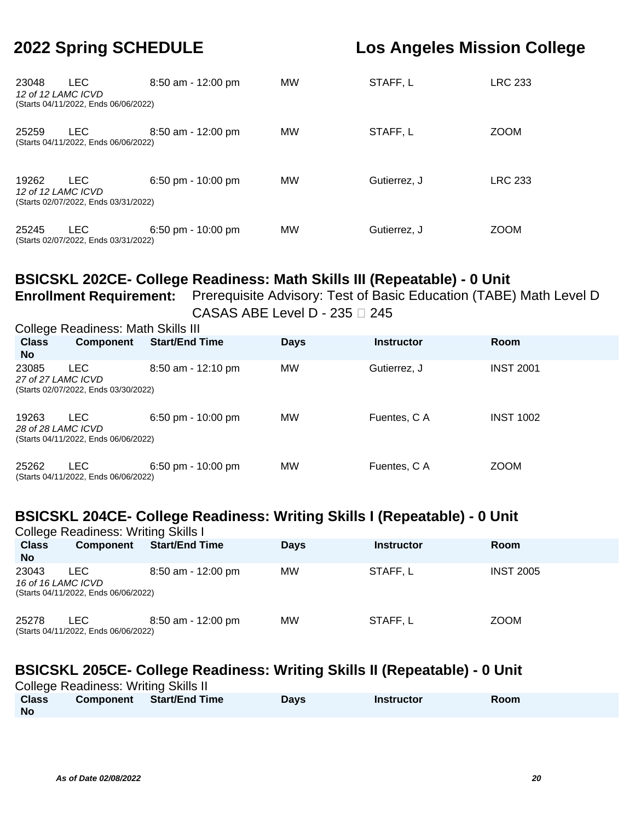| 23048<br>12 of 12 LAMC ICVD | <b>LEC</b><br>(Starts 04/11/2022, Ends 06/06/2022) | $8:50$ am - 12:00 pm | <b>MW</b> | STAFF, L     | <b>LRC 233</b> |
|-----------------------------|----------------------------------------------------|----------------------|-----------|--------------|----------------|
| 25259                       | <b>LEC</b><br>(Starts 04/11/2022, Ends 06/06/2022) | $8:50$ am - 12:00 pm | MW        | STAFF, L     | <b>ZOOM</b>    |
| 19262<br>12 of 12 LAMC ICVD | LEC.<br>(Starts 02/07/2022, Ends 03/31/2022)       | $6:50$ pm - 10:00 pm | <b>MW</b> | Gutierrez. J | <b>LRC 233</b> |
| 25245                       | <b>LEC</b><br>(Starts 02/07/2022, Ends 03/31/2022) | 6:50 pm - $10:00$ pm | <b>MW</b> | Gutierrez, J | <b>ZOOM</b>    |

### **BSICSKL 202CE- College Readiness: Math Skills III (Repeatable) - 0 Unit**

**Enrollment Requirement:** Prerequisite Advisory: Test of Basic Education (TABE) Math Level D CASAS ABE Level D - 235  $\square$  245

| <b>College Readiness: Math Skills III</b> |                                                    |                       |             |                   |                  |  |  |  |  |
|-------------------------------------------|----------------------------------------------------|-----------------------|-------------|-------------------|------------------|--|--|--|--|
| <b>Class</b><br><b>No</b>                 | Component                                          | <b>Start/End Time</b> | <b>Days</b> | <b>Instructor</b> | Room             |  |  |  |  |
| 23085<br>27 of 27 LAMC ICVD               | <b>LEC</b><br>(Starts 02/07/2022, Ends 03/30/2022) | $8:50$ am - 12:10 pm  | <b>MW</b>   | Gutierrez, J      | <b>INST 2001</b> |  |  |  |  |
| 19263<br>28 of 28 LAMC ICVD               | LEC.<br>(Starts 04/11/2022, Ends 06/06/2022)       | $6:50$ pm - 10:00 pm  | <b>MW</b>   | Fuentes, C A      | <b>INST 1002</b> |  |  |  |  |
| 25262                                     | <b>LEC</b><br>(Starts 04/11/2022, Ends 06/06/2022) | 6:50 pm - $10:00$ pm  | МW          | Fuentes, C A      | <b>ZOOM</b>      |  |  |  |  |

### **BSICSKL 204CE- College Readiness: Writing Skills I (Repeatable) - 0 Unit**

| <b>College Readiness: Writing Skills I</b> |                                              |                       |             |                   |                  |  |  |  |  |
|--------------------------------------------|----------------------------------------------|-----------------------|-------------|-------------------|------------------|--|--|--|--|
| <b>Class</b><br><b>No</b>                  | <b>Component</b>                             | <b>Start/End Time</b> | <b>Days</b> | <b>Instructor</b> | <b>Room</b>      |  |  |  |  |
| 23043<br>16 of 16 LAMC ICVD                | LEC.<br>(Starts 04/11/2022, Ends 06/06/2022) | $8:50$ am - 12:00 pm  | МW          | STAFF.L           | <b>INST 2005</b> |  |  |  |  |
| 25278                                      | LEC.<br>(Starts 04/11/2022, Ends 06/06/2022) | $8:50$ am - 12:00 pm  | МW          | STAFF, L          | <b>ZOOM</b>      |  |  |  |  |

## **BSICSKL 205CE- College Readiness: Writing Skills II (Repeatable) - 0 Unit**

| <b>College Readiness: Writing Skills II</b> |           |                |             |                   |      |  |  |  |  |
|---------------------------------------------|-----------|----------------|-------------|-------------------|------|--|--|--|--|
| <b>Class</b>                                | Component | Start/End Time | <b>Days</b> | <b>Instructor</b> | Room |  |  |  |  |
| <b>No</b>                                   |           |                |             |                   |      |  |  |  |  |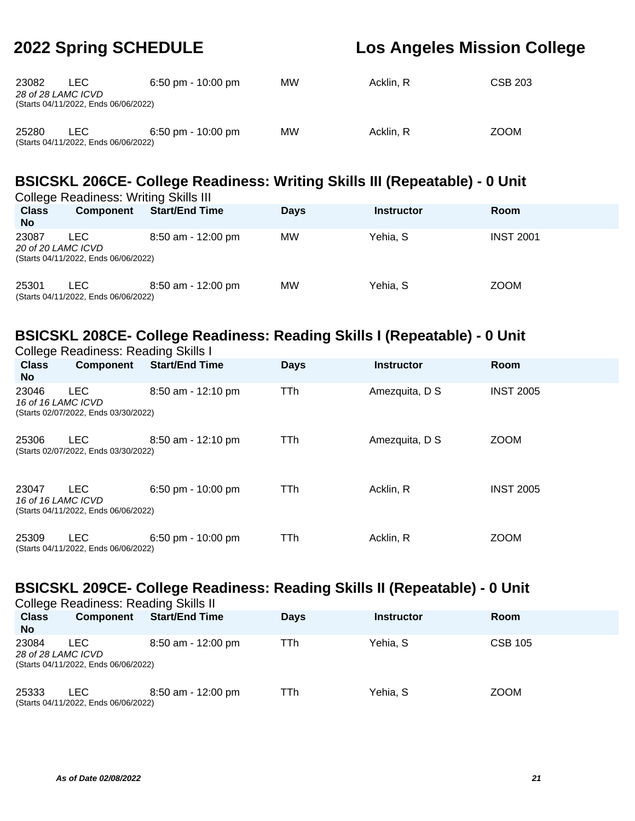| 23082<br>28 of 28 LAMC ICVD | LEC.<br>(Starts 04/11/2022, Ends 06/06/2022) | $6:50$ pm - 10:00 pm | <b>MW</b> | Acklin, R | CSB 203     |
|-----------------------------|----------------------------------------------|----------------------|-----------|-----------|-------------|
| 25280                       | LEC.<br>(Starts 04/11/2022, Ends 06/06/2022) | $6:50$ pm - 10:00 pm | <b>MW</b> | Acklin, R | <b>ZOOM</b> |

## **BSICSKL 206CE- College Readiness: Writing Skills III (Repeatable) - 0 Unit**

| <b>College Readiness: Writing Skills III</b> |                                              |                       |             |                   |                  |  |  |  |  |
|----------------------------------------------|----------------------------------------------|-----------------------|-------------|-------------------|------------------|--|--|--|--|
| <b>Class</b><br><b>No</b>                    | <b>Component</b>                             | <b>Start/End Time</b> | <b>Days</b> | <b>Instructor</b> | <b>Room</b>      |  |  |  |  |
| 23087<br>20 of 20 LAMC ICVD                  | LEC.<br>(Starts 04/11/2022, Ends 06/06/2022) | $8:50$ am - 12:00 pm  | МW          | Yehia. S          | <b>INST 2001</b> |  |  |  |  |
| 25301                                        | LEC<br>(Starts 04/11/2022, Ends 06/06/2022)  | $8:50$ am - 12:00 pm  | МW          | Yehia. S          | <b>ZOOM</b>      |  |  |  |  |

## **BSICSKL 208CE- College Readiness: Reading Skills I (Repeatable) - 0 Unit**

| <b>College Readiness: Reading Skills I</b> |                                                    |                       |             |                   |                  |  |  |  |
|--------------------------------------------|----------------------------------------------------|-----------------------|-------------|-------------------|------------------|--|--|--|
| <b>Class</b><br>No.                        | Component                                          | <b>Start/End Time</b> | <b>Days</b> | <b>Instructor</b> | Room             |  |  |  |
| 23046<br>16 of 16 LAMC ICVD                | <b>LEC</b><br>(Starts 02/07/2022, Ends 03/30/2022) | $8:50$ am - 12:10 pm  | TTh         | Amezquita, D S    | <b>INST 2005</b> |  |  |  |
| 25306                                      | <b>LEC</b><br>(Starts 02/07/2022, Ends 03/30/2022) | $8:50$ am - 12:10 pm  | TTh         | Amezquita, D S    | <b>ZOOM</b>      |  |  |  |
| 23047<br>16 of 16 LAMC ICVD                | <b>LEC</b><br>(Starts 04/11/2022, Ends 06/06/2022) | $6:50$ pm - 10:00 pm  | TTh.        | Acklin, R         | <b>INST 2005</b> |  |  |  |
| 25309                                      | <b>LEC</b><br>(Starts 04/11/2022, Ends 06/06/2022) | 6:50 pm - $10:00$ pm  | TTh         | Acklin, R         | <b>ZOOM</b>      |  |  |  |

#### **BSICSKL 209CE- College Readiness: Reading Skills II (Repeatable) - 0 Unit** College Readiness: Reading Skills II

|                           | College Readiness: Reading Skills II                               |                       |             |                   |                |  |  |  |  |
|---------------------------|--------------------------------------------------------------------|-----------------------|-------------|-------------------|----------------|--|--|--|--|
| <b>Class</b><br><b>No</b> | <b>Component</b>                                                   | <b>Start/End Time</b> | <b>Days</b> | <b>Instructor</b> | <b>Room</b>    |  |  |  |  |
| 23084                     | LEC.<br>28 of 28 LAMC ICVD<br>(Starts 04/11/2022, Ends 06/06/2022) | $8:50$ am - 12:00 pm  | TTh         | Yehia, S          | <b>CSB 105</b> |  |  |  |  |
| 25333                     | LEC.<br>(Starts 04/11/2022, Ends 06/06/2022)                       | $8:50$ am - 12:00 pm  | TTh         | Yehia, S          | <b>ZOOM</b>    |  |  |  |  |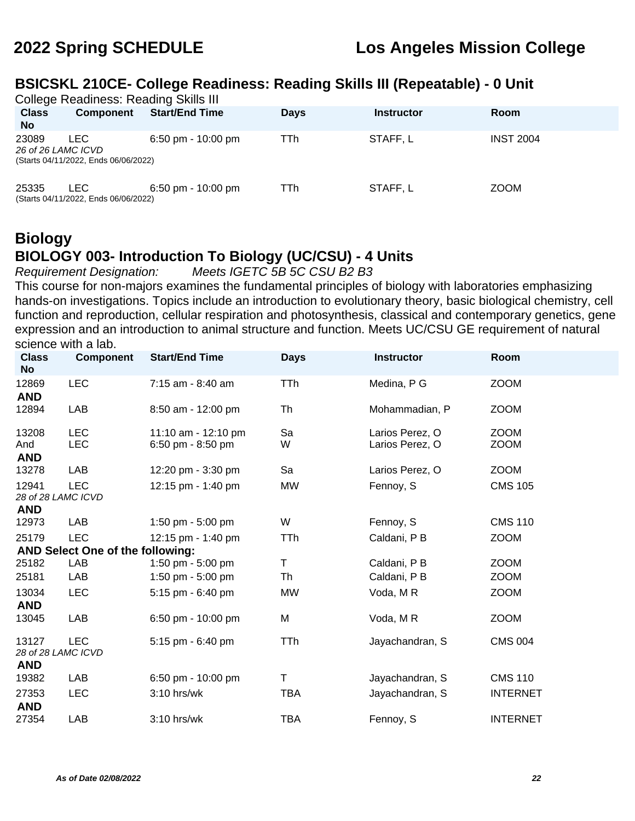### **BSICSKL 210CE- College Readiness: Reading Skills III (Repeatable) - 0 Unit**

| <b>College Readiness: Reading Skills III</b><br><b>Class</b><br><b>No</b> | <b>Component</b>                                   | <b>Start/End Time</b>                | <b>Days</b> | Instructor | <b>Room</b>      |
|---------------------------------------------------------------------------|----------------------------------------------------|--------------------------------------|-------------|------------|------------------|
| 23089<br>26 of 26 LAMC ICVD                                               | <b>LEC</b><br>(Starts 04/11/2022, Ends 06/06/2022) | $6:50$ pm - 10:00 pm                 | TTh         | STAFF.L    | <b>INST 2004</b> |
| 25335                                                                     | LEC.<br>(Starts 04/11/2022, Ends 06/06/2022)       | $6:50 \text{ pm} - 10:00 \text{ pm}$ | TTh         | STAFF, L   | <b>ZOOM</b>      |

## **Biology BIOLOGY 003- Introduction To Biology (UC/CSU) - 4 Units**

Requirement Designation: Meets IGETC 5B 5C CSU B2 B3

This course for non-majors examines the fundamental principles of biology with laboratories emphasizing hands-on investigations. Topics include an introduction to evolutionary theory, basic biological chemistry, cell function and reproduction, cellular respiration and photosynthesis, classical and contemporary genetics, gene expression and an introduction to animal structure and function. Meets UC/CSU GE requirement of natural science with a lab.

| <b>Class</b><br><b>No</b>                 | <b>Component</b>                 | <b>Start/End Time</b> | <b>Days</b> | <b>Instructor</b> | Room            |
|-------------------------------------------|----------------------------------|-----------------------|-------------|-------------------|-----------------|
| 12869<br><b>AND</b>                       | <b>LEC</b>                       | 7:15 am - 8:40 am     | <b>TTh</b>  | Medina, P G       | <b>ZOOM</b>     |
| 12894                                     | LAB                              | 8:50 am - 12:00 pm    | Th          | Mohammadian, P    | <b>ZOOM</b>     |
| 13208                                     | <b>LEC</b>                       | 11:10 am - 12:10 pm   | Sa          | Larios Perez, O   | <b>ZOOM</b>     |
| And<br><b>AND</b>                         | <b>LEC</b>                       | 6:50 pm - 8:50 pm     | W           | Larios Perez, O   | <b>ZOOM</b>     |
| 13278                                     | LAB                              | 12:20 pm - 3:30 pm    | Sa          | Larios Perez, O   | <b>ZOOM</b>     |
| 12941<br>28 of 28 LAMC ICVD               | <b>LEC</b>                       | 12:15 pm - 1:40 pm    | <b>MW</b>   | Fennoy, S         | <b>CMS 105</b>  |
| <b>AND</b>                                |                                  |                       |             |                   |                 |
| 12973                                     | <b>LAB</b>                       | 1:50 pm - 5:00 pm     | W           | Fennoy, S         | <b>CMS 110</b>  |
| 25179                                     | <b>LEC</b>                       | 12:15 pm - 1:40 pm    | TTh         | Caldani, P B      | <b>ZOOM</b>     |
|                                           | AND Select One of the following: |                       |             |                   |                 |
| 25182                                     | LAB                              | 1:50 pm - 5:00 pm     | T           | Caldani, P B      | <b>ZOOM</b>     |
| 25181                                     | LAB                              | 1:50 pm - 5:00 pm     | Th          | Caldani, P B      | <b>ZOOM</b>     |
| 13034                                     | <b>LEC</b>                       | 5:15 pm - 6:40 pm     | <b>MW</b>   | Voda, MR          | <b>ZOOM</b>     |
| <b>AND</b>                                |                                  |                       |             |                   |                 |
| 13045                                     | LAB                              | 6:50 pm - 10:00 pm    | M           | Voda, MR          | <b>ZOOM</b>     |
| 13127<br>28 of 28 LAMC ICVD<br><b>AND</b> | <b>LEC</b>                       | 5:15 pm - 6:40 pm     | <b>TTh</b>  | Jayachandran, S   | <b>CMS 004</b>  |
| 19382                                     | LAB                              | 6:50 pm - 10:00 pm    | т           | Jayachandran, S   | <b>CMS 110</b>  |
| 27353<br><b>AND</b>                       | <b>LEC</b>                       | 3:10 hrs/wk           | <b>TBA</b>  | Jayachandran, S   | <b>INTERNET</b> |
| 27354                                     | LAB                              | $3:10$ hrs/wk         | <b>TBA</b>  | Fennoy, S         | <b>INTERNET</b> |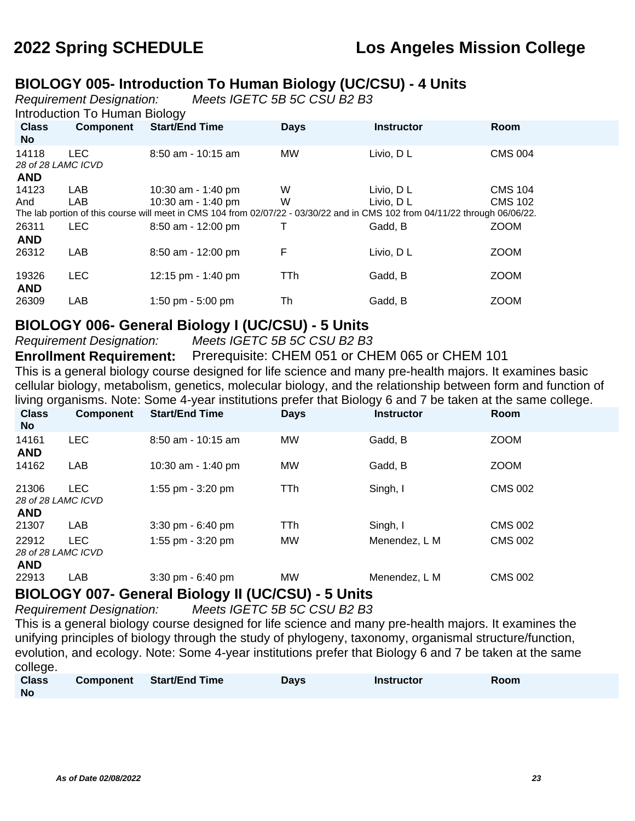### **BIOLOGY 005- Introduction To Human Biology (UC/CSU) - 4 Units**

Requirement Designation: Meets IGETC 5B 5C CSU B2 B3

Introduction To Human Biology

| <b>Class</b><br>No.        | <b>Component</b>                 | <b>Start/End Time</b>                                                                                                                               | <b>Days</b> | <b>Instructor</b>       | Room                             |
|----------------------------|----------------------------------|-----------------------------------------------------------------------------------------------------------------------------------------------------|-------------|-------------------------|----------------------------------|
| 14118                      | <b>LEC</b><br>28 of 28 LAMC ICVD | $8:50$ am - 10:15 am                                                                                                                                | MW          | Livio, DL               | <b>CMS 004</b>                   |
| <b>AND</b><br>14123<br>And | LAB<br>LAB                       | 10:30 am - 1:40 pm<br>10:30 am - 1:40 pm                                                                                                            | W<br>W      | Livio, D L<br>Livio, DL | <b>CMS 104</b><br><b>CMS 102</b> |
| 26311                      | <b>LEC</b>                       | The lab portion of this course will meet in CMS 104 from 02/07/22 - 03/30/22 and in CMS 102 from 04/11/22 through 06/06/22.<br>$8:50$ am - 12:00 pm | T           | Gadd, B                 | <b>ZOOM</b>                      |
| <b>AND</b><br>26312        | LAB                              | 8:50 am - 12:00 pm                                                                                                                                  | F           | Livio, DL               | <b>ZOOM</b>                      |
| 19326<br><b>AND</b>        | <b>LEC</b>                       | 12:15 pm $-$ 1:40 pm                                                                                                                                | TTh         | Gadd, B                 | <b>ZOOM</b>                      |
| 26309                      | LAB                              | 1:50 pm $-5:00$ pm                                                                                                                                  | Th          | Gadd, B                 | <b>ZOOM</b>                      |

#### **BIOLOGY 006- General Biology I (UC/CSU) - 5 Units**

Requirement Designation: Meets IGETC 5B 5C CSU B2 B3

**Enrollment Requirement:** Prerequisite: CHEM 051 or CHEM 065 or CHEM 101 This is a general biology course designed for life science and many pre-health majors. It examines basic

cellular biology, metabolism, genetics, molecular biology, and the relationship between form and function of living organisms. Note: Some 4-year institutions prefer that Biology 6 and 7 be taken at the same college.

| <b>Class</b><br>No.                       | <b>Component</b> | <b>Start/End Time</b>               | <b>Days</b> | <b>Instructor</b> | Room           |
|-------------------------------------------|------------------|-------------------------------------|-------------|-------------------|----------------|
| 14161<br><b>AND</b>                       | <b>LEC</b>       | $8:50$ am - 10:15 am                | <b>MW</b>   | Gadd, B           | <b>ZOOM</b>    |
| 14162                                     | LAB              | 10:30 am - 1:40 pm                  | <b>MW</b>   | Gadd, B           | <b>ZOOM</b>    |
| 21306<br>28 of 28 LAMC ICVD<br><b>AND</b> | <b>LEC</b>       | 1:55 pm - 3:20 pm                   | TTh         | Singh, I          | <b>CMS 002</b> |
| 21307                                     | LAB              | $3:30$ pm - $6:40$ pm               | TTh         | Singh, I          | <b>CMS 002</b> |
| 22912<br>28 of 28 LAMC ICVD<br><b>AND</b> | <b>LEC</b>       | 1:55 pm - 3:20 pm                   | <b>MW</b>   | Menendez, L M     | <b>CMS 002</b> |
| 22913                                     | LAB              | $3:30 \text{ pm} - 6:40 \text{ pm}$ | <b>MW</b>   | Menendez. L M     | <b>CMS 002</b> |

## **BIOLOGY 007- General Biology II (UC/CSU) - 5 Units**

Requirement Designation: Meets IGETC 5B 5C CSU B2 B3

This is a general biology course designed for life science and many pre-health majors. It examines the unifying principles of biology through the study of phylogeny, taxonomy, organismal structure/function, evolution, and ecology. Note: Some 4-year institutions prefer that Biology 6 and 7 be taken at the same college.

| <b>Class</b> | Component | <b>Start/End Time</b> | <b>Days</b> | <b>Instructor</b> | <b>Room</b> |
|--------------|-----------|-----------------------|-------------|-------------------|-------------|
| <b>No</b>    |           |                       |             |                   |             |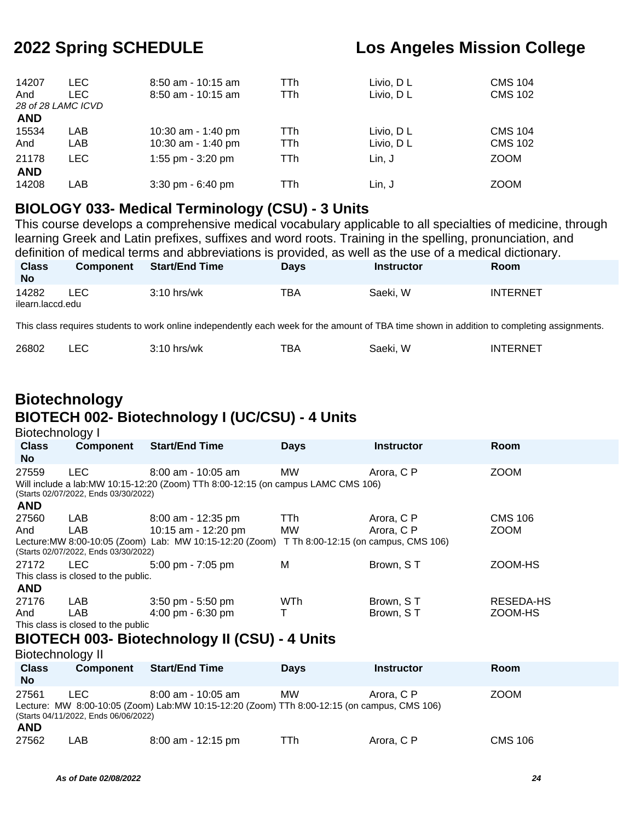| 14207<br>And<br>28 of 28 LAMC ICVD | LEC.<br>LEC | $8:50$ am - 10:15 am<br>$8:50$ am - 10:15 am | TTh<br>TTh  | Livio, D L<br>Livio, DL | <b>CMS 104</b><br><b>CMS 102</b> |
|------------------------------------|-------------|----------------------------------------------|-------------|-------------------------|----------------------------------|
| <b>AND</b>                         |             |                                              |             |                         |                                  |
| 15534<br>And                       | LAB<br>LAB  | 10:30 am - 1:40 pm<br>10:30 am - 1:40 pm     | TTh<br>TTh. | Livio, D L<br>Livio, DL | <b>CMS 104</b><br><b>CMS 102</b> |
| 21178<br><b>AND</b>                | <b>LEC</b>  | 1:55 pm $-$ 3:20 pm                          | TTh         | Lin. J                  | <b>ZOOM</b>                      |
| 14208                              | LAB         | $3:30$ pm - $6:40$ pm                        | TTh         | Lin, J                  | <b>ZOOM</b>                      |

#### **BIOLOGY 033- Medical Terminology (CSU) - 3 Units**

This course develops a comprehensive medical vocabulary applicable to all specialties of medicine, through learning Greek and Latin prefixes, suffixes and word roots. Training in the spelling, pronunciation, and definition of medical terms and abbreviations is provided, as well as the use of a medical dictionary.

| <b>Class</b><br><b>No</b> | <b>Component</b> | <b>Start/End Time</b> | Days | <b>Instructor</b> | Room            |
|---------------------------|------------------|-----------------------|------|-------------------|-----------------|
| 14282                     | LEC              | $3:10$ hrs/wk         | тва  | Saeki, W          | <b>INTERNET</b> |
| ilearn.laccd.edu          |                  |                       |      |                   |                 |

This class requires students to work online independently each week for the amount of TBA time shown in addition to completing assignments.

| 26802 |  | $3:10$ hrs/wk | тва | Saeki. W | INTERNET |
|-------|--|---------------|-----|----------|----------|
|-------|--|---------------|-----|----------|----------|

## **Biotechnology BIOTECH 002- Biotechnology I (UC/CSU) - 4 Units**

Biotechnology I

| <b>Class</b><br>No.       | <b>Component</b>                                                                                                                                                                                   | <b>Start/End Time</b>                                                                                                                      | <b>Days</b> | <b>Instructor</b>        | <b>Room</b>                   |  |  |  |
|---------------------------|----------------------------------------------------------------------------------------------------------------------------------------------------------------------------------------------------|--------------------------------------------------------------------------------------------------------------------------------------------|-------------|--------------------------|-------------------------------|--|--|--|
| 27559<br><b>AND</b>       | <b>LEC</b><br>MW<br><b>ZOOM</b><br>$8:00$ am - 10:05 am<br>Arora, C P<br>Will include a lab: MW 10:15-12:20 (Zoom) TTh 8:00-12:15 (on campus LAMC CMS 106)<br>(Starts 02/07/2022, Ends 03/30/2022) |                                                                                                                                            |             |                          |                               |  |  |  |
| 27560<br>And              | LAB<br>LAB<br>(Starts 02/07/2022, Ends 03/30/2022)                                                                                                                                                 | 8:00 am - 12:35 pm<br>10:15 am - 12:20 pm<br>Lecture: MW 8:00-10:05 (Zoom) Lab: MW 10:15-12:20 (Zoom) T Th 8:00-12:15 (on campus, CMS 106) | TTh.<br>MW  | Arora, C P<br>Arora, C P | <b>CMS 106</b><br><b>ZOOM</b> |  |  |  |
| 27172<br><b>AND</b>       | LEC.<br>This class is closed to the public.                                                                                                                                                        | $5:00 \text{ pm} - 7:05 \text{ pm}$                                                                                                        | м           | Brown, ST                | ZOOM-HS                       |  |  |  |
| 27176<br>And              | LAB.<br>LAB<br>This class is closed to the public                                                                                                                                                  | $3:50$ pm - $5:50$ pm<br>$4:00 \text{ pm} - 6:30 \text{ pm}$<br><b>BIOTECH 003- Biotechnology II (CSU) - 4 Units</b>                       | <b>WTh</b>  | Brown, ST<br>Brown, ST   | RESEDA-HS<br>ZOOM-HS          |  |  |  |
| Biotechnology II          |                                                                                                                                                                                                    |                                                                                                                                            |             |                          |                               |  |  |  |
| <b>Class</b><br><b>No</b> | Component                                                                                                                                                                                          | <b>Start/End Time</b>                                                                                                                      | <b>Days</b> | <b>Instructor</b>        | <b>Room</b>                   |  |  |  |
| 27561                     | LEC.                                                                                                                                                                                               | $8:00$ am - 10:05 am<br>Lecture: MW 8:00-10:05 (Zoom) Lab: MW 10:15-12:20 (Zoom) TTh 8:00-12:15 (on campus, CMS 106)                       | MW          | Arora, C P               | <b>ZOOM</b>                   |  |  |  |

(Starts 04/11/2022, Ends 06/06/2022)

|  | ۰. |
|--|----|
|  |    |

| 27562 | LAB | $8:00$ am - 12:15 pm | Arora, C P | <b>CMS 106</b> |
|-------|-----|----------------------|------------|----------------|
|       |     |                      |            |                |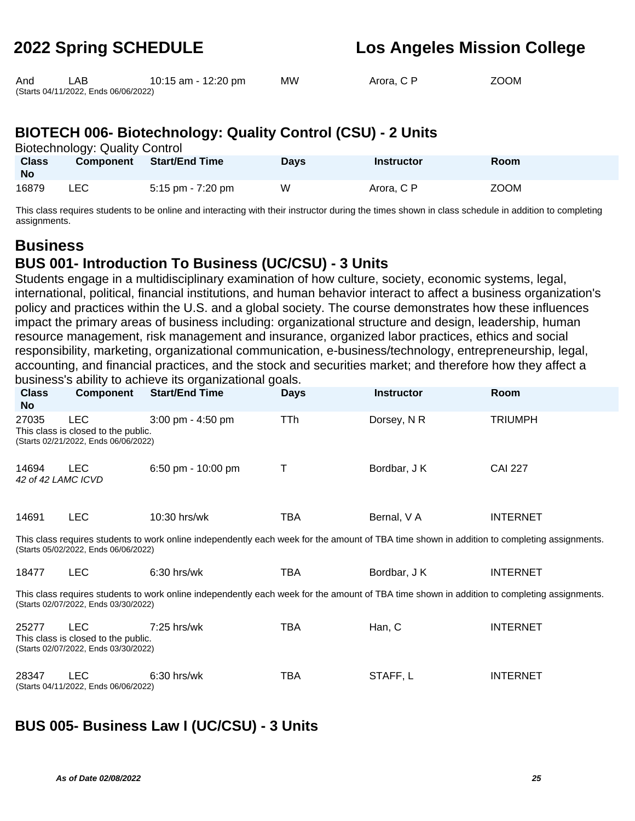| And | LAB                                  | 10:15 am - 12:20 pm | МW | Arora, C P | <b>ZOOM</b> |
|-----|--------------------------------------|---------------------|----|------------|-------------|
|     | (Starts 04/11/2022, Ends 06/06/2022) |                     |    |            |             |

| ZOOM |
|------|
|      |

## **BIOTECH 006- Biotechnology: Quality Control (CSU) - 2 Units**

Biotechnology: Quality Control

| <b>Class</b><br><b>No</b> | <b>Component</b> | <b>Start/End Time</b> | Days | <b>Instructor</b> | <b>Room</b> |
|---------------------------|------------------|-----------------------|------|-------------------|-------------|
| 16879                     | LEC              | 5:15 pm - 7:20 pm     | W    | Arora, C P        | <b>ZOOM</b> |

This class requires students to be online and interacting with their instructor during the times shown in class schedule in addition to completing assignments.

### **Business BUS 001- Introduction To Business (UC/CSU) - 3 Units**

Students engage in a multidisciplinary examination of how culture, society, economic systems, legal, international, political, financial institutions, and human behavior interact to affect a business organization's policy and practices within the U.S. and a global society. The course demonstrates how these influences impact the primary areas of business including: organizational structure and design, leadership, human resource management, risk management and insurance, organized labor practices, ethics and social responsibility, marketing, organizational communication, e-business/technology, entrepreneurship, legal, accounting, and financial practices, and the stock and securities market; and therefore how they affect a business's ability to achieve its organizational goals.

| <b>Class</b><br><b>No</b>                                                                                                                                                           | Component                                          | <b>Start/End Time</b>                                                                                                                       | <b>Days</b> | <b>Instructor</b> | Room            |  |  |
|-------------------------------------------------------------------------------------------------------------------------------------------------------------------------------------|----------------------------------------------------|---------------------------------------------------------------------------------------------------------------------------------------------|-------------|-------------------|-----------------|--|--|
| 27035<br><b>LEC</b><br>TTh<br>Dorsey, N R<br>$3:00$ pm - $4:50$ pm<br><b>TRIUMPH</b><br>This class is closed to the public.<br>(Starts 02/21/2022, Ends 06/06/2022)                 |                                                    |                                                                                                                                             |             |                   |                 |  |  |
| 14694<br>42 of 42 LAMC ICVD                                                                                                                                                         | <b>LEC</b>                                         | 6:50 pm - 10:00 pm                                                                                                                          | Т           | Bordbar, J K      | <b>CAI 227</b>  |  |  |
| 14691                                                                                                                                                                               | <b>LEC</b>                                         | 10:30 hrs/wk                                                                                                                                | TBA         | Bernal, V A       | <b>INTERNET</b> |  |  |
|                                                                                                                                                                                     | (Starts 05/02/2022, Ends 06/06/2022)               | This class requires students to work online independently each week for the amount of TBA time shown in addition to completing assignments. |             |                   |                 |  |  |
| 18477                                                                                                                                                                               | <b>LEC</b>                                         | $6:30$ hrs/wk                                                                                                                               | TBA         | Bordbar, J K      | <b>INTERNET</b> |  |  |
| This class requires students to work online independently each week for the amount of TBA time shown in addition to completing assignments.<br>(Starts 02/07/2022, Ends 03/30/2022) |                                                    |                                                                                                                                             |             |                   |                 |  |  |
| <b>LEC</b><br>TBA<br>Han, C<br><b>INTERNET</b><br>25277<br>$7:25$ hrs/wk<br>This class is closed to the public.<br>(Starts 02/07/2022, Ends 03/30/2022)                             |                                                    |                                                                                                                                             |             |                   |                 |  |  |
| 28347                                                                                                                                                                               | <b>LEC</b><br>(Starts 04/11/2022, Ends 06/06/2022) | 6:30 hrs/wk                                                                                                                                 | TBA         | STAFF, L          | <b>INTERNET</b> |  |  |

## **BUS 005- Business Law I (UC/CSU) - 3 Units**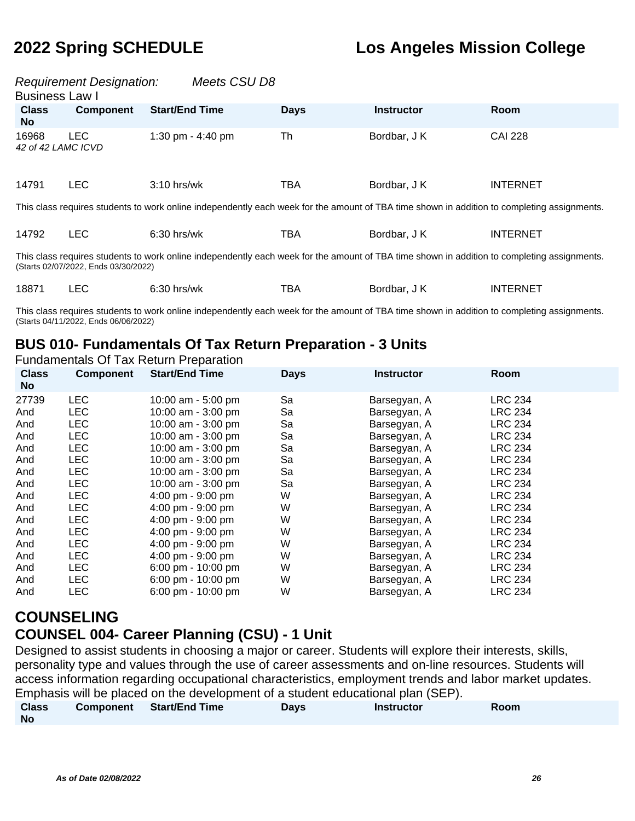| Meets CSU D8<br><b>Requirement Designation:</b><br><b>Business Law I</b>                                                                                                            |                  |                       |             |                   |                 |  |
|-------------------------------------------------------------------------------------------------------------------------------------------------------------------------------------|------------------|-----------------------|-------------|-------------------|-----------------|--|
| <b>Class</b><br>No.                                                                                                                                                                 | <b>Component</b> | <b>Start/End Time</b> | <b>Days</b> | <b>Instructor</b> | <b>Room</b>     |  |
| 16968<br>42 of 42 LAMC ICVD                                                                                                                                                         | <b>LEC</b>       | 1:30 pm $-$ 4:40 pm   | Th          | Bordbar, J K      | <b>CAI 228</b>  |  |
| 14791                                                                                                                                                                               | <b>LEC</b>       | $3:10$ hrs/wk         | <b>TBA</b>  | Bordbar, J K      | <b>INTERNET</b> |  |
| This class requires students to work online independently each week for the amount of TBA time shown in addition to completing assignments.                                         |                  |                       |             |                   |                 |  |
| 14792                                                                                                                                                                               | <b>LEC</b>       | $6:30$ hrs/wk         | TBA         | Bordbar, J K      | <b>INTERNET</b> |  |
| This class requires students to work online independently each week for the amount of TBA time shown in addition to completing assignments.<br>(Starts 02/07/2022, Ends 03/30/2022) |                  |                       |             |                   |                 |  |

| 18871 | $6:30$ hrs/wk | тва | Bordbar, J K | <b>INTERNET</b> |
|-------|---------------|-----|--------------|-----------------|
|       |               |     |              |                 |

This class requires students to work online independently each week for the amount of TBA time shown in addition to completing assignments. (Starts 04/11/2022, Ends 06/06/2022)

### **BUS 010- Fundamentals Of Tax Return Preparation - 3 Units**

Fundamentals Of Tax Return Preparation

| <b>Class</b><br><b>No</b> | <b>Component</b> | <b>Start/End Time</b> | <b>Days</b> | <b>Instructor</b> | <b>Room</b>    |
|---------------------------|------------------|-----------------------|-------------|-------------------|----------------|
| 27739                     | <b>LEC</b>       | 10:00 am - 5:00 pm    | Sa          | Barsegyan, A      | <b>LRC 234</b> |
| And                       | LEC              | 10:00 am - 3:00 pm    | Sa          | Barsegyan, A      | <b>LRC 234</b> |
| And                       | LEC              | 10:00 am - 3:00 pm    | Sa          | Barsegyan, A      | <b>LRC 234</b> |
| And                       | <b>LEC</b>       | 10:00 am - 3:00 pm    | Sa          | Barsegyan, A      | <b>LRC 234</b> |
| And                       | <b>LEC</b>       | 10:00 am - 3:00 pm    | Sa          | Barsegyan, A      | <b>LRC 234</b> |
| And                       | <b>LEC</b>       | 10:00 am - 3:00 pm    | Sa          | Barsegyan, A      | <b>LRC 234</b> |
| And                       | <b>LEC</b>       | 10:00 am - 3:00 pm    | Sa          | Barsegyan, A      | <b>LRC 234</b> |
| And                       | <b>LEC</b>       | 10:00 am - 3:00 pm    | Sa          | Barsegyan, A      | <b>LRC 234</b> |
| And                       | <b>LEC</b>       | 4:00 pm - 9:00 pm     | W           | Barsegyan, A      | <b>LRC 234</b> |
| And                       | <b>LEC</b>       | 4:00 pm - 9:00 pm     | W           | Barsegyan, A      | <b>LRC 234</b> |
| And                       | <b>LEC</b>       | 4:00 pm - 9:00 pm     | W           | Barsegyan, A      | <b>LRC 234</b> |
| And                       | <b>LEC</b>       | 4:00 pm - 9:00 pm     | W           | Barsegyan, A      | <b>LRC 234</b> |
| And                       | <b>LEC</b>       | 4:00 pm - 9:00 pm     | W           | Barsegyan, A      | <b>LRC 234</b> |
| And                       | <b>LEC</b>       | 4:00 pm - 9:00 pm     | W           | Barsegyan, A      | <b>LRC 234</b> |
| And                       | <b>LEC</b>       | 6:00 pm - 10:00 pm    | W           | Barsegyan, A      | <b>LRC 234</b> |
| And                       | <b>LEC</b>       | 6:00 pm - 10:00 pm    | W           | Barsegyan, A      | <b>LRC 234</b> |
| And                       | <b>LEC</b>       | 6:00 pm - 10:00 pm    | W           | Barsegyan, A      | <b>LRC 234</b> |

## **COUNSELING**

### **COUNSEL 004- Career Planning (CSU) - 1 Unit**

Designed to assist students in choosing a major or career. Students will explore their interests, skills, personality type and values through the use of career assessments and on-line resources. Students will access information regarding occupational characteristics, employment trends and labor market updates. Emphasis will be placed on the development of a student educational plan (SEP).

| <b>Class</b> | Component | <b>Start/End Time</b> | <b>Days</b> | <b>Instructor</b> | <b>Room</b> |  |
|--------------|-----------|-----------------------|-------------|-------------------|-------------|--|
| No           |           |                       |             |                   |             |  |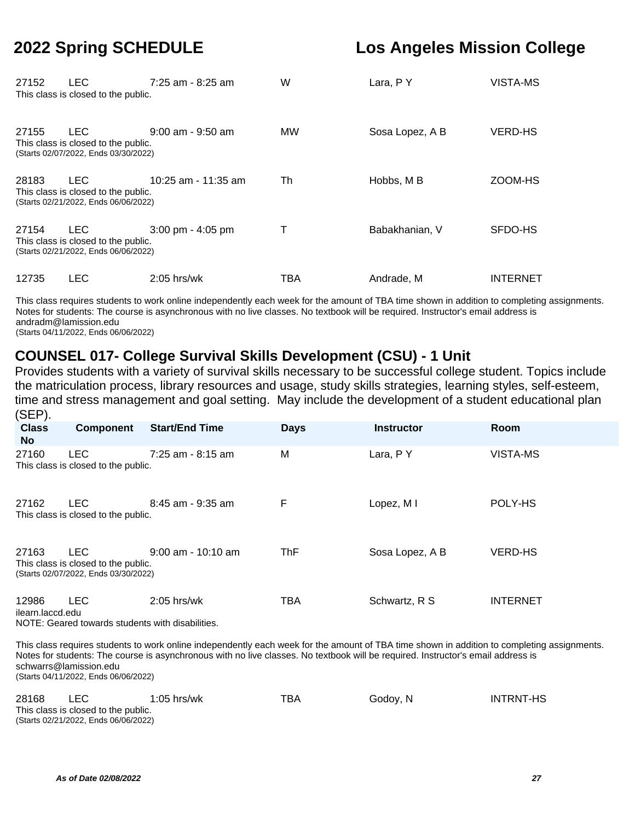| 27152 | LEC<br>This class is closed to the public.                                                | $7:25$ am - 8:25 am   | W         | Lara, P Y       | VISTA-MS        |
|-------|-------------------------------------------------------------------------------------------|-----------------------|-----------|-----------------|-----------------|
| 27155 | LEC.<br>This class is closed to the public.<br>(Starts 02/07/2022, Ends 03/30/2022)       | $9:00$ am - $9:50$ am | <b>MW</b> | Sosa Lopez, A B | <b>VERD-HS</b>  |
| 28183 | <b>LEC</b><br>This class is closed to the public.<br>(Starts 02/21/2022, Ends 06/06/2022) | 10:25 am - 11:35 am   | Th        | Hobbs, M B      | ZOOM-HS         |
| 27154 | <b>LEC</b><br>This class is closed to the public.<br>(Starts 02/21/2022, Ends 06/06/2022) | $3:00$ pm - $4:05$ pm | Τ         | Babakhanian, V  | SFDO-HS         |
| 12735 | <b>LEC</b>                                                                                | $2:05$ hrs/wk         | TBA       | Andrade, M      | <b>INTERNET</b> |

This class requires students to work online independently each week for the amount of TBA time shown in addition to completing assignments. Notes for students: The course is asynchronous with no live classes. No textbook will be required. Instructor's email address is andradm@lamission.edu (Starts 04/11/2022, Ends 06/06/2022)

## **COUNSEL 017- College Survival Skills Development (CSU) - 1 Unit**

Provides students with a variety of survival skills necessary to be successful college student. Topics include the matriculation process, library resources and usage, study skills strategies, learning styles, self-esteem, time and stress management and goal setting. May include the development of a student educational plan (SEP).

| <b>Class</b><br>No.       | <b>Component</b>                                                                          | <b>Start/End Time</b> | <b>Days</b> | <b>Instructor</b> | Room            |
|---------------------------|-------------------------------------------------------------------------------------------|-----------------------|-------------|-------------------|-----------------|
| 27160                     | <b>LEC</b><br>This class is closed to the public.                                         | $7:25$ am - 8:15 am   | M           | Lara, PY          | VISTA-MS        |
| 27162                     | <b>LEC</b><br>This class is closed to the public.                                         | 8:45 am - 9:35 am     | F           | Lopez, MI         | POLY-HS         |
| 27163                     | <b>LEC</b><br>This class is closed to the public.<br>(Starts 02/07/2022, Ends 03/30/2022) | $9:00$ am - 10:10 am  | <b>ThF</b>  | Sosa Lopez, A B   | <b>VERD-HS</b>  |
| 12986<br>ilearn.laccd.edu | <b>LEC</b><br>NOTE: Geared towards students with disabilities.                            | $2:05$ hrs/wk         | TBA         | Schwartz, R S     | <b>INTERNET</b> |

This class requires students to work online independently each week for the amount of TBA time shown in addition to completing assignments. Notes for students: The course is asynchronous with no live classes. No textbook will be required. Instructor's email address is schwarrs@lamission.edu (Starts 04/11/2022, Ends 06/06/2022)

| 28168 | LEC.                                                                        | $1:05$ hrs/wk | TBA | Godov, N | INTRNT-HS |
|-------|-----------------------------------------------------------------------------|---------------|-----|----------|-----------|
|       | This class is closed to the public.<br>(Starts 02/21/2022, Ends 06/06/2022) |               |     |          |           |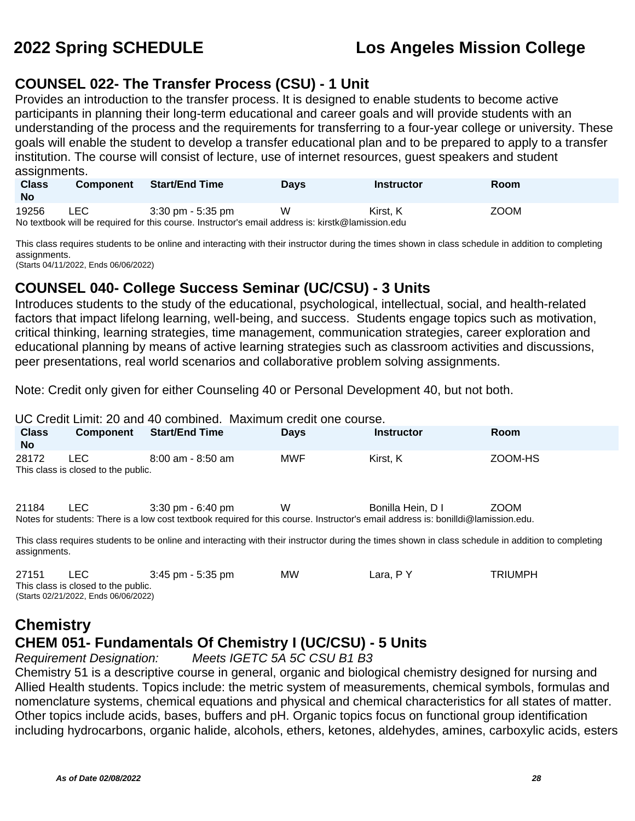### **COUNSEL 022- The Transfer Process (CSU) - 1 Unit**

Provides an introduction to the transfer process. It is designed to enable students to become active participants in planning their long-term educational and career goals and will provide students with an understanding of the process and the requirements for transferring to a four-year college or university. These goals will enable the student to develop a transfer educational plan and to be prepared to apply to a transfer institution. The course will consist of lecture, use of internet resources, guest speakers and student assignments.

| <b>Class</b><br>No                                                                                | <b>Component</b> | <b>Start/End Time</b> | <b>Davs</b> | Instructor | <b>Room</b> |  |  |
|---------------------------------------------------------------------------------------------------|------------------|-----------------------|-------------|------------|-------------|--|--|
| 19256                                                                                             | LEC.             | 3:30 pm - 5:35 pm     | W           | Kirst. K   | <b>ZOOM</b> |  |  |
| No textbook will be required for this course. Instructor's email address is: kirstk@lamission.edu |                  |                       |             |            |             |  |  |

This class requires students to be online and interacting with their instructor during the times shown in class schedule in addition to completing assignments.

(Starts 04/11/2022, Ends 06/06/2022)

### **COUNSEL 040- College Success Seminar (UC/CSU) - 3 Units**

Introduces students to the study of the educational, psychological, intellectual, social, and health-related factors that impact lifelong learning, well-being, and success. Students engage topics such as motivation, critical thinking, learning strategies, time management, communication strategies, career exploration and educational planning by means of active learning strategies such as classroom activities and discussions, peer presentations, real world scenarios and collaborative problem solving assignments.

Note: Credit only given for either Counseling 40 or Personal Development 40, but not both.

UC Credit Limit: 20 and 40 combined. Maximum credit one course.

| <b>Class</b><br><b>No</b> | <b>Component</b>                            | <b>Start/End Time</b>                                                                                                                                                    | <b>Days</b> | <b>Instructor</b> | <b>Room</b> |
|---------------------------|---------------------------------------------|--------------------------------------------------------------------------------------------------------------------------------------------------------------------------|-------------|-------------------|-------------|
| 28172                     | LEC.<br>This class is closed to the public. | $8:00$ am - $8:50$ am                                                                                                                                                    | MWF         | Kirst, K          | ZOOM-HS     |
| 21184                     | LEC.                                        | $3:30 \text{ pm} - 6:40 \text{ pm}$<br>Notes for students: There is a low cost textbook required for this course. Instructor's email address is: bonilldi@lamission.edu. | W           | Bonilla Hein, D I | <b>ZOOM</b> |

This class requires students to be online and interacting with their instructor during the times shown in class schedule in addition to completing assignments.

| 27151                               | LEC.                                 | $3:45$ pm - 5:35 pm | МW | Lara. P Y | TRIUMPH |  |  |
|-------------------------------------|--------------------------------------|---------------------|----|-----------|---------|--|--|
| This class is closed to the public. |                                      |                     |    |           |         |  |  |
|                                     | (Starts 02/21/2022, Ends 06/06/2022) |                     |    |           |         |  |  |

## **Chemistry CHEM 051- Fundamentals Of Chemistry I (UC/CSU) - 5 Units**

Requirement Designation: Meets IGETC 5A 5C CSU B1 B3

Chemistry 51 is a descriptive course in general, organic and biological chemistry designed for nursing and Allied Health students. Topics include: the metric system of measurements, chemical symbols, formulas and nomenclature systems, chemical equations and physical and chemical characteristics for all states of matter. Other topics include acids, bases, buffers and pH. Organic topics focus on functional group identification including hydrocarbons, organic halide, alcohols, ethers, ketones, aldehydes, amines, carboxylic acids, esters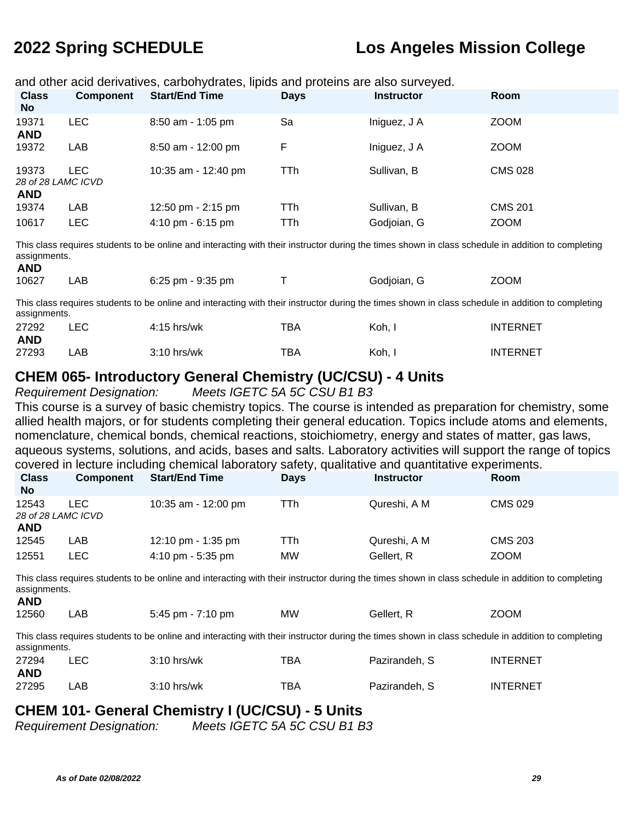and other acid derivatives, carbohydrates, lipids and proteins are also surveyed.

| <b>Class</b><br><b>No</b>                 | <b>Component</b> | <b>Start/End Time</b> | <b>Days</b> | <b>Instructor</b> | Room           |
|-------------------------------------------|------------------|-----------------------|-------------|-------------------|----------------|
| 19371<br><b>AND</b>                       | <b>LEC</b>       | $8:50$ am - 1:05 pm   | Sa          | Iniguez, J A      | <b>ZOOM</b>    |
| 19372                                     | LAB              | $8:50$ am - 12:00 pm  | F           | Iniguez, J A      | <b>ZOOM</b>    |
| 19373<br>28 of 28 LAMC ICVD<br><b>AND</b> | LEC.             | 10:35 am - 12:40 pm   | TTh         | Sullivan, B       | <b>CMS 028</b> |
| 19374                                     | LAB              | 12:50 pm - 2:15 pm    | TTh         | Sullivan, B       | <b>CMS 201</b> |
| 10617                                     | LEC              | 4:10 pm - 6:15 pm     | TTh         | Godjoian, G       | <b>ZOOM</b>    |

This class requires students to be online and interacting with their instructor during the times shown in class schedule in addition to completing assignments.

| AND   |     |                   |             |             |
|-------|-----|-------------------|-------------|-------------|
| 10627 | LAB | 6:25 pm - 9:35 pm | Godjoian, G | <b>ZOOM</b> |

This class requires students to be online and interacting with their instructor during the times shown in class schedule in addition to completing assignments.

| 27292      | ∟EC | $4:15$ hrs/wk | тва | Koh, | <b>INTERNET</b> |
|------------|-----|---------------|-----|------|-----------------|
| <b>AND</b> |     |               |     |      |                 |
| 27293      | ∟AB | $3:10$ hrs/wk | ТВА | Koh, | INTERNET        |

#### **CHEM 065- Introductory General Chemistry (UC/CSU) - 4 Units**

Requirement Designation: Meets IGETC 5A 5C CSU B1 B3

This course is a survey of basic chemistry topics. The course is intended as preparation for chemistry, some allied health majors, or for students completing their general education. Topics include atoms and elements, nomenclature, chemical bonds, chemical reactions, stoichiometry, energy and states of matter, gas laws, aqueous systems, solutions, and acids, bases and salts. Laboratory activities will support the range of topics covered in lecture including chemical laboratory safety, qualitative and quantitative experiments. **Class** 

| <b>Class</b><br><b>No</b>                 | <b>Component</b> | <b>Start/End Time</b>               | <b>Days</b> | <b>Instructor</b> | <b>Room</b>    |
|-------------------------------------------|------------------|-------------------------------------|-------------|-------------------|----------------|
| 12543<br>28 of 28 LAMC ICVD<br><b>AND</b> | LEC.             | 10:35 am - 12:00 pm                 | TTh         | Qureshi, A M      | <b>CMS 029</b> |
| 12545                                     | LAB              | 12:10 pm - 1:35 pm                  | TTh         | Qureshi, A M      | <b>CMS 203</b> |
| 12551                                     | LEC              | $4:10 \text{ pm} - 5:35 \text{ pm}$ | <b>MW</b>   | Gellert, R        | <b>ZOOM</b>    |

This class requires students to be online and interacting with their instructor during the times shown in class schedule in addition to completing assignments.

|  | 12560 | .AB | $5:45$ pm - $7:10$ pm | <b>MW</b> | Gellert, R | <b>ZOOM</b> |
|--|-------|-----|-----------------------|-----------|------------|-------------|
|--|-------|-----|-----------------------|-----------|------------|-------------|

This class requires students to be online and interacting with their instructor during the times shown in class schedule in addition to completing assignments.

| 27294      | LEC  | $3:10$ hrs/wk | тва | Pazirandeh. S | <b>INTERNET</b> |
|------------|------|---------------|-----|---------------|-----------------|
| <b>AND</b> |      |               |     |               |                 |
| 27295      | _AB. | $3:10$ hrs/wk | TBA | Pazirandeh. S | <b>INTERNET</b> |

### **CHEM 101- General Chemistry I (UC/CSU) - 5 Units**

Requirement Designation: Meets IGETC 5A 5C CSU B1 B3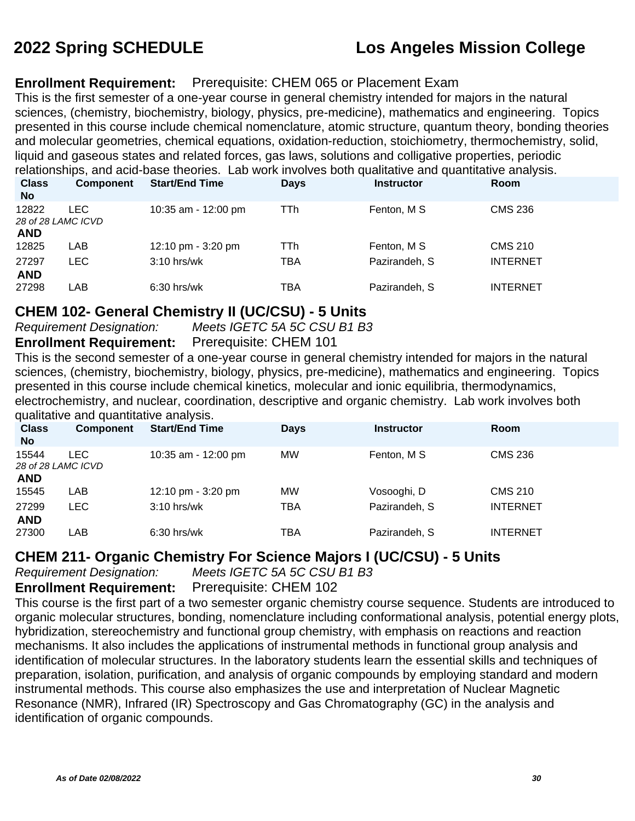#### **Enrollment Requirement:** Prerequisite: CHEM 065 or Placement Exam

This is the first semester of a one-year course in general chemistry intended for majors in the natural sciences, (chemistry, biochemistry, biology, physics, pre-medicine), mathematics and engineering. Topics presented in this course include chemical nomenclature, atomic structure, quantum theory, bonding theories and molecular geometries, chemical equations, oxidation-reduction, stoichiometry, thermochemistry, solid, liquid and gaseous states and related forces, gas laws, solutions and colligative properties, periodic relationships, and acid-base theories. Lab work involves both qualitative and quantitative analysis.

| relativiishiips, ahu auu-base theories.  Lab wurk lifvolves buth qualitative ahu quarititative analysis. |                    |                       |             |                   |                 |  |  |
|----------------------------------------------------------------------------------------------------------|--------------------|-----------------------|-------------|-------------------|-----------------|--|--|
| <b>Class</b>                                                                                             | <b>Component</b>   | <b>Start/End Time</b> | <b>Days</b> | <b>Instructor</b> | <b>Room</b>     |  |  |
| <b>No</b>                                                                                                |                    |                       |             |                   |                 |  |  |
| 12822                                                                                                    | LEC.               | 10:35 am - 12:00 pm   | TTh         | Fenton, M S       | <b>CMS 236</b>  |  |  |
|                                                                                                          | 28 of 28 LAMC ICVD |                       |             |                   |                 |  |  |
| <b>AND</b>                                                                                               |                    |                       |             |                   |                 |  |  |
| 12825                                                                                                    | LAB                | 12:10 pm - 3:20 pm    | TTh         | Fenton, M S       | <b>CMS 210</b>  |  |  |
| 27297                                                                                                    | <b>LEC</b>         | $3:10$ hrs/wk         | TBA         | Pazirandeh, S     | <b>INTERNET</b> |  |  |
| <b>AND</b>                                                                                               |                    |                       |             |                   |                 |  |  |
| 27298                                                                                                    | LAB                | $6:30$ hrs/wk         | TBA         | Pazirandeh, S     | <b>INTERNET</b> |  |  |
|                                                                                                          |                    |                       |             |                   |                 |  |  |

#### **CHEM 102- General Chemistry II (UC/CSU) - 5 Units**

Requirement Designation: Meets IGETC 5A 5C CSU B1 B3 **Enrollment Requirement:** Prerequisite: CHEM 101

This is the second semester of a one-year course in general chemistry intended for majors in the natural sciences, (chemistry, biochemistry, biology, physics, pre-medicine), mathematics and engineering. Topics presented in this course include chemical kinetics, molecular and ionic equilibria, thermodynamics, electrochemistry, and nuclear, coordination, descriptive and organic chemistry. Lab work involves both qualitative and quantitative analysis.

| <b>Class</b><br><b>No</b>                 | <b>Component</b> | <b>Start/End Time</b> | <b>Days</b> | <b>Instructor</b> | <b>Room</b>     |
|-------------------------------------------|------------------|-----------------------|-------------|-------------------|-----------------|
| 15544<br>28 of 28 LAMC ICVD<br><b>AND</b> | LEC.             | 10:35 am - 12:00 pm   | MW          | Fenton, M S       | <b>CMS 236</b>  |
| 15545                                     | LAB              | 12:10 pm $-$ 3:20 pm  | MW          | Vosooghi, D       | <b>CMS 210</b>  |
| 27299<br><b>AND</b>                       | LEC.             | $3:10$ hrs/wk         | TBA         | Pazirandeh, S     | <b>INTERNET</b> |
| 27300                                     | LAB              | $6:30$ hrs/wk         | TBA         | Pazirandeh, S     | <b>INTERNET</b> |

### **CHEM 211- Organic Chemistry For Science Majors I (UC/CSU) - 5 Units**

Requirement Designation: Meets IGETC 5A 5C CSU B1 B3

**Enrollment Requirement:** Prerequisite: CHEM 102

This course is the first part of a two semester organic chemistry course sequence. Students are introduced to organic molecular structures, bonding, nomenclature including conformational analysis, potential energy plots, hybridization, stereochemistry and functional group chemistry, with emphasis on reactions and reaction mechanisms. It also includes the applications of instrumental methods in functional group analysis and identification of molecular structures. In the laboratory students learn the essential skills and techniques of preparation, isolation, purification, and analysis of organic compounds by employing standard and modern instrumental methods. This course also emphasizes the use and interpretation of Nuclear Magnetic Resonance (NMR), Infrared (IR) Spectroscopy and Gas Chromatography (GC) in the analysis and identification of organic compounds.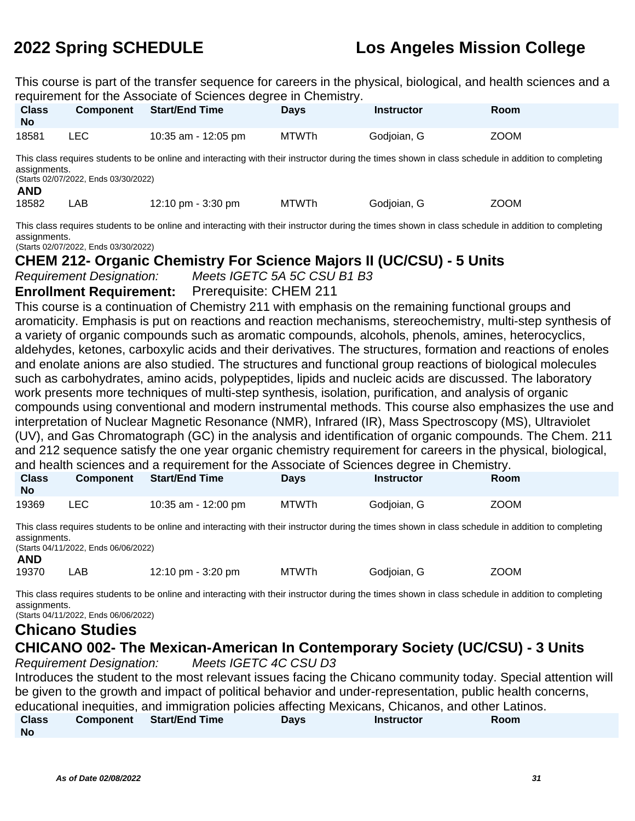This course is part of the transfer sequence for careers in the physical, biological, and health sciences and a requirement for the Associate of Sciences degree in Chemistry.

| <b>Class</b><br><b>No</b> | Component | <b>Start/End Time</b> | Days         | <b>Instructor</b> | <b>Room</b> |  |
|---------------------------|-----------|-----------------------|--------------|-------------------|-------------|--|
| 18581                     | ∟EC       | 10:35 am - 12:05 pm   | <b>MTWTh</b> | Godjoian, G       | <b>ZOOM</b> |  |
| $- \cdot \cdot$           | .         |                       |              |                   |             |  |

This class requires students to be online and interacting with their instructor during the times shown in class schedule in addition to completing assignments.

(Starts 02/07/2022, Ends 03/30/2022)

#### **AND**

18582 LAB 12:10 pm - 3:30 pm MTWTh Godjoian, G ZOOM

This class requires students to be online and interacting with their instructor during the times shown in class schedule in addition to completing assignments.

(Starts 02/07/2022, Ends 03/30/2022)

### **CHEM 212- Organic Chemistry For Science Majors II (UC/CSU) - 5 Units**

Requirement Designation: Meets IGETC 5A 5C CSU B1 B3

#### **Enrollment Requirement:** Prerequisite: CHEM 211

This course is a continuation of Chemistry 211 with emphasis on the remaining functional groups and aromaticity. Emphasis is put on reactions and reaction mechanisms, stereochemistry, multi-step synthesis of a variety of organic compounds such as aromatic compounds, alcohols, phenols, amines, heterocyclics, aldehydes, ketones, carboxylic acids and their derivatives. The structures, formation and reactions of enoles and enolate anions are also studied. The structures and functional group reactions of biological molecules such as carbohydrates, amino acids, polypeptides, lipids and nucleic acids are discussed. The laboratory work presents more techniques of multi-step synthesis, isolation, purification, and analysis of organic compounds using conventional and modern instrumental methods. This course also emphasizes the use and interpretation of Nuclear Magnetic Resonance (NMR), Infrared (IR), Mass Spectroscopy (MS), Ultraviolet (UV), and Gas Chromatograph (GC) in the analysis and identification of organic compounds. The Chem. 211 and 212 sequence satisfy the one year organic chemistry requirement for careers in the physical, biological, and health sciences and a requirement for the Associate of Sciences degree in Chemistry.

| <b>Class</b><br>. No | <b>Component</b> | <b>Start/End Time</b> | <b>Days</b>  | <b>Instructor</b> | <b>Room</b> |
|----------------------|------------------|-----------------------|--------------|-------------------|-------------|
| 19369                | LEC              | 10:35 am - 12:00 pm   | <b>MTWTh</b> | Godjoian, G       | <b>ZOOM</b> |

This class requires students to be online and interacting with their instructor during the times shown in class schedule in addition to completing assignments.

(Starts 04/11/2022, Ends 06/06/2022) **AND**

| 19370 | LAB | 12:10 pm - 3:20 pm | <b>MTWTh</b> | Godjoian, G | <b>ZOOM</b> |
|-------|-----|--------------------|--------------|-------------|-------------|
|-------|-----|--------------------|--------------|-------------|-------------|

This class requires students to be online and interacting with their instructor during the times shown in class schedule in addition to completing assignments. (Starts 04/11/2022, Ends 06/06/2022)

## **Chicano Studies**

# **CHICANO 002- The Mexican-American In Contemporary Society (UC/CSU) - 3 Units**

Requirement Designation: Meets IGETC 4C CSU D3

Introduces the student to the most relevant issues facing the Chicano community today. Special attention will be given to the growth and impact of political behavior and under-representation, public health concerns, educational inequities, and immigration policies affecting Mexicans, Chicanos, and other Latinos.

|              |                                 | <u>advancemental medicine di menunciale en elle en elle en el en el en el en el en el en el en el esperante</u> |            |             |  |
|--------------|---------------------------------|-----------------------------------------------------------------------------------------------------------------|------------|-------------|--|
| <b>Class</b> | <b>Component</b> Start/End Time | Days                                                                                                            | Instructor | <b>Room</b> |  |
| <b>No</b>    |                                 |                                                                                                                 |            |             |  |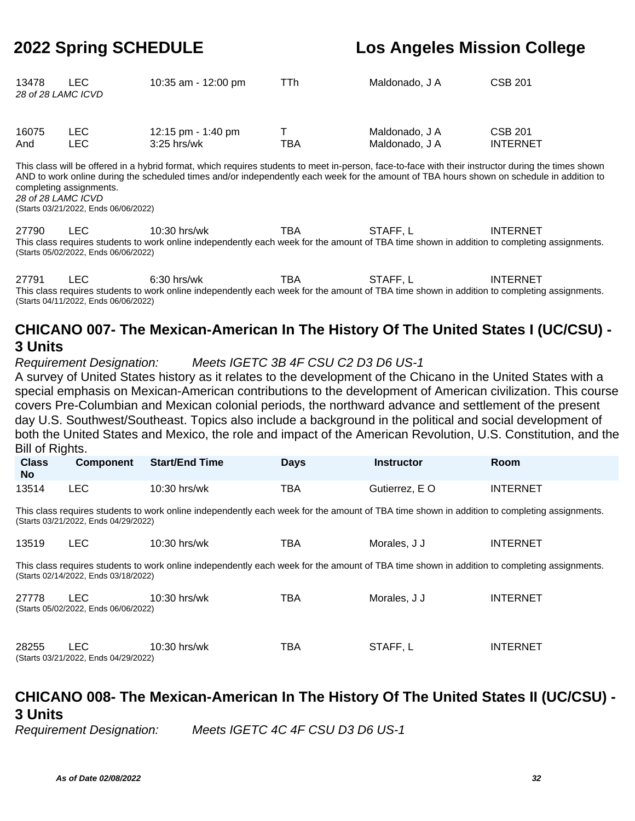| 13478 | LEC .<br>28 of 28 LAMC ICVD | 10:35 am - 12:00 pm | TTh. | Maldonado, J A | <b>CSB 201</b> |
|-------|-----------------------------|---------------------|------|----------------|----------------|
| 16075 | LEC.                        | 12:15 pm - 1:40 pm  |      | Maldonado, J A | <b>CSB 201</b> |

And LEC 3:25 hrs/wk TBA Maldonado, J A INTERNET

This class will be offered in a hybrid format, which requires students to meet in-person, face-to-face with their instructor during the times shown AND to work online during the scheduled times and/or independently each week for the amount of TBA hours shown on schedule in addition to completing assignments. 28 of 28 LAMC ICVD

(Starts 03/21/2022, Ends 06/06/2022)

27790 LEC 10:30 hrs/wk TBA STAFF, L INTERNET This class requires students to work online independently each week for the amount of TBA time shown in addition to completing assignments. (Starts 05/02/2022, Ends 06/06/2022)

27791 LEC 6:30 hrs/wk TBA STAFF, L INTERNET This class requires students to work online independently each week for the amount of TBA time shown in addition to completing assignments. (Starts 04/11/2022, Ends 06/06/2022)

## **CHICANO 007- The Mexican-American In The History Of The United States I (UC/CSU) - 3 Units**

Requirement Designation: Meets IGETC 3B 4F CSU C2 D3 D6 US-1

A survey of United States history as it relates to the development of the Chicano in the United States with a special emphasis on Mexican-American contributions to the development of American civilization. This course covers Pre-Columbian and Mexican colonial periods, the northward advance and settlement of the present day U.S. Southwest/Southeast. Topics also include a background in the political and social development of both the United States and Mexico, the role and impact of the American Revolution, U.S. Constitution, and the Bill of Rights.

| <b>Class</b><br><b>No</b> | <b>Component</b> | <b>Start/End Time</b> | <b>Days</b> | <b>Instructor</b> | Room            |  |
|---------------------------|------------------|-----------------------|-------------|-------------------|-----------------|--|
| 13514                     | <b>LEC</b>       | 10:30 hrs/wk          | TBA         | Gutierrez, E O    | <b>INTERNET</b> |  |

This class requires students to work online independently each week for the amount of TBA time shown in addition to completing assignments. (Starts 03/21/2022, Ends 04/29/2022)

| 13519 | 10:30 hrs/wk | тва | Morales, J J | <b>INTERNET</b> |
|-------|--------------|-----|--------------|-----------------|

This class requires students to work online independently each week for the amount of TBA time shown in addition to completing assignments. (Starts 02/14/2022, Ends 03/18/2022)

| 27778 | LEC.<br>(Starts 05/02/2022, Ends 06/06/2022) | $10:30$ hrs/wk | TBA | Morales, J J | <b>INTERNET</b> |
|-------|----------------------------------------------|----------------|-----|--------------|-----------------|
| 28255 | LEC.<br>(Starts 03/21/2022, Ends 04/29/2022) | $10:30$ hrs/wk | TBA | STAFF. L     | <b>INTERNET</b> |

## **CHICANO 008- The Mexican-American In The History Of The United States II (UC/CSU) - 3 Units**

Requirement Designation: Meets IGETC 4C 4F CSU D3 D6 US-1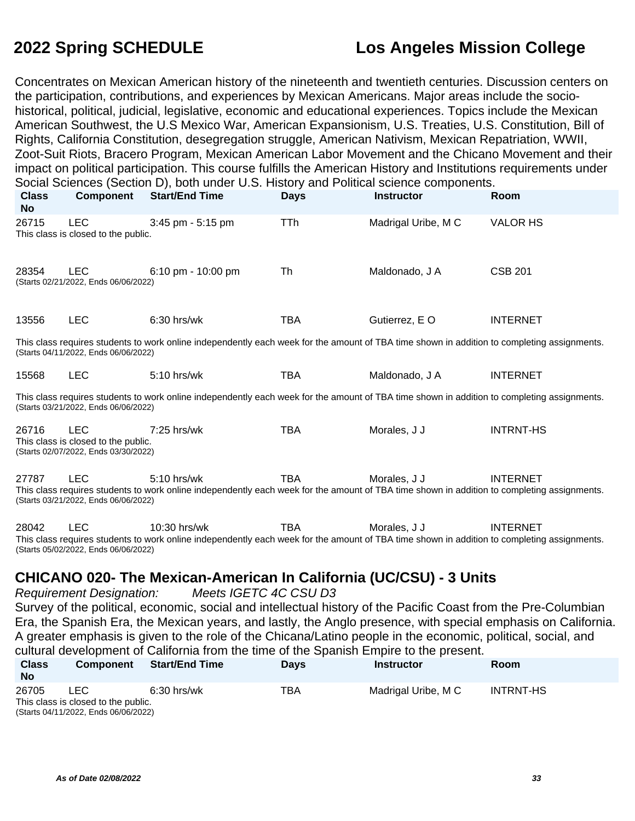Concentrates on Mexican American history of the nineteenth and twentieth centuries. Discussion centers on the participation, contributions, and experiences by Mexican Americans. Major areas include the sociohistorical, political, judicial, legislative, economic and educational experiences. Topics include the Mexican American Southwest, the U.S Mexico War, American Expansionism, U.S. Treaties, U.S. Constitution, Bill of Rights, California Constitution, desegregation struggle, American Nativism, Mexican Repatriation, WWII, Zoot-Suit Riots, Bracero Program, Mexican American Labor Movement and the Chicano Movement and their impact on political participation. This course fulfills the American History and Institutions requirements under Social Sciences (Section D), both under U.S. History and Political science components.

| <b>Class</b><br><b>No</b> | <b>Component</b>                                                                          | <b>Start/End Time</b>                                                                                                                                       | <b>Days</b> | <b>Instructor</b>   | Room             |
|---------------------------|-------------------------------------------------------------------------------------------|-------------------------------------------------------------------------------------------------------------------------------------------------------------|-------------|---------------------|------------------|
| 26715                     | <b>LEC</b><br>This class is closed to the public.                                         | 3:45 pm - 5:15 pm                                                                                                                                           | <b>TTh</b>  | Madrigal Uribe, M C | <b>VALOR HS</b>  |
| 28354                     | <b>LEC</b><br>(Starts 02/21/2022, Ends 06/06/2022)                                        | 6:10 pm - 10:00 pm                                                                                                                                          | Th          | Maldonado, J A      | <b>CSB 201</b>   |
| 13556                     | <b>LEC</b>                                                                                | $6:30$ hrs/wk                                                                                                                                               | <b>TBA</b>  | Gutierrez, E O      | <b>INTERNET</b>  |
|                           | (Starts 04/11/2022, Ends 06/06/2022)                                                      | This class requires students to work online independently each week for the amount of TBA time shown in addition to completing assignments.                 |             |                     |                  |
| 15568                     | <b>LEC</b>                                                                                | 5:10 hrs/wk                                                                                                                                                 | TBA         | Maldonado, J A      | <b>INTERNET</b>  |
|                           | (Starts 03/21/2022, Ends 06/06/2022)                                                      | This class requires students to work online independently each week for the amount of TBA time shown in addition to completing assignments.                 |             |                     |                  |
| 26716                     | <b>LEC</b><br>This class is closed to the public.<br>(Starts 02/07/2022, Ends 03/30/2022) | 7:25 hrs/wk                                                                                                                                                 | <b>TBA</b>  | Morales, J J        | <b>INTRNT-HS</b> |
| 27787                     | <b>LEC</b><br>(Starts 03/21/2022, Ends 06/06/2022)                                        | 5:10 hrs/wk<br>This class requires students to work online independently each week for the amount of TBA time shown in addition to completing assignments.  | <b>TBA</b>  | Morales, J J        | <b>INTERNET</b>  |
| 28042                     | <b>LEC</b><br>(Starts 05/02/2022, Ends 06/06/2022)                                        | 10:30 hrs/wk<br>This class requires students to work online independently each week for the amount of TBA time shown in addition to completing assignments. | <b>TBA</b>  | Morales, J J        | <b>INTERNET</b>  |
|                           | <b>Requirement Designation:</b>                                                           | <b>CHICANO 020- The Mexican-American In California (UC/CSU) - 3 Units</b><br>Meets IGETC 4C CSU D3                                                          |             |                     |                  |

Survey of the political, economic, social and intellectual history of the Pacific Coast from the Pre-Columbian Era, the Spanish Era, the Mexican years, and lastly, the Anglo presence, with special emphasis on California. A greater emphasis is given to the role of the Chicana/Latino people in the economic, political, social, and cultural development of California from the time of the Spanish Empire to the present.

| <b>Class</b><br><b>No</b> | <b>Component</b>                                                                    | <b>Start/End Time</b> | <b>Davs</b> | <b>Instructor</b>   | Room      |
|---------------------------|-------------------------------------------------------------------------------------|-----------------------|-------------|---------------------|-----------|
| 26705                     | LEC.<br>This class is closed to the public.<br>(Starts 04/11/2022, Ends 06/06/2022) | $6:30$ hrs/wk         | TBA         | Madrigal Uribe, M C | INTRNT-HS |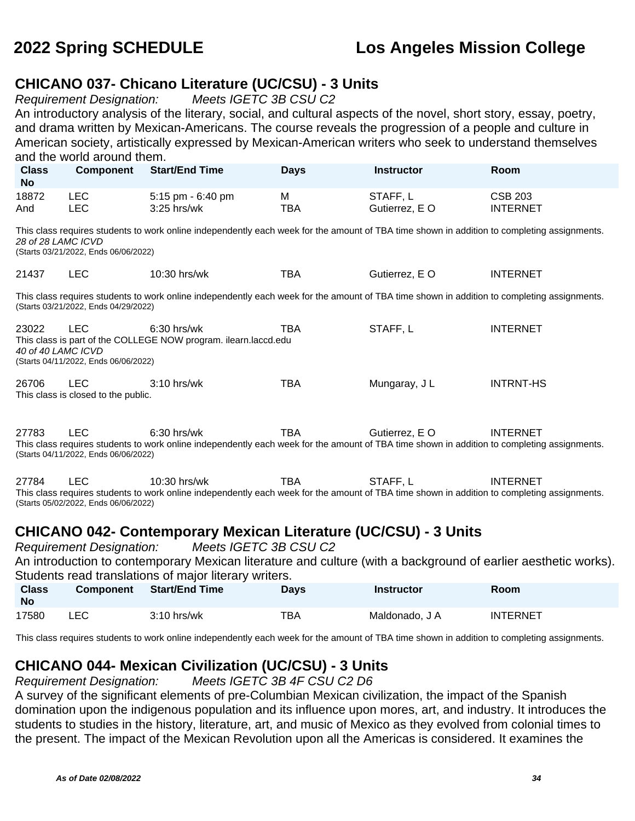### **CHICANO 037- Chicano Literature (UC/CSU) - 3 Units**

Requirement Designation: Meets IGETC 3B CSU C2

An introductory analysis of the literary, social, and cultural aspects of the novel, short story, essay, poetry, and drama written by Mexican-Americans. The course reveals the progression of a people and culture in American society, artistically expressed by Mexican-American writers who seek to understand themselves and the world around them.

| <b>Class</b><br><b>No</b>                                                                                                                                                                                                                                               | <b>Component</b>                                   | <b>Start/End Time</b>                                                                                                                                        | <b>Days</b>     | <b>Instructor</b>          | Room                              |  |  |
|-------------------------------------------------------------------------------------------------------------------------------------------------------------------------------------------------------------------------------------------------------------------------|----------------------------------------------------|--------------------------------------------------------------------------------------------------------------------------------------------------------------|-----------------|----------------------------|-----------------------------------|--|--|
| 18872<br>And                                                                                                                                                                                                                                                            | <b>LEC</b><br><b>LEC</b>                           | 5:15 pm - 6:40 pm<br>3:25 hrs/wk                                                                                                                             | M<br><b>TBA</b> | STAFF, L<br>Gutierrez, E O | <b>CSB 203</b><br><b>INTERNET</b> |  |  |
| This class requires students to work online independently each week for the amount of TBA time shown in addition to completing assignments.<br>28 of 28 LAMC ICVD<br>(Starts 03/21/2022, Ends 06/06/2022)                                                               |                                                    |                                                                                                                                                              |                 |                            |                                   |  |  |
| 21437                                                                                                                                                                                                                                                                   | <b>LEC</b>                                         | 10:30 hrs/wk                                                                                                                                                 | <b>TBA</b>      | Gutierrez, E O             | <b>INTERNET</b>                   |  |  |
|                                                                                                                                                                                                                                                                         | (Starts 03/21/2022, Ends 04/29/2022)               | This class requires students to work online independently each week for the amount of TBA time shown in addition to completing assignments.                  |                 |                            |                                   |  |  |
| 23022<br>40 of 40 LAMC ICVD                                                                                                                                                                                                                                             | <b>LEC</b><br>(Starts 04/11/2022, Ends 06/06/2022) | $6:30$ hrs/wk<br>This class is part of the COLLEGE NOW program. ilearn.laccd.edu                                                                             | <b>TBA</b>      | STAFF, L                   | <b>INTERNET</b>                   |  |  |
| 26706                                                                                                                                                                                                                                                                   | <b>LEC</b><br>This class is closed to the public.  | 3:10 hrs/wk                                                                                                                                                  | <b>TBA</b>      | Mungaray, J L              | <b>INTRNT-HS</b>                  |  |  |
| 27783                                                                                                                                                                                                                                                                   | <b>LEC</b><br>(Starts 04/11/2022, Ends 06/06/2022) | $6:30$ hrs/wk<br>This class requires students to work online independently each week for the amount of TBA time shown in addition to completing assignments. | <b>TBA</b>      | Gutierrez, E O             | <b>INTERNET</b>                   |  |  |
| <b>TBA</b><br>27784<br><b>LEC</b><br>10:30 hrs/wk<br>STAFF, L<br><b>INTERNET</b><br>This class requires students to work online independently each week for the amount of TBA time shown in addition to completing assignments.<br>(Starts 05/02/2022, Ends 06/06/2022) |                                                    |                                                                                                                                                              |                 |                            |                                   |  |  |
| <b>CHICANO 042- Contemporary Mexican Literature (UC/CSU) - 3 Units</b><br>Meets IGETC 3B CSU C2<br><b>Requirement Designation:</b>                                                                                                                                      |                                                    |                                                                                                                                                              |                 |                            |                                   |  |  |

An introduction to contemporary Mexican literature and culture (with a background of earlier aesthetic works). Students read translations of major literary writers.

| <b>Class</b><br><b>No</b> | <b>Component</b> | <b>Start/End Time</b> | <b>Davs</b> | <b>Instructor</b> | <b>Room</b>     |
|---------------------------|------------------|-----------------------|-------------|-------------------|-----------------|
| 17580                     | LEC              | $3:10$ hrs/wk         | TBA         | Maldonado. J A    | <b>INTERNET</b> |

This class requires students to work online independently each week for the amount of TBA time shown in addition to completing assignments.

## **CHICANO 044- Mexican Civilization (UC/CSU) - 3 Units**

Requirement Designation: Meets IGETC 3B 4F CSU C2 D6

A survey of the significant elements of pre-Columbian Mexican civilization, the impact of the Spanish domination upon the indigenous population and its influence upon mores, art, and industry. It introduces the students to studies in the history, literature, art, and music of Mexico as they evolved from colonial times to the present. The impact of the Mexican Revolution upon all the Americas is considered. It examines the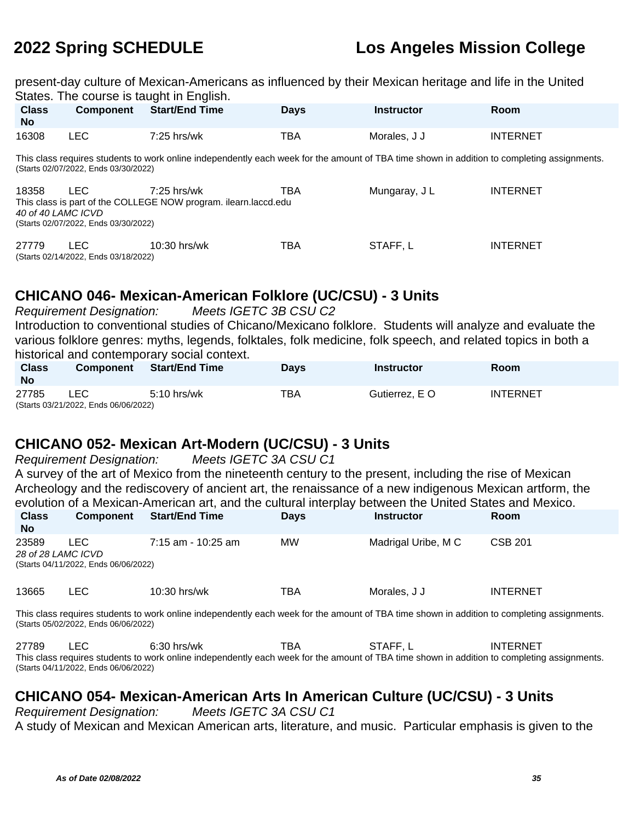present-day culture of Mexican-Americans as influenced by their Mexican heritage and life in the United States. The course is taught in English.

| <b>Class</b><br><b>No</b>   | <b>Component</b>                                                                                                                                                                    | <b>Start/End Time</b>                                                            | <b>Days</b> | <b>Instructor</b> | Room            |  |
|-----------------------------|-------------------------------------------------------------------------------------------------------------------------------------------------------------------------------------|----------------------------------------------------------------------------------|-------------|-------------------|-----------------|--|
| 16308                       | <b>LEC</b>                                                                                                                                                                          | $7:25$ hrs/wk                                                                    | <b>TBA</b>  | Morales, J J      | <b>INTERNET</b> |  |
|                             | This class requires students to work online independently each week for the amount of TBA time shown in addition to completing assignments.<br>(Starts 02/07/2022, Ends 03/30/2022) |                                                                                  |             |                   |                 |  |
| 18358<br>40 of 40 LAMC ICVD | LEC.<br>(Starts 02/07/2022, Ends 03/30/2022)                                                                                                                                        | $7:25$ hrs/wk<br>This class is part of the COLLEGE NOW program. ilearn.laccd.edu | TBA         | Mungaray, J L     | <b>INTERNET</b> |  |
| 27779                       | <b>LEC</b><br>(Starts 02/14/2022, Ends 03/18/2022)                                                                                                                                  | $10:30$ hrs/wk                                                                   | TBA         | STAFF, L          | <b>INTERNET</b> |  |

## **CHICANO 046- Mexican-American Folklore (UC/CSU) - 3 Units**

Requirement Designation: Meets IGETC 3B CSU C2 Introduction to conventional studies of Chicano/Mexicano folklore. Students will analyze and evaluate the various folklore genres: myths, legends, folktales, folk medicine, folk speech, and related topics in both a historical and contemporary social context.

| <b>Class</b><br><b>No</b> | <b>Component</b>                            | Start/End Time | <b>Days</b> | <b>Instructor</b> | Room     |
|---------------------------|---------------------------------------------|----------------|-------------|-------------------|----------|
| 27785                     | LEC<br>(Starts 03/21/2022, Ends 06/06/2022) | $5:10$ hrs/wk  | TBA         | Gutierrez. E O    | INTERNET |

### **CHICANO 052- Mexican Art-Modern (UC/CSU) - 3 Units**

Requirement Designation: Meets IGETC 3A CSU C1 A survey of the art of Mexico from the nineteenth century to the present, including the rise of Mexican Archeology and the rediscovery of ancient art, the renaissance of a new indigenous Mexican artform, the evolution of a Mexican-American art, and the cultural interplay between the United States and Mexico.

| <b>Class</b><br><b>No</b>                                                                                                                                                           | <b>Component</b>                                                   | <b>Start/End Time</b> | <b>Davs</b> | <b>Instructor</b>   | <b>Room</b>     |  |
|-------------------------------------------------------------------------------------------------------------------------------------------------------------------------------------|--------------------------------------------------------------------|-----------------------|-------------|---------------------|-----------------|--|
| 23589                                                                                                                                                                               | LEC.<br>28 of 28 LAMC ICVD<br>(Starts 04/11/2022, Ends 06/06/2022) | $7:15$ am - 10:25 am  | <b>MW</b>   | Madrigal Uribe, M C | <b>CSB 201</b>  |  |
| 13665                                                                                                                                                                               | LEC.                                                               | $10:30$ hrs/wk        | TBA         | Morales, J J        | <b>INTERNET</b> |  |
| This class requires students to work online independently each week for the amount of TBA time shown in addition to completing assignments.<br>(Starts 05/02/2022, Ends 06/06/2022) |                                                                    |                       |             |                     |                 |  |

27789 LEC 6:30 hrs/wk TBA STAFF, L INTERNET This class requires students to work online independently each week for the amount of TBA time shown in addition to completing assignments. (Starts 04/11/2022, Ends 06/06/2022)

## **CHICANO 054- Mexican-American Arts In American Culture (UC/CSU) - 3 Units**

Requirement Designation: Meets IGETC 3A CSU C1 A study of Mexican and Mexican American arts, literature, and music. Particular emphasis is given to the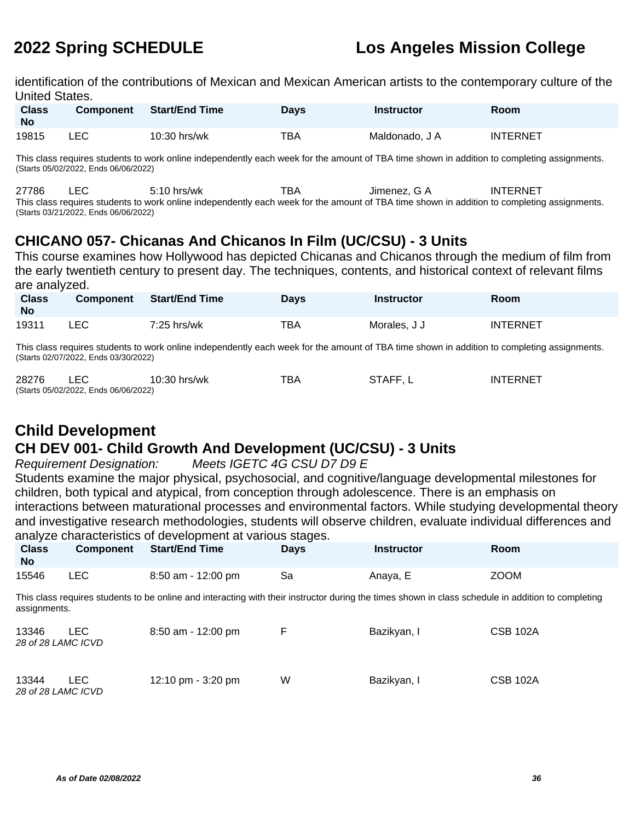identification of the contributions of Mexican and Mexican American artists to the contemporary culture of the United States.

| <b>Class</b><br><b>No</b> | <b>Component</b> | Start/End Time | Days | <b>Instructor</b> | Room            |
|---------------------------|------------------|----------------|------|-------------------|-----------------|
| 19815                     | LEC              | 10:30 hrs/wk   | тва  | Maldonado. J A    | <b>INTERNET</b> |

This class requires students to work online independently each week for the amount of TBA time shown in addition to completing assignments. (Starts 05/02/2022, Ends 06/06/2022)

27786 LEC 5:10 hrs/wk TBA Jimenez, G A INTERNET This class requires students to work online independently each week for the amount of TBA time shown in addition to completing assignments. (Starts 03/21/2022, Ends 06/06/2022)

### **CHICANO 057- Chicanas And Chicanos In Film (UC/CSU) - 3 Units**

This course examines how Hollywood has depicted Chicanas and Chicanos through the medium of film from the early twentieth century to present day. The techniques, contents, and historical context of relevant films are analyzed.

| <b>Class</b><br><b>No</b> | <b>Component</b> | <b>Start/End Time</b> | Davs | Instructor   | Room            |
|---------------------------|------------------|-----------------------|------|--------------|-----------------|
| 19311                     | LEC              | $7:25$ hrs/wk         | TBA  | Morales. J J | <b>INTERNET</b> |

This class requires students to work online independently each week for the amount of TBA time shown in addition to completing assignments. (Starts 02/07/2022, Ends 03/30/2022)

| 28276 |                                      | 10:30 hrs/wk | TBA | STAFF, L | INTERNET |
|-------|--------------------------------------|--------------|-----|----------|----------|
|       | (Starts 05/02/2022, Ends 06/06/2022) |              |     |          |          |

## **Child Development**

## **CH DEV 001- Child Growth And Development (UC/CSU) - 3 Units**

Requirement Designation: Meets IGETC 4G CSU D7 D9 E

Students examine the major physical, psychosocial, and cognitive/language developmental milestones for children, both typical and atypical, from conception through adolescence. There is an emphasis on interactions between maturational processes and environmental factors. While studying developmental theory and investigative research methodologies, students will observe children, evaluate individual differences and analyze characteristics of development at various stages.

| <b>Class</b><br><b>No</b> | Component | <b>Start/End Time</b> | <b>Days</b> | <b>Instructor</b> | Room        |
|---------------------------|-----------|-----------------------|-------------|-------------------|-------------|
| 15546                     | LEC.      | 8:50 am - 12:00 pm    | Sa          | Anaya, E          | <b>ZOOM</b> |

This class requires students to be online and interacting with their instructor during the times shown in class schedule in addition to completing assignments.

| 13346<br>28 of 28 LAMC ICVD | LEC. | $8:50$ am - 12:00 pm | E | Bazikyan, I | <b>CSB 102A</b> |
|-----------------------------|------|----------------------|---|-------------|-----------------|
| 13344<br>28 of 28 LAMC ICVD | LEC. | 12:10 pm $-$ 3:20 pm | W | Bazikyan, I | <b>CSB 102A</b> |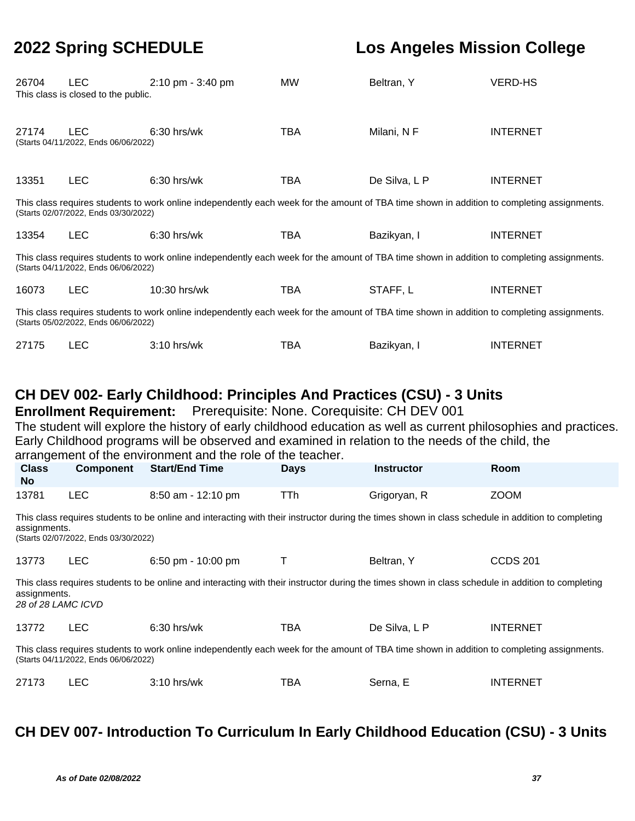| 26704                                                                                                                                                                                                                                                                                                                                                                           | <b>LEC</b><br>This class is closed to the public.  | 2:10 pm - 3:40 pm                                                                                                                                  | MW          | Beltran, Y        | <b>VERD-HS</b>  |  |  |
|---------------------------------------------------------------------------------------------------------------------------------------------------------------------------------------------------------------------------------------------------------------------------------------------------------------------------------------------------------------------------------|----------------------------------------------------|----------------------------------------------------------------------------------------------------------------------------------------------------|-------------|-------------------|-----------------|--|--|
| 27174                                                                                                                                                                                                                                                                                                                                                                           | <b>LEC</b><br>(Starts 04/11/2022, Ends 06/06/2022) | 6:30 hrs/wk                                                                                                                                        | <b>TBA</b>  | Milani, NF        | <b>INTERNET</b> |  |  |
| 13351                                                                                                                                                                                                                                                                                                                                                                           | <b>LEC</b>                                         | 6:30 hrs/wk                                                                                                                                        | <b>TBA</b>  | De Silva, L P     | <b>INTERNET</b> |  |  |
|                                                                                                                                                                                                                                                                                                                                                                                 | (Starts 02/07/2022, Ends 03/30/2022)               | This class requires students to work online independently each week for the amount of TBA time shown in addition to completing assignments.        |             |                   |                 |  |  |
| 13354                                                                                                                                                                                                                                                                                                                                                                           | <b>LEC</b>                                         | 6:30 hrs/wk                                                                                                                                        | <b>TBA</b>  | Bazikyan, I       | <b>INTERNET</b> |  |  |
|                                                                                                                                                                                                                                                                                                                                                                                 | (Starts 04/11/2022, Ends 06/06/2022)               | This class requires students to work online independently each week for the amount of TBA time shown in addition to completing assignments.        |             |                   |                 |  |  |
| 16073                                                                                                                                                                                                                                                                                                                                                                           | <b>LEC</b>                                         | 10:30 hrs/wk                                                                                                                                       | <b>TBA</b>  | STAFF, L          | <b>INTERNET</b> |  |  |
|                                                                                                                                                                                                                                                                                                                                                                                 | (Starts 05/02/2022, Ends 06/06/2022)               | This class requires students to work online independently each week for the amount of TBA time shown in addition to completing assignments.        |             |                   |                 |  |  |
| 27175                                                                                                                                                                                                                                                                                                                                                                           | <b>LEC</b>                                         | 3:10 hrs/wk                                                                                                                                        | <b>TBA</b>  | Bazikyan, I       | <b>INTERNET</b> |  |  |
| CH DEV 002- Early Childhood: Principles And Practices (CSU) - 3 Units<br>Prerequisite: None. Corequisite: CH DEV 001<br><b>Enrollment Requirement:</b><br>The student will explore the history of early childhood education as well as current philosophies and practices.<br>Early Childhood programs will be observed and examined in relation to the needs of the child, the |                                                    |                                                                                                                                                    |             |                   |                 |  |  |
|                                                                                                                                                                                                                                                                                                                                                                                 |                                                    |                                                                                                                                                    |             |                   |                 |  |  |
| <b>Class</b><br><b>No</b>                                                                                                                                                                                                                                                                                                                                                       | <b>Component</b>                                   | arrangement of the environment and the role of the teacher.<br><b>Start/End Time</b>                                                               | <b>Days</b> | <b>Instructor</b> | Room            |  |  |
| 13781                                                                                                                                                                                                                                                                                                                                                                           | <b>LEC</b>                                         | 8:50 am - 12:10 pm                                                                                                                                 | TTh         | Grigoryan, R      | <b>ZOOM</b>     |  |  |
| assignments.                                                                                                                                                                                                                                                                                                                                                                    | (Starts 02/07/2022, Ends 03/30/2022)               | This class requires students to be online and interacting with their instructor during the times shown in class schedule in addition to completing |             |                   |                 |  |  |
| 13773                                                                                                                                                                                                                                                                                                                                                                           | <b>LEC</b>                                         | 6:50 pm - 10:00 pm                                                                                                                                 | Τ           | Beltran, Y        | <b>CCDS 201</b> |  |  |
| assignments.<br>28 of 28 LAMC ICVD                                                                                                                                                                                                                                                                                                                                              |                                                    | This class requires students to be online and interacting with their instructor during the times shown in class schedule in addition to completing |             |                   |                 |  |  |
| 13772                                                                                                                                                                                                                                                                                                                                                                           | <b>LEC</b>                                         | 6:30 hrs/wk                                                                                                                                        | <b>TBA</b>  | De Silva, L P     | <b>INTERNET</b> |  |  |
|                                                                                                                                                                                                                                                                                                                                                                                 | (Starts 04/11/2022, Ends 06/06/2022)               | This class requires students to work online independently each week for the amount of TBA time shown in addition to completing assignments.        |             |                   |                 |  |  |

## **CH DEV 007- Introduction To Curriculum In Early Childhood Education (CSU) - 3 Units**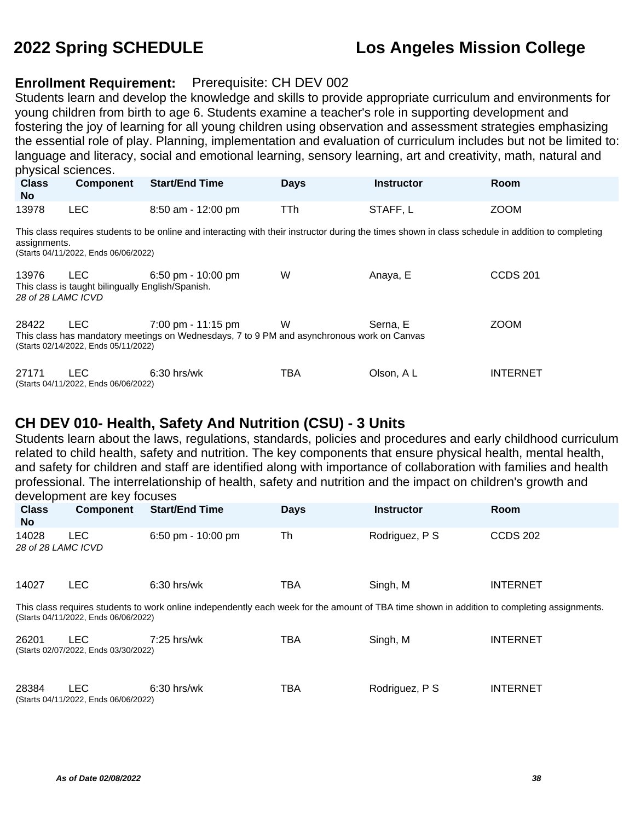#### **Enrollment Requirement:** Prerequisite: CH DEV 002

Students learn and develop the knowledge and skills to provide appropriate curriculum and environments for young children from birth to age 6. Students examine a teacher's role in supporting development and fostering the joy of learning for all young children using observation and assessment strategies emphasizing the essential role of play. Planning, implementation and evaluation of curriculum includes but not be limited to: language and literacy, social and emotional learning, sensory learning, art and creativity, math, natural and physical sciences.

| <b>Class</b><br>No.         | <b>Component</b>                                                                                                                                                                                           | <b>Start/End Time</b>                                                                                                              | <b>Days</b> | <b>Instructor</b> | Room            |  |  |  |
|-----------------------------|------------------------------------------------------------------------------------------------------------------------------------------------------------------------------------------------------------|------------------------------------------------------------------------------------------------------------------------------------|-------------|-------------------|-----------------|--|--|--|
| 13978                       | <b>LEC</b>                                                                                                                                                                                                 | 8:50 am - 12:00 pm                                                                                                                 | TTh         | STAFF, L          | <b>ZOOM</b>     |  |  |  |
|                             | This class requires students to be online and interacting with their instructor during the times shown in class schedule in addition to completing<br>assignments.<br>(Starts 04/11/2022, Ends 06/06/2022) |                                                                                                                                    |             |                   |                 |  |  |  |
| 13976<br>28 of 28 LAMC ICVD | <b>LEC</b><br>This class is taught bilingually English/Spanish.                                                                                                                                            | $6:50 \text{ pm} - 10:00 \text{ pm}$                                                                                               | W           | Anaya, E          | <b>CCDS 201</b> |  |  |  |
| 28422                       | LEC.<br>(Starts 02/14/2022, Ends 05/11/2022)                                                                                                                                                               | $7:00 \text{ pm} - 11:15 \text{ pm}$<br>This class has mandatory meetings on Wednesdays, 7 to 9 PM and asynchronous work on Canvas | W           | Serna, E          | <b>ZOOM</b>     |  |  |  |
| 27171                       | <b>LEC</b><br>(Starts 04/11/2022, Ends 06/06/2022)                                                                                                                                                         | $6:30$ hrs/wk                                                                                                                      | TBA         | Olson, A L        | <b>INTERNET</b> |  |  |  |

#### **CH DEV 010- Health, Safety And Nutrition (CSU) - 3 Units**

Students learn about the laws, regulations, standards, policies and procedures and early childhood curriculum related to child health, safety and nutrition. The key components that ensure physical health, mental health, and safety for children and staff are identified along with importance of collaboration with families and health professional. The interrelationship of health, safety and nutrition and the impact on children's growth and development are key focuses

| <b>Class</b><br>No.         | <b>Component</b>                                   | <b>Start/End Time</b>                                                                                                                       | <b>Days</b> | <b>Instructor</b> | Room            |
|-----------------------------|----------------------------------------------------|---------------------------------------------------------------------------------------------------------------------------------------------|-------------|-------------------|-----------------|
| 14028<br>28 of 28 LAMC ICVD | <b>LEC</b>                                         | $6:50$ pm - 10:00 pm                                                                                                                        | Th          | Rodriguez, P S    | <b>CCDS 202</b> |
| 14027                       | <b>LEC</b>                                         | $6:30$ hrs/wk                                                                                                                               | TBA         | Singh, M          | <b>INTERNET</b> |
|                             | (Starts 04/11/2022, Ends 06/06/2022)               | This class requires students to work online independently each week for the amount of TBA time shown in addition to completing assignments. |             |                   |                 |
| 26201                       | <b>LEC</b><br>(Starts 02/07/2022, Ends 03/30/2022) | $7:25$ hrs/wk                                                                                                                               | TBA         | Singh, M          | <b>INTERNET</b> |
| 28384                       | <b>LEC</b><br>(Starts 04/11/2022, Ends 06/06/2022) | $6:30$ hrs/wk                                                                                                                               | TBA         | Rodriguez, P S    | <b>INTERNET</b> |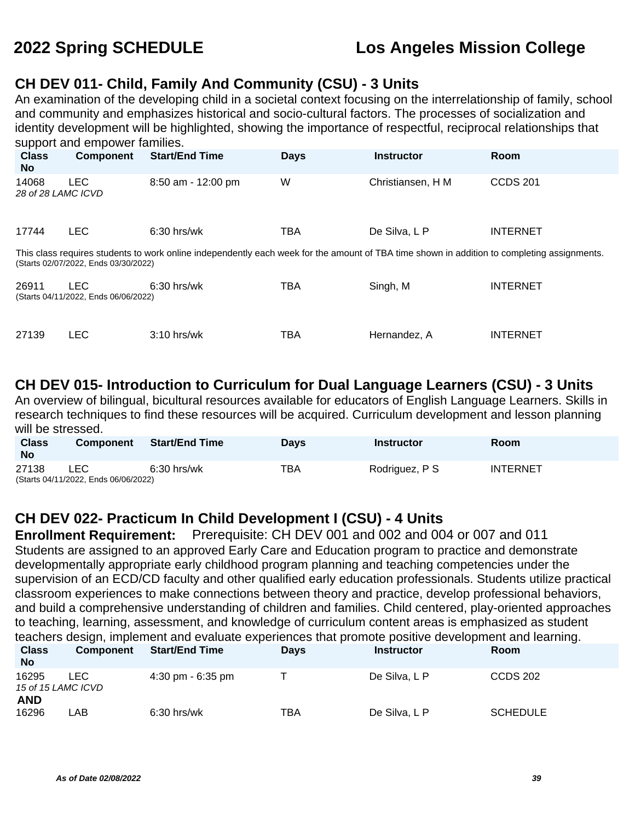#### **CH DEV 011- Child, Family And Community (CSU) - 3 Units**

An examination of the developing child in a societal context focusing on the interrelationship of family, school and community and emphasizes historical and socio-cultural factors. The processes of socialization and identity development will be highlighted, showing the importance of respectful, reciprocal relationships that support and empower families.

| ------<br><b>Class</b><br>No. | <b>Component</b>                                   | <b>Start/End Time</b>                                                                                                                       | <b>Days</b> | <b>Instructor</b> | <b>Room</b>     |
|-------------------------------|----------------------------------------------------|---------------------------------------------------------------------------------------------------------------------------------------------|-------------|-------------------|-----------------|
| 14068<br>28 of 28 LAMC ICVD   | <b>LEC</b>                                         | $8:50$ am - 12:00 pm                                                                                                                        | W           | Christiansen, H M | <b>CCDS 201</b> |
| 17744                         | <b>LEC</b>                                         | $6:30$ hrs/wk                                                                                                                               | TBA         | De Silva, L P     | <b>INTERNET</b> |
|                               | (Starts 02/07/2022, Ends 03/30/2022)               | This class requires students to work online independently each week for the amount of TBA time shown in addition to completing assignments. |             |                   |                 |
| 26911                         | <b>LEC</b><br>(Starts 04/11/2022, Ends 06/06/2022) | $6:30$ hrs/wk                                                                                                                               | TBA         | Singh, M          | <b>INTERNET</b> |
| 27139                         | <b>LEC</b>                                         | $3:10$ hrs/wk                                                                                                                               | TBA         | Hernandez, A      | <b>INTERNET</b> |

#### **CH DEV 015- Introduction to Curriculum for Dual Language Learners (CSU) - 3 Units**

An overview of bilingual, bicultural resources available for educators of English Language Learners. Skills in research techniques to find these resources will be acquired. Curriculum development and lesson planning will be stressed.

| <b>Class</b><br><b>No</b> | <b>Component</b>                            | <b>Start/End Time</b> | <b>Davs</b> | Instructor     | <b>Room</b>     |
|---------------------------|---------------------------------------------|-----------------------|-------------|----------------|-----------------|
| 27138                     | ∟EC<br>(Starts 04/11/2022, Ends 06/06/2022) | $6:30$ hrs/wk         | TBA         | Rodriguez, P S | <b>INTERNET</b> |

#### **CH DEV 022- Practicum In Child Development I (CSU) - 4 Units**

**Enrollment Requirement:** Prerequisite: CH DEV 001 and 002 and 004 or 007 and 011 Students are assigned to an approved Early Care and Education program to practice and demonstrate developmentally appropriate early childhood program planning and teaching competencies under the supervision of an ECD/CD faculty and other qualified early education professionals. Students utilize practical classroom experiences to make connections between theory and practice, develop professional behaviors, and build a comprehensive understanding of children and families. Child centered, play-oriented approaches to teaching, learning, assessment, and knowledge of curriculum content areas is emphasized as student teachers design, implement and evaluate experiences that promote positive development and learning.

| <b>Class</b><br><b>No</b> | <b>Component</b>           | <b>Start/End Time</b>               | <b>Days</b> | <b>Instructor</b> | <b>Room</b>     |
|---------------------------|----------------------------|-------------------------------------|-------------|-------------------|-----------------|
| 16295                     | LEC.<br>15 of 15 LAMC ICVD | $4:30 \text{ pm} - 6:35 \text{ pm}$ |             | De Silva, L P     | <b>CCDS 202</b> |
| AND<br>16296              | _AB                        | $6:30$ hrs/wk                       | TBA         | De Silva, L P     | <b>SCHEDULE</b> |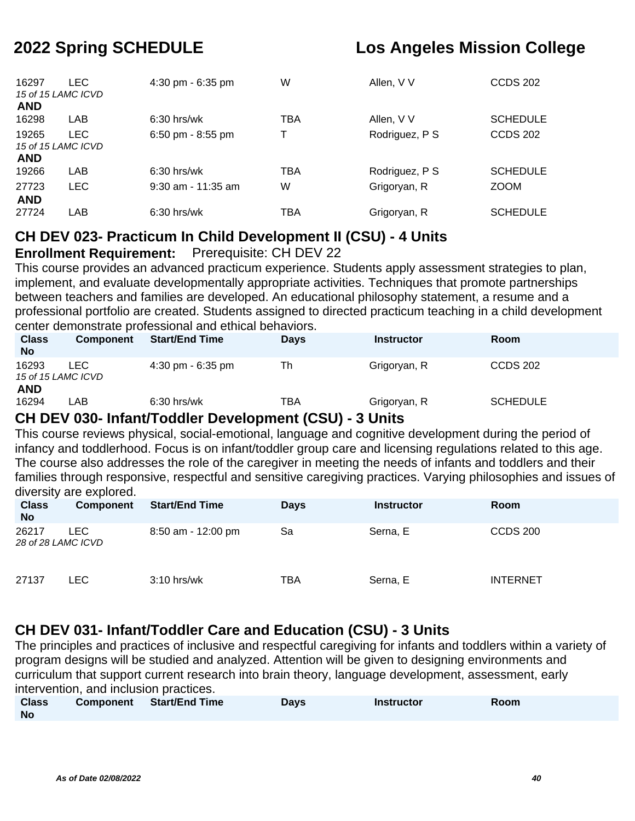| 16297<br><b>AND</b> | <b>LEC</b><br>15 of 15 LAMC ICVD | 4:30 pm - $6:35$ pm  | W   | Allen, V V     | <b>CCDS 202</b> |
|---------------------|----------------------------------|----------------------|-----|----------------|-----------------|
| 16298               | LAB                              | $6:30$ hrs/wk        | TBA | Allen, V V     | <b>SCHEDULE</b> |
| 19265<br><b>AND</b> | <b>LEC</b><br>15 of 15 LAMC ICVD | 6:50 pm - 8:55 pm    | Т   | Rodriguez, P S | <b>CCDS 202</b> |
| 19266               | LAB                              | $6:30$ hrs/wk        | TBA | Rodriguez, P S | <b>SCHEDULE</b> |
| 27723<br><b>AND</b> | <b>LEC</b>                       | $9:30$ am - 11:35 am | W   | Grigoryan, R   | <b>ZOOM</b>     |
| 27724               | LAB                              | $6:30$ hrs/wk        | TBA | Grigoryan, R   | <b>SCHEDULE</b> |

### **CH DEV 023- Practicum In Child Development II (CSU) - 4 Units**

#### **Enrollment Requirement:** Prerequisite: CH DEV 22

This course provides an advanced practicum experience. Students apply assessment strategies to plan, implement, and evaluate developmentally appropriate activities. Techniques that promote partnerships between teachers and families are developed. An educational philosophy statement, a resume and a professional portfolio are created. Students assigned to directed practicum teaching in a child development center demonstrate professional and ethical behaviors.

| <b>Class</b><br><b>No</b> | <b>Component</b>           | <b>Start/End Time</b>               | <b>Days</b> | <b>Instructor</b> | <b>Room</b>     |
|---------------------------|----------------------------|-------------------------------------|-------------|-------------------|-----------------|
| 16293                     | LEC.<br>15 of 15 LAMC ICVD | $4:30 \text{ pm} - 6:35 \text{ pm}$ | Th          | Grigoryan, R      | <b>CCDS 202</b> |
| <b>AND</b><br>16294       | .AB                        | $6:30$ hrs/wk                       | TBA         | Grigoryan, R      | <b>SCHEDULE</b> |

### **CH DEV 030- Infant/Toddler Development (CSU) - 3 Units**

This course reviews physical, social-emotional, language and cognitive development during the period of infancy and toddlerhood. Focus is on infant/toddler group care and licensing regulations related to this age. The course also addresses the role of the caregiver in meeting the needs of infants and toddlers and their families through responsive, respectful and sensitive caregiving practices. Varying philosophies and issues of diversity are explored.

| <b>Class</b><br><b>No</b>   | Component | <b>Start/End Time</b> | <b>Days</b> | <b>Instructor</b> | <b>Room</b>     |
|-----------------------------|-----------|-----------------------|-------------|-------------------|-----------------|
| 26217<br>28 of 28 LAMC ICVD | LEC.      | 8:50 am - 12:00 pm    | Sa          | Serna, E          | <b>CCDS 200</b> |
| 27137                       | LEC.      | $3:10$ hrs/wk         | TBA         | Serna, E          | <b>INTERNET</b> |

### **CH DEV 031- Infant/Toddler Care and Education (CSU) - 3 Units**

The principles and practices of inclusive and respectful caregiving for infants and toddlers within a variety of program designs will be studied and analyzed. Attention will be given to designing environments and curriculum that support current research into brain theory, language development, assessment, early intervention, and inclusion practices.

| <b>Class</b> | Component Start/End Time | <b>Days</b> | <b>Instructor</b> | Room |
|--------------|--------------------------|-------------|-------------------|------|
| No           |                          |             |                   |      |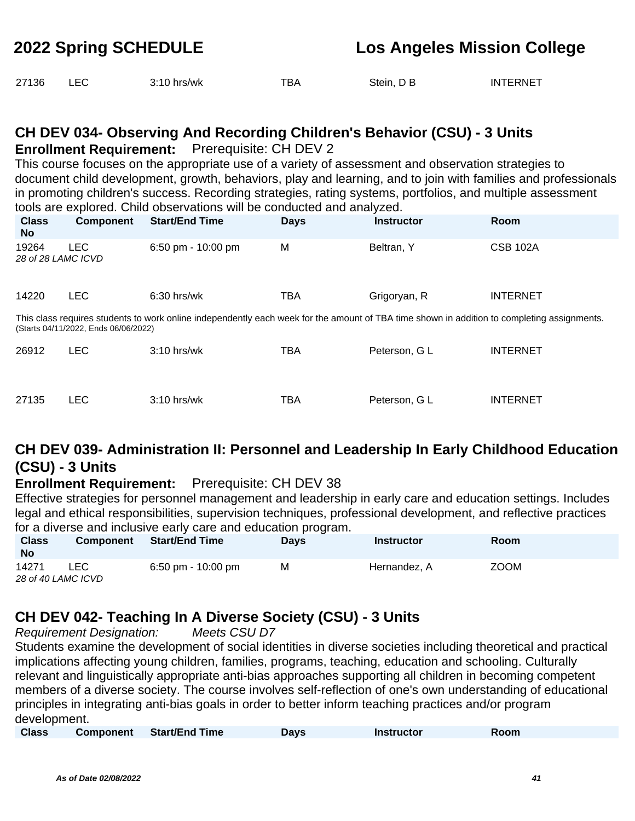| 27136 |  | $3:10$ hrs/wk | TBA | Stein, D B | <b>INTERNET</b> |
|-------|--|---------------|-----|------------|-----------------|
|-------|--|---------------|-----|------------|-----------------|

# **CH DEV 034- Observing And Recording Children's Behavior (CSU) - 3 Units**

**Enrollment Requirement:** Prerequisite: CH DEV 2

This course focuses on the appropriate use of a variety of assessment and observation strategies to document child development, growth, behaviors, play and learning, and to join with families and professionals in promoting children's success. Recording strategies, rating systems, portfolios, and multiple assessment tools are explored. Child observations will be conducted and analyzed.

| <b>Class</b><br><b>No</b>   | <b>Component</b>                     | <b>Start/End Time</b>                                                                                                                       | <b>Days</b> | <b>Instructor</b> | <b>Room</b>     |
|-----------------------------|--------------------------------------|---------------------------------------------------------------------------------------------------------------------------------------------|-------------|-------------------|-----------------|
| 19264<br>28 of 28 LAMC ICVD | <b>LEC</b>                           | $6:50 \text{ pm} - 10:00 \text{ pm}$                                                                                                        | M           | Beltran, Y        | <b>CSB 102A</b> |
| 14220                       | <b>LEC</b>                           | $6:30$ hrs/wk                                                                                                                               | <b>TBA</b>  | Grigoryan, R      | <b>INTERNET</b> |
|                             | (Starts 04/11/2022, Ends 06/06/2022) | This class requires students to work online independently each week for the amount of TBA time shown in addition to completing assignments. |             |                   |                 |
| 26912                       | <b>LEC</b>                           | $3:10$ hrs/wk                                                                                                                               | <b>TBA</b>  | Peterson, G L     | <b>INTERNET</b> |
| 27135                       | LEC                                  | $3:10$ hrs/wk                                                                                                                               | TBA         | Peterson, G L     | <b>INTERNET</b> |

### **CH DEV 039- Administration II: Personnel and Leadership In Early Childhood Education (CSU) - 3 Units**

#### **Enrollment Requirement:** Prerequisite: CH DEV 38

Effective strategies for personnel management and leadership in early care and education settings. Includes legal and ethical responsibilities, supervision techniques, professional development, and reflective practices for a diverse and inclusive early care and education program.

| <b>Class</b><br><b>No</b> | <b>Component</b> | Start/End Time     | <b>Davs</b> | <b>Instructor</b> | <b>Room</b> |
|---------------------------|------------------|--------------------|-------------|-------------------|-------------|
| 14271                     | <b>LEC</b>       | 6:50 pm - 10:00 pm | м           | Hernandez, A      | <b>ZOOM</b> |
| 28 of 40 LAMC ICVD        |                  |                    |             |                   |             |

### **CH DEV 042- Teaching In A Diverse Society (CSU) - 3 Units**

Requirement Designation: Meets CSU D7

Students examine the development of social identities in diverse societies including theoretical and practical implications affecting young children, families, programs, teaching, education and schooling. Culturally relevant and linguistically appropriate anti-bias approaches supporting all children in becoming competent members of a diverse society. The course involves self-reflection of one's own understanding of educational principles in integrating anti-bias goals in order to better inform teaching practices and/or program development.

| <b>Class</b> | <b>Component</b> | <b>Start/End Time</b> | Davs | <b>Instructor</b> | Room |  |
|--------------|------------------|-----------------------|------|-------------------|------|--|
|              |                  |                       |      |                   |      |  |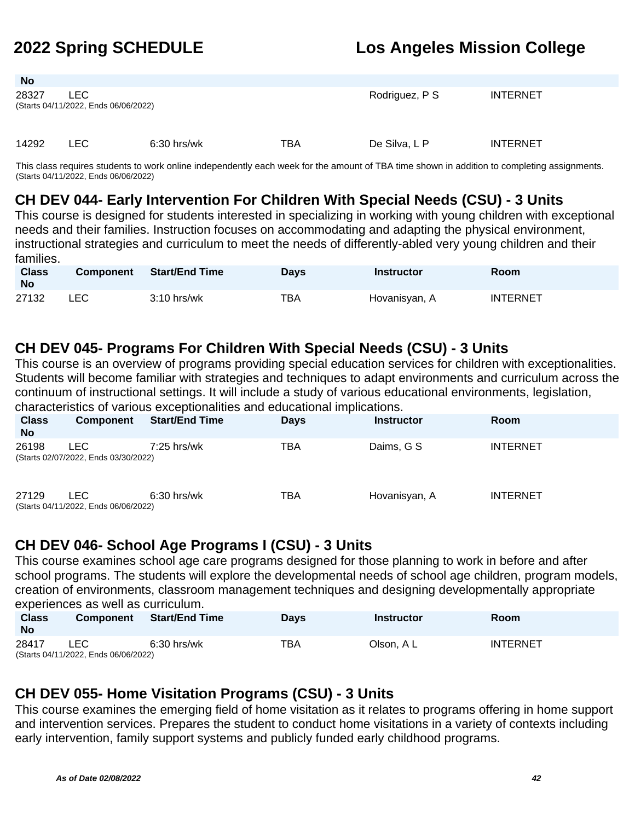| <b>No</b> |                                              |               |     |                |                 |  |
|-----------|----------------------------------------------|---------------|-----|----------------|-----------------|--|
| 28327     | LEC.<br>(Starts 04/11/2022, Ends 06/06/2022) |               |     | Rodriguez, P S | <b>INTERNET</b> |  |
| 14292     | LEC.                                         | $6:30$ hrs/wk | TBA | De Silva, L P  | <b>INTERNET</b> |  |

This class requires students to work online independently each week for the amount of TBA time shown in addition to completing assignments. (Starts 04/11/2022, Ends 06/06/2022)

#### **CH DEV 044- Early Intervention For Children With Special Needs (CSU) - 3 Units**

This course is designed for students interested in specializing in working with young children with exceptional needs and their families. Instruction focuses on accommodating and adapting the physical environment, instructional strategies and curriculum to meet the needs of differently-abled very young children and their families.

| <b>Class</b><br><b>No</b> | <b>Component</b> | Start/End Time | <b>Days</b> | <b>Instructor</b> | <b>Room</b>     |
|---------------------------|------------------|----------------|-------------|-------------------|-----------------|
| 27132                     | LEC.             | $3:10$ hrs/wk  | тва         | Hovanisyan, A     | <b>INTERNET</b> |

#### **CH DEV 045- Programs For Children With Special Needs (CSU) - 3 Units**

This course is an overview of programs providing special education services for children with exceptionalities. Students will become familiar with strategies and techniques to adapt environments and curriculum across the continuum of instructional settings. It will include a study of various educational environments, legislation, characteristics of various exceptionalities and educational implications.

| <b>Class</b><br><b>No</b> | Component                                          | <b>Start/End Time</b> | <b>Days</b> | <b>Instructor</b> | <b>Room</b>     |
|---------------------------|----------------------------------------------------|-----------------------|-------------|-------------------|-----------------|
| 26198                     | <b>LEC</b><br>(Starts 02/07/2022, Ends 03/30/2022) | $7:25$ hrs/wk         | TBA         | Daims, G S        | <b>INTERNET</b> |
| 27129                     | LEC.<br>(Starts 04/11/2022, Ends 06/06/2022)       | $6:30$ hrs/wk         | TBA         | Hovanisyan, A     | <b>INTERNET</b> |

### **CH DEV 046- School Age Programs I (CSU) - 3 Units**

This course examines school age care programs designed for those planning to work in before and after school programs. The students will explore the developmental needs of school age children, program models, creation of environments, classroom management techniques and designing developmentally appropriate experiences as well as curriculum.

| <b>Class</b><br>No | <b>Component</b>                     | <b>Start/End Time</b> | <b>Days</b> | Instructor | <b>Room</b>     |
|--------------------|--------------------------------------|-----------------------|-------------|------------|-----------------|
| 28417              | _EC                                  | 6:30 hrs/wk           | TBA         | Olson. A L | <b>INTERNET</b> |
|                    | (Starts 04/11/2022, Ends 06/06/2022) |                       |             |            |                 |

### **CH DEV 055- Home Visitation Programs (CSU) - 3 Units**

This course examines the emerging field of home visitation as it relates to programs offering in home support and intervention services. Prepares the student to conduct home visitations in a variety of contexts including early intervention, family support systems and publicly funded early childhood programs.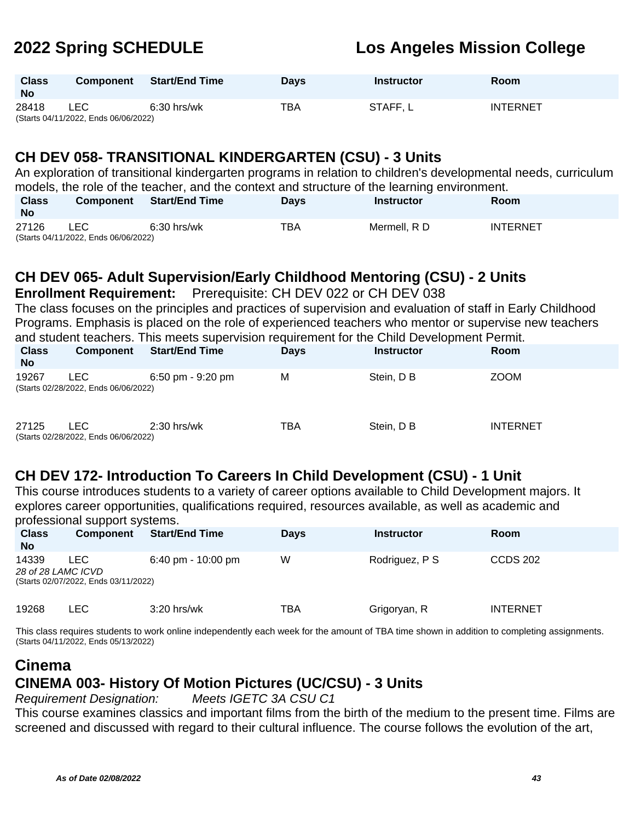| <b>Class</b><br><b>No</b> | <b>Component</b>                     | <b>Start/End Time</b> | <b>Davs</b> | <b>Instructor</b> | <b>Room</b>     |
|---------------------------|--------------------------------------|-----------------------|-------------|-------------------|-----------------|
| 28418                     | LEC.                                 | $6:30$ hrs/wk         | ТВА         | STAFF, L          | <b>INTERNET</b> |
|                           | (Starts 04/11/2022, Ends 06/06/2022) |                       |             |                   |                 |

#### **CH DEV 058- TRANSITIONAL KINDERGARTEN (CSU) - 3 Units**

|                           | An exploration of transitional kindergarten programs in relation to children's developmental needs, curriculum |                                                                                             |             |                   |                 |  |  |  |  |
|---------------------------|----------------------------------------------------------------------------------------------------------------|---------------------------------------------------------------------------------------------|-------------|-------------------|-----------------|--|--|--|--|
|                           |                                                                                                                | models, the role of the teacher, and the context and structure of the learning environment. |             |                   |                 |  |  |  |  |
| <b>Class</b><br><b>No</b> | Component                                                                                                      | Start/End Time                                                                              | <b>Davs</b> | <b>Instructor</b> | <b>Room</b>     |  |  |  |  |
| 27126                     | LEC.<br>(Starts 04/11/2022, Ends 06/06/2022)                                                                   | $6:30$ hrs/wk                                                                               | TBA         | Mermell, R D      | <b>INTERNET</b> |  |  |  |  |

### **CH DEV 065- Adult Supervision/Early Childhood Mentoring (CSU) - 2 Units**

**Enrollment Requirement:** Prerequisite: CH DEV 022 or CH DEV 038

The class focuses on the principles and practices of supervision and evaluation of staff in Early Childhood Programs. Emphasis is placed on the role of experienced teachers who mentor or supervise new teachers and student teachers. This meets supervision requirement for the Child Development Permit.

| <b>Class</b><br><b>No</b> | Component                                    | <b>Start/End Time</b>               | <b>Days</b> | <b>Instructor</b> | Room            |
|---------------------------|----------------------------------------------|-------------------------------------|-------------|-------------------|-----------------|
| 19267                     | LEC.<br>(Starts 02/28/2022, Ends 06/06/2022) | $6:50 \text{ pm} - 9:20 \text{ pm}$ | M           | Stein, D B        | <b>ZOOM</b>     |
| 27125                     | LEC.<br>(Starts 02/28/2022, Ends 06/06/2022) | $2:30$ hrs/wk                       | TBA         | Stein, D B        | <b>INTERNET</b> |

#### **CH DEV 172- Introduction To Careers In Child Development (CSU) - 1 Unit**

This course introduces students to a variety of career options available to Child Development majors. It explores career opportunities, qualifications required, resources available, as well as academic and professional support systems.

| <b>Class</b><br><b>No</b>   | <b>Component</b>                            | <b>Start/End Time</b>                | <b>Days</b> | <b>Instructor</b> | <b>Room</b>     |
|-----------------------------|---------------------------------------------|--------------------------------------|-------------|-------------------|-----------------|
| 14339<br>28 of 28 LAMC ICVD | LEC<br>(Starts 02/07/2022, Ends 03/11/2022) | $6:40 \text{ pm} - 10:00 \text{ pm}$ | W           | Rodriguez, P S    | <b>CCDS 202</b> |
| 19268                       | LEC.                                        | $3:20$ hrs/wk                        | TBA         | Grigoryan, R      | <b>INTERNET</b> |

This class requires students to work online independently each week for the amount of TBA time shown in addition to completing assignments. (Starts 04/11/2022, Ends 05/13/2022)

# **Cinema CINEMA 003- History Of Motion Pictures (UC/CSU) - 3 Units**

Requirement Designation: Meets IGETC 3A CSU C1

This course examines classics and important films from the birth of the medium to the present time. Films are screened and discussed with regard to their cultural influence. The course follows the evolution of the art,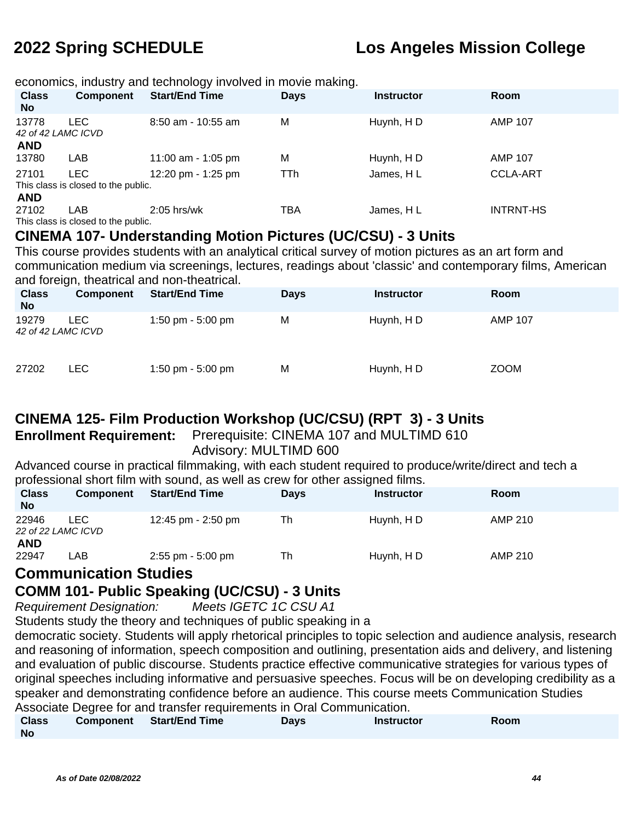economics, industry and technology involved in movie making.

| <b>Class</b><br><b>No</b>   | <b>Component</b>                    | <b>Start/End Time</b> | <b>Days</b> | <b>Instructor</b> | Room             |
|-----------------------------|-------------------------------------|-----------------------|-------------|-------------------|------------------|
| 13778<br>42 of 42 LAMC ICVD | LEC.                                | $8:50$ am - 10:55 am  | M           | Huynh, HD         | <b>AMP 107</b>   |
| <b>AND</b>                  |                                     |                       |             |                   |                  |
| 13780                       | LAB                                 | 11:00 am - 1:05 pm    | M           | Huynh, HD         | <b>AMP 107</b>   |
| 27101                       | LEC.                                | 12:20 pm - 1:25 pm    | TTh         | James, HL         | <b>CCLA-ART</b>  |
|                             | This class is closed to the public. |                       |             |                   |                  |
| <b>AND</b>                  |                                     |                       |             |                   |                  |
| 27102                       | LAB                                 | $2:05$ hrs/wk         | TBA         | James, HL         | <b>INTRNT-HS</b> |
|                             | This class is closed to the public. |                       |             |                   |                  |

#### **CINEMA 107- Understanding Motion Pictures (UC/CSU) - 3 Units**

This course provides students with an analytical critical survey of motion pictures as an art form and communication medium via screenings, lectures, readings about 'classic' and contemporary films, American and foreign, theatrical and non-theatrical.

| <b>Class</b><br><b>No</b>   | $\sim$<br>Component | <b>Start/End Time</b> | <b>Days</b> | <b>Instructor</b> | <b>Room</b>    |
|-----------------------------|---------------------|-----------------------|-------------|-------------------|----------------|
| 19279<br>42 of 42 LAMC ICVD | LEC.                | 1:50 pm - 5:00 pm     | M           | Huynh, H D        | <b>AMP 107</b> |
| 27202                       | LEC.                | 1:50 pm - 5:00 pm     | M           | Huynh, HD         | <b>ZOOM</b>    |

### **CINEMA 125- Film Production Workshop (UC/CSU) (RPT 3) - 3 Units**

**Enrollment Requirement:** Prerequisite: CINEMA 107 and MULTIMD 610 Advisory: MULTIMD 600

Advanced course in practical filmmaking, with each student required to produce/write/direct and tech a professional short film with sound, as well as crew for other assigned films.

| <b>Class</b><br><b>No</b> | <b>Component</b>           | <b>Start/End Time</b> | <b>Days</b> | <b>Instructor</b> | <b>Room</b> |
|---------------------------|----------------------------|-----------------------|-------------|-------------------|-------------|
| 22946                     | LEC.<br>22 of 22 LAMC ICVD | 12:45 pm - 2:50 pm    | Th          | Huynh, HD         | AMP 210     |
| <b>AND</b><br>22947       | LAB                        | $2:55$ pm - $5:00$ pm | Th          | Huynh, HD         | AMP 210     |

#### **Communication Studies**

#### **COMM 101- Public Speaking (UC/CSU) - 3 Units**

Requirement Designation: Meets IGETC 1C CSU A1

Students study the theory and techniques of public speaking in a

democratic society. Students will apply rhetorical principles to topic selection and audience analysis, research and reasoning of information, speech composition and outlining, presentation aids and delivery, and listening and evaluation of public discourse. Students practice effective communicative strategies for various types of original speeches including informative and persuasive speeches. Focus will be on developing credibility as a speaker and demonstrating confidence before an audience. This course meets Communication Studies Associate Degree for and transfer requirements in Oral Communication.

| <b>Class</b> | Component Start/End Time | Days | <b>Instructor</b> | Room |  |
|--------------|--------------------------|------|-------------------|------|--|
| <b>No</b>    |                          |      |                   |      |  |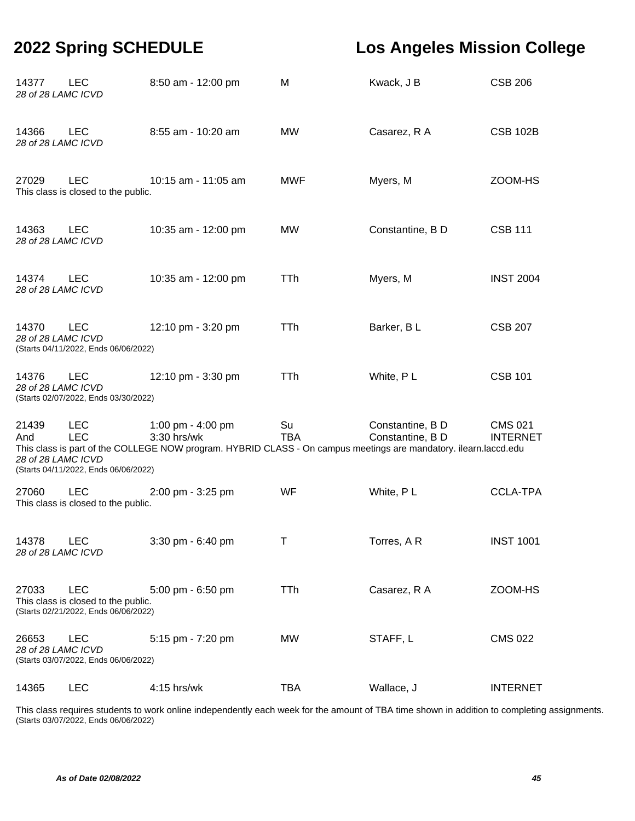| 14377<br>28 of 28 LAMC ICVD        | <b>LEC</b>                                                                                | 8:50 am - 12:00 pm                                                                                                                                   | м                | Kwack, J B                           | <b>CSB 206</b>                    |
|------------------------------------|-------------------------------------------------------------------------------------------|------------------------------------------------------------------------------------------------------------------------------------------------------|------------------|--------------------------------------|-----------------------------------|
| 14366<br>28 of 28 LAMC ICVD        | <b>LEC</b>                                                                                | 8:55 am - 10:20 am                                                                                                                                   | MW               | Casarez, R A                         | <b>CSB 102B</b>                   |
| 27029                              | <b>LEC</b><br>This class is closed to the public.                                         | 10:15 am - 11:05 am                                                                                                                                  | <b>MWF</b>       | Myers, M                             | ZOOM-HS                           |
| 14363<br>28 of 28 LAMC ICVD        | <b>LEC</b>                                                                                | 10:35 am - 12:00 pm                                                                                                                                  | <b>MW</b>        | Constantine, B D                     | <b>CSB 111</b>                    |
| 14374<br>28 of 28 LAMC ICVD        | <b>LEC</b>                                                                                | 10:35 am - 12:00 pm                                                                                                                                  | <b>TTh</b>       | Myers, M                             | <b>INST 2004</b>                  |
| 14370<br>28 of 28 LAMC ICVD        | <b>LEC</b><br>(Starts 04/11/2022, Ends 06/06/2022)                                        | 12:10 pm - 3:20 pm                                                                                                                                   | TTh              | Barker, BL                           | <b>CSB 207</b>                    |
| 14376<br>28 of 28 LAMC ICVD        | <b>LEC</b><br>(Starts 02/07/2022, Ends 03/30/2022)                                        | 12:10 pm - 3:30 pm                                                                                                                                   | TTh              | White, PL                            | <b>CSB 101</b>                    |
| 21439<br>And<br>28 of 28 LAMC ICVD | <b>LEC</b><br><b>LEC</b><br>(Starts 04/11/2022, Ends 06/06/2022)                          | 1:00 pm - 4:00 pm<br>3:30 hrs/wk<br>This class is part of the COLLEGE NOW program. HYBRID CLASS - On campus meetings are mandatory. ilearn.laccd.edu | Su<br><b>TBA</b> | Constantine, B D<br>Constantine, B D | <b>CMS 021</b><br><b>INTERNET</b> |
| 27060                              | <b>LEC</b><br>This class is closed to the public.                                         | 2:00 pm - 3:25 pm                                                                                                                                    | WF               | White, PL                            | <b>CCLA-TPA</b>                   |
| 14378<br>28 of 28 LAMC ICVD        | <b>LEC</b>                                                                                | 3:30 pm - 6:40 pm                                                                                                                                    | Τ                | Torres, A R                          | <b>INST 1001</b>                  |
| 27033                              | <b>LEC</b><br>This class is closed to the public.<br>(Starts 02/21/2022, Ends 06/06/2022) | 5:00 pm - 6:50 pm                                                                                                                                    | TTh              | Casarez, R A                         | ZOOM-HS                           |
| 26653<br>28 of 28 LAMC ICVD        | <b>LEC</b><br>(Starts 03/07/2022, Ends 06/06/2022)                                        | 5:15 pm - 7:20 pm                                                                                                                                    | <b>MW</b>        | STAFF, L                             | <b>CMS 022</b>                    |
| 14365                              | <b>LEC</b>                                                                                | 4:15 hrs/wk                                                                                                                                          | <b>TBA</b>       | Wallace, J                           | <b>INTERNET</b>                   |

This class requires students to work online independently each week for the amount of TBA time shown in addition to completing assignments. (Starts 03/07/2022, Ends 06/06/2022)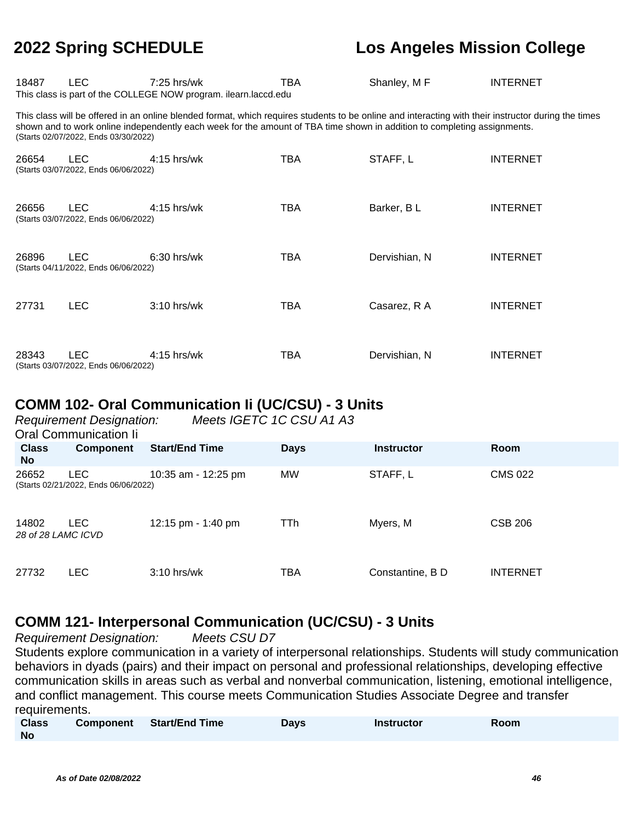| 18487 | LEC.                                                                                                                                                                                                                                                                                                                    | $7:25$ hrs/wk<br>This class is part of the COLLEGE NOW program. ilearn.laccd.edu | TBA | Shanley, M F  | <b>INTERNET</b> |  |  |  |
|-------|-------------------------------------------------------------------------------------------------------------------------------------------------------------------------------------------------------------------------------------------------------------------------------------------------------------------------|----------------------------------------------------------------------------------|-----|---------------|-----------------|--|--|--|
|       | This class will be offered in an online blended format, which requires students to be online and interacting with their instructor during the times<br>shown and to work online independently each week for the amount of TBA time shown in addition to completing assignments.<br>(Starts 02/07/2022, Ends 03/30/2022) |                                                                                  |     |               |                 |  |  |  |
| 26654 | <b>LEC</b><br>(Starts 03/07/2022, Ends 06/06/2022)                                                                                                                                                                                                                                                                      | $4:15$ hrs/wk                                                                    | TBA | STAFF, L      | <b>INTERNET</b> |  |  |  |
| 26656 | <b>LEC</b><br>(Starts 03/07/2022, Ends 06/06/2022)                                                                                                                                                                                                                                                                      | 4:15 hrs/wk                                                                      | TBA | Barker, BL    | <b>INTERNET</b> |  |  |  |
| 26896 | LEC.<br>(Starts 04/11/2022, Ends 06/06/2022)                                                                                                                                                                                                                                                                            | $6:30$ hrs/wk                                                                    | TBA | Dervishian, N | <b>INTERNET</b> |  |  |  |
| 27731 | <b>LEC</b>                                                                                                                                                                                                                                                                                                              | $3:10$ hrs/wk                                                                    | TBA | Casarez, R A  | <b>INTERNET</b> |  |  |  |
| 28343 | <b>LEC</b><br>(Starts 03/07/2022, Ends 06/06/2022)                                                                                                                                                                                                                                                                      | $4:15$ hrs/wk                                                                    | TBA | Dervishian, N | <b>INTERNET</b> |  |  |  |

#### **COMM 102- Oral Communication Ii (UC/CSU) - 3 Units**

|                             | <b>Requirement Designation:</b><br>Oral Communication li | Meets IGETC 1C CSU A1 A3 |             |                   |                 |
|-----------------------------|----------------------------------------------------------|--------------------------|-------------|-------------------|-----------------|
| <b>Class</b><br><b>No</b>   | <b>Component</b>                                         | <b>Start/End Time</b>    | <b>Days</b> | <b>Instructor</b> | Room            |
| 26652                       | <b>LEC</b><br>(Starts 02/21/2022, Ends 06/06/2022)       | 10:35 am - 12:25 pm      | <b>MW</b>   | STAFF, L          | <b>CMS 022</b>  |
| 14802<br>28 of 28 LAMC ICVD | <b>LEC</b>                                               | 12:15 pm - 1:40 pm       | TTh         | Myers, M          | <b>CSB 206</b>  |
| 27732                       | LEC.                                                     | $3:10$ hrs/wk            | TBA         | Constantine, B D  | <b>INTERNET</b> |

### **COMM 121- Interpersonal Communication (UC/CSU) - 3 Units**

Requirement Designation: Meets CSU D7

Students explore communication in a variety of interpersonal relationships. Students will study communication behaviors in dyads (pairs) and their impact on personal and professional relationships, developing effective communication skills in areas such as verbal and nonverbal communication, listening, emotional intelligence, and conflict management. This course meets Communication Studies Associate Degree and transfer requirements.

| <b>Class</b> | Component Start/End Time | Days | <b>Instructor</b> | Room |
|--------------|--------------------------|------|-------------------|------|
| No           |                          |      |                   |      |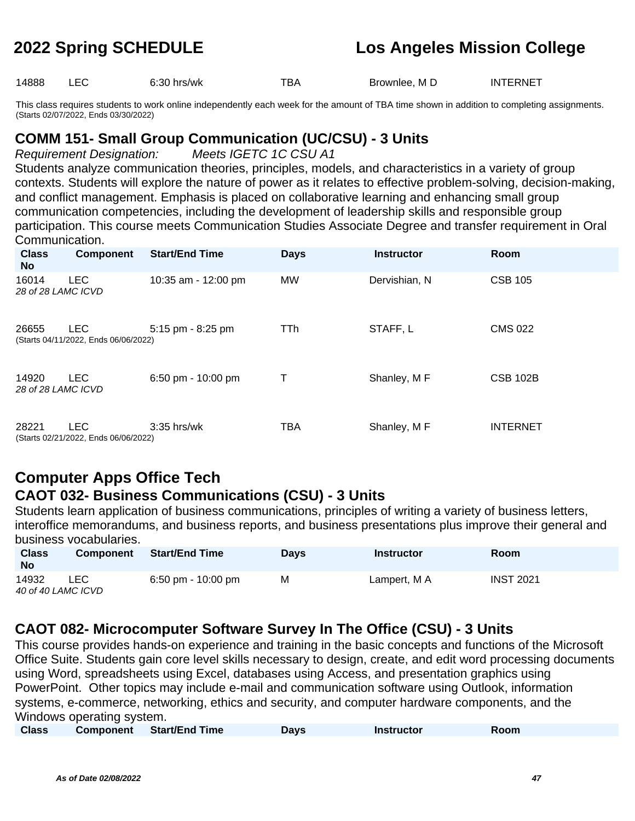14888 LEC 6:30 hrs/wk TBA Brownlee, M D INTERNET

This class requires students to work online independently each week for the amount of TBA time shown in addition to completing assignments. (Starts 02/07/2022, Ends 03/30/2022)

### **COMM 151- Small Group Communication (UC/CSU) - 3 Units**

Requirement Designation: Meets IGETC 1C CSU A1

Students analyze communication theories, principles, models, and characteristics in a variety of group contexts. Students will explore the nature of power as it relates to effective problem-solving, decision-making, and conflict management. Emphasis is placed on collaborative learning and enhancing small group communication competencies, including the development of leadership skills and responsible group participation. This course meets Communication Studies Associate Degree and transfer requirement in Oral Communication.

| <b>Class</b><br><b>No</b>   | <b>Component</b>                                   | <b>Start/End Time</b> | <b>Days</b> | <b>Instructor</b> | <b>Room</b>     |
|-----------------------------|----------------------------------------------------|-----------------------|-------------|-------------------|-----------------|
| 16014<br>28 of 28 LAMC ICVD | <b>LEC</b>                                         | 10:35 am - 12:00 pm   | <b>MW</b>   | Dervishian, N     | <b>CSB 105</b>  |
| 26655                       | <b>LEC</b><br>(Starts 04/11/2022, Ends 06/06/2022) | 5:15 pm - 8:25 pm     | TTh         | STAFF, L          | <b>CMS 022</b>  |
| 14920<br>28 of 28 LAMC ICVD | <b>LEC</b>                                         | 6:50 pm - 10:00 pm    | Τ           | Shanley, M F      | <b>CSB 102B</b> |
| 28221                       | <b>LEC</b><br>(Starts 02/21/2022, Ends 06/06/2022) | $3:35$ hrs/wk         | TBA         | Shanley, M F      | <b>INTERNET</b> |

#### **Computer Apps Office Tech CAOT 032- Business Communications (CSU) - 3 Units**

Students learn application of business communications, principles of writing a variety of business letters, interoffice memorandums, and business reports, and business presentations plus improve their general and business vocabularies.

| <b>Class</b><br><b>No</b>   | <b>Component</b> | <b>Start/End Time</b>                | <b>Davs</b> | <b>Instructor</b> | Room             |
|-----------------------------|------------------|--------------------------------------|-------------|-------------------|------------------|
| 14932<br>40 of 40 LAMC ICVD | LEC              | $6:50 \text{ pm} - 10:00 \text{ pm}$ | M           | Lampert, M A      | <b>INST 2021</b> |

### **CAOT 082- Microcomputer Software Survey In The Office (CSU) - 3 Units**

This course provides hands-on experience and training in the basic concepts and functions of the Microsoft Office Suite. Students gain core level skills necessary to design, create, and edit word processing documents using Word, spreadsheets using Excel, databases using Access, and presentation graphics using PowerPoint. Other topics may include e-mail and communication software using Outlook, information systems, e-commerce, networking, ethics and security, and computer hardware components, and the Windows operating system.

|  | <b>Class</b> |  | <b>Component</b> Start/End Time | Days | <b>Instructor</b> | Room |  |
|--|--------------|--|---------------------------------|------|-------------------|------|--|
|--|--------------|--|---------------------------------|------|-------------------|------|--|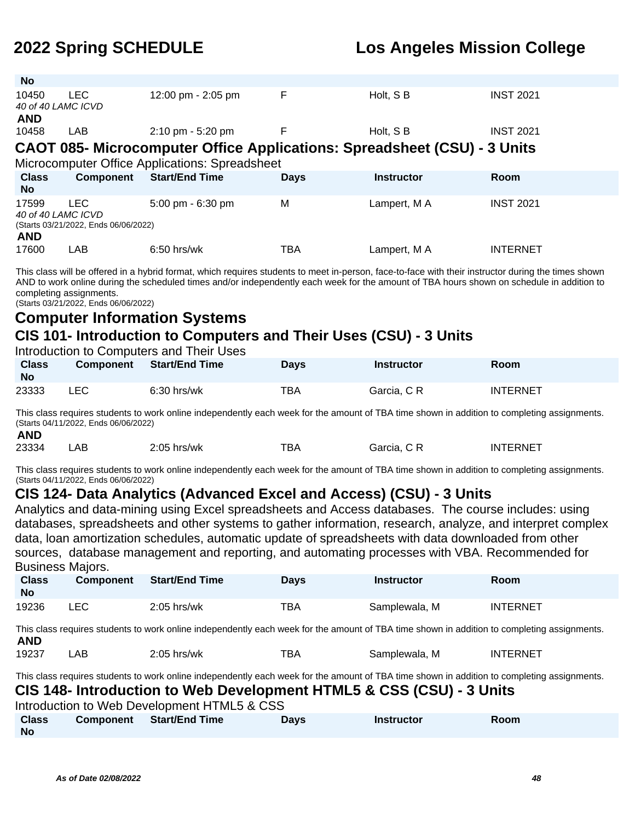| <b>No</b>                                 |                                              |                                                                          |             |                   |                  |
|-------------------------------------------|----------------------------------------------|--------------------------------------------------------------------------|-------------|-------------------|------------------|
| 10450<br>40 of 40 LAMC ICVD               | <b>LEC</b>                                   | 12:00 pm - 2:05 pm                                                       | F           | Holt, SB          | <b>INST 2021</b> |
| <b>AND</b>                                |                                              |                                                                          |             |                   |                  |
| 10458                                     | LAB                                          | $2:10 \text{ pm} - 5:20 \text{ pm}$                                      | F           | Holt, S B         | <b>INST 2021</b> |
|                                           |                                              | CAOT 085- Microcomputer Office Applications: Spreadsheet (CSU) - 3 Units |             |                   |                  |
|                                           |                                              | Microcomputer Office Applications: Spreadsheet                           |             |                   |                  |
|                                           |                                              |                                                                          |             |                   |                  |
| <b>Class</b><br><b>No</b>                 | Component                                    | <b>Start/End Time</b>                                                    | <b>Days</b> | <b>Instructor</b> | Room             |
| 17599<br>40 of 40 LAMC ICVD<br><b>AND</b> | LEC.<br>(Starts 03/21/2022, Ends 06/06/2022) | $5:00 \text{ pm} - 6:30 \text{ pm}$                                      | M           | Lampert, M A      | <b>INST 2021</b> |

This class will be offered in a hybrid format, which requires students to meet in-person, face-to-face with their instructor during the times shown AND to work online during the scheduled times and/or independently each week for the amount of TBA hours shown on schedule in addition to completing assignments.

(Starts 03/21/2022, Ends 06/06/2022)

### **Computer Information Systems CIS 101- Introduction to Computers and Their Uses (CSU) - 3 Units**

#### Introduction to Computers and Their Uses

| <b>Class</b><br><b>No</b> | <b>Component</b> | <b>Start/End Time</b> | <b>Days</b> | <b>Instructor</b> | <b>Room</b>     |
|---------------------------|------------------|-----------------------|-------------|-------------------|-----------------|
| 23333                     | LEC              | $6:30$ hrs/wk         | ТВА         | Garcia, C R       | <b>INTERNET</b> |

This class requires students to work online independently each week for the amount of TBA time shown in addition to completing assignments. (Starts 04/11/2022, Ends 06/06/2022) **AND**

| AND   |     |               |     |             |          |
|-------|-----|---------------|-----|-------------|----------|
| 23334 | .AB | $2:05$ hrs/wk | TBA | Garcia, C R | INTERNET |

This class requires students to work online independently each week for the amount of TBA time shown in addition to completing assignments. (Starts 04/11/2022, Ends 06/06/2022)

#### **CIS 124- Data Analytics (Advanced Excel and Access) (CSU) - 3 Units**

Analytics and data-mining using Excel spreadsheets and Access databases. The course includes: using databases, spreadsheets and other systems to gather information, research, analyze, and interpret complex data, loan amortization schedules, automatic update of spreadsheets with data downloaded from other sources, database management and reporting, and automating processes with VBA. Recommended for Business Majors.

| <b>Class</b><br><b>No</b> | <b>Component</b> | <b>Start/End Time</b> | <b>Days</b> | Instructor    | Room            |
|---------------------------|------------------|-----------------------|-------------|---------------|-----------------|
| 19236                     | LEC              | $2:05$ hrs/wk         | тва         | Samplewala, M | <b>INTERNET</b> |

This class requires students to work online independently each week for the amount of TBA time shown in addition to completing assignments. **AND**

| 19237 | AΒ | $2:05$ hrs/wk | тва | Samplewala.<br>M | <b>INTERNET</b> |
|-------|----|---------------|-----|------------------|-----------------|
|-------|----|---------------|-----|------------------|-----------------|

This class requires students to work online independently each week for the amount of TBA time shown in addition to completing assignments. **CIS 148- Introduction to Web Development HTML5 & CSS (CSU) - 3 Units**

Introduction to Web Development HTML5 & CSS **Class Component Start/End Time Days Instructor Room**

**No**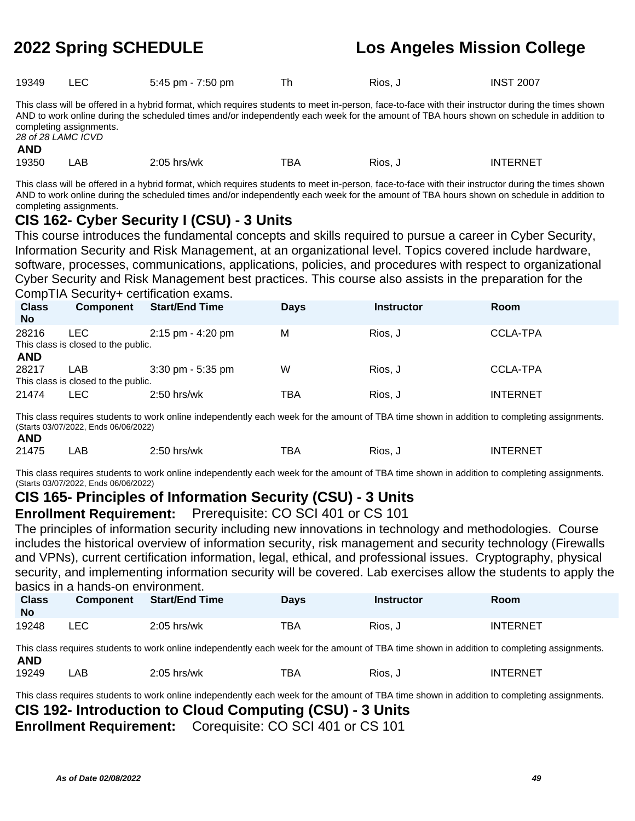| Rios, J | 19349 |  | 5:45 pm - 7:50 pm |  |  | <b>INST 2007</b> |
|---------|-------|--|-------------------|--|--|------------------|
|---------|-------|--|-------------------|--|--|------------------|

This class will be offered in a hybrid format, which requires students to meet in-person, face-to-face with their instructor during the times shown AND to work online during the scheduled times and/or independently each week for the amount of TBA hours shown on schedule in addition to completing assignments. 28 of 28 LAMC ICVD

**AND**

19350 LAB 2:05 hrs/wk TBA Rios, J INTERNET

This class will be offered in a hybrid format, which requires students to meet in-person, face-to-face with their instructor during the times shown AND to work online during the scheduled times and/or independently each week for the amount of TBA hours shown on schedule in addition to completing assignments.

### **CIS 162- Cyber Security I (CSU) - 3 Units**

This course introduces the fundamental concepts and skills required to pursue a career in Cyber Security, Information Security and Risk Management, at an organizational level. Topics covered include hardware, software, processes, communications, applications, policies, and procedures with respect to organizational Cyber Security and Risk Management best practices. This course also assists in the preparation for the CompTIA Security+ certification exams.

| <b>Class</b><br><b>No</b> | Component                                   | <b>Start/End Time</b> | <b>Days</b> | <b>Instructor</b> | Room            |
|---------------------------|---------------------------------------------|-----------------------|-------------|-------------------|-----------------|
| 28216                     | LEC.<br>This class is closed to the public. | 2:15 pm - 4:20 pm     | M           | Rios, J           | <b>CCLA-TPA</b> |
| <b>AND</b><br>28217       | LAB<br>This class is closed to the public.  | $3:30$ pm - $5:35$ pm | W           | Rios. J           | <b>CCLA-TPA</b> |
| 21474                     | <b>LEC</b>                                  | $2:50$ hrs/wk         | TBA         | Rios, J           | <b>INTERNET</b> |

This class requires students to work online independently each week for the amount of TBA time shown in addition to completing assignments. (Starts 03/07/2022, Ends 06/06/2022) **AND**

| AND   |      |               |            |         |                 |
|-------|------|---------------|------------|---------|-----------------|
| 21475 | ' AB | $2:50$ hrs/wk | <b>TBA</b> | Rios, J | <b>INTERNET</b> |

This class requires students to work online independently each week for the amount of TBA time shown in addition to completing assignments. (Starts 03/07/2022, Ends 06/06/2022)

#### **CIS 165- Principles of Information Security (CSU) - 3 Units**

**Enrollment Requirement:** Prerequisite: CO SCI 401 or CS 101

The principles of information security including new innovations in technology and methodologies. Course includes the historical overview of information security, risk management and security technology (Firewalls and VPNs), current certification information, legal, ethical, and professional issues. Cryptography, physical security, and implementing information security will be covered. Lab exercises allow the students to apply the basics in a hands-on environment.

| <b>Class</b><br><b>No</b> | <b>Component</b> | <b>Start/End Time</b> | <b>Days</b> | <b>Instructor</b> | Room            |
|---------------------------|------------------|-----------------------|-------------|-------------------|-----------------|
| 19248                     | ∟EC              | $2:05$ hrs/wk         | тва         | Rios, J           | <b>INTERNET</b> |

This class requires students to work online independently each week for the amount of TBA time shown in addition to completing assignments. **AND**

| 19249 | AE | 2:05<br>hrs/wk | TBA | RIOS.<br>$ -$ | <b>ITERNET</b><br>1 N I T<br>ו עו |
|-------|----|----------------|-----|---------------|-----------------------------------|
|-------|----|----------------|-----|---------------|-----------------------------------|

This class requires students to work online independently each week for the amount of TBA time shown in addition to completing assignments.

**CIS 192- Introduction to Cloud Computing (CSU) - 3 Units**

**Enrollment Requirement:** Corequisite: CO SCI 401 or CS 101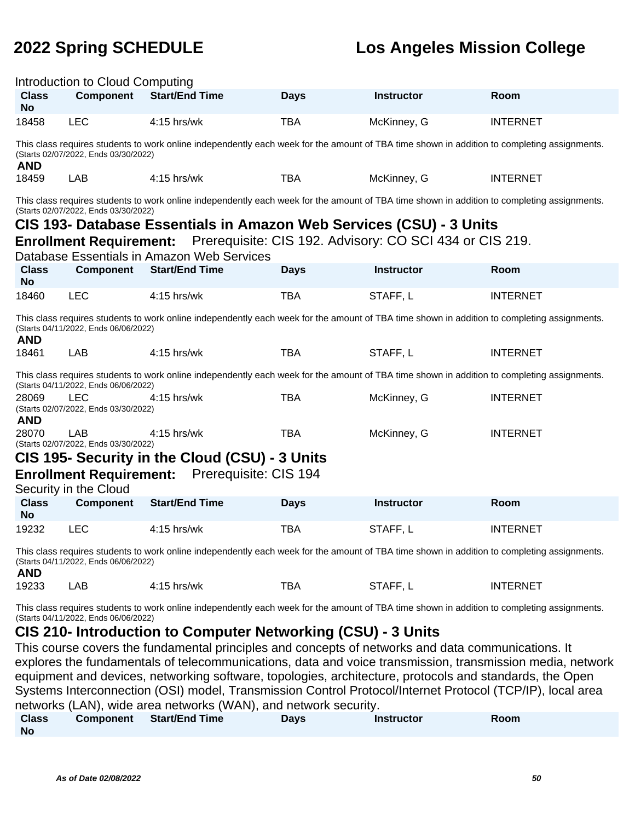| Introduction to Cloud Computing                                                                                                                                                     |                                                                        |                                                                                                                                                                                                                    |             |                                                         |                 |  |
|-------------------------------------------------------------------------------------------------------------------------------------------------------------------------------------|------------------------------------------------------------------------|--------------------------------------------------------------------------------------------------------------------------------------------------------------------------------------------------------------------|-------------|---------------------------------------------------------|-----------------|--|
| <b>Class</b><br><b>No</b>                                                                                                                                                           | <b>Component</b>                                                       | <b>Start/End Time</b>                                                                                                                                                                                              | <b>Days</b> | <b>Instructor</b>                                       | Room            |  |
| 18458                                                                                                                                                                               | <b>LEC</b>                                                             | 4:15 hrs/wk                                                                                                                                                                                                        | <b>TBA</b>  | McKinney, G                                             | <b>INTERNET</b> |  |
| <b>AND</b>                                                                                                                                                                          | (Starts 02/07/2022, Ends 03/30/2022)                                   | This class requires students to work online independently each week for the amount of TBA time shown in addition to completing assignments.                                                                        |             |                                                         |                 |  |
| 18459                                                                                                                                                                               | LAB                                                                    | 4:15 hrs/wk                                                                                                                                                                                                        | <b>TBA</b>  | McKinney, G                                             | <b>INTERNET</b> |  |
|                                                                                                                                                                                     | (Starts 02/07/2022, Ends 03/30/2022)<br><b>Enrollment Requirement:</b> | This class requires students to work online independently each week for the amount of TBA time shown in addition to completing assignments.<br>CIS 193- Database Essentials in Amazon Web Services (CSU) - 3 Units |             | Prerequisite: CIS 192. Advisory: CO SCI 434 or CIS 219. |                 |  |
|                                                                                                                                                                                     |                                                                        | Database Essentials in Amazon Web Services                                                                                                                                                                         |             |                                                         |                 |  |
| <b>Class</b><br><b>No</b>                                                                                                                                                           | <b>Component</b>                                                       | <b>Start/End Time</b>                                                                                                                                                                                              | <b>Days</b> | <b>Instructor</b>                                       | Room            |  |
| 18460                                                                                                                                                                               | <b>LEC</b>                                                             | 4:15 hrs/wk                                                                                                                                                                                                        | <b>TBA</b>  | STAFF, L                                                | <b>INTERNET</b> |  |
| <b>AND</b>                                                                                                                                                                          | (Starts 04/11/2022, Ends 06/06/2022)                                   | This class requires students to work online independently each week for the amount of TBA time shown in addition to completing assignments.                                                                        |             |                                                         |                 |  |
| 18461                                                                                                                                                                               | <b>LAB</b>                                                             | $4:15$ hrs/wk                                                                                                                                                                                                      | <b>TBA</b>  | STAFF, L                                                | <b>INTERNET</b> |  |
|                                                                                                                                                                                     | (Starts 04/11/2022, Ends 06/06/2022)                                   | This class requires students to work online independently each week for the amount of TBA time shown in addition to completing assignments.                                                                        |             |                                                         |                 |  |
| 28069<br><b>AND</b>                                                                                                                                                                 | LEC<br>(Starts 02/07/2022, Ends 03/30/2022)                            | 4:15 hrs/wk                                                                                                                                                                                                        | <b>TBA</b>  | McKinney, G                                             | <b>INTERNET</b> |  |
| 28070                                                                                                                                                                               | <b>LAB</b><br>(Starts 02/07/2022, Ends 03/30/2022)                     | 4:15 hrs/wk                                                                                                                                                                                                        | <b>TBA</b>  | McKinney, G                                             | <b>INTERNET</b> |  |
|                                                                                                                                                                                     |                                                                        | CIS 195- Security in the Cloud (CSU) - 3 Units                                                                                                                                                                     |             |                                                         |                 |  |
|                                                                                                                                                                                     |                                                                        | <b>Enrollment Requirement:</b> Prerequisite: CIS 194                                                                                                                                                               |             |                                                         |                 |  |
|                                                                                                                                                                                     | Security in the Cloud                                                  |                                                                                                                                                                                                                    |             |                                                         |                 |  |
| <b>Class</b><br><b>No</b>                                                                                                                                                           | <b>Component</b>                                                       | <b>Start/End Time</b>                                                                                                                                                                                              | <b>Days</b> | <b>Instructor</b>                                       | Room            |  |
| 19232                                                                                                                                                                               | <b>LEC</b>                                                             | 4:15 hrs/wk                                                                                                                                                                                                        | <b>TBA</b>  | STAFF, L                                                | <b>INTERNET</b> |  |
| This class requires students to work online independently each week for the amount of TBA time shown in addition to completing assignments.<br>(Starts 04/11/2022, Ends 06/06/2022) |                                                                        |                                                                                                                                                                                                                    |             |                                                         |                 |  |

**AND**

19233 LAB 4:15 hrs/wk TBA STAFF, L INTERNET

This class requires students to work online independently each week for the amount of TBA time shown in addition to completing assignments. (Starts 04/11/2022, Ends 06/06/2022)

#### **CIS 210- Introduction to Computer Networking (CSU) - 3 Units**

This course covers the fundamental principles and concepts of networks and data communications. It explores the fundamentals of telecommunications, data and voice transmission, transmission media, network equipment and devices, networking software, topologies, architecture, protocols and standards, the Open Systems Interconnection (OSI) model, Transmission Control Protocol/Internet Protocol (TCP/IP), local area networks (LAN), wide area networks (WAN), and network security.

| <b>Class</b> | Component | <b>Start/End Time</b> | <b>Days</b> | <b>Instructor</b> | Room |
|--------------|-----------|-----------------------|-------------|-------------------|------|
| <b>No</b>    |           |                       |             |                   |      |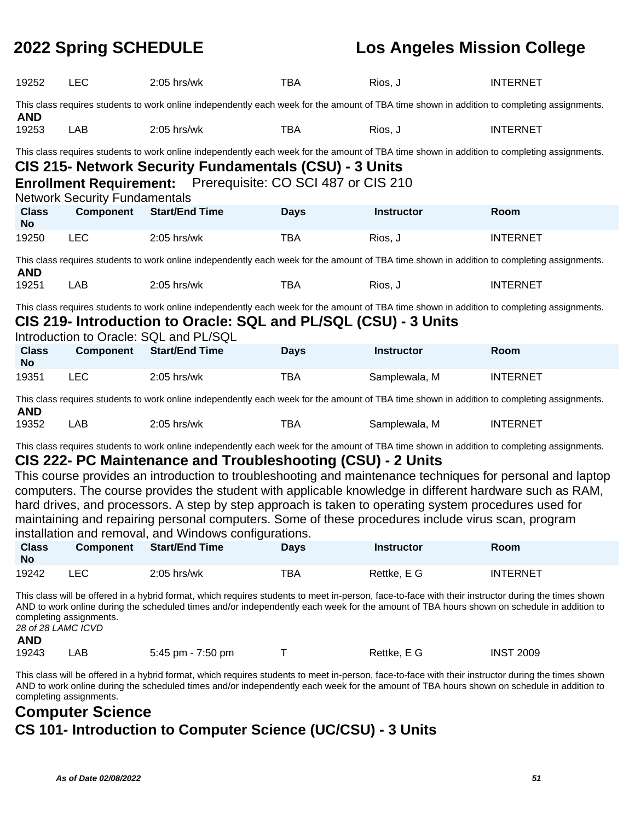| 19252                     | <b>LEC</b>                                                                                                                                  | $2:05$ hrs/wk                                                                                                                                                                                         | <b>TBA</b>  | Rios, J           | <b>INTERNET</b> |  |  |  |  |
|---------------------------|---------------------------------------------------------------------------------------------------------------------------------------------|-------------------------------------------------------------------------------------------------------------------------------------------------------------------------------------------------------|-------------|-------------------|-----------------|--|--|--|--|
| <b>AND</b>                | This class requires students to work online independently each week for the amount of TBA time shown in addition to completing assignments. |                                                                                                                                                                                                       |             |                   |                 |  |  |  |  |
| 19253                     | LAB                                                                                                                                         | $2:05$ hrs/wk                                                                                                                                                                                         | <b>TBA</b>  | Rios, J           | <b>INTERNET</b> |  |  |  |  |
|                           |                                                                                                                                             | This class requires students to work online independently each week for the amount of TBA time shown in addition to completing assignments.<br>CIS 215- Network Security Fundamentals (CSU) - 3 Units |             |                   |                 |  |  |  |  |
|                           | <b>Network Security Fundamentals</b>                                                                                                        | Enrollment Requirement: Prerequisite: CO SCI 487 or CIS 210                                                                                                                                           |             |                   |                 |  |  |  |  |
| <b>Class</b><br><b>No</b> | <b>Component</b>                                                                                                                            | <b>Start/End Time</b>                                                                                                                                                                                 | <b>Days</b> | <b>Instructor</b> | Room            |  |  |  |  |
| 19250                     | <b>LEC</b>                                                                                                                                  | $2:05$ hrs/wk                                                                                                                                                                                         | <b>TBA</b>  | Rios, J           | <b>INTERNET</b> |  |  |  |  |
| <b>AND</b>                |                                                                                                                                             | This class requires students to work online independently each week for the amount of TBA time shown in addition to completing assignments.                                                           |             |                   |                 |  |  |  |  |
| 19251                     | LAB                                                                                                                                         | $2:05$ hrs/wk                                                                                                                                                                                         | <b>TBA</b>  | Rios, J           | <b>INTERNET</b> |  |  |  |  |
|                           |                                                                                                                                             | This class requires students to work online independently each week for the amount of TBA time shown in addition to completing assignments.                                                           |             |                   |                 |  |  |  |  |
|                           |                                                                                                                                             | CIS 219- Introduction to Oracle: SQL and PL/SQL (CSU) - 3 Units<br>Introduction to Oracle: SQL and PL/SQL                                                                                             |             |                   |                 |  |  |  |  |
| <b>Class</b>              | <b>Component</b>                                                                                                                            | <b>Start/End Time</b>                                                                                                                                                                                 | <b>Days</b> | <b>Instructor</b> | Room            |  |  |  |  |
| <b>No</b>                 |                                                                                                                                             |                                                                                                                                                                                                       |             |                   |                 |  |  |  |  |
| 19351                     | <b>LEC</b>                                                                                                                                  | $2:05$ hrs/wk                                                                                                                                                                                         | <b>TBA</b>  | Samplewala, M     | <b>INTERNET</b> |  |  |  |  |
| <b>AND</b>                | This class requires students to work online independently each week for the amount of TBA time shown in addition to completing assignments. |                                                                                                                                                                                                       |             |                   |                 |  |  |  |  |
| 19352                     | LAB                                                                                                                                         | $2:05$ hrs/wk                                                                                                                                                                                         | TBA         | Samplewala, M     | <b>INTERNET</b> |  |  |  |  |

This class requires students to work online independently each week for the amount of TBA time shown in addition to completing assignments.

#### **CIS 222- PC Maintenance and Troubleshooting (CSU) - 2 Units**

This course provides an introduction to troubleshooting and maintenance techniques for personal and laptop computers. The course provides the student with applicable knowledge in different hardware such as RAM, hard drives, and processors. A step by step approach is taken to operating system procedures used for maintaining and repairing personal computers. Some of these procedures include virus scan, program installation and removal, and Windows configurations.

| <b>Class</b><br><b>No</b> | <b>Component</b> | <b>Start/End Time</b> | <b>Days</b> | <b>Instructor</b> | Room            |
|---------------------------|------------------|-----------------------|-------------|-------------------|-----------------|
| 19242                     | LEC              | $2:05$ hrs/wk         | тва         | Rettke, E G       | <b>INTERNET</b> |

This class will be offered in a hybrid format, which requires students to meet in-person, face-to-face with their instructor during the times shown AND to work online during the scheduled times and/or independently each week for the amount of TBA hours shown on schedule in addition to completing assignments. 28 of 28 LAMC ICVD

#### **AND**

19243 LAB 5:45 pm - 7:50 pm T Rettke, E G INST 2009

This class will be offered in a hybrid format, which requires students to meet in-person, face-to-face with their instructor during the times shown AND to work online during the scheduled times and/or independently each week for the amount of TBA hours shown on schedule in addition to completing assignments.

### **Computer Science CS 101- Introduction to Computer Science (UC/CSU) - 3 Units**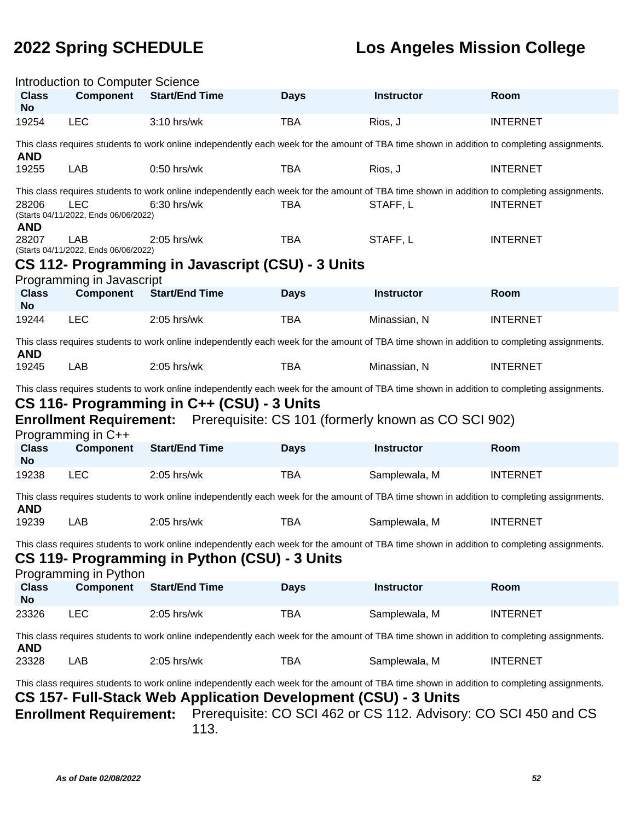| Introduction to Computer Science                                                                                                                                                                                                                                                                                 |                                                                                                                                             |                                                                                                                                                                                                                                                                                 |             |                   |                 |  |  |  |
|------------------------------------------------------------------------------------------------------------------------------------------------------------------------------------------------------------------------------------------------------------------------------------------------------------------|---------------------------------------------------------------------------------------------------------------------------------------------|---------------------------------------------------------------------------------------------------------------------------------------------------------------------------------------------------------------------------------------------------------------------------------|-------------|-------------------|-----------------|--|--|--|
| <b>Class</b><br><b>No</b>                                                                                                                                                                                                                                                                                        | <b>Component</b>                                                                                                                            | <b>Start/End Time</b>                                                                                                                                                                                                                                                           | <b>Days</b> | <b>Instructor</b> | Room            |  |  |  |
| 19254                                                                                                                                                                                                                                                                                                            | <b>LEC</b>                                                                                                                                  | 3:10 hrs/wk                                                                                                                                                                                                                                                                     | <b>TBA</b>  | Rios, J           | <b>INTERNET</b> |  |  |  |
| <b>AND</b>                                                                                                                                                                                                                                                                                                       | This class requires students to work online independently each week for the amount of TBA time shown in addition to completing assignments. |                                                                                                                                                                                                                                                                                 |             |                   |                 |  |  |  |
| 19255                                                                                                                                                                                                                                                                                                            | LAB                                                                                                                                         | $0:50$ hrs/wk                                                                                                                                                                                                                                                                   | <b>TBA</b>  | Rios, J           | <b>INTERNET</b> |  |  |  |
|                                                                                                                                                                                                                                                                                                                  |                                                                                                                                             | This class requires students to work online independently each week for the amount of TBA time shown in addition to completing assignments.                                                                                                                                     |             |                   |                 |  |  |  |
| 28206<br><b>AND</b>                                                                                                                                                                                                                                                                                              | <b>LEC</b><br>(Starts 04/11/2022, Ends 06/06/2022)                                                                                          | 6:30 hrs/wk                                                                                                                                                                                                                                                                     | <b>TBA</b>  | STAFF, L          | <b>INTERNET</b> |  |  |  |
| 28207                                                                                                                                                                                                                                                                                                            | <b>LAB</b><br>(Starts 04/11/2022, Ends 06/06/2022)                                                                                          | $2:05$ hrs/wk                                                                                                                                                                                                                                                                   | <b>TBA</b>  | STAFF, L          | <b>INTERNET</b> |  |  |  |
|                                                                                                                                                                                                                                                                                                                  |                                                                                                                                             | CS 112- Programming in Javascript (CSU) - 3 Units                                                                                                                                                                                                                               |             |                   |                 |  |  |  |
|                                                                                                                                                                                                                                                                                                                  | Programming in Javascript                                                                                                                   |                                                                                                                                                                                                                                                                                 |             |                   |                 |  |  |  |
| <b>Class</b><br><b>No</b>                                                                                                                                                                                                                                                                                        | <b>Component</b>                                                                                                                            | <b>Start/End Time</b>                                                                                                                                                                                                                                                           | <b>Days</b> | <b>Instructor</b> | Room            |  |  |  |
| 19244                                                                                                                                                                                                                                                                                                            | <b>LEC</b>                                                                                                                                  | 2:05 hrs/wk                                                                                                                                                                                                                                                                     | <b>TBA</b>  | Minassian, N      | <b>INTERNET</b> |  |  |  |
| <b>AND</b>                                                                                                                                                                                                                                                                                                       |                                                                                                                                             | This class requires students to work online independently each week for the amount of TBA time shown in addition to completing assignments.                                                                                                                                     |             |                   |                 |  |  |  |
| 19245                                                                                                                                                                                                                                                                                                            | LAB                                                                                                                                         | $2:05$ hrs/wk                                                                                                                                                                                                                                                                   | <b>TBA</b>  | Minassian, N      | <b>INTERNET</b> |  |  |  |
|                                                                                                                                                                                                                                                                                                                  |                                                                                                                                             | This class requires students to work online independently each week for the amount of TBA time shown in addition to completing assignments.<br>CS 116- Programming in C++ (CSU) - 3 Units<br><b>Enrollment Requirement:</b> Prerequisite: CS 101 (formerly known as CO SCI 902) |             |                   |                 |  |  |  |
|                                                                                                                                                                                                                                                                                                                  | Programming in C++                                                                                                                          |                                                                                                                                                                                                                                                                                 |             |                   |                 |  |  |  |
| <b>Class</b><br><b>No</b>                                                                                                                                                                                                                                                                                        | <b>Component</b>                                                                                                                            | <b>Start/End Time</b>                                                                                                                                                                                                                                                           | <b>Days</b> | <b>Instructor</b> | Room            |  |  |  |
| 19238                                                                                                                                                                                                                                                                                                            | <b>LEC</b>                                                                                                                                  | 2:05 hrs/wk                                                                                                                                                                                                                                                                     | <b>TBA</b>  | Samplewala, M     | <b>INTERNET</b> |  |  |  |
| <b>AND</b>                                                                                                                                                                                                                                                                                                       |                                                                                                                                             | This class requires students to work online independently each week for the amount of TBA time shown in addition to completing assignments.                                                                                                                                     |             |                   |                 |  |  |  |
| 19239                                                                                                                                                                                                                                                                                                            | LAB                                                                                                                                         | 2:05 hrs/wk                                                                                                                                                                                                                                                                     | <b>TBA</b>  | Samplewala, M     | <b>INTERNET</b> |  |  |  |
|                                                                                                                                                                                                                                                                                                                  | Programming in Python                                                                                                                       | This class requires students to work online independently each week for the amount of TBA time shown in addition to completing assignments.<br>CS 119- Programming in Python (CSU) - 3 Units                                                                                    |             |                   |                 |  |  |  |
| <b>Class</b><br><b>No</b>                                                                                                                                                                                                                                                                                        | <b>Component</b>                                                                                                                            | <b>Start/End Time</b>                                                                                                                                                                                                                                                           | <b>Days</b> | <b>Instructor</b> | Room            |  |  |  |
| 23326                                                                                                                                                                                                                                                                                                            | <b>LEC</b>                                                                                                                                  | 2:05 hrs/wk                                                                                                                                                                                                                                                                     | <b>TBA</b>  | Samplewala, M     | <b>INTERNET</b> |  |  |  |
| <b>AND</b>                                                                                                                                                                                                                                                                                                       |                                                                                                                                             | This class requires students to work online independently each week for the amount of TBA time shown in addition to completing assignments.                                                                                                                                     |             |                   |                 |  |  |  |
| 23328                                                                                                                                                                                                                                                                                                            | LAB                                                                                                                                         | $2:05$ hrs/wk                                                                                                                                                                                                                                                                   | <b>TBA</b>  | Samplewala, M     | <b>INTERNET</b> |  |  |  |
| This class requires students to work online independently each week for the amount of TBA time shown in addition to completing assignments.<br>CS 157- Full-Stack Web Application Development (CSU) - 3 Units<br>Enrollment Requirement: Prerequisite: CO SCI 462 or CS 112. Advisory: CO SCI 450 and CS<br>113. |                                                                                                                                             |                                                                                                                                                                                                                                                                                 |             |                   |                 |  |  |  |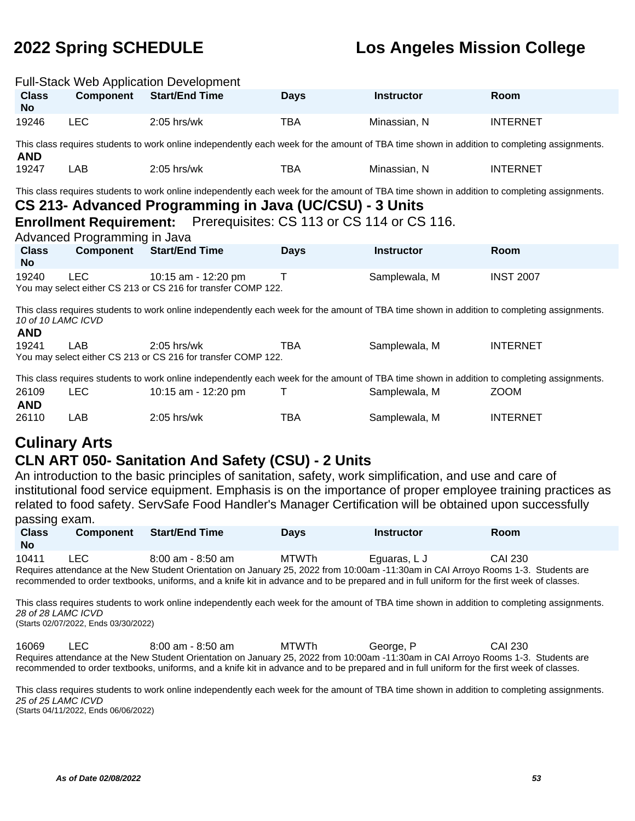|                                  |                                                                                                                                                                                                                                                                                                              | <b>Full-Stack Web Application Development</b>                                                                                               |             |                   |                  |  |  |
|----------------------------------|--------------------------------------------------------------------------------------------------------------------------------------------------------------------------------------------------------------------------------------------------------------------------------------------------------------|---------------------------------------------------------------------------------------------------------------------------------------------|-------------|-------------------|------------------|--|--|
| <b>Class</b><br><b>No</b>        | <b>Component</b>                                                                                                                                                                                                                                                                                             | <b>Start/End Time</b>                                                                                                                       | <b>Days</b> | <b>Instructor</b> | Room             |  |  |
| 19246                            | <b>LEC</b>                                                                                                                                                                                                                                                                                                   | $2:05$ hrs/wk                                                                                                                               | <b>TBA</b>  | Minassian, N      | <b>INTERNET</b>  |  |  |
| <b>AND</b>                       |                                                                                                                                                                                                                                                                                                              | This class requires students to work online independently each week for the amount of TBA time shown in addition to completing assignments. |             |                   |                  |  |  |
| 19247                            | LAB                                                                                                                                                                                                                                                                                                          | $2:05$ hrs/wk                                                                                                                               | <b>TBA</b>  | Minassian, N      | <b>INTERNET</b>  |  |  |
|                                  | This class requires students to work online independently each week for the amount of TBA time shown in addition to completing assignments.<br>CS 213- Advanced Programming in Java (UC/CSU) - 3 Units<br>Enrollment Requirement: Prerequisites: CS 113 or CS 114 or CS 116.<br>Advanced Programming in Java |                                                                                                                                             |             |                   |                  |  |  |
| <b>Class</b><br><b>No</b>        | Component                                                                                                                                                                                                                                                                                                    | <b>Start/End Time</b>                                                                                                                       | <b>Days</b> | <b>Instructor</b> | Room             |  |  |
| 19240                            | <b>LEC</b>                                                                                                                                                                                                                                                                                                   | 10:15 am - 12:20 pm<br>You may select either CS 213 or CS 216 for transfer COMP 122.                                                        | Τ           | Samplewala, M     | <b>INST 2007</b> |  |  |
| 10 of 10 LAMC ICVD<br><b>AND</b> |                                                                                                                                                                                                                                                                                                              | This class requires students to work online independently each week for the amount of TBA time shown in addition to completing assignments. |             |                   |                  |  |  |
| 19241                            | LAB                                                                                                                                                                                                                                                                                                          | $2:05$ hrs/wk<br>You may select either CS 213 or CS 216 for transfer COMP 122.                                                              | TBA         | Samplewala, M     | <b>INTERNET</b>  |  |  |
|                                  |                                                                                                                                                                                                                                                                                                              | This class requires students to work online independently each week for the amount of TBA time shown in addition to completing assignments. |             |                   |                  |  |  |
| 26109<br><b>AND</b>              | <b>LEC</b>                                                                                                                                                                                                                                                                                                   | 10:15 am - 12:20 pm                                                                                                                         | т           | Samplewala, M     | <b>ZOOM</b>      |  |  |
| 26110                            | LAB                                                                                                                                                                                                                                                                                                          | $2:05$ hrs/wk                                                                                                                               | TBA         | Samplewala, M     | <b>INTERNET</b>  |  |  |

# **Culinary Arts**

#### **CLN ART 050- Sanitation And Safety (CSU) - 2 Units**

An introduction to the basic principles of sanitation, safety, work simplification, and use and care of institutional food service equipment. Emphasis is on the importance of proper employee training practices as related to food safety. ServSafe Food Handler's Manager Certification will be obtained upon successfully passing exam.

| <b>Class</b><br><b>No</b>                                                                                                          | <b>Component</b>                                                                                                                           | <b>Start/End Time</b> | <b>Days</b> | <b>Instructor</b> | <b>Room</b> |  |  |  |
|------------------------------------------------------------------------------------------------------------------------------------|--------------------------------------------------------------------------------------------------------------------------------------------|-----------------------|-------------|-------------------|-------------|--|--|--|
| 10411                                                                                                                              | LEC.                                                                                                                                       | $8:00$ am - $8:50$ am | MTWTh       | Equaras, L J      | CAI 230     |  |  |  |
| Requires attendance at the New Student Orientation on January 25, 2022 from 10:00am -11:30am in CAI Arroyo Rooms 1-3. Students are |                                                                                                                                            |                       |             |                   |             |  |  |  |
|                                                                                                                                    | recommended to order textbooks, uniforms, and a knife kit in advance and to be prepared and in full uniform for the first week of classes. |                       |             |                   |             |  |  |  |

This class requires students to work online independently each week for the amount of TBA time shown in addition to completing assignments. 28 of 28 LAMC ICVD

(Starts 02/07/2022, Ends 03/30/2022)

16069 LEC 8:00 am - 8:50 am MTWTh George, P CAI 230 Requires attendance at the New Student Orientation on January 25, 2022 from 10:00am -11:30am in CAI Arroyo Rooms 1-3. Students are recommended to order textbooks, uniforms, and a knife kit in advance and to be prepared and in full uniform for the first week of classes.

This class requires students to work online independently each week for the amount of TBA time shown in addition to completing assignments. 25 of 25 LAMC ICVD

(Starts 04/11/2022, Ends 06/06/2022)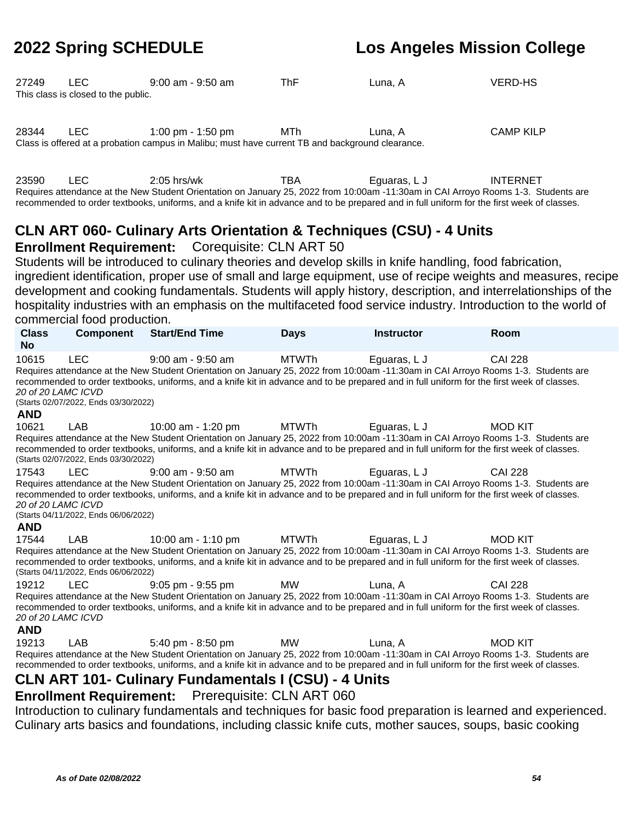| 27249 | LEC.                                | $9:00$ am - $9:50$ am | ThF | Luna, A | <b>VERD-HS</b> |
|-------|-------------------------------------|-----------------------|-----|---------|----------------|
|       | This class is closed to the public. |                       |     |         |                |
|       |                                     |                       |     |         |                |
|       |                                     |                       |     |         |                |

28344 LEC 1:00 pm - 1:50 pm MTh Luna, A CAMP KILP Class is offered at a probation campus in Malibu; must have current TB and background clearance.

23590 LEC 2:05 hrs/wk TBA Eguaras, LJ INTERNET Requires attendance at the New Student Orientation on January 25, 2022 from 10:00am -11:30am in CAI Arroyo Rooms 1-3. Students are recommended to order textbooks, uniforms, and a knife kit in advance and to be prepared and in full uniform for the first week of classes.

#### **CLN ART 060- Culinary Arts Orientation & Techniques (CSU) - 4 Units Enrollment Requirement:** Corequisite: CLN ART 50

Students will be introduced to culinary theories and develop skills in knife handling, food fabrication, ingredient identification, proper use of small and large equipment, use of recipe weights and measures, recipe development and cooking fundamentals. Students will apply history, description, and interrelationships of the hospitality industries with an emphasis on the multifaceted food service industry. Introduction to the world of commercial food production.

| <b>Class</b><br><b>No</b>                 | <b>Component</b>                                   | <b>Start/End Time</b>                                                                                                                                                                                                                                                                                                                                                | <b>Days</b>  | <b>Instructor</b> | <b>Room</b>    |
|-------------------------------------------|----------------------------------------------------|----------------------------------------------------------------------------------------------------------------------------------------------------------------------------------------------------------------------------------------------------------------------------------------------------------------------------------------------------------------------|--------------|-------------------|----------------|
| 10615<br>20 of 20 LAMC ICVD<br><b>AND</b> | <b>LEC</b><br>(Starts 02/07/2022, Ends 03/30/2022) | $9:00$ am - $9:50$ am<br>Requires attendance at the New Student Orientation on January 25, 2022 from 10:00am -11:30am in CAI Arroyo Rooms 1-3. Students are<br>recommended to order textbooks, uniforms, and a knife kit in advance and to be prepared and in full uniform for the first week of classes.                                                            | <b>MTWTh</b> | Eguaras, L J      | <b>CAI 228</b> |
| 10621                                     | LAB<br>(Starts 02/07/2022, Ends 03/30/2022)        | 10:00 am - 1:20 pm<br>Requires attendance at the New Student Orientation on January 25, 2022 from 10:00am -11:30am in CAI Arroyo Rooms 1-3. Students are<br>recommended to order textbooks, uniforms, and a knife kit in advance and to be prepared and in full uniform for the first week of classes.                                                               | MTWTh        | Eguaras, L J      | <b>MOD KIT</b> |
| 17543<br>20 of 20 LAMC ICVD<br><b>AND</b> | <b>LEC</b><br>(Starts 04/11/2022, Ends 06/06/2022) | $9:00$ am - $9:50$ am<br>Requires attendance at the New Student Orientation on January 25, 2022 from 10:00am -11:30am in CAI Arroyo Rooms 1-3. Students are<br>recommended to order textbooks, uniforms, and a knife kit in advance and to be prepared and in full uniform for the first week of classes.                                                            | <b>MTWTh</b> | Eguaras, L J      | <b>CAI 228</b> |
| 17544                                     | LAB<br>(Starts 04/11/2022, Ends 06/06/2022)        | 10:00 am - 1:10 pm<br>Requires attendance at the New Student Orientation on January 25, 2022 from 10:00am -11:30am in CAI Arroyo Rooms 1-3. Students are<br>recommended to order textbooks, uniforms, and a knife kit in advance and to be prepared and in full uniform for the first week of classes.                                                               | MTWTh        | Eguaras, L J      | <b>MOD KIT</b> |
| 19212<br>20 of 20 LAMC ICVD<br><b>AND</b> | <b>LEC</b>                                         | 9:05 pm - 9:55 pm<br>Requires attendance at the New Student Orientation on January 25, 2022 from 10:00am -11:30am in CAI Arroyo Rooms 1-3. Students are<br>recommended to order textbooks, uniforms, and a knife kit in advance and to be prepared and in full uniform for the first week of classes.                                                                | MW           | Luna. A           | <b>CAI 228</b> |
| 19213                                     | LAB                                                | 5:40 pm - 8:50 pm<br>Requires attendance at the New Student Orientation on January 25, 2022 from 10:00am -11:30am in CAI Arroyo Rooms 1-3. Students are<br>recommended to order textbooks, uniforms, and a knife kit in advance and to be prepared and in full uniform for the first week of classes.<br><b>CLN ART 101- Culinary Fundamentals I (CSU) - 4 Units</b> | <b>MW</b>    | Luna, A           | <b>MOD KIT</b> |

#### **Enrollment Requirement:** Prerequisite: CLN ART 060

Introduction to culinary fundamentals and techniques for basic food preparation is learned and experienced. Culinary arts basics and foundations, including classic knife cuts, mother sauces, soups, basic cooking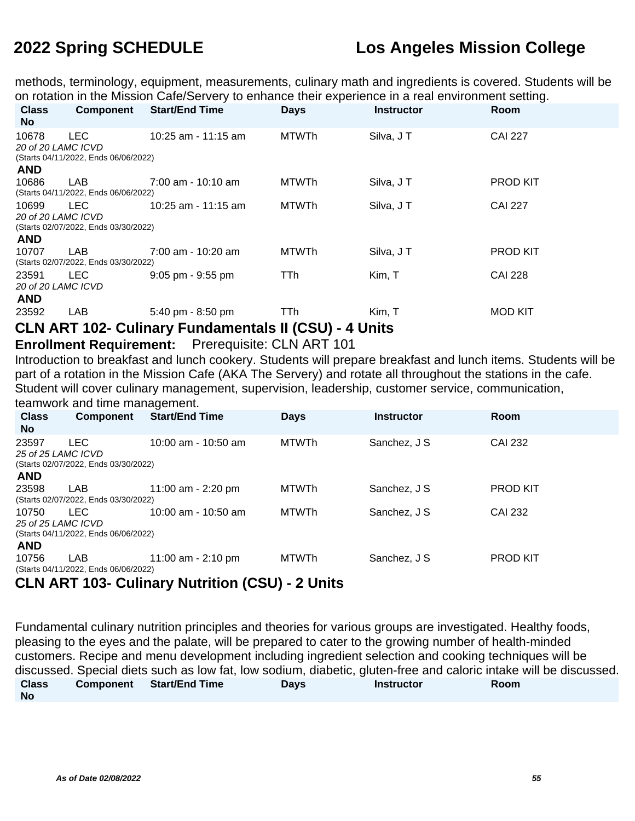methods, terminology, equipment, measurements, culinary math and ingredients is covered. Students will be on rotation in the Mission Cafe/Servery to enhance their experience in a real environment setting.

| <b>Class</b><br>No.                       | Component                                          | <b>Start/End Time</b>               | <b>Days</b>  | <b>Instructor</b> | <b>Room</b>     |
|-------------------------------------------|----------------------------------------------------|-------------------------------------|--------------|-------------------|-----------------|
| 10678<br>20 of 20 LAMC ICVD               | <b>LEC</b><br>(Starts 04/11/2022, Ends 06/06/2022) | 10:25 am - 11:15 am                 | <b>MTWTh</b> | Silva, JT         | <b>CAI 227</b>  |
| <b>AND</b><br>10686                       | LAB<br>(Starts 04/11/2022, Ends 06/06/2022)        | $7:00$ am - 10:10 am                | <b>MTWTh</b> | Silva, JT         | <b>PROD KIT</b> |
| 10699<br>20 of 20 LAMC ICVD<br><b>AND</b> | LEC.<br>(Starts 02/07/2022, Ends 03/30/2022)       | 10:25 am - 11:15 am                 | <b>MTWTh</b> | Silva, JT         | <b>CAI 227</b>  |
| 10707                                     | LAB<br>(Starts 02/07/2022, Ends 03/30/2022)        | 7:00 am - 10:20 am                  | <b>MTWTh</b> | Silva, JT         | <b>PROD KIT</b> |
| 23591<br>20 of 20 LAMC ICVD<br><b>AND</b> | <b>LEC</b>                                         | $9:05$ pm - $9:55$ pm               | TTh          | Kim, T            | <b>CAI 228</b>  |
| 23592                                     | LAB                                                | $5:40 \text{ pm} - 8:50 \text{ pm}$ | TTh          | Kim, T            | <b>MOD KIT</b>  |

#### **CLN ART 102- Culinary Fundamentals II (CSU) - 4 Units**

#### **Enrollment Requirement:** Prerequisite: CLN ART 101

Introduction to breakfast and lunch cookery. Students will prepare breakfast and lunch items. Students will be part of a rotation in the Mission Cafe (AKA The Servery) and rotate all throughout the stations in the cafe. Student will cover culinary management, supervision, leadership, customer service, communication,

teamwork and time management.

| <b>Class</b><br><b>No</b>   | <b>Component</b>                             | <b>Start/End Time</b> | <b>Days</b>  | <b>Instructor</b> | Room            |
|-----------------------------|----------------------------------------------|-----------------------|--------------|-------------------|-----------------|
| 23597<br>25 of 25 LAMC ICVD | LEC.<br>(Starts 02/07/2022, Ends 03/30/2022) | $10:00$ am - 10:50 am | <b>MTWTh</b> | Sanchez, J S      | CAI 232         |
| <b>AND</b>                  |                                              |                       |              |                   |                 |
| 23598                       | LAB                                          | 11:00 am - 2:20 pm    | <b>MTWTh</b> | Sanchez, J S      | <b>PROD KIT</b> |
|                             | (Starts 02/07/2022, Ends 03/30/2022)         |                       |              |                   |                 |
| 10750                       | LEC.                                         | 10:00 am - 10:50 am   | MTWTh        | Sanchez, J S      | <b>CAI 232</b>  |
| 25 of 25 LAMC ICVD          |                                              |                       |              |                   |                 |
|                             | (Starts 04/11/2022, Ends 06/06/2022)         |                       |              |                   |                 |
| <b>AND</b>                  |                                              |                       |              |                   |                 |
| 10756                       | LAB<br>(Starts 04/11/2022, Ends 06/06/2022)  | 11:00 am - 2:10 pm    | MTWTh        | Sanchez, J S      | <b>PROD KIT</b> |

#### **CLN ART 103- Culinary Nutrition (CSU) - 2 Units**

Fundamental culinary nutrition principles and theories for various groups are investigated. Healthy foods, pleasing to the eyes and the palate, will be prepared to cater to the growing number of health-minded customers. Recipe and menu development including ingredient selection and cooking techniques will be discussed. Special diets such as low fat, low sodium, diabetic, gluten-free and caloric intake will be discussed. **Class No Component Start/End Time Days Instructor Room**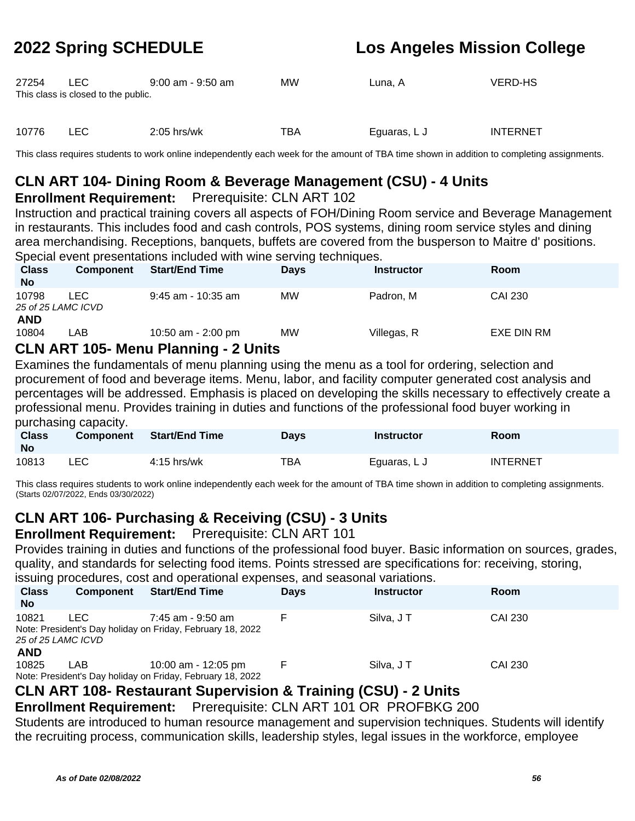| 27254 | LEC.<br>This class is closed to the public. | 9:00 am - 9:50 am | МW  | Luna. A      | <b>VERD-HS</b>  |
|-------|---------------------------------------------|-------------------|-----|--------------|-----------------|
| 10776 | LEC.                                        | $2:05$ hrs/wk     | TBA | Eguaras, L J | <b>INTERNET</b> |

This class requires students to work online independently each week for the amount of TBA time shown in addition to completing assignments.

### **CLN ART 104- Dining Room & Beverage Management (CSU) - 4 Units**

#### **Enrollment Requirement:** Prerequisite: CLN ART 102

Instruction and practical training covers all aspects of FOH/Dining Room service and Beverage Management in restaurants. This includes food and cash controls, POS systems, dining room service styles and dining area merchandising. Receptions, banquets, buffets are covered from the busperson to Maitre d' positions. Special event presentations included with wine serving techniques.

| <b>Class</b><br><b>No</b>   | <b>Component</b> | <b>Start/End Time</b>                                     | <b>Days</b> | <b>Instructor</b> | Room       |  |
|-----------------------------|------------------|-----------------------------------------------------------|-------------|-------------------|------------|--|
| 10798<br>25 of 25 LAMC ICVD | LEC              | 9:45 am - 10:35 am                                        | <b>MW</b>   | Padron, M         | CAI 230    |  |
| <b>AND</b><br>10804         | LAB              | 10:50 am - 2:00 pm<br>ALLIADT JAF Mexic Districts Alliste | <b>MW</b>   | Villegas, R       | EXE DIN RM |  |

#### **CLN ART 105- Menu Planning - 2 Units**

Examines the fundamentals of menu planning using the menu as a tool for ordering, selection and procurement of food and beverage items. Menu, labor, and facility computer generated cost analysis and percentages will be addressed. Emphasis is placed on developing the skills necessary to effectively create a professional menu. Provides training in duties and functions of the professional food buyer working in purchasing capacity.

| <b>Class</b><br><b>No</b> | <b>Component</b> | <b>Start/End Time</b> | Days | Instructor   | <b>Room</b>     |
|---------------------------|------------------|-----------------------|------|--------------|-----------------|
| 10813                     | LEC              | $4:15$ hrs/wk         | TBA  | Equaras, L J | <b>INTERNET</b> |

This class requires students to work online independently each week for the amount of TBA time shown in addition to completing assignments. (Starts 02/07/2022, Ends 03/30/2022)

### **CLN ART 106- Purchasing & Receiving (CSU) - 3 Units**

### **Enrollment Requirement:** Prerequisite: CLN ART 101

Provides training in duties and functions of the professional food buyer. Basic information on sources, grades, quality, and standards for selecting food items. Points stressed are specifications for: receiving, storing,

|                             | issuing procedures, cost and operational expenses, and seasonal variations. |                                                                                   |             |                   |             |  |  |  |
|-----------------------------|-----------------------------------------------------------------------------|-----------------------------------------------------------------------------------|-------------|-------------------|-------------|--|--|--|
| <b>Class</b><br><b>No</b>   | <b>Component</b>                                                            | <b>Start/End Time</b>                                                             | <b>Days</b> | <b>Instructor</b> | <b>Room</b> |  |  |  |
| 10821<br>25 of 25 LAMC ICVD | I FC.                                                                       | 7:45 am - 9:50 am<br>Note: President's Day holiday on Friday, February 18, 2022   |             | Silva, J T        | CAI 230     |  |  |  |
| <b>AND</b><br>10825         | LAB                                                                         | 10:00 am - 12:05 pm<br>Note: President's Day holiday on Friday, February 18, 2022 |             | Silva, J T        | CAI 230     |  |  |  |

### **CLN ART 108- Restaurant Supervision & Training (CSU) - 2 Units**

**Enrollment Requirement:** Prerequisite: CLN ART 101 OR PROFBKG 200

Students are introduced to human resource management and supervision techniques. Students will identify the recruiting process, communication skills, leadership styles, legal issues in the workforce, employee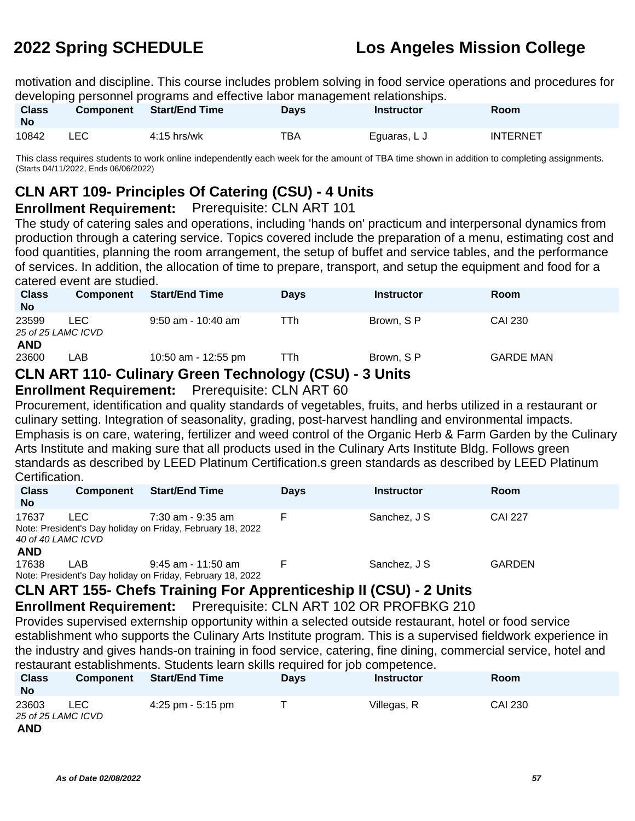motivation and discipline. This course includes problem solving in food service operations and procedures for developing personnel programs and effective labor management relationships.

| <b>Class</b><br><b>No</b> | <b>Component</b> | <b>Start/End Time</b> | Days | Instructor   | <b>Room</b>     |
|---------------------------|------------------|-----------------------|------|--------------|-----------------|
| 10842                     | LEC              | $4:15$ hrs/wk         | тва  | Equaras, L J | <b>INTERNET</b> |

This class requires students to work online independently each week for the amount of TBA time shown in addition to completing assignments. (Starts 04/11/2022, Ends 06/06/2022)

### **CLN ART 109- Principles Of Catering (CSU) - 4 Units**

#### **Enrollment Requirement:** Prerequisite: CLN ART 101

The study of catering sales and operations, including 'hands on' practicum and interpersonal dynamics from production through a catering service. Topics covered include the preparation of a menu, estimating cost and food quantities, planning the room arrangement, the setup of buffet and service tables, and the performance of services. In addition, the allocation of time to prepare, transport, and setup the equipment and food for a catered event are studied.

| <b>Class</b><br><b>No</b> | <b>Component</b>          | <b>Start/End Time</b>                       | <b>Davs</b> | <b>Instructor</b>             | <b>Room</b>      |  |
|---------------------------|---------------------------|---------------------------------------------|-------------|-------------------------------|------------------|--|
| 23599<br><b>AND</b>       | LEC<br>25 of 25 LAMC ICVD | $9:50$ am - 10:40 am                        | TTh         | Brown, S P                    | <b>CAI 230</b>   |  |
| 23600                     | LAB                       | 10:50 am - 12:55 pm                         | TTh         | Brown, S P                    | <b>GARDE MAN</b> |  |
|                           |                           | CLNLADT 440 Culinory Croop Tooppology (CCLN |             | $2$ $\overline{\phantom{a}1}$ |                  |  |

#### **CLN ART 110- Culinary Green Technology (CSU) - 3 Units**

#### **Enrollment Requirement:** Prerequisite: CLN ART 60

Procurement, identification and quality standards of vegetables, fruits, and herbs utilized in a restaurant or culinary setting. Integration of seasonality, grading, post-harvest handling and environmental impacts. Emphasis is on care, watering, fertilizer and weed control of the Organic Herb & Farm Garden by the Culinary Arts Institute and making sure that all products used in the Culinary Arts Institute Bldg. Follows green standards as described by LEED Platinum Certification.s green standards as described by LEED Platinum Certification.

| <b>Class</b><br><b>No</b> | <b>Component</b>            | <b>Start/End Time</b>                                                              | <b>Days</b> | <b>Instructor</b> | <b>Room</b>    |
|---------------------------|-----------------------------|------------------------------------------------------------------------------------|-------------|-------------------|----------------|
| 17637                     | I FC.<br>40 of 40 LAMC ICVD | $7:30$ am - 9:35 am<br>Note: President's Day holiday on Friday, February 18, 2022  |             | Sanchez, J S      | <b>CAI 227</b> |
| <b>AND</b><br>17638       | LAB                         | $9:45$ am - 11:50 am<br>Note: President's Day holiday on Friday, February 18, 2022 |             | Sanchez, J S      | <b>GARDEN</b>  |

### **CLN ART 155- Chefs Training For Apprenticeship II (CSU) - 2 Units**

**Enrollment Requirement:** Prerequisite: CLN ART 102 OR PROFBKG 210

Provides supervised externship opportunity within a selected outside restaurant, hotel or food service establishment who supports the Culinary Arts Institute program. This is a supervised fieldwork experience in the industry and gives hands-on training in food service, catering, fine dining, commercial service, hotel and restaurant establishments. Students learn skills required for job competence.

| <b>Class</b><br><b>No</b>                 | <b>Component</b> | <b>Start/End Time</b> | <b>Davs</b> | <b>Instructor</b> | Room           |
|-------------------------------------------|------------------|-----------------------|-------------|-------------------|----------------|
| 23603<br>25 of 25 LAMC ICVD<br><b>AND</b> | LEC              | 4:25 pm - 5:15 pm     |             | Villegas, R       | <b>CAI 230</b> |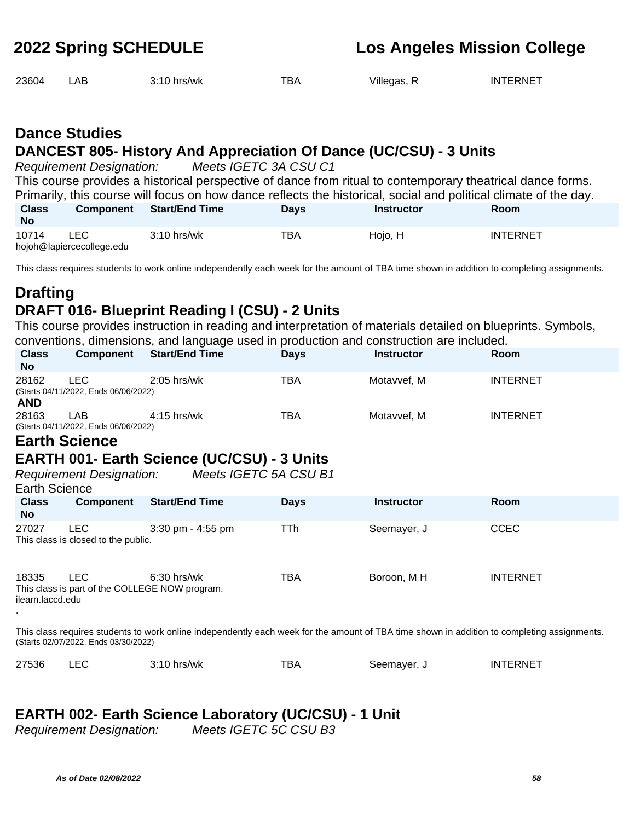| 23604 | LAB | 3:10 hrs/wk | TBA | Villegas, R | INTERNET |
|-------|-----|-------------|-----|-------------|----------|
|       |     |             |     |             |          |

### **Dance Studies DANCEST 805- History And Appreciation Of Dance (UC/CSU) - 3 Units**

Requirement Designation: Meets IGETC 3A CSU C1

This course provides a historical perspective of dance from ritual to contemporary theatrical dance forms. Primarily, this course will focus on how dance reflects the historical, social and political climate of the day.

| <b>Class</b><br>No | Component                               | <b>Start/End Time</b> | <b>Davs</b> | Instructor | Room            |
|--------------------|-----------------------------------------|-----------------------|-------------|------------|-----------------|
| 10714              | <b>LEC</b><br>hojoh@lapiercecollege.edu | $3:10$ hrs/wk         | TBA         | Hojo, H    | <b>INTERNET</b> |

This class requires students to work online independently each week for the amount of TBA time shown in addition to completing assignments.

### **Drafting DRAFT 016- Blueprint Reading I (CSU) - 2 Units**

This course provides instruction in reading and interpretation of materials detailed on blueprints. Symbols, conventions, dimensions, and language used in production and construction are included.

| <b>Class</b><br><b>No</b> |                                                                                                                                                                                     | <b>Component</b> Start/End Time | <b>Days</b> | <b>Instructor</b> | <b>Room</b>     |  |  |  |
|---------------------------|-------------------------------------------------------------------------------------------------------------------------------------------------------------------------------------|---------------------------------|-------------|-------------------|-----------------|--|--|--|
| 28162<br><b>AND</b>       | <b>LEC</b><br>(Starts 04/11/2022, Ends 06/06/2022)                                                                                                                                  | $2:05$ hrs/wk                   | TBA         | Motavvef, M       | <b>INTERNET</b> |  |  |  |
| 28163                     | LAB<br>(Starts 04/11/2022, Ends 06/06/2022)                                                                                                                                         | $4:15$ hrs/wk                   | TBA         | Motavvef, M       | <b>INTERNET</b> |  |  |  |
|                           | <b>Earth Science</b>                                                                                                                                                                |                                 |             |                   |                 |  |  |  |
|                           | <b>EARTH 001- Earth Science (UC/CSU) - 3 Units</b><br>Meets IGETC 5A CSU B1<br><b>Requirement Designation:</b><br><b>Earth Science</b>                                              |                                 |             |                   |                 |  |  |  |
| <b>Class</b><br><b>No</b> | Component                                                                                                                                                                           | <b>Start/End Time</b>           | <b>Days</b> | <b>Instructor</b> | Room            |  |  |  |
| 27027                     | LEC.<br>This class is closed to the public.                                                                                                                                         | 3:30 pm - 4:55 pm               | TTh         | Seemayer, J       | <b>CCEC</b>     |  |  |  |
| 18335<br>ilearn.laccd.edu | <b>LEC</b><br>This class is part of the COLLEGE NOW program.                                                                                                                        | $6:30$ hrs/wk                   | TBA         | Boroon, MH        | <b>INTERNET</b> |  |  |  |
|                           | This class requires students to work online independently each week for the amount of TBA time shown in addition to completing assignments.<br>(Starts 02/07/2022, Ends 03/30/2022) |                                 |             |                   |                 |  |  |  |

| 27536 | $3:10$ hrs/wk | тва |                      | INTERNET |
|-------|---------------|-----|----------------------|----------|
|       |               |     | Seemaver, J<br>----- |          |

### **EARTH 002- Earth Science Laboratory (UC/CSU) - 1 Unit**

Requirement Designation: Meets IGETC 5C CSU B3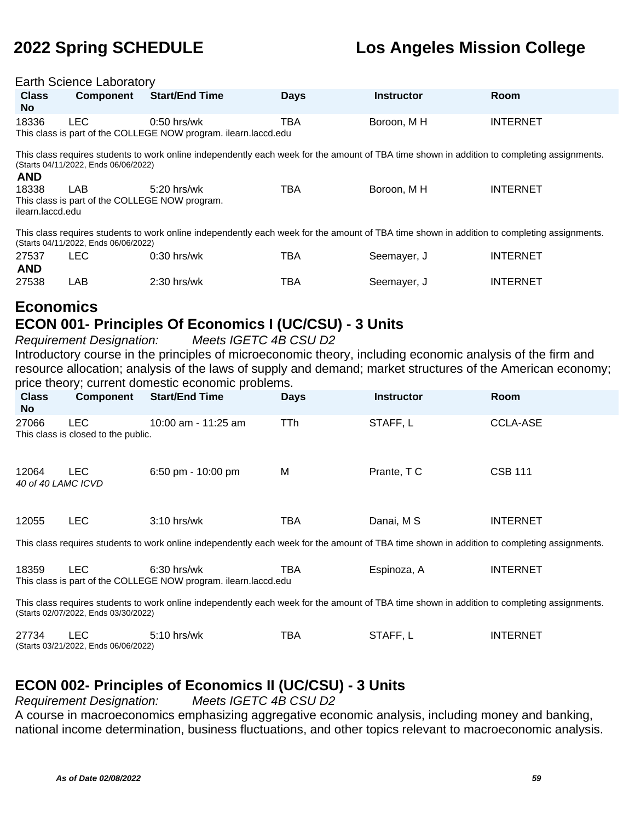#### Earth Science Laboratory

| <b>Class</b><br>No.                                                                                                                                                                 | Component                                                                                                                                                                           | <b>Start/End Time</b>                                                            | <b>Days</b> | <b>Instructor</b> | <b>Room</b>     |  |  |  |
|-------------------------------------------------------------------------------------------------------------------------------------------------------------------------------------|-------------------------------------------------------------------------------------------------------------------------------------------------------------------------------------|----------------------------------------------------------------------------------|-------------|-------------------|-----------------|--|--|--|
| 18336                                                                                                                                                                               | LEC.                                                                                                                                                                                | $0:50$ hrs/wk<br>This class is part of the COLLEGE NOW program. ilearn.laccd.edu | <b>TBA</b>  | Boroon, M H       | <b>INTERNET</b> |  |  |  |
| <b>AND</b>                                                                                                                                                                          | This class requires students to work online independently each week for the amount of TBA time shown in addition to completing assignments.<br>(Starts 04/11/2022, Ends 06/06/2022) |                                                                                  |             |                   |                 |  |  |  |
| 18338<br>ilearn.laccd.edu                                                                                                                                                           | <b>LAB</b><br>This class is part of the COLLEGE NOW program.                                                                                                                        | $5:20$ hrs/wk                                                                    | <b>TBA</b>  | Boroon. M H       | <b>INTERNET</b> |  |  |  |
| This class requires students to work online independently each week for the amount of TBA time shown in addition to completing assignments.<br>(Starts 04/11/2022, Ends 06/06/2022) |                                                                                                                                                                                     |                                                                                  |             |                   |                 |  |  |  |
| 27537                                                                                                                                                                               | LEC.                                                                                                                                                                                | $0:30$ hrs/wk                                                                    | TBA         | Seemayer, J       | <b>INTERNET</b> |  |  |  |

| <b>AND</b> |     |               |     |             |                 |
|------------|-----|---------------|-----|-------------|-----------------|
| 27538      | _AB | $2:30$ hrs/wk | TBA | Seemayer, J | <b>INTERNET</b> |

### **Economics**

#### **ECON 001- Principles Of Economics I (UC/CSU) - 3 Units**

Requirement Designation: Meets IGETC 4B CSU D2 Introductory course in the principles of microeconomic theory, including economic analysis of the firm and resource allocation; analysis of the laws of supply and demand; market structures of the American economy; price theory; current domestic economic problems.

| <b>Class</b><br>No.                                                                                                                         | <b>Component</b>                                  | <b>Start/End Time</b> | <b>Days</b> | <b>Instructor</b> | <b>Room</b>     |  |  |
|---------------------------------------------------------------------------------------------------------------------------------------------|---------------------------------------------------|-----------------------|-------------|-------------------|-----------------|--|--|
| 27066                                                                                                                                       | <b>LEC</b><br>This class is closed to the public. | 10:00 am - 11:25 am   | <b>TTh</b>  | STAFF, L          | <b>CCLA-ASE</b> |  |  |
| 12064<br>40 of 40 LAMC ICVD                                                                                                                 | <b>LEC</b>                                        | 6:50 pm - 10:00 pm    | M           | Prante, TC        | <b>CSB 111</b>  |  |  |
| 12055                                                                                                                                       | LEC.                                              | $3:10$ hrs/wk         | <b>TBA</b>  | Danai, M S        | <b>INTERNET</b> |  |  |
| This class requires students to work online independently each week for the amount of TBA time shown in addition to completing assignments. |                                                   |                       |             |                   |                 |  |  |

| 18359 | $6:30$ hrs/wk                                                   | тва | Espinoza, A | <b>INTERNET</b> |
|-------|-----------------------------------------------------------------|-----|-------------|-----------------|
|       | This class is part of the COLLEGE NOW program. ilearn.laccd.edu |     |             |                 |

This class requires students to work online independently each week for the amount of TBA time shown in addition to completing assignments. (Starts 02/07/2022, Ends 03/30/2022)

| 27734 |                                      | $5:10$ hrs/wk | ТВА | <b>STAFF</b> | <b>INTERNET</b> |
|-------|--------------------------------------|---------------|-----|--------------|-----------------|
|       | (Starts 03/21/2022, Ends 06/06/2022) |               |     |              |                 |

#### **ECON 002- Principles of Economics II (UC/CSU) - 3 Units**

Requirement Designation: Meets IGETC 4B CSU D2

A course in macroeconomics emphasizing aggregative economic analysis, including money and banking, national income determination, business fluctuations, and other topics relevant to macroeconomic analysis.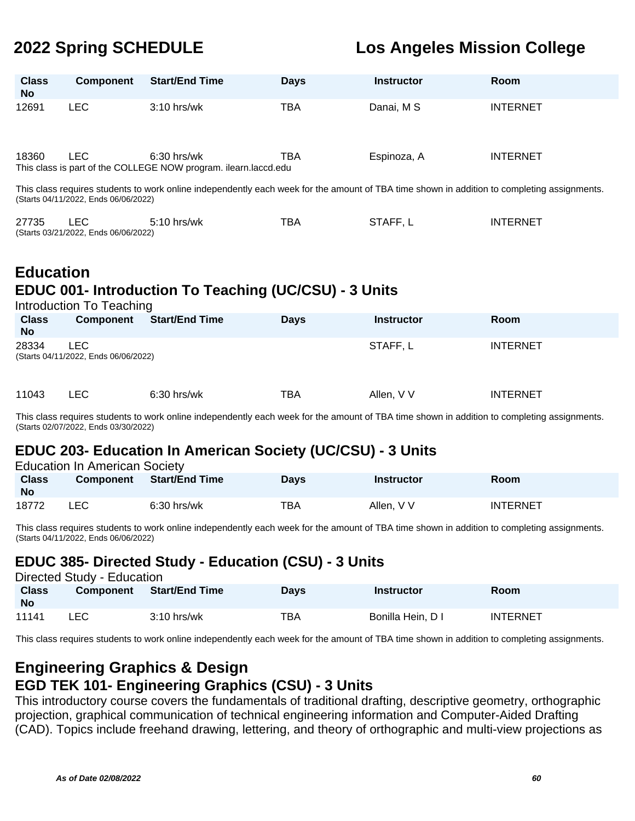| <b>Class</b><br><b>No</b> | <b>Component</b>                                   | <b>Start/End Time</b>                                                                                                                       | <b>Days</b> | <b>Instructor</b> | Room            |
|---------------------------|----------------------------------------------------|---------------------------------------------------------------------------------------------------------------------------------------------|-------------|-------------------|-----------------|
| 12691                     | <b>LEC</b>                                         | 3:10 hrs/wk                                                                                                                                 | <b>TBA</b>  | Danai, M S        | <b>INTERNET</b> |
| 18360                     | <b>LEC</b>                                         | $6:30$ hrs/wk<br>This class is part of the COLLEGE NOW program. ilearn.laccd.edu                                                            | TBA         | Espinoza, A       | <b>INTERNET</b> |
|                           | (Starts 04/11/2022, Ends 06/06/2022)               | This class requires students to work online independently each week for the amount of TBA time shown in addition to completing assignments. |             |                   |                 |
| 27735                     | <b>LEC</b><br>(Starts 03/21/2022, Ends 06/06/2022) | 5:10 hrs/wk                                                                                                                                 | TBA         | STAFF, L          | <b>INTERNET</b> |
| <b>Education</b>          |                                                    |                                                                                                                                             |             |                   |                 |
|                           | Introduction To Teaching                           | EDUC 001- Introduction To Teaching (UC/CSU) - 3 Units                                                                                       |             |                   |                 |
| <b>Class</b><br><b>No</b> | Component                                          | <b>Start/End Time</b>                                                                                                                       | <b>Days</b> | <b>Instructor</b> | Room            |
| 28334                     | <b>LEC</b><br>(Starts 04/11/2022, Ends 06/06/2022) |                                                                                                                                             |             | STAFF, L          | <b>INTERNET</b> |
| 11043                     | <b>LEC</b>                                         | $6:30$ hrs/wk                                                                                                                               | TBA         | Allen, V V        | <b>INTERNET</b> |

This class requires students to work online independently each week for the amount of TBA time shown in addition to completing assignments. (Starts 02/07/2022, Ends 03/30/2022)

### **EDUC 203- Education In American Society (UC/CSU) - 3 Units**

| <b>Education In American Society</b> |                  |                |             |                   |                 |  |  |
|--------------------------------------|------------------|----------------|-------------|-------------------|-----------------|--|--|
| <b>Class</b><br>No                   | <b>Component</b> | Start/End Time | <b>Days</b> | <b>Instructor</b> | <b>Room</b>     |  |  |
| 18772                                | LEC.             | $6:30$ hrs/wk  | TBA         | Allen, V V        | <b>INTERNET</b> |  |  |

This class requires students to work online independently each week for the amount of TBA time shown in addition to completing assignments. (Starts 04/11/2022, Ends 06/06/2022)

#### **EDUC 385- Directed Study - Education (CSU) - 3 Units**

| Directed Study - Education |           |                       |             |                   |                 |  |  |
|----------------------------|-----------|-----------------------|-------------|-------------------|-----------------|--|--|
| <b>Class</b><br><b>No</b>  | Component | <b>Start/End Time</b> | <b>Davs</b> | Instructor        | <b>Room</b>     |  |  |
| 11141                      | LEC       | $3:10$ hrs/wk         | TBA         | Bonilla Hein, D I | <b>INTERNET</b> |  |  |

This class requires students to work online independently each week for the amount of TBA time shown in addition to completing assignments.

# **Engineering Graphics & Design**

#### **EGD TEK 101- Engineering Graphics (CSU) - 3 Units**

This introductory course covers the fundamentals of traditional drafting, descriptive geometry, orthographic projection, graphical communication of technical engineering information and Computer-Aided Drafting (CAD). Topics include freehand drawing, lettering, and theory of orthographic and multi-view projections as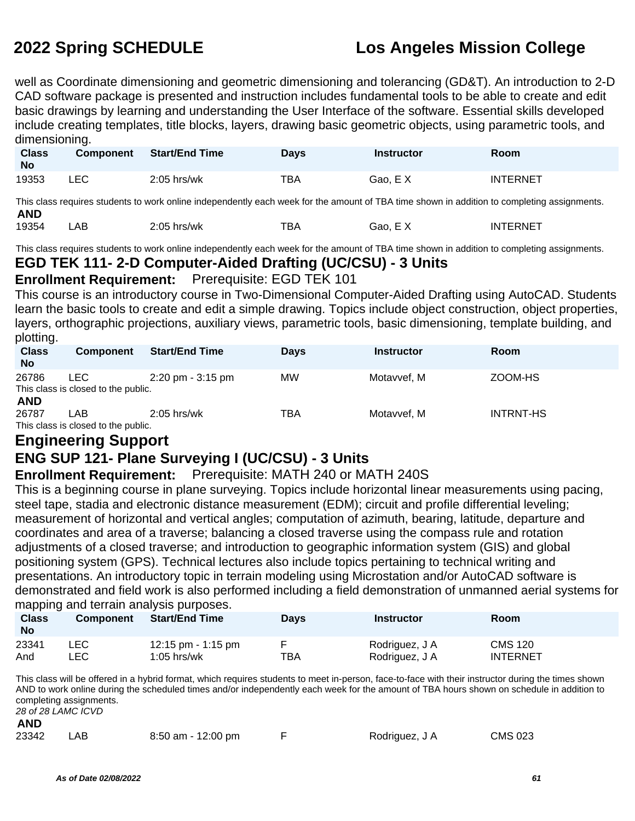well as Coordinate dimensioning and geometric dimensioning and tolerancing (GD&T). An introduction to 2-D CAD software package is presented and instruction includes fundamental tools to be able to create and edit basic drawings by learning and understanding the User Interface of the software. Essential skills developed include creating templates, title blocks, layers, drawing basic geometric objects, using parametric tools, and dimensioning.

| <b>Class</b><br><b>No</b> | <b>Component</b> | <b>Start/End Time</b> | <b>Days</b> | <b>Instructor</b> | Room                                                                                                                                        |  |
|---------------------------|------------------|-----------------------|-------------|-------------------|---------------------------------------------------------------------------------------------------------------------------------------------|--|
| 19353                     | ∟EC-             | $2:05$ hrs/wk         | ТВА         | Gao, EX           | <b>INTERNET</b>                                                                                                                             |  |
|                           |                  |                       |             |                   | This class requires students to work online independently each week for the amount of TBA time shown in addition to completing assignments. |  |

**AND**

19354 LAB 2:05 hrs/wk TBA Gao, E X INTERNET

This class requires students to work online independently each week for the amount of TBA time shown in addition to completing assignments.

#### **EGD TEK 111- 2-D Computer-Aided Drafting (UC/CSU) - 3 Units**

#### **Enrollment Requirement:** Prerequisite: EGD TEK 101

This course is an introductory course in Two-Dimensional Computer-Aided Drafting using AutoCAD. Students learn the basic tools to create and edit a simple drawing. Topics include object construction, object properties, layers, orthographic projections, auxiliary views, parametric tools, basic dimensioning, template building, and plotting.

| <b>Class</b><br><b>No</b> | Component                                   | <b>Start/End Time</b>               | <b>Days</b> | <b>Instructor</b> | <b>Room</b>      |
|---------------------------|---------------------------------------------|-------------------------------------|-------------|-------------------|------------------|
| 26786                     | LEC.<br>This class is closed to the public. | $2:20 \text{ pm} - 3:15 \text{ pm}$ | МW          | Motavvef, M       | ZOOM-HS          |
| <b>AND</b><br>26787       | LAB<br>This class is closed to the public.  | $2:05$ hrs/wk                       | <b>TBA</b>  | Motavvef, M       | <b>INTRNT-HS</b> |

### **Engineering Support**

### **ENG SUP 121- Plane Surveying I (UC/CSU) - 3 Units**

#### **Enrollment Requirement:** Prerequisite: MATH 240 or MATH 240S

This is a beginning course in plane surveying. Topics include horizontal linear measurements using pacing, steel tape, stadia and electronic distance measurement (EDM); circuit and profile differential leveling; measurement of horizontal and vertical angles; computation of azimuth, bearing, latitude, departure and coordinates and area of a traverse; balancing a closed traverse using the compass rule and rotation adjustments of a closed traverse; and introduction to geographic information system (GIS) and global positioning system (GPS). Technical lectures also include topics pertaining to technical writing and presentations. An introductory topic in terrain modeling using Microstation and/or AutoCAD software is demonstrated and field work is also performed including a field demonstration of unmanned aerial systems for mapping and terrain analysis purposes.

| <b>Class</b><br><b>No</b> | <b>Component</b> | <b>Start/End Time</b> | Days | <b>Instructor</b> | Room            |
|---------------------------|------------------|-----------------------|------|-------------------|-----------------|
| 23341                     | ∟EC              | 12:15 pm - 1:15 pm    | TBA  | Rodriguez, J A    | CMS 120         |
| And                       | LEC.             | $1:05$ hrs/wk         |      | Rodriguez, J A    | <b>INTERNET</b> |

This class will be offered in a hybrid format, which requires students to meet in-person, face-to-face with their instructor during the times shown AND to work online during the scheduled times and/or independently each week for the amount of TBA hours shown on schedule in addition to completing assignments. 28 of 28 LAMC ICVD

| AND           |  |
|---------------|--|
| $\sim$ $\sim$ |  |

| 23342<br>LAB<br>8:50 am - 12:00 pm | <b>CMS 023</b><br>Rodriguez, J A |
|------------------------------------|----------------------------------|
|------------------------------------|----------------------------------|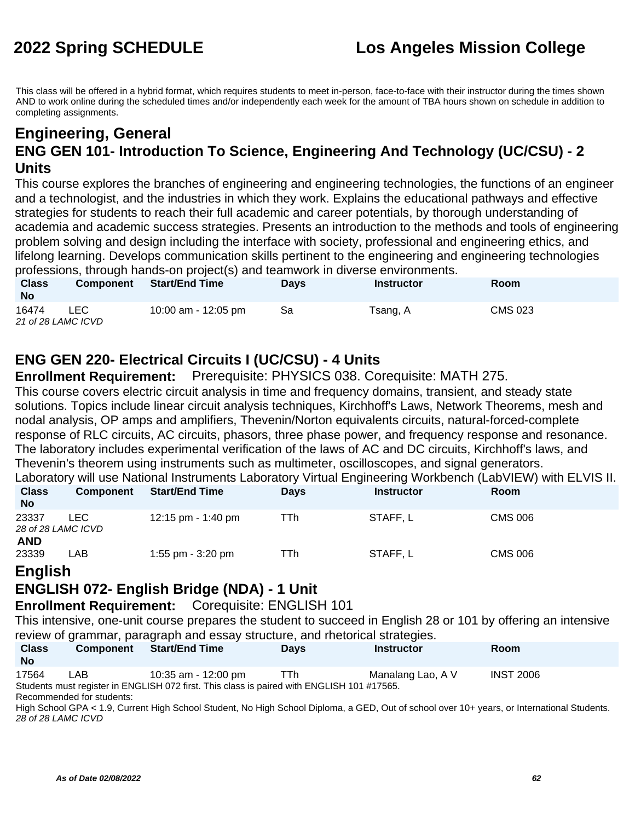This class will be offered in a hybrid format, which requires students to meet in-person, face-to-face with their instructor during the times shown AND to work online during the scheduled times and/or independently each week for the amount of TBA hours shown on schedule in addition to completing assignments.

### **Engineering, General ENG GEN 101- Introduction To Science, Engineering And Technology (UC/CSU) - 2 Units**

This course explores the branches of engineering and engineering technologies, the functions of an engineer and a technologist, and the industries in which they work. Explains the educational pathways and effective strategies for students to reach their full academic and career potentials, by thorough understanding of academia and academic success strategies. Presents an introduction to the methods and tools of engineering problem solving and design including the interface with society, professional and engineering ethics, and lifelong learning. Develops communication skills pertinent to the engineering and engineering technologies professions, through hands-on project(s) and teamwork in diverse environments.

| <b>Class</b><br><b>No</b>   | <b>Component</b> | <b>Start/End Time</b> | <b>Davs</b> | <b>Instructor</b> | <b>Room</b> |
|-----------------------------|------------------|-----------------------|-------------|-------------------|-------------|
| 16474<br>21 of 28 LAMC ICVD | <b>LEC</b>       | 10:00 am - 12:05 pm   | Sa          | Tsang, A          | CMS 023     |

#### **ENG GEN 220- Electrical Circuits I (UC/CSU) - 4 Units**

**Enrollment Requirement:** Prerequisite: PHYSICS 038. Corequisite: MATH 275.

This course covers electric circuit analysis in time and frequency domains, transient, and steady state solutions. Topics include linear circuit analysis techniques, Kirchhoff's Laws, Network Theorems, mesh and nodal analysis, OP amps and amplifiers, Thevenin/Norton equivalents circuits, natural-forced-complete response of RLC circuits, AC circuits, phasors, three phase power, and frequency response and resonance. The laboratory includes experimental verification of the laws of AC and DC circuits, Kirchhoff's laws, and Thevenin's theorem using instruments such as multimeter, oscilloscopes, and signal generators.  $\mu$ ioratory will use National Instruments Laboratory Virtual Engineering Workbench (Laboratory Virtual ELVIS III.

|                       |                  |                       |             |                   | Laboratory will use National Instruments Laboratory Virtual Engineering VVOrkbench (LabVIEVV) with ELVIS II. |
|-----------------------|------------------|-----------------------|-------------|-------------------|--------------------------------------------------------------------------------------------------------------|
| <b>Class</b>          | <b>Component</b> | <b>Start/End Time</b> | <b>Davs</b> | <b>Instructor</b> | <b>Room</b>                                                                                                  |
| <b>No</b>             |                  |                       |             |                   |                                                                                                              |
| 23337                 | LEC.             | 12:15 pm - 1:40 pm    | <b>TTh</b>  | STAFF.L           | CMS 006                                                                                                      |
| 28 of 28 LAMC ICVD    |                  |                       |             |                   |                                                                                                              |
| <b>AND</b>            |                  |                       |             |                   |                                                                                                              |
| 23339                 | LAB              | 1:55 pm $-$ 3:20 pm   | TTh         | STAFF, L          | <b>CMS 006</b>                                                                                               |
| $\Gamma$ is all to be |                  |                       |             |                   |                                                                                                              |

#### **English**

#### **ENGLISH 072- English Bridge (NDA) - 1 Unit**

**Enrollment Requirement:** Corequisite: ENGLISH 101

This intensive, one-unit course prepares the student to succeed in English 28 or 101 by offering an intensive review of grammar, paragraph and essay structure, and rhetorical strategies.

| <b>Class</b><br><b>No</b> | <b>Component</b> | <b>Start/End Time</b>                                                                                             | <b>Davs</b> | <b>Instructor</b> | Room             |
|---------------------------|------------------|-------------------------------------------------------------------------------------------------------------------|-------------|-------------------|------------------|
| 17564                     | LAB              | 10:35 am - 12:00 pm<br>Students must register in ENGLISH 072 first. This class is paired with ENGLISH 101 #17565. | TTh.        | Manalang Lao, A V | <b>INST 2006</b> |
|                           |                  |                                                                                                                   |             |                   |                  |

Recommended for students:

High School GPA < 1.9, Current High School Student, No High School Diploma, a GED, Out of school over 10+ years, or International Students. 28 of 28 LAMC ICVD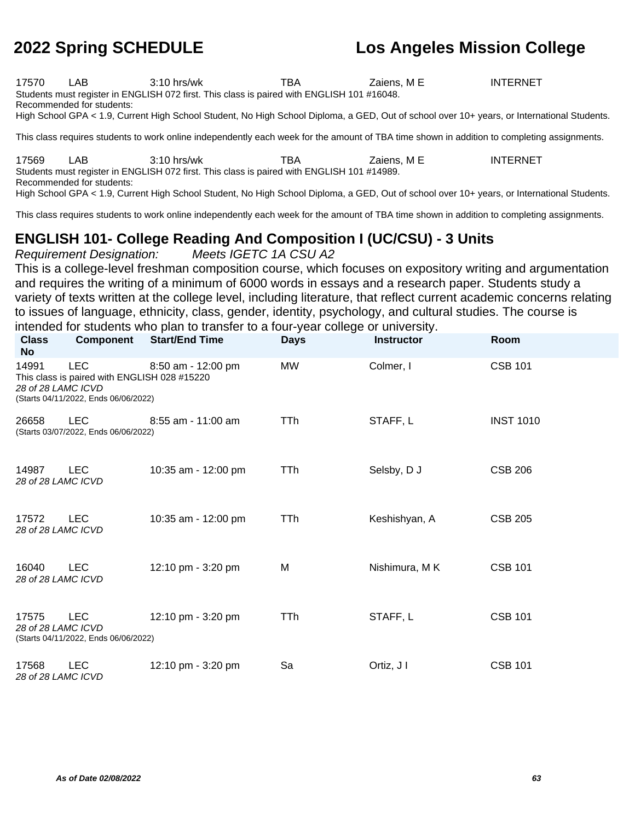17570 LAB 3:10 hrs/wk TBA Zaiens, M E INTERNET Students must register in ENGLISH 072 first. This class is paired with ENGLISH 101 #16048.

Recommended for students:

High School GPA < 1.9, Current High School Student, No High School Diploma, a GED, Out of school over 10+ years, or International Students.

This class requires students to work online independently each week for the amount of TBA time shown in addition to completing assignments.

17569 LAB 3:10 hrs/wk TBA Zaiens, M E INTERNET Students must register in ENGLISH 072 first. This class is paired with ENGLISH 101 #14989. Recommended for students: High School GPA < 1.9, Current High School Student, No High School Diploma, a GED, Out of school over 10+ years, or International Students.

This class requires students to work online independently each week for the amount of TBA time shown in addition to completing assignments.

### **ENGLISH 101- College Reading And Composition I (UC/CSU) - 3 Units**

Requirement Designation: Meets IGETC 1A CSU A2 This is a college-level freshman composition course, which focuses on expository writing and argumentation and requires the writing of a minimum of 6000 words in essays and a research paper. Students study a variety of texts written at the college level, including literature, that reflect current academic concerns relating to issues of language, ethnicity, class, gender, identity, psychology, and cultural studies. The course is intended for students who plan to transfer to a four-year college or university.

| <b>Class</b><br><b>No</b>   | <b>Component</b>                                                                                   | <b>Start/End Time</b> | <b>Days</b> | <b>Instructor</b> | Room             |
|-----------------------------|----------------------------------------------------------------------------------------------------|-----------------------|-------------|-------------------|------------------|
| 14991<br>28 of 28 LAMC ICVD | <b>LEC</b><br>This class is paired with ENGLISH 028 #15220<br>(Starts 04/11/2022, Ends 06/06/2022) | 8:50 am - 12:00 pm    | MW          | Colmer, I         | <b>CSB 101</b>   |
| 26658                       | <b>LEC</b><br>(Starts 03/07/2022, Ends 06/06/2022)                                                 | $8:55$ am - 11:00 am  | TTh         | STAFF, L          | <b>INST 1010</b> |
| 14987<br>28 of 28 LAMC ICVD | <b>LEC</b>                                                                                         | 10:35 am - 12:00 pm   | TTh         | Selsby, D J       | <b>CSB 206</b>   |
| 17572<br>28 of 28 LAMC ICVD | <b>LEC</b>                                                                                         | 10:35 am - 12:00 pm   | TTh         | Keshishyan, A     | <b>CSB 205</b>   |
| 16040<br>28 of 28 LAMC ICVD | <b>LEC</b>                                                                                         | 12:10 pm - 3:20 pm    | M           | Nishimura, MK     | <b>CSB 101</b>   |
| 17575<br>28 of 28 LAMC ICVD | <b>LEC</b><br>(Starts 04/11/2022, Ends 06/06/2022)                                                 | 12:10 pm - 3:20 pm    | TTh         | STAFF, L          | <b>CSB 101</b>   |
| 17568<br>28 of 28 LAMC ICVD | <b>LEC</b>                                                                                         | 12:10 pm - 3:20 pm    | Sa          | Ortiz, J I        | <b>CSB 101</b>   |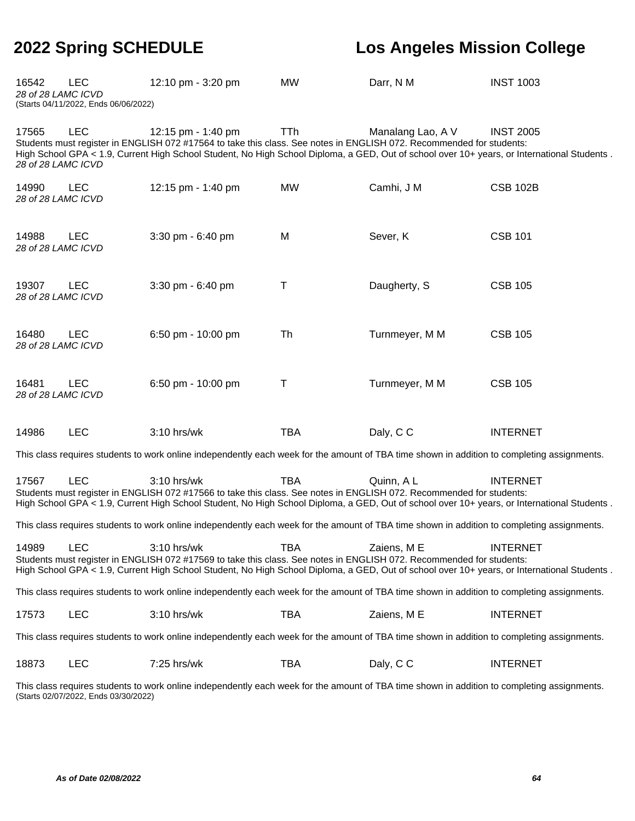| 16542<br>28 of 28 LAMC ICVD                                                                                                                 | <b>LEC</b><br>(Starts 04/11/2022, Ends 06/06/2022) | 12:10 pm - 3:20 pm                                                                                                                                                                                                                                                                        | <b>MW</b>  | Darr, N M         | <b>INST 1003</b> |
|---------------------------------------------------------------------------------------------------------------------------------------------|----------------------------------------------------|-------------------------------------------------------------------------------------------------------------------------------------------------------------------------------------------------------------------------------------------------------------------------------------------|------------|-------------------|------------------|
| 17565<br>28 of 28 LAMC ICVD                                                                                                                 | <b>LEC</b>                                         | 12:15 pm - 1:40 pm<br>Students must register in ENGLISH 072 #17564 to take this class. See notes in ENGLISH 072. Recommended for students:<br>High School GPA < 1.9, Current High School Student, No High School Diploma, a GED, Out of school over 10+ years, or International Students. | <b>TTh</b> | Manalang Lao, A V | <b>INST 2005</b> |
| 14990<br>28 of 28 LAMC ICVD                                                                                                                 | <b>LEC</b>                                         | 12:15 pm - 1:40 pm                                                                                                                                                                                                                                                                        | <b>MW</b>  | Camhi, J M        | <b>CSB 102B</b>  |
| 14988<br>28 of 28 LAMC ICVD                                                                                                                 | <b>LEC</b>                                         | 3:30 pm - 6:40 pm                                                                                                                                                                                                                                                                         | M          | Sever, K          | <b>CSB 101</b>   |
| 19307<br>28 of 28 LAMC ICVD                                                                                                                 | <b>LEC</b>                                         | 3:30 pm - 6:40 pm                                                                                                                                                                                                                                                                         | Τ          | Daugherty, S      | <b>CSB 105</b>   |
| 16480<br>28 of 28 LAMC ICVD                                                                                                                 | <b>LEC</b>                                         | 6:50 pm - 10:00 pm                                                                                                                                                                                                                                                                        | Th         | Turnmeyer, M M    | <b>CSB 105</b>   |
| 16481<br>28 of 28 LAMC ICVD                                                                                                                 | <b>LEC</b>                                         | 6:50 pm - 10:00 pm                                                                                                                                                                                                                                                                        | Τ          | Turnmeyer, M M    | <b>CSB 105</b>   |
| 14986                                                                                                                                       | <b>LEC</b>                                         | 3:10 hrs/wk                                                                                                                                                                                                                                                                               | <b>TBA</b> | Daly, C C         | <b>INTERNET</b>  |
|                                                                                                                                             |                                                    | This class requires students to work online independently each week for the amount of TBA time shown in addition to completing assignments.                                                                                                                                               |            |                   |                  |
| 17567                                                                                                                                       | <b>LEC</b>                                         | 3:10 hrs/wk<br>Students must register in ENGLISH 072 #17566 to take this class. See notes in ENGLISH 072. Recommended for students:<br>High School GPA < 1.9, Current High School Student, No High School Diploma, a GED, Out of school over 10+ years, or International Students.        | <b>TBA</b> | Quinn, A L        | <b>INTERNET</b>  |
|                                                                                                                                             |                                                    | This class requires students to work online independently each week for the amount of TBA time shown in addition to completing assignments.                                                                                                                                               |            |                   |                  |
| 14989                                                                                                                                       | <b>LEC</b>                                         | $3:10$ hrs/wk<br>Students must register in ENGLISH 072 #17569 to take this class. See notes in ENGLISH 072. Recommended for students:<br>High School GPA < 1.9, Current High School Student, No High School Diploma, a GED, Out of school over 10+ years, or International Students.      | TBA        | Zaiens, M E       | <b>INTERNET</b>  |
| This class requires students to work online independently each week for the amount of TBA time shown in addition to completing assignments. |                                                    |                                                                                                                                                                                                                                                                                           |            |                   |                  |
| 17573                                                                                                                                       | <b>LEC</b>                                         | 3:10 hrs/wk                                                                                                                                                                                                                                                                               | <b>TBA</b> | Zaiens, M E       | <b>INTERNET</b>  |
|                                                                                                                                             |                                                    | This class requires students to work online independently each week for the amount of TBA time shown in addition to completing assignments.                                                                                                                                               |            |                   |                  |
| 18873                                                                                                                                       | <b>LEC</b>                                         | 7:25 hrs/wk                                                                                                                                                                                                                                                                               | <b>TBA</b> | Daly, C C         | <b>INTERNET</b>  |

This class requires students to work online independently each week for the amount of TBA time shown in addition to completing assignments. (Starts 02/07/2022, Ends 03/30/2022)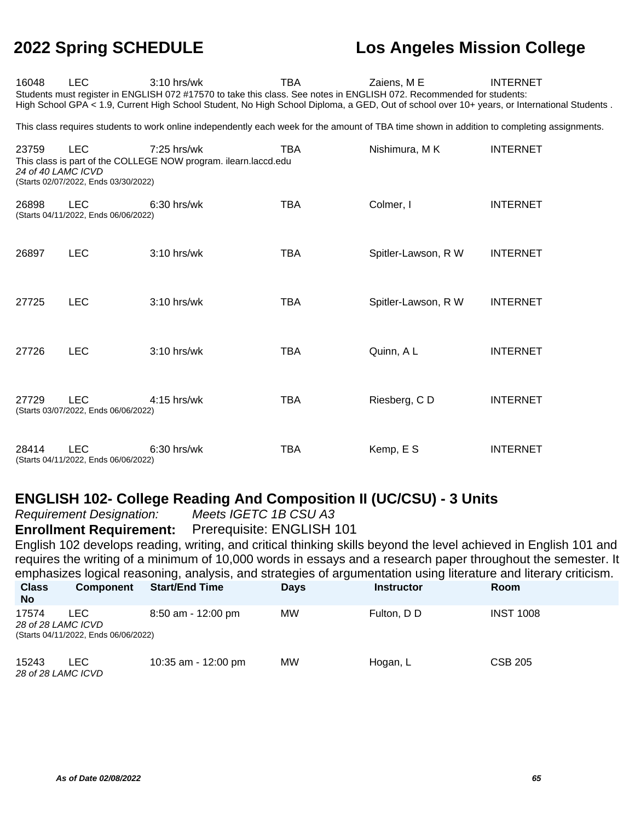| 16048                       | <b>LEC</b>                                                                                                                                  | $3:10$ hrs/wk<br>Students must register in ENGLISH 072 #17570 to take this class. See notes in ENGLISH 072. Recommended for students:<br>High School GPA < 1.9, Current High School Student, No High School Diploma, a GED, Out of school over 10+ years, or International Students. | TBA        | Zaiens, M E         | <b>INTERNET</b> |  |  |  |  |  |
|-----------------------------|---------------------------------------------------------------------------------------------------------------------------------------------|--------------------------------------------------------------------------------------------------------------------------------------------------------------------------------------------------------------------------------------------------------------------------------------|------------|---------------------|-----------------|--|--|--|--|--|
|                             | This class requires students to work online independently each week for the amount of TBA time shown in addition to completing assignments. |                                                                                                                                                                                                                                                                                      |            |                     |                 |  |  |  |  |  |
| 23759<br>24 of 40 LAMC ICVD | <b>LEC</b><br>(Starts 02/07/2022, Ends 03/30/2022)                                                                                          | 7:25 hrs/wk<br>This class is part of the COLLEGE NOW program. ilearn.laccd.edu                                                                                                                                                                                                       | <b>TBA</b> | Nishimura, MK       | <b>INTERNET</b> |  |  |  |  |  |
| 26898                       | <b>LEC</b><br>(Starts 04/11/2022, Ends 06/06/2022)                                                                                          | $6:30$ hrs/wk                                                                                                                                                                                                                                                                        | <b>TBA</b> | Colmer, I           | <b>INTERNET</b> |  |  |  |  |  |
| 26897                       | <b>LEC</b>                                                                                                                                  | 3:10 hrs/wk                                                                                                                                                                                                                                                                          | <b>TBA</b> | Spitler-Lawson, R W | <b>INTERNET</b> |  |  |  |  |  |
| 27725                       | <b>LEC</b>                                                                                                                                  | 3:10 hrs/wk                                                                                                                                                                                                                                                                          | <b>TBA</b> | Spitler-Lawson, R W | <b>INTERNET</b> |  |  |  |  |  |
| 27726                       | <b>LEC</b>                                                                                                                                  | $3:10$ hrs/wk                                                                                                                                                                                                                                                                        | <b>TBA</b> | Quinn, A L          | <b>INTERNET</b> |  |  |  |  |  |
| 27729                       | <b>LEC</b><br>(Starts 03/07/2022, Ends 06/06/2022)                                                                                          | 4:15 hrs/wk                                                                                                                                                                                                                                                                          | <b>TBA</b> | Riesberg, CD        | <b>INTERNET</b> |  |  |  |  |  |
| 28414                       | <b>LEC</b><br>(Starts 04/11/2022, Ends 06/06/2022)                                                                                          | $6:30$ hrs/wk                                                                                                                                                                                                                                                                        | <b>TBA</b> | Kemp, E S           | <b>INTERNET</b> |  |  |  |  |  |

# **ENGLISH 102- College Reading And Composition II (UC/CSU) - 3 Units**

Requirement Designation:

**Enrollment Requirement:** Prerequisite: ENGLISH 101

English 102 develops reading, writing, and critical thinking skills beyond the level achieved in English 101 and requires the writing of a minimum of 10,000 words in essays and a research paper throughout the semester. It emphasizes logical reasoning, analysis, and strategies of argumentation using literature and literary criticism.

| <b>Class</b><br><b>No</b> | <b>Component</b>                                                   | <b>Start/End Time</b> | <b>Days</b> | <b>Instructor</b> | <b>Room</b>      |  |
|---------------------------|--------------------------------------------------------------------|-----------------------|-------------|-------------------|------------------|--|
| 17574                     | LEC.<br>28 of 28 LAMC ICVD<br>(Starts 04/11/2022, Ends 06/06/2022) | $8:50$ am - 12:00 pm  | MW          | Fulton, D D       | <b>INST 1008</b> |  |
| 15243                     | LEC<br>28 of 28 LAMC ICVD                                          | 10:35 am - 12:00 pm   | MW          | Hogan, L          | <b>CSB 205</b>   |  |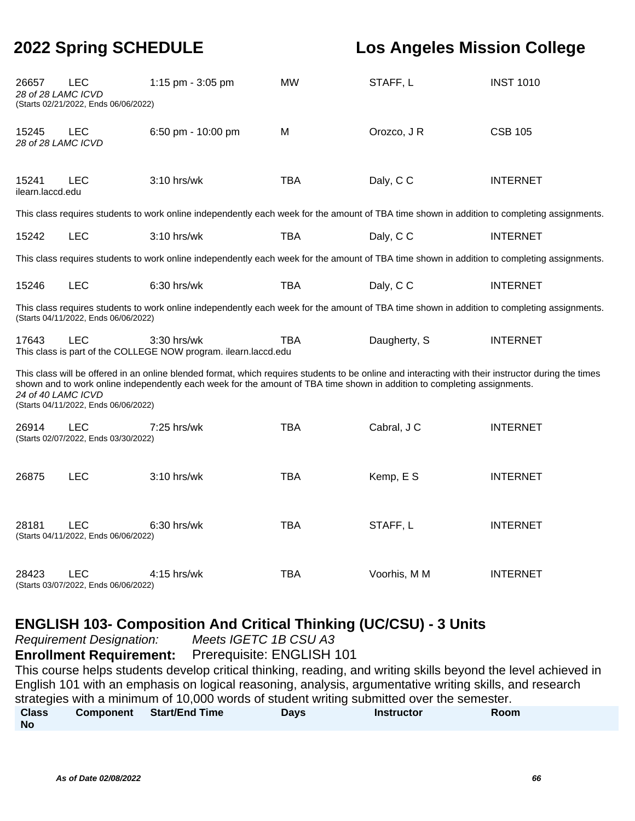| 26657<br>28 of 28 LAMC ICVD | LEC<br>(Starts 02/21/2022, Ends 06/06/2022)        | 1:15 pm - 3:05 pm                                                                                                                                                                                                                                                               | <b>MW</b>  | STAFF, L     | <b>INST 1010</b> |
|-----------------------------|----------------------------------------------------|---------------------------------------------------------------------------------------------------------------------------------------------------------------------------------------------------------------------------------------------------------------------------------|------------|--------------|------------------|
| 15245<br>28 of 28 LAMC ICVD | <b>LEC</b>                                         | 6:50 pm - 10:00 pm                                                                                                                                                                                                                                                              | M          | Orozco, J R  | <b>CSB 105</b>   |
| 15241<br>ilearn.laccd.edu   | LEC                                                | 3:10 hrs/wk                                                                                                                                                                                                                                                                     | <b>TBA</b> | Daly, C C    | <b>INTERNET</b>  |
|                             |                                                    | This class requires students to work online independently each week for the amount of TBA time shown in addition to completing assignments.                                                                                                                                     |            |              |                  |
| 15242                       | <b>LEC</b>                                         | 3:10 hrs/wk                                                                                                                                                                                                                                                                     | <b>TBA</b> | Daly, C C    | <b>INTERNET</b>  |
|                             |                                                    | This class requires students to work online independently each week for the amount of TBA time shown in addition to completing assignments.                                                                                                                                     |            |              |                  |
| 15246                       | <b>LEC</b>                                         | 6:30 hrs/wk                                                                                                                                                                                                                                                                     | <b>TBA</b> | Daly, CC     | <b>INTERNET</b>  |
|                             | (Starts 04/11/2022, Ends 06/06/2022)               | This class requires students to work online independently each week for the amount of TBA time shown in addition to completing assignments.                                                                                                                                     |            |              |                  |
| 17643                       | <b>LEC</b>                                         | 3:30 hrs/wk<br>This class is part of the COLLEGE NOW program. ilearn.laccd.edu                                                                                                                                                                                                  | <b>TBA</b> | Daugherty, S | <b>INTERNET</b>  |
| 24 of 40 LAMC ICVD          | (Starts 04/11/2022, Ends 06/06/2022)               | This class will be offered in an online blended format, which requires students to be online and interacting with their instructor during the times<br>shown and to work online independently each week for the amount of TBA time shown in addition to completing assignments. |            |              |                  |
| 26914                       | <b>LEC</b><br>(Starts 02/07/2022, Ends 03/30/2022) | 7:25 hrs/wk                                                                                                                                                                                                                                                                     | <b>TBA</b> | Cabral, J C  | <b>INTERNET</b>  |
| 26875                       | <b>LEC</b>                                         | 3:10 hrs/wk                                                                                                                                                                                                                                                                     | <b>TBA</b> | Kemp, E S    | <b>INTERNET</b>  |
| 28181                       | <b>LEC</b><br>(Starts 04/11/2022, Ends 06/06/2022) | $6:30$ hrs/wk                                                                                                                                                                                                                                                                   | <b>TBA</b> | STAFF, L     | <b>INTERNET</b>  |
| 28423                       | LEC<br>(Starts 03/07/2022, Ends 06/06/2022)        | 4:15 hrs/wk                                                                                                                                                                                                                                                                     | <b>TBA</b> | Voorhis, M M | <b>INTERNET</b>  |

#### **ENGLISH 103- Composition And Critical Thinking (UC/CSU) - 3 Units**

Requirement Designation: Meets IGETC 1B CSU A3

**Enrollment Requirement:** Prerequisite: ENGLISH 101

This course helps students develop critical thinking, reading, and writing skills beyond the level achieved in English 101 with an emphasis on logical reasoning, analysis, argumentative writing skills, and research strategies with a minimum of 10,000 words of student writing submitted over the semester. **Class No Component Start/End Time Days Instructor Room**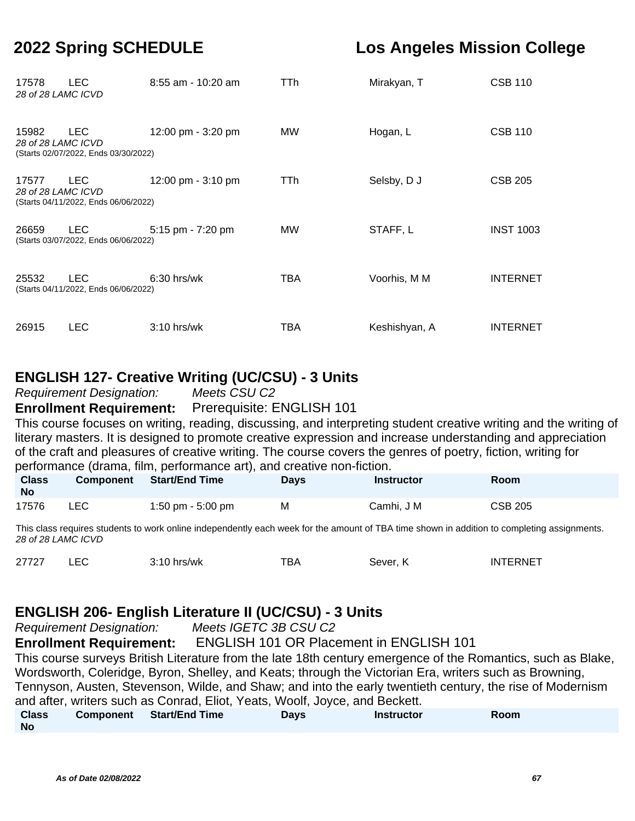| 17578<br>28 of 28 LAMC ICVD | LEC.                                         | 8:55 am - 10:20 am | TTh | Mirakyan, T   | <b>CSB 110</b>   |
|-----------------------------|----------------------------------------------|--------------------|-----|---------------|------------------|
| 15982<br>28 of 28 LAMC ICVD | LEC.<br>(Starts 02/07/2022, Ends 03/30/2022) | 12:00 pm - 3:20 pm | MW. | Hogan, L      | <b>CSB 110</b>   |
| 17577<br>28 of 28 LAMC ICVD | LEC.<br>(Starts 04/11/2022, Ends 06/06/2022) | 12:00 pm - 3:10 pm | TTh | Selsby, D J   | <b>CSB 205</b>   |
| 26659                       | LEC.<br>(Starts 03/07/2022, Ends 06/06/2022) | 5:15 pm - 7:20 pm  | MW. | STAFF, L      | <b>INST 1003</b> |
| 25532                       | LEC.<br>(Starts 04/11/2022, Ends 06/06/2022) | $6:30$ hrs/wk      | TBA | Voorhis, M M  | <b>INTERNET</b>  |
| 26915                       | <b>LEC</b>                                   | $3:10$ hrs/wk      | TBA | Keshishyan, A | <b>INTERNET</b>  |

#### **ENGLISH 127- Creative Writing (UC/CSU) - 3 Units**

Requirement Designation: Meets CSU C2

**Enrollment Requirement:** Prerequisite: ENGLISH 101

This course focuses on writing, reading, discussing, and interpreting student creative writing and the writing of literary masters. It is designed to promote creative expression and increase understanding and appreciation of the craft and pleasures of creative writing. The course covers the genres of poetry, fiction, writing for performance (drama, film, performance art), and creative non-fiction.

| <b>Class</b><br><b>No</b> | <b>Component</b> | <b>Start/End Time</b> | Days | <b>Instructor</b> | Room           |
|---------------------------|------------------|-----------------------|------|-------------------|----------------|
| 17576                     | LEC.             | 1:50 pm $-5:00$ pm    | M    | Camhi. J M        | <b>CSB 205</b> |

This class requires students to work online independently each week for the amount of TBA time shown in addition to completing assignments. 28 of 28 LAMC ICVD

| 27727 | $3:10$ hrs/wk | TBA | Sever, K | <b>INTERNET</b> |
|-------|---------------|-----|----------|-----------------|
|       |               |     |          |                 |

#### **ENGLISH 206- English Literature II (UC/CSU) - 3 Units**

Requirement Designation: Meets IGETC 3B CSU C2 **Enrollment Requirement:** ENGLISH 101 OR Placement in ENGLISH 101 This course surveys British Literature from the late 18th century emergence of the Romantics, such as Blake, Wordsworth, Coleridge, Byron, Shelley, and Keats; through the Victorian Era, writers such as Browning, Tennyson, Austen, Stevenson, Wilde, and Shaw; and into the early twentieth century, the rise of Modernism and after, writers such as Conrad, Eliot, Yeats, Woolf, Joyce, and Beckett. **Class No Component Start/End Time Days Instructor Room**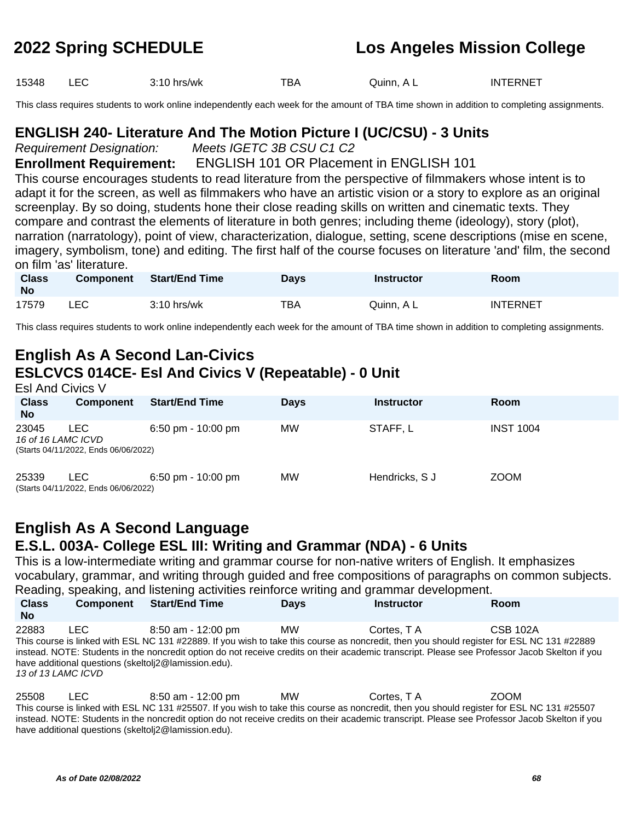15348 LEC 3:10 hrs/wk TBA Quinn, A L INTERNET

This class requires students to work online independently each week for the amount of TBA time shown in addition to completing assignments.

#### **ENGLISH 240- Literature And The Motion Picture I (UC/CSU) - 3 Units**

Requirement Designation: Meets IGETC 3B CSU C1 C2

#### **Enrollment Requirement:** ENGLISH 101 OR Placement in ENGLISH 101

This course encourages students to read literature from the perspective of filmmakers whose intent is to adapt it for the screen, as well as filmmakers who have an artistic vision or a story to explore as an original screenplay. By so doing, students hone their close reading skills on written and cinematic texts. They compare and contrast the elements of literature in both genres; including theme (ideology), story (plot), narration (narratology), point of view, characterization, dialogue, setting, scene descriptions (mise en scene, imagery, symbolism, tone) and editing. The first half of the course focuses on literature 'and' film, the second on film 'as' literature.

| <b>Class</b><br>No | <b>Component</b> | <b>Start/End Time</b> | Davs | <b>Instructor</b> | Room            |
|--------------------|------------------|-----------------------|------|-------------------|-----------------|
| 17579              | LEC              | $3:10$ hrs/wk         | TBA  | Quinn. A L        | <b>INTERNET</b> |

This class requires students to work online independently each week for the amount of TBA time shown in addition to completing assignments.

### **English As A Second Lan-Civics ESLCVCS 014CE- Esl And Civics V (Repeatable) - 0 Unit**

| <b>Esl And Civics V</b>     |                                             |                                      |             |                   |                  |  |  |  |
|-----------------------------|---------------------------------------------|--------------------------------------|-------------|-------------------|------------------|--|--|--|
| <b>Class</b><br><b>No</b>   | <b>Component</b>                            | <b>Start/End Time</b>                | <b>Days</b> | <b>Instructor</b> | <b>Room</b>      |  |  |  |
| 23045<br>16 of 16 LAMC ICVD | LEC<br>(Starts 04/11/2022, Ends 06/06/2022) | $6:50 \text{ pm} - 10:00 \text{ pm}$ | <b>MW</b>   | STAFF.L           | <b>INST 1004</b> |  |  |  |
| 25339                       | LEC<br>(Starts 04/11/2022, Ends 06/06/2022) | $6:50 \text{ pm} - 10:00 \text{ pm}$ | МW          | Hendricks, S J    | <b>ZOOM</b>      |  |  |  |

#### **English As A Second Language E.S.L. 003A- College ESL III: Writing and Grammar (NDA) - 6 Units**

This is a low-intermediate writing and grammar course for non-native writers of English. It emphasizes vocabulary, grammar, and writing through guided and free compositions of paragraphs on common subjects. Reading, speaking, and listening activities reinforce writing and grammar development.

| <b>Class</b><br><b>No</b>   | <b>Component</b> | <b>Start/End Time</b>                                                                                                                                                                                                                                                                                                                                                                   | <b>Days</b> | <b>Instructor</b> | <b>Room</b>     |
|-----------------------------|------------------|-----------------------------------------------------------------------------------------------------------------------------------------------------------------------------------------------------------------------------------------------------------------------------------------------------------------------------------------------------------------------------------------|-------------|-------------------|-----------------|
| 22883<br>13 of 13 LAMC ICVD | LEC.             | 8:50 am - 12:00 pm<br>This course is linked with ESL NC 131 #22889. If you wish to take this course as noncredit, then you should register for ESL NC 131 #22889<br>instead. NOTE: Students in the noncredit option do not receive credits on their academic transcript. Please see Professor Jacob Skelton if you<br>have additional questions (skeltoli <sub>2</sub> @lamission.edu). | <b>MW</b>   | Cortes. T A       | <b>CSB 102A</b> |

25508 LEC 8:50 am - 12:00 pm MW Cortes, T A ZOOM This course is linked with ESL NC 131 #25507. If you wish to take this course as noncredit, then you should register for ESL NC 131 #25507 instead. NOTE: Students in the noncredit option do not receive credits on their academic transcript. Please see Professor Jacob Skelton if you have additional questions (skeltolj2@lamission.edu).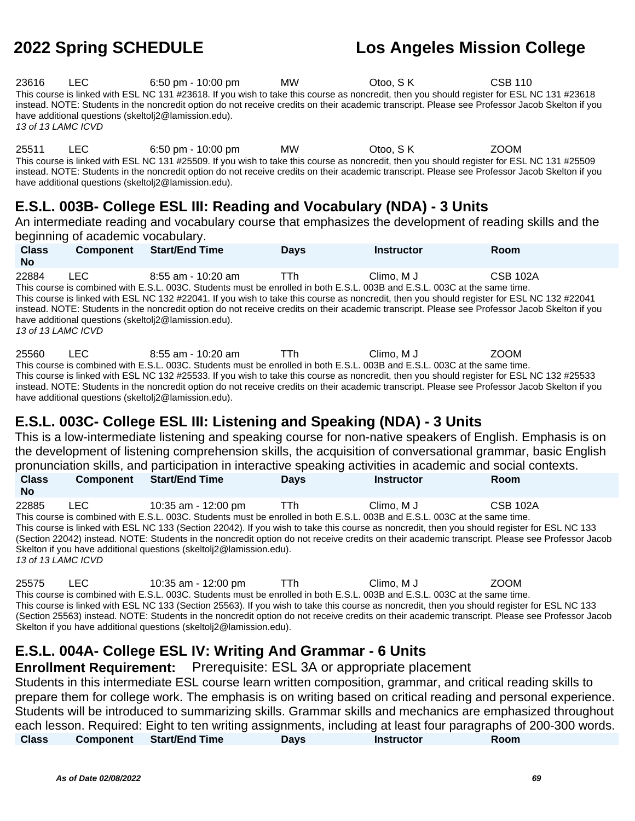23616 LEC 6:50 pm - 10:00 pm MW Otoo, S K CSB 110 This course is linked with ESL NC 131 #23618. If you wish to take this course as noncredit, then you should register for ESL NC 131 #23618 instead. NOTE: Students in the noncredit option do not receive credits on their academic transcript. Please see Professor Jacob Skelton if you have additional questions (skeltolj2@lamission.edu). 13 of 13 LAMC ICVD

25511 LEC 6:50 pm - 10:00 pm MW Otoo, S K ZOOM This course is linked with ESL NC 131 #25509. If you wish to take this course as noncredit, then you should register for ESL NC 131 #25509 instead. NOTE: Students in the noncredit option do not receive credits on their academic transcript. Please see Professor Jacob Skelton if you have additional questions (skeltolj2@lamission.edu).

### **E.S.L. 003B- College ESL III: Reading and Vocabulary (NDA) - 3 Units**

An intermediate reading and vocabulary course that emphasizes the development of reading skills and the beginning of academic vocabulary.

| <b>Class</b><br><b>No</b>   | <b>Component</b> | <b>Start/End Time</b>                                                                   | <b>Days</b> | <b>Instructor</b>                                                                                                                       | Room                                                                                                                                                                                                                                                                                                            |
|-----------------------------|------------------|-----------------------------------------------------------------------------------------|-------------|-----------------------------------------------------------------------------------------------------------------------------------------|-----------------------------------------------------------------------------------------------------------------------------------------------------------------------------------------------------------------------------------------------------------------------------------------------------------------|
| 22884<br>13 of 13 LAMC ICVD | LEC.             | 8:55 am - 10:20 am<br>have additional questions (skeltoli <sub>2</sub> @lamission.edu). | TTh.        | Climo. M J<br>This course is combined with E.S.L. 003C. Students must be enrolled in both E.S.L. 003B and E.S.L. 003C at the same time. | <b>CSB 102A</b><br>This course is linked with ESL NC 132 #22041. If you wish to take this course as noncredit, then you should register for ESL NC 132 #22041<br>instead. NOTE: Students in the noncredit option do not receive credits on their academic transcript. Please see Professor Jacob Skelton if you |
|                             |                  |                                                                                         |             |                                                                                                                                         |                                                                                                                                                                                                                                                                                                                 |

25560 LEC 8:55 am - 10:20 am TTh Climo, M J ZOOM This course is combined with E.S.L. 003C. Students must be enrolled in both E.S.L. 003B and E.S.L. 003C at the same time. This course is linked with ESL NC 132 #25533. If you wish to take this course as noncredit, then you should register for ESL NC 132 #25533 instead. NOTE: Students in the noncredit option do not receive credits on their academic transcript. Please see Professor Jacob Skelton if you have additional questions (skeltolj2@lamission.edu).

### **E.S.L. 003C- College ESL III: Listening and Speaking (NDA) - 3 Units**

This is a low-intermediate listening and speaking course for non-native speakers of English. Emphasis is on the development of listening comprehension skills, the acquisition of conversational grammar, basic English pronunciation skills, and participation in interactive speaking activities in academic and social contexts.

| <b>Class</b>                                                                     | <b>Component</b> | <b>Start/End Time</b> | <b>Davs</b> | <b>Instructor</b>                                                                                                                            | <b>Room</b>                                                                                                                                     |  |
|----------------------------------------------------------------------------------|------------------|-----------------------|-------------|----------------------------------------------------------------------------------------------------------------------------------------------|-------------------------------------------------------------------------------------------------------------------------------------------------|--|
| <b>No</b>                                                                        |                  |                       |             |                                                                                                                                              |                                                                                                                                                 |  |
| 22885                                                                            | LEC.             | 10:35 am - 12:00 pm   | - TTh       | Climo. M J                                                                                                                                   | <b>CSB 102A</b>                                                                                                                                 |  |
|                                                                                  |                  |                       |             | This course is combined with E.S.L. 003C. Students must be enrolled in both E.S.L. 003B and E.S.L. 003C at the same time.                    |                                                                                                                                                 |  |
|                                                                                  |                  |                       |             | This course is linked with ESL NC 133 (Section 22042). If you wish to take this course as noncredit, then you should register for ESL NC 133 |                                                                                                                                                 |  |
|                                                                                  |                  |                       |             |                                                                                                                                              | (Section 22042) instead. NOTE: Students in the noncredit option do not receive credits on their academic transcript. Please see Professor Jacob |  |
| Skelton if you have additional questions (skeltoli <sub>2</sub> @lamission.edu). |                  |                       |             |                                                                                                                                              |                                                                                                                                                 |  |
| 13 of 13 LAMC ICVD                                                               |                  |                       |             |                                                                                                                                              |                                                                                                                                                 |  |

25575 LEC 10:35 am - 12:00 pm TTh Climo, M J ZOOM This course is combined with E.S.L. 003C. Students must be enrolled in both E.S.L. 003B and E.S.L. 003C at the same time. This course is linked with ESL NC 133 (Section 25563). If you wish to take this course as noncredit, then you should register for ESL NC 133 (Section 25563) instead. NOTE: Students in the noncredit option do not receive credits on their academic transcript. Please see Professor Jacob Skelton if you have additional questions (skeltolj2@lamission.edu).

### **E.S.L. 004A- College ESL IV: Writing And Grammar - 6 Units**

**Enrollment Requirement:** Prerequisite: ESL 3A or appropriate placement Students in this intermediate ESL course learn written composition, grammar, and critical reading skills to prepare them for college work. The emphasis is on writing based on critical reading and personal experience. Students will be introduced to summarizing skills. Grammar skills and mechanics are emphasized throughout each lesson. Required: Eight to ten writing assignments, including at least four paragraphs of 200-300 words. **Class Component Start/End Time Days Instructor Room**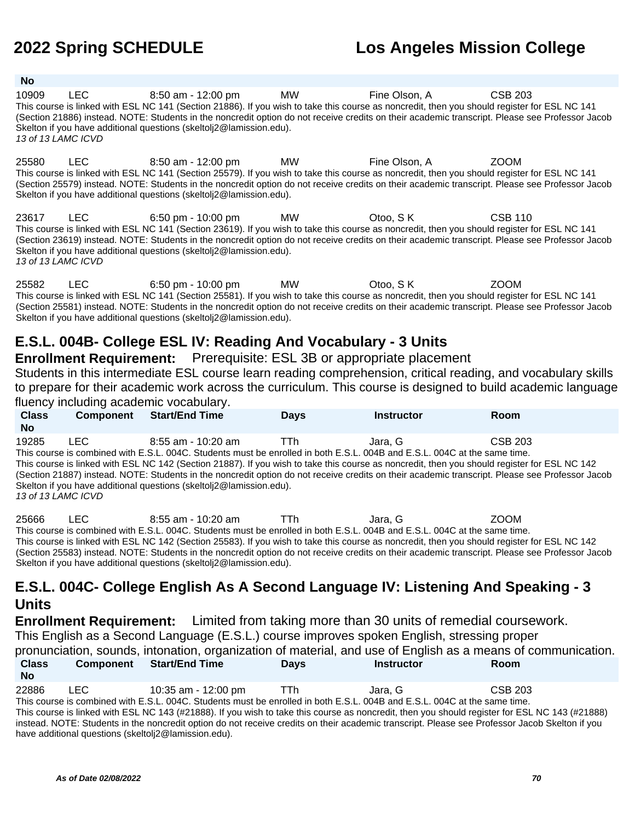Skelton if you have additional questions (skeltolj2@lamission.edu).

**No**

# **2022 Spring SCHEDULE Los Angeles Mission College**

| 10909<br>13 of 13 LAMC ICVD | LEC        | 8:50 am - 12:00 pm<br>This course is linked with ESL NC 141 (Section 21886). If you wish to take this course as noncredit, then you should register for ESL NC 141<br>(Section 21886) instead. NOTE: Students in the noncredit option do not receive credits on their academic transcript. Please see Professor Jacob<br>Skelton if you have additional questions (skeltoli 2@lamission.edu).                | MW | Fine Olson, A | <b>CSB 203</b> |
|-----------------------------|------------|--------------------------------------------------------------------------------------------------------------------------------------------------------------------------------------------------------------------------------------------------------------------------------------------------------------------------------------------------------------------------------------------------------------|----|---------------|----------------|
| 25580                       | <b>LEC</b> | 8:50 am - 12:00 pm MW<br>This course is linked with ESL NC 141 (Section 25579). If you wish to take this course as noncredit, then you should register for ESL NC 141<br>(Section 25579) instead. NOTE: Students in the noncredit option do not receive credits on their academic transcript. Please see Professor Jacob<br>Skelton if you have additional questions (skeltoli <sub>2</sub> @lamission.edu). |    | Fine Olson, A | <b>ZOOM</b>    |
| 23617<br>13 of 13 LAMC ICVD | LEC.       | 6:50 pm - 10:00 pm MW<br>This course is linked with ESL NC 141 (Section 23619). If you wish to take this course as noncredit, then you should register for ESL NC 141<br>(Section 23619) instead. NOTE: Students in the noncredit option do not receive credits on their academic transcript. Please see Professor Jacob<br>Skelton if you have additional questions (skeltoli <sub>2</sub> @lamission.edu). |    | Otoo, SK      | <b>CSB 110</b> |
| 25582                       | LEC.       | 6:50 pm - 10:00 pm<br>This course is linked with ESL NC 141 (Section 25581). If you wish to take this course as noncredit, then you should register for ESL NC 141                                                                                                                                                                                                                                           | MW | Otoo, S K     | <b>ZOOM</b>    |

# **E.S.L. 004B- College ESL IV: Reading And Vocabulary - 3 Units**

#### **Enrollment Requirement:** Prerequisite: ESL 3B or appropriate placement

Students in this intermediate ESL course learn reading comprehension, critical reading, and vocabulary skills to prepare for their academic work across the curriculum. This course is designed to build academic language fluency including academic vocabulary.

(Section 25581) instead. NOTE: Students in the noncredit option do not receive credits on their academic transcript. Please see Professor Jacob

| <b>Class</b>                                                                                                                                                                                                                                                                                                                                                                                                                                                                                                                                                                                                        | <b>Component</b> | <b>Start/End Time</b> | <b>Davs</b> | <b>Instructor</b> | Room |  |  |
|---------------------------------------------------------------------------------------------------------------------------------------------------------------------------------------------------------------------------------------------------------------------------------------------------------------------------------------------------------------------------------------------------------------------------------------------------------------------------------------------------------------------------------------------------------------------------------------------------------------------|------------------|-----------------------|-------------|-------------------|------|--|--|
| <b>No</b>                                                                                                                                                                                                                                                                                                                                                                                                                                                                                                                                                                                                           |                  |                       |             |                   |      |  |  |
| 19285<br>LEC.<br>CSB 203<br>Jara. G<br>$8:55$ am - 10:20 am<br><b>TTh</b><br>This course is combined with E.S.L. 004C. Students must be enrolled in both E.S.L. 004B and E.S.L. 004C at the same time.<br>This course is linked with ESL NC 142 (Section 21887). If you wish to take this course as noncredit, then you should register for ESL NC 142<br>(Section 21887) instead. NOTE: Students in the noncredit option do not receive credits on their academic transcript. Please see Professor Jacob<br>Skelton if you have additional questions (skeltoli <sub>2</sub> @lamission.edu).<br>13 of 13 LAMC ICVD |                  |                       |             |                   |      |  |  |
|                                                                                                                                                                                                                                                                                                                                                                                                                                                                                                                                                                                                                     |                  |                       |             |                   |      |  |  |

25666 LEC 8:55 am - 10:20 am TTh Jara, G ZOOM This course is combined with E.S.L. 004C. Students must be enrolled in both E.S.L. 004B and E.S.L. 004C at the same time. This course is linked with ESL NC 142 (Section 25583). If you wish to take this course as noncredit, then you should register for ESL NC 142 (Section 25583) instead. NOTE: Students in the noncredit option do not receive credits on their academic transcript. Please see Professor Jacob Skelton if you have additional questions (skeltolj2@lamission.edu).

#### **E.S.L. 004C- College English As A Second Language IV: Listening And Speaking - 3 Units**

**Enrollment Requirement:** Limited from taking more than 30 units of remedial coursework. This English as a Second Language (E.S.L.) course improves spoken English, stressing proper pronunciation, sounds, intonation, organization of material, and use of English as a means of communication. **Class No Component Start/End Time Days Instructor Room**

22886 LEC 10:35 am - 12:00 pm TTh Jara, G CSB 203 This course is combined with E.S.L. 004C. Students must be enrolled in both E.S.L. 004B and E.S.L. 004C at the same time. This course is linked with ESL NC 143 (#21888). If you wish to take this course as noncredit, then you should register for ESL NC 143 (#21888) instead. NOTE: Students in the noncredit option do not receive credits on their academic transcript. Please see Professor Jacob Skelton if you have additional questions (skeltolj2@lamission.edu).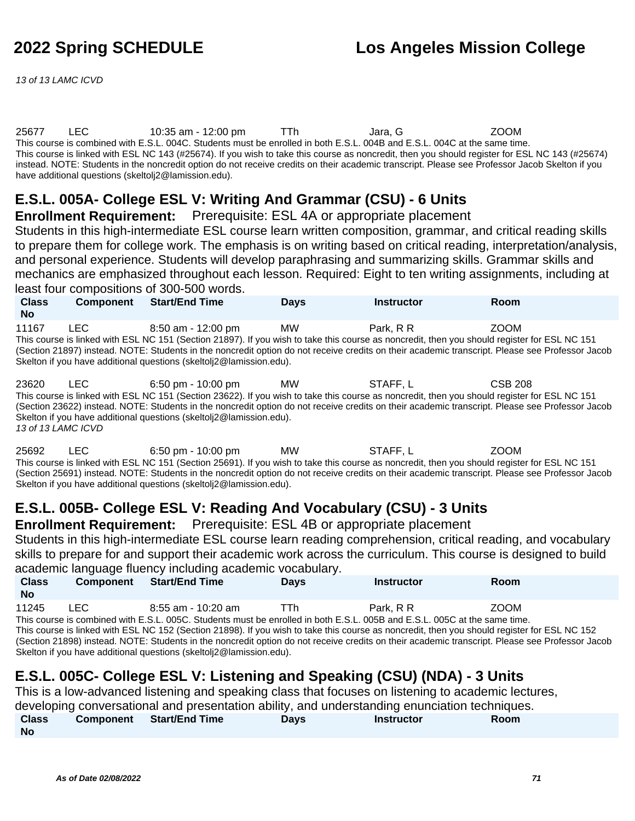13 of 13 LAMC ICVD

#### 25677 LEC 10:35 am - 12:00 pm TTh Jara, G ZOOM This course is combined with E.S.L. 004C. Students must be enrolled in both E.S.L. 004B and E.S.L. 004C at the same time. This course is linked with ESL NC 143 (#25674). If you wish to take this course as noncredit, then you should register for ESL NC 143 (#25674) instead. NOTE: Students in the noncredit option do not receive credits on their academic transcript. Please see Professor Jacob Skelton if you have additional questions (skeltolj2@lamission.edu).

### **E.S.L. 005A- College ESL V: Writing And Grammar (CSU) - 6 Units**

**Enrollment Requirement:** Prerequisite: ESL 4A or appropriate placement

Students in this high-intermediate ESL course learn written composition, grammar, and critical reading skills to prepare them for college work. The emphasis is on writing based on critical reading, interpretation/analysis, and personal experience. Students will develop paraphrasing and summarizing skills. Grammar skills and mechanics are emphasized throughout each lesson. Required: Eight to ten writing assignments, including at least four compositions of 300-500 words.

| <b>Class</b><br><b>No</b>                                                                                                                                                                                                                                                                                                                                                                                                                              | <b>Component</b> | <b>Start/End Time</b> | <b>Davs</b> | <b>Instructor</b> | <b>Room</b> |
|--------------------------------------------------------------------------------------------------------------------------------------------------------------------------------------------------------------------------------------------------------------------------------------------------------------------------------------------------------------------------------------------------------------------------------------------------------|------------------|-----------------------|-------------|-------------------|-------------|
| 11167<br>MW<br>I FC.<br>8:50 am - 12:00 pm<br>Park, R R<br>ZOOM<br>This course is linked with ESL NC 151 (Section 21897). If you wish to take this course as noncredit, then you should register for ESL NC 151<br>(Section 21897) instead. NOTE: Students in the noncredit option do not receive credits on their academic transcript. Please see Professor Jacob<br>Skelton if you have additional questions (skeltoli <sub>2</sub> @lamission.edu). |                  |                       |             |                   |             |

23620 LEC 6:50 pm - 10:00 pm MW STAFF, L CSB 208 This course is linked with ESL NC 151 (Section 23622). If you wish to take this course as noncredit, then you should register for ESL NC 151 (Section 23622) instead. NOTE: Students in the noncredit option do not receive credits on their academic transcript. Please see Professor Jacob Skelton if you have additional questions (skeltolj2@lamission.edu). 13 of 13 LAMC ICVD

25692 LEC 6:50 pm - 10:00 pm MW STAFF, L ZOOM This course is linked with ESL NC 151 (Section 25691). If you wish to take this course as noncredit, then you should register for ESL NC 151 (Section 25691) instead. NOTE: Students in the noncredit option do not receive credits on their academic transcript. Please see Professor Jacob Skelton if you have additional questions (skeltolj2@lamission.edu).

### **E.S.L. 005B- College ESL V: Reading And Vocabulary (CSU) - 3 Units**

**Enrollment Requirement:** Prerequisite: ESL 4B or appropriate placement

Students in this high-intermediate ESL course learn reading comprehension, critical reading, and vocabulary skills to prepare for and support their academic work across the curriculum. This course is designed to build academic language fluency including academic vocabulary.

| <b>Class</b><br><b>No</b> | <b>Component</b> | <b>Start/End Time</b> | Days | <b>Instructor</b> | <b>Room</b> |
|---------------------------|------------------|-----------------------|------|-------------------|-------------|
| 11245                     | LEC              | 8:55 am - 10:20 am    |      | Park. R R         | <b>ZOOM</b> |

This course is combined with E.S.L. 005C. Students must be enrolled in both E.S.L. 005B and E.S.L. 005C at the same time. This course is linked with ESL NC 152 (Section 21898). If you wish to take this course as noncredit, then you should register for ESL NC 152 (Section 21898) instead. NOTE: Students in the noncredit option do not receive credits on their academic transcript. Please see Professor Jacob Skelton if you have additional questions (skeltolj2@lamission.edu).

### **E.S.L. 005C- College ESL V: Listening and Speaking (CSU) (NDA) - 3 Units**

This is a low-advanced listening and speaking class that focuses on listening to academic lectures,

developing conversational and presentation ability, and understanding enunciation techniques.

| <b>Class</b> | <b>Component</b> Start/End Time | Days | <b>Instructor</b> | Room |  |
|--------------|---------------------------------|------|-------------------|------|--|
| <b>No</b>    |                                 |      |                   |      |  |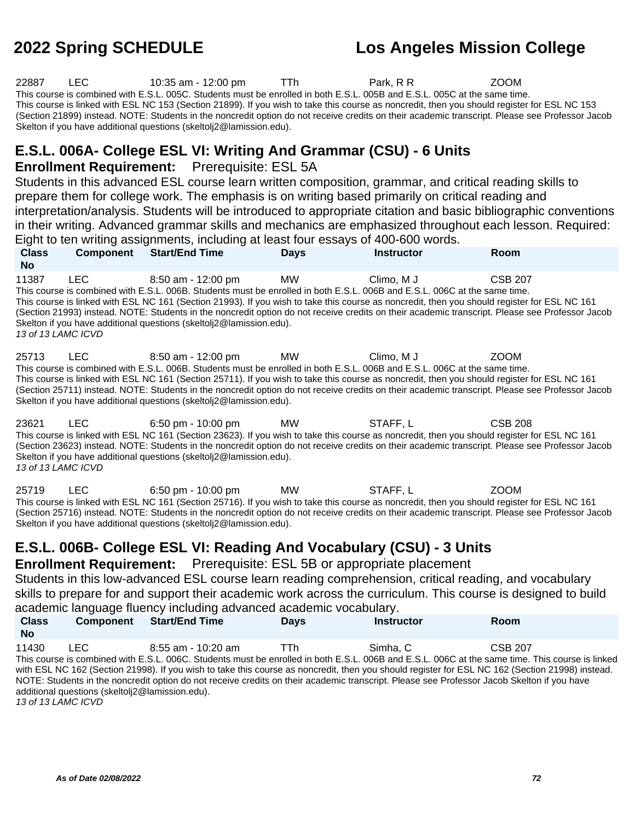22887 LEC 10:35 am - 12:00 pm TTh Park, R R ZOOM This course is combined with E.S.L. 005C. Students must be enrolled in both E.S.L. 005B and E.S.L. 005C at the same time. This course is linked with ESL NC 153 (Section 21899). If you wish to take this course as noncredit, then you should register for ESL NC 153 (Section 21899) instead. NOTE: Students in the noncredit option do not receive credits on their academic transcript. Please see Professor Jacob Skelton if you have additional questions (skeltolj2@lamission.edu). **E.S.L. 006A- College ESL VI: Writing And Grammar (CSU) - 6 Units Enrollment Requirement:** Prerequisite: ESL 5A Students in this advanced ESL course learn written composition, grammar, and critical reading skills to prepare them for college work. The emphasis is on writing based primarily on critical reading and interpretation/analysis. Students will be introduced to appropriate citation and basic bibliographic conventions in their writing. Advanced grammar skills and mechanics are emphasized throughout each lesson. Required: Eight to ten writing assignments, including at least four essays of 400-600 words. **Class No Component Start/End Time Days Instructor Room** 11387 LEC 8:50 am - 12:00 pm MW Climo, M J CSB 207 This course is combined with E.S.L. 006B. Students must be enrolled in both E.S.L. 006B and E.S.L. 006C at the same time. This course is linked with ESL NC 161 (Section 21993). If you wish to take this course as noncredit, then you should register for ESL NC 161 (Section 21993) instead. NOTE: Students in the noncredit option do not receive credits on their academic transcript. Please see Professor Jacob Skelton if you have additional questions (skeltolj2@lamission.edu). 13 of 13 LAMC ICVD 25713 LEC 8:50 am - 12:00 pm MW Climo, M J ZOOM This course is combined with E.S.L. 006B. Students must be enrolled in both E.S.L. 006B and E.S.L. 006C at the same time. This course is linked with ESL NC 161 (Section 25711). If you wish to take this course as noncredit, then you should register for ESL NC 161 (Section 25711) instead. NOTE: Students in the noncredit option do not receive credits on their academic transcript. Please see Professor Jacob Skelton if you have additional questions (skeltolj2@lamission.edu). 23621 LEC 6:50 pm - 10:00 pm MW STAFF, L CSB 208 This course is linked with ESL NC 161 (Section 23623). If you wish to take this course as noncredit, then you should register for ESL NC 161 (Section 23623) instead. NOTE: Students in the noncredit option do not receive credits on their academic transcript. Please see Professor Jacob Skelton if you have additional questions (skeltolj2@lamission.edu). 13 of 13 LAMC ICVD 25719 LEC 6:50 pm - 10:00 pm MW STAFF, L ZOOM This course is linked with ESL NC 161 (Section 25716). If you wish to take this course as noncredit, then you should register for ESL NC 161 (Section 25716) instead. NOTE: Students in the noncredit option do not receive credits on their academic transcript. Please see Professor Jacob Skelton if you have additional questions (skeltolj2@lamission.edu). **E.S.L. 006B- College ESL VI: Reading And Vocabulary (CSU) - 3 Units Enrollment Requirement:** Prerequisite: ESL 5B or appropriate placement Students in this low-advanced ESL course learn reading comprehension, critical reading, and vocabulary skills to prepare for and support their academic work across the curriculum. This course is designed to build academic language fluency including advanced academic vocabulary. **Class No Component Start/End Time Days Instructor Room** 11430 LEC 8:55 am - 10:20 am TTh Simha, C CSB 207 This course is combined with E.S.L. 006C. Students must be enrolled in both E.S.L. 006B and E.S.L. 006C at the same time. This course is linked with ESL NC 162 (Section 21998). If you wish to take this course as noncredit, then you should register for ESL NC 162 (Section 21998) instead. NOTE: Students in the noncredit option do not receive credits on their academic transcript. Please see Professor Jacob Skelton if you have additional questions (skeltolj2@lamission.edu). 13 of 13 LAMC ICVD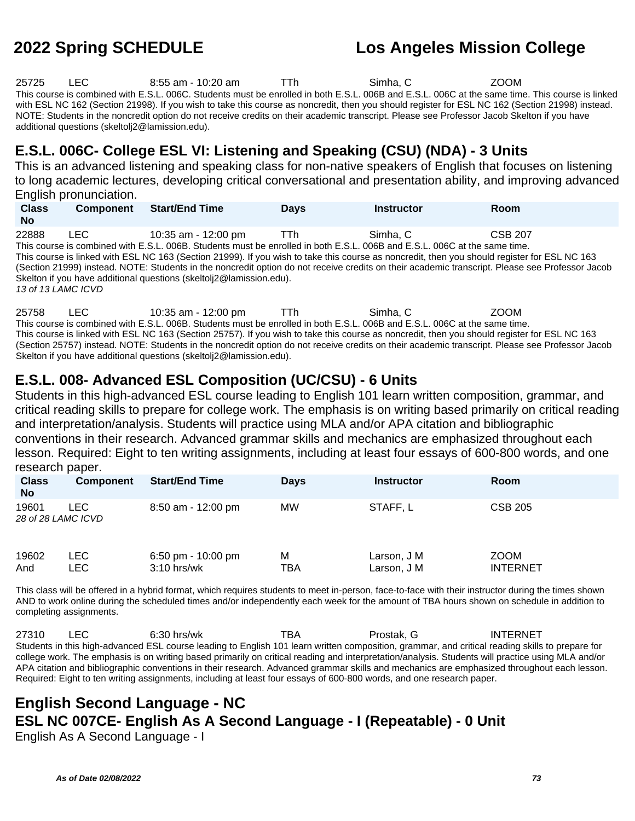25725 LEC 8:55 am - 10:20 am TTh Simha, C ZOOM This course is combined with E.S.L. 006C. Students must be enrolled in both E.S.L. 006B and E.S.L. 006C at the same time. This course is linked with ESL NC 162 (Section 21998). If you wish to take this course as noncredit, then you should register for ESL NC 162 (Section 21998) instead. NOTE: Students in the noncredit option do not receive credits on their academic transcript. Please see Professor Jacob Skelton if you have additional questions (skeltolj2@lamission.edu).

# **E.S.L. 006C- College ESL VI: Listening and Speaking (CSU) (NDA) - 3 Units**

This is an advanced listening and speaking class for non-native speakers of English that focuses on listening to long academic lectures, developing critical conversational and presentation ability, and improving advanced English pronunciation.

| <b>Class</b><br><b>No</b> | <b>Component</b> | <b>Start/End Time</b> | Davs | Instructor | Room           |
|---------------------------|------------------|-----------------------|------|------------|----------------|
| 22888                     | LEC              | 10:35 am - 12:00 pm   | TTh  | Simha, C   | <b>CSB 207</b> |

This course is combined with E.S.L. 006B. Students must be enrolled in both E.S.L. 006B and E.S.L. 006C at the same time. This course is linked with ESL NC 163 (Section 21999). If you wish to take this course as noncredit, then you should register for ESL NC 163 (Section 21999) instead. NOTE: Students in the noncredit option do not receive credits on their academic transcript. Please see Professor Jacob Skelton if you have additional questions (skeltolj2@lamission.edu). 13 of 13 LAMC ICVD

25758 LEC 10:35 am - 12:00 pm TTh Simha, C ZOOM This course is combined with E.S.L. 006B. Students must be enrolled in both E.S.L. 006B and E.S.L. 006C at the same time. This course is linked with ESL NC 163 (Section 25757). If you wish to take this course as noncredit, then you should register for ESL NC 163 (Section 25757) instead. NOTE: Students in the noncredit option do not receive credits on their academic transcript. Please see Professor Jacob Skelton if you have additional questions (skeltolj2@lamission.edu).

# **E.S.L. 008- Advanced ESL Composition (UC/CSU) - 6 Units**

Students in this high-advanced ESL course leading to English 101 learn written composition, grammar, and critical reading skills to prepare for college work. The emphasis is on writing based primarily on critical reading and interpretation/analysis. Students will practice using MLA and/or APA citation and bibliographic conventions in their research. Advanced grammar skills and mechanics are emphasized throughout each lesson. Required: Eight to ten writing assignments, including at least four essays of 600-800 words, and one research paper.

| <b>Class</b><br><b>No</b>   | <b>Component</b> | <b>Start/End Time</b>                 | <b>Days</b> | <b>Instructor</b>          | <b>Room</b>                    |
|-----------------------------|------------------|---------------------------------------|-------------|----------------------------|--------------------------------|
| 19601<br>28 of 28 LAMC ICVD | LEC              | 8:50 am - 12:00 pm                    | МW          | STAFF, L                   | <b>CSB 205</b>                 |
| 19602<br>And                | LEC.<br>LEC      | 6:50 pm - $10:00$ pm<br>$3:10$ hrs/wk | M<br>TBA    | Larson, J M<br>Larson, J M | <b>ZOOM</b><br><b>INTERNET</b> |

This class will be offered in a hybrid format, which requires students to meet in-person, face-to-face with their instructor during the times shown AND to work online during the scheduled times and/or independently each week for the amount of TBA hours shown on schedule in addition to completing assignments.

27310 LEC 6:30 hrs/wk TBA Prostak, G INTERNET Students in this high-advanced ESL course leading to English 101 learn written composition, grammar, and critical reading skills to prepare for college work. The emphasis is on writing based primarily on critical reading and interpretation/analysis. Students will practice using MLA and/or APA citation and bibliographic conventions in their research. Advanced grammar skills and mechanics are emphasized throughout each lesson. Required: Eight to ten writing assignments, including at least four essays of 600-800 words, and one research paper.

# **English Second Language - NC ESL NC 007CE- English As A Second Language - I (Repeatable) - 0 Unit**

English As A Second Language - I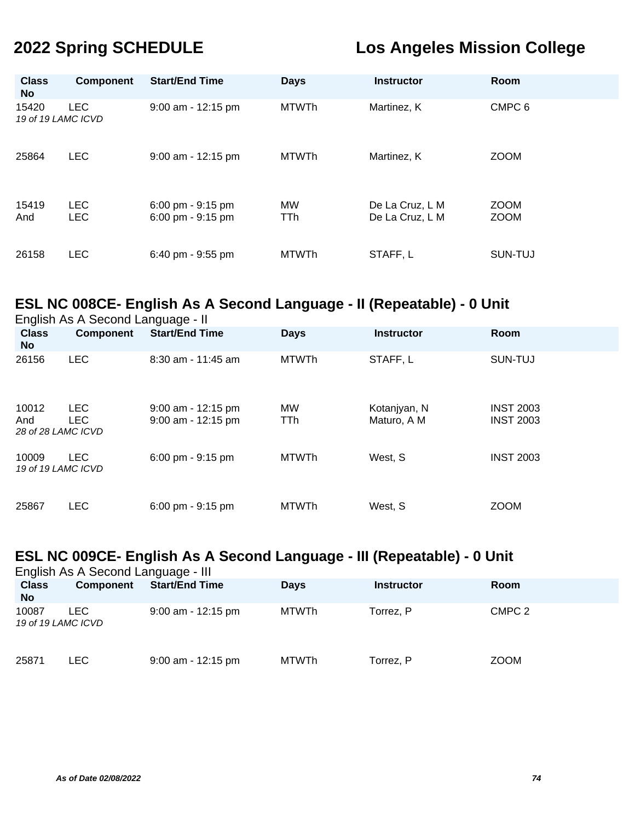| <b>Class</b><br><b>No</b>   | <b>Component</b>         | <b>Start/End Time</b>                  | <b>Days</b>      | <b>Instructor</b>                  | <b>Room</b>                |
|-----------------------------|--------------------------|----------------------------------------|------------------|------------------------------------|----------------------------|
| 15420<br>19 of 19 LAMC ICVD | <b>LEC</b>               | 9:00 am - 12:15 pm                     | <b>MTWTh</b>     | Martinez, K                        | CMPC <sub>6</sub>          |
| 25864                       | <b>LEC</b>               | 9:00 am - 12:15 pm                     | <b>MTWTh</b>     | Martinez, K                        | <b>ZOOM</b>                |
| 15419<br>And                | <b>LEC</b><br><b>LEC</b> | 6:00 pm - 9:15 pm<br>6:00 pm - 9:15 pm | MW<br><b>TTh</b> | De La Cruz, L M<br>De La Cruz, L M | <b>ZOOM</b><br><b>ZOOM</b> |
| 26158                       | <b>LEC</b>               | 6:40 pm - 9:55 pm                      | <b>MTWTh</b>     | STAFF, L                           | SUN-TUJ                    |

# **ESL NC 008CE- English As A Second Language - II (Repeatable) - 0 Unit**

| English As A Second Language - II  |                          |                                            |                         |                             |                                      |  |  |  |
|------------------------------------|--------------------------|--------------------------------------------|-------------------------|-----------------------------|--------------------------------------|--|--|--|
| <b>Class</b><br><b>No</b>          | <b>Component</b>         | <b>Start/End Time</b>                      | <b>Days</b>             | <b>Instructor</b>           | Room                                 |  |  |  |
| 26156                              | <b>LEC</b>               | $8:30$ am - 11:45 am                       | <b>MTWTh</b>            | STAFF, L                    | SUN-TUJ                              |  |  |  |
| 10012<br>And<br>28 of 28 LAMC ICVD | <b>LEC</b><br><b>LEC</b> | $9:00$ am - 12:15 pm<br>9:00 am - 12:15 pm | <b>MW</b><br><b>TTh</b> | Kotanjyan, N<br>Maturo, A M | <b>INST 2003</b><br><b>INST 2003</b> |  |  |  |
| 10009<br>19 of 19 LAMC ICVD        | <b>LEC</b>               | 6:00 pm - 9:15 pm                          | <b>MTWTh</b>            | West, S                     | <b>INST 2003</b>                     |  |  |  |
| 25867                              | <b>LEC</b>               | 6:00 pm - 9:15 pm                          | <b>MTWTh</b>            | West, S                     | <b>ZOOM</b>                          |  |  |  |

# **ESL NC 009CE- English As A Second Language - III (Repeatable) - 0 Unit**

| English As A Second Language - III |                  |                       |              |                   |                   |  |  |  |
|------------------------------------|------------------|-----------------------|--------------|-------------------|-------------------|--|--|--|
| <b>Class</b><br><b>No</b>          | <b>Component</b> | <b>Start/End Time</b> | <b>Days</b>  | <b>Instructor</b> | Room              |  |  |  |
| 10087<br>19 of 19 LAMC ICVD        | LEC.             | $9:00$ am - 12:15 pm  | MTWTh        | Torrez, P         | CMPC <sub>2</sub> |  |  |  |
| 25871                              | <b>LEC</b>       | $9:00$ am - 12:15 pm  | <b>MTWTh</b> | Torrez, P         | <b>ZOOM</b>       |  |  |  |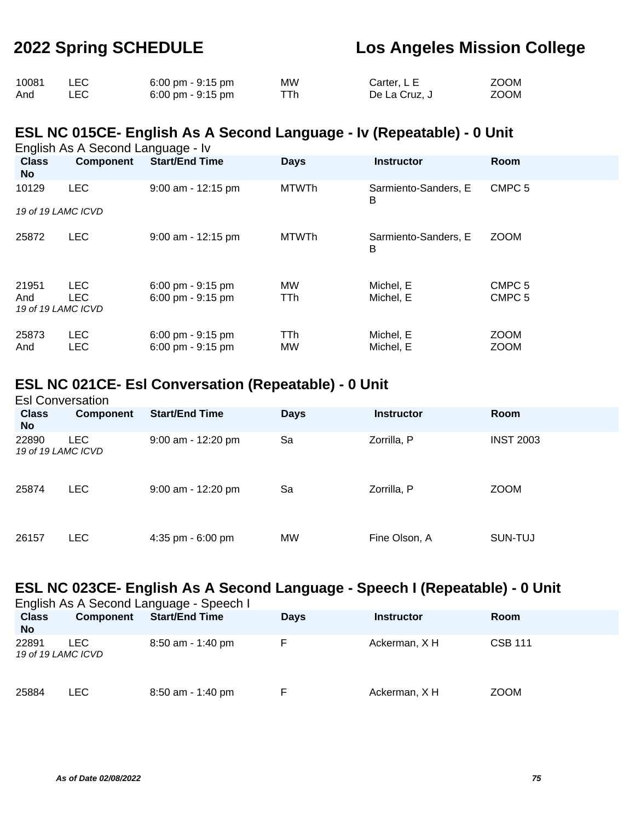| 10081 |     | $6:00 \text{ pm} - 9:15 \text{ pm}$ | МW  | Carter, L E   | <b>ZOOM</b> |
|-------|-----|-------------------------------------|-----|---------------|-------------|
| And   | LEC | $6:00 \text{ pm} - 9:15 \text{ pm}$ | ⊤тh | De La Cruz, J | ZOOM        |

## **ESL NC 015CE- English As A Second Language - Iv (Repeatable) - 0 Unit**

English As A Second Language - Iv

| <b>Class</b><br>No                 | <b>Component</b>         | <b>Start/End Time</b>                                                      | <b>Days</b>      | <b>Instructor</b>         | Room                                   |
|------------------------------------|--------------------------|----------------------------------------------------------------------------|------------------|---------------------------|----------------------------------------|
| 10129                              | <b>LEC</b>               | 9:00 am - 12:15 pm                                                         | <b>MTWTh</b>     | Sarmiento-Sanders, E<br>в | CMPC <sub>5</sub>                      |
| 19 of 19 LAMC ICVD                 |                          |                                                                            |                  |                           |                                        |
| 25872                              | <b>LEC</b>               | $9:00$ am - 12:15 pm                                                       | <b>MTWTh</b>     | Sarmiento-Sanders, E<br>B | <b>ZOOM</b>                            |
| 21951<br>And<br>19 of 19 LAMC ICVD | <b>LEC</b><br><b>LEC</b> | $6:00 \text{ pm} - 9:15 \text{ pm}$<br>$6:00$ pm - $9:15$ pm               | <b>MW</b><br>TTh | Michel, E<br>Michel, E    | CMPC <sub>5</sub><br>CMPC <sub>5</sub> |
| 25873<br>And                       | <b>LEC</b><br><b>LEC</b> | $6:00 \text{ pm} - 9:15 \text{ pm}$<br>$6:00 \text{ pm} - 9:15 \text{ pm}$ | TTh<br>MW        | Michel, E<br>Michel, E    | <b>ZOOM</b><br><b>ZOOM</b>             |

## **ESL NC 021CE- Esl Conversation (Repeatable) - 0 Unit**

| <b>Esl Conversation</b>     |                  |                       |             |                   |                  |  |  |  |
|-----------------------------|------------------|-----------------------|-------------|-------------------|------------------|--|--|--|
| <b>Class</b><br><b>No</b>   | <b>Component</b> | <b>Start/End Time</b> | <b>Days</b> | <b>Instructor</b> | <b>Room</b>      |  |  |  |
| 22890<br>19 of 19 LAMC ICVD | <b>LEC</b>       | 9:00 am - 12:20 pm    | Sa          | Zorrilla, P       | <b>INST 2003</b> |  |  |  |
| 25874                       | <b>LEC</b>       | $9:00$ am - 12:20 pm  | Sa          | Zorrilla, P       | <b>ZOOM</b>      |  |  |  |
| 26157                       | <b>LEC</b>       | 4:35 pm - $6:00$ pm   | <b>MW</b>   | Fine Olson, A     | SUN-TUJ          |  |  |  |

## **ESL NC 023CE- English As A Second Language - Speech I (Repeatable) - 0 Unit**

| English As A Second Language - Speech I |                  |                       |             |                   |                |  |  |  |
|-----------------------------------------|------------------|-----------------------|-------------|-------------------|----------------|--|--|--|
| <b>Class</b><br><b>No</b>               | <b>Component</b> | <b>Start/End Time</b> | <b>Days</b> | <b>Instructor</b> | Room           |  |  |  |
| 22891<br>19 of 19 LAMC ICVD             | LEC.             | $8:50$ am - 1:40 pm   |             | Ackerman, X H     | <b>CSB 111</b> |  |  |  |
| 25884                                   | LEC.             | $8:50$ am - 1:40 pm   |             | Ackerman, X H     | <b>ZOOM</b>    |  |  |  |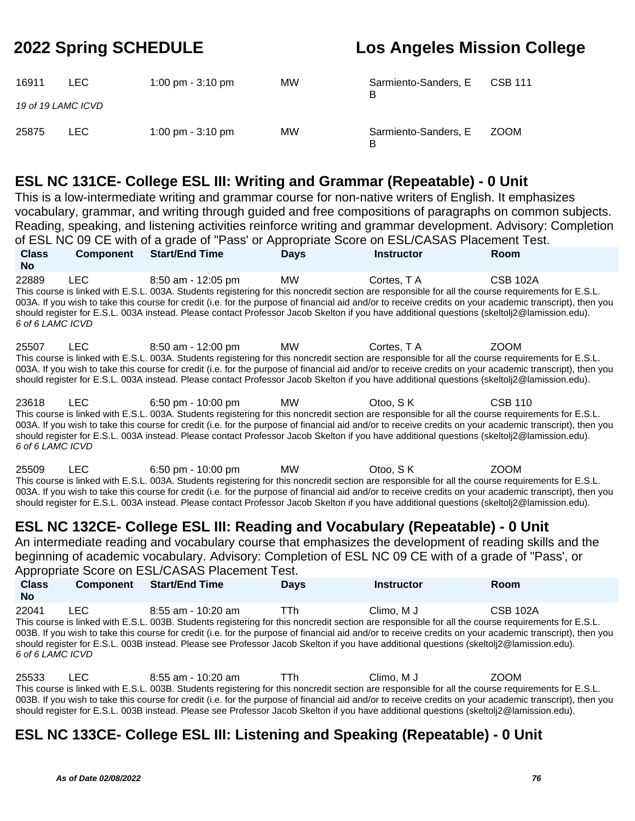| 16911                       | LEC. | 1:00 pm $-$ 3:10 pm | <b>MW</b> | Sarmiento-Sanders, E<br>R | <b>CSB 111</b> |
|-----------------------------|------|---------------------|-----------|---------------------------|----------------|
| 19 of 19 LAMC ICVD<br>25875 | LEC. | 1:00 pm $-$ 3:10 pm | <b>MW</b> | Sarmiento-Sanders, E      | <b>ZOOM</b>    |
|                             |      |                     |           |                           |                |

## **ESL NC 131CE- College ESL III: Writing and Grammar (Repeatable) - 0 Unit**

This is a low-intermediate writing and grammar course for non-native writers of English. It emphasizes vocabulary, grammar, and writing through guided and free compositions of paragraphs on common subjects. Reading, speaking, and listening activities reinforce writing and grammar development. Advisory: Completion of ESL NC 09 CE with of a grade of "Pass' or Appropriate Score on ESL/CASAS Placement Test. **Class No Component Start/End Time Days Instructor Room**

22889 LEC 8:50 am - 12:05 pm MW Cortes, T A CSB 102A This course is linked with E.S.L. 003A. Students registering for this noncredit section are responsible for all the course requirements for E.S.L. 003A. If you wish to take this course for credit (i.e. for the purpose of financial aid and/or to receive credits on your academic transcript), then you should register for E.S.L. 003A instead. Please contact Professor Jacob Skelton if you have additional questions (skeltolj2@lamission.edu). 6 of 6 LAMC ICVD

25507 LEC 8:50 am - 12:00 pm MW Cortes, T A ZOOM This course is linked with E.S.L. 003A. Students registering for this noncredit section are responsible for all the course requirements for E.S.L. 003A. If you wish to take this course for credit (i.e. for the purpose of financial aid and/or to receive credits on your academic transcript), then you should register for E.S.L. 003A instead. Please contact Professor Jacob Skelton if you have additional questions (skeltolj2@lamission.edu).

23618 LEC 6:50 pm - 10:00 pm MW Otoo, S K CSB 110 This course is linked with E.S.L. 003A. Students registering for this noncredit section are responsible for all the course requirements for E.S.L. 003A. If you wish to take this course for credit (i.e. for the purpose of financial aid and/or to receive credits on your academic transcript), then you should register for E.S.L. 003A instead. Please contact Professor Jacob Skelton if you have additional questions (skeltolj2@lamission.edu). 6 of 6 LAMC ICVD

25509 LEC 6:50 pm - 10:00 pm MW Otoo, S K ZOOM This course is linked with E.S.L. 003A. Students registering for this noncredit section are responsible for all the course requirements for E.S.L. 003A. If you wish to take this course for credit (i.e. for the purpose of financial aid and/or to receive credits on your academic transcript), then you should register for E.S.L. 003A instead. Please contact Professor Jacob Skelton if you have additional questions (skeltolj2@lamission.edu).

# **ESL NC 132CE- College ESL III: Reading and Vocabulary (Repeatable) - 0 Unit**

An intermediate reading and vocabulary course that emphasizes the development of reading skills and the beginning of academic vocabulary. Advisory: Completion of ESL NC 09 CE with of a grade of "Pass', or Appropriate Score on ESL/CASAS Placement Test.

| <b>Class</b><br><b>No</b>                                                                                                               | <b>Component</b> | <b>Start/End Time</b>                                                                                                                              | <b>Davs</b> | <b>Instructor</b> | Room                                                                                                                                                     |  |  |
|-----------------------------------------------------------------------------------------------------------------------------------------|------------------|----------------------------------------------------------------------------------------------------------------------------------------------------|-------------|-------------------|----------------------------------------------------------------------------------------------------------------------------------------------------------|--|--|
| 22041                                                                                                                                   | TEC.             | $8:55$ am - 10:20 am                                                                                                                               | <b>TTh</b>  | Climo. M J        | <b>CSB 102A</b>                                                                                                                                          |  |  |
|                                                                                                                                         |                  | This course is linked with E.S.L. 003B. Students registering for this noncredit section are responsible for all the course requirements for E.S.L. |             |                   |                                                                                                                                                          |  |  |
|                                                                                                                                         |                  |                                                                                                                                                    |             |                   | 003B. If you wish to take this course for credit (i.e. for the purpose of financial aid and/or to receive credits on your academic transcript), then you |  |  |
| should register for E.S.L. 003B instead. Please see Professor Jacob Skelton if you have additional questions (skeltolj2@lamission.edu). |                  |                                                                                                                                                    |             |                   |                                                                                                                                                          |  |  |
| 6 of 6 LAMC ICVD                                                                                                                        |                  |                                                                                                                                                    |             |                   |                                                                                                                                                          |  |  |

25533 LEC 8:55 am - 10:20 am TTh Climo, M J ZOOM This course is linked with E.S.L. 003B. Students registering for this noncredit section are responsible for all the course requirements for E.S.L. 003B. If you wish to take this course for credit (i.e. for the purpose of financial aid and/or to receive credits on your academic transcript), then you should register for E.S.L. 003B instead. Please see Professor Jacob Skelton if you have additional questions (skeltolj2@lamission.edu).

# **ESL NC 133CE- College ESL III: Listening and Speaking (Repeatable) - 0 Unit**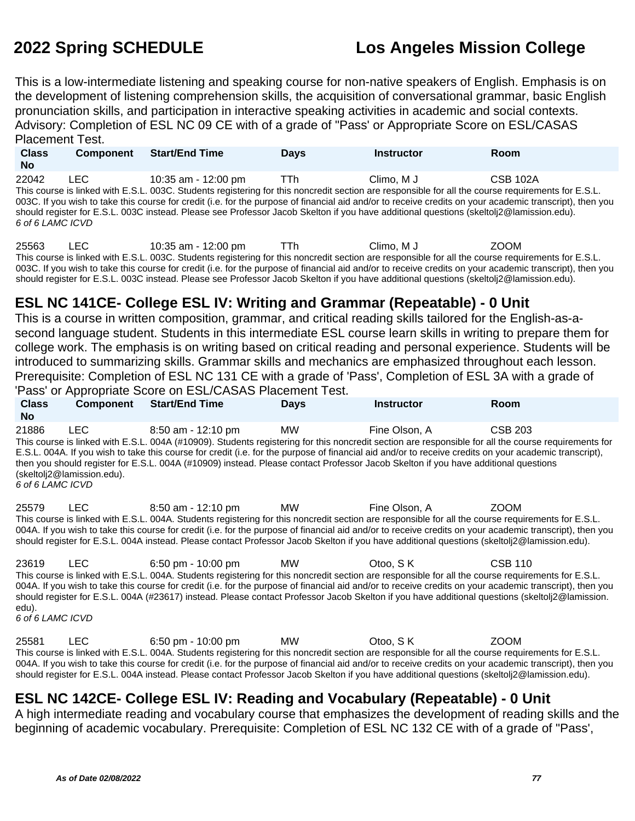This is a low-intermediate listening and speaking course for non-native speakers of English. Emphasis is on the development of listening comprehension skills, the acquisition of conversational grammar, basic English pronunciation skills, and participation in interactive speaking activities in academic and social contexts. Advisory: Completion of ESL NC 09 CE with of a grade of "Pass' or Appropriate Score on ESL/CASAS Placement Test.

**Class No Component Start/End Time Days Instructor Room** 22042 LEC 10:35 am - 12:00 pm TTh Climo, M J CSB 102A This course is linked with E.S.L. 003C. Students registering for this noncredit section are responsible for all the course requirements for E.S.L. 003C. If you wish to take this course for credit (i.e. for the purpose of financial aid and/or to receive credits on your academic transcript), then you should register for E.S.L. 003C instead. Please see Professor Jacob Skelton if you have additional questions (skeltolj2@lamission.edu). 6 of 6 LAMC ICVD

25563 LEC 10:35 am - 12:00 pm TTh Climo, M J ZOOM This course is linked with E.S.L. 003C. Students registering for this noncredit section are responsible for all the course requirements for E.S.L. 003C. If you wish to take this course for credit (i.e. for the purpose of financial aid and/or to receive credits on your academic transcript), then you should register for E.S.L. 003C instead. Please see Professor Jacob Skelton if you have additional questions (skeltolj2@lamission.edu).

# **ESL NC 141CE- College ESL IV: Writing and Grammar (Repeatable) - 0 Unit**

This is a course in written composition, grammar, and critical reading skills tailored for the English-as-asecond language student. Students in this intermediate ESL course learn skills in writing to prepare them for college work. The emphasis is on writing based on critical reading and personal experience. Students will be introduced to summarizing skills. Grammar skills and mechanics are emphasized throughout each lesson. Prerequisite: Completion of ESL NC 131 CE with a grade of 'Pass', Completion of ESL 3A with a grade of 'Pass' or Appropriate Score on ESL/CASAS Placement Test.

| $\sim$ and $\sim$ , repropriate over on EUL or to report to it root. |                                    |                                                                                                                                                                                                                                                                                                                                                                                                                                                                                         |             |               |         |  |  |
|----------------------------------------------------------------------|------------------------------------|-----------------------------------------------------------------------------------------------------------------------------------------------------------------------------------------------------------------------------------------------------------------------------------------------------------------------------------------------------------------------------------------------------------------------------------------------------------------------------------------|-------------|---------------|---------|--|--|
| <b>Class</b><br><b>No</b>                                            | <b>Component</b>                   | <b>Start/End Time</b>                                                                                                                                                                                                                                                                                                                                                                                                                                                                   | <b>Days</b> | Instructor    | Room    |  |  |
| 21886<br>6 of 6 LAMC ICVD                                            | LEC.<br>(skeltoli2@lamission.edu). | 8:50 am - 12:10 pm<br>This course is linked with E.S.L. 004A (#10909). Students registering for this noncredit section are responsible for all the course requirements for<br>E.S.L. 004A. If you wish to take this course for credit (i.e. for the purpose of financial aid and/or to receive credits on your academic transcript),<br>then you should register for E.S.L. 004A (#10909) instead. Please contact Professor Jacob Skelton if you have additional questions              | MW          | Fine Olson, A | CSB 203 |  |  |
| 25579                                                                | LEC.                               | 8:50 am - 12:10 pm<br>This course is linked with E.S.L. 004A. Students registering for this noncredit section are responsible for all the course requirements for E.S.L.<br>004A. If you wish to take this course for credit (i.e. for the purpose of financial aid and/or to receive credits on your academic transcript), then you<br>should register for E.S.L. 004A instead. Please contact Professor Jacob Skelton if you have additional questions (skeltolj2@lamission.edu).     | MW          | Fine Olson. A | ZOOM    |  |  |
| 23619                                                                | LEC.                               | 6:50 pm - 10:00 pm<br>This course is linked with E.S.L. 004A. Students registering for this noncredit section are responsible for all the course requirements for E.S.L.<br>004A. If you wish to take this course for credit (i.e. for the purpose of financial aid and/or to receive credits on your academic transcript), then you<br>should register for E.S.L. 004A (#23617) instead. Please contact Professor Jacob Skelton if you have additional questions (skeltoli2@lamission. | MW -        | Otoo, S K     | CSB 110 |  |  |

edu).

6 of 6 LAMC ICVD

25581 LEC 6:50 pm - 10:00 pm MW Otoo, S K ZOOM This course is linked with E.S.L. 004A. Students registering for this noncredit section are responsible for all the course requirements for E.S.L. 004A. If you wish to take this course for credit (i.e. for the purpose of financial aid and/or to receive credits on your academic transcript), then you should register for E.S.L. 004A instead. Please contact Professor Jacob Skelton if you have additional questions (skeltolj2@lamission.edu).

# **ESL NC 142CE- College ESL IV: Reading and Vocabulary (Repeatable) - 0 Unit**

A high intermediate reading and vocabulary course that emphasizes the development of reading skills and the beginning of academic vocabulary. Prerequisite: Completion of ESL NC 132 CE with of a grade of "Pass',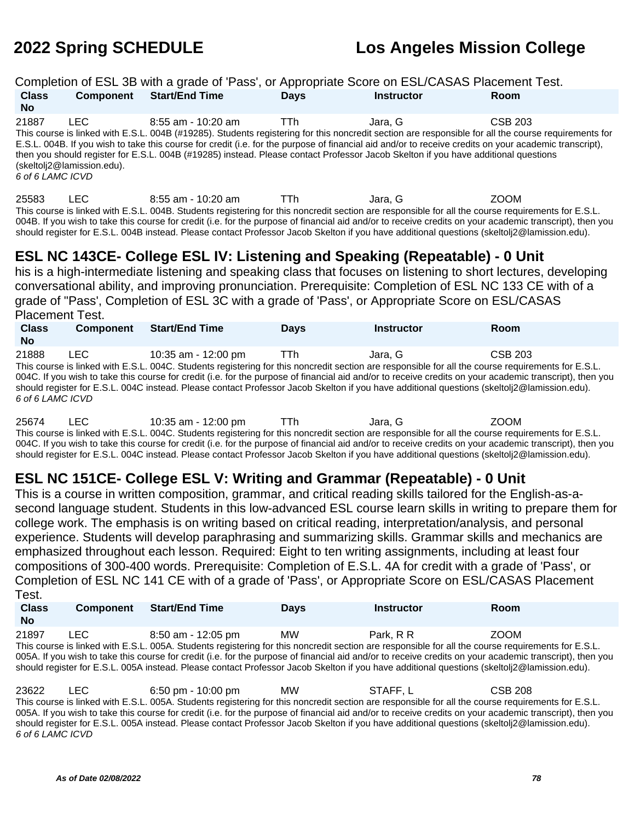|                           |                                    | Completion of ESL 3B with a grade of 'Pass', or Appropriate Score on ESL/CASAS Placement Test.                                                                                                                                                                                                                                                                                                                                                                               |             |                   |                                                                                                                                                                  |
|---------------------------|------------------------------------|------------------------------------------------------------------------------------------------------------------------------------------------------------------------------------------------------------------------------------------------------------------------------------------------------------------------------------------------------------------------------------------------------------------------------------------------------------------------------|-------------|-------------------|------------------------------------------------------------------------------------------------------------------------------------------------------------------|
| <b>Class</b><br><b>No</b> | Component                          | <b>Start/End Time</b>                                                                                                                                                                                                                                                                                                                                                                                                                                                        | <b>Days</b> | <b>Instructor</b> | Room                                                                                                                                                             |
| 21887<br>6 of 6 LAMC ICVD | LEC.<br>(skeltolj2@lamission.edu). | $8:55$ am - 10:20 am<br>This course is linked with E.S.L. 004B (#19285). Students registering for this noncredit section are responsible for all the course requirements for<br>E.S.L. 004B. If you wish to take this course for credit (i.e. for the purpose of financial aid and/or to receive credits on your academic transcript),<br>then you should register for E.S.L. 004B (#19285) instead. Please contact Professor Jacob Skelton if you have additional questions | TTh.        | Jara, G           | CSB 203                                                                                                                                                          |
| 25583                     | LEC.                               | 8:55 am - 10:20 am<br>This course is linked with E.S.L. 004B. Students registering for this noncredit section are responsible for all the course reguirements for E.S.L.<br>should register for E.S.L. 004B instead. Please contact Professor Jacob Skelton if you have additional questions (skeltoli <sub>2</sub> @lamission.edu).                                                                                                                                         | TTh.        | Jara, G           | ZOOM<br>004B. If you wish to take this course for credit (i.e. for the purpose of financial aid and/or to receive credits on your academic transcript), then you |
| <b>Placement Test.</b>    |                                    | ESL NC 143CE- College ESL IV: Listening and Speaking (Repeatable) - 0 Unit<br>his is a high-intermediate listening and speaking class that focuses on listening to short lectures, developing<br>conversational ability, and improving pronunciation. Prerequisite: Completion of ESL NC 133 CE with of a<br>grade of "Pass', Completion of ESL 3C with a grade of 'Pass', or Appropriate Score on ESL/CASAS                                                                 |             |                   |                                                                                                                                                                  |

| <b>Class</b>     | <b>Component</b> | <b>Start/End Time</b> | <b>Davs</b> | <b>Instructor</b> | Room                                                                                                                                                     |  |
|------------------|------------------|-----------------------|-------------|-------------------|----------------------------------------------------------------------------------------------------------------------------------------------------------|--|
| <b>No</b>        |                  |                       |             |                   |                                                                                                                                                          |  |
| 21888            | LEC.             | 10:35 am - 12:00 pm   | TTh         | Jara. G           | CSB 203                                                                                                                                                  |  |
|                  |                  |                       |             |                   | This course is linked with E.S.L. 004C. Students registering for this noncredit section are responsible for all the course requirements for E.S.L.       |  |
|                  |                  |                       |             |                   | 004C. If you wish to take this course for credit (i.e. for the purpose of financial aid and/or to receive credits on your academic transcript), then you |  |
|                  |                  |                       |             |                   | should register for E.S.L. 004C instead. Please contact Professor Jacob Skelton if you have additional questions (skeltolj2@lamission.edu).              |  |
| 6 of 6 LAMC ICVD |                  |                       |             |                   |                                                                                                                                                          |  |

25674 LEC 10:35 am - 12:00 pm TTh Jara, G ZOOM This course is linked with E.S.L. 004C. Students registering for this noncredit section are responsible for all the course requirements for E.S.L. 004C. If you wish to take this course for credit (i.e. for the purpose of financial aid and/or to receive credits on your academic transcript), then you should register for E.S.L. 004C instead. Please contact Professor Jacob Skelton if you have additional questions (skeltolj2@lamission.edu).

## **ESL NC 151CE- College ESL V: Writing and Grammar (Repeatable) - 0 Unit**

This is a course in written composition, grammar, and critical reading skills tailored for the English-as-asecond language student. Students in this low-advanced ESL course learn skills in writing to prepare them for college work. The emphasis is on writing based on critical reading, interpretation/analysis, and personal experience. Students will develop paraphrasing and summarizing skills. Grammar skills and mechanics are emphasized throughout each lesson. Required: Eight to ten writing assignments, including at least four compositions of 300-400 words. Prerequisite: Completion of E.S.L. 4A for credit with a grade of 'Pass', or Completion of ESL NC 141 CE with of a grade of 'Pass', or Appropriate Score on ESL/CASAS Placement Test.

| <b>Class</b> | <b>Component</b> | <b>Start/End Time</b>                                                                                                                                                                                                                                                                                                                                                                                                                                         | <b>Days</b> | <b>Instructor</b> | Room |
|--------------|------------------|---------------------------------------------------------------------------------------------------------------------------------------------------------------------------------------------------------------------------------------------------------------------------------------------------------------------------------------------------------------------------------------------------------------------------------------------------------------|-------------|-------------------|------|
| <b>No</b>    |                  |                                                                                                                                                                                                                                                                                                                                                                                                                                                               |             |                   |      |
| 21897        | LEC.             | 8:50 am - 12:05 pm                                                                                                                                                                                                                                                                                                                                                                                                                                            | <b>MW</b>   | Park, R R         | ZOOM |
|              |                  | This course is linked with E.S.L. 005A. Students registering for this noncredit section are responsible for all the course requirements for E.S.L.<br>005A. If you wish to take this course for credit (i.e. for the purpose of financial aid and/or to receive credits on your academic transcript), then you<br>should register for E.S.L. 005A instead. Please contact Professor Jacob Skelton if you have additional questions (skeltoli2@lamission.edu). |             |                   |      |

23622 LEC 6:50 pm - 10:00 pm MW STAFF, L CSB 208 This course is linked with E.S.L. 005A. Students registering for this noncredit section are responsible for all the course requirements for E.S.L. 005A. If you wish to take this course for credit (i.e. for the purpose of financial aid and/or to receive credits on your academic transcript), then you should register for E.S.L. 005A instead. Please contact Professor Jacob Skelton if you have additional questions (skeltolj2@lamission.edu). 6 of 6 LAMC ICVD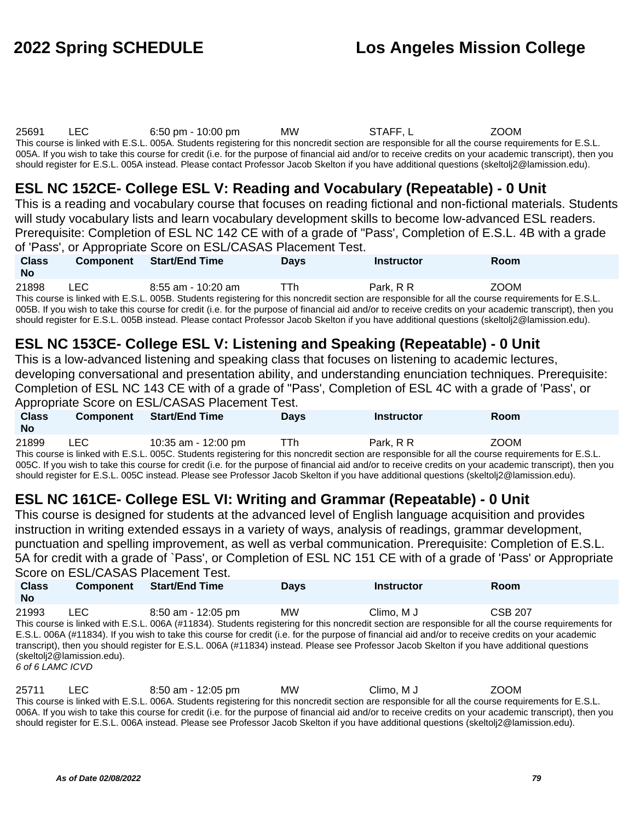25691 LEC 6:50 pm - 10:00 pm MW STAFF, L ZOOM This course is linked with E.S.L. 005A. Students registering for this noncredit section are responsible for all the course requirements for E.S.L. 005A. If you wish to take this course for credit (i.e. for the purpose of financial aid and/or to receive credits on your academic transcript), then you

should register for E.S.L. 005A instead. Please contact Professor Jacob Skelton if you have additional questions (skeltolj2@lamission.edu).

# **ESL NC 152CE- College ESL V: Reading and Vocabulary (Repeatable) - 0 Unit**

This is a reading and vocabulary course that focuses on reading fictional and non-fictional materials. Students will study vocabulary lists and learn vocabulary development skills to become low-advanced ESL readers. Prerequisite: Completion of ESL NC 142 CE with of a grade of "Pass', Completion of E.S.L. 4B with a grade of 'Pass', or Appropriate Score on ESL/CASAS Placement Test.

| <b>Class</b><br><b>No</b> | <b>Component</b> | <b>Start/End Time</b>                                                                                                                                    | <b>Days</b> | <b>Instructor</b> | <b>Room</b> |
|---------------------------|------------------|----------------------------------------------------------------------------------------------------------------------------------------------------------|-------------|-------------------|-------------|
| 21898                     | LEC.             | $8:55$ am - 10:20 am                                                                                                                                     | TTh.        | Park. R R         | ZOOM        |
|                           |                  | This course is linked with E.S.L. 005B. Students registering for this noncredit section are responsible for all the course requirements for E.S.L.       |             |                   |             |
|                           |                  | 005B. If you wish to take this course for credit (i.e. for the purpose of financial aid and/or to receive credits on your academic transcript), then you |             |                   |             |
|                           |                  | should register for E.S.L. 005B instead. Please contact Professor Jacob Skelton if you have additional questions (skeltoli2@lamission.edu).              |             |                   |             |

## **ESL NC 153CE- College ESL V: Listening and Speaking (Repeatable) - 0 Unit**

This is a low-advanced listening and speaking class that focuses on listening to academic lectures, developing conversational and presentation ability, and understanding enunciation techniques. Prerequisite: Completion of ESL NC 143 CE with of a grade of "Pass', Completion of ESL 4C with a grade of 'Pass', or

Appropriate Score on ESL/CASAS Placement Test. **Class Component Start/End Time Days Instructor Room**

| <b>VIUVV</b> | <b>VUIIINVIIVIII</b> | $V = V - V - V$                                                                                                                                    | .uv  |           | .           |
|--------------|----------------------|----------------------------------------------------------------------------------------------------------------------------------------------------|------|-----------|-------------|
| No           |                      |                                                                                                                                                    |      |           |             |
| 21899        | LEC.                 | 10:35 am - 12:00 pm                                                                                                                                | TTh. | Park, R R | <b>ZOOM</b> |
|              |                      | This course is linked with E.S.L. 005C. Students registering for this noncredit section are responsible for all the course requirements for E.S.L. |      |           |             |

005C. If you wish to take this course for credit (i.e. for the purpose of financial aid and/or to receive credits on your academic transcript), then you should register for E.S.L. 005C instead. Please see Professor Jacob Skelton if you have additional questions (skeltolj2@lamission.edu).

# **ESL NC 161CE- College ESL VI: Writing and Grammar (Repeatable) - 0 Unit**

This course is designed for students at the advanced level of English language acquisition and provides instruction in writing extended essays in a variety of ways, analysis of readings, grammar development, punctuation and spelling improvement, as well as verbal communication. Prerequisite: Completion of E.S.L. 5A for credit with a grade of `Pass', or Completion of ESL NC 151 CE with of a grade of 'Pass' or Appropriate Score on ESL/CASAS Placement Test.

| <b>Class</b><br><b>No</b> | <b>Component</b> | <b>Start/End Time</b>                                                                                                                                | <b>Davs</b> | <b>Instructor</b> | <b>Room</b> |
|---------------------------|------------------|------------------------------------------------------------------------------------------------------------------------------------------------------|-------------|-------------------|-------------|
| 21993                     | LEC.             | $8:50$ am - 12:05 pm                                                                                                                                 | МW          | Climo. M J        | CSB 207     |
|                           |                  | This course is linked with E.S.L. 006A (#11834). Students registering for this noncredit section are responsible for all the course requirements for |             |                   |             |
|                           |                  | E.S.L. 006A (#11834). If you wish to take this course for credit (i.e. for the purpose of financial aid and/or to receive credits on your academic   |             |                   |             |
|                           |                  | transcript), then you should register for E.S.L. 006A (#11834) instead. Please see Professor Jacob Skelton if you have additional questions          |             |                   |             |

(skeltolj2@lamission.edu). 6 of 6 LAMC ICVD

25711 LEC 8:50 am - 12:05 pm MW Climo, M J ZOOM This course is linked with E.S.L. 006A. Students registering for this noncredit section are responsible for all the course requirements for E.S.L. 006A. If you wish to take this course for credit (i.e. for the purpose of financial aid and/or to receive credits on your academic transcript), then you should register for E.S.L. 006A instead. Please see Professor Jacob Skelton if you have additional questions (skeltolj2@lamission.edu).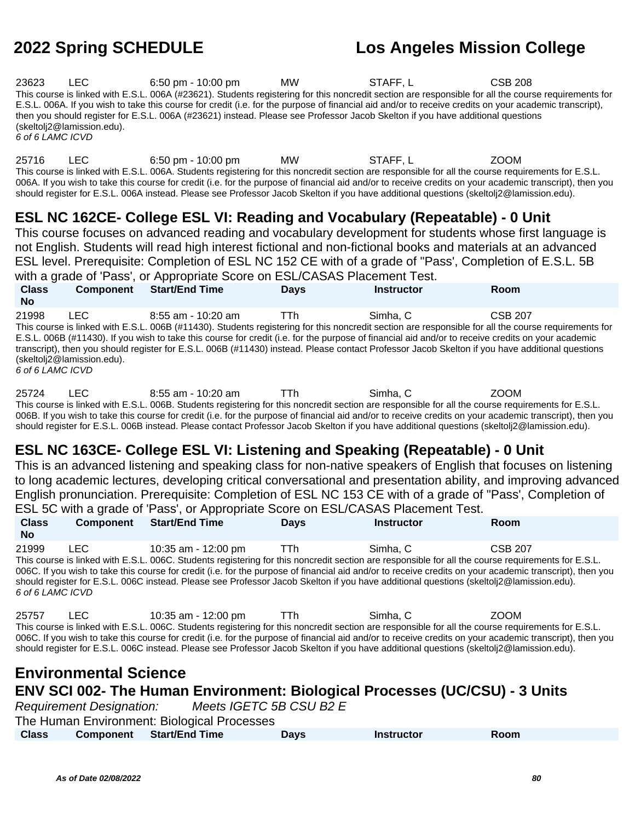| 23623            | LEC -                      | $6:50 \text{ pm} - 10:00 \text{ pm}$ | <b>MW</b> | STAFF.L                                                                                                                                                | CSB 208 |  |
|------------------|----------------------------|--------------------------------------|-----------|--------------------------------------------------------------------------------------------------------------------------------------------------------|---------|--|
|                  |                            |                                      |           | This course is linked with E.S.L. 006A (#23621). Students registering for this noncredit section are responsible for all the course requirements for   |         |  |
|                  |                            |                                      |           | E.S.L. 006A. If you wish to take this course for credit (i.e. for the purpose of financial aid and/or to receive credits on your academic transcript), |         |  |
|                  |                            |                                      |           | then you should register for E.S.L. 006A (#23621) instead. Please see Professor Jacob Skelton if you have additional questions                         |         |  |
|                  | (skeltoli2@lamission.edu). |                                      |           |                                                                                                                                                        |         |  |
| 6 of 6 LAMC ICVD |                            |                                      |           |                                                                                                                                                        |         |  |

25716 LEC 6:50 pm - 10:00 pm MW STAFF, L ZOOM This course is linked with E.S.L. 006A. Students registering for this noncredit section are responsible for all the course requirements for E.S.L. 006A. If you wish to take this course for credit (i.e. for the purpose of financial aid and/or to receive credits on your academic transcript), then you should register for E.S.L. 006A instead. Please see Professor Jacob Skelton if you have additional questions (skeltolj2@lamission.edu).

# **ESL NC 162CE- College ESL VI: Reading and Vocabulary (Repeatable) - 0 Unit**

This course focuses on advanced reading and vocabulary development for students whose first language is not English. Students will read high interest fictional and non-fictional books and materials at an advanced ESL level. Prerequisite: Completion of ESL NC 152 CE with of a grade of "Pass', Completion of E.S.L. 5B with a grade of 'Pass', or Appropriate Score on ESL/CASAS Placement Test.

**Class No Component Start/End Time Days Instructor Room** 21998 LEC 8:55 am - 10:20 am TTh Simha, C CSB 207 This course is linked with E.S.L. 006B (#11430). Students registering for this noncredit section are responsible for all the course requirements for E.S.L. 006B (#11430). If you wish to take this course for credit (i.e. for the purpose of financial aid and/or to receive credits on your academic transcript), then you should register for E.S.L. 006B (#11430) instead. Please contact Professor Jacob Skelton if you have additional questions (skeltolj2@lamission.edu). 6 of 6 LAMC ICVD

25724 LEC 8:55 am - 10:20 am TTh Simha, C ZOOM This course is linked with E.S.L. 006B. Students registering for this noncredit section are responsible for all the course requirements for E.S.L. 006B. If you wish to take this course for credit (i.e. for the purpose of financial aid and/or to receive credits on your academic transcript), then you should register for E.S.L. 006B instead. Please contact Professor Jacob Skelton if you have additional questions (skeltolj2@lamission.edu).

# **ESL NC 163CE- College ESL VI: Listening and Speaking (Repeatable) - 0 Unit**

This is an advanced listening and speaking class for non-native speakers of English that focuses on listening to long academic lectures, developing critical conversational and presentation ability, and improving advanced English pronunciation. Prerequisite: Completion of ESL NC 153 CE with of a grade of "Pass', Completion of ESL 5C with a grade of 'Pass', or Appropriate Score on ESL/CASAS Placement Test.

| <b>Class</b><br>No.       | Component                    | <b>Start/End Time</b>                                                                                                                                                                                                                                                                                                                                                                                                                                                                         | <b>Days</b> | <b>Instructor</b> | Room           |
|---------------------------|------------------------------|-----------------------------------------------------------------------------------------------------------------------------------------------------------------------------------------------------------------------------------------------------------------------------------------------------------------------------------------------------------------------------------------------------------------------------------------------------------------------------------------------|-------------|-------------------|----------------|
| 21999<br>6 of 6 LAMC ICVD | LEC.                         | 10:35 am - 12:00 pm<br>This course is linked with E.S.L. 006C. Students registering for this noncredit section are responsible for all the course requirements for E.S.L.<br>006C. If you wish to take this course for credit (i.e. for the purpose of financial aid and/or to receive credits on your academic transcript), then you<br>should register for E.S.L. 006C instead. Please see Professor Jacob Skelton if you have additional questions (skeltoli <sub>2</sub> @lamission.edu). | TTh.        | Simha, C          | <b>CSB 207</b> |
| 25757                     | LEC <b>Algebra</b>           | 10:35 am - 12:00 pm<br>TTh<br>This course is linked with E.S.L. 006C. Students registering for this noncredit section are responsible for all the course requirements for E.S.L.<br>006C. If you wish to take this course for credit (i.e. for the purpose of financial aid and/or to receive credits on your academic transcript), then you<br>should register for E.S.L. 006C instead. Please see Professor Jacob Skelton if you have additional questions (skeltoli2@lamission.edu).       |             | Simha, C          | <b>ZOOM</b>    |
|                           | <b>Environmental Science</b> | <b>ENV SCI 002- The Human Environment: Biological Processes (UC/CSU) - 3 Units</b><br>Requirement Designation: Meets IGETC 5B CSU B2 E<br>The Human Environment: Biological Processes                                                                                                                                                                                                                                                                                                         |             |                   |                |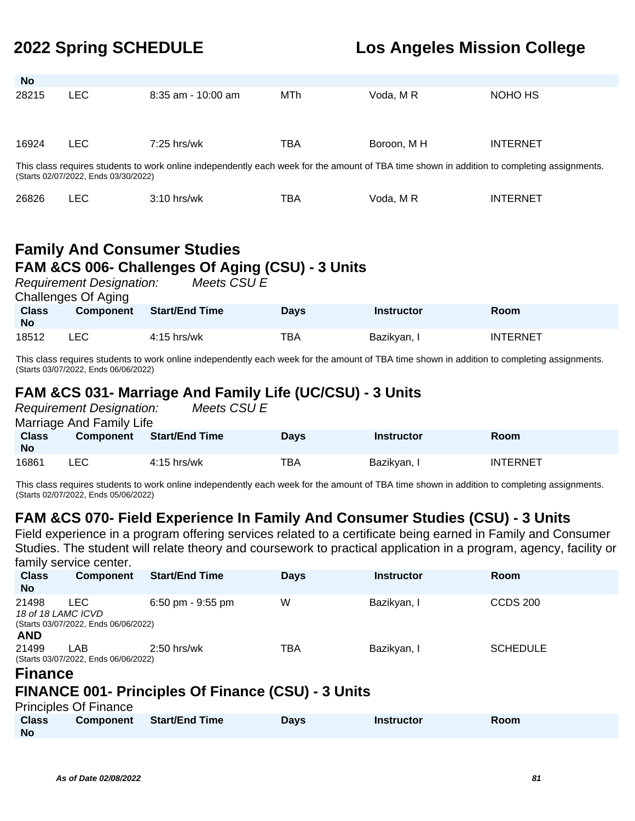| <b>No</b>    |                                                                                                                                                                                     |                       |             |                   |                 |  |  |  |
|--------------|-------------------------------------------------------------------------------------------------------------------------------------------------------------------------------------|-----------------------|-------------|-------------------|-----------------|--|--|--|
| 28215        | <b>LEC</b>                                                                                                                                                                          | $8:35$ am - 10:00 am  | MTh         | Voda, M R         | NOHO HS         |  |  |  |
| 16924        | <b>LEC</b>                                                                                                                                                                          | $7:25$ hrs/wk         | TBA         | Boroon, M H       | <b>INTERNET</b> |  |  |  |
|              | This class requires students to work online independently each week for the amount of TBA time shown in addition to completing assignments.<br>(Starts 02/07/2022, Ends 03/30/2022) |                       |             |                   |                 |  |  |  |
| 26826        | <b>LEC</b>                                                                                                                                                                          | $3:10$ hrs/wk         | TBA         | Voda, MR          | <b>INTERNET</b> |  |  |  |
|              | <b>Family And Consumer Studies</b><br>FAM &CS 006- Challenges Of Aging (CSU) - 3 Units<br>Meets CSU E<br><b>Requirement Designation:</b><br><b>Challenges Of Aging</b>              |                       |             |                   |                 |  |  |  |
| <b>Class</b> | <b>Component</b>                                                                                                                                                                    | <b>Start/End Time</b> | <b>Days</b> | <b>Instructor</b> | <b>Room</b>     |  |  |  |

This class requires students to work online independently each week for the amount of TBA time shown in addition to completing assignments. (Starts 03/07/2022, Ends 06/06/2022)

18512 LEC 4:15 hrs/wk TBA Bazikyan, I INTERNET

## **FAM &CS 031- Marriage And Family Life (UC/CSU) - 3 Units**

Requirement Designation: Meets CSU E Marriage And Family Life

| <b>Class</b><br>No | <b>Component</b> | <b>Start/End Time</b> | <b>Days</b> | Instructor  | Room            |
|--------------------|------------------|-----------------------|-------------|-------------|-----------------|
| 16861              | LEC              | $4:15$ hrs/wk         | TBA         | Bazikyan, I | <b>INTERNET</b> |

This class requires students to work online independently each week for the amount of TBA time shown in addition to completing assignments. (Starts 02/07/2022, Ends 05/06/2022)

## **FAM &CS 070- Field Experience In Family And Consumer Studies (CSU) - 3 Units**

Field experience in a program offering services related to a certificate being earned in Family and Consumer Studies. The student will relate theory and coursework to practical application in a program, agency, facility or family service center.

| .                                                        |                                                                    |                       |             |                   |                 |
|----------------------------------------------------------|--------------------------------------------------------------------|-----------------------|-------------|-------------------|-----------------|
| <b>Class</b><br><b>No</b>                                | <b>Component</b>                                                   | <b>Start/End Time</b> | <b>Days</b> | <b>Instructor</b> | <b>Room</b>     |
| 21498                                                    | LEC.<br>18 of 18 LAMC ICVD<br>(Starts 03/07/2022, Ends 06/06/2022) | $6:50$ pm - $9:55$ pm | W           | Bazikyan, I       | <b>CCDS 200</b> |
| <b>AND</b><br>21499<br><b>Production of the Property</b> | LAB<br>(Starts 03/07/2022, Ends 06/06/2022)                        | $2:50$ hrs/wk         | TBA         | Bazikyan, I       | <b>SCHEDULE</b> |

### **Finance**

**No**

## **FINANCE 001- Principles Of Finance (CSU) - 3 Units**

|              | <b>Principles Of Finance</b> |                                 |      |                   |      |  |
|--------------|------------------------------|---------------------------------|------|-------------------|------|--|
| <b>Class</b> |                              | <b>Component</b> Start/End Time | Days | <b>Instructor</b> | Room |  |
| No           |                              |                                 |      |                   |      |  |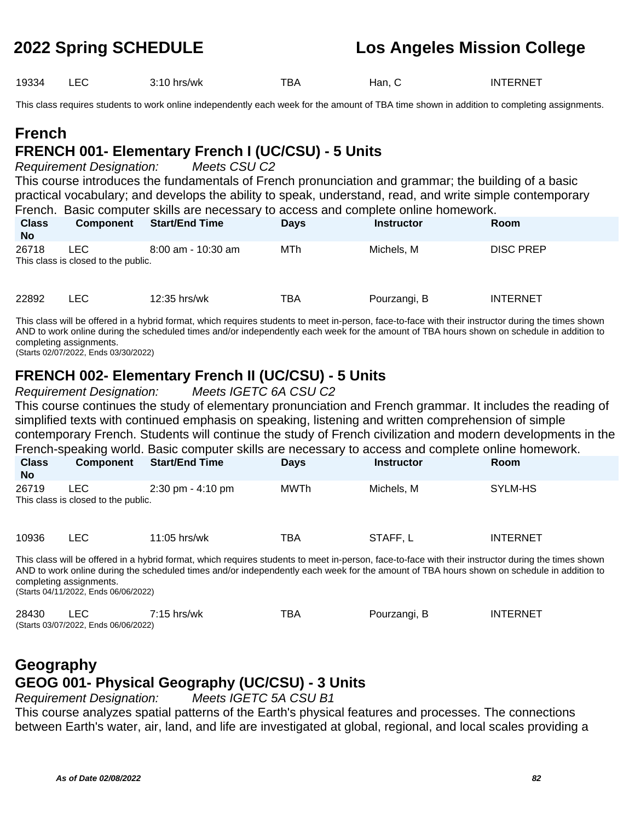19334 LEC 3:10 hrs/wk TBA Han, C INTERNET

This class requires students to work online independently each week for the amount of TBA time shown in addition to completing assignments.

# **French**

# **FRENCH 001- Elementary French I (UC/CSU) - 5 Units**

Requirement Designation: Meets CSU C2

This course introduces the fundamentals of French pronunciation and grammar; the building of a basic practical vocabulary; and develops the ability to speak, understand, read, and write simple contemporary French. Basic computer skills are necessary to access and complete online homework.

| <b>Class</b><br><b>No</b> | <b>Component</b>                            | <b>Start/End Time</b> | <b>Days</b> | <b>Instructor</b> | Room             |  |
|---------------------------|---------------------------------------------|-----------------------|-------------|-------------------|------------------|--|
| 26718                     | LEC.<br>This class is closed to the public. | 8:00 am - 10:30 am    | MTh         | Michels, M        | <b>DISC PREP</b> |  |
| 22892                     | LEC.                                        | 12:35 hrs/wk          | TBA         | Pourzangi, B      | <b>INTERNET</b>  |  |

This class will be offered in a hybrid format, which requires students to meet in-person, face-to-face with their instructor during the times shown AND to work online during the scheduled times and/or independently each week for the amount of TBA hours shown on schedule in addition to completing assignments.

(Starts 02/07/2022, Ends 03/30/2022)

## **FRENCH 002- Elementary French II (UC/CSU) - 5 Units**

Requirement Designation: Meets IGETC 6A CSU C2

This course continues the study of elementary pronunciation and French grammar. It includes the reading of simplified texts with continued emphasis on speaking, listening and written comprehension of simple contemporary French. Students will continue the study of French civilization and modern developments in the French-speaking world. Basic computer skills are necessary to access and complete online homework.

| <b>Class</b><br><b>No</b> | <b>Component</b>                           | <b>Start/End Time</b> | <b>Days</b> | <b>Instructor</b> | <b>Room</b> |
|---------------------------|--------------------------------------------|-----------------------|-------------|-------------------|-------------|
| 26719                     | LEC<br>This class is closed to the public. | 2:30 pm - 4:10 pm     | MWTh        | Michels, M        | SYLM-HS     |

| 10936 | ◡ | 11:05 hrs/wk | TBA | <b>STAFF</b> | INTERNET |
|-------|---|--------------|-----|--------------|----------|
|-------|---|--------------|-----|--------------|----------|

This class will be offered in a hybrid format, which requires students to meet in-person, face-to-face with their instructor during the times shown AND to work online during the scheduled times and/or independently each week for the amount of TBA hours shown on schedule in addition to completing assignments. (Starts 04/11/2022, Ends 06/06/2022)

28430 LEC 7:15 hrs/wk TBA Pourzangi, B INTERNET (Starts 03/07/2022, Ends 06/06/2022)

# **Geography GEOG 001- Physical Geography (UC/CSU) - 3 Units**

Requirement Designation: Meets IGETC 5A CSU B1

This course analyzes spatial patterns of the Earth's physical features and processes. The connections between Earth's water, air, land, and life are investigated at global, regional, and local scales providing a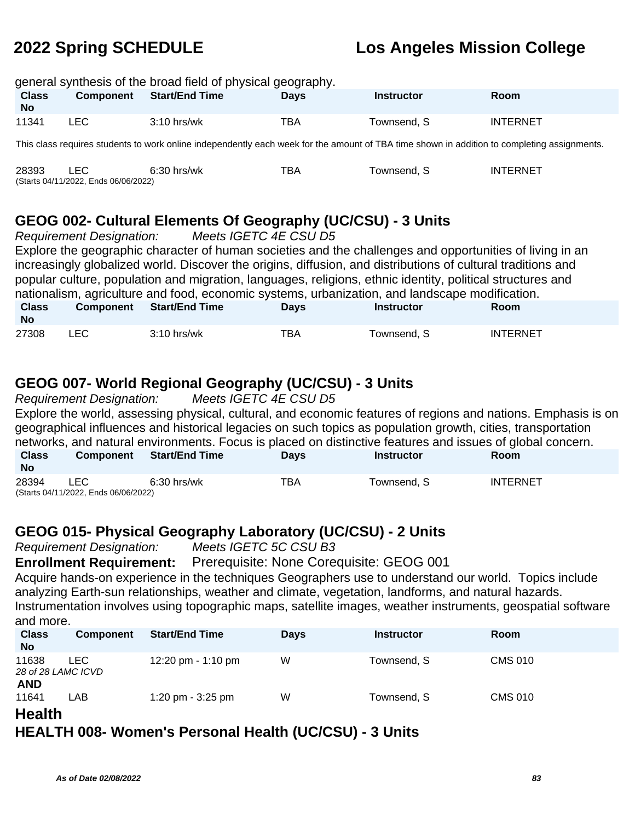|                           | general synthesis of the broad field of physical geography. |                       |      |                   |                 |  |  |  |  |  |
|---------------------------|-------------------------------------------------------------|-----------------------|------|-------------------|-----------------|--|--|--|--|--|
| <b>Class</b><br><b>No</b> | <b>Component</b>                                            | <b>Start/End Time</b> | Davs | <b>Instructor</b> | Room            |  |  |  |  |  |
| 11341                     | LEC.                                                        | $3:10$ hrs/wk         | TBA  | Townsend, S       | <b>INTERNET</b> |  |  |  |  |  |
|                           |                                                             | .                     |      | .                 |                 |  |  |  |  |  |

This class requires students to work online independently each week for the amount of TBA time shown in addition to completing assignments.

| 28393 |                                      | $6:30$ hrs/wk | TBA | Townsend. S | <b>INTERNET</b> |
|-------|--------------------------------------|---------------|-----|-------------|-----------------|
|       | (Starts 04/11/2022, Ends 06/06/2022) |               |     |             |                 |

## **GEOG 002- Cultural Elements Of Geography (UC/CSU) - 3 Units**

Requirement Designation: Meets IGETC 4E CSU D5 Explore the geographic character of human societies and the challenges and opportunities of living in an increasingly globalized world. Discover the origins, diffusion, and distributions of cultural traditions and popular culture, population and migration, languages, religions, ethnic identity, political structures and nationalism, agriculture and food, economic systems, urbanization, and landscape modification. **Class No Component Start/End Time Days Instructor Room** 27308 LEC 3:10 hrs/wk TBA Townsend, S INTERNET

# **GEOG 007- World Regional Geography (UC/CSU) - 3 Units**

Requirement Designation: Meets IGETC 4E CSU D5 Explore the world, assessing physical, cultural, and economic features of regions and nations. Emphasis is on geographical influences and historical legacies on such topics as population growth, cities, transportation networks, and natural environments. Focus is placed on distinctive features and issues of global concern. **Class No Component Start/End Time Days Instructor Room** 28394 LEC 6:30 hrs/wk TBA Townsend, S INTERNET (Starts 04/11/2022, Ends 06/06/2022)

## **GEOG 015- Physical Geography Laboratory (UC/CSU) - 2 Units**

Requirement Designation: Meets IGETC 5C CSU B3

**Enrollment Requirement:** Prerequisite: None Corequisite: GEOG 001

Acquire hands-on experience in the techniques Geographers use to understand our world. Topics include analyzing Earth-sun relationships, weather and climate, vegetation, landforms, and natural hazards. Instrumentation involves using topographic maps, satellite images, weather instruments, geospatial software and more.

| <b>Class</b><br><b>No</b>   | <b>Component</b> | <b>Start/End Time</b> | <b>Days</b> | <b>Instructor</b> | <b>Room</b>    |
|-----------------------------|------------------|-----------------------|-------------|-------------------|----------------|
| 11638<br>28 of 28 LAMC ICVD | ∟EC-             | 12:20 pm - 1:10 pm    | W           | Townsend, S       | <b>CMS 010</b> |
| <b>AND</b><br>11641<br>- -  | _AB              | 1:20 pm - $3:25$ pm   | W           | Townsend, S       | <b>CMS 010</b> |

## **Health**

**HEALTH 008- Women's Personal Health (UC/CSU) - 3 Units**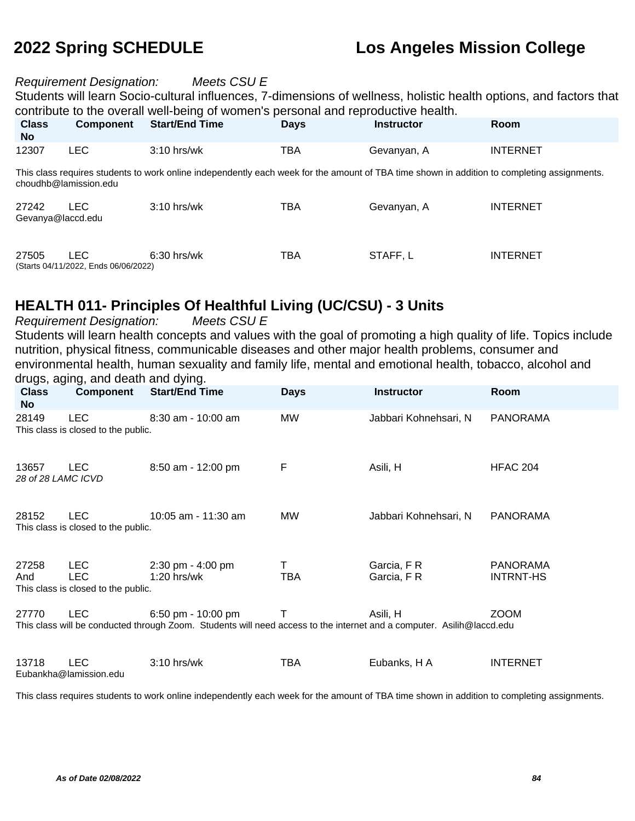### Requirement Designation: Meets CSU E

Students will learn Socio-cultural influences, 7-dimensions of wellness, holistic health options, and factors that contribute to the overall well-being of women's personal and reproductive health.

| <b>Class</b><br><b>No</b>  | <b>Component</b>                             | <b>Start/End Time</b>                                                                                                                       | <b>Days</b> | <b>Instructor</b> | <b>Room</b>     |
|----------------------------|----------------------------------------------|---------------------------------------------------------------------------------------------------------------------------------------------|-------------|-------------------|-----------------|
| 12307                      | LEC.                                         | $3:10$ hrs/wk                                                                                                                               | TBA         | Gevanyan, A       | <b>INTERNET</b> |
|                            | choudhb@lamission.edu                        | This class requires students to work online independently each week for the amount of TBA time shown in addition to completing assignments. |             |                   |                 |
| 27242<br>Gevanya@laccd.edu | LEC.                                         | $3:10$ hrs/wk                                                                                                                               | TBA         | Gevanyan, A       | <b>INTERNET</b> |
| 27505                      | LEC.<br>(Starts 04/11/2022, Ends 06/06/2022) | $6:30$ hrs/wk                                                                                                                               | <b>TBA</b>  | STAFF, L          | <b>INTERNET</b> |

## **HEALTH 011- Principles Of Healthful Living (UC/CSU) - 3 Units**

Requirement Designation: Meets CSU E

Students will learn health concepts and values with the goal of promoting a high quality of life. Topics include nutrition, physical fitness, communicable diseases and other major health problems, consumer and environmental health, human sexuality and family life, mental and emotional health, tobacco, alcohol and drugs, aging, and death and dying.

| <b>Class</b><br><b>No</b>   | <b>Component</b>                            | <b>Start/End Time</b>                                                                                                 | <b>Days</b> | <b>Instructor</b>     | Room             |
|-----------------------------|---------------------------------------------|-----------------------------------------------------------------------------------------------------------------------|-------------|-----------------------|------------------|
| 28149                       | LEC.                                        | 8:30 am - 10:00 am                                                                                                    | <b>MW</b>   | Jabbari Kohnehsari, N | <b>PANORAMA</b>  |
|                             | This class is closed to the public.         |                                                                                                                       |             |                       |                  |
| 13657<br>28 of 28 LAMC ICVD | <b>LEC</b>                                  | 8:50 am - 12:00 pm                                                                                                    | F           | Asili, H              | <b>HFAC 204</b>  |
| 28152                       | LEC.<br>This class is closed to the public. | 10:05 am - 11:30 am                                                                                                   | MW          | Jabbari Kohnehsari, N | <b>PANORAMA</b>  |
| 27258                       | <b>LEC</b>                                  | 2:30 pm - 4:00 pm                                                                                                     | Τ           | Garcia, FR            | <b>PANORAMA</b>  |
| And                         | <b>LEC</b>                                  | $1:20$ hrs/wk                                                                                                         | TBA         | Garcia, FR            | <b>INTRNT-HS</b> |
|                             | This class is closed to the public.         |                                                                                                                       |             |                       |                  |
| 27770                       | LEC.                                        | 6:50 pm - 10:00 pm                                                                                                    | т           | Asili, H              | <b>ZOOM</b>      |
|                             |                                             | This class will be conducted through Zoom. Students will need access to the internet and a computer. Asilih@laccd.edu |             |                       |                  |
| 13718                       | <b>LEC</b><br>Eubankha@lamission.edu        | $3:10$ hrs/wk                                                                                                         | TBA         | Eubanks, H A          | <b>INTERNET</b>  |

This class requires students to work online independently each week for the amount of TBA time shown in addition to completing assignments.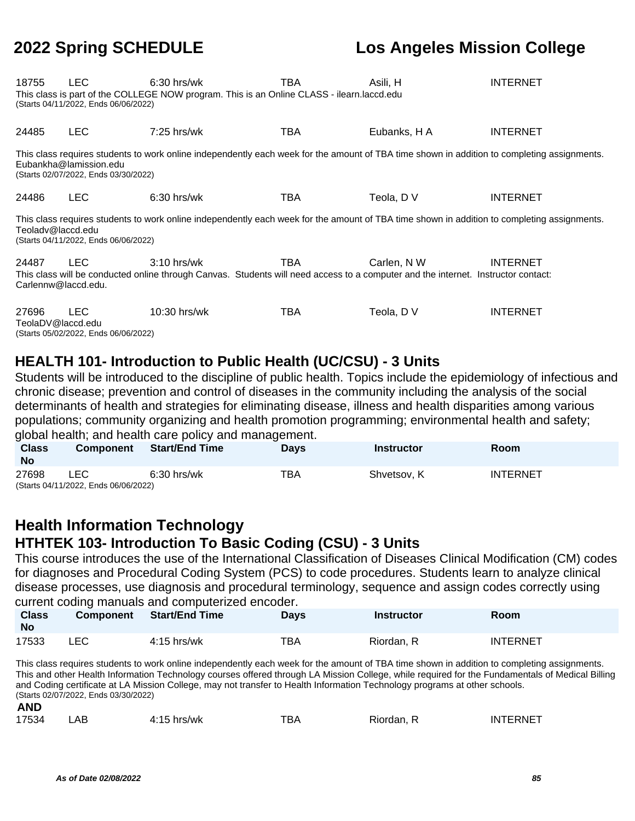| 18755                        | LEC.<br>(Starts 04/11/2022, Ends 06/06/2022)                                                                                                                                                                  | $6:30$ hrs/wk<br>This class is part of the COLLEGE NOW program. This is an Online CLASS - ilearn.laccd.edu                                         | TBA | Asili, H     | <b>INTERNET</b> |  |  |  |  |
|------------------------------|---------------------------------------------------------------------------------------------------------------------------------------------------------------------------------------------------------------|----------------------------------------------------------------------------------------------------------------------------------------------------|-----|--------------|-----------------|--|--|--|--|
| 24485                        | <b>LEC</b>                                                                                                                                                                                                    | $7:25$ hrs/wk                                                                                                                                      | TBA | Eubanks, H A | <b>INTERNET</b> |  |  |  |  |
|                              | This class requires students to work online independently each week for the amount of TBA time shown in addition to completing assignments.<br>Eubankha@lamission.edu<br>(Starts 02/07/2022, Ends 03/30/2022) |                                                                                                                                                    |     |              |                 |  |  |  |  |
| 24486                        | <b>LEC</b>                                                                                                                                                                                                    | $6:30$ hrs/wk                                                                                                                                      | TBA | Teola, DV    | <b>INTERNET</b> |  |  |  |  |
| Teolady@laccd.edu            | (Starts 04/11/2022, Ends 06/06/2022)                                                                                                                                                                          | This class requires students to work online independently each week for the amount of TBA time shown in addition to completing assignments.        |     |              |                 |  |  |  |  |
| 24487<br>Carlennw@laccd.edu. | <b>LEC</b>                                                                                                                                                                                                    | $3:10$ hrs/wk<br>This class will be conducted online through Canvas. Students will need access to a computer and the internet. Instructor contact: | TBA | Carlen, N W  | <b>INTERNET</b> |  |  |  |  |
| 27696<br>TeolaDV@laccd.edu   | <b>LEC</b><br>(Starts 05/02/2022, Ends 06/06/2022)                                                                                                                                                            | 10:30 hrs/wk                                                                                                                                       | TBA | Teola, DV    | <b>INTERNET</b> |  |  |  |  |

## **HEALTH 101- Introduction to Public Health (UC/CSU) - 3 Units**

Students will be introduced to the discipline of public health. Topics include the epidemiology of infectious and chronic disease; prevention and control of diseases in the community including the analysis of the social determinants of health and strategies for eliminating disease, illness and health disparities among various populations; community organizing and health promotion programming; environmental health and safety; global health; and health care policy and management.

| <b>Class</b><br><b>No</b> | <b>Component</b>                     | <b>Start/End Time</b> | <b>Davs</b> | Instructor  | <b>Room</b>     |
|---------------------------|--------------------------------------|-----------------------|-------------|-------------|-----------------|
| 27698                     | ∟EC                                  | $6:30$ hrs/wk         | TBA         | Shvetsov, K | <b>INTERNET</b> |
|                           | (Starts 04/11/2022, Ends 06/06/2022) |                       |             |             |                 |

## **Health Information Technology HTHTEK 103- Introduction To Basic Coding (CSU) - 3 Units**

This course introduces the use of the International Classification of Diseases Clinical Modification (CM) codes for diagnoses and Procedural Coding System (PCS) to code procedures. Students learn to analyze clinical disease processes, use diagnosis and procedural terminology, sequence and assign codes correctly using current coding manuals and computerized encoder.

| <b>Class</b><br><b>No</b> | <b>Component</b> | Start/End Time | Days       | Instructor | Room            |
|---------------------------|------------------|----------------|------------|------------|-----------------|
| 17533                     | LEC              | 4:15 hrs/wk    | <b>TBA</b> | Riordan, R | <b>INTERNET</b> |

This class requires students to work online independently each week for the amount of TBA time shown in addition to completing assignments. This and other Health Information Technology courses offered through LA Mission College, while required for the Fundamentals of Medical Billing and Coding certificate at LA Mission College, may not transfer to Health Information Technology programs at other schools. (Starts 02/07/2022, Ends 03/30/2022) **AND**

| 17534 | AB | $4:15$ hrs/wk | TBA | Riordan. | <b>INTERNET</b> |
|-------|----|---------------|-----|----------|-----------------|
|-------|----|---------------|-----|----------|-----------------|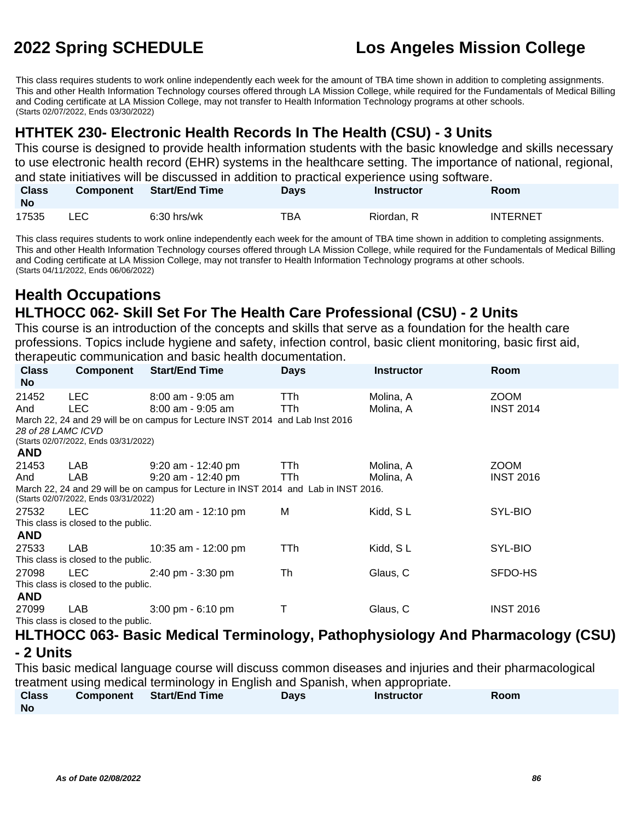This class requires students to work online independently each week for the amount of TBA time shown in addition to completing assignments. This and other Health Information Technology courses offered through LA Mission College, while required for the Fundamentals of Medical Billing and Coding certificate at LA Mission College, may not transfer to Health Information Technology programs at other schools. (Starts 02/07/2022, Ends 03/30/2022)

## **HTHTEK 230- Electronic Health Records In The Health (CSU) - 3 Units**

This course is designed to provide health information students with the basic knowledge and skills necessary to use electronic health record (EHR) systems in the healthcare setting. The importance of national, regional, and state initiatives will be discussed in addition to practical experience using software.

| <b>Class</b><br><b>No</b> | <b>Component</b> | <b>Start/End Time</b> | Days | <b>Instructor</b> | Room            |
|---------------------------|------------------|-----------------------|------|-------------------|-----------------|
| 17535                     | ∟EC-             | $6:30$ hrs/wk         | TBA  | Riordan, R        | <b>INTERNET</b> |

This class requires students to work online independently each week for the amount of TBA time shown in addition to completing assignments. This and other Health Information Technology courses offered through LA Mission College, while required for the Fundamentals of Medical Billing and Coding certificate at LA Mission College, may not transfer to Health Information Technology programs at other schools. (Starts 04/11/2022, Ends 06/06/2022)

## **Health Occupations HLTHOCC 062- Skill Set For The Health Care Professional (CSU) - 2 Units**

This course is an introduction of the concepts and skills that serve as a foundation for the health care professions. Topics include hygiene and safety, infection control, basic client monitoring, basic first aid, therapeutic communication and basic health documentation.

|              |                                      | morapodno oominiamodnom and basic noditii doodinomanom.                              |             |                   |                                                                                            |  |  |  |
|--------------|--------------------------------------|--------------------------------------------------------------------------------------|-------------|-------------------|--------------------------------------------------------------------------------------------|--|--|--|
| <b>Class</b> | Component                            | <b>Start/End Time</b>                                                                | <b>Days</b> | <b>Instructor</b> | Room                                                                                       |  |  |  |
| No           |                                      |                                                                                      |             |                   |                                                                                            |  |  |  |
| 21452        | LEC.                                 | $8:00$ am - $9:05$ am                                                                | TTh.        | Molina, A         | <b>ZOOM</b>                                                                                |  |  |  |
| And          | LEC.                                 | $8:00$ am - 9:05 am                                                                  | <b>TTh</b>  | Molina, A         | <b>INST 2014</b>                                                                           |  |  |  |
|              |                                      | March 22, 24 and 29 will be on campus for Lecture INST 2014 and Lab Inst 2016        |             |                   |                                                                                            |  |  |  |
|              | 28 of 28 LAMC ICVD                   |                                                                                      |             |                   |                                                                                            |  |  |  |
|              | (Starts 02/07/2022, Ends 03/31/2022) |                                                                                      |             |                   |                                                                                            |  |  |  |
| <b>AND</b>   |                                      |                                                                                      |             |                   |                                                                                            |  |  |  |
| 21453        | LAB.                                 | $9:20$ am - 12:40 pm                                                                 | TTh.        | Molina, A         | <b>ZOOM</b>                                                                                |  |  |  |
| And          | LAB                                  | 9:20 am - 12:40 pm                                                                   | TTh.        | Molina, A         | <b>INST 2016</b>                                                                           |  |  |  |
|              |                                      | March 22, 24 and 29 will be on campus for Lecture in INST 2014 and Lab in INST 2016. |             |                   |                                                                                            |  |  |  |
|              | (Starts 02/07/2022, Ends 03/31/2022) |                                                                                      |             |                   |                                                                                            |  |  |  |
| 27532        | LEC.                                 | 11:20 am - 12:10 pm                                                                  | M           | Kidd, SL          | SYL-BIO                                                                                    |  |  |  |
|              | This class is closed to the public.  |                                                                                      |             |                   |                                                                                            |  |  |  |
| <b>AND</b>   |                                      |                                                                                      |             |                   |                                                                                            |  |  |  |
| 27533        | LAB                                  | 10:35 am - 12:00 pm                                                                  | TTh.        | Kidd, SL          | SYL-BIO                                                                                    |  |  |  |
|              | This class is closed to the public.  |                                                                                      |             |                   |                                                                                            |  |  |  |
| 27098        | LEC.                                 | $2:40 \text{ pm} - 3:30 \text{ pm}$                                                  | Th          | Glaus, C          | SFDO-HS                                                                                    |  |  |  |
|              | This class is closed to the public.  |                                                                                      |             |                   |                                                                                            |  |  |  |
| <b>AND</b>   |                                      |                                                                                      |             |                   |                                                                                            |  |  |  |
| 27099        | LAB                                  | $3:00 \text{ pm} - 6:10 \text{ pm}$                                                  |             | Glaus, C          | <b>INST 2016</b>                                                                           |  |  |  |
|              | This class is closed to the public.  |                                                                                      |             |                   |                                                                                            |  |  |  |
|              |                                      |                                                                                      |             |                   | <u>LILTUAAA AAA. Deele Medical Tourdood en a Dethankersistema And Dhamos estema (AALI)</u> |  |  |  |

### **HLTHOCC 063- Basic Medical Terminology, Pathophysiology And Pharmacology (CSU) - 2 Units**

This basic medical language course will discuss common diseases and injuries and their pharmacological treatment using medical terminology in English and Spanish, when appropriate.

|              | ິ                               |      |                   |      |  |
|--------------|---------------------------------|------|-------------------|------|--|
| <b>Class</b> | <b>Component</b> Start/End Time | Days | <b>Instructor</b> | Room |  |
| <b>No</b>    |                                 |      |                   |      |  |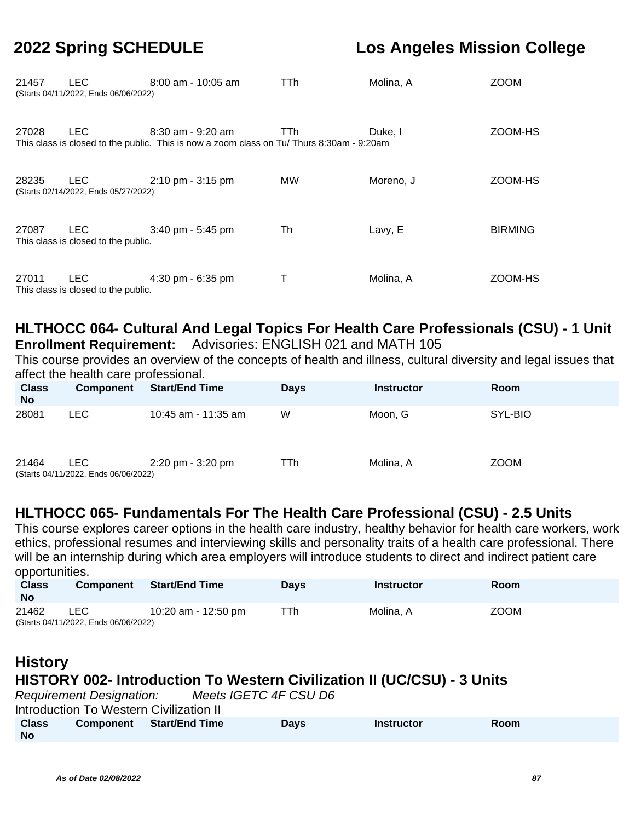| 21457 | <b>LEC</b><br>(Starts 04/11/2022, Ends 06/06/2022) | $8:00$ am - 10:05 am                                                                                              | TTh  | Molina, A | <b>ZOOM</b>    |
|-------|----------------------------------------------------|-------------------------------------------------------------------------------------------------------------------|------|-----------|----------------|
| 27028 | <b>LEC</b>                                         | $8:30$ am - $9:20$ am<br>This class is closed to the public. This is now a zoom class on Tu/Thurs 8:30am - 9:20am | TTh. | Duke, I   | ZOOM-HS        |
| 28235 | LEC.<br>(Starts 02/14/2022, Ends 05/27/2022)       | $2:10 \text{ pm} - 3:15 \text{ pm}$                                                                               | MW.  | Moreno, J | ZOOM-HS        |
| 27087 | <b>LEC</b><br>This class is closed to the public.  | $3:40$ pm - 5:45 pm                                                                                               | Th   | Lavy, E   | <b>BIRMING</b> |
| 27011 | <b>LEC</b><br>This class is closed to the public.  | 4:30 pm - 6:35 pm                                                                                                 | Ι.   | Molina, A | ZOOM-HS        |

# **HLTHOCC 064- Cultural And Legal Topics For Health Care Professionals (CSU) - 1 Unit**

**Enrollment Requirement:** Advisories: ENGLISH 021 and MATH 105

This course provides an overview of the concepts of health and illness, cultural diversity and legal issues that affect the health care professional.

| <b>Class</b><br><b>No</b> | Component                                    | <b>Start/End Time</b>               | <b>Days</b> | <b>Instructor</b> | Room        |
|---------------------------|----------------------------------------------|-------------------------------------|-------------|-------------------|-------------|
| 28081                     | LEC.                                         | 10:45 am - 11:35 am                 | W           | Moon, G           | SYL-BIO     |
| 21464                     | LEC.<br>(Starts 04/11/2022, Ends 06/06/2022) | $2:20 \text{ pm} - 3:20 \text{ pm}$ | TTh         | Molina, A         | <b>ZOOM</b> |

## **HLTHOCC 065- Fundamentals For The Health Care Professional (CSU) - 2.5 Units**

This course explores career options in the health care industry, healthy behavior for health care workers, work ethics, professional resumes and interviewing skills and personality traits of a health care professional. There will be an internship during which area employers will introduce students to direct and indirect patient care opportunities.

| <b>Class</b><br><b>No</b> | <b>Component</b>                             | <b>Start/End Time</b> | <b>Davs</b> | <b>Instructor</b> | Room        |
|---------------------------|----------------------------------------------|-----------------------|-------------|-------------------|-------------|
| 21462                     | LEC.<br>(Starts 04/11/2022, Ends 06/06/2022) | 10:20 am - 12:50 pm   | TTh.        | Molina. A         | <b>ZOOM</b> |

## **History HISTORY 002- Introduction To Western Civilization II (UC/CSU) - 3 Units** Requirement Designation: Meets IGETC 4F CSU D6 Introduction To Western Civilization II

| <b>Class</b> | <b>Component</b> Start/End Time | <b>Days</b> | <b>Instructor</b> | Room |
|--------------|---------------------------------|-------------|-------------------|------|
| <b>No</b>    |                                 |             |                   |      |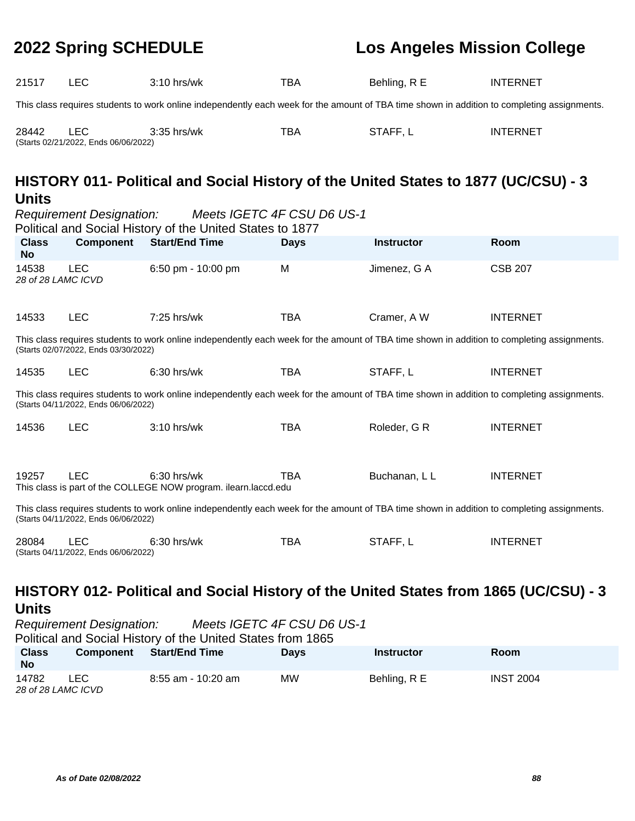| 21517                                                                                                                                                                               | <b>LEC</b>                                         | 3:10 hrs/wk                                                                                                                                 | <b>TBA</b>                 | Behling, R E      | <b>INTERNET</b> |  |  |
|-------------------------------------------------------------------------------------------------------------------------------------------------------------------------------------|----------------------------------------------------|---------------------------------------------------------------------------------------------------------------------------------------------|----------------------------|-------------------|-----------------|--|--|
| This class requires students to work online independently each week for the amount of TBA time shown in addition to completing assignments.                                         |                                                    |                                                                                                                                             |                            |                   |                 |  |  |
| 28442                                                                                                                                                                               | <b>LEC</b><br>(Starts 02/21/2022, Ends 06/06/2022) | 3:35 hrs/wk                                                                                                                                 | <b>TBA</b>                 | STAFF, L          | <b>INTERNET</b> |  |  |
| <b>Units</b>                                                                                                                                                                        |                                                    | HISTORY 011- Political and Social History of the United States to 1877 (UC/CSU) - 3                                                         |                            |                   |                 |  |  |
|                                                                                                                                                                                     | <b>Requirement Designation:</b>                    | Political and Social History of the United States to 1877                                                                                   | Meets IGETC 4F CSU D6 US-1 |                   |                 |  |  |
| <b>Class</b><br><b>No</b>                                                                                                                                                           | <b>Component</b>                                   | <b>Start/End Time</b>                                                                                                                       | <b>Days</b>                | <b>Instructor</b> | Room            |  |  |
| 14538<br>28 of 28 LAMC ICVD                                                                                                                                                         | <b>LEC</b>                                         | 6:50 pm - 10:00 pm                                                                                                                          | M                          | Jimenez, G A      | <b>CSB 207</b>  |  |  |
| 14533                                                                                                                                                                               | <b>LEC</b>                                         | 7:25 hrs/wk                                                                                                                                 | <b>TBA</b>                 | Cramer, A W       | <b>INTERNET</b> |  |  |
|                                                                                                                                                                                     | (Starts 02/07/2022, Ends 03/30/2022)               | This class requires students to work online independently each week for the amount of TBA time shown in addition to completing assignments. |                            |                   |                 |  |  |
| 14535                                                                                                                                                                               | <b>LEC</b>                                         | 6:30 hrs/wk                                                                                                                                 | <b>TBA</b>                 | STAFF, L          | <b>INTERNET</b> |  |  |
|                                                                                                                                                                                     | (Starts 04/11/2022, Ends 06/06/2022)               | This class requires students to work online independently each week for the amount of TBA time shown in addition to completing assignments. |                            |                   |                 |  |  |
| 14536                                                                                                                                                                               | <b>LEC</b>                                         | 3:10 hrs/wk                                                                                                                                 | <b>TBA</b>                 | Roleder, G R      | <b>INTERNET</b> |  |  |
| 19257                                                                                                                                                                               | <b>LEC</b>                                         | $6:30$ hrs/wk<br>This class is part of the COLLEGE NOW program. ilearn.laccd.edu                                                            | <b>TBA</b>                 | Buchanan, L L     | <b>INTERNET</b> |  |  |
| This class requires students to work online independently each week for the amount of TBA time shown in addition to completing assignments.<br>(Starts 04/11/2022, Ends 06/06/2022) |                                                    |                                                                                                                                             |                            |                   |                 |  |  |
| 28084                                                                                                                                                                               | LEC<br>(Starts 04/11/2022, Ends 06/06/2022)        | $6:30$ hrs/wk                                                                                                                               | <b>TBA</b>                 | STAFF, L          | <b>INTERNET</b> |  |  |

# **HISTORY 012- Political and Social History of the United States from 1865 (UC/CSU) - 3 Units**<br>Requirement Designation:

Meets IGETC 4F CSU D6 US-1

Political and Social History of the United States from 1865

| <b>Class</b><br><b>No</b>   | <b>Component</b> | <b>Start/End Time</b> | Days | <b>Instructor</b> | Room             |
|-----------------------------|------------------|-----------------------|------|-------------------|------------------|
| 14782<br>28 of 28 LAMC ICVD | LEC.             | 8:55 am - 10:20 am    | МW   | Behling, R E      | <b>INST 2004</b> |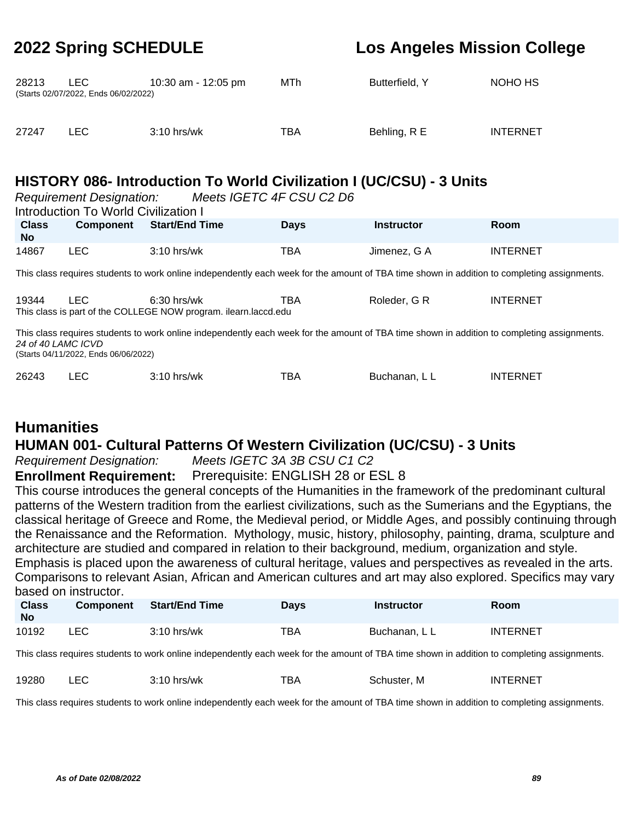| 28213 | LEC.<br>(Starts 02/07/2022, Ends 06/02/2022) | 10:30 am - 12:05 pm | MTh | Butterfield, Y | NOHO HS         |
|-------|----------------------------------------------|---------------------|-----|----------------|-----------------|
| 27247 | LEC.                                         | $3:10$ hrs/wk       | TBA | Behling, R E   | <b>INTERNET</b> |

# **HISTORY 086- Introduction To World Civilization I (UC/CSU) - 3 Units**

| Meets IGETC 4F CSU C2 D6<br><b>Requirement Designation:</b><br><b>Introduction To World Civilization I</b>                                                                                                |                  |                                                                                                                                             |             |                   |                 |  |  |  |  |
|-----------------------------------------------------------------------------------------------------------------------------------------------------------------------------------------------------------|------------------|---------------------------------------------------------------------------------------------------------------------------------------------|-------------|-------------------|-----------------|--|--|--|--|
| <b>Class</b><br>No.                                                                                                                                                                                       | <b>Component</b> | <b>Start/End Time</b>                                                                                                                       | <b>Days</b> | <b>Instructor</b> | Room            |  |  |  |  |
| 14867                                                                                                                                                                                                     | <b>LEC</b>       | $3:10$ hrs/wk                                                                                                                               | TBA         | Jimenez, G A      | <b>INTERNET</b> |  |  |  |  |
|                                                                                                                                                                                                           |                  | This class requires students to work online independently each week for the amount of TBA time shown in addition to completing assignments. |             |                   |                 |  |  |  |  |
| 19344                                                                                                                                                                                                     | LEC.             | $6:30$ hrs/wk<br>This class is part of the COLLEGE NOW program. ilearn.laccd.edu                                                            | TBA         | Roleder, G R      | <b>INTERNET</b> |  |  |  |  |
| This class requires students to work online independently each week for the amount of TBA time shown in addition to completing assignments.<br>24 of 40 LAMC ICVD<br>(Starts 04/11/2022, Ends 06/06/2022) |                  |                                                                                                                                             |             |                   |                 |  |  |  |  |
| 26243                                                                                                                                                                                                     | LEC              | 3:10 hrs/wk                                                                                                                                 | TBA         | Buchanan, L L     | <b>INTERNET</b> |  |  |  |  |

# **Humanities**

## **HUMAN 001- Cultural Patterns Of Western Civilization (UC/CSU) - 3 Units**

Requirement Designation: Meets IGETC 3A 3B CSU C1 C2

**Enrollment Requirement:** Prerequisite: ENGLISH 28 or ESL 8

This course introduces the general concepts of the Humanities in the framework of the predominant cultural patterns of the Western tradition from the earliest civilizations, such as the Sumerians and the Egyptians, the classical heritage of Greece and Rome, the Medieval period, or Middle Ages, and possibly continuing through the Renaissance and the Reformation. Mythology, music, history, philosophy, painting, drama, sculpture and architecture are studied and compared in relation to their background, medium, organization and style. Emphasis is placed upon the awareness of cultural heritage, values and perspectives as revealed in the arts. Comparisons to relevant Asian, African and American cultures and art may also explored. Specifics may vary based on instructor.

| <b>Class</b><br><b>No</b> | <b>Component</b> | <b>Start/End Time</b> | Days | Instructor    | Room            |
|---------------------------|------------------|-----------------------|------|---------------|-----------------|
| 10192                     | ∟EC.             | $3:10$ hrs/wk         | TBA  | Buchanan. L L | <b>INTERNET</b> |

This class requires students to work online independently each week for the amount of TBA time shown in addition to completing assignments.

| 19280 | - -<br>--- | ,,,,<br>hrs/wk | тва | M<br>≾chuster. | TERNET<br>IN I |
|-------|------------|----------------|-----|----------------|----------------|
|       |            |                |     |                |                |

This class requires students to work online independently each week for the amount of TBA time shown in addition to completing assignments.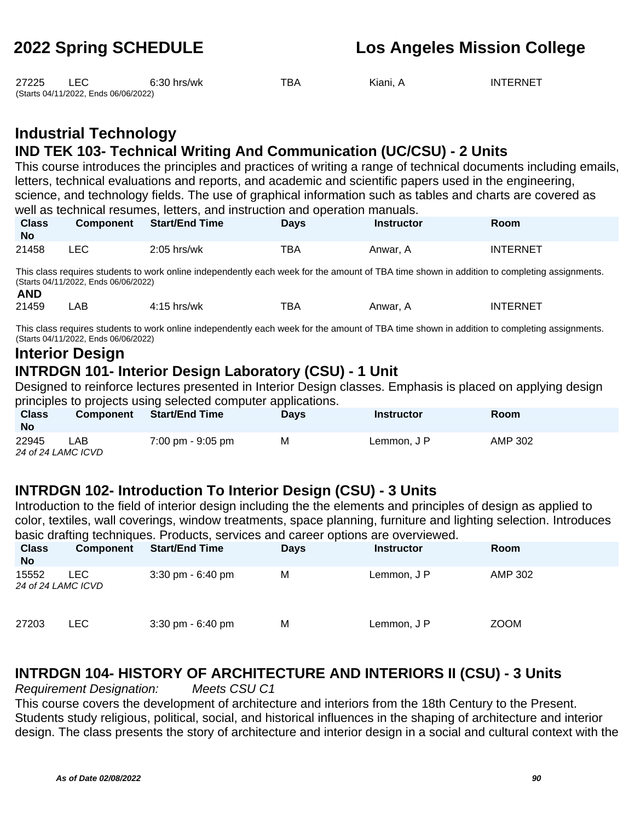| 27225 | EC.                                  | $6:30$ hrs/wk | тва | Kiani. A | <b>INTERNET</b> |
|-------|--------------------------------------|---------------|-----|----------|-----------------|
|       | (Starts 04/11/2022, Ends 06/06/2022) |               |     |          |                 |

# **Industrial Technology**

## **IND TEK 103- Technical Writing And Communication (UC/CSU) - 2 Units**

This course introduces the principles and practices of writing a range of technical documents including emails, letters, technical evaluations and reports, and academic and scientific papers used in the engineering, science, and technology fields. The use of graphical information such as tables and charts are covered as well as technical resumes, letters, and instruction and operation manuals.

| <b>Class</b><br>No | <b>Component</b> | <b>Start/End Time</b> | Days | <b>Instructor</b> | Room            |
|--------------------|------------------|-----------------------|------|-------------------|-----------------|
| 21458              | LEC              | $2:05$ hrs/wk         | TBA  | Anwar. A          | <b>INTERNET</b> |

This class requires students to work online independently each week for the amount of TBA time shown in addition to completing assignments. (Starts 04/11/2022, Ends 06/06/2022)

| 21459 | AВ | hrs/wk<br>л. - | -- -<br>Bľ | Anwar. | INT<br>FRNF |
|-------|----|----------------|------------|--------|-------------|

This class requires students to work online independently each week for the amount of TBA time shown in addition to completing assignments. (Starts 04/11/2022, Ends 06/06/2022)

## **Interior Design INTRDGN 101- Interior Design Laboratory (CSU) - 1 Unit**

Designed to reinforce lectures presented in Interior Design classes. Emphasis is placed on applying design principles to projects using selected computer applications.

| <b>Class</b><br><b>No</b> | <b>Component</b> | <b>Start/End Time</b> | Davs | <b>Instructor</b> | <b>Room</b> |  |  |
|---------------------------|------------------|-----------------------|------|-------------------|-------------|--|--|
| 22945                     | ∟AB              | 7:00 pm - 9:05 pm     | М    | Lemmon, J P       | AMP 302     |  |  |
| 24 of 24 LAMC ICVD        |                  |                       |      |                   |             |  |  |

## **INTRDGN 102- Introduction To Interior Design (CSU) - 3 Units**

Introduction to the field of interior design including the the elements and principles of design as applied to color, textiles, wall coverings, window treatments, space planning, furniture and lighting selection. Introduces basic drafting techniques. Products, services and career options are overviewed.

| <b>Class</b><br><b>No</b>   | <b>Component</b> | <b>Start/End Time</b>               | <b>Days</b> | <b>Instructor</b> | <b>Room</b> |
|-----------------------------|------------------|-------------------------------------|-------------|-------------------|-------------|
| 15552<br>24 of 24 LAMC ICVD | LEC.             | $3:30 \text{ pm} - 6:40 \text{ pm}$ | M           | Lemmon, J P       | AMP 302     |
| 27203                       | LEC.             | $3:30 \text{ pm} - 6:40 \text{ pm}$ | M           | Lemmon, J P       | <b>ZOOM</b> |

# **INTRDGN 104- HISTORY OF ARCHITECTURE AND INTERIORS II (CSU) - 3 Units**

Requirement Designation: Meets CSU C1

This course covers the development of architecture and interiors from the 18th Century to the Present. Students study religious, political, social, and historical influences in the shaping of architecture and interior design. The class presents the story of architecture and interior design in a social and cultural context with the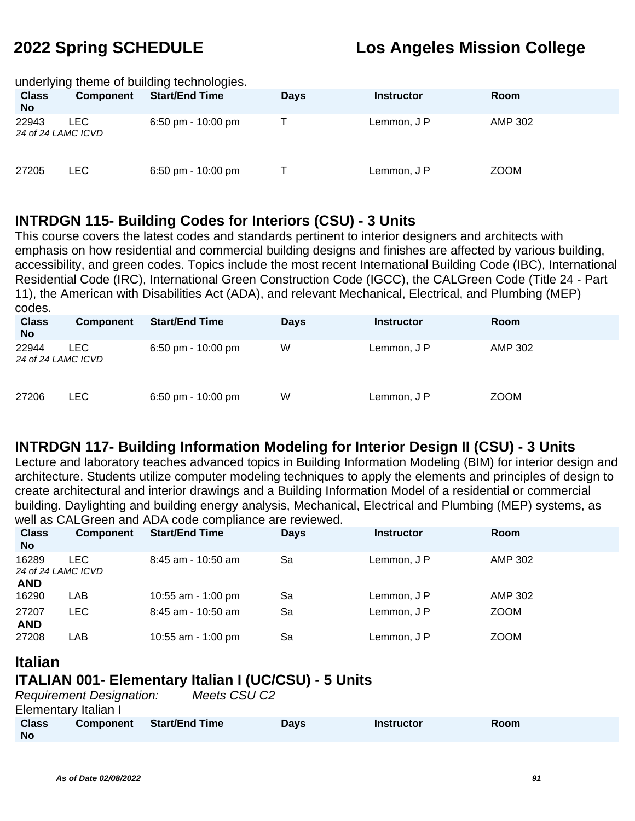### underlying theme of building technologies.

| <b>Class</b><br><b>No</b>   | <b>Component</b> | <b>Start/End Time</b> | <b>Days</b> | <b>Instructor</b> | <b>Room</b> |
|-----------------------------|------------------|-----------------------|-------------|-------------------|-------------|
| 22943<br>24 of 24 LAMC ICVD | LEC.             | 6:50 pm - 10:00 pm    |             | Lemmon, J P       | AMP 302     |
| 27205                       | LEC.             | 6:50 pm - 10:00 pm    |             | Lemmon, J P       | <b>ZOOM</b> |

## **INTRDGN 115- Building Codes for Interiors (CSU) - 3 Units**

This course covers the latest codes and standards pertinent to interior designers and architects with emphasis on how residential and commercial building designs and finishes are affected by various building, accessibility, and green codes. Topics include the most recent International Building Code (IBC), International Residential Code (IRC), International Green Construction Code (IGCC), the CALGreen Code (Title 24 - Part 11), the American with Disabilities Act (ADA), and relevant Mechanical, Electrical, and Plumbing (MEP) codes.

| <b>Class</b><br><b>No</b>   | <b>Component</b> | <b>Start/End Time</b> | Days | <b>Instructor</b> | Room        |
|-----------------------------|------------------|-----------------------|------|-------------------|-------------|
| 22944<br>24 of 24 LAMC ICVD | LEC.             | 6:50 pm - $10:00$ pm  | W    | Lemmon, J P       | AMP 302     |
| 27206                       | LEC.             | 6:50 pm - $10:00$ pm  | W    | Lemmon, J P       | <b>ZOOM</b> |

## **INTRDGN 117- Building Information Modeling for Interior Design II (CSU) - 3 Units**

Lecture and laboratory teaches advanced topics in Building Information Modeling (BIM) for interior design and architecture. Students utilize computer modeling techniques to apply the elements and principles of design to create architectural and interior drawings and a Building Information Model of a residential or commercial building. Daylighting and building energy analysis, Mechanical, Electrical and Plumbing (MEP) systems, as well as CALGreen and ADA code compliance are reviewed.

| <b>Class</b><br><b>No</b>                 | Component | <b>Start/End Time</b> | <b>Days</b> | <b>Instructor</b> | <b>Room</b> |
|-------------------------------------------|-----------|-----------------------|-------------|-------------------|-------------|
| 16289<br>24 of 24 LAMC ICVD<br><b>AND</b> | LEC.      | $8:45$ am - 10:50 am  | Sa          | Lemmon, J P       | AMP 302     |
| 16290                                     | LAB       | 10:55 am - 1:00 pm    | Sa          | Lemmon, J P       | AMP 302     |
| 27207<br><b>AND</b>                       | LEC       | $8:45$ am - 10:50 am  | Sa          | Lemmon, J P       | <b>ZOOM</b> |
| 27208                                     | LAB       | 10:55 am - 1:00 pm    | Sa          | Lemmon, J P       | <b>ZOOM</b> |

## **Italian ITALIAN 001- Elementary Italian I (UC/CSU) - 5 Units**

|                           | <b>Requirement Designation:</b> | Meets CSU C2          |             |                   |      |  |
|---------------------------|---------------------------------|-----------------------|-------------|-------------------|------|--|
| Elementary Italian I      |                                 |                       |             |                   |      |  |
| <b>Class</b><br><b>No</b> | <b>Component</b>                | <b>Start/End Time</b> | <b>Davs</b> | <b>Instructor</b> | Room |  |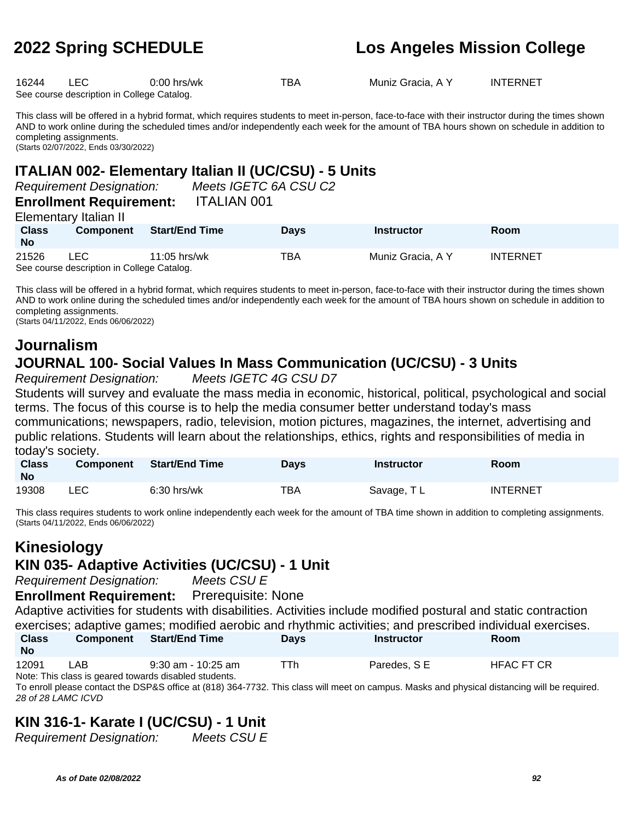16244 LEC 0:00 hrs/wk TBA Muniz Gracia, A Y INTERNET See course description in College Catalog.

This class will be offered in a hybrid format, which requires students to meet in-person, face-to-face with their instructor during the times shown AND to work online during the scheduled times and/or independently each week for the amount of TBA hours shown on schedule in addition to completing assignments. (Starts 02/07/2022, Ends 03/30/2022)

### **ITALIAN 002- Elementary Italian II (UC/CSU) - 5 Units**

Requirement Designation: Meets IGETC 6A CSU C2

### **Enrollment Requirement:** ITALIAN 001 Elementary Italian II

|                           | Elementary italian ir                                    |                       |             |                   |                 |
|---------------------------|----------------------------------------------------------|-----------------------|-------------|-------------------|-----------------|
| <b>Class</b><br><b>No</b> | <b>Component</b>                                         | <b>Start/End Time</b> | <b>Davs</b> | <b>Instructor</b> | <b>Room</b>     |
| 21526                     | <b>LEC</b><br>See course description in College Catalog. | 11:05 hrs/wk          | TBA         | Muniz Gracia, A Y | <b>INTERNET</b> |

This class will be offered in a hybrid format, which requires students to meet in-person, face-to-face with their instructor during the times shown AND to work online during the scheduled times and/or independently each week for the amount of TBA hours shown on schedule in addition to completing assignments.

(Starts 04/11/2022, Ends 06/06/2022)

# **Journalism JOURNAL 100- Social Values In Mass Communication (UC/CSU) - 3 Units**

Requirement Designation: Meets IGETC 4G CSU D7

Students will survey and evaluate the mass media in economic, historical, political, psychological and social terms. The focus of this course is to help the media consumer better understand today's mass communications; newspapers, radio, television, motion pictures, magazines, the internet, advertising and public relations. Students will learn about the relationships, ethics, rights and responsibilities of media in today's society.

| <b>Class</b><br><b>No</b> | <b>Component</b> | <b>Start/End Time</b> | <b>Days</b> | <b>Instructor</b> | <b>Room</b>     |
|---------------------------|------------------|-----------------------|-------------|-------------------|-----------------|
| 19308                     | LEC              | $6:30$ hrs/wk         | TBA         | Savage, TL        | <b>INTERNET</b> |

This class requires students to work online independently each week for the amount of TBA time shown in addition to completing assignments. (Starts 04/11/2022, Ends 06/06/2022)

# **Kinesiology**

# **KIN 035- Adaptive Activities (UC/CSU) - 1 Unit**

Requirement Designation: Meets CSU E

**Enrollment Requirement:** Prerequisite: None

Adaptive activities for students with disabilities. Activities include modified postural and static contraction exercises; adaptive games; modified aerobic and rhythmic activities; and prescribed individual exercises.

| <b>Class</b><br><b>No</b> | <b>Component</b> | <b>Start/End Time</b> | Days | <b>Instructor</b> | Room              |
|---------------------------|------------------|-----------------------|------|-------------------|-------------------|
| 12091                     | _AB_             | $9:30$ am - 10:25 am  | ™Th  | Paredes, SE       | <b>HFAC FT CR</b> |

Note: This class is geared towards disabled students.

To enroll please contact the DSP&S office at (818) 364-7732. This class will meet on campus. Masks and physical distancing will be required. 28 of 28 LAMC ICVD

# **KIN 316-1- Karate I (UC/CSU) - 1 Unit**

Requirement Designation: Meets CSU E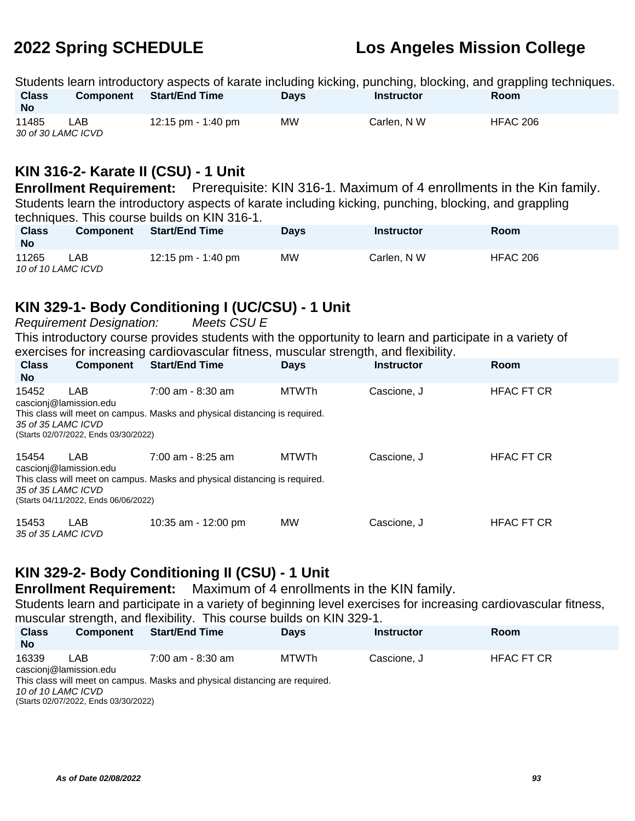Students learn introductory aspects of karate including kicking, punching, blocking, and grappling techniques.<br>Class Component Start/End Time Days Instructor Room **Class No Component Start/End Time Days Instructor Room** 11485 LAB 12:15 pm - 1:40 pm MW Carlen, N W HFAC 206 30 of 30 LAMC ICVD

## **KIN 316-2- Karate II (CSU) - 1 Unit**

**Enrollment Requirement:** Prerequisite: KIN 316-1. Maximum of 4 enrollments in the Kin family. Students learn the introductory aspects of karate including kicking, punching, blocking, and grappling techniques. This course builds on KIN 316-1.

| <b>Class</b><br><b>No</b>   | <b>Component</b> | <b>Start/End Time</b> | <b>Days</b> | Instructor  | Room            |
|-----------------------------|------------------|-----------------------|-------------|-------------|-----------------|
| 11265<br>10 of 10 LAMC ICVD | LAB              | 12:15 pm - 1:40 pm    | МW          | Carlen, N W | <b>HFAC 206</b> |

# **KIN 329-1- Body Conditioning I (UC/CSU) - 1 Unit**

Requirement Designation: Meets CSU E

This introductory course provides students with the opportunity to learn and participate in a variety of exercises for increasing cardiovascular fitness, muscular strength, and flexibility.

| <b>Class</b><br><b>No</b>   | <b>Component</b>                     | <b>Start/End Time</b>                                                      | <b>Days</b>  | <b>Instructor</b> | Room              |
|-----------------------------|--------------------------------------|----------------------------------------------------------------------------|--------------|-------------------|-------------------|
| 15452                       | LAB.<br>cascioni@lamission.edu       | $7:00$ am - 8:30 am                                                        | <b>MTWTh</b> | Cascione, J       | <b>HFAC FT CR</b> |
| 35 of 35 LAMC ICVD          | (Starts 02/07/2022, Ends 03/30/2022) | This class will meet on campus. Masks and physical distancing is required. |              |                   |                   |
| 15454                       | LAB<br>cascioni@lamission.edu        | 7:00 am - 8:25 am                                                          | <b>MTWTh</b> | Cascione. J       | <b>HFAC FT CR</b> |
| 35 of 35 LAMC ICVD          | (Starts 04/11/2022, Ends 06/06/2022) | This class will meet on campus. Masks and physical distancing is required. |              |                   |                   |
| 15453<br>35 of 35 LAMC ICVD | <b>LAB</b>                           | 10:35 am - 12:00 pm                                                        | <b>MW</b>    | Cascione, J       | <b>HFAC FT CR</b> |

# **KIN 329-2- Body Conditioning II (CSU) - 1 Unit**

**Enrollment Requirement:** Maximum of 4 enrollments in the KIN family.

Students learn and participate in a variety of beginning level exercises for increasing cardiovascular fitness, muscular strength, and flexibility. This course builds on KIN 329-1.

| <b>Class</b><br><b>No</b> | <b>Component</b>               | <b>Start/End Time</b>                                                       | <b>Days</b> | <b>Instructor</b> | <b>Room</b>       |
|---------------------------|--------------------------------|-----------------------------------------------------------------------------|-------------|-------------------|-------------------|
| 16339                     | I AR<br>cascioni@lamission.edu | 7:00 am - 8:30 am                                                           | MTWTh       | Cascione. J       | <b>HFAC FT CR</b> |
|                           |                                | This class will meet on campus. Masks and physical distancing are required. |             |                   |                   |

10 of 10 LAMC ICVD

(Starts 02/07/2022, Ends 03/30/2022)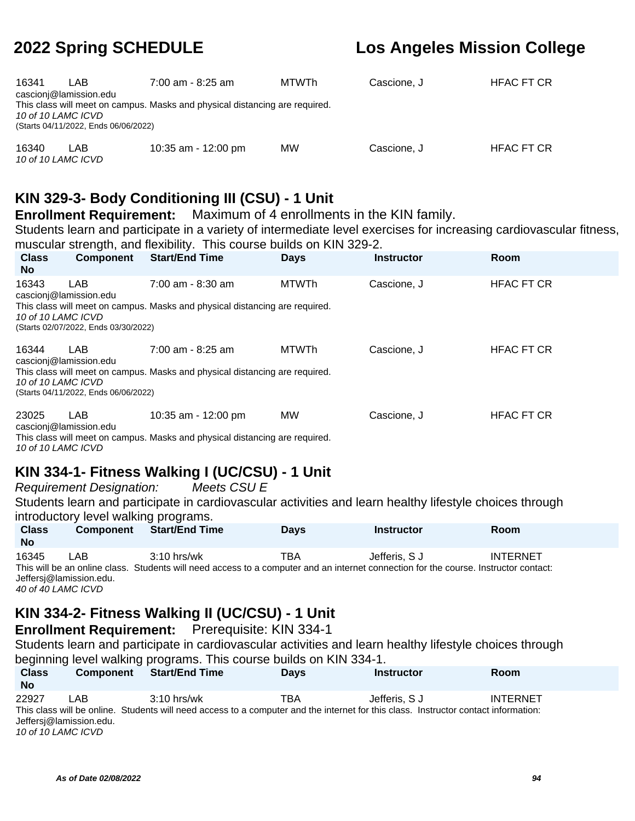| 16341<br>10 of 10 LAMC ICVD | LAB<br>cascioni@lamission.edu<br>(Starts 04/11/2022, Ends 06/06/2022) | 7:00 am - 8:25 am<br>This class will meet on campus. Masks and physical distancing are required. | MTWTh     | Cascione, J | <b>HFAC FT CR</b> |
|-----------------------------|-----------------------------------------------------------------------|--------------------------------------------------------------------------------------------------|-----------|-------------|-------------------|
| 16340<br>10 of 10 LAMC ICVD | LAB                                                                   | 10:35 am - 12:00 pm                                                                              | <b>MW</b> | Cascione, J | <b>HFAC FT CR</b> |

# **KIN 329-3- Body Conditioning III (CSU) - 1 Unit**

**Enrollment Requirement:** Maximum of 4 enrollments in the KIN family.

Students learn and participate in a variety of intermediate level exercises for increasing cardiovascular fitness, muscular strength, and flexibility. This course builds on KIN 329-2.

| <b>Class</b><br>No. | <b>Component</b>                     | <b>Start/End Time</b>                                                       | <b>Days</b>  | <b>Instructor</b> | Room              |
|---------------------|--------------------------------------|-----------------------------------------------------------------------------|--------------|-------------------|-------------------|
| 16343               | LAB<br>cascioni@lamission.edu        | $7:00$ am - 8:30 am                                                         | <b>MTWTh</b> | Cascione, J       | <b>HFAC FT CR</b> |
| 10 of 10 LAMC ICVD  | (Starts 02/07/2022, Ends 03/30/2022) | This class will meet on campus. Masks and physical distancing are required. |              |                   |                   |
| 16344               | LAB.<br>cascioni@lamission.edu       | $7:00$ am - 8:25 am                                                         | <b>MTWTh</b> | Cascione, J       | <b>HFAC FT CR</b> |
| 10 of 10 LAMC ICVD  | (Starts 04/11/2022, Ends 06/06/2022) | This class will meet on campus. Masks and physical distancing are required. |              |                   |                   |
| 23025               | <b>LAB</b><br>cascionj@lamission.edu | 10:35 am - 12:00 pm                                                         | <b>MW</b>    | Cascione, J       | <b>HFAC FT CR</b> |
|                     |                                      | This class will meet on campus. Masks and physical distancing are required. |              |                   |                   |

10 of 10 LAMC ICVD

# **KIN 334-1- Fitness Walking I (UC/CSU) - 1 Unit**

Requirement Designation: Meets CSU E

Students learn and participate in cardiovascular activities and learn healthy lifestyle choices through introductory level walking programs.

| <b>Class</b><br><b>No</b> | <b>Component</b>                                     | <b>Start/End Time</b> | <b>Days</b> | <b>Instructor</b>                                                                                                                                     | <b>Room</b>     |  |
|---------------------------|------------------------------------------------------|-----------------------|-------------|-------------------------------------------------------------------------------------------------------------------------------------------------------|-----------------|--|
| 16345                     | LAB<br>Jeffersi@lamission.edu.<br>40 of 40 LAMC ICVD | $3:10$ hrs/wk         | TBA         | Jefferis. S J<br>This will be an online class. Students will need access to a computer and an internet connection for the course. Instructor contact: | <b>INTERNET</b> |  |

# **KIN 334-2- Fitness Walking II (UC/CSU) - 1 Unit**

**Enrollment Requirement:** Prerequisite: KIN 334-1

Students learn and participate in cardiovascular activities and learn healthy lifestyle choices through beginning level walking programs. This course builds on KIN 334-1.

| <b>Class</b><br><b>No</b> | <b>Component</b>        | <b>Start/End Time</b>                                                                                                               | <b>Davs</b> | <b>Instructor</b> | <b>Room</b>     |  |
|---------------------------|-------------------------|-------------------------------------------------------------------------------------------------------------------------------------|-------------|-------------------|-----------------|--|
| 22927                     | LAB                     | $3:10$ hrs/wk                                                                                                                       | TBA         | Jefferis. S J     | <b>INTERNET</b> |  |
|                           |                         | This class will be online. Students will need access to a computer and the internet for this class. Instructor contact information: |             |                   |                 |  |
|                           | Jeffersj@lamission.edu. |                                                                                                                                     |             |                   |                 |  |
|                           | 10 of 10 LAMC ICVD      |                                                                                                                                     |             |                   |                 |  |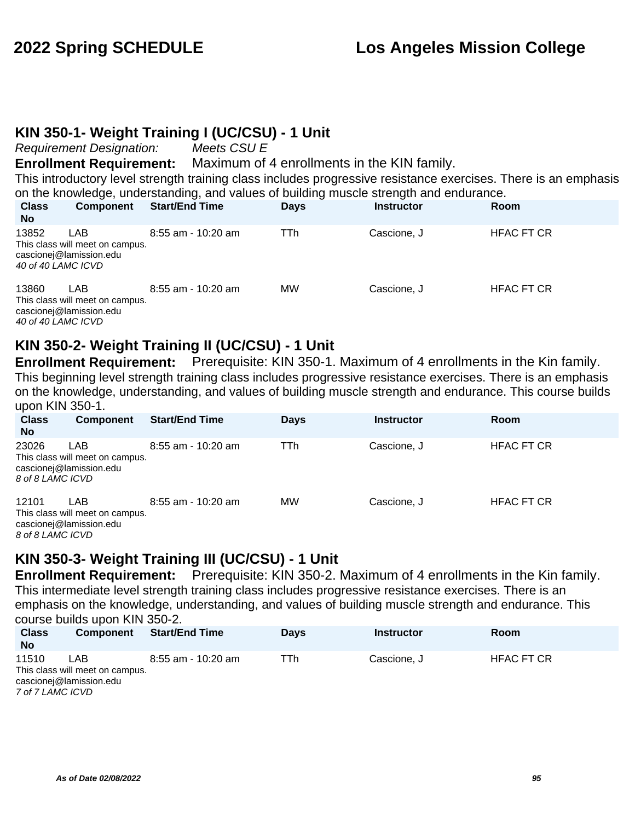## **KIN 350-1- Weight Training I (UC/CSU) - 1 Unit**

Requirement Designation: Meets CSU E

**Enrollment Requirement:** Maximum of 4 enrollments in the KIN family.

This introductory level strength training class includes progressive resistance exercises. There is an emphasis on the knowledge, understanding, and values of building muscle strength and endurance.

| <b>Class</b><br><b>No</b>   | <b>Component</b>                                                  | <b>Start/End Time</b> | <b>Days</b> | <b>Instructor</b> | Room              |  |
|-----------------------------|-------------------------------------------------------------------|-----------------------|-------------|-------------------|-------------------|--|
| 13852<br>40 of 40 LAMC ICVD | LAB<br>This class will meet on campus.<br>cascionej@lamission.edu | $8:55$ am - 10:20 am  | TTh         | Cascione, J       | <b>HFAC FT CR</b> |  |
| 13860<br>40 of 40 LAMC ICVD | LAB<br>This class will meet on campus.<br>cascionej@lamission.edu | $8:55$ am - 10:20 am  | <b>MW</b>   | Cascione, J       | <b>HFAC FT CR</b> |  |

## **KIN 350-2- Weight Training II (UC/CSU) - 1 Unit**

**Enrollment Requirement:** Prerequisite: KIN 350-1. Maximum of 4 enrollments in the Kin family. This beginning level strength training class includes progressive resistance exercises. There is an emphasis on the knowledge, understanding, and values of building muscle strength and endurance. This course builds upon KIN 350-1.

| <b>Class</b><br><b>No</b> | <b>Component</b>                                                         | <b>Start/End Time</b> | <b>Days</b> | <b>Instructor</b> | Room              |
|---------------------------|--------------------------------------------------------------------------|-----------------------|-------------|-------------------|-------------------|
| 23026<br>8 of 8 LAMC ICVD | <b>LAB</b><br>This class will meet on campus.<br>cascionej@lamission.edu | $8:55$ am - 10:20 am  | TTh         | Cascione, J       | <b>HFAC FT CR</b> |
| 12101<br>8 of 8 LAMC ICVD | <b>LAB</b><br>This class will meet on campus.<br>cascionej@lamission.edu | $8:55$ am - 10:20 am  | <b>MW</b>   | Cascione, J       | <b>HFAC FT CR</b> |

# **KIN 350-3- Weight Training III (UC/CSU) - 1 Unit**

**Enrollment Requirement:** Prerequisite: KIN 350-2. Maximum of 4 enrollments in the Kin family. This intermediate level strength training class includes progressive resistance exercises. There is an emphasis on the knowledge, understanding, and values of building muscle strength and endurance. This course builds upon KIN 350-2.

| <b>Class</b><br><b>No</b> | <b>Component</b>                                                  | <b>Start/End Time</b> | <b>Davs</b> | <b>Instructor</b> | <b>Room</b>       |  |
|---------------------------|-------------------------------------------------------------------|-----------------------|-------------|-------------------|-------------------|--|
| 11510<br>7 of 7 LAMC ICVD | LAB<br>This class will meet on campus.<br>cascione @lamission.edu | 8:55 am - 10:20 am    | TTh         | Cascione, J       | <b>HFAC FT CR</b> |  |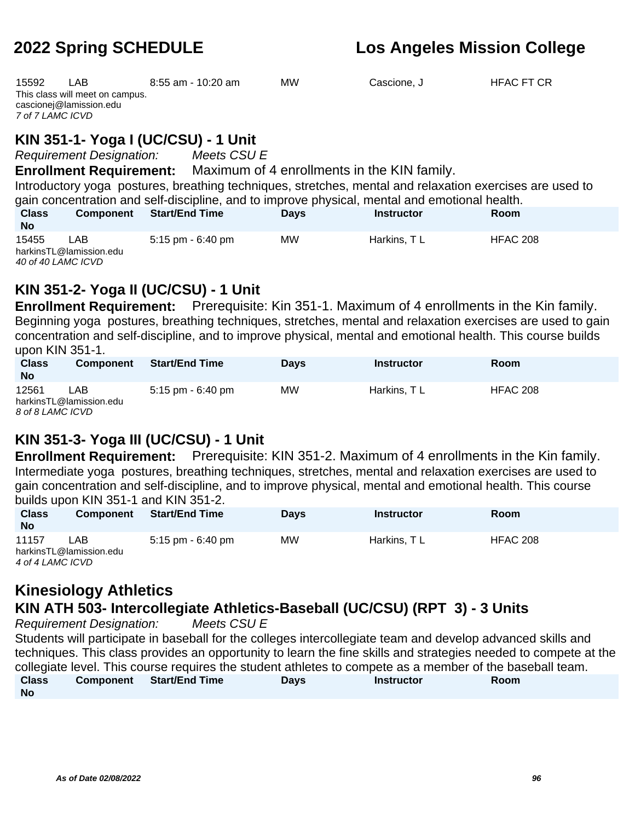| 15592<br>7 of 7 LAMC ICVD                                                                                                                                                                                                                                                                                                                                                     | <b>LAB</b><br>This class will meet on campus.<br>cascionej@lamission.edu | $8:55$ am - 10:20 am  | <b>MW</b>   | Cascione, J       | <b>HFAC FT CR</b> |
|-------------------------------------------------------------------------------------------------------------------------------------------------------------------------------------------------------------------------------------------------------------------------------------------------------------------------------------------------------------------------------|--------------------------------------------------------------------------|-----------------------|-------------|-------------------|-------------------|
| KIN 351-1- Yoga I (UC/CSU) - 1 Unit<br><b>Requirement Designation:</b> Meets CSU E<br><b>Enrollment Requirement:</b> Maximum of 4 enrollments in the KIN family.<br>Introductory yoga postures, breathing techniques, stretches, mental and relaxation exercises are used to<br>gain concentration and self-discipline, and to improve physical, mental and emotional health. |                                                                          |                       |             |                   |                   |
| <b>Class</b><br>No.                                                                                                                                                                                                                                                                                                                                                           | <b>Component</b>                                                         | <b>Start/End Time</b> | <b>Days</b> | <b>Instructor</b> | Room              |
| 15455<br>40 of 40 LAMC ICVD                                                                                                                                                                                                                                                                                                                                                   | <b>LAB</b><br>harkinsTL@lamission.edu                                    | 5:15 pm - 6:40 pm     | <b>MW</b>   | Harkins, TL       | <b>HFAC 208</b>   |

# **KIN 351-2- Yoga II (UC/CSU) - 1 Unit**

**Enrollment Requirement:** Prerequisite: Kin 351-1. Maximum of 4 enrollments in the Kin family. Beginning yoga postures, breathing techniques, stretches, mental and relaxation exercises are used to gain concentration and self-discipline, and to improve physical, mental and emotional health. This course builds upon KIN 351-1.

| <b>UPULLININ JULLI.</b>   |                                |                       |             |                   |          |
|---------------------------|--------------------------------|-----------------------|-------------|-------------------|----------|
| <b>Class</b><br><b>No</b> | <b>Component</b>               | <b>Start/End Time</b> | <b>Days</b> | <b>Instructor</b> | Room     |
| 12561<br>8 of 8 LAMC ICVD | LAB<br>harkinsTL@lamission.edu | 5:15 pm - 6:40 pm     | MW          | Harkins, TL       | HFAC 208 |

# **KIN 351-3- Yoga III (UC/CSU) - 1 Unit**

**Enrollment Requirement:** Prerequisite: KIN 351-2. Maximum of 4 enrollments in the Kin family. Intermediate yoga postures, breathing techniques, stretches, mental and relaxation exercises are used to gain concentration and self-discipline, and to improve physical, mental and emotional health. This course builds upon KIN 351-1 and KIN 351-2.

| <b>Class</b><br><b>No</b>                   | <b>Component</b> | <b>Start/End Time</b> | <b>Days</b> | <b>Instructor</b> | Room     |  |
|---------------------------------------------|------------------|-----------------------|-------------|-------------------|----------|--|
| 11157                                       | LAB              | 5:15 pm - 6:40 pm     | МW          | Harkins, TL       | HFAC 208 |  |
| harkinsTL@lamission.edu<br>4 of 4 LAMC ICVD |                  |                       |             |                   |          |  |

# **Kinesiology Athletics**

## **KIN ATH 503- Intercollegiate Athletics-Baseball (UC/CSU) (RPT 3) - 3 Units**

Requirement Designation: Meets CSU E

Students will participate in baseball for the colleges intercollegiate team and develop advanced skills and techniques. This class provides an opportunity to learn the fine skills and strategies needed to compete at the collegiate level. This course requires the student athletes to compete as a member of the baseball team. **Class No Component Start/End Time Days Instructor Room**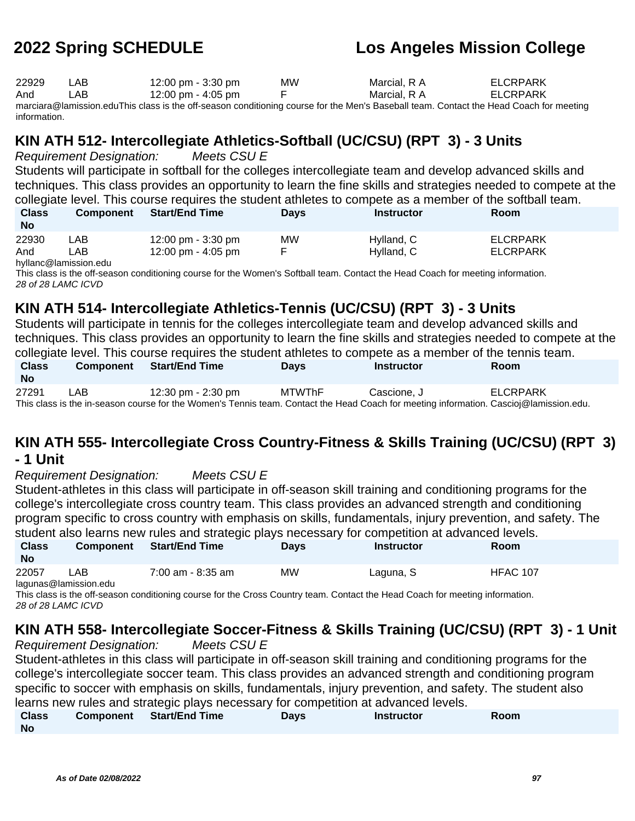| 22929 | LAB  | 12:00 pm - 3:30 pm | <b>MW</b> | Marcial. R A | ELCRPARK |
|-------|------|--------------------|-----------|--------------|----------|
| And   | LAB. | 12:00 pm - 4:05 pm |           | Marcial. R A | ELCRPARK |
|       |      |                    |           |              |          |

marciara@lamission.eduThis class is the off-season conditioning course for the Men's Baseball team. Contact the Head Coach for meeting information.

# **KIN ATH 512- Intercollegiate Athletics-Softball (UC/CSU) (RPT 3) - 3 Units**

Requirement Designation: Meets CSU E Students will participate in softball for the colleges intercollegiate team and develop advanced skills and techniques. This class provides an opportunity to learn the fine skills and strategies needed to compete at the collegiate level. This course requires the student athletes to compete as a member of the softball team.

| <b>Class</b><br><b>No</b> | <b>Component</b> | <b>Start/End Time</b>                | <b>Days</b> | Instructor | Room     |
|---------------------------|------------------|--------------------------------------|-------------|------------|----------|
| 22930                     | _AB              | 12:00 pm - 3:30 pm                   | МW          | Hylland, C | ELCRPARK |
| And                       | _AB .            | $12:00 \text{ pm} - 4:05 \text{ pm}$ |             | Hylland, C | ELCRPARK |

hyllanc@lamission.edu

This class is the off-season conditioning course for the Women's Softball team. Contact the Head Coach for meeting information. 28 of 28 LAMC ICVD

# **KIN ATH 514- Intercollegiate Athletics-Tennis (UC/CSU) (RPT 3) - 3 Units**

Students will participate in tennis for the colleges intercollegiate team and develop advanced skills and techniques. This class provides an opportunity to learn the fine skills and strategies needed to compete at the collegiate level. This course requires the student athletes to compete as a member of the tennis team.

| <b>Class</b><br><b>No</b> | <b>Component</b> | <b>Start/End Time</b>                                                                                                                  | Days   | Instructor  | Room     |
|---------------------------|------------------|----------------------------------------------------------------------------------------------------------------------------------------|--------|-------------|----------|
| 27291                     | LAB              | 12:30 pm - 2:30 pm                                                                                                                     | MTWThF | Cascione. J | ELCRPARK |
|                           |                  | This class is the in-season course for the Women's Tennis team. Contact the Head Coach for meeting information. Cascioj@lamission.edu. |        |             |          |

# **KIN ATH 555- Intercollegiate Cross Country-Fitness & Skills Training (UC/CSU) (RPT 3)**

### **- 1 Unit**

Requirement Designation: Meets CSU E

Student-athletes in this class will participate in off-season skill training and conditioning programs for the college's intercollegiate cross country team. This class provides an advanced strength and conditioning program specific to cross country with emphasis on skills, fundamentals, injury prevention, and safety. The student also learns new rules and strategic plays necessary for competition at advanced levels. **Class Component Start/End Time Days Instructor Room**

| <b>No</b> |      |                   |    |           |                 |
|-----------|------|-------------------|----|-----------|-----------------|
| 22057     | ∟AB. | 7:00 am - 8:35 am | MW | ∟aguna, S | <b>HFAC 107</b> |

lagunas@lamission.edu

This class is the off-season conditioning course for the Cross Country team. Contact the Head Coach for meeting information. 28 of 28 LAMC ICVD

# **KIN ATH 558- Intercollegiate Soccer-Fitness & Skills Training (UC/CSU) (RPT 3) - 1 Unit**

Requirement Designation: Meets CSU E Student-athletes in this class will participate in off-season skill training and conditioning programs for the college's intercollegiate soccer team. This class provides an advanced strength and conditioning program specific to soccer with emphasis on skills, fundamentals, injury prevention, and safety. The student also learns new rules and strategic plays necessary for competition at advanced levels.

| <b>Class</b> | Component Start/End Time | Davs | Instructor | Room |
|--------------|--------------------------|------|------------|------|
| Nο           |                          |      |            |      |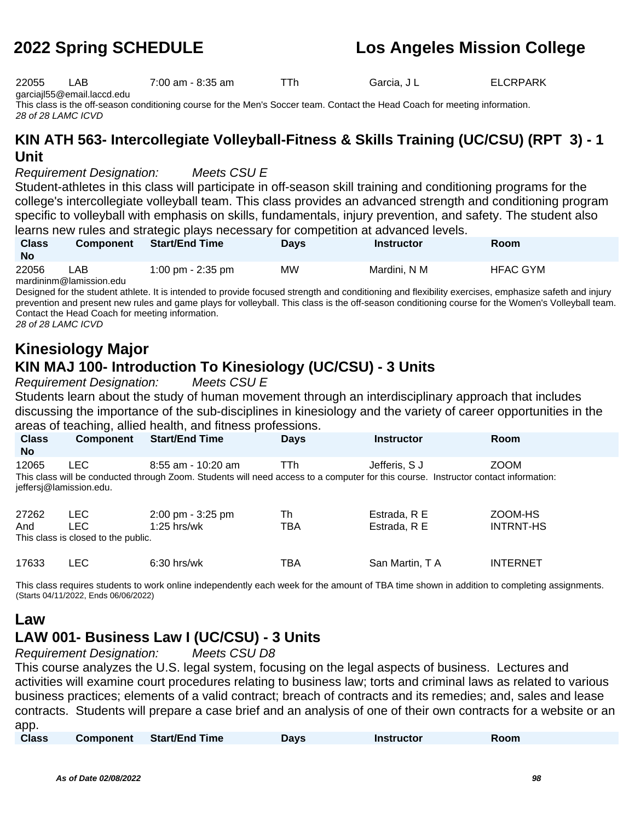22055 LAB 7:00 am - 8:35 am TTh Garcia, J L ELCRPARK garciajl55@email.laccd.edu

This class is the off-season conditioning course for the Men's Soccer team. Contact the Head Coach for meeting information. 28 of 28 LAMC ICVD

# **KIN ATH 563- Intercollegiate Volleyball-Fitness & Skills Training (UC/CSU) (RPT 3) - 1 Unit**

Requirement Designation: Meets CSU E

Student-athletes in this class will participate in off-season skill training and conditioning programs for the college's intercollegiate volleyball team. This class provides an advanced strength and conditioning program specific to volleyball with emphasis on skills, fundamentals, injury prevention, and safety. The student also learns new rules and strategic plays necessary for competition at advanced levels.

| <b>Class</b><br><b>No</b> | <b>Component</b>        | <b>Start/End Time</b> | Days      | Instructor   | <b>Room</b>     |  |
|---------------------------|-------------------------|-----------------------|-----------|--------------|-----------------|--|
| 22056                     | _AB_                    | 1:00 pm - 2:35 pm     | <b>MW</b> | Mardini. N M | <b>HFAC GYM</b> |  |
|                           | mardininm@lamission edu |                       |           |              |                 |  |

mardininm@lamission.edu

Designed for the student athlete. It is intended to provide focused strength and conditioning and flexibility exercises, emphasize safeth and injury prevention and present new rules and game plays for volleyball. This class is the off-season conditioning course for the Women's Volleyball team. Contact the Head Coach for meeting information.

28 of 28 LAMC ICVD

# **Kinesiology Major KIN MAJ 100- Introduction To Kinesiology (UC/CSU) - 3 Units**

Requirement Designation: Meets CSU E

Students learn about the study of human movement through an interdisciplinary approach that includes discussing the importance of the sub-disciplines in kinesiology and the variety of career opportunities in the areas of teaching, allied health, and fitness professions.

|                     |                                                           | areas or leadining, allied riealing and nuress professions.                                                                                                 |             |                              |                             |
|---------------------|-----------------------------------------------------------|-------------------------------------------------------------------------------------------------------------------------------------------------------------|-------------|------------------------------|-----------------------------|
| <b>Class</b><br>No. | <b>Component</b>                                          | <b>Start/End Time</b>                                                                                                                                       | <b>Days</b> | <b>Instructor</b>            | <b>Room</b>                 |
| 12065               | LEC.<br>jeffersj@lamission.edu.                           | $8:55$ am - 10:20 am<br>This class will be conducted through Zoom. Students will need access to a computer for this course. Instructor contact information: | TTh         | Jefferis, S J                | <b>ZOOM</b>                 |
| 27262<br>And        | <b>LEC</b><br>LEC.<br>This class is closed to the public. | 2:00 pm - 3:25 pm<br>1:25 hrs/wk                                                                                                                            | Th<br>TBA   | Estrada, R E<br>Estrada, R E | ZOOM-HS<br><b>INTRNT-HS</b> |
| 17633               | LEC                                                       | $6:30$ hrs/wk                                                                                                                                               | ТВА         | San Martin, T A              | <b>INTERNET</b>             |

This class requires students to work online independently each week for the amount of TBA time shown in addition to completing assignments. (Starts 04/11/2022, Ends 06/06/2022)

## **Law**

# **LAW 001- Business Law I (UC/CSU) - 3 Units**

Requirement Designation: Meets CSU D8

This course analyzes the U.S. legal system, focusing on the legal aspects of business. Lectures and activities will examine court procedures relating to business law; torts and criminal laws as related to various business practices; elements of a valid contract; breach of contracts and its remedies; and, sales and lease contracts. Students will prepare a case brief and an analysis of one of their own contracts for a website or an app.

| <b>Class</b> | <b>Component</b> | Start/End Time | Days | <b>Instructor</b> | Room |
|--------------|------------------|----------------|------|-------------------|------|
|              |                  |                |      |                   |      |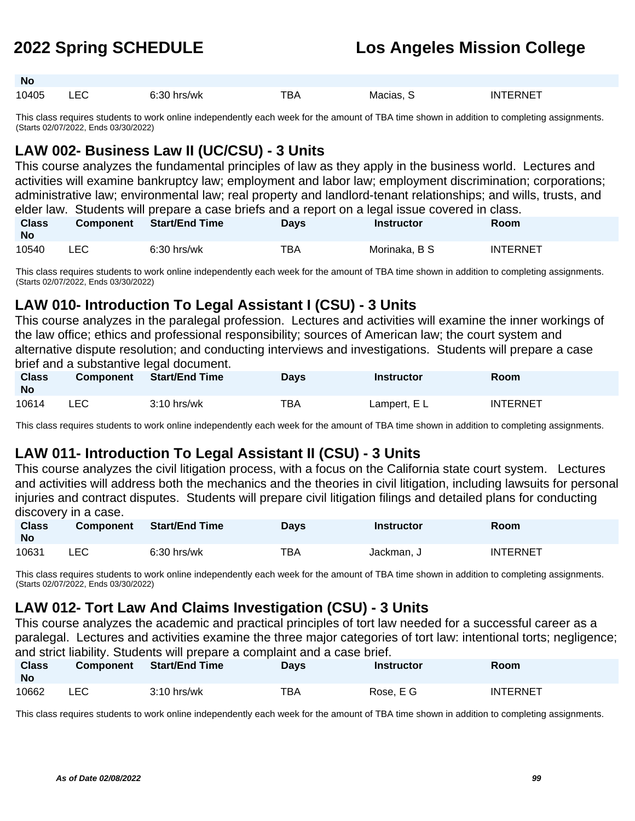**No**

# **2022 Spring SCHEDULE Los Angeles Mission College**

| --<br>$- -$<br>10405<br>.B/<br>Macias.<br>s/wk<br>-<br>--- | -RNF<br>INI |
|------------------------------------------------------------|-------------|

This class requires students to work online independently each week for the amount of TBA time shown in addition to completing assignments. (Starts 02/07/2022, Ends 03/30/2022)

# **LAW 002- Business Law II (UC/CSU) - 3 Units**

This course analyzes the fundamental principles of law as they apply in the business world. Lectures and activities will examine bankruptcy law; employment and labor law; employment discrimination; corporations; administrative law; environmental law; real property and landlord-tenant relationships; and wills, trusts, and elder law. Students will prepare a case briefs and a report on a legal issue covered in class.

| <b>Class</b><br><b>No</b> | Component | Start/End Time | <b>Davs</b> | <u>alaidi lailli sealaalila liillee ahan araan alain araan alla alain alla lahalla laalaista astal illaan ar</u><br>Instructor | <b>Room</b>     |
|---------------------------|-----------|----------------|-------------|--------------------------------------------------------------------------------------------------------------------------------|-----------------|
| 10540                     | LEC.      | 6:30 hrs/wk    | TBA         | Morinaka, B S                                                                                                                  | <b>INTERNET</b> |

This class requires students to work online independently each week for the amount of TBA time shown in addition to completing assignments. (Starts 02/07/2022, Ends 03/30/2022)

## **LAW 010- Introduction To Legal Assistant I (CSU) - 3 Units**

This course analyzes in the paralegal profession. Lectures and activities will examine the inner workings of the law office; ethics and professional responsibility; sources of American law; the court system and alternative dispute resolution; and conducting interviews and investigations. Students will prepare a case brief and a substantive legal document.

| <b>Class</b><br><b>No</b> | <b>Component</b> | Start/End Time | <b>Days</b> | <b>Instructor</b> | Room            |
|---------------------------|------------------|----------------|-------------|-------------------|-----------------|
| 10614                     | LEC              | $3:10$ hrs/wk  | TBA         | Lampert, E L      | <b>INTERNET</b> |

This class requires students to work online independently each week for the amount of TBA time shown in addition to completing assignments.

# **LAW 011- Introduction To Legal Assistant II (CSU) - 3 Units**

This course analyzes the civil litigation process, with a focus on the California state court system. Lectures and activities will address both the mechanics and the theories in civil litigation, including lawsuits for personal injuries and contract disputes. Students will prepare civil litigation filings and detailed plans for conducting discovery in a case.

| <b>Class</b><br><b>No</b> | <b>Component</b> | <b>Start/End Time</b> | Days | <b>Instructor</b> | Room            |
|---------------------------|------------------|-----------------------|------|-------------------|-----------------|
| 10631                     | LEC              | $6:30$ hrs/wk         | TBA  | Jackman, J        | <b>INTERNET</b> |

This class requires students to work online independently each week for the amount of TBA time shown in addition to completing assignments. (Starts 02/07/2022, Ends 03/30/2022)

# **LAW 012- Tort Law And Claims Investigation (CSU) - 3 Units**

This course analyzes the academic and practical principles of tort law needed for a successful career as a paralegal. Lectures and activities examine the three major categories of tort law: intentional torts; negligence; and strict liability. Students will prepare a complaint and a case brief.

| <b>Class</b><br><b>No</b> | <b>Component</b> | <b>Start/End Time</b> | Days | <b>Instructor</b> | Room            |
|---------------------------|------------------|-----------------------|------|-------------------|-----------------|
| 10662                     | LEC.             | $3:10$ hrs/wk         | TBA  | Rose, E G         | <b>INTERNET</b> |

This class requires students to work online independently each week for the amount of TBA time shown in addition to completing assignments.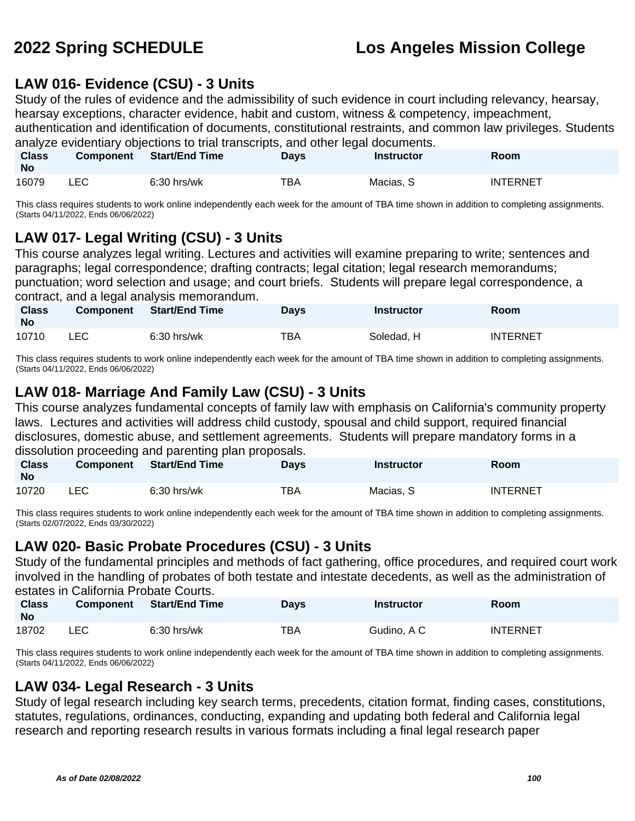## **LAW 016- Evidence (CSU) - 3 Units**

Study of the rules of evidence and the admissibility of such evidence in court including relevancy, hearsay, hearsay exceptions, character evidence, habit and custom, witness & competency, impeachment,

authentication and identification of documents, constitutional restraints, and common law privileges. Students analyze evidentiary objections to trial transcripts, and other legal documents.

| <b>Class</b><br><b>No</b> | <b>Component</b> | <b>Start/End Time</b> | Days       | Instructor | Room            |
|---------------------------|------------------|-----------------------|------------|------------|-----------------|
| 16079                     | LEC              | $6:30$ hrs/wk         | <b>TBA</b> | Macias, S  | <b>INTERNET</b> |

This class requires students to work online independently each week for the amount of TBA time shown in addition to completing assignments. (Starts 04/11/2022, Ends 06/06/2022)

# **LAW 017- Legal Writing (CSU) - 3 Units**

This course analyzes legal writing. Lectures and activities will examine preparing to write; sentences and paragraphs; legal correspondence; drafting contracts; legal citation; legal research memorandums; punctuation; word selection and usage; and court briefs. Students will prepare legal correspondence, a contract, and a legal analysis memorandum.

| <b>Class</b><br><b>No</b> | <b>Component</b> | <b>Start/End Time</b> | Days | Instructor | Room     |
|---------------------------|------------------|-----------------------|------|------------|----------|
| 10710                     | LEC              | $6:30$ hrs/wk         | TBA  | Soledad, H | INTERNET |

This class requires students to work online independently each week for the amount of TBA time shown in addition to completing assignments. (Starts 04/11/2022, Ends 06/06/2022)

## **LAW 018- Marriage And Family Law (CSU) - 3 Units**

This course analyzes fundamental concepts of family law with emphasis on California's community property laws. Lectures and activities will address child custody, spousal and child support, required financial disclosures, domestic abuse, and settlement agreements. Students will prepare mandatory forms in a dissolution proceeding and parenting plan proposals.

| <b>Class</b><br>- No | Component  | ence extensive procedurity enterpretently pretty proposed to the<br><b>Start/End Time</b> | <b>Days</b> | Instructor | Room            |
|----------------------|------------|-------------------------------------------------------------------------------------------|-------------|------------|-----------------|
| 10720                | <b>LEC</b> | $6:30$ hrs/wk                                                                             | TBA         | Macias. S  | <b>INTERNET</b> |

This class requires students to work online independently each week for the amount of TBA time shown in addition to completing assignments. (Starts 02/07/2022, Ends 03/30/2022)

## **LAW 020- Basic Probate Procedures (CSU) - 3 Units**

Study of the fundamental principles and methods of fact gathering, office procedures, and required court work involved in the handling of probates of both testate and intestate decedents, as well as the administration of estates in California Probate Courts.

| <b>Class</b><br><b>No</b> | <b>Component</b> | <b>Start/End Time</b> | <b>Days</b> | Instructor  | Room            |
|---------------------------|------------------|-----------------------|-------------|-------------|-----------------|
| 18702                     | LEC              | $6:30$ hrs/wk         | TBA         | Gudino, A C | <b>INTERNET</b> |

This class requires students to work online independently each week for the amount of TBA time shown in addition to completing assignments. (Starts 04/11/2022, Ends 06/06/2022)

## **LAW 034- Legal Research - 3 Units**

Study of legal research including key search terms, precedents, citation format, finding cases, constitutions, statutes, regulations, ordinances, conducting, expanding and updating both federal and California legal research and reporting research results in various formats including a final legal research paper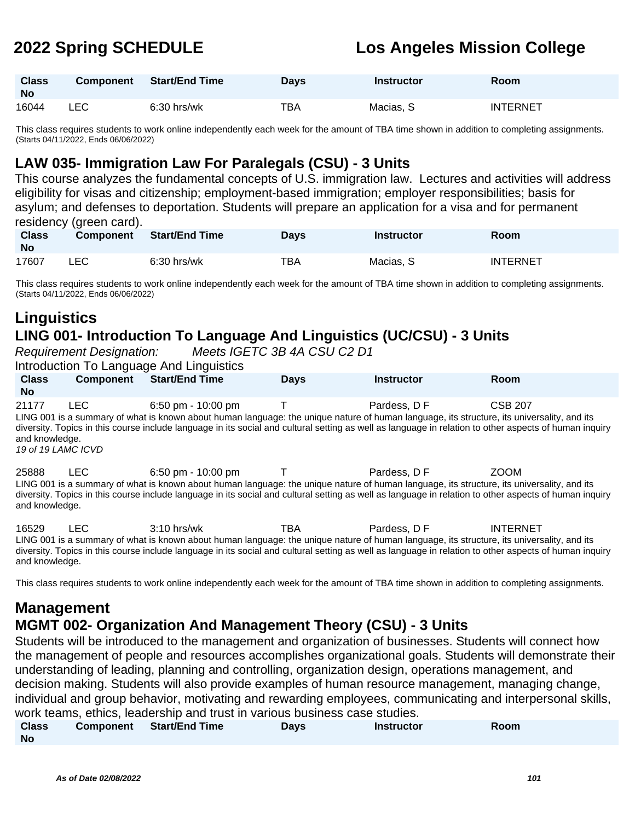| <b>Class</b><br><b>No</b> | <b>Component</b> | <b>Start/End Time</b> | <b>Days</b> | <b>Instructor</b> | <b>Room</b>     |
|---------------------------|------------------|-----------------------|-------------|-------------------|-----------------|
| 16044                     | LEC              | $6:30$ hrs/wk         | TBA         | Macias, S         | <b>INTERNET</b> |

This class requires students to work online independently each week for the amount of TBA time shown in addition to completing assignments. (Starts 04/11/2022, Ends 06/06/2022)

## **LAW 035- Immigration Law For Paralegals (CSU) - 3 Units**

This course analyzes the fundamental concepts of U.S. immigration law. Lectures and activities will address eligibility for visas and citizenship; employment-based immigration; employer responsibilities; basis for asylum; and defenses to deportation. Students will prepare an application for a visa and for permanent residency (green card).

| <b>Class</b><br>No | Component | Start/End Time | Days | <b>Instructor</b> | <b>Room</b>     |
|--------------------|-----------|----------------|------|-------------------|-----------------|
| 17607              | LEC       | $6:30$ hrs/wk  | TBA  | Macias, S         | <b>INTERNET</b> |

This class requires students to work online independently each week for the amount of TBA time shown in addition to completing assignments. (Starts 04/11/2022, Ends 06/06/2022)

# **Linguistics LING 001- Introduction To Language And Linguistics (UC/CSU) - 3 Units**

Requirement Designation: Meets IGETC 3B 4A CSU C2 D1

Introduction To Language And Linguistics

| <b>Class</b><br><b>No</b>          | <b>Component</b> | Start/End Time     | <b>Davs</b> | <b>Instructor</b> | <b>Room</b>    |  |
|------------------------------------|------------------|--------------------|-------------|-------------------|----------------|--|
| 21177<br>$\mathbf{1}$ $\mathbf{1}$ | LEC              | 6:50 pm - 10:00 pm |             | Pardess, D F      | <b>CSB 207</b> |  |

LING 001 is a summary of what is known about human language: the unique nature of human language, its structure, its universality, and its diversity. Topics in this course include language in its social and cultural setting as well as language in relation to other aspects of human inquiry and knowledge.

19 of 19 LAMC ICVD

25888 LEC 6:50 pm - 10:00 pm T Pardess, D F ZOOM LING 001 is a summary of what is known about human language: the unique nature of human language, its structure, its universality, and its diversity. Topics in this course include language in its social and cultural setting as well as language in relation to other aspects of human inquiry and knowledge.

16529 LEC 3:10 hrs/wk TBA Pardess, D F INTERNET LING 001 is a summary of what is known about human language: the unique nature of human language, its structure, its universality, and its diversity. Topics in this course include language in its social and cultural setting as well as language in relation to other aspects of human inquiry and knowledge.

This class requires students to work online independently each week for the amount of TBA time shown in addition to completing assignments.

# **Management**

## **MGMT 002- Organization And Management Theory (CSU) - 3 Units**

Students will be introduced to the management and organization of businesses. Students will connect how the management of people and resources accomplishes organizational goals. Students will demonstrate their understanding of leading, planning and controlling, organization design, operations management, and decision making. Students will also provide examples of human resource management, managing change, individual and group behavior, motivating and rewarding employees, communicating and interpersonal skills, work teams, ethics, leadership and trust in various business case studies.

| <b>Class</b> | Component | <b>Start/End Time</b> | Days | <b>Instructor</b> | Room |
|--------------|-----------|-----------------------|------|-------------------|------|
| <b>No</b>    |           |                       |      |                   |      |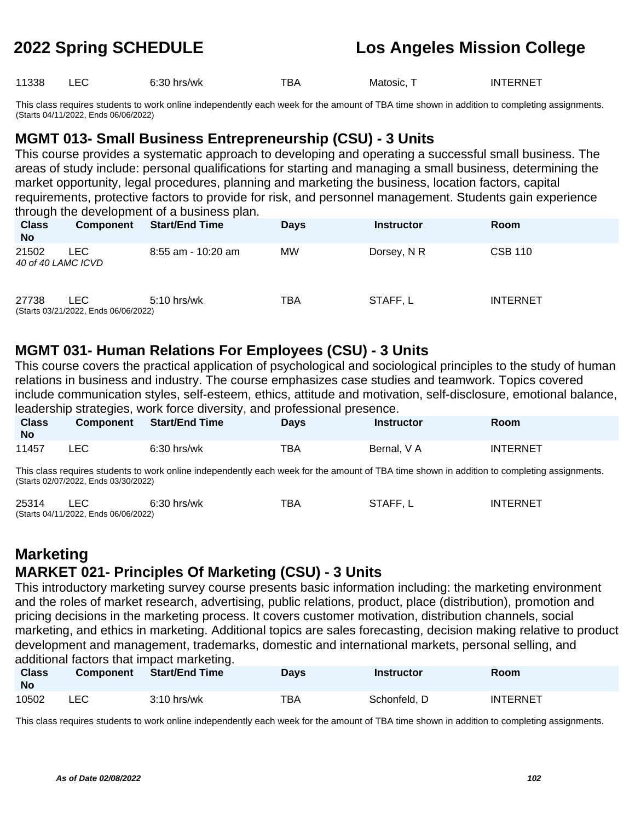11338 LEC 6:30 hrs/wk TBA Matosic, T INTERNET

This class requires students to work online independently each week for the amount of TBA time shown in addition to completing assignments. (Starts 04/11/2022, Ends 06/06/2022)

## **MGMT 013- Small Business Entrepreneurship (CSU) - 3 Units**

This course provides a systematic approach to developing and operating a successful small business. The areas of study include: personal qualifications for starting and managing a small business, determining the market opportunity, legal procedures, planning and marketing the business, location factors, capital requirements, protective factors to provide for risk, and personnel management. Students gain experience through the development of a business plan.

| <b>Class</b><br><b>No</b>   | <b>Component</b>                            | <b>Start/End Time</b> | <b>Days</b> | <b>Instructor</b> | <b>Room</b>     |
|-----------------------------|---------------------------------------------|-----------------------|-------------|-------------------|-----------------|
| 21502<br>40 of 40 LAMC ICVD | LEC.                                        | $8:55$ am - 10:20 am  | <b>MW</b>   | Dorsey, N R       | <b>CSB 110</b>  |
| 27738                       | LEC<br>(Starts 03/21/2022, Ends 06/06/2022) | $5:10$ hrs/wk         | TBA         | STAFF, L          | <b>INTERNET</b> |

## **MGMT 031- Human Relations For Employees (CSU) - 3 Units**

This course covers the practical application of psychological and sociological principles to the study of human relations in business and industry. The course emphasizes case studies and teamwork. Topics covered include communication styles, self-esteem, ethics, attitude and motivation, self-disclosure, emotional balance, leadership strategies, work force diversity, and professional presence.

| <b>Class</b><br><b>No</b> | <b>Component</b> | <b>Start/End Time</b> | <b>Davs</b> | Instructor  | Room            |
|---------------------------|------------------|-----------------------|-------------|-------------|-----------------|
| 11457                     | LEC              | $6:30$ hrs/wk         | TBA         | Bernal, V A | <b>INTERNET</b> |

This class requires students to work online independently each week for the amount of TBA time shown in addition to completing assignments. (Starts 02/07/2022, Ends 03/30/2022)

| 25314 | $6:30$ hrs/wk                        | тва | STAFF, L | <b>INTERNET</b> |
|-------|--------------------------------------|-----|----------|-----------------|
|       | (Starts 04/11/2022, Ends 06/06/2022) |     |          |                 |

# **Marketing MARKET 021- Principles Of Marketing (CSU) - 3 Units**

This introductory marketing survey course presents basic information including: the marketing environment and the roles of market research, advertising, public relations, product, place (distribution), promotion and pricing decisions in the marketing process. It covers customer motivation, distribution channels, social marketing, and ethics in marketing. Additional topics are sales forecasting, decision making relative to product development and management, trademarks, domestic and international markets, personal selling, and additional factors that impact marketing.

| <b>Class</b><br><b>No</b> | <b>Component</b> | <b>Start/End Time</b> | <b>Days</b> | <b>Instructor</b> | Room            |
|---------------------------|------------------|-----------------------|-------------|-------------------|-----------------|
| 10502                     | <b>LEC</b>       | $3:10$ hrs/wk         | TBA         | Schonfeld, D      | <b>INTERNET</b> |

This class requires students to work online independently each week for the amount of TBA time shown in addition to completing assignments.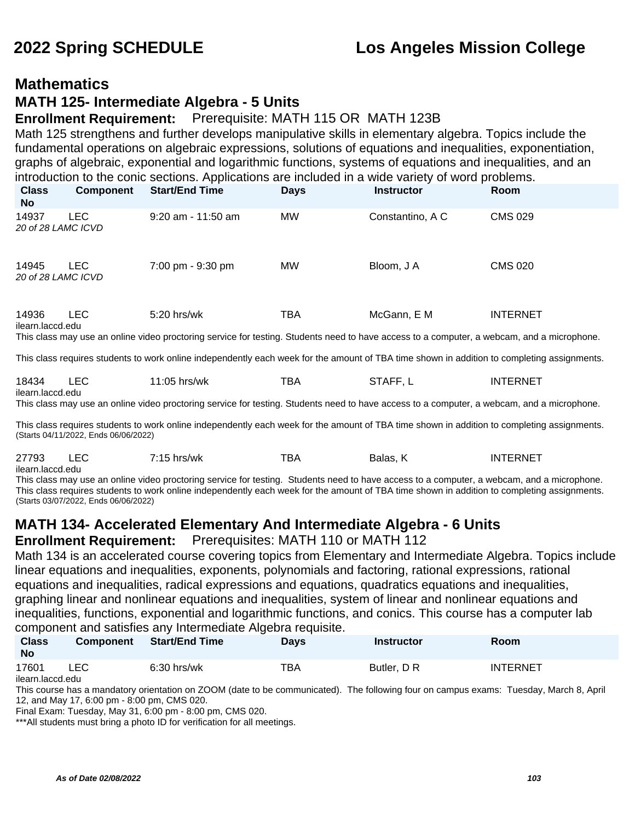## **Mathematics**

### **MATH 125- Intermediate Algebra - 5 Units**

### **Enrollment Requirement:** Prerequisite: MATH 115 OR MATH 123B

Math 125 strengthens and further develops manipulative skills in elementary algebra. Topics include the fundamental operations on algebraic expressions, solutions of equations and inequalities, exponentiation, graphs of algebraic, exponential and logarithmic functions, systems of equations and inequalities, and an introduction to the conic sections. Applications are included in a wide variety of word problems.

| <b>Class</b><br>No.         | <b>Component</b> | <b>Start/End Time</b>                                                                                                                                       | <b>Days</b> | <b>Instructor</b> | <b>Room</b>     |
|-----------------------------|------------------|-------------------------------------------------------------------------------------------------------------------------------------------------------------|-------------|-------------------|-----------------|
| 14937<br>20 of 28 LAMC ICVD | <b>LEC</b>       | $9:20$ am - 11:50 am                                                                                                                                        | <b>MW</b>   | Constantino, A C  | <b>CMS 029</b>  |
| 14945<br>20 of 28 LAMC ICVD | <b>LEC</b>       | 7:00 pm - 9:30 pm                                                                                                                                           | <b>MW</b>   | Bloom, J A        | <b>CMS 020</b>  |
| 14936<br>ilearn.laccd.edu   | LEC.             | $5:20$ hrs/wk<br>This class may use an online video proctoring service for testing. Students need to have access to a computer, a webcam, and a microphone. | TBA         | McGann, E M       | <b>INTERNET</b> |

This class requires students to work online independently each week for the amount of TBA time shown in addition to completing assignments.

| 18434            | –∟∪<br>__ | 11:05<br>hrs/wk<br>$-1$ | ™ВА | .T∆FF<br>ΔI | TERNET<br>INT |
|------------------|-----------|-------------------------|-----|-------------|---------------|
| ilearn.laccd.edu |           |                         |     |             |               |

This class may use an online video proctoring service for testing. Students need to have access to a computer, a webcam, and a microphone.

This class requires students to work online independently each week for the amount of TBA time shown in addition to completing assignments. (Starts 04/11/2022, Ends 06/06/2022)

| 27793 | 7:15 hrs/wk | TBA | Balas. | INTERNET |
|-------|-------------|-----|--------|----------|
|       |             |     |        |          |

ilearn.laccd.edu

This class may use an online video proctoring service for testing. Students need to have access to a computer, a webcam, and a microphone. This class requires students to work online independently each week for the amount of TBA time shown in addition to completing assignments. (Starts 03/07/2022, Ends 06/06/2022)

# **MATH 134- Accelerated Elementary And Intermediate Algebra - 6 Units**

**Enrollment Requirement:** Prerequisites: MATH 110 or MATH 112

Math 134 is an accelerated course covering topics from Elementary and Intermediate Algebra. Topics include linear equations and inequalities, exponents, polynomials and factoring, rational expressions, rational equations and inequalities, radical expressions and equations, quadratics equations and inequalities, graphing linear and nonlinear equations and inequalities, system of linear and nonlinear equations and inequalities, functions, exponential and logarithmic functions, and conics. This course has a computer lab component and satisfies any Intermediate Algebra requisite.

| <b>Class</b><br><b>No</b> | <b>Component</b> | <b>Start/End Time</b> | <b>Days</b> | <b>Instructor</b> | Room     |  |
|---------------------------|------------------|-----------------------|-------------|-------------------|----------|--|
| 17601                     | LEC              | $6:30$ hrs/wk         | тва         | Butler, D R       | INTERNET |  |

ilearn.laccd.edu

This course has a mandatory orientation on ZOOM (date to be communicated). The following four on campus exams: Tuesday, March 8, April 12, and May 17, 6:00 pm - 8:00 pm, CMS 020.

Final Exam: Tuesday, May 31, 6:00 pm - 8:00 pm, CMS 020.

\*\*\*All students must bring a photo ID for verification for all meetings.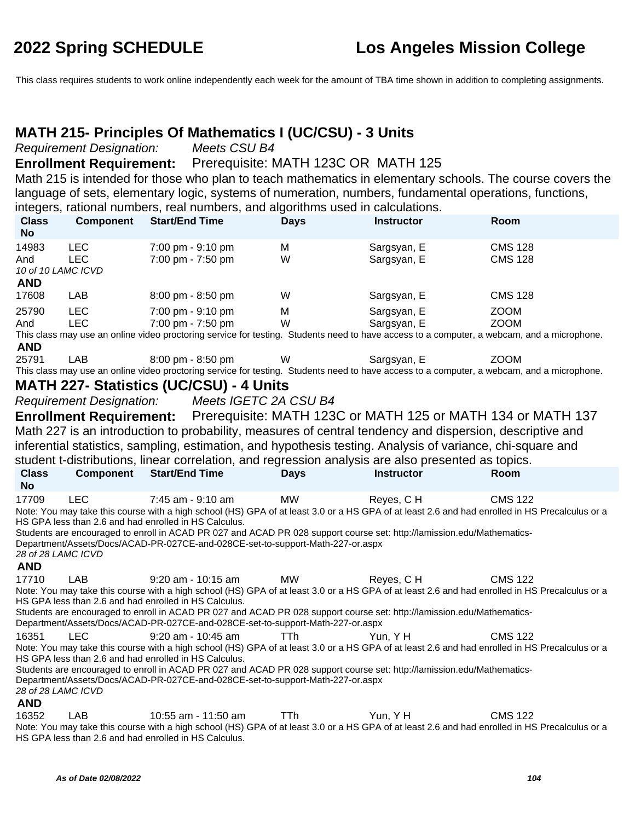This class requires students to work online independently each week for the amount of TBA time shown in addition to completing assignments.

## **MATH 215- Principles Of Mathematics I (UC/CSU) - 3 Units**

Requirement Designation: Meets CSU B4

### **Enrollment Requirement:** Prerequisite: MATH 123C OR MATH 125

Math 215 is intended for those who plan to teach mathematics in elementary schools. The course covers the language of sets, elementary logic, systems of numeration, numbers, fundamental operations, functions, integers, rational numbers, real numbers, and algorithms used in calculations.

| <b>Class</b><br><b>No</b>                        | <b>Component</b>                | <b>Start/End Time</b>                                                                                                                                                                                                                                                                  | <b>Days</b> | <b>Instructor</b>          | Room                                                                                                                                                             |
|--------------------------------------------------|---------------------------------|----------------------------------------------------------------------------------------------------------------------------------------------------------------------------------------------------------------------------------------------------------------------------------------|-------------|----------------------------|------------------------------------------------------------------------------------------------------------------------------------------------------------------|
| 14983<br>And<br>10 of 10 LAMC ICVD<br><b>AND</b> | <b>LEC</b><br><b>LEC</b>        | 7:00 pm - 9:10 pm<br>7:00 pm - 7:50 pm                                                                                                                                                                                                                                                 | M<br>W      | Sargsyan, E<br>Sargsyan, E | <b>CMS 128</b><br><b>CMS 128</b>                                                                                                                                 |
| 17608                                            | LAB                             | 8:00 pm - 8:50 pm                                                                                                                                                                                                                                                                      | W           | Sargsyan, E                | <b>CMS 128</b>                                                                                                                                                   |
| 25790                                            | <b>LEC</b>                      | 7:00 pm - 9:10 pm                                                                                                                                                                                                                                                                      | M           | Sargsyan, E                | <b>ZOOM</b>                                                                                                                                                      |
| And                                              | <b>LEC</b>                      | 7:00 pm - 7:50 pm                                                                                                                                                                                                                                                                      | W           | Sargsyan, E                | <b>ZOOM</b>                                                                                                                                                      |
|                                                  |                                 |                                                                                                                                                                                                                                                                                        |             |                            | This class may use an online video proctoring service for testing. Students need to have access to a computer, a webcam, and a microphone.                       |
| <b>AND</b><br>25791                              |                                 |                                                                                                                                                                                                                                                                                        |             |                            |                                                                                                                                                                  |
|                                                  | <b>LAB</b>                      | 8:00 pm - 8:50 pm                                                                                                                                                                                                                                                                      | W           | Sargsyan, E                | <b>ZOOM</b><br>This class may use an online video proctoring service for testing. Students need to have access to a computer, a webcam, and a microphone.        |
|                                                  |                                 | <b>MATH 227- Statistics (UC/CSU) - 4 Units</b>                                                                                                                                                                                                                                         |             |                            |                                                                                                                                                                  |
|                                                  | <b>Requirement Designation:</b> | Meets IGETC 2A CSU B4                                                                                                                                                                                                                                                                  |             |                            |                                                                                                                                                                  |
|                                                  | <b>Enrollment Requirement:</b>  |                                                                                                                                                                                                                                                                                        |             |                            | Prerequisite: MATH 123C or MATH 125 or MATH 134 or MATH 137                                                                                                      |
|                                                  |                                 |                                                                                                                                                                                                                                                                                        |             |                            | Math 227 is an introduction to probability, measures of central tendency and dispersion, descriptive and                                                         |
|                                                  |                                 | inferential statistics, sampling, estimation, and hypothesis testing. Analysis of variance, chi-square and                                                                                                                                                                             |             |                            |                                                                                                                                                                  |
|                                                  |                                 | student t-distributions, linear correlation, and regression analysis are also presented as topics.                                                                                                                                                                                     |             |                            |                                                                                                                                                                  |
| <b>Class</b>                                     | <b>Component</b>                | <b>Start/End Time</b>                                                                                                                                                                                                                                                                  | <b>Days</b> |                            |                                                                                                                                                                  |
|                                                  |                                 |                                                                                                                                                                                                                                                                                        |             |                            |                                                                                                                                                                  |
| <b>No</b>                                        |                                 |                                                                                                                                                                                                                                                                                        |             | <b>Instructor</b>          | Room                                                                                                                                                             |
| 17709<br>28 of 28 LAMC ICVD                      | LEC.                            | 7:45 am - 9:10 am<br>HS GPA less than 2.6 and had enrolled in HS Calculus.<br>Students are encouraged to enroll in ACAD PR 027 and ACAD PR 028 support course set: http://lamission.edu/Mathematics-<br>Department/Assets/Docs/ACAD-PR-027CE-and-028CE-set-to-support-Math-227-or.aspx | <b>MW</b>   | Reyes, CH                  | <b>CMS 122</b><br>Note: You may take this course with a high school (HS) GPA of at least 3.0 or a HS GPA of at least 2.6 and had enrolled in HS Precalculus or a |
| <b>AND</b>                                       |                                 |                                                                                                                                                                                                                                                                                        |             |                            |                                                                                                                                                                  |
| 17710                                            | LAB                             | 9:20 am - 10:15 am                                                                                                                                                                                                                                                                     | <b>MW</b>   | Reyes, CH                  | <b>CMS 122</b>                                                                                                                                                   |
|                                                  |                                 | HS GPA less than 2.6 and had enrolled in HS Calculus.<br>Students are encouraged to enroll in ACAD PR 027 and ACAD PR 028 support course set: http://lamission.edu/Mathematics-<br>Department/Assets/Docs/ACAD-PR-027CE-and-028CE-set-to-support-Math-227-or.aspx                      |             |                            | Note: You may take this course with a high school (HS) GPA of at least 3.0 or a HS GPA of at least 2.6 and had enrolled in HS Precalculus or a                   |
| 16351                                            | <b>LEC</b>                      | 9:20 am - 10:45 am                                                                                                                                                                                                                                                                     | <b>TTh</b>  | Yun, YH                    | <b>CMS 122</b>                                                                                                                                                   |
|                                                  |                                 |                                                                                                                                                                                                                                                                                        |             |                            | Note: You may take this course with a high school (HS) GPA of at least 3.0 or a HS GPA of at least 2.6 and had enrolled in HS Precalculus or a                   |
|                                                  |                                 | HS GPA less than 2.6 and had enrolled in HS Calculus.                                                                                                                                                                                                                                  |             |                            |                                                                                                                                                                  |
| 28 of 28 LAMC ICVD                               |                                 | Students are encouraged to enroll in ACAD PR 027 and ACAD PR 028 support course set: http://lamission.edu/Mathematics-<br>Department/Assets/Docs/ACAD-PR-027CE-and-028CE-set-to-support-Math-227-or.aspx                                                                               |             |                            |                                                                                                                                                                  |
| <b>AND</b>                                       |                                 |                                                                                                                                                                                                                                                                                        |             |                            |                                                                                                                                                                  |

Note: You may take this course with a high school (HS) GPA of at least 3.0 or a HS GPA of at least 2.6 and had enrolled in HS Precalculus or a HS GPA less than 2.6 and had enrolled in HS Calculus.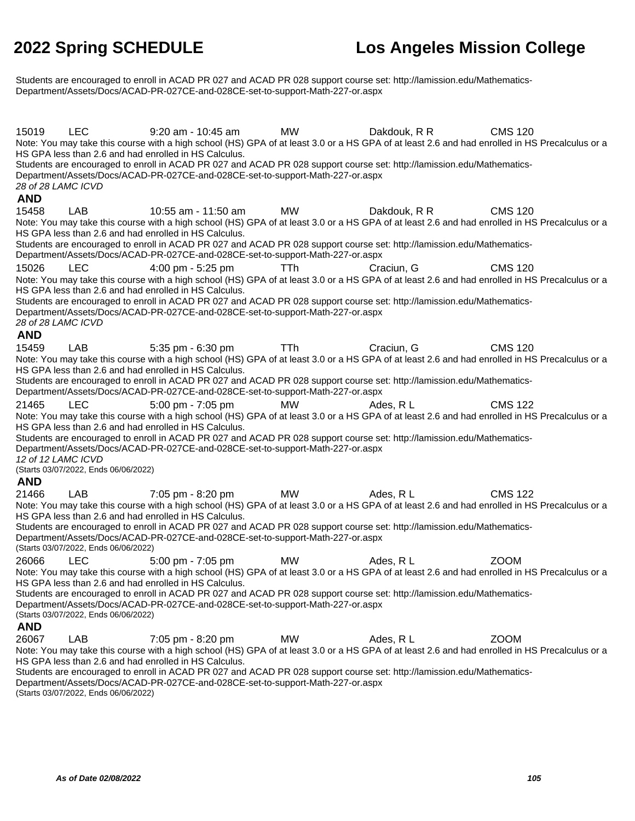Students are encouraged to enroll in ACAD PR 027 and ACAD PR 028 support course set: http://lamission.edu/Mathematics-Department/Assets/Docs/ACAD-PR-027CE-and-028CE-set-to-support-Math-227-or.aspx

15019 LEC 9:20 am - 10:45 am MW Dakdouk, R R CMS 120 Note: You may take this course with a high school (HS) GPA of at least 3.0 or a HS GPA of at least 2.6 and had enrolled in HS Precalculus or a HS GPA less than 2.6 and had enrolled in HS Calculus. Students are encouraged to enroll in ACAD PR 027 and ACAD PR 028 support course set: http://lamission.edu/Mathematics-Department/Assets/Docs/ACAD-PR-027CE-and-028CE-set-to-support-Math-227-or.aspx 28 of 28 LAMC ICVD **AND** 15458 LAB 10:55 am - 11:50 am MW Dakdouk, R R CMS 120 Note: You may take this course with a high school (HS) GPA of at least 3.0 or a HS GPA of at least 2.6 and had enrolled in HS Precalculus or a HS GPA less than 2.6 and had enrolled in HS Calculus. Students are encouraged to enroll in ACAD PR 027 and ACAD PR 028 support course set: http://lamission.edu/Mathematics-Department/Assets/Docs/ACAD-PR-027CE-and-028CE-set-to-support-Math-227-or.aspx 15026 LEC 4:00 pm - 5:25 pm TTh Craciun, G CMS 120 Note: You may take this course with a high school (HS) GPA of at least 3.0 or a HS GPA of at least 2.6 and had enrolled in HS Precalculus or a HS GPA less than 2.6 and had enrolled in HS Calculus. Students are encouraged to enroll in ACAD PR 027 and ACAD PR 028 support course set: http://lamission.edu/Mathematics-Department/Assets/Docs/ACAD-PR-027CE-and-028CE-set-to-support-Math-227-or.aspx 28 of 28 LAMC ICVD **AND** 15459 LAB 5:35 pm - 6:30 pm TTh Craciun, G CMS 120 Note: You may take this course with a high school (HS) GPA of at least 3.0 or a HS GPA of at least 2.6 and had enrolled in HS Precalculus or a HS GPA less than 2.6 and had enrolled in HS Calculus. Students are encouraged to enroll in ACAD PR 027 and ACAD PR 028 support course set: http://lamission.edu/Mathematics-Department/Assets/Docs/ACAD-PR-027CE-and-028CE-set-to-support-Math-227-or.aspx 21465 LEC 5:00 pm - 7:05 pm MW Ades, R L CMS 122 Note: You may take this course with a high school (HS) GPA of at least 3.0 or a HS GPA of at least 2.6 and had enrolled in HS Precalculus or a HS GPA less than 2.6 and had enrolled in HS Calculus. Students are encouraged to enroll in ACAD PR 027 and ACAD PR 028 support course set: http://lamission.edu/Mathematics-Department/Assets/Docs/ACAD-PR-027CE-and-028CE-set-to-support-Math-227-or.aspx 12 of 12 LAMC ICVD (Starts 03/07/2022, Ends 06/06/2022) **AND** 21466 LAB 7:05 pm - 8:20 pm MW Ades, R L CMS 122 Note: You may take this course with a high school (HS) GPA of at least 3.0 or a HS GPA of at least 2.6 and had enrolled in HS Precalculus or a HS GPA less than 2.6 and had enrolled in HS Calculus. Students are encouraged to enroll in ACAD PR 027 and ACAD PR 028 support course set: http://lamission.edu/Mathematics-Department/Assets/Docs/ACAD-PR-027CE-and-028CE-set-to-support-Math-227-or.aspx (Starts 03/07/2022, Ends 06/06/2022) 26066 LEC 5:00 pm - 7:05 pm MW Ades, R L ZOOM Note: You may take this course with a high school (HS) GPA of at least 3.0 or a HS GPA of at least 2.6 and had enrolled in HS Precalculus or a HS GPA less than 2.6 and had enrolled in HS Calculus. Students are encouraged to enroll in ACAD PR 027 and ACAD PR 028 support course set: http://lamission.edu/Mathematics-Department/Assets/Docs/ACAD-PR-027CE-and-028CE-set-to-support-Math-227-or.aspx (Starts 03/07/2022, Ends 06/06/2022) **AND** 26067 LAB 7:05 pm - 8:20 pm MW Ades, R L ZOOM Note: You may take this course with a high school (HS) GPA of at least 3.0 or a HS GPA of at least 2.6 and had enrolled in HS Precalculus or a HS GPA less than 2.6 and had enrolled in HS Calculus. Students are encouraged to enroll in ACAD PR 027 and ACAD PR 028 support course set: http://lamission.edu/Mathematics-

Department/Assets/Docs/ACAD-PR-027CE-and-028CE-set-to-support-Math-227-or.aspx (Starts 03/07/2022, Ends 06/06/2022)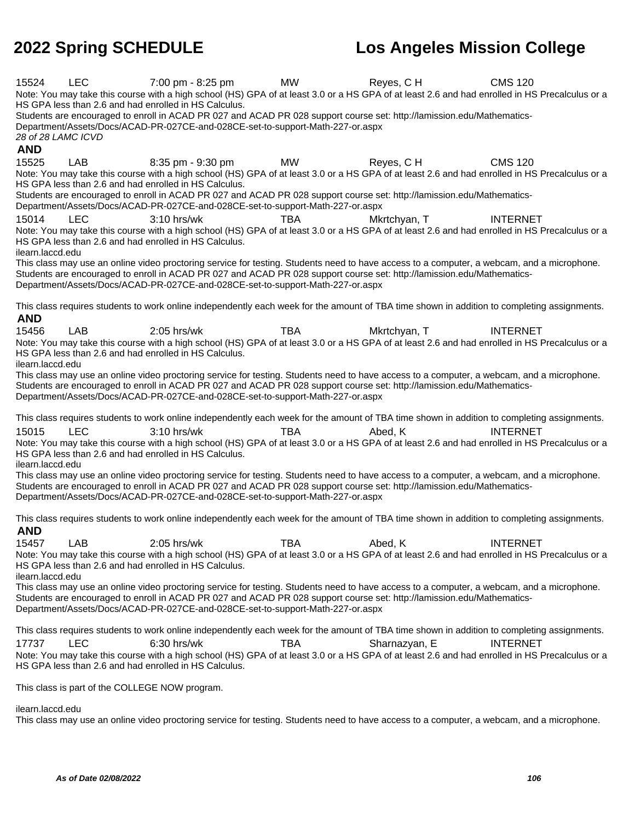15524 LEC 7:00 pm - 8:25 pm MW Reyes, C H CMS 120 Note: You may take this course with a high school (HS) GPA of at least 3.0 or a HS GPA of at least 2.6 and had enrolled in HS Precalculus or a HS GPA less than 2.6 and had enrolled in HS Calculus. Students are encouraged to enroll in ACAD PR 027 and ACAD PR 028 support course set: http://lamission.edu/Mathematics-Department/Assets/Docs/ACAD-PR-027CE-and-028CE-set-to-support-Math-227-or.aspx 28 of 28 LAMC ICVD **AND** 15525 LAB 8:35 pm - 9:30 pm MW Reves, C H CMS 120 Note: You may take this course with a high school (HS) GPA of at least 3.0 or a HS GPA of at least 2.6 and had enrolled in HS Precalculus or a HS GPA less than 2.6 and had enrolled in HS Calculus. Students are encouraged to enroll in ACAD PR 027 and ACAD PR 028 support course set: http://lamission.edu/Mathematics-Department/Assets/Docs/ACAD-PR-027CE-and-028CE-set-to-support-Math-227-or.aspx 15014 LEC 3:10 hrs/wk TBA Mkrtchyan, T INTERNET Note: You may take this course with a high school (HS) GPA of at least 3.0 or a HS GPA of at least 2.6 and had enrolled in HS Precalculus or a HS GPA less than 2.6 and had enrolled in HS Calculus. ilearn.laccd.edu This class may use an online video proctoring service for testing. Students need to have access to a computer, a webcam, and a microphone. Students are encouraged to enroll in ACAD PR 027 and ACAD PR 028 support course set: http://lamission.edu/Mathematics-Department/Assets/Docs/ACAD-PR-027CE-and-028CE-set-to-support-Math-227-or.aspx This class requires students to work online independently each week for the amount of TBA time shown in addition to completing assignments. **AND** 15456 LAB 2:05 hrs/wk TBA Mkrtchyan, T INTERNET Note: You may take this course with a high school (HS) GPA of at least 3.0 or a HS GPA of at least 2.6 and had enrolled in HS Precalculus or a HS GPA less than 2.6 and had enrolled in HS Calculus. ilearn.laccd.edu This class may use an online video proctoring service for testing. Students need to have access to a computer, a webcam, and a microphone. Students are encouraged to enroll in ACAD PR 027 and ACAD PR 028 support course set: http://lamission.edu/Mathematics-Department/Assets/Docs/ACAD-PR-027CE-and-028CE-set-to-support-Math-227-or.aspx This class requires students to work online independently each week for the amount of TBA time shown in addition to completing assignments. 15015 LEC 3:10 hrs/wk TBA Abed, K INTERNET Note: You may take this course with a high school (HS) GPA of at least 3.0 or a HS GPA of at least 2.6 and had enrolled in HS Precalculus or a HS GPA less than 2.6 and had enrolled in HS Calculus. ilearn.laccd.edu This class may use an online video proctoring service for testing. Students need to have access to a computer, a webcam, and a microphone. Students are encouraged to enroll in ACAD PR 027 and ACAD PR 028 support course set: http://lamission.edu/Mathematics-Department/Assets/Docs/ACAD-PR-027CE-and-028CE-set-to-support-Math-227-or.aspx This class requires students to work online independently each week for the amount of TBA time shown in addition to completing assignments. **AND** 15457 LAB 2:05 hrs/wk TBA Abed, K INTERNET Note: You may take this course with a high school (HS) GPA of at least 3.0 or a HS GPA of at least 2.6 and had enrolled in HS Precalculus or a HS GPA less than 2.6 and had enrolled in HS Calculus. ilearn.laccd.edu This class may use an online video proctoring service for testing. Students need to have access to a computer, a webcam, and a microphone. Students are encouraged to enroll in ACAD PR 027 and ACAD PR 028 support course set: http://lamission.edu/Mathematics-Department/Assets/Docs/ACAD-PR-027CE-and-028CE-set-to-support-Math-227-or.aspx This class requires students to work online independently each week for the amount of TBA time shown in addition to completing assignments. 17737 LEC 6:30 hrs/wk TBA Sharnazyan, E INTERNET Note: You may take this course with a high school (HS) GPA of at least 3.0 or a HS GPA of at least 2.6 and had enrolled in HS Precalculus or a HS GPA less than 2.6 and had enrolled in HS Calculus. This class is part of the COLLEGE NOW program. ilearn.laccd.edu This class may use an online video proctoring service for testing. Students need to have access to a computer, a webcam, and a microphone.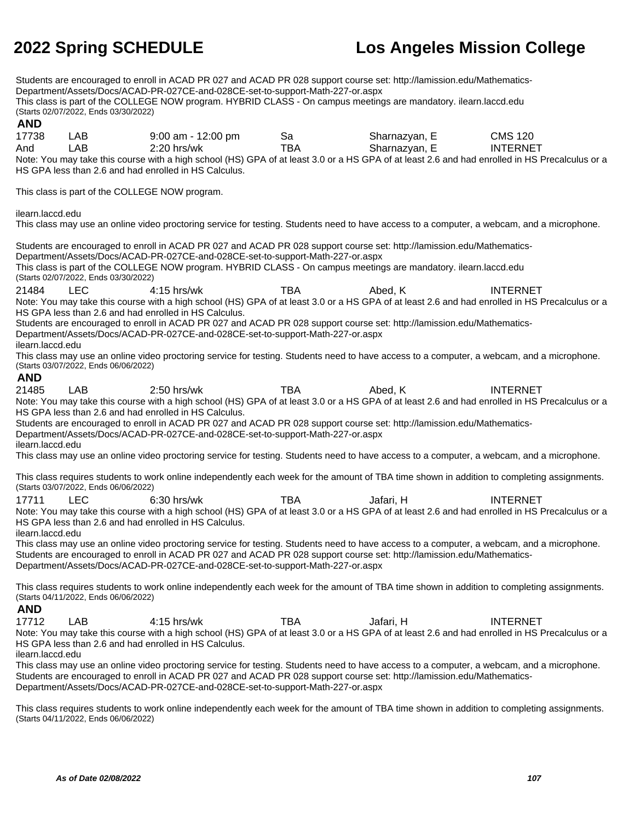Students are encouraged to enroll in ACAD PR 027 and ACAD PR 028 support course set: http://lamission.edu/Mathematics-Department/Assets/Docs/ACAD-PR-027CE-and-028CE-set-to-support-Math-227-or.aspx This class is part of the COLLEGE NOW program. HYBRID CLASS - On campus meetings are mandatory. ilearn.laccd.edu (Starts 02/07/2022, Ends 03/30/2022) **AND** 17738 LAB 9:00 am - 12:00 pm Sa Sharnazyan, E CMS 120 And LAB 2:20 hrs/wk TBA Sharnazyan, E INTERNET Note: You may take this course with a high school (HS) GPA of at least 3.0 or a HS GPA of at least 2.6 and had enrolled in HS Precalculus or a HS GPA less than 2.6 and had enrolled in HS Calculus. This class is part of the COLLEGE NOW program. ilearn.laccd.edu This class may use an online video proctoring service for testing. Students need to have access to a computer, a webcam, and a microphone. Students are encouraged to enroll in ACAD PR 027 and ACAD PR 028 support course set: http://lamission.edu/Mathematics-Department/Assets/Docs/ACAD-PR-027CE-and-028CE-set-to-support-Math-227-or.aspx This class is part of the COLLEGE NOW program. HYBRID CLASS - On campus meetings are mandatory. ilearn.laccd.edu (Starts 02/07/2022, Ends 03/30/2022) 21484 LEC 4:15 hrs/wk TBA Abed, K INTERNET Note: You may take this course with a high school (HS) GPA of at least 3.0 or a HS GPA of at least 2.6 and had enrolled in HS Precalculus or a HS GPA less than 2.6 and had enrolled in HS Calculus. Students are encouraged to enroll in ACAD PR 027 and ACAD PR 028 support course set: http://lamission.edu/Mathematics-Department/Assets/Docs/ACAD-PR-027CE-and-028CE-set-to-support-Math-227-or.aspx ilearn.laccd.edu This class may use an online video proctoring service for testing. Students need to have access to a computer, a webcam, and a microphone. (Starts 03/07/2022, Ends 06/06/2022) **AND** 21485 LAB 2:50 hrs/wk TBA Abed, K INTERNET Note: You may take this course with a high school (HS) GPA of at least 3.0 or a HS GPA of at least 2.6 and had enrolled in HS Precalculus or a HS GPA less than 2.6 and had enrolled in HS Calculus. Students are encouraged to enroll in ACAD PR 027 and ACAD PR 028 support course set: http://lamission.edu/Mathematics-Department/Assets/Docs/ACAD-PR-027CE-and-028CE-set-to-support-Math-227-or.aspx ilearn.laccd.edu This class may use an online video proctoring service for testing. Students need to have access to a computer, a webcam, and a microphone. This class requires students to work online independently each week for the amount of TBA time shown in addition to completing assignments. (Starts 03/07/2022, Ends 06/06/2022) 17711 LEC 6:30 hrs/wk TBA Jafari, H INTERNET Note: You may take this course with a high school (HS) GPA of at least 3.0 or a HS GPA of at least 2.6 and had enrolled in HS Precalculus or a HS GPA less than 2.6 and had enrolled in HS Calculus. ilearn.laccd.edu This class may use an online video proctoring service for testing. Students need to have access to a computer, a webcam, and a microphone. Students are encouraged to enroll in ACAD PR 027 and ACAD PR 028 support course set: http://lamission.edu/Mathematics-Department/Assets/Docs/ACAD-PR-027CE-and-028CE-set-to-support-Math-227-or.aspx This class requires students to work online independently each week for the amount of TBA time shown in addition to completing assignments. (Starts 04/11/2022, Ends 06/06/2022) **AND** 17712 LAB 4:15 hrs/wk TBA Jafari, H INTERNET Note: You may take this course with a high school (HS) GPA of at least 3.0 or a HS GPA of at least 2.6 and had enrolled in HS Precalculus or a HS GPA less than 2.6 and had enrolled in HS Calculus. ilearn.laccd.edu This class may use an online video proctoring service for testing. Students need to have access to a computer, a webcam, and a microphone. Students are encouraged to enroll in ACAD PR 027 and ACAD PR 028 support course set: http://lamission.edu/Mathematics-Department/Assets/Docs/ACAD-PR-027CE-and-028CE-set-to-support-Math-227-or.aspx This class requires students to work online independently each week for the amount of TBA time shown in addition to completing assignments. (Starts 04/11/2022, Ends 06/06/2022)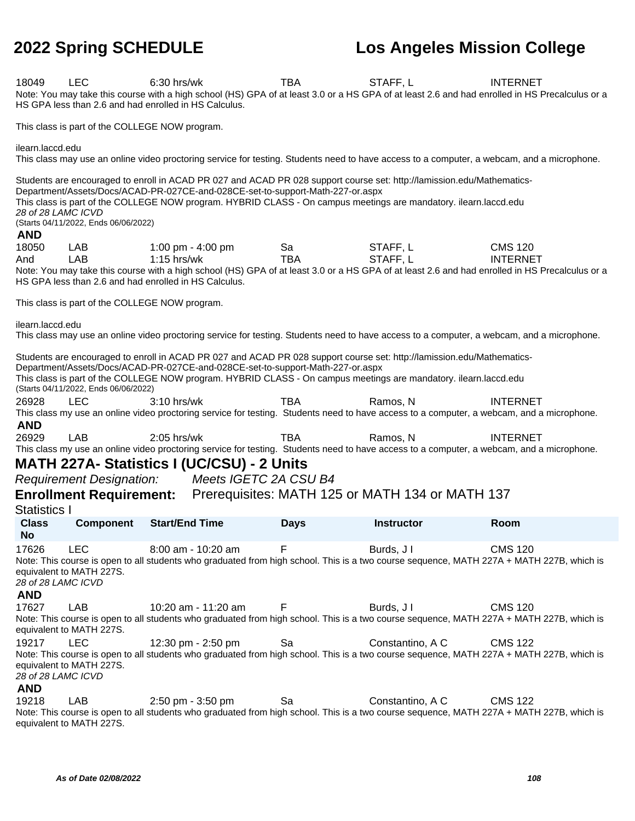18049 LEC 6:30 hrs/wk TBA STAFF, L INTERNET Note: You may take this course with a high school (HS) GPA of at least 3.0 or a HS GPA of at least 2.6 and had enrolled in HS Precalculus or a HS GPA less than 2.6 and had enrolled in HS Calculus. This class is part of the COLLEGE NOW program. ilearn.laccd.edu This class may use an online video proctoring service for testing. Students need to have access to a computer, a webcam, and a microphone. Students are encouraged to enroll in ACAD PR 027 and ACAD PR 028 support course set: http://lamission.edu/Mathematics-Department/Assets/Docs/ACAD-PR-027CE-and-028CE-set-to-support-Math-227-or.aspx

This class is part of the COLLEGE NOW program. HYBRID CLASS - On campus meetings are mandatory. ilearn.laccd.edu 28 of 28 LAMC ICVD

(Starts 04/11/2022, Ends 06/06/2022)

### **AND**

18050 LAB 1:00 pm - 4:00 pm Sa STAFF, L CMS 120 And LAB 1:15 hrs/wk TBA STAFF, L INTERNET Note: You may take this course with a high school (HS) GPA of at least 3.0 or a HS GPA of at least 2.6 and had enrolled in HS Precalculus or a HS GPA less than 2.6 and had enrolled in HS Calculus.

This class is part of the COLLEGE NOW program.

ilearn.laccd.edu

This class may use an online video proctoring service for testing. Students need to have access to a computer, a webcam, and a microphone.

Students are encouraged to enroll in ACAD PR 027 and ACAD PR 028 support course set: http://lamission.edu/Mathematics-Department/Assets/Docs/ACAD-PR-027CE-and-028CE-set-to-support-Math-227-or.aspx This class is part of the COLLEGE NOW program. HYBRID CLASS - On campus meetings are mandatory. ilearn.laccd.edu (Starts 04/11/2022, Ends 06/06/2022)

26928 LEC 3:10 hrs/wk TBA Ramos, N INTERNET This class my use an online video proctoring service for testing. Students need to have access to a computer, a webcam, and a microphone. **AND**

26929 LAB 2:05 hrs/wk TBA Ramos, N INTERNET This class my use an online video proctoring service for testing. Students need to have access to a computer, a webcam, and a microphone.

### **MATH 227A- Statistics I (UC/CSU) - 2 Units**

Requirement Designation: Meets IGETC 2A CSU B4

### **Enrollment Requirement:** Prerequisites: MATH 125 or MATH 134 or MATH 137

Statistics I

**Class No Component Start/End Time Days Instructor Room** 17626 LEC 8:00 am - 10:20 am F Burds, JI CMS 120 Note: This course is open to all students who graduated from high school. This is a two course sequence, MATH 227A + MATH 227B, which is equivalent to MATH 227S. 28 of 28 LAMC ICVD **AND** 17627 LAB 10:20 am - 11:20 am F Burds, J I CMS 120 Note: This course is open to all students who graduated from high school. This is a two course sequence, MATH 227A + MATH 227B, which is equivalent to MATH 227S. 19217 LEC 12:30 pm - 2:50 pm Sa Constantino, A C CMS 122 Note: This course is open to all students who graduated from high school. This is a two course sequence, MATH 227A + MATH 227B, which is equivalent to MATH 227S. 28 of 28 LAMC ICVD

**AND**

19218 LAB 2:50 pm - 3:50 pm Sa Constantino, A C CMS 122 Note: This course is open to all students who graduated from high school. This is a two course sequence, MATH 227A + MATH 227B, which is equivalent to MATH 227S.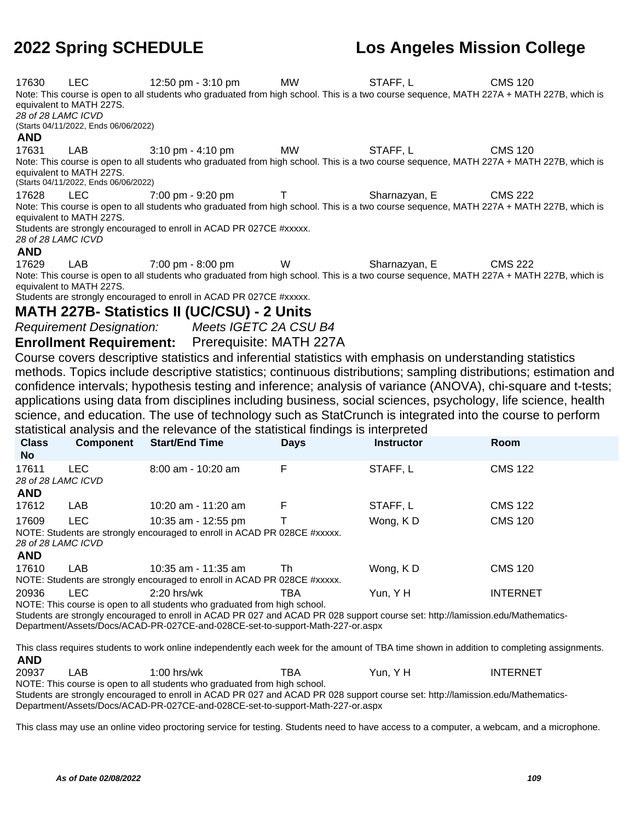**2022 Spring SCHEDULE Los Angeles Mission College** 17630 LEC 12:50 pm - 3:10 pm MW STAFF, L CMS 120 Note: This course is open to all students who graduated from high school. This is a two course sequence, MATH 227A + MATH 227B, which is equivalent to MATH 227S. 28 of 28 LAMC ICVD (Starts 04/11/2022, Ends 06/06/2022) **AND** 17631 LAB 3:10 pm - 4:10 pm MW STAFF, L CMS 120 Note: This course is open to all students who graduated from high school. This is a two course sequence, MATH 227A + MATH 227B, which is equivalent to MATH 227S. (Starts 04/11/2022, Ends 06/06/2022) 17628 LEC 7:00 pm - 9:20 pm T Sharnazyan, E CMS 222 Note: This course is open to all students who graduated from high school. This is a two course sequence, MATH 227A + MATH 227B, which is equivalent to MATH 227S. Students are strongly encouraged to enroll in ACAD PR 027CE #xxxxx. 28 of 28 LAMC ICVD **AND** 17629 LAB 7:00 pm - 8:00 pm W Sharnazyan, E CMS 222 Note: This course is open to all students who graduated from high school. This is a two course sequence, MATH 227A + MATH 227B, which is equivalent to MATH 227S. Students are strongly encouraged to enroll in ACAD PR 027CE #xxxxx. **MATH 227B- Statistics II (UC/CSU) - 2 Units** Requirement Designation: Meets IGETC 2A CSU B4 **Enrollment Requirement:** Prerequisite: MATH 227A Course covers descriptive statistics and inferential statistics with emphasis on understanding statistics methods. Topics include descriptive statistics; continuous distributions; sampling distributions; estimation and confidence intervals; hypothesis testing and inference; analysis of variance (ANOVA), chi-square and t-tests; applications using data from disciplines including business, social sciences, psychology, life science, health science, and education. The use of technology such as StatCrunch is integrated into the course to perform statistical analysis and the relevance of the statistical findings is interpreted **Class No Component Start/End Time Days Instructor Room** 17611 LEC 8:00 am - 10:20 am F STAFF, L CMS 122 28 of 28 LAMC ICVD **AND** 17612 LAB 10:20 am - 11:20 am F STAFF, L CMS 122 17609 LEC 10:35 am - 12:55 pm T Wong, K D CMS 120 NOTE: Students are strongly encouraged to enroll in ACAD PR 028CE #xxxxx. 28 of 28 LAMC ICVD **AND** 17610 LAB 10:35 am - 11:35 am Th Wong, K D CMS 120 NOTE: Students are strongly encouraged to enroll in ACAD PR 028CE #xxxxx. 20936 LEC 2:20 hrs/wk TBA Yun, Y H INTERNET NOTE: This course is open to all students who graduated from high school. Students are strongly encouraged to enroll in ACAD PR 027 and ACAD PR 028 support course set: http://lamission.edu/Mathematics-Department/Assets/Docs/ACAD-PR-027CE-and-028CE-set-to-support-Math-227-or.aspx This class requires students to work online independently each week for the amount of TBA time shown in addition to completing assignments. **AND**

20937 LAB 1:00 hrs/wk TBA Yun, Y H INTERNET NOTE: This course is open to all students who graduated from high school. Students are strongly encouraged to enroll in ACAD PR 027 and ACAD PR 028 support course set: http://lamission.edu/Mathematics-Department/Assets/Docs/ACAD-PR-027CE-and-028CE-set-to-support-Math-227-or.aspx

This class may use an online video proctoring service for testing. Students need to have access to a computer, a webcam, and a microphone.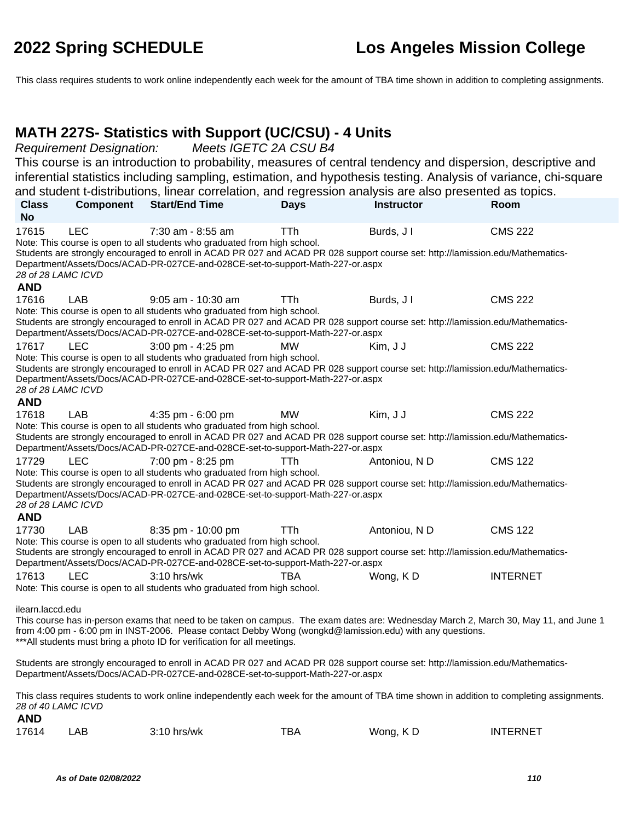This class requires students to work online independently each week for the amount of TBA time shown in addition to completing assignments.

#### **MATH 227S- Statistics with Support (UC/CSU) - 4 Units**

Requirement Designation: Meets IGETC 2A CSU B4

This course is an introduction to probability, measures of central tendency and dispersion, descriptive and inferential statistics including sampling, estimation, and hypothesis testing. Analysis of variance, chi-square and student t-distributions, linear correlation, and regression analysis are also presented as topics.

| <b>Class</b><br><b>No</b>                                                                                                                                                                                                                                                                                                                          | Component  | <b>Start/End Time</b>                                                                                                                                                                                                                                                                                               | <b>Days</b> | <b>Instructor</b> | Room            |
|----------------------------------------------------------------------------------------------------------------------------------------------------------------------------------------------------------------------------------------------------------------------------------------------------------------------------------------------------|------------|---------------------------------------------------------------------------------------------------------------------------------------------------------------------------------------------------------------------------------------------------------------------------------------------------------------------|-------------|-------------------|-----------------|
| 17615<br>28 of 28 LAMC ICVD                                                                                                                                                                                                                                                                                                                        | <b>LEC</b> | 7:30 am - 8:55 am<br>Note: This course is open to all students who graduated from high school.<br>Students are strongly encouraged to enroll in ACAD PR 027 and ACAD PR 028 support course set: http://lamission.edu/Mathematics-<br>Department/Assets/Docs/ACAD-PR-027CE-and-028CE-set-to-support-Math-227-or.aspx | <b>TTh</b>  | Burds, J I        | <b>CMS 222</b>  |
| <b>AND</b>                                                                                                                                                                                                                                                                                                                                         |            |                                                                                                                                                                                                                                                                                                                     |             |                   |                 |
| 17616                                                                                                                                                                                                                                                                                                                                              | <b>LAB</b> | $9:05$ am - 10:30 am                                                                                                                                                                                                                                                                                                | TTh         | Burds, J I        | <b>CMS 222</b>  |
|                                                                                                                                                                                                                                                                                                                                                    |            | Note: This course is open to all students who graduated from high school.<br>Students are strongly encouraged to enroll in ACAD PR 027 and ACAD PR 028 support course set: http://lamission.edu/Mathematics-<br>Department/Assets/Docs/ACAD-PR-027CE-and-028CE-set-to-support-Math-227-or.aspx                      |             |                   |                 |
| 17617                                                                                                                                                                                                                                                                                                                                              | <b>LEC</b> | 3:00 pm - 4:25 pm                                                                                                                                                                                                                                                                                                   | МW          | Kim, J J          | <b>CMS 222</b>  |
| 28 of 28 LAMC ICVD<br><b>AND</b>                                                                                                                                                                                                                                                                                                                   |            | Note: This course is open to all students who graduated from high school.<br>Students are strongly encouraged to enroll in ACAD PR 027 and ACAD PR 028 support course set: http://lamission.edu/Mathematics-<br>Department/Assets/Docs/ACAD-PR-027CE-and-028CE-set-to-support-Math-227-or.aspx                      |             |                   |                 |
| 17618                                                                                                                                                                                                                                                                                                                                              | <b>LAB</b> | 4:35 pm - 6:00 pm                                                                                                                                                                                                                                                                                                   | МW          | Kim, J J          | <b>CMS 222</b>  |
|                                                                                                                                                                                                                                                                                                                                                    |            | Note: This course is open to all students who graduated from high school.<br>Students are strongly encouraged to enroll in ACAD PR 027 and ACAD PR 028 support course set: http://lamission.edu/Mathematics-<br>Department/Assets/Docs/ACAD-PR-027CE-and-028CE-set-to-support-Math-227-or.aspx                      |             |                   |                 |
| 17729                                                                                                                                                                                                                                                                                                                                              | <b>LEC</b> | 7:00 pm - 8:25 pm                                                                                                                                                                                                                                                                                                   | TTh         | Antoniou, N D     | <b>CMS 122</b>  |
| 28 of 28 LAMC ICVD<br><b>AND</b>                                                                                                                                                                                                                                                                                                                   |            | Note: This course is open to all students who graduated from high school.<br>Students are strongly encouraged to enroll in ACAD PR 027 and ACAD PR 028 support course set: http://lamission.edu/Mathematics-<br>Department/Assets/Docs/ACAD-PR-027CE-and-028CE-set-to-support-Math-227-or.aspx                      |             |                   |                 |
| 17730                                                                                                                                                                                                                                                                                                                                              | LAB        | 8:35 pm - 10:00 pm                                                                                                                                                                                                                                                                                                  | TTh         | Antoniou, N D     | <b>CMS 122</b>  |
|                                                                                                                                                                                                                                                                                                                                                    |            | Note: This course is open to all students who graduated from high school.<br>Students are strongly encouraged to enroll in ACAD PR 027 and ACAD PR 028 support course set: http://lamission.edu/Mathematics-<br>Department/Assets/Docs/ACAD-PR-027CE-and-028CE-set-to-support-Math-227-or.aspx                      |             |                   |                 |
| 17613                                                                                                                                                                                                                                                                                                                                              | <b>LEC</b> | $3:10$ hrs/wk<br>Note: This course is open to all students who graduated from high school.                                                                                                                                                                                                                          | TBA         | Wong, KD          | <b>INTERNET</b> |
| ilearn.laccd.edu<br>This course has in-person exams that need to be taken on campus. The exam dates are: Wednesday March 2, March 30, May 11, and June 1<br>from 4:00 pm - 6:00 pm in INST-2006. Please contact Debby Wong (wongkd@lamission.edu) with any questions.<br>*** All students must bring a photo ID for verification for all meetings. |            |                                                                                                                                                                                                                                                                                                                     |             |                   |                 |
|                                                                                                                                                                                                                                                                                                                                                    |            | Students are strongly encouraged to enroll in ACAD PR 027 and ACAD PR 028 support course set: http://lamission.edu/Mathematics-<br>Department/Assets/Docs/ACAD-PR-027CE-and-028CE-set-to-support-Math-227-or.aspx                                                                                                   |             |                   |                 |
| 28 of 40 LAMC ICVD                                                                                                                                                                                                                                                                                                                                 |            | This class requires students to work online independently each week for the amount of TBA time shown in addition to completing assignments.                                                                                                                                                                         |             |                   |                 |

| 17614 | AВ | $3:10$ hrs/wk | тва | Wong, KD | <b>INTERNET</b> |
|-------|----|---------------|-----|----------|-----------------|
|-------|----|---------------|-----|----------|-----------------|

**AND**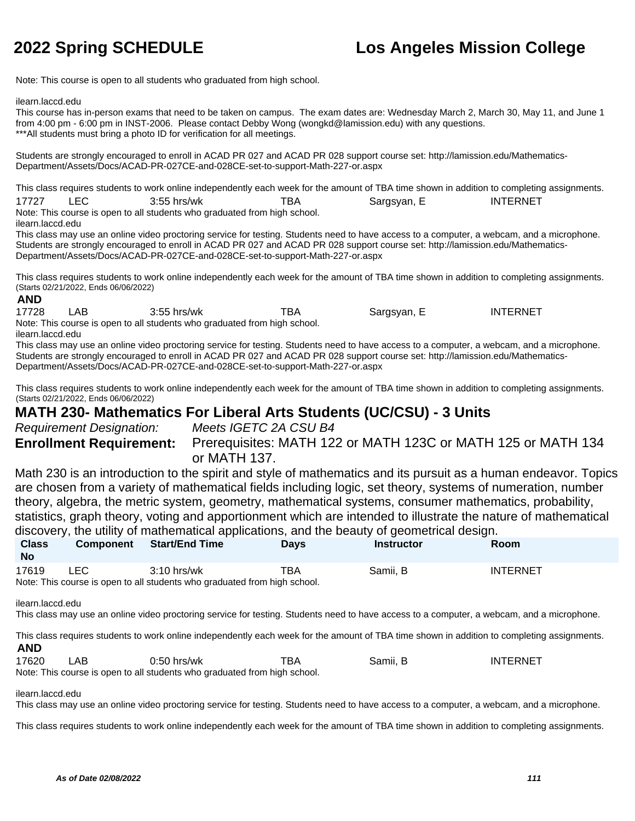Note: This course is open to all students who graduated from high school.

ilearn.laccd.edu

This course has in-person exams that need to be taken on campus. The exam dates are: Wednesday March 2, March 30, May 11, and June 1 from 4:00 pm - 6:00 pm in INST-2006. Please contact Debby Wong (wongkd@lamission.edu) with any questions. \*\*\*All students must bring a photo ID for verification for all meetings.

Students are strongly encouraged to enroll in ACAD PR 027 and ACAD PR 028 support course set: http://lamission.edu/Mathematics-Department/Assets/Docs/ACAD-PR-027CE-and-028CE-set-to-support-Math-227-or.aspx

This class requires students to work online independently each week for the amount of TBA time shown in addition to completing assignments. 17727 LEC 3:55 hrs/wk TBA Sargsyan, E INTERNET Note: This course is open to all students who graduated from high school.

ilearn.laccd.edu

This class may use an online video proctoring service for testing. Students need to have access to a computer, a webcam, and a microphone. Students are strongly encouraged to enroll in ACAD PR 027 and ACAD PR 028 support course set: http://lamission.edu/Mathematics-Department/Assets/Docs/ACAD-PR-027CE-and-028CE-set-to-support-Math-227-or.aspx

This class requires students to work online independently each week for the amount of TBA time shown in addition to completing assignments. (Starts 02/21/2022, Ends 06/06/2022) **AND**

#### 17728 LAB 3:55 hrs/wk TBA Sargsyan, E INTERNET Note: This course is open to all students who graduated from high school.

ilearn.laccd.edu

This class may use an online video proctoring service for testing. Students need to have access to a computer, a webcam, and a microphone. Students are strongly encouraged to enroll in ACAD PR 027 and ACAD PR 028 support course set: http://lamission.edu/Mathematics-Department/Assets/Docs/ACAD-PR-027CE-and-028CE-set-to-support-Math-227-or.aspx

This class requires students to work online independently each week for the amount of TBA time shown in addition to completing assignments. (Starts 02/21/2022, Ends 06/06/2022)

### **MATH 230- Mathematics For Liberal Arts Students (UC/CSU) - 3 Units**

Requirement Designation: Meets IGETC 2A CSU B4 **Enrollment Requirement:** Prerequisites: MATH 122 or MATH 123C or MATH 125 or MATH 134 or MATH 137.

Math 230 is an introduction to the spirit and style of mathematics and its pursuit as a human endeavor. Topics are chosen from a variety of mathematical fields including logic, set theory, systems of numeration, number theory, algebra, the metric system, geometry, mathematical systems, consumer mathematics, probability, statistics, graph theory, voting and apportionment which are intended to illustrate the nature of mathematical discovery, the utility of mathematical applications, and the beauty of geometrical design.

| <b>Class</b><br><b>No</b> | Component | Start/End Time                                                                             | <b>Davs</b> | <b>Instructor</b> | <b>Room</b>     |
|---------------------------|-----------|--------------------------------------------------------------------------------------------|-------------|-------------------|-----------------|
| 17619                     | LEC.      | $3:10$ hrs/wk<br>Note: This course is open to all students who graduated from high school. | TBA         | Samii, B          | <b>INTERNET</b> |

ilearn.laccd.edu

This class may use an online video proctoring service for testing. Students need to have access to a computer, a webcam, and a microphone.

This class requires students to work online independently each week for the amount of TBA time shown in addition to completing assignments. **AND**

17620 LAB 0:50 hrs/wk TBA Samii, B INTERNET Note: This course is open to all students who graduated from high school.

ilearn.laccd.edu

This class may use an online video proctoring service for testing. Students need to have access to a computer, a webcam, and a microphone.

This class requires students to work online independently each week for the amount of TBA time shown in addition to completing assignments.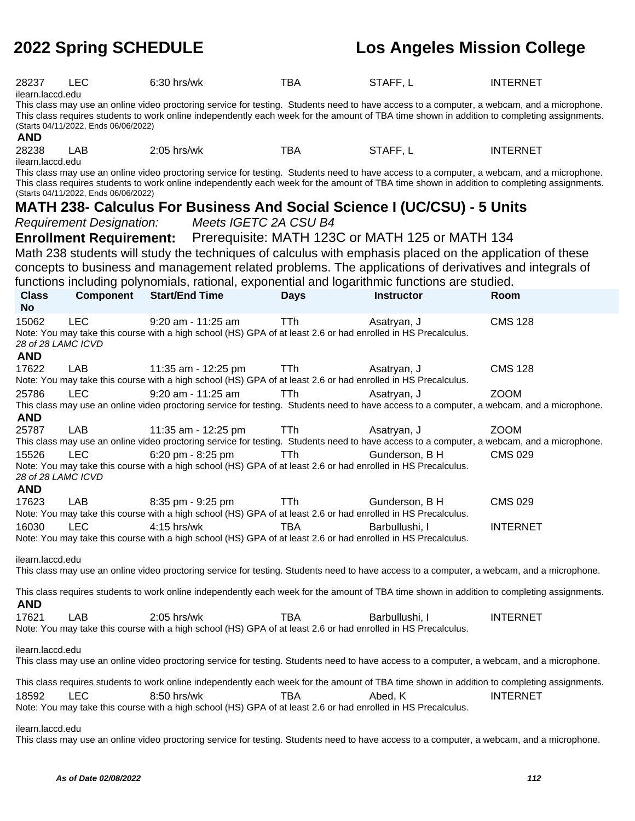| 28237                            | <b>LEC</b>                                                                                                                                 | 6:30 hrs/wk                                                                                                                                                                                                                                                                               | <b>TBA</b>  | STAFF, L                                        | <b>INTERNET</b> |  |  |
|----------------------------------|--------------------------------------------------------------------------------------------------------------------------------------------|-------------------------------------------------------------------------------------------------------------------------------------------------------------------------------------------------------------------------------------------------------------------------------------------|-------------|-------------------------------------------------|-----------------|--|--|
| ilearn.laccd.edu                 |                                                                                                                                            |                                                                                                                                                                                                                                                                                           |             |                                                 |                 |  |  |
|                                  |                                                                                                                                            | This class may use an online video proctoring service for testing. Students need to have access to a computer, a webcam, and a microphone.<br>This class requires students to work online independently each week for the amount of TBA time shown in addition to completing assignments. |             |                                                 |                 |  |  |
|                                  | (Starts 04/11/2022, Ends 06/06/2022)                                                                                                       |                                                                                                                                                                                                                                                                                           |             |                                                 |                 |  |  |
| <b>AND</b>                       |                                                                                                                                            |                                                                                                                                                                                                                                                                                           |             |                                                 |                 |  |  |
| 28238                            | LAB                                                                                                                                        | $2:05$ hrs/wk                                                                                                                                                                                                                                                                             | <b>TBA</b>  | STAFF, L                                        | <b>INTERNET</b> |  |  |
| ilearn.laccd.edu                 |                                                                                                                                            |                                                                                                                                                                                                                                                                                           |             |                                                 |                 |  |  |
|                                  |                                                                                                                                            | This class may use an online video proctoring service for testing. Students need to have access to a computer, a webcam, and a microphone.<br>This class requires students to work online independently each week for the amount of TBA time shown in addition to completing assignments. |             |                                                 |                 |  |  |
|                                  | (Starts 04/11/2022, Ends 06/06/2022)                                                                                                       |                                                                                                                                                                                                                                                                                           |             |                                                 |                 |  |  |
|                                  |                                                                                                                                            | MATH 238- Calculus For Business And Social Science I (UC/CSU) - 5 Units                                                                                                                                                                                                                   |             |                                                 |                 |  |  |
|                                  | <b>Requirement Designation:</b>                                                                                                            | Meets IGETC 2A CSU B4                                                                                                                                                                                                                                                                     |             |                                                 |                 |  |  |
|                                  | <b>Enrollment Requirement:</b>                                                                                                             |                                                                                                                                                                                                                                                                                           |             | Prerequisite: MATH 123C or MATH 125 or MATH 134 |                 |  |  |
|                                  |                                                                                                                                            | Math 238 students will study the techniques of calculus with emphasis placed on the application of these                                                                                                                                                                                  |             |                                                 |                 |  |  |
|                                  |                                                                                                                                            | concepts to business and management related problems. The applications of derivatives and integrals of                                                                                                                                                                                    |             |                                                 |                 |  |  |
|                                  |                                                                                                                                            | functions including polynomials, rational, exponential and logarithmic functions are studied.                                                                                                                                                                                             |             |                                                 |                 |  |  |
| <b>Class</b>                     | <b>Component</b>                                                                                                                           | <b>Start/End Time</b>                                                                                                                                                                                                                                                                     | <b>Days</b> | <b>Instructor</b>                               | Room            |  |  |
| <b>No</b>                        |                                                                                                                                            |                                                                                                                                                                                                                                                                                           |             |                                                 |                 |  |  |
| 15062                            | <b>LEC</b>                                                                                                                                 | 9:20 am - 11:25 am                                                                                                                                                                                                                                                                        | TTh         | Asatryan, J                                     | <b>CMS 128</b>  |  |  |
|                                  |                                                                                                                                            | Note: You may take this course with a high school (HS) GPA of at least 2.6 or had enrolled in HS Precalculus.                                                                                                                                                                             |             |                                                 |                 |  |  |
| 28 of 28 LAMC ICVD               |                                                                                                                                            |                                                                                                                                                                                                                                                                                           |             |                                                 |                 |  |  |
| <b>AND</b>                       |                                                                                                                                            |                                                                                                                                                                                                                                                                                           |             |                                                 |                 |  |  |
| 17622                            | LAB                                                                                                                                        | 11:35 am - 12:25 pm                                                                                                                                                                                                                                                                       | <b>TTh</b>  | Asatryan, J                                     | <b>CMS 128</b>  |  |  |
| 25786                            | <b>LEC</b>                                                                                                                                 | Note: You may take this course with a high school (HS) GPA of at least 2.6 or had enrolled in HS Precalculus.                                                                                                                                                                             |             |                                                 |                 |  |  |
|                                  |                                                                                                                                            | $9:20$ am - 11:25 am<br>This class may use an online video proctoring service for testing. Students need to have access to a computer, a webcam, and a microphone.                                                                                                                        | TTh         | Asatryan, J                                     | <b>ZOOM</b>     |  |  |
| <b>AND</b>                       |                                                                                                                                            |                                                                                                                                                                                                                                                                                           |             |                                                 |                 |  |  |
| 25787                            | <b>LAB</b>                                                                                                                                 | 11:35 am - 12:25 pm                                                                                                                                                                                                                                                                       | TTh         | Asatryan, J                                     | <b>ZOOM</b>     |  |  |
|                                  |                                                                                                                                            | This class may use an online video proctoring service for testing. Students need to have access to a computer, a webcam, and a microphone.                                                                                                                                                |             |                                                 |                 |  |  |
| 15526                            | <b>LEC</b>                                                                                                                                 | 6:20 pm - 8:25 pm                                                                                                                                                                                                                                                                         | TTh.        | Gunderson, B H                                  | <b>CMS 029</b>  |  |  |
|                                  |                                                                                                                                            | Note: You may take this course with a high school (HS) GPA of at least 2.6 or had enrolled in HS Precalculus.                                                                                                                                                                             |             |                                                 |                 |  |  |
| 28 of 28 LAMC ICVD<br><b>AND</b> |                                                                                                                                            |                                                                                                                                                                                                                                                                                           |             |                                                 |                 |  |  |
| 17623                            | LAB                                                                                                                                        | 8:35 pm - 9:25 pm                                                                                                                                                                                                                                                                         | <b>TTh</b>  | Gunderson, B H                                  | <b>CMS 029</b>  |  |  |
|                                  |                                                                                                                                            | Note: You may take this course with a high school (HS) GPA of at least 2.6 or had enrolled in HS Precalculus.                                                                                                                                                                             |             |                                                 |                 |  |  |
| 16030                            | <b>LEC</b>                                                                                                                                 | 4:15 hrs/wk                                                                                                                                                                                                                                                                               | <b>TBA</b>  | Barbullushi, I                                  | <b>INTERNET</b> |  |  |
|                                  |                                                                                                                                            | Note: You may take this course with a high school (HS) GPA of at least 2.6 or had enrolled in HS Precalculus.                                                                                                                                                                             |             |                                                 |                 |  |  |
|                                  |                                                                                                                                            |                                                                                                                                                                                                                                                                                           |             |                                                 |                 |  |  |
| ilearn.laccd.edu                 |                                                                                                                                            | This class may use an online video proctoring service for testing. Students need to have access to a computer, a webcam, and a microphone.                                                                                                                                                |             |                                                 |                 |  |  |
|                                  |                                                                                                                                            |                                                                                                                                                                                                                                                                                           |             |                                                 |                 |  |  |
|                                  |                                                                                                                                            | This class requires students to work online independently each week for the amount of TBA time shown in addition to completing assignments.                                                                                                                                               |             |                                                 |                 |  |  |
| <b>AND</b>                       |                                                                                                                                            |                                                                                                                                                                                                                                                                                           |             |                                                 |                 |  |  |
| 17621                            | LAB                                                                                                                                        | 2:05 hrs/wk<br>Note: You may take this course with a high school (HS) GPA of at least 2.6 or had enrolled in HS Precalculus.                                                                                                                                                              | <b>TBA</b>  | Barbullushi, I                                  | <b>INTERNET</b> |  |  |
|                                  |                                                                                                                                            |                                                                                                                                                                                                                                                                                           |             |                                                 |                 |  |  |
| ilearn.laccd.edu                 |                                                                                                                                            |                                                                                                                                                                                                                                                                                           |             |                                                 |                 |  |  |
|                                  | This class may use an online video proctoring service for testing. Students need to have access to a computer, a webcam, and a microphone. |                                                                                                                                                                                                                                                                                           |             |                                                 |                 |  |  |
|                                  |                                                                                                                                            | This class requires students to work online independently each week for the amount of TBA time shown in addition to completing assignments.                                                                                                                                               |             |                                                 |                 |  |  |
| 18592                            | <b>LEC</b>                                                                                                                                 | 8:50 hrs/wk                                                                                                                                                                                                                                                                               | <b>TBA</b>  | Abed, K                                         | <b>INTERNET</b> |  |  |
|                                  |                                                                                                                                            | Note: You may take this course with a high school (HS) GPA of at least 2.6 or had enrolled in HS Precalculus.                                                                                                                                                                             |             |                                                 |                 |  |  |
|                                  |                                                                                                                                            |                                                                                                                                                                                                                                                                                           |             |                                                 |                 |  |  |
| ilearn.laccd.edu                 |                                                                                                                                            |                                                                                                                                                                                                                                                                                           |             |                                                 |                 |  |  |

This class may use an online video proctoring service for testing. Students need to have access to a computer, a webcam, and a microphone.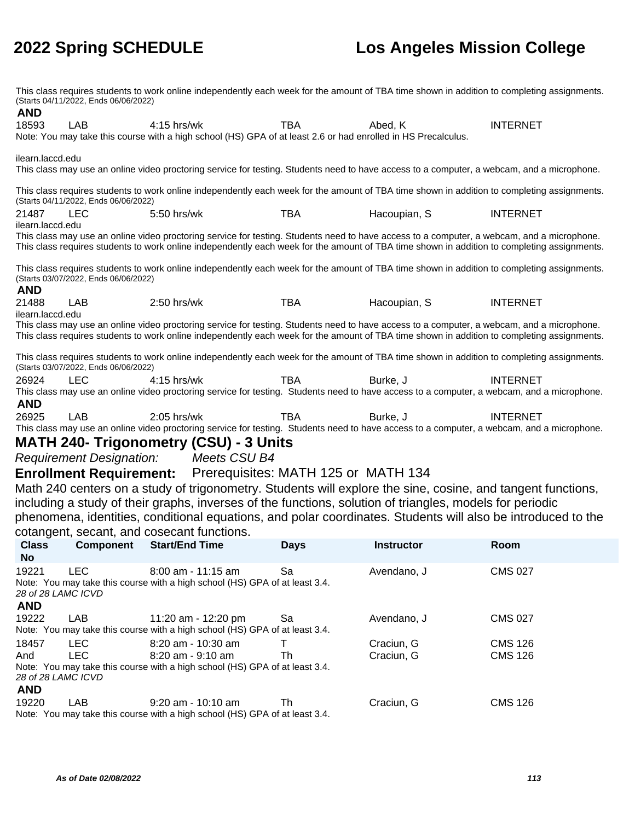This class requires students to work online independently each week for the amount of TBA time shown in addition to completing assignments. (Starts 04/11/2022, Ends 06/06/2022) **AND** 18593 LAB 4:15 hrs/wk TBA Abed, K INTERNET Note: You may take this course with a high school (HS) GPA of at least 2.6 or had enrolled in HS Precalculus. ilearn.laccd.edu This class may use an online video proctoring service for testing. Students need to have access to a computer, a webcam, and a microphone. This class requires students to work online independently each week for the amount of TBA time shown in addition to completing assignments. (Starts 04/11/2022, Ends 06/06/2022) 21487 LEC 5:50 hrs/wk TBA Hacoupian, S INTERNET ilearn.laccd.edu This class may use an online video proctoring service for testing. Students need to have access to a computer, a webcam, and a microphone. This class requires students to work online independently each week for the amount of TBA time shown in addition to completing assignments. This class requires students to work online independently each week for the amount of TBA time shown in addition to completing assignments. (Starts 03/07/2022, Ends 06/06/2022) **AND** 21488 LAB 2:50 hrs/wk TBA Hacoupian, S INTERNET ilearn.laccd.edu This class may use an online video proctoring service for testing. Students need to have access to a computer, a webcam, and a microphone. This class requires students to work online independently each week for the amount of TBA time shown in addition to completing assignments. This class requires students to work online independently each week for the amount of TBA time shown in addition to completing assignments. (Starts 03/07/2022, Ends 06/06/2022) 26924 LEC 4:15 hrs/wk TBA Burke, J INTERNET This class may use an online video proctoring service for testing. Students need to have access to a computer, a webcam, and a microphone. **AND** 26925 LAB 2:05 hrs/wk TBA Burke, J INTERNET This class may use an online video proctoring service for testing. Students need to have access to a computer, a webcam, and a microphone. **MATH 240- Trigonometry (CSU) - 3 Units** Requirement Designation: Meets CSU B4 **Enrollment Requirement:** Prerequisites: MATH 125 or MATH 134 Math 240 centers on a study of trigonometry. Students will explore the sine, cosine, and tangent functions, including a study of their graphs, inverses of the functions, solution of triangles, models for periodic phenomena, identities, conditional equations, and polar coordinates. Students will also be introduced to the cotangent, secant, and cosecant functions. **Class No Component Start/End Time Days Instructor Room** 19221 LEC 8:00 am - 11:15 am Sa Avendano, J CMS 027 Note: You may take this course with a high school (HS) GPA of at least 3.4. 28 of 28 LAMC ICVD **AND** 19222 LAB 11:20 am - 12:20 pm Sa Avendano, J CMS 027 Note: You may take this course with a high school (HS) GPA of at least 3.4. 18457 LEC 8:20 am - 10:30 am T Craciun, G CMS 126 And LEC 8:20 am - 9:10 am Th Craciun, G CMS 126 Note: You may take this course with a high school (HS) GPA of at least 3.4. 28 of 28 LAMC ICVD **AND** 19220 LAB 9:20 am - 10:10 am Th Craciun, G CMS 126 Note: You may take this course with a high school (HS) GPA of at least 3.4.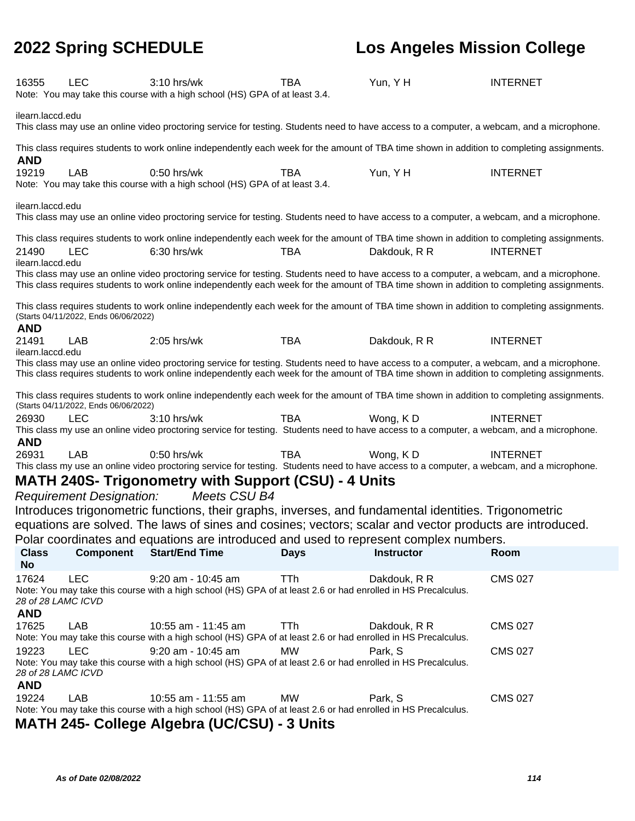| 16355                     | <b>LEC</b>                           | $3:10$ hrs/wk<br>Note: You may take this course with a high school (HS) GPA of at least 3.4.                                                                                                                                                                                              | <b>TBA</b>  | Yun, Y H          | <b>INTERNET</b> |
|---------------------------|--------------------------------------|-------------------------------------------------------------------------------------------------------------------------------------------------------------------------------------------------------------------------------------------------------------------------------------------|-------------|-------------------|-----------------|
| ilearn.laccd.edu          |                                      | This class may use an online video proctoring service for testing. Students need to have access to a computer, a webcam, and a microphone.                                                                                                                                                |             |                   |                 |
| <b>AND</b>                |                                      | This class requires students to work online independently each week for the amount of TBA time shown in addition to completing assignments.                                                                                                                                               |             |                   |                 |
| 19219                     | LAB                                  | $0:50$ hrs/wk<br>Note: You may take this course with a high school (HS) GPA of at least 3.4.                                                                                                                                                                                              | TBA         | Yun, YH           | <b>INTERNET</b> |
| ilearn.laccd.edu          |                                      | This class may use an online video proctoring service for testing. Students need to have access to a computer, a webcam, and a microphone.                                                                                                                                                |             |                   |                 |
|                           |                                      | This class requires students to work online independently each week for the amount of TBA time shown in addition to completing assignments.                                                                                                                                               |             |                   |                 |
| 21490<br>ilearn.laccd.edu | <b>LEC</b>                           | 6:30 hrs/wk                                                                                                                                                                                                                                                                               | TBA         | Dakdouk, R R      | <b>INTERNET</b> |
|                           |                                      | This class may use an online video proctoring service for testing. Students need to have access to a computer, a webcam, and a microphone.<br>This class requires students to work online independently each week for the amount of TBA time shown in addition to completing assignments. |             |                   |                 |
| <b>AND</b>                | (Starts 04/11/2022, Ends 06/06/2022) | This class requires students to work online independently each week for the amount of TBA time shown in addition to completing assignments.                                                                                                                                               |             |                   |                 |
| 21491<br>ilearn.laccd.edu | <b>LAB</b>                           | 2:05 hrs/wk                                                                                                                                                                                                                                                                               | <b>TBA</b>  | Dakdouk, R R      | <b>INTERNET</b> |
|                           |                                      | This class may use an online video proctoring service for testing. Students need to have access to a computer, a webcam, and a microphone.<br>This class requires students to work online independently each week for the amount of TBA time shown in addition to completing assignments. |             |                   |                 |
|                           | (Starts 04/11/2022, Ends 06/06/2022) | This class requires students to work online independently each week for the amount of TBA time shown in addition to completing assignments.                                                                                                                                               |             |                   |                 |
| 26930                     | <b>LEC</b>                           | 3:10 hrs/wk                                                                                                                                                                                                                                                                               | <b>TBA</b>  | Wong, KD          | <b>INTERNET</b> |
|                           |                                      | This class my use an online video proctoring service for testing. Students need to have access to a computer, a webcam, and a microphone.                                                                                                                                                 |             |                   |                 |
| <b>AND</b>                |                                      |                                                                                                                                                                                                                                                                                           |             |                   |                 |
| 26931                     | <b>LAB</b>                           | $0:50$ hrs/wk                                                                                                                                                                                                                                                                             | <b>TBA</b>  | Wong, KD          | <b>INTERNET</b> |
|                           |                                      | This class my use an online video proctoring service for testing. Students need to have access to a computer, a webcam, and a microphone.                                                                                                                                                 |             |                   |                 |
|                           |                                      | <b>MATH 240S- Trigonometry with Support (CSU) - 4 Units</b>                                                                                                                                                                                                                               |             |                   |                 |
|                           | <b>Requirement Designation:</b>      | Meets CSU B4                                                                                                                                                                                                                                                                              |             |                   |                 |
|                           |                                      | Introduces trigonometric functions, their graphs, inverses, and fundamental identities. Trigonometric                                                                                                                                                                                     |             |                   |                 |
|                           |                                      | equations are solved. The laws of sines and cosines; vectors; scalar and vector products are introduced.                                                                                                                                                                                  |             |                   |                 |
|                           |                                      | Polar coordinates and equations are introduced and used to represent complex numbers.                                                                                                                                                                                                     |             |                   |                 |
| <b>Class</b>              | <b>Component</b>                     | <b>Start/End Time</b>                                                                                                                                                                                                                                                                     | <b>Days</b> | <b>Instructor</b> | Room            |
| <b>No</b>                 |                                      |                                                                                                                                                                                                                                                                                           |             |                   |                 |
| 17624                     | <b>LEC</b>                           | 9:20 am - 10:45 am<br>Note: You may take this course with a high school (HS) GPA of at least 2.6 or had enrolled in HS Precalculus.                                                                                                                                                       | <b>TTh</b>  | Dakdouk, R R      | <b>CMS 027</b>  |
| <b>AND</b>                | 28 of 28 LAMC ICVD                   |                                                                                                                                                                                                                                                                                           |             |                   |                 |
| 17625                     | LAB                                  | 10:55 am - 11:45 am<br>Note: You may take this course with a high school (HS) GPA of at least 2.6 or had enrolled in HS Precalculus.                                                                                                                                                      | <b>TTh</b>  | Dakdouk, R R      | <b>CMS 027</b>  |
| 19223                     | <b>LEC</b>                           | 9:20 am - 10:45 am                                                                                                                                                                                                                                                                        | <b>MW</b>   | Park, S           | <b>CMS 027</b>  |
|                           | 28 of 28 LAMC ICVD                   | Note: You may take this course with a high school (HS) GPA of at least 2.6 or had enrolled in HS Precalculus.                                                                                                                                                                             |             |                   |                 |
| <b>AND</b>                |                                      |                                                                                                                                                                                                                                                                                           |             |                   |                 |
| 19224                     | LAB                                  | 10:55 am - 11:55 am<br>Note: You may take this course with a high school (HS) GPA of at least 2.6 or had enrolled in HS Precalculus.                                                                                                                                                      | <b>MW</b>   | Park, S           | <b>CMS 027</b>  |
|                           |                                      | MATH 245 Colloge Algebra (UCICCII) 2 Unite                                                                                                                                                                                                                                                |             |                   |                 |

**MATH 245- College Algebra (UC/CSU) - 3 Units**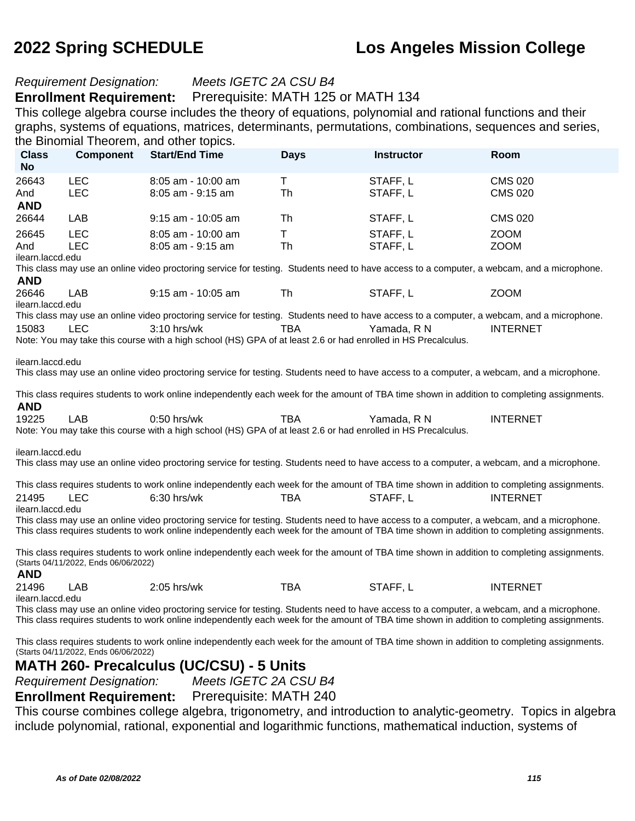#### Requirement Designation: Meets IGETC 2A CSU B4

#### **Enrollment Requirement:** Prerequisite: MATH 125 or MATH 134

This college algebra course includes the theory of equations, polynomial and rational functions and their graphs, systems of equations, matrices, determinants, permutations, combinations, sequences and series, the Binomial Theorem, and other topics.

| <b>Class</b><br><b>No</b>                                                                                                                                                           | <b>Component</b>                                                                                                                                                                                                                                                                          | <b>THEOLOGY</b> , and other topic<br><b>Start/End Time</b>                                                                                                                                                                                                                                | <b>Days</b> | <b>Instructor</b>    | Room                       |  |  |
|-------------------------------------------------------------------------------------------------------------------------------------------------------------------------------------|-------------------------------------------------------------------------------------------------------------------------------------------------------------------------------------------------------------------------------------------------------------------------------------------|-------------------------------------------------------------------------------------------------------------------------------------------------------------------------------------------------------------------------------------------------------------------------------------------|-------------|----------------------|----------------------------|--|--|
| 26643                                                                                                                                                                               | <b>LEC</b>                                                                                                                                                                                                                                                                                | 8:05 am - 10:00 am                                                                                                                                                                                                                                                                        | Τ           | STAFF, L             | <b>CMS 020</b>             |  |  |
| And                                                                                                                                                                                 | <b>LEC</b>                                                                                                                                                                                                                                                                                | $8:05$ am - $9:15$ am                                                                                                                                                                                                                                                                     | Th          | STAFF, L             | <b>CMS 020</b>             |  |  |
| <b>AND</b>                                                                                                                                                                          |                                                                                                                                                                                                                                                                                           |                                                                                                                                                                                                                                                                                           |             |                      |                            |  |  |
| 26644                                                                                                                                                                               | LAB                                                                                                                                                                                                                                                                                       | 9:15 am - 10:05 am                                                                                                                                                                                                                                                                        | Th          | STAFF, L             | <b>CMS 020</b>             |  |  |
| 26645<br>And                                                                                                                                                                        | <b>LEC</b><br><b>LEC</b>                                                                                                                                                                                                                                                                  | 8:05 am - 10:00 am<br>$8:05$ am - $9:15$ am                                                                                                                                                                                                                                               | T<br>Th     | STAFF, L<br>STAFF, L | <b>ZOOM</b><br><b>ZOOM</b> |  |  |
| ilearn.laccd.edu                                                                                                                                                                    |                                                                                                                                                                                                                                                                                           |                                                                                                                                                                                                                                                                                           |             |                      |                            |  |  |
| <b>AND</b>                                                                                                                                                                          |                                                                                                                                                                                                                                                                                           | This class may use an online video proctoring service for testing. Students need to have access to a computer, a webcam, and a microphone.                                                                                                                                                |             |                      |                            |  |  |
| 26646                                                                                                                                                                               | LAB                                                                                                                                                                                                                                                                                       | $9:15$ am - $10:05$ am                                                                                                                                                                                                                                                                    | Th          | STAFF, L             | <b>ZOOM</b>                |  |  |
| ilearn.laccd.edu                                                                                                                                                                    |                                                                                                                                                                                                                                                                                           | This class may use an online video proctoring service for testing. Students need to have access to a computer, a webcam, and a microphone.                                                                                                                                                |             |                      |                            |  |  |
| 15083                                                                                                                                                                               | <b>LEC</b>                                                                                                                                                                                                                                                                                | $3:10$ hrs/wk                                                                                                                                                                                                                                                                             | TBA         | Yamada, R N          | <b>INTERNET</b>            |  |  |
|                                                                                                                                                                                     |                                                                                                                                                                                                                                                                                           | Note: You may take this course with a high school (HS) GPA of at least 2.6 or had enrolled in HS Precalculus.                                                                                                                                                                             |             |                      |                            |  |  |
| ilearn.laccd.edu                                                                                                                                                                    |                                                                                                                                                                                                                                                                                           | This class may use an online video proctoring service for testing. Students need to have access to a computer, a webcam, and a microphone.<br>This class requires students to work online independently each week for the amount of TBA time shown in addition to completing assignments. |             |                      |                            |  |  |
| <b>AND</b><br>19225                                                                                                                                                                 | LAB                                                                                                                                                                                                                                                                                       | 0:50 hrs/wk                                                                                                                                                                                                                                                                               | TBA         | Yamada, R N          | <b>INTERNET</b>            |  |  |
|                                                                                                                                                                                     |                                                                                                                                                                                                                                                                                           | Note: You may take this course with a high school (HS) GPA of at least 2.6 or had enrolled in HS Precalculus.                                                                                                                                                                             |             |                      |                            |  |  |
| ilearn.laccd.edu                                                                                                                                                                    |                                                                                                                                                                                                                                                                                           | This class may use an online video proctoring service for testing. Students need to have access to a computer, a webcam, and a microphone.<br>This class requires students to work online independently each week for the amount of TBA time shown in addition to completing assignments. |             |                      |                            |  |  |
| 21495                                                                                                                                                                               | <b>LEC</b>                                                                                                                                                                                                                                                                                | $6:30$ hrs/wk                                                                                                                                                                                                                                                                             | TBA         | STAFF, L             | <b>INTERNET</b>            |  |  |
| ilearn.laccd.edu                                                                                                                                                                    |                                                                                                                                                                                                                                                                                           |                                                                                                                                                                                                                                                                                           |             |                      |                            |  |  |
|                                                                                                                                                                                     |                                                                                                                                                                                                                                                                                           | This class may use an online video proctoring service for testing. Students need to have access to a computer, a webcam, and a microphone.<br>This class requires students to work online independently each week for the amount of TBA time shown in addition to completing assignments. |             |                      |                            |  |  |
| <b>AND</b>                                                                                                                                                                          | (Starts 04/11/2022, Ends 06/06/2022)                                                                                                                                                                                                                                                      | This class requires students to work online independently each week for the amount of TBA time shown in addition to completing assignments.                                                                                                                                               |             |                      |                            |  |  |
| 21496                                                                                                                                                                               | LAB                                                                                                                                                                                                                                                                                       | 2:05 hrs/wk                                                                                                                                                                                                                                                                               | <b>TBA</b>  | STAFF, L             | <b>INTERNET</b>            |  |  |
| ilearn.laccd.edu                                                                                                                                                                    |                                                                                                                                                                                                                                                                                           |                                                                                                                                                                                                                                                                                           |             |                      |                            |  |  |
|                                                                                                                                                                                     | This class may use an online video proctoring service for testing. Students need to have access to a computer, a webcam, and a microphone.<br>This class requires students to work online independently each week for the amount of TBA time shown in addition to completing assignments. |                                                                                                                                                                                                                                                                                           |             |                      |                            |  |  |
| This class requires students to work online independently each week for the amount of TBA time shown in addition to completing assignments.<br>(Starts 04/11/2022, Ends 06/06/2022) |                                                                                                                                                                                                                                                                                           |                                                                                                                                                                                                                                                                                           |             |                      |                            |  |  |
| MATH 260- Precalculus (UC/CSU) - 5 Units                                                                                                                                            |                                                                                                                                                                                                                                                                                           |                                                                                                                                                                                                                                                                                           |             |                      |                            |  |  |
|                                                                                                                                                                                     | Meets IGETC 2A CSU B4<br><b>Requirement Designation:</b>                                                                                                                                                                                                                                  |                                                                                                                                                                                                                                                                                           |             |                      |                            |  |  |

**Enrollment Requirement:** Prerequisite: MATH 240

This course combines college algebra, trigonometry, and introduction to analytic-geometry. Topics in algebra include polynomial, rational, exponential and logarithmic functions, mathematical induction, systems of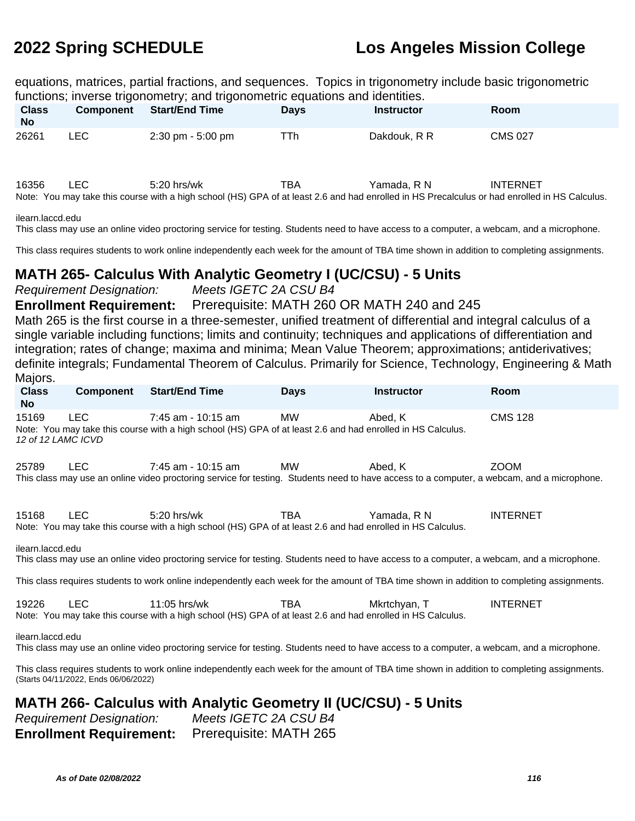equations, matrices, partial fractions, and sequences. Topics in trigonometry include basic trigonometric functions; inverse trigonometry; and trigonometric equations and identities.

| <b>Class</b><br><b>No</b> | <b>Component</b> | <b>Start/End Time</b>                                                                                                                                          | <b>Davs</b> | <b>Instructor</b> | <b>Room</b>     |
|---------------------------|------------------|----------------------------------------------------------------------------------------------------------------------------------------------------------------|-------------|-------------------|-----------------|
| 26261                     | LEC.             | $2:30 \text{ pm} - 5:00 \text{ pm}$                                                                                                                            | TTh         | Dakdouk, R R      | <b>CMS 027</b>  |
| 16356                     | LEC.             | $5:20$ hrs/wk<br>Note: You may take this course with a high school (HS) GPA of at least 2.6 and had enrolled in HS Precalculus or had enrolled in HS Calculus. | TBA         | Yamada. R N       | <b>INTERNET</b> |

ilearn.laccd.edu

This class may use an online video proctoring service for testing. Students need to have access to a computer, a webcam, and a microphone.

This class requires students to work online independently each week for the amount of TBA time shown in addition to completing assignments.

#### **MATH 265- Calculus With Analytic Geometry I (UC/CSU) - 5 Units**

Requirement Designation: Meets IGETC 2A CSU B4

**Enrollment Requirement:** Prerequisite: MATH 260 OR MATH 240 and 245

Math 265 is the first course in a three-semester, unified treatment of differential and integral calculus of a single variable including functions; limits and continuity; techniques and applications of differentiation and integration; rates of change; maxima and minima; Mean Value Theorem; approximations; antiderivatives; definite integrals; Fundamental Theorem of Calculus. Primarily for Science, Technology, Engineering & Math Majors.

| <b>Class</b><br><b>No</b>                                                                                                                   | <b>Component</b>                                                                                                                                               | <b>Start/End Time</b>                                                                                                                                            | <b>Days</b> | <b>Instructor</b> | Room            |  |  |
|---------------------------------------------------------------------------------------------------------------------------------------------|----------------------------------------------------------------------------------------------------------------------------------------------------------------|------------------------------------------------------------------------------------------------------------------------------------------------------------------|-------------|-------------------|-----------------|--|--|
| 15169<br>12 of 12 LAMC ICVD                                                                                                                 | <b>LEC</b>                                                                                                                                                     | 7:45 am - 10:15 am<br>Note: You may take this course with a high school (HS) GPA of at least 2.6 and had enrolled in HS Calculus.                                | MW          | Abed, K           | <b>CMS 128</b>  |  |  |
| 25789                                                                                                                                       | LEC.                                                                                                                                                           | 7:45 am - 10:15 am<br>This class may use an online video proctoring service for testing. Students need to have access to a computer, a webcam, and a microphone. | MW          | Abed, K           | <b>ZOOM</b>     |  |  |
| 15168<br>ilearn.laccd.edu                                                                                                                   | LEC.                                                                                                                                                           | 5:20 hrs/wk<br>Note: You may take this course with a high school (HS) GPA of at least 2.6 and had enrolled in HS Calculus.                                       | <b>TBA</b>  | Yamada, R N       | <b>INTERNET</b> |  |  |
|                                                                                                                                             |                                                                                                                                                                | This class may use an online video proctoring service for testing. Students need to have access to a computer, a webcam, and a microphone.                       |             |                   |                 |  |  |
| This class requires students to work online independently each week for the amount of TBA time shown in addition to completing assignments. |                                                                                                                                                                |                                                                                                                                                                  |             |                   |                 |  |  |
| 19226                                                                                                                                       | LEC.                                                                                                                                                           | 11:05 hrs/wk<br>Note: You may take this course with a high school (HS) GPA of at least 2.6 and had enrolled in HS Calculus.                                      | TBA         | Mkrtchyan, T      | <b>INTERNET</b> |  |  |
|                                                                                                                                             | ilearn.laccd.edu<br>This class may use an online video proctoring service for testing. Students need to have access to a computer, a webcam, and a microphone. |                                                                                                                                                                  |             |                   |                 |  |  |

This class requires students to work online independently each week for the amount of TBA time shown in addition to completing assignments. (Starts 04/11/2022, Ends 06/06/2022)

### **MATH 266- Calculus with Analytic Geometry II (UC/CSU) - 5 Units**

| <b>Requirement Designation:</b> | Meets IGETC 2A CSU B4  |
|---------------------------------|------------------------|
| <b>Enrollment Requirement:</b>  | Prerequisite: MATH 265 |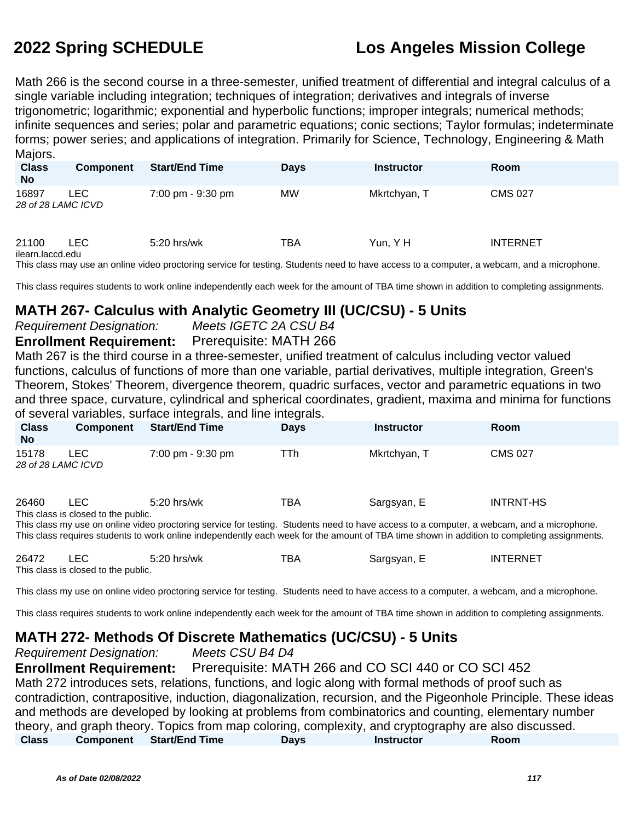Math 266 is the second course in a three-semester, unified treatment of differential and integral calculus of a single variable including integration; techniques of integration; derivatives and integrals of inverse trigonometric; logarithmic; exponential and hyperbolic functions; improper integrals; numerical methods; infinite sequences and series; polar and parametric equations; conic sections; Taylor formulas; indeterminate forms; power series; and applications of integration. Primarily for Science, Technology, Engineering & Math Majors.

| <b>Class</b><br><b>No</b>   | Component | <b>Start/End Time</b> | <b>Days</b> | <b>Instructor</b> | <b>Room</b>     |
|-----------------------------|-----------|-----------------------|-------------|-------------------|-----------------|
| 16897<br>28 of 28 LAMC ICVD | LEC.      | 7:00 pm - 9:30 pm     | MW          | Mkrtchyan, T      | <b>CMS 027</b>  |
| 21100<br>ilearn.laccd.edu   | LEC.      | 5:20 hrs/wk           | TBA         | Yun, Y H          | <b>INTERNET</b> |

This class may use an online video proctoring service for testing. Students need to have access to a computer, a webcam, and a microphone.

This class requires students to work online independently each week for the amount of TBA time shown in addition to completing assignments.

### **MATH 267- Calculus with Analytic Geometry III (UC/CSU) - 5 Units**

Requirement Designation: Meets IGETC 2A CSU B4

**Enrollment Requirement:** Prerequisite: MATH 266

Math 267 is the third course in a three-semester, unified treatment of calculus including vector valued functions, calculus of functions of more than one variable, partial derivatives, multiple integration, Green's Theorem, Stokes' Theorem, divergence theorem, quadric surfaces, vector and parametric equations in two and three space, curvature, cylindrical and spherical coordinates, gradient, maxima and minima for functions of several variables, surface integrals, and line integrals.

| <b>Class</b><br><b>No</b>   | <b>Component</b>                            | <b>Start/End Time</b>                                                                                                                                                                                                                                                                                     | <b>Days</b> | <b>Instructor</b> | <b>Room</b>      |
|-----------------------------|---------------------------------------------|-----------------------------------------------------------------------------------------------------------------------------------------------------------------------------------------------------------------------------------------------------------------------------------------------------------|-------------|-------------------|------------------|
| 15178<br>28 of 28 LAMC ICVD | LEC.                                        | 7:00 pm - 9:30 pm                                                                                                                                                                                                                                                                                         | TTh         | Mkrtchyan, T      | <b>CMS 027</b>   |
| 26460                       | LEC.<br>This class is closed to the public. | $5:20$ hrs/wk<br>This class my use on online video proctoring service for testing. Students need to have access to a computer, a webcam, and a microphone.<br>This class requires students to work online independently each week for the amount of TBA time shown in addition to completing assignments. | TBA         | Sargsyan, E       | <b>INTRNT-HS</b> |

| 26472 |                                     | $5:20$ hrs/wk | TBA | Sargsyan, E | <b>INTERNET</b> |
|-------|-------------------------------------|---------------|-----|-------------|-----------------|
|       | This class is closed to the public. |               |     |             |                 |

This class my use on online video proctoring service for testing. Students need to have access to a computer, a webcam, and a microphone.

This class requires students to work online independently each week for the amount of TBA time shown in addition to completing assignments.

### **MATH 272- Methods Of Discrete Mathematics (UC/CSU) - 5 Units**

Requirement Designation: Meets CSU B4 D4

**Enrollment Requirement:** Prerequisite: MATH 266 and CO SCI 440 or CO SCI 452 Math 272 introduces sets, relations, functions, and logic along with formal methods of proof such as contradiction, contrapositive, induction, diagonalization, recursion, and the Pigeonhole Principle. These ideas and methods are developed by looking at problems from combinatorics and counting, elementary number theory, and graph theory. Topics from map coloring, complexity, and cryptography are also discussed. **Class Component Start/End Time Days Instructor Room**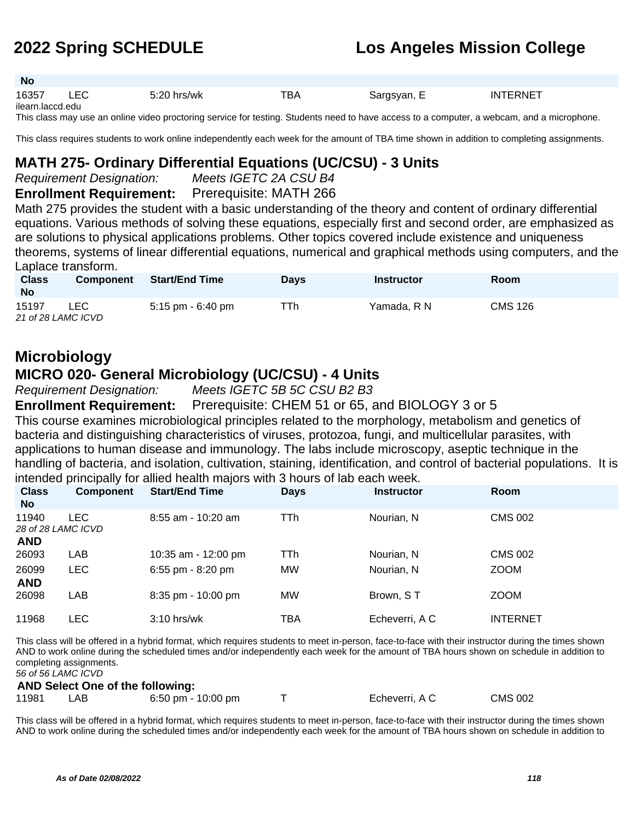| - IVO             |     |               |     |             |          |  |
|-------------------|-----|---------------|-----|-------------|----------|--|
| 16357             | LEC | $5:20$ hrs/wk | TBA | Sargsyan, E | INTERNET |  |
| ilearn laccd edu. |     |               |     |             |          |  |

This class may use an online video proctoring service for testing. Students need to have access to a computer, a webcam, and a microphone.

This class requires students to work online independently each week for the amount of TBA time shown in addition to completing assignments.

#### **MATH 275- Ordinary Differential Equations (UC/CSU) - 3 Units**

**No**

Requirement Designation: Meets IGETC 2A CSU B4

**Enrollment Requirement:** Prerequisite: MATH 266

Math 275 provides the student with a basic understanding of the theory and content of ordinary differential equations. Various methods of solving these equations, especially first and second order, are emphasized as are solutions to physical applications problems. Other topics covered include existence and uniqueness theorems, systems of linear differential equations, numerical and graphical methods using computers, and the Laplace transform.

| <b>Class</b><br><b>No</b>   | <b>Component</b> | <b>Start/End Time</b> | <b>Davs</b> | Instructor  | <b>Room</b>    |
|-----------------------------|------------------|-----------------------|-------------|-------------|----------------|
| 15197<br>21 of 28 LAMC ICVD | LEC.             | $5:15$ pm - $6:40$ pm | TTh.        | Yamada. R N | <b>CMS 126</b> |

# **Microbiology**

#### **MICRO 020- General Microbiology (UC/CSU) - 4 Units**

Requirement Designation: Meets IGETC 5B 5C CSU B2 B3

**Enrollment Requirement:** Prerequisite: CHEM 51 or 65, and BIOLOGY 3 or 5

This course examines microbiological principles related to the morphology, metabolism and genetics of bacteria and distinguishing characteristics of viruses, protozoa, fungi, and multicellular parasites, with applications to human disease and immunology. The labs include microscopy, aseptic technique in the handling of bacteria, and isolation, cultivation, staining, identification, and control of bacterial populations. It is intended principally for allied health majors with 3 hours of lab each week.

| <b>Class</b><br><b>No</b>   | <b>Component</b> | <b>Start/End Time</b> | <b>Days</b> | <b>Instructor</b> | Room            |
|-----------------------------|------------------|-----------------------|-------------|-------------------|-----------------|
| 11940<br>28 of 28 LAMC ICVD | LEC              | $8:55$ am - 10:20 am  | <b>TTh</b>  | Nourian, N        | <b>CMS 002</b>  |
| <b>AND</b>                  |                  |                       |             |                   |                 |
| 26093                       | LAB              | 10:35 am - 12:00 pm   | TTh         | Nourian, N        | <b>CMS 002</b>  |
| 26099<br><b>AND</b>         | <b>LEC</b>       | $6:55$ pm - $8:20$ pm | <b>MW</b>   | Nourian, N        | <b>ZOOM</b>     |
| 26098                       | LAB              | $8:35$ pm - 10:00 pm  | <b>MW</b>   | Brown, ST         | <b>ZOOM</b>     |
| 11968                       | LEC              | $3:10$ hrs/wk         | TBA         | Echeverri, A C    | <b>INTERNET</b> |

This class will be offered in a hybrid format, which requires students to meet in-person, face-to-face with their instructor during the times shown AND to work online during the scheduled times and/or independently each week for the amount of TBA hours shown on schedule in addition to completing assignments.

56 of 56 LAMC ICVD

| <b>AND Select One of the following:</b> |     |                    |  |                |                |  |  |
|-----------------------------------------|-----|--------------------|--|----------------|----------------|--|--|
| 11981                                   | ∟AB | 6:50 pm - 10:00 pm |  | Echeverri. A C | <b>CMS 002</b> |  |  |

This class will be offered in a hybrid format, which requires students to meet in-person, face-to-face with their instructor during the times shown AND to work online during the scheduled times and/or independently each week for the amount of TBA hours shown on schedule in addition to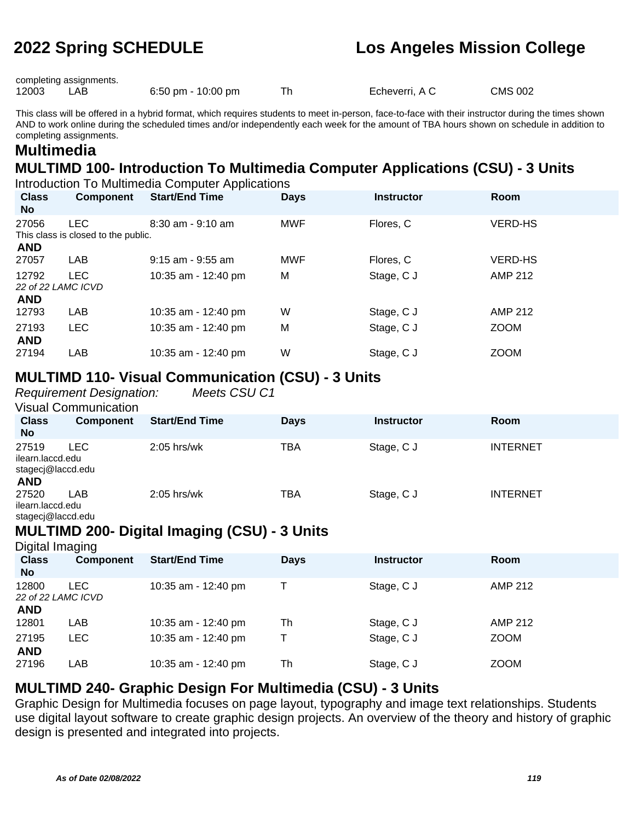completing assignments.

12003 LAB 6:50 pm - 10:00 pm Th Echeverri, A C CMS 002

This class will be offered in a hybrid format, which requires students to meet in-person, face-to-face with their instructor during the times shown AND to work online during the scheduled times and/or independently each week for the amount of TBA hours shown on schedule in addition to completing assignments.

# **Multimedia**

# **MULTIMD 100- Introduction To Multimedia Computer Applications (CSU) - 3 Units**

Introduction To Multimedia Computer Applications

| <b>Class</b><br>No.         | <b>Component</b>                                  | <b>Start/End Time</b> | <b>Days</b> | <b>Instructor</b> | Room           |
|-----------------------------|---------------------------------------------------|-----------------------|-------------|-------------------|----------------|
| 27056<br><b>AND</b>         | <b>LEC</b><br>This class is closed to the public. | $8:30$ am - $9:10$ am | <b>MWF</b>  | Flores, C         | <b>VERD-HS</b> |
| 27057                       | <b>LAB</b>                                        | $9:15$ am - $9:55$ am | <b>MWF</b>  | Flores, C         | <b>VERD-HS</b> |
| 12792<br>22 of 22 LAMC ICVD | <b>LEC</b>                                        | 10:35 am - 12:40 pm   | M           | Stage, C J        | AMP 212        |
| <b>AND</b>                  |                                                   |                       |             |                   |                |
| 12793                       | LAB                                               | 10:35 am - 12:40 pm   | W           | Stage, C J        | <b>AMP 212</b> |
| 27193<br><b>AND</b>         | <b>LEC</b>                                        | 10:35 am - 12:40 pm   | M           | Stage, C J        | <b>ZOOM</b>    |
| 27194                       | LAB                                               | 10:35 am - 12:40 pm   | W           | Stage, C J        | <b>ZOOM</b>    |

#### **MULTIMD 110- Visual Communication (CSU) - 3 Units**

Requirement Designation: Meets CSU C1 Visual Communication

|                                                              | <u>VIƏYAL OVIIIIININGINII</u> |                       |             |                   |                 |
|--------------------------------------------------------------|-------------------------------|-----------------------|-------------|-------------------|-----------------|
| <b>Class</b><br><b>No</b>                                    | <b>Component</b>              | <b>Start/End Time</b> | <b>Days</b> | <b>Instructor</b> | <b>Room</b>     |
| 27519<br>ilearn.laccd.edu<br>stagecj@laccd.edu<br><b>AND</b> | LEC                           | $2:05$ hrs/wk         | ТВА         | Stage, C J        | <b>INTERNET</b> |
| 27520<br>ilearn.laccd.edu<br>stageci@laccd.edu               | LAB                           | $2:05$ hrs/wk         | ТВА         | Stage, C J        | <b>INTERNET</b> |

#### **MULTIMD 200- Digital Imaging (CSU) - 3 Units**

Digital Imaging

| <b>Class</b><br><b>No</b> | <b>Component</b>          | <b>Start/End Time</b> | <b>Days</b> | <b>Instructor</b> | <b>Room</b> |  |
|---------------------------|---------------------------|-----------------------|-------------|-------------------|-------------|--|
| 12800<br><b>AND</b>       | LEC<br>22 of 22 LAMC ICVD | 10:35 am - 12:40 pm   |             | Stage, C J        | AMP 212     |  |
| 12801                     | LAB                       | 10:35 am - 12:40 pm   | Th          | Stage, C J        | AMP 212     |  |
| 27195<br><b>AND</b>       | LEC.                      | 10:35 am - 12:40 pm   |             | Stage, C J        | <b>ZOOM</b> |  |
| 27196                     | LAB                       | 10:35 am - 12:40 pm   | Th          | Stage, C J        | <b>ZOOM</b> |  |

### **MULTIMD 240- Graphic Design For Multimedia (CSU) - 3 Units**

Graphic Design for Multimedia focuses on page layout, typography and image text relationships. Students use digital layout software to create graphic design projects. An overview of the theory and history of graphic design is presented and integrated into projects.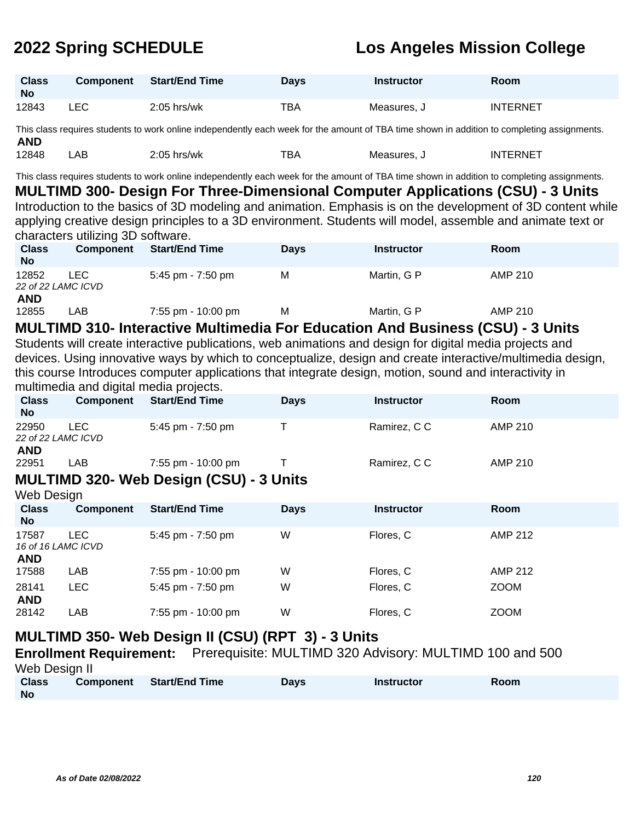| <b>Class</b><br><b>No</b> | <b>Component</b> | <b>Start/End Time</b> | Days | <b>Instructor</b> | <b>Room</b>     |
|---------------------------|------------------|-----------------------|------|-------------------|-----------------|
| 12843                     | ∟EC              | $2:05$ hrs/wk         | TBA  | Measures, J       | <b>INTERNET</b> |

This class requires students to work online independently each week for the amount of TBA time shown in addition to completing assignments. **AND** 12848 LAB 2:05 hrs/wk TBA Measures, J INTERNET

This class requires students to work online independently each week for the amount of TBA time shown in addition to completing assignments. **MULTIMD 300- Design For Three-Dimensional Computer Applications (CSU) - 3 Units** Introduction to the basics of 3D modeling and animation. Emphasis is on the development of 3D content while

applying creative design principles to a 3D environment. Students will model, assemble and animate text or characters utilizing 3D software.

| <b>Class</b><br><b>No</b>   | <b>Component</b> | <b>Start/End Time</b> | Days | <b>Instructor</b> | <b>Room</b> |  |
|-----------------------------|------------------|-----------------------|------|-------------------|-------------|--|
| 12852<br>22 of 22 LAMC ICVD | LEC.             | 5:45 pm - 7:50 pm     | м    | Martin, G P       | AMP 210     |  |
| <b>AND</b><br>12855         | ∟AB              | 7:55 pm - 10:00 pm    | м    | Martin, G P       | AMP 210     |  |

#### **MULTIMD 310- Interactive Multimedia For Education And Business (CSU) - 3 Units**

Students will create interactive publications, web animations and design for digital media projects and devices. Using innovative ways by which to conceptualize, design and create interactive/multimedia design, this course Introduces computer applications that integrate design, motion, sound and interactivity in multimedia and digital media projects.

| <b>Class</b><br><b>No</b>   | Component | <b>Start/End Time</b>                          | <b>Days</b> | <b>Instructor</b> | Room    |
|-----------------------------|-----------|------------------------------------------------|-------------|-------------------|---------|
| 22950<br>22 of 22 LAMC ICVD | LEC.      | $5:45$ pm - $7:50$ pm                          |             | Ramirez, C C      | AMP 210 |
| <b>AND</b><br>22951         | LAB       | 7:55 pm - 10:00 pm                             |             | Ramirez, C C      | AMP 210 |
| Web Design                  |           | <b>MULTIMD 320- Web Design (CSU) - 3 Units</b> |             |                   |         |

| <b>Class</b><br><b>No</b>   | <b>Component</b> | <b>Start/End Time</b> | <b>Days</b> | <b>Instructor</b> | Room           |
|-----------------------------|------------------|-----------------------|-------------|-------------------|----------------|
| 17587<br>16 of 16 LAMC ICVD | LEC              | 5:45 pm - $7:50$ pm   | W           | Flores, C         | AMP 212        |
| <b>AND</b>                  |                  |                       |             |                   |                |
| 17588                       | LAB              | 7:55 pm - 10:00 pm    | W           | Flores, C         | <b>AMP 212</b> |
| 28141<br><b>AND</b>         | LEC              | 5:45 pm - 7:50 pm     | W           | Flores, C         | <b>ZOOM</b>    |
| 28142                       | <b>LAB</b>       | 7:55 pm - 10:00 pm    | W           | Flores, C         | <b>ZOOM</b>    |

### **MULTIMD 350- Web Design II (CSU) (RPT 3) - 3 Units**

**Enrollment Requirement:** Prerequisite: MULTIMD 320 Advisory: MULTIMD 100 and 500 Web Design II **Class Component Start/End Time Days Instructor Room**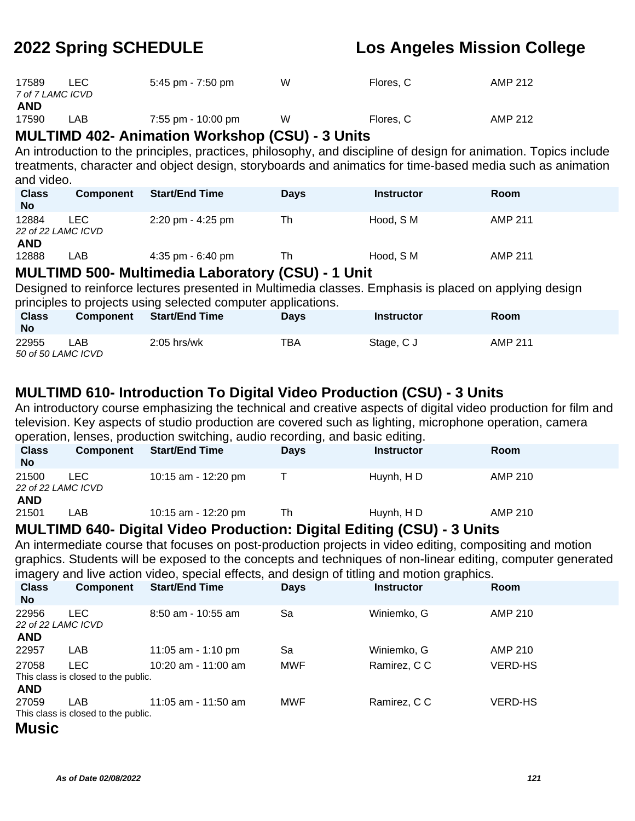| 17589<br>7 of 7 LAMC ICVD | <b>LEC</b> | 5:45 pm - 7:50 pm  | W | Flores, C | AMP 212 |
|---------------------------|------------|--------------------|---|-----------|---------|
| AND                       |            |                    |   |           |         |
| 17590                     | LAB        | 7:55 pm - 10:00 pm | W | Flores, C | AMP 212 |

### **MULTIMD 402- Animation Workshop (CSU) - 3 Units**

An introduction to the principles, practices, philosophy, and discipline of design for animation. Topics include treatments, character and object design, storyboards and animatics for time-based media such as animation and video.

| <b>Class</b><br><b>No</b> | Component                 | <b>Start/End Time</b>               | <b>Days</b>  | <b>Instructor</b> | <b>Room</b>    |
|---------------------------|---------------------------|-------------------------------------|--------------|-------------------|----------------|
| 12884<br><b>AND</b>       | LEC<br>22 of 22 LAMC ICVD | $2:20 \text{ pm} - 4:25 \text{ pm}$ | Th           | Hood. S M         | AMP 211        |
| 12888                     | _AB                       | $4:35$ pm - 6:40 pm                 | Th<br>------ | Hood, S M         | <b>AMP 211</b> |

### **MULTIMD 500- Multimedia Laboratory (CSU) - 1 Unit**

Designed to reinforce lectures presented in Multimedia classes. Emphasis is placed on applying design principles to projects using selected computer applications.

| <b>Class</b><br><b>No</b>   | <b>Component</b> | <b>Start/End Time</b> | <b>Days</b> | Instructor | Room           |
|-----------------------------|------------------|-----------------------|-------------|------------|----------------|
| 22955<br>50 of 50 LAMC ICVD | _AB_             | $2:05$ hrs/wk         | TBA         | Stage, C J | <b>AMP 211</b> |

### **MULTIMD 610- Introduction To Digital Video Production (CSU) - 3 Units**

An introductory course emphasizing the technical and creative aspects of digital video production for film and television. Key aspects of studio production are covered such as lighting, microphone operation, camera operation, lenses, production switching, audio recording, and basic editing.

| <b>Class</b><br><b>No</b>                 | Component  | <b>Start/End Time</b> | <b>Days</b> | <b>Instructor</b> | <b>Room</b> |
|-------------------------------------------|------------|-----------------------|-------------|-------------------|-------------|
| 21500<br>22 of 22 LAMC ICVD<br><b>AND</b> | <b>LEC</b> | 10:15 am - 12:20 pm   |             | Huynh, HD         | AMP 210     |
| 21501                                     | _AB        | 10:15 am - 12:20 pm   | Th          | Huynh, HD         | AMP 210     |

#### **MULTIMD 640- Digital Video Production: Digital Editing (CSU) - 3 Units**

An intermediate course that focuses on post-production projects in video editing, compositing and motion graphics. Students will be exposed to the concepts and techniques of non-linear editing, computer generated imagery and live action video, special effects, and design of titling and motion graphics.

| <b>Class</b><br><b>No</b>   | <b>Component</b>                    | <b>Start/End Time</b> | <b>Days</b> | ີ<br><b>Instructor</b> | <b>Room</b>    |
|-----------------------------|-------------------------------------|-----------------------|-------------|------------------------|----------------|
| 22956<br>22 of 22 LAMC ICVD | <b>LEC</b>                          | $8:50$ am - 10:55 am  | Sa          | Winiemko, G            | AMP 210        |
| <b>AND</b>                  |                                     |                       |             |                        |                |
| 22957                       | LAB                                 | 11:05 am - 1:10 pm    | Sa          | Winiemko, G            | AMP 210        |
| 27058                       | <b>LEC</b>                          | 10:20 am - 11:00 am   | <b>MWF</b>  | Ramirez, C C           | <b>VERD-HS</b> |
|                             | This class is closed to the public. |                       |             |                        |                |
| <b>AND</b>                  |                                     |                       |             |                        |                |
| 27059                       | LAB                                 | $11:05$ am - 11:50 am | <b>MWF</b>  | Ramirez, C C           | <b>VERD-HS</b> |
|                             | This class is closed to the public. |                       |             |                        |                |
| <b>Music</b>                |                                     |                       |             |                        |                |

#### **As of Date 02/08/2022 121**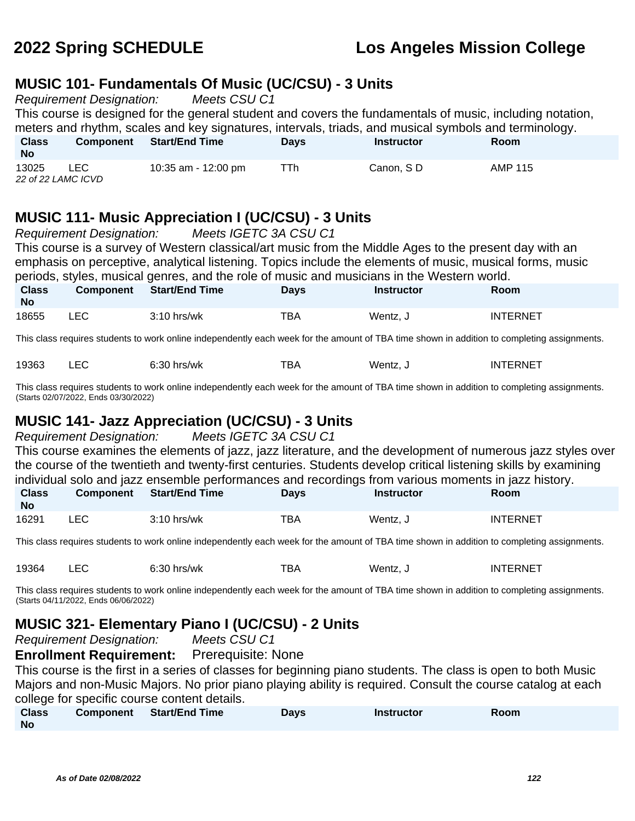#### **MUSIC 101- Fundamentals Of Music (UC/CSU) - 3 Units**

Requirement Designation: Meets CSU C1

This course is designed for the general student and covers the fundamentals of music, including notation, meters and rhythm, scales and key signatures, intervals, triads, and musical symbols and terminology.

| <b>Class</b><br><b>No</b> | <b>Component</b> | <b>Start/End Time</b> | Days | <b>Instructor</b> | Room    |  |
|---------------------------|------------------|-----------------------|------|-------------------|---------|--|
| 13025                     | ∟EC              | 10:35 am - 12:00 pm   | ⊤Тh  | Canon, SD         | AMP 115 |  |
| 22 of 22 LAMC ICVD        |                  |                       |      |                   |         |  |

### **MUSIC 111- Music Appreciation I (UC/CSU) - 3 Units**

| Requirement Designation: Meets IGETC 3A CSU C1                                                                                                                                      |                                                                                                          |                                                                                                                                             |             |                   |                 |  |  |  |  |
|-------------------------------------------------------------------------------------------------------------------------------------------------------------------------------------|----------------------------------------------------------------------------------------------------------|---------------------------------------------------------------------------------------------------------------------------------------------|-------------|-------------------|-----------------|--|--|--|--|
| This course is a survey of Western classical/art music from the Middle Ages to the present day with an                                                                              |                                                                                                          |                                                                                                                                             |             |                   |                 |  |  |  |  |
|                                                                                                                                                                                     | emphasis on perceptive, analytical listening. Topics include the elements of music, musical forms, music |                                                                                                                                             |             |                   |                 |  |  |  |  |
|                                                                                                                                                                                     |                                                                                                          | periods, styles, musical genres, and the role of music and musicians in the Western world.                                                  |             |                   |                 |  |  |  |  |
| <b>Class</b><br>No.                                                                                                                                                                 | <b>Component</b>                                                                                         | <b>Start/End Time</b>                                                                                                                       | <b>Days</b> | <b>Instructor</b> | Room            |  |  |  |  |
| 18655                                                                                                                                                                               | <b>LEC</b>                                                                                               | $3:10$ hrs/wk                                                                                                                               | TBA         | Wentz, J          | <b>INTERNET</b> |  |  |  |  |
|                                                                                                                                                                                     |                                                                                                          | This class requires students to work online independently each week for the amount of TBA time shown in addition to completing assignments. |             |                   |                 |  |  |  |  |
| 19363                                                                                                                                                                               | <b>LEC</b>                                                                                               | $6:30$ hrs/wk                                                                                                                               | TBA         | Wentz, J          | <b>INTERNET</b> |  |  |  |  |
| This class requires students to work online independently each week for the amount of TBA time shown in addition to completing assignments.<br>(Starts 02/07/2022, Ends 03/30/2022) |                                                                                                          |                                                                                                                                             |             |                   |                 |  |  |  |  |
| <b>MUSIC 141- Jazz Appreciation (UC/CSU) - 3 Units</b><br><b>Requirement Designation:</b><br>Meets IGETC 3A CSU C1                                                                  |                                                                                                          |                                                                                                                                             |             |                   |                 |  |  |  |  |

|  |                                                                                                                                                                                                                                      | This course examines the elements of jazz, jazz literature, and the development of numerous jazz styles over    |  |
|--|--------------------------------------------------------------------------------------------------------------------------------------------------------------------------------------------------------------------------------------|-----------------------------------------------------------------------------------------------------------------|--|
|  |                                                                                                                                                                                                                                      | the course of the twentieth and twenty-first centuries. Students develop critical listening skills by examining |  |
|  |                                                                                                                                                                                                                                      | individual solo and jazz ensemble performances and recordings from various moments in jazz history.             |  |
|  | $\blacksquare$ . The contract of the contract of the contract of the contract of the contract of the contract of the contract of the contract of the contract of the contract of the contract of the contract of the contract of the |                                                                                                                 |  |

| <b>Class</b><br><b>No</b> | <b>Component</b> | Start/End Time | <b>Days</b> | Instructor | <b>Room</b>     |
|---------------------------|------------------|----------------|-------------|------------|-----------------|
| 16291                     | LEC              | $3:10$ hrs/wk  | TBA         | Wentz. J   | <b>INTERNET</b> |

This class requires students to work online independently each week for the amount of TBA time shown in addition to completing assignments.

| 19364 | $6:30$ hrs/wk | тва | Wentz, J | INTERNET |
|-------|---------------|-----|----------|----------|
|       |               |     |          |          |

This class requires students to work online independently each week for the amount of TBA time shown in addition to completing assignments. (Starts 04/11/2022, Ends 06/06/2022)

### **MUSIC 321- Elementary Piano I (UC/CSU) - 2 Units**

Requirement Designation: Meets CSU C1

**Enrollment Requirement:** Prerequisite: None

This course is the first in a series of classes for beginning piano students. The class is open to both Music Majors and non-Music Majors. No prior piano playing ability is required. Consult the course catalog at each college for specific course content details.

| <b>Class</b> | Component | <b>Start/End Time</b> | Davs | <b>Instructor</b> | Room |
|--------------|-----------|-----------------------|------|-------------------|------|
| <b>No</b>    |           |                       |      |                   |      |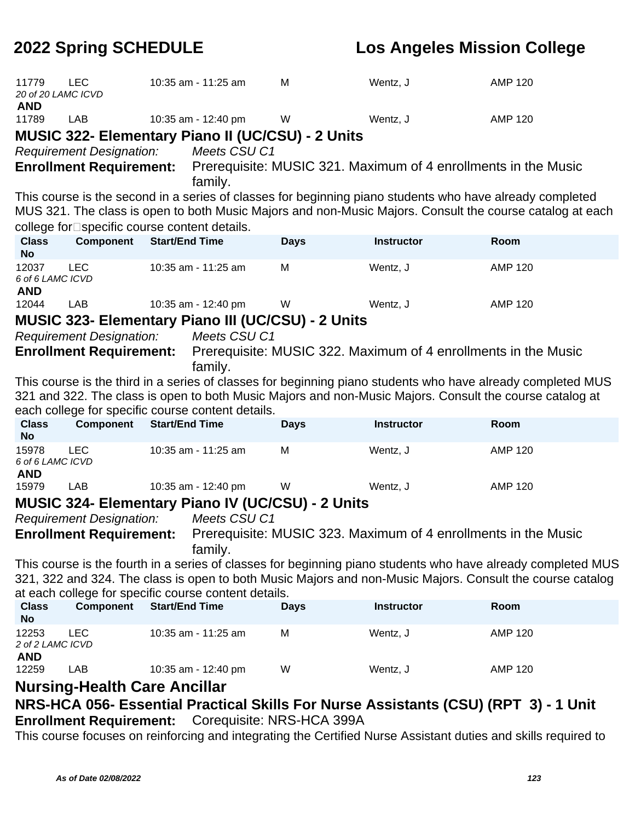| 11779<br>20 of 20 LAMC ICVD             | <b>LEC</b>                                    |                       | 10:35 am - 11:25 am                                  | M                                                         | Wentz, J                                                                                                 | <b>AMP 120</b>                                                                                               |
|-----------------------------------------|-----------------------------------------------|-----------------------|------------------------------------------------------|-----------------------------------------------------------|----------------------------------------------------------------------------------------------------------|--------------------------------------------------------------------------------------------------------------|
| <b>AND</b>                              |                                               |                       |                                                      |                                                           |                                                                                                          |                                                                                                              |
| 11789                                   | LAB                                           |                       | 10:35 am - 12:40 pm                                  | W                                                         | Wentz, J                                                                                                 | <b>AMP 120</b>                                                                                               |
|                                         |                                               |                       |                                                      | <b>MUSIC 322- Elementary Piano II (UC/CSU) - 2 Units</b>  |                                                                                                          |                                                                                                              |
|                                         | <b>Requirement Designation:</b>               |                       | Meets CSU C1                                         |                                                           |                                                                                                          |                                                                                                              |
|                                         | <b>Enrollment Requirement:</b>                |                       | family.                                              |                                                           | Prerequisite: MUSIC 321. Maximum of 4 enrollments in the Music                                           |                                                                                                              |
|                                         |                                               |                       |                                                      |                                                           | This course is the second in a series of classes for beginning piano students who have already completed |                                                                                                              |
|                                         |                                               |                       |                                                      |                                                           |                                                                                                          | MUS 321. The class is open to both Music Majors and non-Music Majors. Consult the course catalog at each     |
|                                         | college for□ specific course content details. |                       |                                                      |                                                           |                                                                                                          |                                                                                                              |
| <b>Class</b><br><b>No</b>               | <b>Component</b>                              | <b>Start/End Time</b> |                                                      | <b>Days</b>                                               | <b>Instructor</b>                                                                                        | Room                                                                                                         |
| 12037<br>6 of 6 LAMC ICVD               | <b>LEC</b>                                    |                       | 10:35 am - 11:25 am                                  | M                                                         | Wentz, J                                                                                                 | <b>AMP 120</b>                                                                                               |
| <b>AND</b><br>12044                     | LAB                                           |                       | 10:35 am - 12:40 pm                                  | W                                                         | Wentz, J                                                                                                 | <b>AMP 120</b>                                                                                               |
|                                         |                                               |                       |                                                      | <b>MUSIC 323- Elementary Piano III (UC/CSU) - 2 Units</b> |                                                                                                          |                                                                                                              |
|                                         | <b>Requirement Designation:</b>               |                       | Meets CSU C1                                         |                                                           |                                                                                                          |                                                                                                              |
|                                         | <b>Enrollment Requirement:</b>                |                       |                                                      |                                                           | Prerequisite: MUSIC 322. Maximum of 4 enrollments in the Music                                           |                                                                                                              |
|                                         |                                               |                       | family.                                              |                                                           |                                                                                                          |                                                                                                              |
|                                         |                                               |                       |                                                      |                                                           |                                                                                                          | This course is the third in a series of classes for beginning piano students who have already completed MUS  |
|                                         |                                               |                       |                                                      |                                                           | 321 and 322. The class is open to both Music Majors and non-Music Majors. Consult the course catalog at  |                                                                                                              |
| <b>Class</b>                            | Component                                     | <b>Start/End Time</b> | each college for specific course content details.    |                                                           | <b>Instructor</b>                                                                                        | Room                                                                                                         |
| <b>No</b>                               |                                               |                       |                                                      | <b>Days</b>                                               |                                                                                                          |                                                                                                              |
| 15978<br>6 of 6 LAMC ICVD<br><b>AND</b> | <b>LEC</b>                                    |                       | 10:35 am - 11:25 am                                  | M                                                         | Wentz, J                                                                                                 | <b>AMP 120</b>                                                                                               |
| 15979                                   | LAB                                           |                       | 10:35 am - 12:40 pm                                  | W                                                         | Wentz, J                                                                                                 | <b>AMP 120</b>                                                                                               |
|                                         |                                               |                       |                                                      | <b>MUSIC 324- Elementary Piano IV (UC/CSU) - 2 Units</b>  |                                                                                                          |                                                                                                              |
|                                         | <b>Requirement Designation:</b>               |                       | Meets CSU C1                                         |                                                           |                                                                                                          |                                                                                                              |
|                                         | <b>Enrollment Requirement:</b>                |                       | family.                                              |                                                           | Prerequisite: MUSIC 323. Maximum of 4 enrollments in the Music                                           |                                                                                                              |
|                                         |                                               |                       |                                                      |                                                           |                                                                                                          | This course is the fourth in a series of classes for beginning piano students who have already completed MUS |
|                                         |                                               |                       |                                                      |                                                           |                                                                                                          | 321, 322 and 324. The class is open to both Music Majors and non-Music Majors. Consult the course catalog    |
|                                         |                                               |                       | at each college for specific course content details. |                                                           |                                                                                                          |                                                                                                              |
| <b>Class</b><br><b>No</b>               | Component                                     | <b>Start/End Time</b> |                                                      | <b>Days</b>                                               | <b>Instructor</b>                                                                                        | Room                                                                                                         |
| 12253<br>2 of 2 LAMC ICVD<br><b>AND</b> | <b>LEC</b>                                    |                       | 10:35 am - 11:25 am                                  | M                                                         | Wentz, J                                                                                                 | <b>AMP 120</b>                                                                                               |
| 12259                                   | LAB                                           |                       | 10:35 am - 12:40 pm                                  | W                                                         | Wentz, J                                                                                                 | <b>AMP 120</b>                                                                                               |
|                                         | <b>Nursing-Health Care Ancillar</b>           |                       |                                                      |                                                           |                                                                                                          |                                                                                                              |
|                                         |                                               |                       |                                                      |                                                           | NRS-HCA 056- Essential Practical Skills For Nurse Assistants (CSU) (RPT 3) - 1 Unit                      |                                                                                                              |
|                                         |                                               |                       |                                                      | <b>Enrollment Requirement:</b> Corequisite: NRS-HCA 399A  |                                                                                                          |                                                                                                              |

This course focuses on reinforcing and integrating the Certified Nurse Assistant duties and skills required to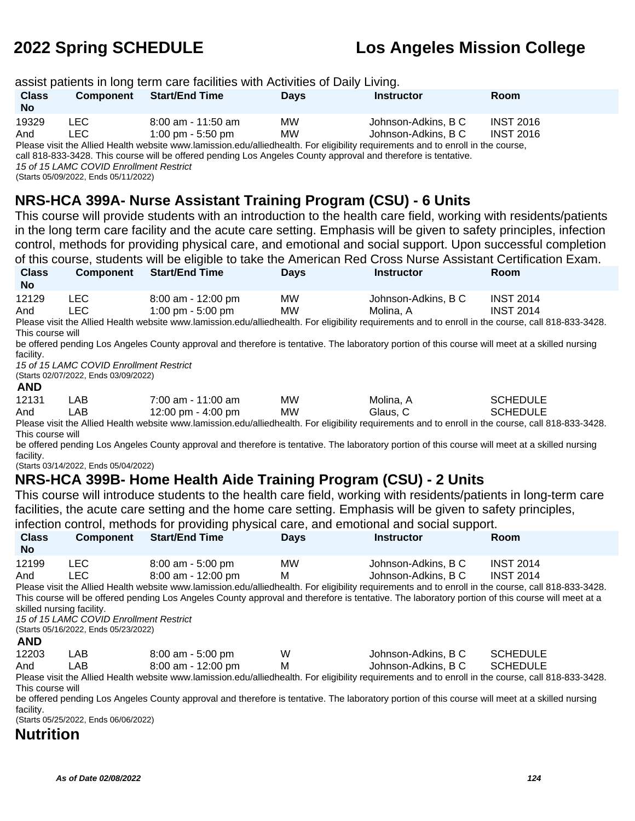|                                                                                                              |                                                                                                                                                                                                                                                                                                                                                                                                                                                                                                                                       | assist patients in long term care facilities with Activities of Daily Living.                                                                                                                                                                                                                                                                                                                                                                                                                                                                                                                                                                                                                                                                                                                                                                                                                                                                                                                                                                                                                            |                                    |                                                           |                                                                            |  |  |  |
|--------------------------------------------------------------------------------------------------------------|---------------------------------------------------------------------------------------------------------------------------------------------------------------------------------------------------------------------------------------------------------------------------------------------------------------------------------------------------------------------------------------------------------------------------------------------------------------------------------------------------------------------------------------|----------------------------------------------------------------------------------------------------------------------------------------------------------------------------------------------------------------------------------------------------------------------------------------------------------------------------------------------------------------------------------------------------------------------------------------------------------------------------------------------------------------------------------------------------------------------------------------------------------------------------------------------------------------------------------------------------------------------------------------------------------------------------------------------------------------------------------------------------------------------------------------------------------------------------------------------------------------------------------------------------------------------------------------------------------------------------------------------------------|------------------------------------|-----------------------------------------------------------|----------------------------------------------------------------------------|--|--|--|
| <b>Class</b><br><b>No</b>                                                                                    | <b>Component</b>                                                                                                                                                                                                                                                                                                                                                                                                                                                                                                                      | <b>Start/End Time</b>                                                                                                                                                                                                                                                                                                                                                                                                                                                                                                                                                                                                                                                                                                                                                                                                                                                                                                                                                                                                                                                                                    | <b>Days</b>                        | <b>Instructor</b>                                         | Room                                                                       |  |  |  |
| 19329<br>And                                                                                                 | <b>LEC</b><br><b>LEC</b><br>15 of 15 LAMC COVID Enrollment Restrict<br>(Starts 05/09/2022, Ends 05/11/2022)                                                                                                                                                                                                                                                                                                                                                                                                                           | 8:00 am - 11:50 am<br>1:00 pm - 5:50 pm<br>Please visit the Allied Health website www.lamission.edu/alliedhealth. For eligibility requirements and to enroll in the course,<br>call 818-833-3428. This course will be offered pending Los Angeles County approval and therefore is tentative.                                                                                                                                                                                                                                                                                                                                                                                                                                                                                                                                                                                                                                                                                                                                                                                                            | <b>MW</b><br>MW                    | Johnson-Adkins, B C<br>Johnson-Adkins, B C                | <b>INST 2016</b><br><b>INST 2016</b>                                       |  |  |  |
|                                                                                                              | NRS-HCA 399A- Nurse Assistant Training Program (CSU) - 6 Units<br>This course will provide students with an introduction to the health care field, working with residents/patients<br>in the long term care facility and the acute care setting. Emphasis will be given to safety principles, infection<br>control, methods for providing physical care, and emotional and social support. Upon successful completion<br>of this course, students will be eligible to take the American Red Cross Nurse Assistant Certification Exam. |                                                                                                                                                                                                                                                                                                                                                                                                                                                                                                                                                                                                                                                                                                                                                                                                                                                                                                                                                                                                                                                                                                          |                                    |                                                           |                                                                            |  |  |  |
| <b>Class</b><br><b>No</b>                                                                                    | <b>Component</b>                                                                                                                                                                                                                                                                                                                                                                                                                                                                                                                      | <b>Start/End Time</b>                                                                                                                                                                                                                                                                                                                                                                                                                                                                                                                                                                                                                                                                                                                                                                                                                                                                                                                                                                                                                                                                                    | <b>Days</b>                        | <b>Instructor</b>                                         | Room                                                                       |  |  |  |
| 12129<br>And<br>This course will<br>facility.<br><b>AND</b><br>12131<br>And<br>This course will<br>facility. | <b>LEC</b><br><b>LEC</b><br>15 of 15 LAMC COVID Enrollment Restrict<br>(Starts 02/07/2022, Ends 03/09/2022)<br>LAB.<br>LAB<br>(Starts 03/14/2022, Ends 05/04/2022)                                                                                                                                                                                                                                                                                                                                                                    | 8:00 am - 12:00 pm<br>1:00 pm - 5:00 pm<br>Please visit the Allied Health website www.lamission.edu/alliedhealth. For eligibility requirements and to enroll in the course, call 818-833-3428.<br>be offered pending Los Angeles County approval and therefore is tentative. The laboratory portion of this course will meet at a skilled nursing<br>7:00 am - 11:00 am<br>12:00 pm - 4:00 pm<br>Please visit the Allied Health website www.lamission.edu/alliedhealth. For eligibility requirements and to enroll in the course, call 818-833-3428.<br>be offered pending Los Angeles County approval and therefore is tentative. The laboratory portion of this course will meet at a skilled nursing<br>NRS-HCA 399B- Home Health Aide Training Program (CSU) - 2 Units<br>This course will introduce students to the health care field, working with residents/patients in long-term care<br>facilities, the acute care setting and the home care setting. Emphasis will be given to safety principles,<br>infection control, methods for providing physical care, and emotional and social support. | <b>MW</b><br>MW<br>MW<br><b>MW</b> | Johnson-Adkins, B C<br>Molina, A<br>Molina, A<br>Glaus, C | <b>INST 2014</b><br><b>INST 2014</b><br><b>SCHEDULE</b><br><b>SCHEDULE</b> |  |  |  |
| <b>Class</b><br><b>No</b>                                                                                    | <b>Component</b>                                                                                                                                                                                                                                                                                                                                                                                                                                                                                                                      | <b>Start/End Time</b>                                                                                                                                                                                                                                                                                                                                                                                                                                                                                                                                                                                                                                                                                                                                                                                                                                                                                                                                                                                                                                                                                    | <b>Days</b>                        | <b>Instructor</b>                                         | Room                                                                       |  |  |  |
| 12199<br>And<br>skilled nursing facility.<br><b>AND</b>                                                      | <b>LEC</b><br><b>LEC</b><br>15 of 15 LAMC COVID Enrollment Restrict<br>(Starts 05/16/2022, Ends 05/23/2022)                                                                                                                                                                                                                                                                                                                                                                                                                           | 8:00 am - 5:00 pm<br>8:00 am - 12:00 pm<br>Please visit the Allied Health website www.lamission.edu/alliedhealth. For eligibility requirements and to enroll in the course, call 818-833-3428.<br>This course will be offered pending Los Angeles County approval and therefore is tentative. The laboratory portion of this course will meet at a                                                                                                                                                                                                                                                                                                                                                                                                                                                                                                                                                                                                                                                                                                                                                       | <b>MW</b><br>M                     | Johnson-Adkins, B C<br>Johnson-Adkins, B C                | <b>INST 2014</b><br><b>INST 2014</b>                                       |  |  |  |

And LAB 8:00 am - 12:00 pm M Johnson-Adkins, B C SCHEDULE Please visit the Allied Health website www.lamission.edu/alliedhealth. For eligibility requirements and to enroll in the course, call 818-833-3428. This course will

12203 LAB 8:00 am - 5:00 pm W Johnson-Adkins, B C SCHEDULE

be offered pending Los Angeles County approval and therefore is tentative. The laboratory portion of this course will meet at a skilled nursing facility.

(Starts 05/25/2022, Ends 06/06/2022)

### **Nutrition**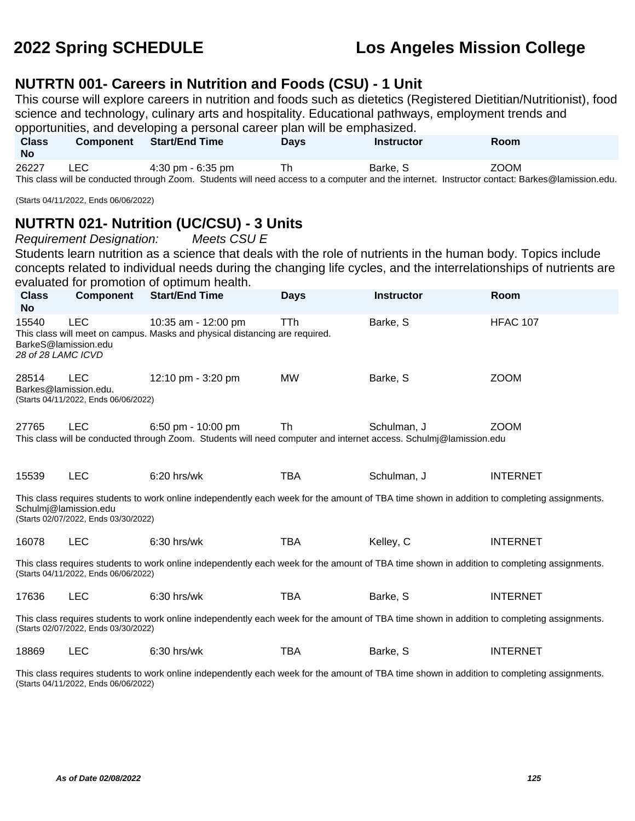#### **NUTRTN 001- Careers in Nutrition and Foods (CSU) - 1 Unit**

This course will explore careers in nutrition and foods such as dietetics (Registered Dietitian/Nutritionist), food science and technology, culinary arts and hospitality. Educational pathways, employment trends and opportunities, and developing a personal career plan will be emphasized.

| <b>Class</b><br>No | <b>Component</b> | Start/End Time    | <b>Days</b> | Instructor | <b>Room</b>                                                                                                                                   |  |
|--------------------|------------------|-------------------|-------------|------------|-----------------------------------------------------------------------------------------------------------------------------------------------|--|
| 26227              | LEC              | 4:30 pm - 6:35 pm |             | Barke, S   | ZOOM                                                                                                                                          |  |
|                    |                  |                   |             |            | This algoe will be conducted through Zeem. Ctudents will need concerte a computer and the internet. Instructor centerty Derkee @Jemionian.odu |  |

This class will be conducted through Zoom. Students will need access to a computer and the internet. Instructor contact: Barkes@lamission.edu.

(Starts 04/11/2022, Ends 06/06/2022)

### **NUTRTN 021- Nutrition (UC/CSU) - 3 Units**

Requirement Designation: Meets CSU E

Students learn nutrition as a science that deals with the role of nutrients in the human body. Topics include concepts related to individual needs during the changing life cycles, and the interrelationships of nutrients are evaluated for promotion of optimum health.

| <b>Class</b><br><b>No</b>                                                                                                                                                           | Component                                                                   | <b>Start/End Time</b>                                                                                                                       | <b>Days</b> | <b>Instructor</b> | Room            |  |  |
|-------------------------------------------------------------------------------------------------------------------------------------------------------------------------------------|-----------------------------------------------------------------------------|---------------------------------------------------------------------------------------------------------------------------------------------|-------------|-------------------|-----------------|--|--|
| 15540<br>28 of 28 LAMC ICVD                                                                                                                                                         | <b>LEC</b><br>BarkeS@lamission.edu                                          | 10:35 am - 12:00 pm<br>This class will meet on campus. Masks and physical distancing are required.                                          | TTh         | Barke, S          | <b>HFAC 107</b> |  |  |
| 28514                                                                                                                                                                               | <b>LEC</b><br>Barkes@lamission.edu.<br>(Starts 04/11/2022, Ends 06/06/2022) | 12:10 pm - 3:20 pm                                                                                                                          | <b>MW</b>   | Barke, S          | <b>ZOOM</b>     |  |  |
| 27765                                                                                                                                                                               | <b>LEC</b>                                                                  | 6:50 pm - 10:00 pm<br>This class will be conducted through Zoom. Students will need computer and internet access. Schulmi@lamission.edu     | Th          | Schulman, J       | <b>ZOOM</b>     |  |  |
| 15539                                                                                                                                                                               | <b>LEC</b>                                                                  | 6:20 hrs/wk                                                                                                                                 | <b>TBA</b>  | Schulman, J       | <b>INTERNET</b> |  |  |
|                                                                                                                                                                                     | Schulmj@lamission.edu<br>(Starts 02/07/2022, Ends 03/30/2022)               | This class requires students to work online independently each week for the amount of TBA time shown in addition to completing assignments. |             |                   |                 |  |  |
| 16078                                                                                                                                                                               | <b>LEC</b>                                                                  | 6:30 hrs/wk                                                                                                                                 | <b>TBA</b>  | Kelley, C         | <b>INTERNET</b> |  |  |
| This class requires students to work online independently each week for the amount of TBA time shown in addition to completing assignments.<br>(Starts 04/11/2022, Ends 06/06/2022) |                                                                             |                                                                                                                                             |             |                   |                 |  |  |
| 17636                                                                                                                                                                               | <b>LEC</b>                                                                  | 6:30 hrs/wk                                                                                                                                 | <b>TBA</b>  | Barke, S          | <b>INTERNET</b> |  |  |
| This class requires students to work online independently each week for the amount of TBA time shown in addition to completing assignments.<br>(Starts 02/07/2022, Ends 03/30/2022) |                                                                             |                                                                                                                                             |             |                   |                 |  |  |
| 18869                                                                                                                                                                               | LEC                                                                         | $6:30$ hrs/wk                                                                                                                               | <b>TBA</b>  | Barke, S          | <b>INTERNET</b> |  |  |

This class requires students to work online independently each week for the amount of TBA time shown in addition to completing assignments. (Starts 04/11/2022, Ends 06/06/2022)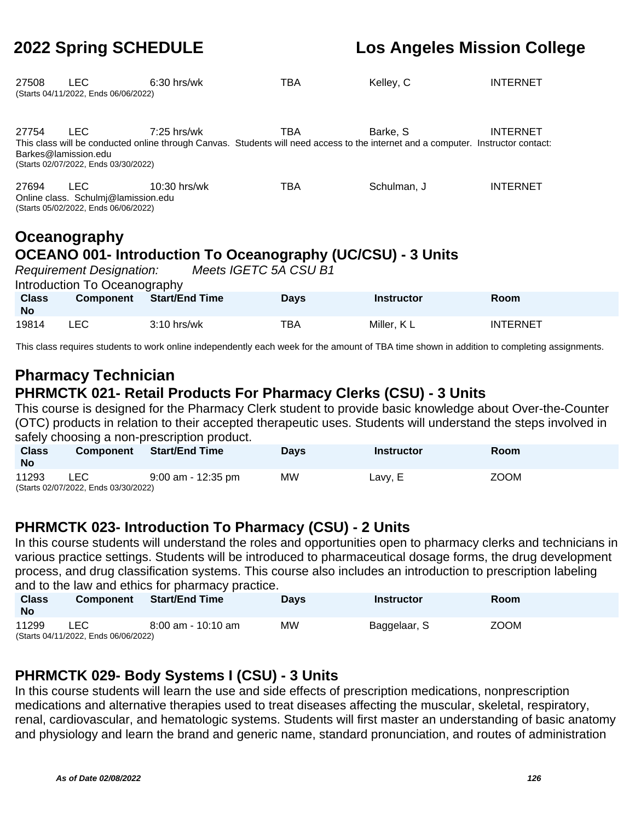| 27508                         | <b>LEC</b><br>(Starts 04/11/2022, Ends 06/06/2022)                                                  | $6:30$ hrs/wk  | TBA                                                                                                                                      | Kelley, C   | <b>INTERNET</b> |
|-------------------------------|-----------------------------------------------------------------------------------------------------|----------------|------------------------------------------------------------------------------------------------------------------------------------------|-------------|-----------------|
| 27754<br>Barkes@lamission.edu | LEC.<br>(Starts 02/07/2022, Ends 03/30/2022)                                                        | $7:25$ hrs/wk  | TBA<br>This class will be conducted online through Canvas. Students will need access to the internet and a computer. Instructor contact: | Barke, S    | <b>INTERNET</b> |
| 27694                         | LEC.<br>Online class. Schulmi@lamission.edu<br>(Starts 05/02/2022, Ends 06/06/2022)<br>Oceanography | $10:30$ hrs/wk | TBA                                                                                                                                      | Schulman, J | <b>INTERNET</b> |

# **OCEANO 001- Introduction To Oceanography (UC/CSU) - 3 Units**

Requirement Designation: Meets IGETC 5A CSU B1

| Introduction To Oceanography |           |                       |             |                   |                 |  |  |  |
|------------------------------|-----------|-----------------------|-------------|-------------------|-----------------|--|--|--|
| <b>Class</b><br><b>No</b>    | Component | <b>Start/End Time</b> | <b>Days</b> | <b>Instructor</b> | Room            |  |  |  |
| 19814                        | LEC.      | $3:10$ hrs/wk         | ТВА         | Miller, KL        | <b>INTERNET</b> |  |  |  |

This class requires students to work online independently each week for the amount of TBA time shown in addition to completing assignments.

# **Pharmacy Technician PHRMCTK 021- Retail Products For Pharmacy Clerks (CSU) - 3 Units**

This course is designed for the Pharmacy Clerk student to provide basic knowledge about Over-the-Counter (OTC) products in relation to their accepted therapeutic uses. Students will understand the steps involved in safely choosing a non-prescription product.

| <b>Class</b> | Component                            | Start/End Time     | <b>Davs</b> | <b>Instructor</b> | Room        |
|--------------|--------------------------------------|--------------------|-------------|-------------------|-------------|
| <b>No</b>    |                                      |                    |             |                   |             |
| 11293        | <b>LEC</b>                           | 9:00 am - 12:35 pm | MW.         | Lavy, E           | <b>ZOOM</b> |
|              | (Starts 02/07/2022, Ends 03/30/2022) |                    |             |                   |             |

### **PHRMCTK 023- Introduction To Pharmacy (CSU) - 2 Units**

In this course students will understand the roles and opportunities open to pharmacy clerks and technicians in various practice settings. Students will be introduced to pharmaceutical dosage forms, the drug development process, and drug classification systems. This course also includes an introduction to prescription labeling and to the law and ethics for pharmacy practice.

| <b>Class</b><br><b>No</b> | <b>Component</b>                     | <b>Start/End Time</b> | <b>Days</b> | Instructor   | <b>Room</b> |
|---------------------------|--------------------------------------|-----------------------|-------------|--------------|-------------|
| 11299                     | LEC                                  | 8:00 am - 10:10 am    | МW          | Baggelaar, S | <b>ZOOM</b> |
|                           | (Starts 04/11/2022, Ends 06/06/2022) |                       |             |              |             |

### **PHRMCTK 029- Body Systems I (CSU) - 3 Units**

In this course students will learn the use and side effects of prescription medications, nonprescription medications and alternative therapies used to treat diseases affecting the muscular, skeletal, respiratory, renal, cardiovascular, and hematologic systems. Students will first master an understanding of basic anatomy and physiology and learn the brand and generic name, standard pronunciation, and routes of administration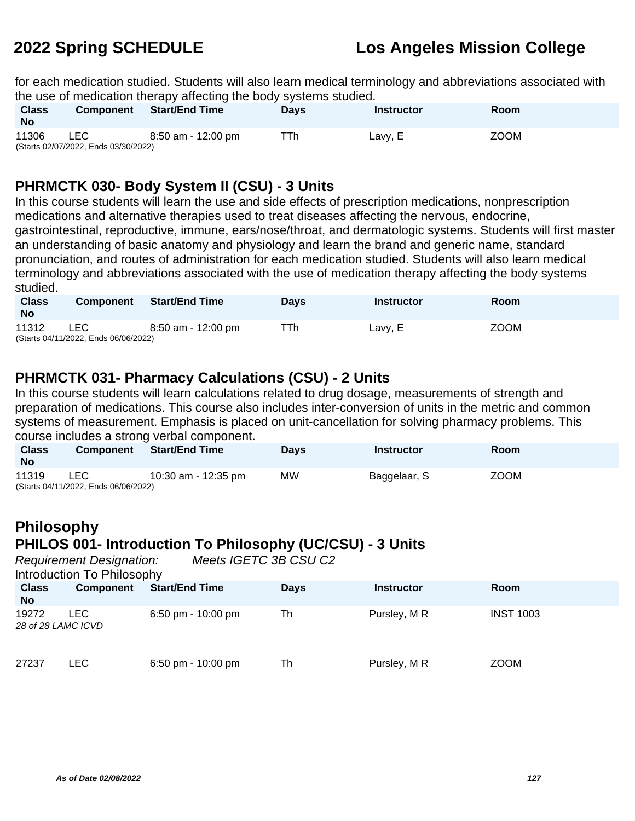for each medication studied. Students will also learn medical terminology and abbreviations associated with the use of medication therapy affecting the body systems studied.

| <b>Class</b><br><b>No</b> | <b>Component</b>                     | <b>Start/End Time</b> | <b>Days</b> | Instructor | Room        |
|---------------------------|--------------------------------------|-----------------------|-------------|------------|-------------|
| 11306                     | LEC                                  | 8:50 am - 12:00 pm    | ⊤Th         | Lavy, E    | <b>ZOOM</b> |
|                           | (Starts 02/07/2022, Ends 03/30/2022) |                       |             |            |             |

### **PHRMCTK 030- Body System II (CSU) - 3 Units**

In this course students will learn the use and side effects of prescription medications, nonprescription medications and alternative therapies used to treat diseases affecting the nervous, endocrine, gastrointestinal, reproductive, immune, ears/nose/throat, and dermatologic systems. Students will first master an understanding of basic anatomy and physiology and learn the brand and generic name, standard pronunciation, and routes of administration for each medication studied. Students will also learn medical terminology and abbreviations associated with the use of medication therapy affecting the body systems studied.

| <b>Class</b><br><b>No</b> | <b>Component</b>                                   | <b>Start/End Time</b> | <b>Davs</b> | <b>Instructor</b> | Room        |
|---------------------------|----------------------------------------------------|-----------------------|-------------|-------------------|-------------|
| 11312                     | <b>LEC</b><br>(Starts 04/11/2022, Ends 06/06/2022) | 8:50 am - 12:00 pm    | ⊤Th         | Lavy, E           | <b>ZOOM</b> |

### **PHRMCTK 031- Pharmacy Calculations (CSU) - 2 Units**

In this course students will learn calculations related to drug dosage, measurements of strength and preparation of medications. This course also includes inter-conversion of units in the metric and common systems of measurement. Emphasis is placed on unit-cancellation for solving pharmacy problems. This course includes a strong verbal component.

| <b>Class</b><br>No | <b>Component</b>                             | Start/End Time      | <b>Davs</b> | <b>Instructor</b> | Room        |
|--------------------|----------------------------------------------|---------------------|-------------|-------------------|-------------|
| 11319              | LEC.<br>(Starts 04/11/2022, Ends 06/06/2022) | 10:30 am - 12:35 pm | <b>MW</b>   | Baggelaar, S      | <b>ZOOM</b> |

# **Philosophy PHILOS 001- Introduction To Philosophy (UC/CSU) - 3 Units**

Requirement Designation: Meets IGETC 3B CSU C2

Introduction To Philosophy

| <b>Class</b><br><b>No</b>   | Component | <b>Start/End Time</b> | <b>Days</b> | <b>Instructor</b> | <b>Room</b>      |
|-----------------------------|-----------|-----------------------|-------------|-------------------|------------------|
| 19272<br>28 of 28 LAMC ICVD | LEC       | 6:50 pm - $10:00$ pm  | Th          | Pursley, MR       | <b>INST 1003</b> |
| 27237                       | LEC.      | 6:50 pm - $10:00$ pm  | Th          | Pursley, MR       | <b>ZOOM</b>      |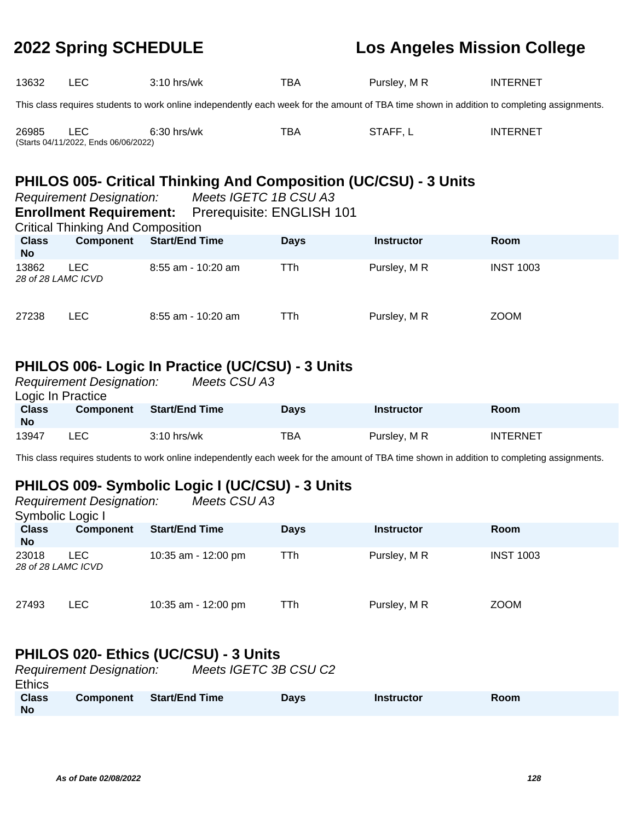| 13632                                                                   | LEC.                                                                                                                                        | $3:10$ hrs/wk         | TBA | Pursley, MR | <b>INTERNET</b> |  |  |  |  |
|-------------------------------------------------------------------------|---------------------------------------------------------------------------------------------------------------------------------------------|-----------------------|-----|-------------|-----------------|--|--|--|--|
|                                                                         | This class requires students to work online independently each week for the amount of TBA time shown in addition to completing assignments. |                       |     |             |                 |  |  |  |  |
| 26985                                                                   | LEC.<br>(Starts 04/11/2022, Ends 06/06/2022)                                                                                                | $6:30$ hrs/wk         | TBA | STAFF.L     | <b>INTERNET</b> |  |  |  |  |
| <b>PHILOS 005- Critical Thinking And Composition (UC/CSU) - 3 Units</b> |                                                                                                                                             |                       |     |             |                 |  |  |  |  |
|                                                                         | <b>Requirement Designation:</b>                                                                                                             | Meets IGETC 1B CSU A3 |     |             |                 |  |  |  |  |

#### **Enrollment Requirement:** Prerequisite: ENGLISH 101

Critical Thinking And Composition

| <b>Class</b><br><b>No</b>   | Component | <b>Start/End Time</b> | <b>Days</b> | <b>Instructor</b> | <b>Room</b>      |
|-----------------------------|-----------|-----------------------|-------------|-------------------|------------------|
| 13862<br>28 of 28 LAMC ICVD | LEC.      | 8:55 am - 10:20 am    | TTh         | Pursley, M R      | <b>INST 1003</b> |
| 27238                       | LEC.      | 8:55 am - 10:20 am    | TTh         | Pursley, MR       | <b>ZOOM</b>      |

## **PHILOS 006- Logic In Practice (UC/CSU) - 3 Units**

|                           | <b>Requirement Designation:</b> | Meets CSU A3          |             |                   |                 |  |
|---------------------------|---------------------------------|-----------------------|-------------|-------------------|-----------------|--|
| Logic In Practice         |                                 |                       |             |                   |                 |  |
| <b>Class</b><br><b>No</b> | <b>Component</b>                | <b>Start/End Time</b> | <b>Days</b> | <b>Instructor</b> | <b>Room</b>     |  |
| 13947                     | LEC.                            | $3:10$ hrs/wk         | TBA         | Pursley, M R      | <b>INTERNET</b> |  |

This class requires students to work online independently each week for the amount of TBA time shown in addition to completing assignments.

# **PHILOS 009- Symbolic Logic I (UC/CSU) - 3 Units**

| Meets CSU A3<br><b>Requirement Designation:</b><br>Symbolic Logic I |                  |                       |             |                   |                  |
|---------------------------------------------------------------------|------------------|-----------------------|-------------|-------------------|------------------|
| <b>Class</b><br><b>No</b>                                           | <b>Component</b> | <b>Start/End Time</b> | <b>Days</b> | <b>Instructor</b> | <b>Room</b>      |
| 23018<br>28 of 28 LAMC ICVD                                         | <b>LEC</b>       | 10:35 am - 12:00 pm   | TTh         | Pursley, MR       | <b>INST 1003</b> |
| 27493                                                               | <b>LEC</b>       | 10:35 am - 12:00 pm   | TTh         | Pursley, MR       | <b>ZOOM</b>      |

### **PHILOS 020- Ethics (UC/CSU) - 3 Units**

| <b>Requirement Designation:</b> |                  |                       | Meets IGETC 3B CSU C2 |                   |             |  |
|---------------------------------|------------------|-----------------------|-----------------------|-------------------|-------------|--|
| <b>Ethics</b>                   |                  |                       |                       |                   |             |  |
| <b>Class</b><br>No              | <b>Component</b> | <b>Start/End Time</b> | <b>Davs</b>           | <b>Instructor</b> | <b>Room</b> |  |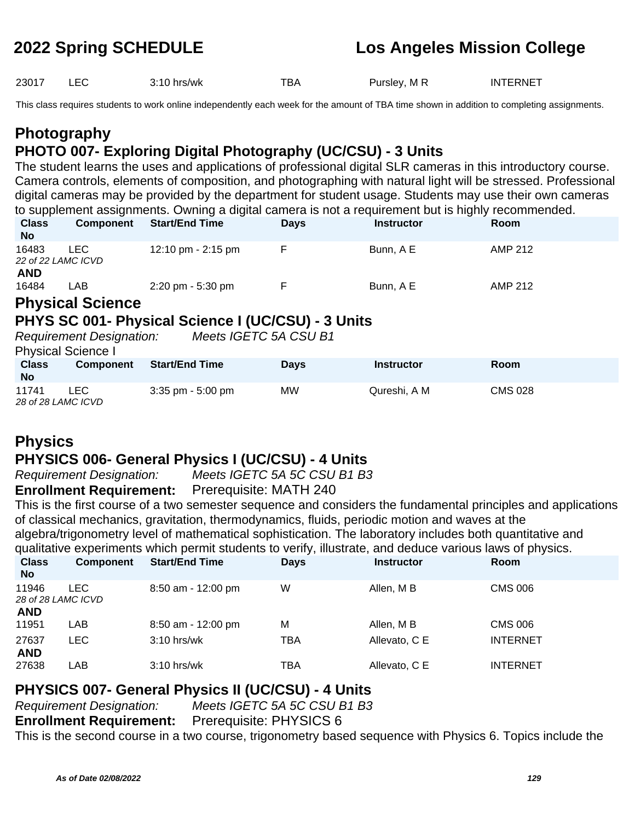23017 LEC 3:10 hrs/wk TBA Pursley, M R INTERNET

This class requires students to work online independently each week for the amount of TBA time shown in addition to completing assignments.

# **Photography PHOTO 007- Exploring Digital Photography (UC/CSU) - 3 Units**

The student learns the uses and applications of professional digital SLR cameras in this introductory course. Camera controls, elements of composition, and photographing with natural light will be stressed. Professional digital cameras may be provided by the department for student usage. Students may use their own cameras to supplement assignments. Owning a digital camera is not a requirement but is highly recommended.<br>Class Component Start/End Time Days Instructor **Class Component Start/End Time Days Instructor Room**

| <b>UIDO</b><br><b>No</b> | <b>UUIIDUIGIIL</b>        | U                                   | <b>Days</b> | iliəli uulul | RUUIL   |  |
|--------------------------|---------------------------|-------------------------------------|-------------|--------------|---------|--|
| 16483                    | ∟EC-                      | 12:10 pm - 2:15 pm                  |             | Bunn, A E    | AMP 212 |  |
|                          | 22 of 22 LAMC ICVD        |                                     |             |              |         |  |
| <b>AND</b>               |                           |                                     |             |              |         |  |
| 16484                    | _AB                       | $2:20 \text{ pm} - 5:30 \text{ pm}$ |             | Bunn, A E    | AMP 212 |  |
|                          | <b>DELLETATE CALLANAS</b> |                                     |             |              |         |  |

# **Physical Science**

#### **PHYS SC 001- Physical Science I (UC/CSU) - 3 Units** Requirement Designation: Meets IGETC 5A CSU B1

Physical Science I

| <b>Class</b><br><b>No</b>   | <b>Component</b> | <b>Start/End Time</b> | <b>Davs</b> | <b>Instructor</b> | Room           |
|-----------------------------|------------------|-----------------------|-------------|-------------------|----------------|
| 11741<br>28 of 28 LAMC ICVD | _EC              | $3:35$ pm - $5:00$ pm | МW          | Qureshi, A M      | <b>CMS 028</b> |

# **Physics**

### **PHYSICS 006- General Physics I (UC/CSU) - 4 Units**

Requirement Designation: Meets IGETC 5A 5C CSU B1 B3

#### **Enrollment Requirement:** Prerequisite: MATH 240

This is the first course of a two semester sequence and considers the fundamental principles and applications of classical mechanics, gravitation, thermodynamics, fluids, periodic motion and waves at the algebra/trigonometry level of mathematical sophistication. The laboratory includes both quantitative and qualitative experiments which permit students to verify, illustrate, and deduce various laws of physics.

| <b>Class</b><br><b>No</b> | <b>Component</b>           | <b>Start/End Time</b> | <b>Days</b> | <b>Instructor</b> | Room            |  |
|---------------------------|----------------------------|-----------------------|-------------|-------------------|-----------------|--|
| 11946                     | LEC.<br>28 of 28 LAMC ICVD | 8:50 am - 12:00 pm    | W           | Allen, M B        | CMS 006         |  |
| <b>AND</b>                |                            |                       |             |                   |                 |  |
| 11951                     | LAB                        | 8:50 am - 12:00 pm    | M           | Allen, M B        | <b>CMS 006</b>  |  |
| 27637                     | <b>LEC</b>                 | $3:10$ hrs/wk         | TBA         | Allevato, C E     | <b>INTERNET</b> |  |
| <b>AND</b><br>27638       | LAB                        | $3:10$ hrs/wk         | TBA         | Allevato, C E     | <b>INTERNET</b> |  |
|                           |                            |                       |             |                   |                 |  |

### **PHYSICS 007- General Physics II (UC/CSU) - 4 Units**

| <b>Requirement Designation:</b>                        | Meets IGETC 5A 5C CSU B1 B3 |
|--------------------------------------------------------|-----------------------------|
| <b>Enrollment Requirement:</b> Prerequisite: PHYSICS 6 |                             |

This is the second course in a two course, trigonometry based sequence with Physics 6. Topics include the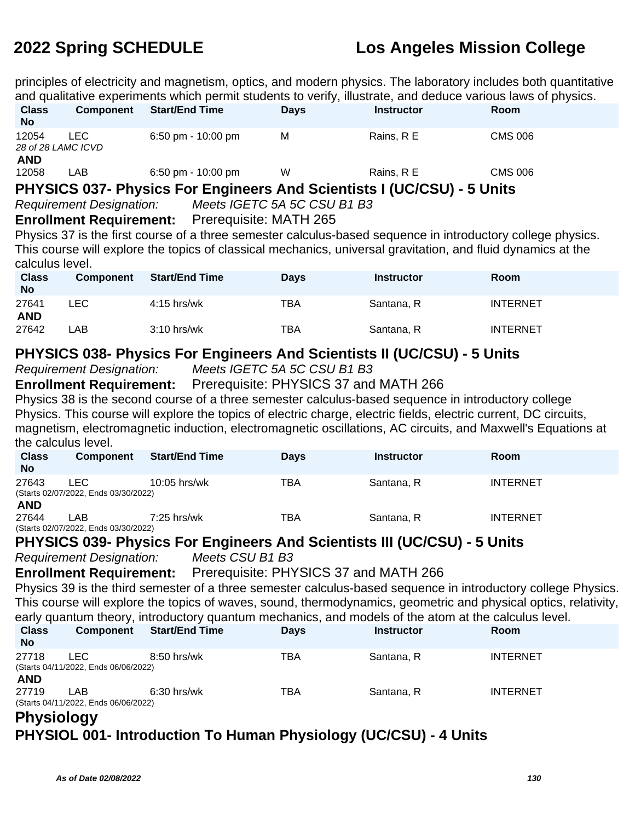principles of electricity and magnetism, optics, and modern physics. The laboratory includes both quantitative and qualitative experiments which permit students to verify, illustrate, and deduce various laws of physics.

| <b>Class</b><br><b>No</b>   | Component  | <b>Start/End Time</b>                                                | <b>Days</b> | <b>Instructor</b> | Room           |  |
|-----------------------------|------------|----------------------------------------------------------------------|-------------|-------------------|----------------|--|
| 12054<br>28 of 28 LAMC ICVD | <b>LEC</b> | $6:50$ pm - 10:00 pm                                                 | M           | Rains, R E        | <b>CMS 006</b> |  |
| <b>AND</b><br>12058         | LAB        | 6:50 pm - $10:00$ pm                                                 | W           | Rains, R E        | <b>CMS 006</b> |  |
|                             |            | <b>DUVCICC 027 Dhugias Fex Engineers And Cajantists I (IIC/CCII)</b> |             |                   | E II           |  |

**PHYSICS 037- Physics For Engineers And Scientists I (UC/CSU) - 5 Units**

Requirement Designation: Meets IGETC 5A 5C CSU B1 B3

#### **Enrollment Requirement:** Prerequisite: MATH 265

Physics 37 is the first course of a three semester calculus-based sequence in introductory college physics. This course will explore the topics of classical mechanics, universal gravitation, and fluid dynamics at the calculus level.

| <b>Class</b><br><b>No</b> | <b>Component</b> | <b>Start/End Time</b> | <b>Days</b> | <b>Instructor</b> | Room            |
|---------------------------|------------------|-----------------------|-------------|-------------------|-----------------|
| 27641<br><b>AND</b>       | LEC              | $4:15$ hrs/wk         | TBA         | Santana, R        | <b>INTERNET</b> |
| 27642                     | _AB_             | $3:10$ hrs/wk         | тва         | Santana, R        | <b>INTERNET</b> |

### **PHYSICS 038- Physics For Engineers And Scientists II (UC/CSU) - 5 Units**

Requirement Designation: Meets IGETC 5A 5C CSU B1 B3

**Enrollment Requirement:** Prerequisite: PHYSICS 37 and MATH 266

Physics 38 is the second course of a three semester calculus-based sequence in introductory college Physics. This course will explore the topics of electric charge, electric fields, electric current, DC circuits, magnetism, electromagnetic induction, electromagnetic oscillations, AC circuits, and Maxwell's Equations at the calculus level.

| <b>Class</b><br><b>No</b>                      | <b>Component</b>                             | <b>Start/End Time</b> | <b>Days</b> | <b>Instructor</b> | Room            |
|------------------------------------------------|----------------------------------------------|-----------------------|-------------|-------------------|-----------------|
| 27643                                          | _EC.<br>(Starts 02/07/2022, Ends 03/30/2022) | $10:05$ hrs/wk        | TBA         | Santana, R        | <b>INTERNET</b> |
| <b>AND</b><br>27644<br>$(0.1)$ $(0.1)$ $(0.1)$ | .AB<br>0.0100100000                          | $7:25$ hrs/wk         | TBA         | Santana, R        | <b>INTERNET</b> |

(Starts 02/07/2022, Ends 03/30/2022)

### **PHYSICS 039- Physics For Engineers And Scientists III (UC/CSU) - 5 Units**

Requirement Designation: Meets CSU B1 B3

**Enrollment Requirement:** Prerequisite: PHYSICS 37 and MATH 266

Physics 39 is the third semester of a three semester calculus-based sequence in introductory college Physics. This course will explore the topics of waves, sound, thermodynamics, geometric and physical optics, relativity, early quantum theory, introductory quantum mechanics, and models of the atom at the calculus level.

| <b>Class</b><br><b>No</b> | <b>Component</b>                              | <b>Start/End Time</b> | <b>Days</b> | <b>Instructor</b> | <b>Room</b>     |
|---------------------------|-----------------------------------------------|-----------------------|-------------|-------------------|-----------------|
| 27718                     | I FC.<br>(Starts 04/11/2022, Ends 06/06/2022) | $8:50$ hrs/wk         | TBA         | Santana, R        | <b>INTERNET</b> |
| <b>AND</b>                |                                               |                       |             |                   |                 |
| 27719                     | LAB                                           | $6:30$ hrs/wk         | <b>TBA</b>  | Santana, R        | <b>INTERNET</b> |
| __                        | (Starts 04/11/2022, Ends 06/06/2022)          |                       |             |                   |                 |

#### **Physiology**

# **PHYSIOL 001- Introduction To Human Physiology (UC/CSU) - 4 Units**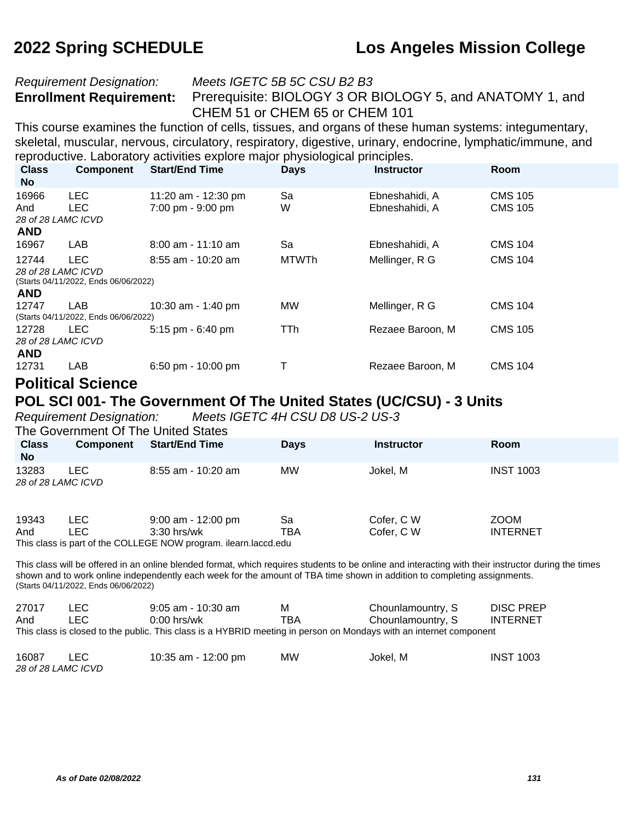#### Requirement Designation: Meets IGETC 5B 5C CSU B2 B3

**Enrollment Requirement:** Prerequisite: BIOLOGY 3 OR BIOLOGY 5, and ANATOMY 1, and CHEM 51 or CHEM 65 or CHEM 101

This course examines the function of cells, tissues, and organs of these human systems: integumentary, skeletal, muscular, nervous, circulatory, respiratory, digestive, urinary, endocrine, lymphatic/immune, and reproductive. Laboratory activities explore major physiological principles.

| <b>Class</b><br><b>No</b> | <b>Component</b>                     | <b>Start/End Time</b> | <b>Days</b>  | <b>Instructor</b> | Room           |
|---------------------------|--------------------------------------|-----------------------|--------------|-------------------|----------------|
| 16966                     | <b>LEC</b>                           | 11:20 am - 12:30 pm   | Sa           | Ebneshahidi, A    | <b>CMS 105</b> |
| And<br>28 of 28 LAMC ICVD | LEC.                                 | 7:00 pm - 9:00 pm     | W            | Ebneshahidi, A    | <b>CMS 105</b> |
| <b>AND</b>                |                                      |                       |              |                   |                |
| 16967                     | LAB                                  | 8:00 am - 11:10 am    | Sa           | Ebneshahidi, A    | <b>CMS 104</b> |
| 12744                     | <b>LEC</b>                           | $8:55$ am - 10:20 am  | <b>MTWTh</b> | Mellinger, R G    | <b>CMS 104</b> |
| 28 of 28 LAMC ICVD        | (Starts 04/11/2022, Ends 06/06/2022) |                       |              |                   |                |
| <b>AND</b>                |                                      |                       |              |                   |                |
| 12747                     | LAB.                                 | 10:30 am - 1:40 pm    | <b>MW</b>    | Mellinger, R G    | <b>CMS 104</b> |
|                           | (Starts 04/11/2022, Ends 06/06/2022) |                       |              |                   |                |
| 12728                     | LEC.                                 | 5:15 pm - 6:40 pm     | TTh.         | Rezaee Baroon, M  | <b>CMS 105</b> |
| 28 of 28 LAMC ICVD        |                                      |                       |              |                   |                |
| <b>AND</b>                |                                      |                       |              |                   |                |
| 12731                     | LAB                                  | 6:50 pm - 10:00 pm    | T            | Rezaee Baroon, M  | <b>CMS 104</b> |
| -                         | $\overline{\phantom{a}}$             |                       |              |                   |                |

### **Political Science**

#### **POL SCI 001- The Government Of The United States (UC/CSU) - 3 Units**

Requirement Designation: Meets IGETC 4H CSU D8 US-2 US-3

| <b>Class</b><br><b>No</b>   | <b>Component</b> | <b>Start/End Time</b>                                                                                  | <b>Days</b> | <b>Instructor</b>        | <b>Room</b>                    |  |
|-----------------------------|------------------|--------------------------------------------------------------------------------------------------------|-------------|--------------------------|--------------------------------|--|
| 13283<br>28 of 28 LAMC ICVD | LEC.             | $8:55$ am - 10:20 am                                                                                   | <b>MW</b>   | Jokel, M                 | <b>INST 1003</b>               |  |
| 19343<br>And                | LEC.<br>LEC.     | 9:00 am - 12:00 pm<br>$3:30$ hrs/wk<br>This class is part of the COLLEGE NOW program. ilearn.laccd.edu | Sa<br>TBA   | Cofer, C W<br>Cofer, C W | <b>ZOOM</b><br><b>INTERNET</b> |  |

This class will be offered in an online blended format, which requires students to be online and interacting with their instructor during the times shown and to work online independently each week for the amount of TBA time shown in addition to completing assignments. (Starts 04/11/2022, Ends 06/06/2022)

| 27017                                                                                                              | LEC. | $9:05$ am - 10:30 am | м   | Chounlamountry, S | <b>DISC PREP</b> |  |  |
|--------------------------------------------------------------------------------------------------------------------|------|----------------------|-----|-------------------|------------------|--|--|
| And                                                                                                                | LEC. | $0:00$ hrs/wk        | TBA | Chounlamountry, S | <b>INTERNET</b>  |  |  |
| This class is closed to the public. This class is a HYBRID meeting in person on Mondays with an internet component |      |                      |     |                   |                  |  |  |
|                                                                                                                    |      |                      |     |                   |                  |  |  |

| 16087              | 10:35 am - 12:00 pm | <b>MW</b> | Jokel, M | <b>INST 1003</b> |
|--------------------|---------------------|-----------|----------|------------------|
| 28 of 28 LAMC ICVD |                     |           |          |                  |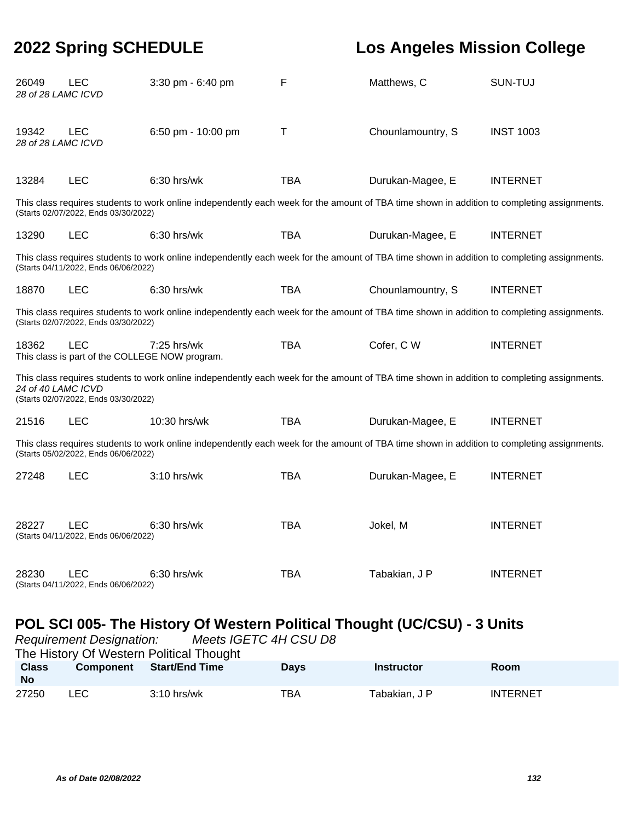| 26049<br>28 of 28 LAMC ICVD | <b>LEC</b>                                            | 3:30 pm - 6:40 pm                                                                                                                           | F          | Matthews, C       | SUN-TUJ          |
|-----------------------------|-------------------------------------------------------|---------------------------------------------------------------------------------------------------------------------------------------------|------------|-------------------|------------------|
| 19342<br>28 of 28 LAMC ICVD | <b>LEC</b>                                            | 6:50 pm - 10:00 pm                                                                                                                          | Τ          | Chounlamountry, S | <b>INST 1003</b> |
| 13284                       | <b>LEC</b>                                            | 6:30 hrs/wk                                                                                                                                 | <b>TBA</b> | Durukan-Magee, E  | <b>INTERNET</b>  |
|                             | (Starts 02/07/2022, Ends 03/30/2022)                  | This class requires students to work online independently each week for the amount of TBA time shown in addition to completing assignments. |            |                   |                  |
| 13290                       | <b>LEC</b>                                            | 6:30 hrs/wk                                                                                                                                 | <b>TBA</b> | Durukan-Magee, E  | <b>INTERNET</b>  |
|                             | (Starts 04/11/2022, Ends 06/06/2022)                  | This class requires students to work online independently each week for the amount of TBA time shown in addition to completing assignments. |            |                   |                  |
| 18870                       | <b>LEC</b>                                            | 6:30 hrs/wk                                                                                                                                 | <b>TBA</b> | Chounlamountry, S | <b>INTERNET</b>  |
|                             | (Starts 02/07/2022, Ends 03/30/2022)                  | This class requires students to work online independently each week for the amount of TBA time shown in addition to completing assignments. |            |                   |                  |
| 18362                       | LEC<br>This class is part of the COLLEGE NOW program. | 7:25 hrs/wk                                                                                                                                 | <b>TBA</b> | Cofer, C W        | <b>INTERNET</b>  |
| 24 of 40 LAMC ICVD          | (Starts 02/07/2022, Ends 03/30/2022)                  | This class requires students to work online independently each week for the amount of TBA time shown in addition to completing assignments. |            |                   |                  |
| 21516                       | <b>LEC</b>                                            | 10:30 hrs/wk                                                                                                                                | <b>TBA</b> | Durukan-Magee, E  | <b>INTERNET</b>  |
|                             | (Starts 05/02/2022, Ends 06/06/2022)                  | This class requires students to work online independently each week for the amount of TBA time shown in addition to completing assignments. |            |                   |                  |
| 27248                       | <b>LEC</b>                                            | 3:10 hrs/wk                                                                                                                                 | <b>TBA</b> | Durukan-Magee, E  | <b>INTERNET</b>  |
| 28227                       | <b>LEC</b><br>(Starts 04/11/2022, Ends 06/06/2022)    | 6:30 hrs/wk                                                                                                                                 | <b>TBA</b> | Jokel, M          | <b>INTERNET</b>  |
| 28230                       | <b>LEC</b><br>(Starts 04/11/2022, Ends 06/06/2022)    | 6:30 hrs/wk                                                                                                                                 | <b>TBA</b> | Tabakian, J P     | <b>INTERNET</b>  |

# **POL SCI 005- The History Of Western Political Thought (UC/CSU) - 3 Units**

| Meets IGETC 4H CSU D8<br><b>Requirement Designation:</b> |                 |  |  |  |  |  |  |
|----------------------------------------------------------|-----------------|--|--|--|--|--|--|
| The History Of Western Political Thought                 |                 |  |  |  |  |  |  |
| <b>Room</b>                                              |                 |  |  |  |  |  |  |
|                                                          |                 |  |  |  |  |  |  |
|                                                          |                 |  |  |  |  |  |  |
|                                                          | <b>INTERNET</b> |  |  |  |  |  |  |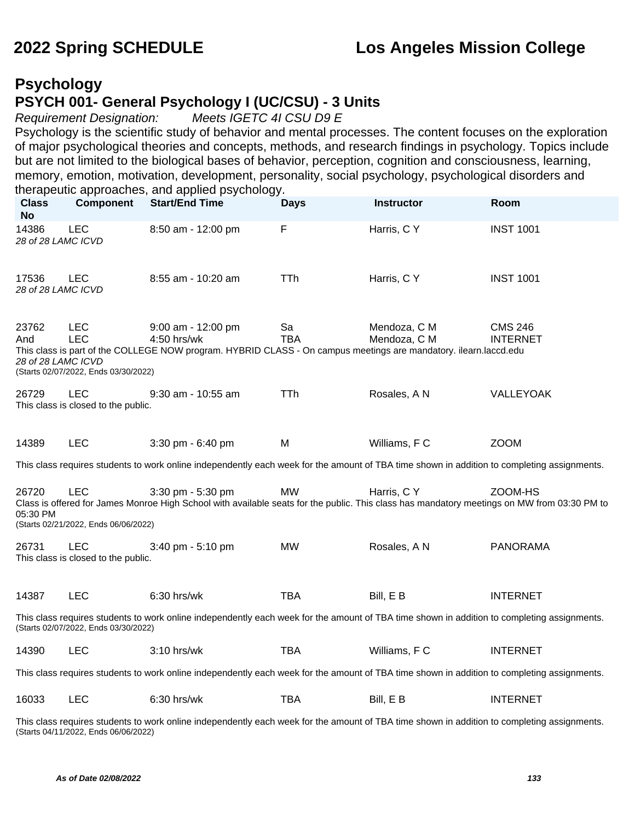### **Psychology PSYCH 001- General Psychology I (UC/CSU) - 3 Units**

Requirement Designation: Meets IGETC 4I CSU D9 E

Psychology is the scientific study of behavior and mental processes. The content focuses on the exploration of major psychological theories and concepts, methods, and research findings in psychology. Topics include but are not limited to the biological bases of behavior, perception, cognition and consciousness, learning, memory, emotion, motivation, development, personality, social psychology, psychological disorders and therapeutic approaches, and applied psychology.

| <b>Class</b><br><b>No</b>                                                                                                                                                           | <b>Component</b>                                                 | <b>Start/End Time</b>                                                                                                                                            | <b>Days</b>      | Instructor                   | Room                              |  |  |
|-------------------------------------------------------------------------------------------------------------------------------------------------------------------------------------|------------------------------------------------------------------|------------------------------------------------------------------------------------------------------------------------------------------------------------------|------------------|------------------------------|-----------------------------------|--|--|
| 14386<br>28 of 28 LAMC ICVD                                                                                                                                                         | <b>LEC</b>                                                       | 8:50 am - 12:00 pm                                                                                                                                               | F                | Harris, C Y                  | <b>INST 1001</b>                  |  |  |
| 17536<br>28 of 28 LAMC ICVD                                                                                                                                                         | <b>LEC</b>                                                       | 8:55 am - 10:20 am                                                                                                                                               | <b>TTh</b>       | Harris, C Y                  | <b>INST 1001</b>                  |  |  |
| 23762<br>And<br>28 of 28 LAMC ICVD                                                                                                                                                  | <b>LEC</b><br><b>LEC</b><br>(Starts 02/07/2022, Ends 03/30/2022) | $9:00$ am - 12:00 pm<br>4:50 hrs/wk<br>This class is part of the COLLEGE NOW program. HYBRID CLASS - On campus meetings are mandatory. ilearn.laccd.edu          | Sa<br><b>TBA</b> | Mendoza, C M<br>Mendoza, C M | <b>CMS 246</b><br><b>INTERNET</b> |  |  |
| 26729                                                                                                                                                                               | <b>LEC</b><br>This class is closed to the public.                | 9:30 am - 10:55 am                                                                                                                                               | <b>TTh</b>       | Rosales, A N                 | VALLEYOAK                         |  |  |
| 14389                                                                                                                                                                               | LEC                                                              | 3:30 pm - 6:40 pm                                                                                                                                                | M                | Williams, F C                | <b>ZOOM</b>                       |  |  |
|                                                                                                                                                                                     |                                                                  | This class requires students to work online independently each week for the amount of TBA time shown in addition to completing assignments.                      |                  |                              |                                   |  |  |
| 26720<br>05:30 PM                                                                                                                                                                   | <b>LEC</b><br>(Starts 02/21/2022, Ends 06/06/2022)               | 3:30 pm - 5:30 pm<br>Class is offered for James Monroe High School with available seats for the public. This class has mandatory meetings on MW from 03:30 PM to | <b>MW</b>        | Harris, C Y                  | ZOOM-HS                           |  |  |
| 26731                                                                                                                                                                               | <b>LEC</b><br>This class is closed to the public.                | 3:40 pm - 5:10 pm                                                                                                                                                | <b>MW</b>        | Rosales, A N                 | <b>PANORAMA</b>                   |  |  |
| 14387                                                                                                                                                                               | <b>LEC</b>                                                       | 6:30 hrs/wk                                                                                                                                                      | <b>TBA</b>       | Bill, E B                    | <b>INTERNET</b>                   |  |  |
| This class requires students to work online independently each week for the amount of TBA time shown in addition to completing assignments.<br>(Starts 02/07/2022, Ends 03/30/2022) |                                                                  |                                                                                                                                                                  |                  |                              |                                   |  |  |
| 14390                                                                                                                                                                               | LEC                                                              | 3:10 hrs/wk                                                                                                                                                      | <b>TBA</b>       | Williams, F C                | <b>INTERNET</b>                   |  |  |
|                                                                                                                                                                                     |                                                                  | This class requires students to work online independently each week for the amount of TBA time shown in addition to completing assignments.                      |                  |                              |                                   |  |  |
| 16033                                                                                                                                                                               | <b>LEC</b>                                                       | 6:30 hrs/wk                                                                                                                                                      | <b>TBA</b>       | Bill, E B                    | <b>INTERNET</b>                   |  |  |

This class requires students to work online independently each week for the amount of TBA time shown in addition to completing assignments. (Starts 04/11/2022, Ends 06/06/2022)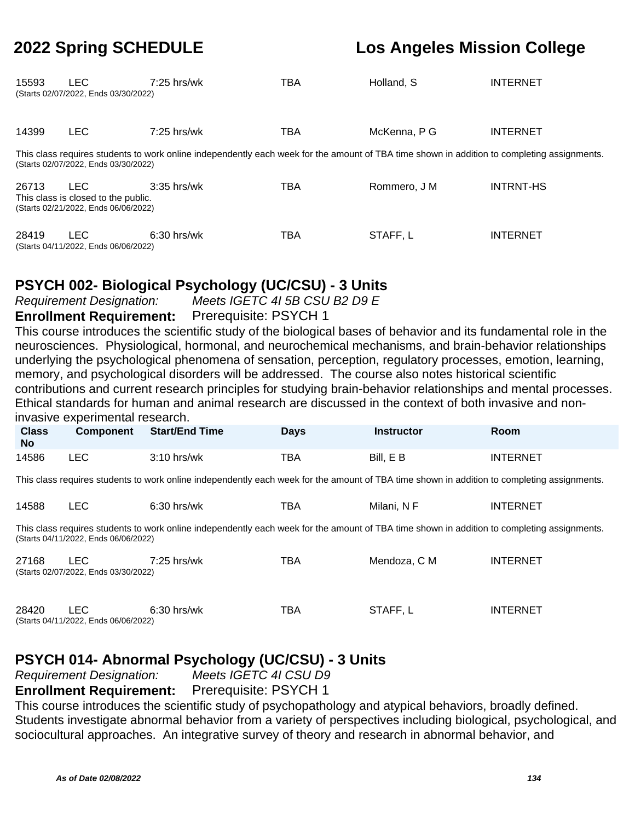| 15593 | LEC<br>(Starts 02/07/2022, Ends 03/30/2022)                                               | $7:25$ hrs/wk                                                                                                                               | TBA        | Holland, S   | <b>INTERNET</b>  |
|-------|-------------------------------------------------------------------------------------------|---------------------------------------------------------------------------------------------------------------------------------------------|------------|--------------|------------------|
| 14399 | <b>LEC</b>                                                                                | $7:25$ hrs/wk                                                                                                                               | TBA        | McKenna, P G | <b>INTERNET</b>  |
|       | (Starts 02/07/2022, Ends 03/30/2022)                                                      | This class requires students to work online independently each week for the amount of TBA time shown in addition to completing assignments. |            |              |                  |
| 26713 | <b>LEC</b><br>This class is closed to the public.<br>(Starts 02/21/2022, Ends 06/06/2022) | $3:35$ hrs/wk                                                                                                                               | <b>TBA</b> | Rommero, J M | <b>INTRNT-HS</b> |
| 28419 | <b>LEC</b><br>(Starts 04/11/2022, Ends 06/06/2022)                                        | 6:30 hrs/wk                                                                                                                                 | TBA        | STAFF, L     | <b>INTERNET</b>  |

### **PSYCH 002- Biological Psychology (UC/CSU) - 3 Units**

Requirement Designation: Meets IGETC 4I 5B CSU B2 D9 E **Enrollment Requirement:** Prerequisite: PSYCH 1

This course introduces the scientific study of the biological bases of behavior and its fundamental role in the neurosciences. Physiological, hormonal, and neurochemical mechanisms, and brain-behavior relationships underlying the psychological phenomena of sensation, perception, regulatory processes, emotion, learning, memory, and psychological disorders will be addressed. The course also notes historical scientific contributions and current research principles for studying brain-behavior relationships and mental processes. Ethical standards for human and animal research are discussed in the context of both invasive and noninvasive experimental research.

|                           | $1118$ abi $10$ by DNP binnon tar Toobaron .                                                                                                                                        |                       |             |                   |                 |  |  |  |  |
|---------------------------|-------------------------------------------------------------------------------------------------------------------------------------------------------------------------------------|-----------------------|-------------|-------------------|-----------------|--|--|--|--|
| <b>Class</b><br><b>No</b> | <b>Component</b>                                                                                                                                                                    | <b>Start/End Time</b> | <b>Days</b> | <b>Instructor</b> | Room            |  |  |  |  |
| 14586                     | <b>LEC</b>                                                                                                                                                                          | $3:10$ hrs/wk         | <b>TBA</b>  | Bill, E B         | <b>INTERNET</b> |  |  |  |  |
|                           | This class requires students to work online independently each week for the amount of TBA time shown in addition to completing assignments.                                         |                       |             |                   |                 |  |  |  |  |
| 14588                     | <b>LEC</b>                                                                                                                                                                          | $6:30$ hrs/wk         | <b>TBA</b>  | Milani, N F       | <b>INTERNET</b> |  |  |  |  |
|                           | This class requires students to work online independently each week for the amount of TBA time shown in addition to completing assignments.<br>(Starts 04/11/2022, Ends 06/06/2022) |                       |             |                   |                 |  |  |  |  |
| 27168                     | LEC.<br>(Starts 02/07/2022, Ends 03/30/2022)                                                                                                                                        | 7:25 hrs/wk           | TBA         | Mendoza, C M      | <b>INTERNET</b> |  |  |  |  |
| 28420                     | LEC.<br>(Starts 04/11/2022, Ends 06/06/2022)                                                                                                                                        | $6:30$ hrs/wk         | <b>TBA</b>  | STAFF, L          | <b>INTERNET</b> |  |  |  |  |

# **PSYCH 014- Abnormal Psychology (UC/CSU) - 3 Units**

Requirement Designation:

**Enrollment Requirement:** Prerequisite: PSYCH 1

This course introduces the scientific study of psychopathology and atypical behaviors, broadly defined. Students investigate abnormal behavior from a variety of perspectives including biological, psychological, and sociocultural approaches. An integrative survey of theory and research in abnormal behavior, and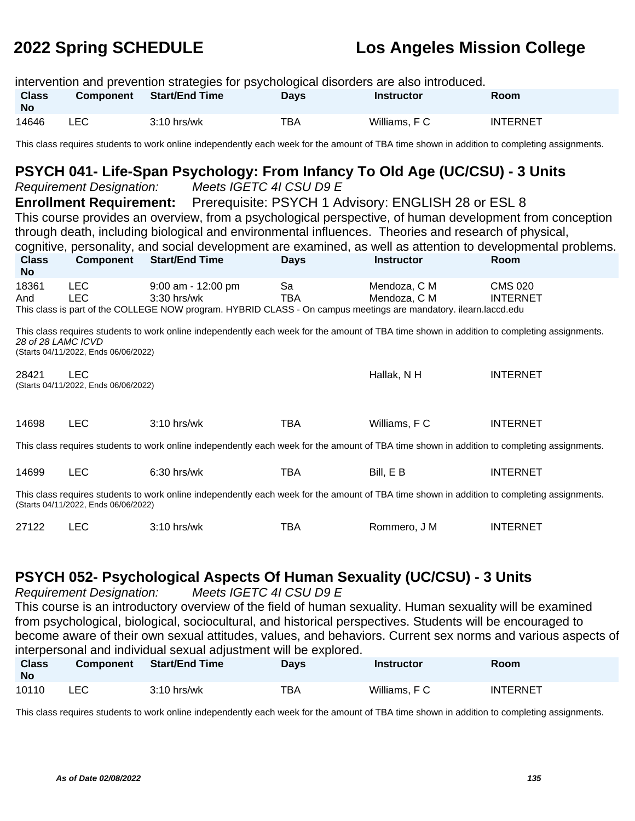intervention and prevention strategies for psychological disorders are also introduced. **Class No Component Start/End Time Days Instructor Room** 14646 LEC 3:10 hrs/wk TBA Williams, F C INTERNET

This class requires students to work online independently each week for the amount of TBA time shown in addition to completing assignments.

#### **PSYCH 041- Life-Span Psychology: From Infancy To Old Age (UC/CSU) - 3 Units**

Requirement Designation: Meets IGETC 4I CSU D9 E **Enrollment Requirement:** Prerequisite: PSYCH 1 Advisory: ENGLISH 28 or ESL 8 This course provides an overview, from a psychological perspective, of human development from conception through death, including biological and environmental influences. Theories and research of physical, cognitive, personality, and social development are examined, as well as attention to developmental problems. **Class No Component Start/End Time Days Instructor Room** 18361 LEC 9:00 am - 12:00 pm Sa Mendoza, C M CMS 020 And LEC 3:30 hrs/wk TBA Mendoza, C M INTERNET This class is part of the COLLEGE NOW program. HYBRID CLASS - On campus meetings are mandatory. ilearn.laccd.edu This class requires students to work online independently each week for the amount of TBA time shown in addition to completing assignments. 28 of 28 LAMC ICVD (Starts 04/11/2022, Ends 06/06/2022) 28421 LEC Hallak, N H INTERNET (Starts 04/11/2022, Ends 06/06/2022) 14698 LEC 3:10 hrs/wk TBA Williams, F C INTERNET This class requires students to work online independently each week for the amount of TBA time shown in addition to completing assignments. 14699 LEC 6:30 hrs/wk TBA Bill, E B INTERNET This class requires students to work online independently each week for the amount of TBA time shown in addition to completing assignments. (Starts 04/11/2022, Ends 06/06/2022) 27122 LEC 3:10 hrs/wk TBA Rommero, J M INTERNET

#### **PSYCH 052- Psychological Aspects Of Human Sexuality (UC/CSU) - 3 Units**

Requirement Designation: Meets IGETC 4I CSU D9 E

This course is an introductory overview of the field of human sexuality. Human sexuality will be examined from psychological, biological, sociocultural, and historical perspectives. Students will be encouraged to become aware of their own sexual attitudes, values, and behaviors. Current sex norms and various aspects of interpersonal and individual sexual adjustment will be explored.

| <b>Class</b><br><b>No</b> | <b>Component</b> | <b>Start/End Time</b> | Days | <b>Instructor</b> | <b>Room</b>     |
|---------------------------|------------------|-----------------------|------|-------------------|-----------------|
| 10110                     | LEC              | $3:10$ hrs/wk         | TBA  | Williams, F C     | <b>INTERNET</b> |

This class requires students to work online independently each week for the amount of TBA time shown in addition to completing assignments.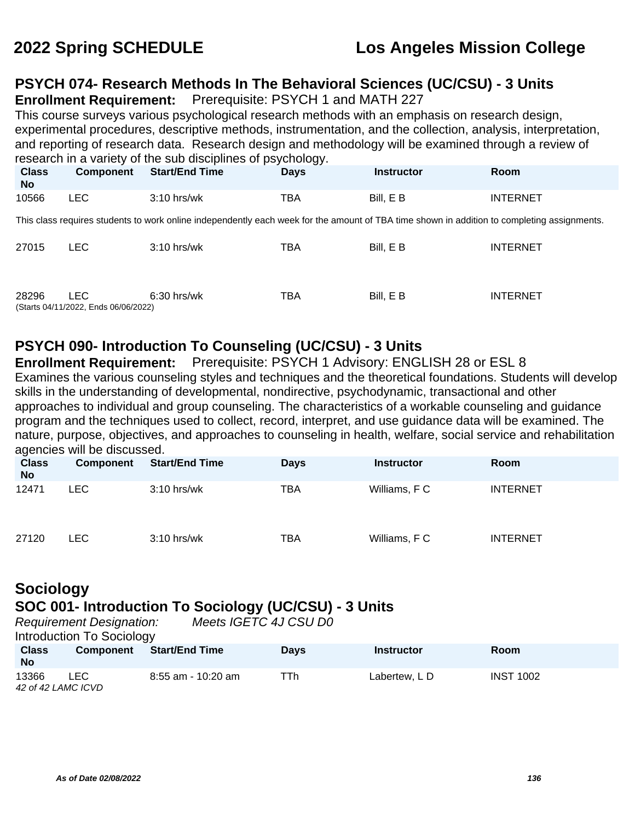### **PSYCH 074- Research Methods In The Behavioral Sciences (UC/CSU) - 3 Units**

**Enrollment Requirement:** Prerequisite: PSYCH 1 and MATH 227

This course surveys various psychological research methods with an emphasis on research design, experimental procedures, descriptive methods, instrumentation, and the collection, analysis, interpretation, and reporting of research data. Research design and methodology will be examined through a review of research in a variety of the sub disciplines of psychology.

| <b>Class</b><br>No | <b>Component</b> | <b>Start/End Time</b> | Davs | Instructor | Room     |
|--------------------|------------------|-----------------------|------|------------|----------|
| 10566              | LEC              | $3:10$ hrs/wk         | тва  | Bill, E B  | INTERNET |

This class requires students to work online independently each week for the amount of TBA time shown in addition to completing assignments.

| 27015 | LEC.                                 | $3:10$ hrs/wk | TBA        | Bill, E B | <b>INTERNET</b> |
|-------|--------------------------------------|---------------|------------|-----------|-----------------|
|       |                                      |               |            |           |                 |
|       |                                      |               |            |           |                 |
|       |                                      |               |            |           |                 |
| 28296 | LEC.                                 | 6:30 hrs/wk   | <b>TBA</b> | Bill. E B | <b>INTERNET</b> |
|       | (Starts 04/11/2022, Ends 06/06/2022) |               |            |           |                 |

### **PSYCH 090- Introduction To Counseling (UC/CSU) - 3 Units**

**Enrollment Requirement:** Prerequisite: PSYCH 1 Advisory: ENGLISH 28 or ESL 8 Examines the various counseling styles and techniques and the theoretical foundations. Students will develop skills in the understanding of developmental, nondirective, psychodynamic, transactional and other approaches to individual and group counseling. The characteristics of a workable counseling and guidance program and the techniques used to collect, record, interpret, and use guidance data will be examined. The nature, purpose, objectives, and approaches to counseling in health, welfare, social service and rehabilitation agencies will be discussed.

| ັ<br><b>Class</b><br><b>No</b> | Component | <b>Start/End Time</b> | <b>Days</b> | <b>Instructor</b> | Room            |
|--------------------------------|-----------|-----------------------|-------------|-------------------|-----------------|
| 12471                          | LEC.      | $3:10$ hrs/wk         | TBA         | Williams, F C     | <b>INTERNET</b> |
| 27120                          | LEC .     | $3:10$ hrs/wk         | TBA         | Williams, F C     | <b>INTERNET</b> |

# **Sociology**

# **SOC 001- Introduction To Sociology (UC/CSU) - 3 Units**

|                           | <b>Requirement Designation:</b><br>Introduction To Sociology | Meets IGETC 4J CSU D0 |             |                   |                  |  |
|---------------------------|--------------------------------------------------------------|-----------------------|-------------|-------------------|------------------|--|
| <b>Class</b><br><b>No</b> | Component                                                    | <b>Start/End Time</b> | <b>Days</b> | <b>Instructor</b> | Room             |  |
| 13366                     | LEC.<br>42 of 42 LAMC ICVD                                   | 8:55 am - 10:20 am    | TTh         | Labertew. LD      | <b>INST 1002</b> |  |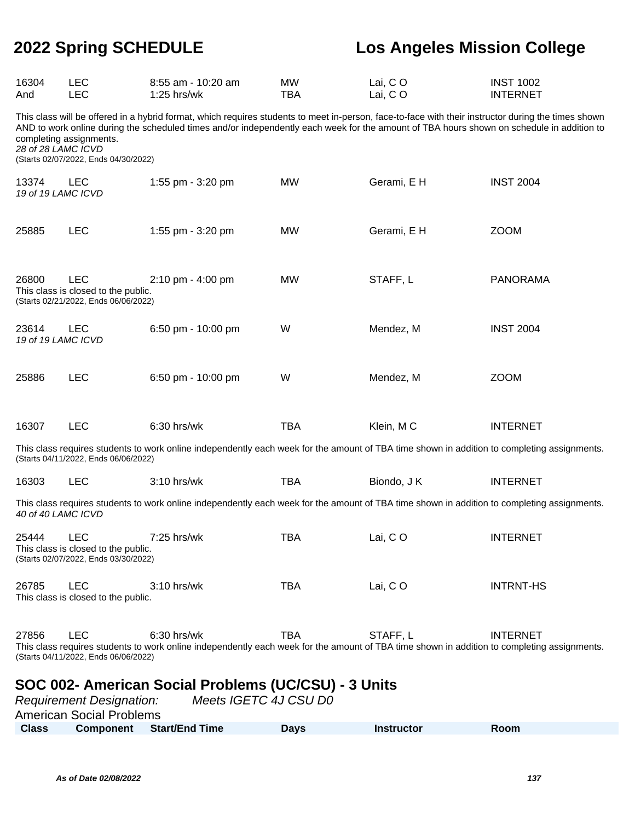| 16304<br>And                                                                                                                                        | <b>LEC</b><br><b>LEC</b>                                                                  | 8:55 am - 10:20 am<br>$1:25$ hrs/wk                                                                                                                                                                                                                                                              | <b>MW</b><br><b>TBA</b> | Lai, CO<br>Lai, CO | <b>INST 1002</b><br><b>INTERNET</b> |
|-----------------------------------------------------------------------------------------------------------------------------------------------------|-------------------------------------------------------------------------------------------|--------------------------------------------------------------------------------------------------------------------------------------------------------------------------------------------------------------------------------------------------------------------------------------------------|-------------------------|--------------------|-------------------------------------|
| 28 of 28 LAMC ICVD                                                                                                                                  | completing assignments.<br>(Starts 02/07/2022, Ends 04/30/2022)                           | This class will be offered in a hybrid format, which requires students to meet in-person, face-to-face with their instructor during the times shown<br>AND to work online during the scheduled times and/or independently each week for the amount of TBA hours shown on schedule in addition to |                         |                    |                                     |
| 13374<br>19 of 19 LAMC ICVD                                                                                                                         | <b>LEC</b>                                                                                | 1:55 pm - 3:20 pm                                                                                                                                                                                                                                                                                | <b>MW</b>               | Gerami, E H        | <b>INST 2004</b>                    |
| 25885                                                                                                                                               | <b>LEC</b>                                                                                | 1:55 pm - 3:20 pm                                                                                                                                                                                                                                                                                | <b>MW</b>               | Gerami, E H        | <b>ZOOM</b>                         |
| 26800                                                                                                                                               | <b>LEC</b><br>This class is closed to the public.<br>(Starts 02/21/2022, Ends 06/06/2022) | 2:10 pm - 4:00 pm                                                                                                                                                                                                                                                                                | <b>MW</b>               | STAFF, L           | <b>PANORAMA</b>                     |
| 23614<br>19 of 19 LAMC ICVD                                                                                                                         | <b>LEC</b>                                                                                | 6:50 pm - 10:00 pm                                                                                                                                                                                                                                                                               | W                       | Mendez, M          | <b>INST 2004</b>                    |
| 25886                                                                                                                                               | <b>LEC</b>                                                                                | 6:50 pm - 10:00 pm                                                                                                                                                                                                                                                                               | W                       | Mendez, M          | <b>ZOOM</b>                         |
| 16307                                                                                                                                               | <b>LEC</b>                                                                                | 6:30 hrs/wk                                                                                                                                                                                                                                                                                      | <b>TBA</b>              | Klein, MC          | <b>INTERNET</b>                     |
|                                                                                                                                                     | (Starts 04/11/2022, Ends 06/06/2022)                                                      | This class requires students to work online independently each week for the amount of TBA time shown in addition to completing assignments.                                                                                                                                                      |                         |                    |                                     |
| 16303                                                                                                                                               | <b>LEC</b>                                                                                | 3:10 hrs/wk                                                                                                                                                                                                                                                                                      | <b>TBA</b>              | Biondo, J K        | <b>INTERNET</b>                     |
| 40 of 40 LAMC ICVD                                                                                                                                  |                                                                                           | This class requires students to work online independently each week for the amount of TBA time shown in addition to completing assignments.                                                                                                                                                      |                         |                    |                                     |
| 25444                                                                                                                                               | <b>LEC</b><br>This class is closed to the public.<br>(Starts 02/07/2022, Ends 03/30/2022) | 7:25 hrs/wk                                                                                                                                                                                                                                                                                      | <b>TBA</b>              | Lai, CO            | <b>INTERNET</b>                     |
| 26785                                                                                                                                               | <b>LEC</b><br>This class is closed to the public.                                         | 3:10 hrs/wk                                                                                                                                                                                                                                                                                      | <b>TBA</b>              | Lai, CO            | <b>INTRNT-HS</b>                    |
| 27856                                                                                                                                               | <b>LEC</b><br>(Starts 04/11/2022, Ends 06/06/2022)                                        | 6:30 hrs/wk<br>This class requires students to work online independently each week for the amount of TBA time shown in addition to completing assignments.                                                                                                                                       | TBA                     | STAFF, L           | <b>INTERNET</b>                     |
| SOC 002- American Social Problems (UC/CSU) - 3 Units<br>Meets IGETC 4J CSU D0<br><b>Requirement Designation:</b><br><b>American Social Problems</b> |                                                                                           |                                                                                                                                                                                                                                                                                                  |                         |                    |                                     |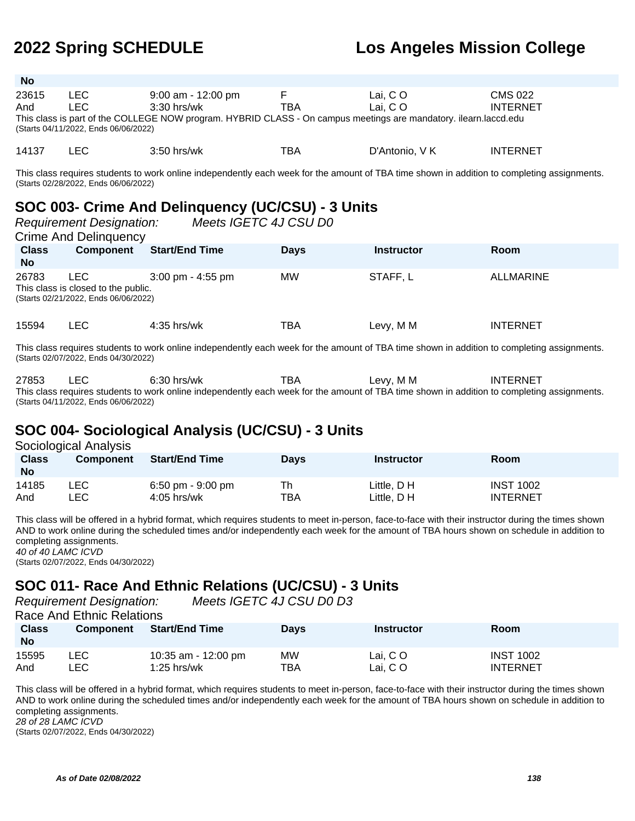| <b>No</b> |                                      |                                                                                                                  |     |                |                 |
|-----------|--------------------------------------|------------------------------------------------------------------------------------------------------------------|-----|----------------|-----------------|
| 23615     | LEC.                                 | $9:00$ am - 12:00 pm                                                                                             |     | Lai. CO        | CMS 022         |
| And       | LEC.                                 | $3:30$ hrs/wk                                                                                                    | TBA | Lai. CO        | <b>INTERNET</b> |
|           | (Starts 04/11/2022, Ends 06/06/2022) | This class is part of the COLLEGE NOW program. HYBRID CLASS - On campus meetings are mandatory. ilearn.laccd.edu |     |                |                 |
| 14137     | ∟EC i                                | $3:50$ hrs/wk                                                                                                    | TBA | D'Antonio. V K | <b>INTERNET</b> |

This class requires students to work online independently each week for the amount of TBA time shown in addition to completing assignments. (Starts 02/28/2022, Ends 06/06/2022)

# **SOC 003- Crime And Delinquency (UC/CSU) - 3 Units**

|                           | <b>Requirement Designation:</b><br>Crime And Delinguency                            | Meets IGETC 4J CSU D0               |             |                   |                  |
|---------------------------|-------------------------------------------------------------------------------------|-------------------------------------|-------------|-------------------|------------------|
| <b>Class</b><br><b>No</b> | <b>Component</b>                                                                    | <b>Start/End Time</b>               | <b>Days</b> | <b>Instructor</b> | <b>Room</b>      |
| 26783                     | LEC.<br>This class is closed to the public.<br>(Starts 02/21/2022, Ends 06/06/2022) | $3:00 \text{ pm} - 4:55 \text{ pm}$ | <b>MW</b>   | STAFF, L          | <b>ALLMARINE</b> |
| 15594                     | LEC.                                                                                | $4:35$ hrs/wk                       | TBA         | Levy, M M         | <b>INTERNET</b>  |

This class requires students to work online independently each week for the amount of TBA time shown in addition to completing assignments. (Starts 02/07/2022, Ends 04/30/2022)

27853 LEC 6:30 hrs/wk TBA Levy, M M INTERNET This class requires students to work online independently each week for the amount of TBA time shown in addition to completing assignments. (Starts 04/11/2022, Ends 06/06/2022)

### **SOC 004- Sociological Analysis (UC/CSU) - 3 Units**

| Sociological Analysis     |                  |                                    |             |                            |                                     |  |  |  |
|---------------------------|------------------|------------------------------------|-------------|----------------------------|-------------------------------------|--|--|--|
| <b>Class</b><br><b>No</b> | <b>Component</b> | <b>Start/End Time</b>              | <b>Davs</b> | <b>Instructor</b>          | Room                                |  |  |  |
| 14185<br>And              | ∟EC I<br>_EC     | 6:50 pm - 9:00 pm<br>$4:05$ hrs/wk | Th<br>TBA   | Little. D H<br>Little. D H | <b>INST 1002</b><br><b>INTERNET</b> |  |  |  |

This class will be offered in a hybrid format, which requires students to meet in-person, face-to-face with their instructor during the times shown AND to work online during the scheduled times and/or independently each week for the amount of TBA hours shown on schedule in addition to completing assignments. 40 of 40 LAMC ICVD

(Starts 02/07/2022, Ends 04/30/2022)

### **SOC 011- Race And Ethnic Relations (UC/CSU) - 3 Units**

Requirement Designation: Meets IGETC 4J CSU D0 D3

Race And Ethnic Relations

| <b>Class</b><br><b>No</b> | <b>Component</b> | <b>Start/End Time</b> | <b>Days</b> | <b>Instructor</b> | <b>Room</b>      |
|---------------------------|------------------|-----------------------|-------------|-------------------|------------------|
| 15595                     | LEC.             | 10:35 am - 12:00 pm   | МW          | Lai, CO           | <b>INST 1002</b> |
| And                       | LEC.             | $1:25$ hrs/wk         | TBA         | Lai, CO           | <b>INTERNET</b>  |

This class will be offered in a hybrid format, which requires students to meet in-person, face-to-face with their instructor during the times shown AND to work online during the scheduled times and/or independently each week for the amount of TBA hours shown on schedule in addition to completing assignments.

28 of 28 LAMC ICVD (Starts 02/07/2022, Ends 04/30/2022)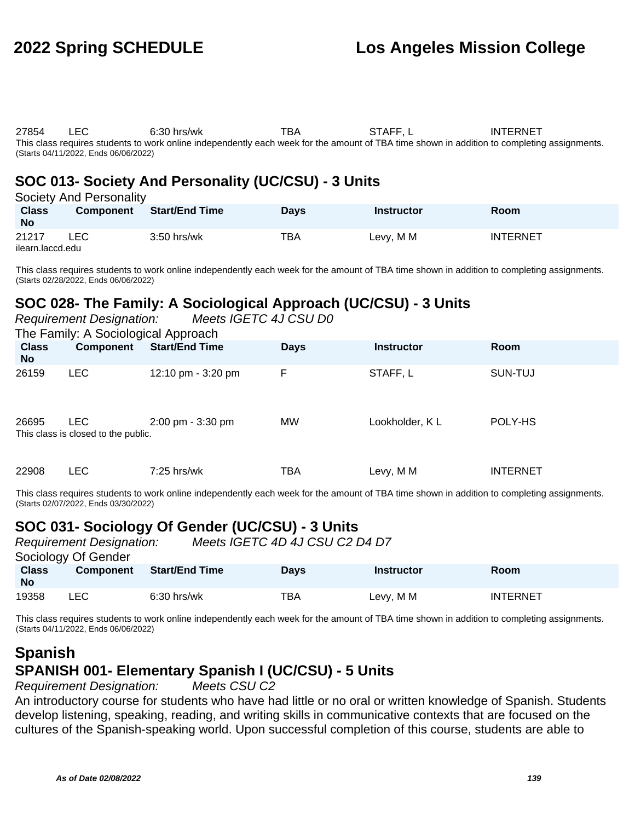27854 LEC 6:30 hrs/wk TBA STAFF, L INTERNET This class requires students to work online independently each week for the amount of TBA time shown in addition to completing assignments. (Starts 04/11/2022, Ends 06/06/2022)

### **SOC 013- Society And Personality (UC/CSU) - 3 Units**

| Society And Personality   |                  |                       |             |                   |                 |  |  |  |
|---------------------------|------------------|-----------------------|-------------|-------------------|-----------------|--|--|--|
| <b>Class</b><br><b>No</b> | <b>Component</b> | <b>Start/End Time</b> | <b>Davs</b> | <b>Instructor</b> | Room            |  |  |  |
| 21217<br>ilearn.laccd.edu | <b>LEC</b>       | $3:50$ hrs/wk         | TBA         | Levy, M M         | <b>INTERNET</b> |  |  |  |

This class requires students to work online independently each week for the amount of TBA time shown in addition to completing assignments. (Starts 02/28/2022, Ends 06/06/2022)

## **SOC 028- The Family: A Sociological Approach (UC/CSU) - 3 Units**

| Meets IGETC 4J CSU D0<br><b>Requirement Designation:</b><br>The Family: A Sociological Approach |                                                   |                       |             |                   |                 |
|-------------------------------------------------------------------------------------------------|---------------------------------------------------|-----------------------|-------------|-------------------|-----------------|
| <b>Class</b><br>No.                                                                             | <b>Component</b>                                  | <b>Start/End Time</b> | <b>Days</b> | <b>Instructor</b> | Room            |
| 26159                                                                                           | <b>LEC</b>                                        | 12:10 pm - 3:20 pm    | F           | STAFF, L          | SUN-TUJ         |
| 26695                                                                                           | <b>LEC</b><br>This class is closed to the public. | 2:00 pm - 3:30 pm     | <b>MW</b>   | Lookholder, KL    | POLY-HS         |
| 22908                                                                                           | <b>LEC</b>                                        | $7:25$ hrs/wk         | TBA         | Levy, M M         | <b>INTERNET</b> |

This class requires students to work online independently each week for the amount of TBA time shown in addition to completing assignments. (Starts 02/07/2022, Ends 03/30/2022)

### **SOC 031- Sociology Of Gender (UC/CSU) - 3 Units**

|                    | <b>Requirement Designation:</b> |                       | Meets IGETC 4D 4J CSU C2 D4 D7 |                   |                 |  |  |  |
|--------------------|---------------------------------|-----------------------|--------------------------------|-------------------|-----------------|--|--|--|
|                    | Sociology Of Gender             |                       |                                |                   |                 |  |  |  |
| <b>Class</b><br>No | <b>Component</b>                | <b>Start/End Time</b> | <b>Davs</b>                    | <b>Instructor</b> | <b>Room</b>     |  |  |  |
| 19358              | LEC.                            | $6:30$ hrs/wk         | <b>TBA</b>                     | Levy, M M         | <b>INTERNET</b> |  |  |  |

This class requires students to work online independently each week for the amount of TBA time shown in addition to completing assignments. (Starts 04/11/2022, Ends 06/06/2022)

#### **Spanish SPANISH 001- Elementary Spanish I (UC/CSU) - 5 Units** Requirement Designation: Meets CSU C2

An introductory course for students who have had little or no oral or written knowledge of Spanish. Students develop listening, speaking, reading, and writing skills in communicative contexts that are focused on the cultures of the Spanish-speaking world. Upon successful completion of this course, students are able to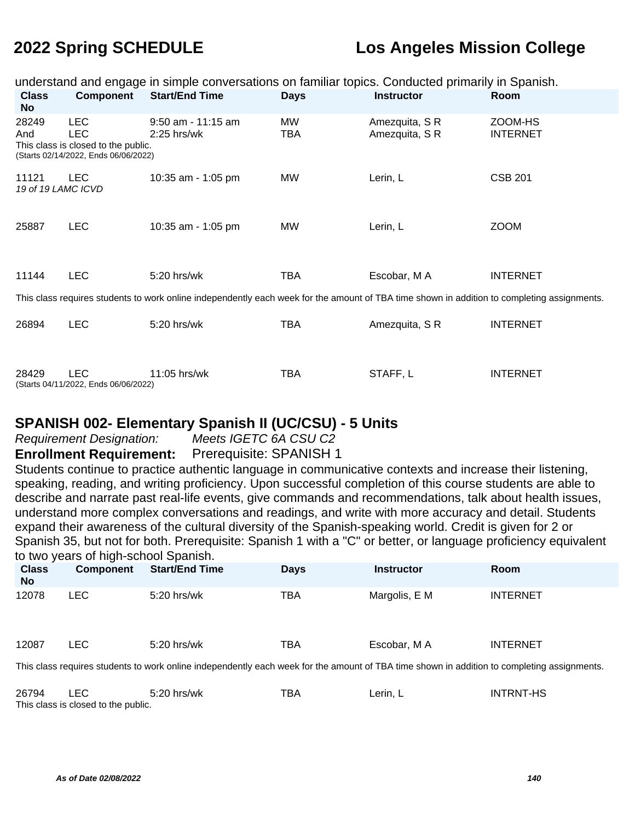|                             | understand and engage in simple conversations on familiar topics. Conducted primarily in Spanish.       |                                                                                                                                             |                  |                                  |                            |  |  |  |
|-----------------------------|---------------------------------------------------------------------------------------------------------|---------------------------------------------------------------------------------------------------------------------------------------------|------------------|----------------------------------|----------------------------|--|--|--|
| <b>Class</b><br><b>No</b>   | <b>Component</b>                                                                                        | <b>Start/End Time</b>                                                                                                                       | <b>Days</b>      | <b>Instructor</b>                | Room                       |  |  |  |
| 28249<br>And                | <b>LEC</b><br><b>LEC</b><br>This class is closed to the public.<br>(Starts 02/14/2022, Ends 06/06/2022) | $9:50$ am - 11:15 am<br>$2:25$ hrs/wk                                                                                                       | MW<br><b>TBA</b> | Amezquita, S R<br>Amezquita, S R | ZOOM-HS<br><b>INTERNET</b> |  |  |  |
| 11121<br>19 of 19 LAMC ICVD | <b>LEC</b>                                                                                              | 10:35 am - 1:05 pm                                                                                                                          | <b>MW</b>        | Lerin, L                         | <b>CSB 201</b>             |  |  |  |
| 25887                       | <b>LEC</b>                                                                                              | 10:35 am - 1:05 pm                                                                                                                          | <b>MW</b>        | Lerin, L                         | <b>ZOOM</b>                |  |  |  |
| 11144                       | <b>LEC</b>                                                                                              | 5:20 hrs/wk                                                                                                                                 | TBA              | Escobar, M A                     | <b>INTERNET</b>            |  |  |  |
|                             |                                                                                                         | This class requires students to work online independently each week for the amount of TBA time shown in addition to completing assignments. |                  |                                  |                            |  |  |  |
| 26894                       | <b>LEC</b>                                                                                              | 5:20 hrs/wk                                                                                                                                 | TBA              | Amezquita, S R                   | <b>INTERNET</b>            |  |  |  |
| 28429                       | <b>LEC</b><br>(Starts 04/11/2022, Ends 06/06/2022)                                                      | 11:05 hrs/wk                                                                                                                                | TBA              | STAFF, L                         | <b>INTERNET</b>            |  |  |  |

#### **SPANISH 002- Elementary Spanish II (UC/CSU) - 5 Units**

Requirement Designation: Meets IGETC 6A CSU C2

**Enrollment Requirement:** Prerequisite: SPANISH 1

Students continue to practice authentic language in communicative contexts and increase their listening, speaking, reading, and writing proficiency. Upon successful completion of this course students are able to describe and narrate past real-life events, give commands and recommendations, talk about health issues, understand more complex conversations and readings, and write with more accuracy and detail. Students expand their awareness of the cultural diversity of the Spanish-speaking world. Credit is given for 2 or Spanish 35, but not for both. Prerequisite: Spanish 1 with a "C" or better, or language proficiency equivalent to two years of high-school Spanish.

| <b>Class</b><br><b>No</b> | <b>Component</b>                                                                                                                           | <b>Start/End Time</b> | <b>Days</b> | <b>Instructor</b> | <b>Room</b>     |  |  |
|---------------------------|--------------------------------------------------------------------------------------------------------------------------------------------|-----------------------|-------------|-------------------|-----------------|--|--|
| 12078                     | LEC.                                                                                                                                       | 5:20 hrs/wk           | TBA         | Margolis, E M     | <b>INTERNET</b> |  |  |
| 12087                     | LEC.                                                                                                                                       | 5:20 hrs/wk           | TBA         | Escobar, M A      | <b>INTERNET</b> |  |  |
|                           | This class requires students to work online independently each week for the amount of TRA time shown in addition to completing assignments |                       |             |                   |                 |  |  |

This class requires students to work online independently each week for the amount of TBA time shown in addition to completing assignments.

| 26794 | LEC                                 | 5:20 hrs/wk | TBA | Lerin. L | <b>INTRNT-HS</b> |
|-------|-------------------------------------|-------------|-----|----------|------------------|
|       | This class is closed to the public. |             |     |          |                  |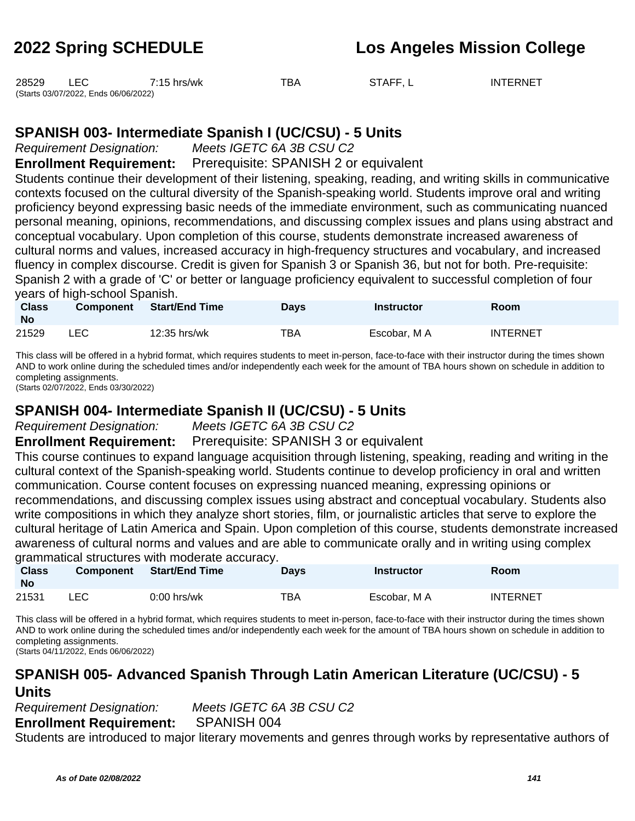| 28529 |                                      | $7:15$ hrs/wk | ™ВА | STAFF, L | <b>INTERNET</b> |
|-------|--------------------------------------|---------------|-----|----------|-----------------|
|       | (Starts 03/07/2022, Ends 06/06/2022) |               |     |          |                 |

#### **SPANISH 003- Intermediate Spanish I (UC/CSU) - 5 Units**

Requirement Designation: Meets IGETC 6A 3B CSU C2

**Enrollment Requirement:** Prerequisite: SPANISH 2 or equivalent

Students continue their development of their listening, speaking, reading, and writing skills in communicative contexts focused on the cultural diversity of the Spanish-speaking world. Students improve oral and writing proficiency beyond expressing basic needs of the immediate environment, such as communicating nuanced personal meaning, opinions, recommendations, and discussing complex issues and plans using abstract and conceptual vocabulary. Upon completion of this course, students demonstrate increased awareness of cultural norms and values, increased accuracy in high-frequency structures and vocabulary, and increased fluency in complex discourse. Credit is given for Spanish 3 or Spanish 36, but not for both. Pre-requisite: Spanish 2 with a grade of 'C' or better or language proficiency equivalent to successful completion of four years of high-school Spanish.

| <b>Class</b><br>No | <b>Component</b> | Start/End Time | Days | <b>Instructor</b> | Room            |
|--------------------|------------------|----------------|------|-------------------|-----------------|
| 21529              | LEC.             | 12:35 hrs/wk   | TBA  | Escobar. M A      | <b>INTERNET</b> |

This class will be offered in a hybrid format, which requires students to meet in-person, face-to-face with their instructor during the times shown AND to work online during the scheduled times and/or independently each week for the amount of TBA hours shown on schedule in addition to completing assignments.

(Starts 02/07/2022, Ends 03/30/2022)

#### **SPANISH 004- Intermediate Spanish II (UC/CSU) - 5 Units**

Requirement Designation: Meets IGETC 6A 3B CSU C2

**Enrollment Requirement:** Prerequisite: SPANISH 3 or equivalent

This course continues to expand language acquisition through listening, speaking, reading and writing in the cultural context of the Spanish-speaking world. Students continue to develop proficiency in oral and written communication. Course content focuses on expressing nuanced meaning, expressing opinions or recommendations, and discussing complex issues using abstract and conceptual vocabulary. Students also write compositions in which they analyze short stories, film, or journalistic articles that serve to explore the cultural heritage of Latin America and Spain. Upon completion of this course, students demonstrate increased awareness of cultural norms and values and are able to communicate orally and in writing using complex grammatical structures with moderate accuracy.

| <b>Class</b><br><b>No</b> | <b>Component</b> | <b>Start/End Time</b> | <b>Days</b> | <b>Instructor</b> | Room            |
|---------------------------|------------------|-----------------------|-------------|-------------------|-----------------|
| 21531                     | LEC              | $0:00$ hrs/wk         | тва         | Escobar, M A      | <b>INTERNET</b> |

This class will be offered in a hybrid format, which requires students to meet in-person, face-to-face with their instructor during the times shown AND to work online during the scheduled times and/or independently each week for the amount of TBA hours shown on schedule in addition to completing assignments.

(Starts 04/11/2022, Ends 06/06/2022)

### **SPANISH 005- Advanced Spanish Through Latin American Literature (UC/CSU) - 5 Units**

Requirement Designation: Meets IGETC 6A 3B CSU C2 **Enrollment Requirement:** SPANISH 004

Students are introduced to major literary movements and genres through works by representative authors of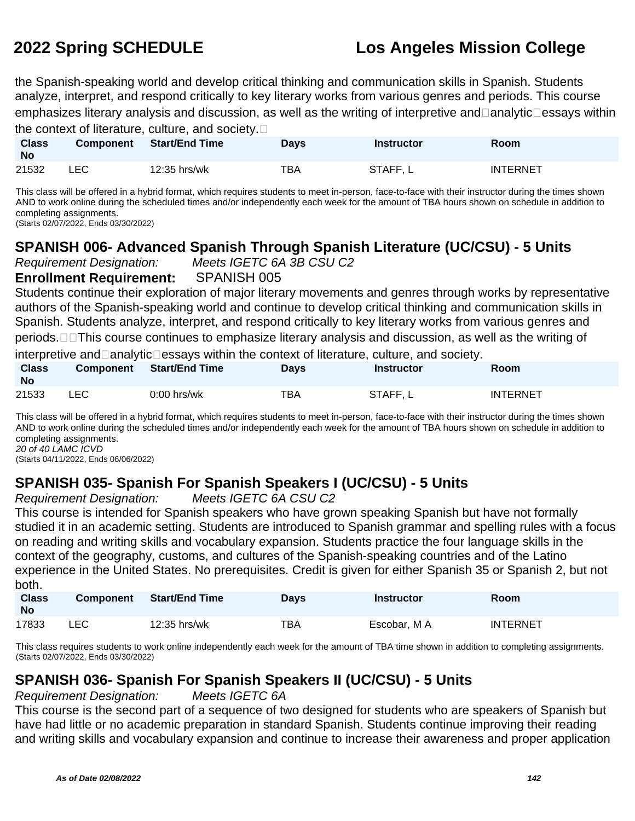the Spanish-speaking world and develop critical thinking and communication skills in Spanish. Students analyze, interpret, and respond critically to key literary works from various genres and periods. This course emphasizes literary analysis and discussion, as well as the writing of interpretive and $\Box$ analytic $\Box$ essays within

the context of literature, culture, and society.

| <b>Class</b><br><b>No</b> | <b>Component</b> | <b>Start/End Time</b> | <b>Days</b> | Instructor | Room            |
|---------------------------|------------------|-----------------------|-------------|------------|-----------------|
| 21532                     | LEC              | 12:35 hrs/wk          | TBA         | STAFF, L   | <b>INTERNET</b> |

This class will be offered in a hybrid format, which requires students to meet in-person, face-to-face with their instructor during the times shown AND to work online during the scheduled times and/or independently each week for the amount of TBA hours shown on schedule in addition to completing assignments.

(Starts 02/07/2022, Ends 03/30/2022)

## **SPANISH 006- Advanced Spanish Through Spanish Literature (UC/CSU) - 5 Units**

Requirement Designation: Meets IGETC 6A 3B CSU C2

**Enrollment Requirement:** SPANISH 005

Students continue their exploration of major literary movements and genres through works by representative authors of the Spanish-speaking world and continue to develop critical thinking and communication skills in Spanish. Students analyze, interpret, and respond critically to key literary works from various genres and periods.  $\Box$ This course continues to emphasize literary analysis and discussion, as well as the writing of

interpretive and analytic essays within the context of literature, culture, and society. **Class Component Start/End Time Days Instructor Room**

| <b>UIDS</b><br><b>No</b> | <b>COMPONEM</b> | <b>Starvenu Time</b> | рауэ | IIISU UCLOI | RUUIII          |
|--------------------------|-----------------|----------------------|------|-------------|-----------------|
| 21533                    | _EC.            | $0:00$ hrs/wk        | TBA  | STAFF, L    | <b>INTERNET</b> |

This class will be offered in a hybrid format, which requires students to meet in-person, face-to-face with their instructor during the times shown AND to work online during the scheduled times and/or independently each week for the amount of TBA hours shown on schedule in addition to completing assignments. 20 of 40 LAMC ICVD

(Starts 04/11/2022, Ends 06/06/2022)

# **SPANISH 035- Spanish For Spanish Speakers I (UC/CSU) - 5 Units**

Requirement Designation: Meets IGETC 6A CSU C2

This course is intended for Spanish speakers who have grown speaking Spanish but have not formally studied it in an academic setting. Students are introduced to Spanish grammar and spelling rules with a focus on reading and writing skills and vocabulary expansion. Students practice the four language skills in the context of the geography, customs, and cultures of the Spanish-speaking countries and of the Latino experience in the United States. No prerequisites. Credit is given for either Spanish 35 or Spanish 2, but not both.

| <b>Class</b><br><b>No</b> | <b>Component</b> | <b>Start/End Time</b> | Days | Instructor   | <b>Room</b> |
|---------------------------|------------------|-----------------------|------|--------------|-------------|
| 17833                     | LEC              | 12:35 hrs/wk          | тва  | Escobar, M A | INTERNET    |

This class requires students to work online independently each week for the amount of TBA time shown in addition to completing assignments. (Starts 02/07/2022, Ends 03/30/2022)

### **SPANISH 036- Spanish For Spanish Speakers II (UC/CSU) - 5 Units**

#### Requirement Designation: Meets IGETC 6A

This course is the second part of a sequence of two designed for students who are speakers of Spanish but have had little or no academic preparation in standard Spanish. Students continue improving their reading and writing skills and vocabulary expansion and continue to increase their awareness and proper application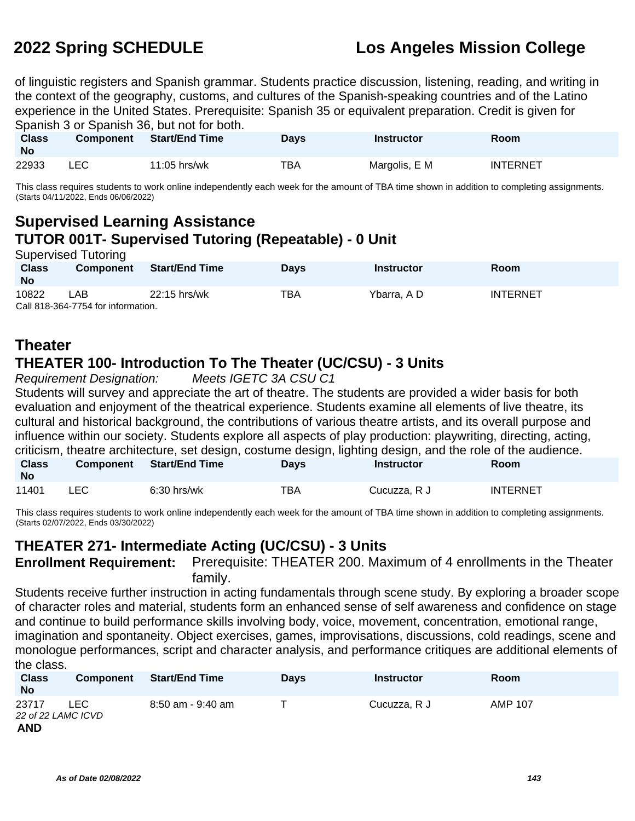of linguistic registers and Spanish grammar. Students practice discussion, listening, reading, and writing in the context of the geography, customs, and cultures of the Spanish-speaking countries and of the Latino experience in the United States. Prerequisite: Spanish 35 or equivalent preparation. Credit is given for Spanish 3 or Spanish 36, but not for both.

| <b>Class</b><br><b>No</b> | <b>Component</b> | <b>Start/End Time</b> | Days | <b>Instructor</b> | Room            |
|---------------------------|------------------|-----------------------|------|-------------------|-----------------|
| 22933                     | ∟EC-             | $11:05$ hrs/wk        | тва  | Margolis, E M     | <b>INTERNET</b> |

This class requires students to work online independently each week for the amount of TBA time shown in addition to completing assignments. (Starts 04/11/2022, Ends 06/06/2022)

#### **Supervised Learning Assistance TUTOR 001T- Supervised Tutoring (Repeatable) - 0 Unit** Supervised Tutoring

| <b>Class</b> | <b>Component</b>                   | <b>Start/End Time</b> | <b>Days</b> | <b>Instructor</b> | Room            |  |  |
|--------------|------------------------------------|-----------------------|-------------|-------------------|-----------------|--|--|
| <b>No</b>    |                                    |                       |             |                   |                 |  |  |
| 10822        | _AB_                               | 22:15 hrs/wk          | TBA         | Ybarra. A D       | <b>INTERNET</b> |  |  |
|              | Call 818-364-7754 for information. |                       |             |                   |                 |  |  |

## **Theater**

### **THEATER 100- Introduction To The Theater (UC/CSU) - 3 Units**

Requirement Designation: Meets IGETC 3A CSU C1

Students will survey and appreciate the art of theatre. The students are provided a wider basis for both evaluation and enjoyment of the theatrical experience. Students examine all elements of live theatre, its cultural and historical background, the contributions of various theatre artists, and its overall purpose and influence within our society. Students explore all aspects of play production: playwriting, directing, acting, criticism, theatre architecture, set design, costume design, lighting design, and the role of the audience. **Class No Component Start/End Time Days Instructor Room** 11401 LEC 6:30 hrs/wk TBA Cucuzza, R J INTERNET

This class requires students to work online independently each week for the amount of TBA time shown in addition to completing assignments. (Starts 02/07/2022, Ends 03/30/2022)

### **THEATER 271- Intermediate Acting (UC/CSU) - 3 Units**

**Enrollment Requirement:** Prerequisite: THEATER 200. Maximum of 4 enrollments in the Theater family.

Students receive further instruction in acting fundamentals through scene study. By exploring a broader scope of character roles and material, students form an enhanced sense of self awareness and confidence on stage and continue to build performance skills involving body, voice, movement, concentration, emotional range, imagination and spontaneity. Object exercises, games, improvisations, discussions, cold readings, scene and monologue performances, script and character analysis, and performance critiques are additional elements of the class.

| <b>Class</b><br><b>No</b>   | Component | <b>Start/End Time</b> | <b>Days</b> | <b>Instructor</b> | Room           |
|-----------------------------|-----------|-----------------------|-------------|-------------------|----------------|
| 23717<br>22 of 22 LAMC ICVD | ∟EC       | 8:50 am - 9:40 am     |             | Cucuzza, R J      | <b>AMP 107</b> |
| <b>AND</b>                  |           |                       |             |                   |                |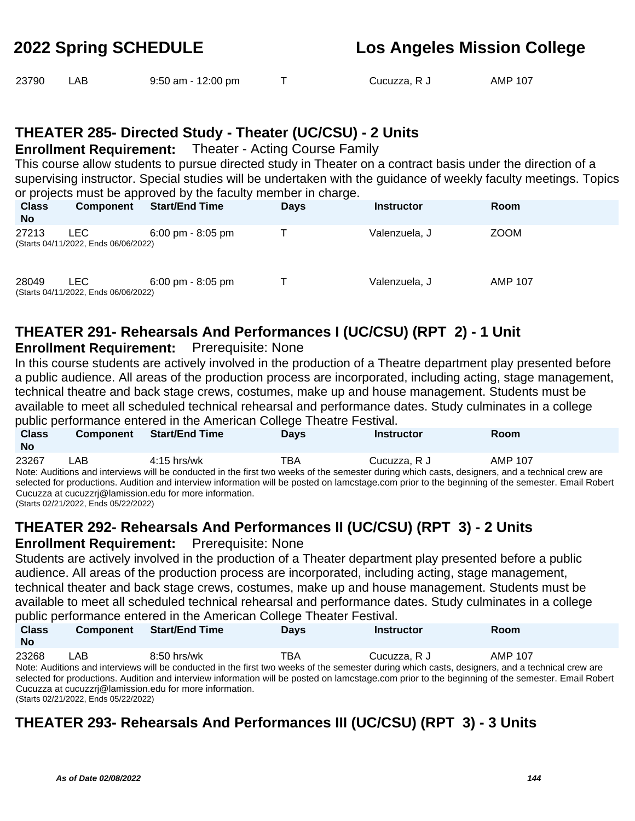| 23790 | LAB. | $9:50$ am - 12:00 pm |  | Cucuzza, R J | AMP 107 |
|-------|------|----------------------|--|--------------|---------|
|-------|------|----------------------|--|--------------|---------|

### **THEATER 285- Directed Study - Theater (UC/CSU) - 2 Units**

**Enrollment Requirement:** Theater - Acting Course Family

This course allow students to pursue directed study in Theater on a contract basis under the direction of a supervising instructor. Special studies will be undertaken with the guidance of weekly faculty meetings. Topics or projects must be approved by the faculty member in charge.

| <b>Class</b><br><b>No</b> | <b>Component</b>                             | <b>Start/End Time</b>               | <b>Days</b> | <b>Instructor</b> | <b>Room</b>    |
|---------------------------|----------------------------------------------|-------------------------------------|-------------|-------------------|----------------|
| 27213                     | ∟EC⊹<br>(Starts 04/11/2022, Ends 06/06/2022) | $6:00 \text{ pm} - 8:05 \text{ pm}$ |             | Valenzuela, J     | <b>ZOOM</b>    |
| 28049                     | ∟EC-<br>(Starts 04/11/2022, Ends 06/06/2022) | $6:00 \text{ pm} - 8:05 \text{ pm}$ |             | Valenzuela, J     | <b>AMP 107</b> |

## **THEATER 291- Rehearsals And Performances I (UC/CSU) (RPT 2) - 1 Unit**

#### **Enrollment Requirement:** Prerequisite: None

In this course students are actively involved in the production of a Theatre department play presented before a public audience. All areas of the production process are incorporated, including acting, stage management, technical theatre and back stage crews, costumes, make up and house management. Students must be available to meet all scheduled technical rehearsal and performance dates. Study culminates in a college public performance entered in the American College Theatre Festival.

|              |                  | is a matrix in a strategies of the state of the state of the state of the state of the state of the state of the state of the state of the state of the state of the state of the state of the state of the state of the stat |             |                                                                                                                                                    |             |  |
|--------------|------------------|-------------------------------------------------------------------------------------------------------------------------------------------------------------------------------------------------------------------------------|-------------|----------------------------------------------------------------------------------------------------------------------------------------------------|-------------|--|
| <b>Class</b> | <b>Component</b> | <b>Start/End Time</b>                                                                                                                                                                                                         | <b>Davs</b> | <b>Instructor</b>                                                                                                                                  | <b>Room</b> |  |
| <b>No</b>    |                  |                                                                                                                                                                                                                               |             |                                                                                                                                                    |             |  |
| 23267        | LAB              | $4:15$ hrs/wk                                                                                                                                                                                                                 | TBA         | Cucuzza, R J                                                                                                                                       | AMP 107     |  |
|              |                  |                                                                                                                                                                                                                               |             | Note: Auditions and interviews will be conducted in the first two weeks of the semester during which casts, designers, and a technical crew are    |             |  |
|              |                  |                                                                                                                                                                                                                               |             | colected for productions. Audition and intensions information will be posted on lamestage comprient to the beginning of the semester. Email Pobert |             |  |

selected for productions. Audition and interview information will be posted on lamcstage.com prior to the beginning of the semester. Email Robert Cucuzza at cucuzzrj@lamission.edu for more information. (Starts 02/21/2022, Ends 05/22/2022)

# **THEATER 292- Rehearsals And Performances II (UC/CSU) (RPT 3) - 2 Units**

#### **Enrollment Requirement:** Prerequisite: None

Students are actively involved in the production of a Theater department play presented before a public audience. All areas of the production process are incorporated, including acting, stage management, technical theater and back stage crews, costumes, make up and house management. Students must be available to meet all scheduled technical rehearsal and performance dates. Study culminates in a college public performance entered in the American College Theater Festival.

| <b>Class</b><br>No | <b>Component</b> | Start/End Time | <b>Davs</b> | <b>Instructor</b> | Room                                                                                                                                          |  |
|--------------------|------------------|----------------|-------------|-------------------|-----------------------------------------------------------------------------------------------------------------------------------------------|--|
| 23268              | LAB              | $8:50$ hrs/wk  | TBA         | Cucuzza, R J      | AMP 107                                                                                                                                       |  |
|                    |                  |                |             |                   | Nata: Acaliba a a ad beta decoraciól la agadicata dia tha finet tua cuadra af tha agasastas dividas contas deglaces a ad a tagladad que una a |  |

Note: Auditions and interviews will be conducted in the first two weeks of the semester during which casts, designers, and a technical crew are selected for productions. Audition and interview information will be posted on lamcstage.com prior to the beginning of the semester. Email Robert Cucuzza at cucuzzrj@lamission.edu for more information. (Starts 02/21/2022, Ends 05/22/2022)

# **THEATER 293- Rehearsals And Performances III (UC/CSU) (RPT 3) - 3 Units**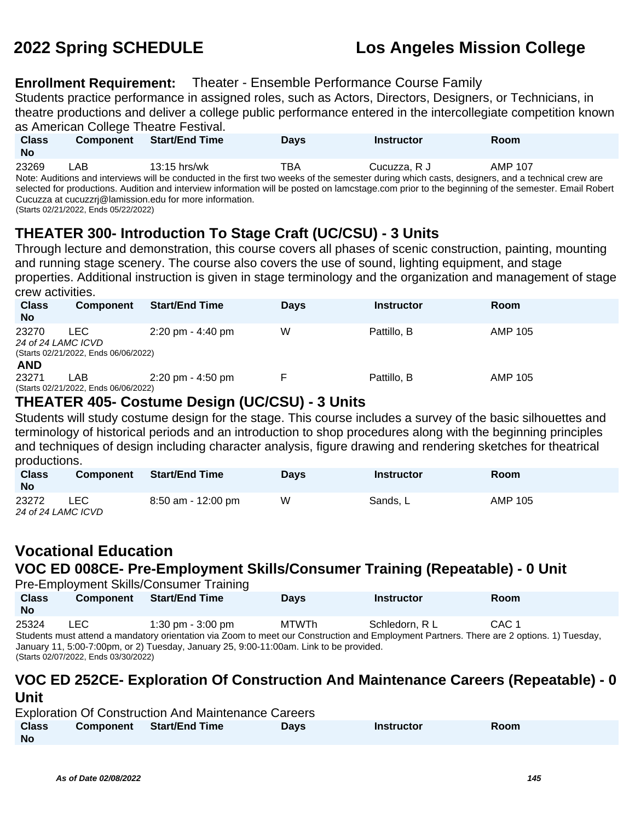## **2022 Spring SCHEDULE Los Angeles Mission College**

## **Enrollment Requirement:** Theater - Ensemble Performance Course Family

Students practice performance in assigned roles, such as Actors, Directors, Designers, or Technicians, in theatre productions and deliver a college public performance entered in the intercollegiate competition known as American College Theatre Festival

| as Amencan College Theather Estival. |                  |                     |             |                   |                |  |  |
|--------------------------------------|------------------|---------------------|-------------|-------------------|----------------|--|--|
| <b>Class</b>                         | <b>Component</b> | Start/End Time      | <b>Davs</b> | <b>Instructor</b> | Room           |  |  |
| <b>No</b>                            |                  |                     |             |                   |                |  |  |
| 23269                                | ∟AB.             | $13:15$ hrs/wk<br>. | TBA         | Cucuzza. R J      | <b>AMP 107</b> |  |  |

Note: Auditions and interviews will be conducted in the first two weeks of the semester during which casts, designers, and a technical crew are selected for productions. Audition and interview information will be posted on lamcstage.com prior to the beginning of the semester. Email Robert Cucuzza at cucuzzrj@lamission.edu for more information.

### (Starts 02/21/2022, Ends 05/22/2022)

## **THEATER 300- Introduction To Stage Craft (UC/CSU) - 3 Units**

Through lecture and demonstration, this course covers all phases of scenic construction, painting, mounting and running stage scenery. The course also covers the use of sound, lighting equipment, and stage properties. Additional instruction is given in stage terminology and the organization and management of stage crew activities.

| <b>Class</b><br><b>No</b>   | <b>Component</b>                             | <b>Start/End Time</b>               | <b>Days</b> | <b>Instructor</b> | <b>Room</b> |
|-----------------------------|----------------------------------------------|-------------------------------------|-------------|-------------------|-------------|
| 23270<br>24 of 24 LAMC ICVD | ∟EC-<br>(Starts 02/21/2022, Ends 06/06/2022) | $2:20 \text{ pm} - 4:40 \text{ pm}$ | W           | Pattillo, B       | AMP 105     |
| <b>AND</b><br>23271         | LAB<br>(Starts 02/21/2022, Ends 06/06/2022)  | $2:20 \text{ pm} - 4:50 \text{ pm}$ |             | Pattillo, B       | AMP 105     |

## **THEATER 405- Costume Design (UC/CSU) - 3 Units**

Students will study costume design for the stage. This course includes a survey of the basic silhouettes and terminology of historical periods and an introduction to shop procedures along with the beginning principles and techniques of design including character analysis, figure drawing and rendering sketches for theatrical productions.

| <b>Class</b><br><b>No</b> | <b>Component</b> | <b>Start/End Time</b> | Davs | <b>Instructor</b> | Room           |
|---------------------------|------------------|-----------------------|------|-------------------|----------------|
| 23272                     | <b>LEC</b>       | $8:50$ am - 12:00 pm  | W    | Sands, L          | <b>AMP 105</b> |
| 24 of 24 LAMC ICVD        |                  |                       |      |                   |                |

## **Vocational Education**

# **VOC ED 008CE- Pre-Employment Skills/Consumer Training (Repeatable) - 0 Unit**

Pre-Employment Skills/Consumer Training

| <b>Class</b><br><b>No</b>                                                                                                                | <b>Component</b> | <b>Start/End Time</b> | Days  | Instructor     | Room             |  |
|------------------------------------------------------------------------------------------------------------------------------------------|------------------|-----------------------|-------|----------------|------------------|--|
| 25324                                                                                                                                    | LEC.             | 1:30 pm - 3:00 pm     | MTWTh | Schledorn, R L | CAC <sub>1</sub> |  |
| Students must attend a mandatory orientation via Zoom to meet our Construction and Employment Partners. There are 2 options, 1) Tuesday, |                  |                       |       |                |                  |  |

Students must attend a mandatory orientation via Zoom to meet our Construction and Employment Partners. There are 2 options. 1) Tuesday, January 11, 5:00-7:00pm, or 2) Tuesday, January 25, 9:00-11:00am. Link to be provided. (Starts 02/07/2022, Ends 03/30/2022)

## **VOC ED 252CE- Exploration Of Construction And Maintenance Careers (Repeatable) - 0 Unit**

| <b>Exploration Of Construction And Maintenance Careers</b> |           |                  |             |                   |             |  |
|------------------------------------------------------------|-----------|------------------|-------------|-------------------|-------------|--|
| <b>Class</b>                                               | Component | ■ Start/End Time | <b>Days</b> | <b>Instructor</b> | <b>Room</b> |  |
| <b>No</b>                                                  |           |                  |             |                   |             |  |